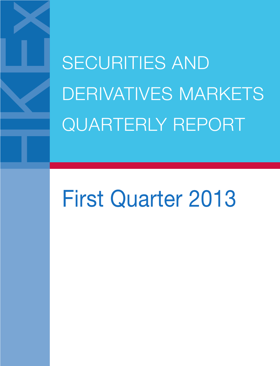SECURITIES AND DERIVATIVES MARKETS QUARTERLY REPORT

# First Quarter 2013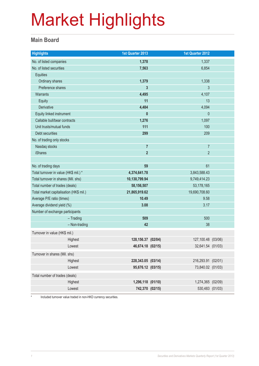#### **Main Board**

| <b>Highlights</b>                       | 1st Quarter 2013       | 1st Quarter 2012   |  |
|-----------------------------------------|------------------------|--------------------|--|
| No. of listed companies                 | 1,378                  | 1,337              |  |
| No. of listed securities                | 7,563                  | 6,854              |  |
| <b>Equities</b>                         |                        |                    |  |
| Ordinary shares                         | 1,379                  | 1,338              |  |
| Preference shares                       | 3                      | $\mathfrak{Z}$     |  |
| <b>Warrants</b>                         | 4,495                  | 4,107              |  |
| Equity                                  | 11                     | 13                 |  |
| Derivative                              | 4,484                  | 4,094              |  |
| Equity linked instrument                | $\mathbf{0}$           | $\theta$           |  |
| Callable bull/bear contracts            | 1,276                  | 1,097              |  |
| Unit trusts/mutual funds                | 111                    | 100                |  |
| Debt securities                         | 299                    | 209                |  |
| No. of trading only stocks              |                        |                    |  |
| Nasdaq stocks                           | $\overline{7}$         | $\overline{7}$     |  |
| <b>iShares</b>                          | $\overline{2}$         | $\overline{2}$     |  |
|                                         |                        |                    |  |
| No. of trading days                     | 59                     | 61                 |  |
| Total turnover in value (HK\$ mil.) *   | 4,374,641.78           | 3,843,588.43       |  |
| Total turnover in shares (Mil. shs)     | 10,130,799.94          | 9,749,414.23       |  |
| Total number of trades (deals)          | 58,156,507             | 53,178,165         |  |
| Total market capitalisation (HK\$ mil.) | 21,865,919.62<br>10.49 | 19,690,708.60      |  |
| Average P/E ratio (times)               |                        | 9.58               |  |
| Average dividend yield (%)              | 3.08                   | 3.17               |  |
| Number of exchange participants         | 509                    | 500                |  |
| $-$ Trading<br>- Non-trading            | 42                     | 38                 |  |
|                                         |                        |                    |  |
| Turnover in value (HK\$ mil.)           |                        |                    |  |
| Highest                                 | 128, 156.37 (02/04)    | 127,100.48 (03/06) |  |
| Lowest                                  | 46,674.18 (02/15)      | 32,641.54 (01/03)  |  |
| Turnover in shares (Mil. shs)           |                        |                    |  |
| Highest                                 | 228,343.05 (03/14)     | 216,293.91 (02/01) |  |
| Lowest                                  | 95,676.12 (03/15)      | 73,840.02 (01/03)  |  |
| Total number of trades (deals)          |                        |                    |  |
| Highest                                 | 1,296,118 (01/10)      | 1,274,365 (02/09)  |  |
| Lowest                                  | 742,370 (02/15)        | 530,483 (01/03)    |  |

\* Included turnover value traded in non-HKD currency securities.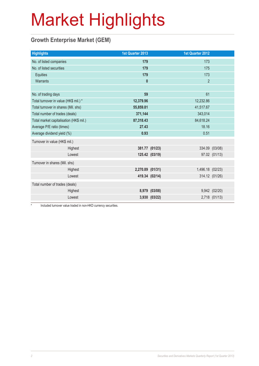### **Growth Enterprise Market (GEM)**

| 1st Quarter 2013 | <b>1st Quarter 2012</b>                                                                                  |                  |
|------------------|----------------------------------------------------------------------------------------------------------|------------------|
| 179              | 173                                                                                                      |                  |
| 179              | 175                                                                                                      |                  |
| 179              | 173                                                                                                      |                  |
| $\boldsymbol{0}$ | $\overline{2}$                                                                                           |                  |
|                  |                                                                                                          |                  |
| 59               | 61                                                                                                       |                  |
| 12,379.96        | 12,232.86                                                                                                |                  |
| 55,859.81        | 41,517.67                                                                                                |                  |
| 371,144          | 343,014                                                                                                  |                  |
| 87,318.43        | 84,618.24                                                                                                |                  |
| 27.43            | 18.16                                                                                                    |                  |
| 0.93             | 0.51                                                                                                     |                  |
|                  |                                                                                                          |                  |
|                  |                                                                                                          | 334.09 (03/08)   |
|                  |                                                                                                          | 97.02 (01/13)    |
|                  |                                                                                                          |                  |
|                  |                                                                                                          |                  |
|                  |                                                                                                          | 314.12 (01/26)   |
|                  |                                                                                                          |                  |
|                  |                                                                                                          | 9,942 (02/20)    |
|                  |                                                                                                          | 2,718 (01/13)    |
|                  | 381.77 (01/23)<br>125.42 (03/19)<br>2,270.89 (01/31)<br>419.34 (02/14)<br>8,979 (03/08)<br>3,930 (03/22) | 1,496.18 (02/23) |

\* Included turnover value traded in non-HKD currency securities.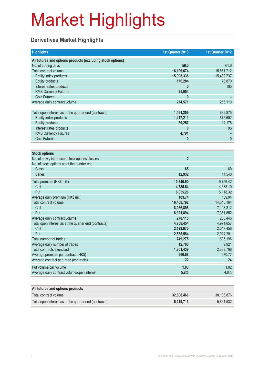### **Derivatives Market Highlights**

| <b>Highlights</b>                                          | 1st Quarter 2013 | 1st Quarter 2012 |
|------------------------------------------------------------|------------------|------------------|
| All futures and options products (excluding stock options) |                  |                  |
| No. of trading days                                        | 59.0             | 61.0             |
| Total contract volume                                      | 16,199,674       | 15,561,712       |
| Equity index products                                      | 15,998,336       | 15,482,737       |
| <b>Equity products</b>                                     | 176,284          | 78,870           |
| Interest rates products                                    | 0                | 105              |
| <b>RMB Currency Futures</b>                                | 25,054           |                  |
| <b>Gold Futures</b>                                        |                  |                  |
| Average daily contract volume                              | 274,571          | 255,110          |
|                                                            |                  |                  |
| Total open interest as at the quarter end (contracts)      | 1,461,259        | 889,875          |
| Equity index products                                      | 1,417,211        | 875,602          |
| <b>Equity products</b>                                     | 39,257           | 14,178           |
| Interest rates products                                    | 0                | 95               |
| <b>RMB Currency Futures</b>                                | 4,791            |                  |
| <b>Gold Futures</b>                                        | 0                | $\mathbf{0}$     |
|                                                            |                  |                  |
| <b>Stock options</b>                                       |                  |                  |
| No. of newly introduced stock options classes              | $\overline{2}$   |                  |
| No. of stock options as at the quarter end                 |                  |                  |
| <b>Class</b>                                               | 65               | 60               |
| <b>Series</b>                                              | 12,932           | 14,540           |
| Total premium (HK\$ mil.)                                  | 10,840.90        | 9,756.42         |
| Call                                                       | 4,785.64         | 4,638.10         |
| Put                                                        | 6,055.26         | 5,118.32         |
| Average daily premium (HK\$ mil.)                          | 183.74           | 159.94           |
| Total contract volume                                      | 16,408,792       | 14,545,164       |
| Call                                                       | 8,086,898        | 7,193,312        |
| Put                                                        | 8,321,894        | 7,351,852        |
| Average daily contract volume                              | 278,115          | 238,445          |
| Total open interest as at the quarter end (contracts)      | 4,758,454        | 4,971,657        |
| Call                                                       | 2,199,870        | 2,047,456        |
| Put                                                        | 2,558,584        | 2,924,201        |
| Total number of trades                                     | 749,275          | 605,196          |
| Average daily number of trades                             | 12,700           | 9,921            |
| <b>Total contracts exercised</b>                           | 1,851,439        | 2,383,708        |
| Average premium per contract (HK\$)                        | 660.68           | 670.77           |
| Average contract per trade (contracts)                     | 22               | 24               |
| Put volume/call volume                                     | 1.03             | 1.02             |
| Average daily contract volume/open interest                | 5.8%             | 4.8%             |
|                                                            |                  |                  |
| All futures and options products                           |                  |                  |
| Total contract volume                                      | 32,608,466       | 30,106,876       |
| Total open interest as at the quarter end (contracts)      | 6,219,713        | 5,861,532        |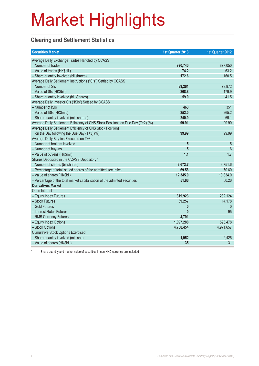### **Clearing and Settlement Statistics**

| <b>Securities Market</b>                                                        | 1st Quarter 2013 | 1st Quarter 2012 |
|---------------------------------------------------------------------------------|------------------|------------------|
| Average Daily Exchange Trades Handled by CCASS                                  |                  |                  |
| - Number of trades                                                              | 990,740          | 877,050          |
| - Value of trades (HK\$bil.)                                                    | 74.2             | 63.2             |
| - Share quantity Involved (bil shares)                                          | 172.6            | 160.5            |
| Average Daily Settlement Instructions ("SIs") Settled by CCASS                  |                  |                  |
| - Number of SIs                                                                 | 89,261           | 79,872           |
| - Value of SIs (HK\$bil.)                                                       | 268.8            | 179.9            |
| - Share quantity involved (bil. Shares)                                         | 59.0             | 41.5             |
| Average Daily Investor SIs ("ISIs") Settled by CCASS                            |                  |                  |
| - Number of ISIs                                                                | 463              | 351              |
| - Value of ISIs (HK\$mil.)                                                      | 252.0            | 265.2            |
| - Share quantity involved (mil. shares)                                         | 240.9            | 69.1             |
| Average Daily Settlement Efficiency of CNS Stock Positions on Due Day (T+2) (%) | 99.91            | 99.90            |
| Average Daily Settlement Efficiency of CNS Stock Positions                      |                  |                  |
| on the Day following the Due Day $(T+3)$ (%)                                    | 99.99            | 99.99            |
| Average Daily Buy-ins Executed on T+3                                           |                  |                  |
| - Number of brokers involved                                                    | 5                | 5                |
| - Number of buy-ins                                                             | 5                | 6                |
| - Value of buy-ins (HK\$mil)                                                    | 1.1              | 1.7              |
| Shares Deposited in the CCASS Depository *                                      |                  |                  |
| - Number of shares (bil shares)                                                 | 3,673.7          | 3,751.6          |
| - Percentage of total issued shares of the admitted securities                  | 69.58            | 70.60            |
| - Value of shares (HK\$bil)                                                     | 12,345.0         | 10,834.0         |
| - Percentage of the total market capitalisation of the admitted securities      | 51.66            | 50.26            |
| <b>Derivatives Market</b>                                                       |                  |                  |
| Open Interest                                                                   |                  |                  |
| - Equity Index Futures                                                          | 319,923          | 282,124          |
| - Stock Futures                                                                 | 39,257           | 14,178           |
| - Gold Futures                                                                  | $\mathbf{0}$     | $\overline{0}$   |
| - Interest Rates Futures                                                        | $\mathbf{0}$     | 95               |
| - RMB Currency Futures                                                          | 4,791            |                  |
| - Equity Index Options                                                          | 1,097,288        | 593,478          |
| - Stock Options                                                                 | 4,758,454        | 4,971,657        |
| <b>Cumulative Stock Options Exercised</b>                                       |                  |                  |
| - Share quantity involved (mil. shs)                                            | 1,952            | 2,425            |
| - Value of shares (HK\$bil.)                                                    | 35               | 31               |

Share quantity and market value of securities in non-HKD currency are included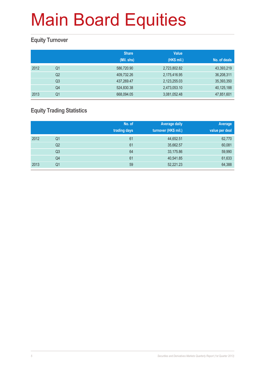### **Equity Turnover**

|      |                | <b>Share</b><br>(Mil. shs) | <b>Value</b><br>(HK\$ mil.) | No. of deals |
|------|----------------|----------------------------|-----------------------------|--------------|
| 2012 | Q1             | 586,720.90                 | 2,723,802.82                | 43,393,219   |
|      | Q <sub>2</sub> | 409,732.26                 | 2,175,416.95                | 36,208,311   |
|      | Q <sub>3</sub> | 437,269.47                 | 2,123,255.03                | 35,393,350   |
|      | Q4             | 524,830.38                 | 2,473,053.10                | 40,125,188   |
| 2013 | Q1             | 668,094.05                 | 3,081,052.48                | 47,851,601   |

### **Equity Trading Statistics**

|      |                | No. of<br>trading days | <b>Average daily</b><br>turnover (HK\$ mil.) | Average<br>value per deal |
|------|----------------|------------------------|----------------------------------------------|---------------------------|
| 2012 | Q <sub>1</sub> | 61                     | 44,652.51                                    | 62,770                    |
|      | Q2             | 61                     | 35,662.57                                    | 60,081                    |
|      | Q3             | 64                     | 33,175.86                                    | 59,990                    |
|      | Q4             | 61                     | 40,541.85                                    | 61,633                    |
| 2013 | Q <sub>1</sub> | 59                     | 52,221.23                                    | 64,388                    |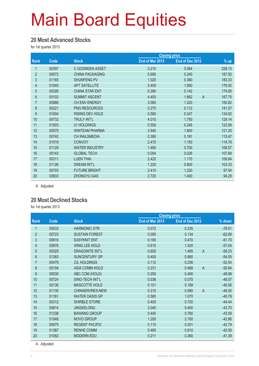#### **20 Most Advanced Stocks**

for 1st quarter 2013

|                |       |                        |                 | <b>Closing price</b>    |        |
|----------------|-------|------------------------|-----------------|-------------------------|--------|
| Rank           | Code  | <b>Stock</b>           | End of Mar 2013 | End of Dec 2012         | $%$ up |
| 1              | 00397 | C GOGREEN ASSET        | 0.210           | 0.064                   | 228.13 |
| $\overline{2}$ | 00572 | <b>CHINA PACKAGING</b> | 0.690           | 0.240                   | 187.50 |
| 3              | 01165 | SHUNFENG PV            | 1.020           | 0.360                   | 183.33 |
| 4              | 01045 | <b>APT SATELLITE</b>   | 5.400           | 1.950                   | 176.92 |
| $\overline{5}$ | 00326 | <b>CHINA STAR ENT</b>  | 0.390           | 0.142                   | 174.65 |
| 6              | 00102 | <b>SUMMIT ASCENT</b>   | 4.450           | 1.662<br>$\overline{A}$ | 167.75 |
| $\overline{7}$ | 00986 | CH ENV ENERGY          | 3.060           | 1.220                   | 150.82 |
| $\bf 8$        | 00221 | <b>PNG RESOURCES</b>   | 0.270           | 0.112                   | 141.07 |
| 9              | 01004 | <b>RISING DEV HOLD</b> | 0.580           | 0.247                   | 134.82 |
| 10             | 00732 | <b>TRULY INT'L</b>     | 4.010           | 1.750                   | 129.14 |
| 11             | 01003 | 21 HOLDINGS            | 0.550           | 0.246                   | 123.58 |
| 12             | 00570 | <b>WINTEAM PHARMA</b>  | 3.540           | 1.600                   | 121.25 |
| 13             | 00745 | <b>CH RAILSMEDIA</b>   | 0.390           | 0.181                   | 115.47 |
| 14             | 01019 | <b>CONVOY</b>          | 2.470           | 1.150                   | 114.78 |
| 15             | 01129 | <b>WATER INDUSTRY</b>  | 1.460           | 0.700                   | 108.57 |
| 16             | 00143 | <b>GLOBAL TECH</b>     | 0.054           | 0.026                   | 107.69 |
| 17             | 00311 | <b>LUEN THAI</b>       | 2.420           | 1.170                   | 106.84 |
| 18             | 01126 | <b>DREAM INT'L</b>     | 1.220           | 0.600                   | 103.33 |
| 19             | 00703 | <b>FUTURE BRIGHT</b>   | 2.410           | 1.220                   | 97.54  |
| 20             | 03633 | <b>ZHONGYU GAS</b>     | 2.720           | 1.400                   | 94.29  |

A Adjusted

#### **20 Most Declined Stocks**

for 1st quarter 2013

| <b>Code</b> | <b>Stock</b>           | End of Mar 2013 | End of Dec 2012         | % down               |
|-------------|------------------------|-----------------|-------------------------|----------------------|
| 00033       | <b>HARMONIC STR</b>    | 0.072           | 0.335                   | $-78.51$             |
| 00723       | <b>SUSTAIN FOREST</b>  | 0.050           | 0.134                   | $-62.69$             |
| 00616       | <b>EASYKNIT ENT</b>    | 0.180           | 0.470                   | $-61.70$             |
| 00876       | <b>WING LEE HOLD</b>   | 0.610           | 1.420                   | $-57.04$             |
| 00329       | <b>DRAGONITE INT'L</b> | 0.650           | 1.485<br>$\overline{A}$ | $-56.23$             |
| 01383       | SUNCENTURY GP          | 0.400           | 0.880                   | $-54.55$             |
| 00479       | <b>CIL HOLDINGS</b>    | 0.112           | 0.236                   | $-52.54$             |
| 00104       | <b>ASIA COMM HOLD</b>  | 0.231           | $\overline{A}$<br>0.468 | $-50.64$             |
| 00030       | ABC COM (HOLD)         | 0.250           | 0.490                   | $-48.98$             |
| 00724       | SINO-TECH INT'L        | 0.036           | 0.070                   | $-48.57$             |
| 00136       | MASCOTTE HOLD          | 0.101           | 0.189                   | $-46.56$             |
| 01130       | CHINAENVRES-NEW        | 0.310           | $\overline{A}$<br>0.580 | $-46.55$             |
| 01161       | <b>WATER OASIS GP</b>  | 0.580           | 1.070                   | $-45.79$             |
| 00312       | <b>SHIRBLE STORE</b>   | 0.400           | 0.720                   | $-44.44$             |
| 00814       | <b>JINGKELONG</b>      | 3.040           | 5.400                   | $-43.70$             |
| 01338       | <b>BAWANG GROUP</b>    | 0.440           | 0.780                   | $-43.59$             |
| 01048       | <b>NOVO GROUP</b>      | 1.200           | 2.100                   | $-42.86$             |
| 00575       | <b>REGENT PACIFIC</b>  | 0.115           | 0.201                   | $-42.79$             |
| 01387       | <b>RENHE COMM</b>      | 0.465           | 0.810                   | $-42.59$             |
| 01082       | <b>MODERN EDU</b>      | 0.211           | 0.360                   | $-41.39$             |
|             |                        |                 |                         | <b>Closing price</b> |

A Adjusted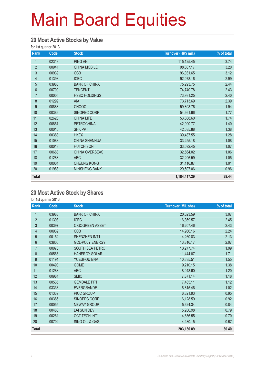#### **20 Most Active Stocks by Value**

for 1st quarter 2013

| Rank           | Code  | <b>Stock</b>         | Turnover (HK\$ mil.) | % of total |
|----------------|-------|----------------------|----------------------|------------|
| 1              | 02318 | <b>PING AN</b>       | 115,125.45           | 3.74       |
| $\overline{2}$ | 00941 | <b>CHINA MOBILE</b>  | 98,607.17            | 3.20       |
| $\mathfrak{S}$ | 00939 | <b>CCB</b>           | 96,031.65            | 3.12       |
| 4              | 01398 | <b>ICBC</b>          | 92,078.16            | 2.99       |
| $\overline{5}$ | 03988 | <b>BANK OF CHINA</b> | 75,293.75            | 2.44       |
| $6\phantom{a}$ | 00700 | <b>TENCENT</b>       | 74,740.78            | 2.43       |
| $\overline{7}$ | 00005 | <b>HSBC HOLDINGS</b> | 73,931.25            | 2.40       |
| 8              | 01299 | AIA                  | 73,713.69            | 2.39       |
| 9              | 00883 | <b>CNOOC</b>         | 59,808.76            | 1.94       |
| 10             | 00386 | SINOPEC CORP         | 54,661.66            | 1.77       |
| 11             | 02628 | <b>CHINA LIFE</b>    | 53,668.60            | 1.74       |
| 12             | 00857 | <b>PETROCHINA</b>    | 42,990.77            | 1.40       |
| 13             | 00016 | <b>SHK PPT</b>       | 42,535.88            | 1.38       |
| 14             | 00388 | <b>HKEX</b>          | 39,487.55            | 1.28       |
| 15             | 01088 | <b>CHINA SHENHUA</b> | 33,255.18            | 1.08       |
| 16             | 00013 | <b>HUTCHISON</b>     | 33,092.45            | 1.07       |
| 17             | 00688 | CHINA OVERSEAS       | 32,564.02            | 1.06       |
| 18             | 01288 | <b>ABC</b>           | 32,206.59            | 1.05       |
| 19             | 00001 | <b>CHEUNG KONG</b>   | 31,116.87            | 1.01       |
| 20             | 01988 | <b>MINSHENG BANK</b> | 29,507.06            | 0.96       |
| <b>Total</b>   |       |                      | 1,184,417.29         | 38.44      |

#### **20 Most Active Stock by Shares**

| Rank           | Code  | <b>Stock</b>           | <b>Turnover (Mil. shs)</b> | % of total |
|----------------|-------|------------------------|----------------------------|------------|
| 1              | 03988 | <b>BANK OF CHINA</b>   | 20,523.59                  | 3.07       |
| $\overline{2}$ | 01398 | <b>ICBC</b>            | 16,369.57                  | 2.45       |
| 3              | 00397 | C GOGREEN ASSET        | 16,207.46                  | 2.43       |
| $\overline{4}$ | 00939 | <b>CCB</b>             | 14,966.16                  | 2.24       |
| $\overline{5}$ | 00152 | SHENZHEN INT'L         | 14,260.83                  | 2.13       |
| $6\,$          | 03800 | <b>GCL-POLY ENERGY</b> | 13,816.17                  | 2.07       |
| $\overline{7}$ | 00076 | SOUTH SEA PETRO        | 13,277.74                  | 1.99       |
| 8              | 00566 | <b>HANERGY SOLAR</b>   | 11,444.87                  | 1.71       |
| 9              | 01191 | YUESHOU ENV            | 10,335.51                  | 1.55       |
| 10             | 00493 | <b>GOME</b>            | 9,210.15                   | 1.38       |
| 11             | 01288 | <b>ABC</b>             | 8,048.60                   | 1.20       |
| 12             | 00981 | <b>SMIC</b>            | 7,871.14                   | 1.18       |
| 13             | 00535 | <b>GEMDALE PPT</b>     | 7,485.11                   | 1.12       |
| 14             | 03333 | <b>EVERGRANDE</b>      | 6,815.46                   | 1.02       |
| 15             | 01339 | PICC GROUP             | 6,321.93                   | 0.95       |
| 16             | 00386 | SINOPEC CORP           | 6,128.59                   | 0.92       |
| 17             | 00055 | <b>NEWAY GROUP</b>     | 5,624.34                   | 0.84       |
| 18             | 00488 | <b>LAI SUN DEV</b>     | 5,286.98                   | 0.79       |
| 19             | 00261 | <b>CCT TECH INT'L</b>  | 4,656.55                   | 0.70       |
| 20             | 00702 | SINO OIL & GAS         | 4,480.15                   | 0.67       |
| <b>Total</b>   |       |                        | 203,130.89                 | 30.40      |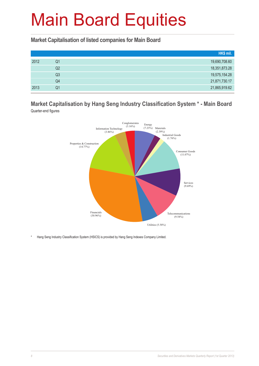**Market Capitalisation of listed companies for Main Board**

|      |    | HK\$ mil.     |
|------|----|---------------|
| 2012 | Q1 | 19,690,708.60 |
|      | Q2 | 18,351,873.28 |
|      | Q3 | 19,575,154.28 |
|      | Q4 | 21,871,730.17 |
| 2013 | Q1 | 21,865,919.62 |

**Market Capitalisation by Hang Seng Industry Classification System \* - Main Board** Quarter-end figures



\* Hang Seng Industry Classification System (HSICS) is provided by Hang Seng Indexes Company Limited.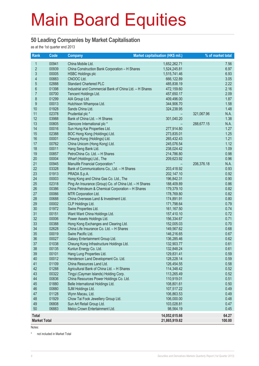#### **50 Leading Companies by Market Capitalisation**

as at the 1st quarter end 2013

| Rank                | Code           | <b>Company</b>                                                  | Market capitalisation (HK\$ mil.) |            | % of market total |
|---------------------|----------------|-----------------------------------------------------------------|-----------------------------------|------------|-------------------|
| $\mathbf{1}$        | 00941          | China Mobile Ltd.                                               | 1,652,262.71                      |            | 7.56              |
| $\overline{2}$      | 00939          | China Construction Bank Corporation - H Shares                  | 1,524,245.81                      |            | 6.97              |
| 3                   | 00005          | <b>HSBC Holdings plc</b>                                        | 1,515,741.46                      |            | 6.93              |
| 4                   | 00883          | CNOOC Ltd.                                                      | 666,122.89                        |            | 3.05              |
| 5                   | 02888          | <b>Standard Chartered PLC</b>                                   | 485,838.19                        |            | 2.22              |
| $6\phantom{a}$      | 01398          | Industrial and Commercial Bank of China Ltd. - H Shares         | 472,159.60                        |            | 2.16              |
| $\overline{7}$      | 00700          | Tencent Holdings Ltd.                                           | 457,650.17                        |            | 2.09              |
| 8                   | 01299          | AIA Group Ltd.                                                  | 409,496.00                        |            | 1.87              |
| $\boldsymbol{9}$    | 00013          | Hutchison Whampoa Ltd.                                          | 344,906.70                        |            | 1.58              |
| 10                  | 01928          | Sands China Ltd.                                                | 324,238.95                        |            | 1.48              |
| 11                  | 02378          | Prudential plc *                                                |                                   | 321,067.96 | N.A.              |
| 12                  | 03988          | Bank of China Ltd. - H Shares                                   | 301,040.20                        |            | 1.38              |
| 13                  | 00805          | Glencore International plc *                                    |                                   | 288,677.15 | N.A.              |
| 14                  | 00016          | Sun Hung Kai Properties Ltd.                                    | 277,914.80                        |            | 1.27              |
| 15                  | 02388          | BOC Hong Kong (Holdings) Ltd.                                   | 273,835.01                        |            | 1.25              |
| 16                  | 00001          | Cheung Kong (Holdings) Ltd.                                     | 265,432.43                        |            | 1.21              |
| 17                  | 00762          | China Unicom (Hong Kong) Ltd.                                   | 245,076.54                        |            | 1.12              |
| 18                  | 00011          | Hang Seng Bank Ltd.                                             | 238,024.42                        |            | 1.09              |
| 19                  | 00857          | PetroChina Co. Ltd. - H Shares                                  | 214,786.80                        |            | 0.98              |
| 20                  | 00004          | Wharf (Holdings) Ltd., The                                      | 209,623.92                        |            | 0.96              |
| 21                  | 00945          | Manulife Financial Corporation *                                |                                   | 206,376.18 | N.A.              |
| 22                  | 03328          | Bank of Communications Co., Ltd. - H Shares                     | 203,418.92                        |            | 0.93              |
| 23                  | 01913          | PRADA S.p.A.                                                    | 202,147.10                        |            | 0.92              |
| 24                  | 00003          | Hong Kong and China Gas Co. Ltd., The                           | 196,842.31                        |            | 0.90              |
| 25                  | 02318          | Ping An Insurance (Group) Co. of China Ltd. - H Shares          | 188,409.89                        |            | 0.86              |
| 26                  | 00386          | China Petroleum & Chemical Corporation - H Shares               | 179,379.10                        |            | 0.82              |
| 27                  | 00066          | <b>MTR Corporation Ltd.</b>                                     | 178,769.80                        |            | 0.82              |
| 28                  | 00688          | China Overseas Land & Investment Ltd.                           | 174,891.91                        |            | 0.80              |
| 29                  | 00002          | CLP Holdings Ltd.                                               | 171,798.64                        |            | 0.79              |
| 30                  | 01972          | Swire Properties Ltd.                                           | 161, 167.50                       |            | 0.74              |
| 31                  | 00151          | Want Want China Holdings Ltd.                                   | 157,410.10                        |            | 0.72              |
| 32                  | 00006          | Power Assets Holdings Ltd.                                      | 156,334.67                        |            | 0.71              |
| 33                  | 00388          | Hong Kong Exchanges and Clearing Ltd.                           | 152,005.03                        |            | 0.70              |
| 34                  | 02628          | China Life Insurance Co. Ltd. - H Shares                        | 149,567.62                        |            | 0.68              |
| 35                  | 00019          | Swire Pacific Ltd.                                              | 146,216.65                        |            | 0.67              |
| 36                  | 00027          | Galaxy Entertainment Group Ltd.                                 | 136,285.46                        |            | 0.62              |
| 37                  | 01038          | Cheung Kong Infrastructure Holdings Ltd.                        | 132,903.77                        |            | 0.61              |
| 38                  | 00135          | Kunlun Energy Co. Ltd.                                          | 132,848.24                        |            | 0.61              |
| 39                  | 00101          | Hang Lung Properties Ltd.                                       | 129,831.41                        |            | 0.59              |
| 40                  | 00012          | Henderson Land Development Co. Ltd.                             | 128,228.14                        |            | 0.59              |
| 41                  | 01109          | China Resources Land Ltd.                                       | 126,454.55                        |            | 0.58              |
| 42                  | 01288          | Agricultural Bank of China Ltd. - H Shares                      | 114,348.42                        |            | 0.52              |
| 43<br>44            | 00322          | Tingyi (Cayman Islands) Holding Corp.                           | 113,265.49                        |            | 0.52              |
|                     | 00836          | China Resources Power Holdings Co. Ltd.                         | 110,919.01                        |            | 0.51              |
| 45<br>46            | 01880          | Belle International Holdings Ltd.                               | 108,801.61                        |            | 0.50              |
| 47                  | 00880<br>01128 | SJM Holdings Ltd.                                               | 107,517.22                        |            | 0.49              |
| 48                  |                | Wynn Macau, Ltd.                                                | 106,863.53                        |            | 0.49<br>0.48      |
| 49                  | 01929<br>06808 | Chow Tai Fook Jewellery Group Ltd.<br>Sun Art Retail Group Ltd. | 106,000.00<br>103,028.81          |            | 0.47              |
| 50                  | 06883          | Melco Crown Entertainment Ltd.                                  | 98,564.19                         |            | 0.45              |
|                     |                |                                                                 |                                   |            |                   |
| <b>Total</b>        |                |                                                                 | 14,052,615.66                     |            | 64.27             |
| <b>Market Total</b> |                |                                                                 | 21,865,919.62                     |            | 100.00            |

Notes:

\* not included in Market Total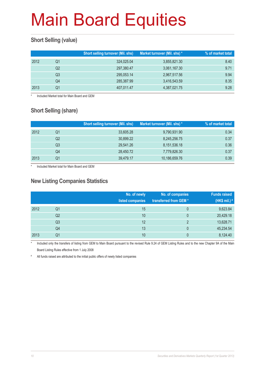### **Short Selling (value)**

|      |    | <b>Short selling turnover (Mil. shs)</b> | Market turnover (Mil. shs) * | % of market total |
|------|----|------------------------------------------|------------------------------|-------------------|
| 2012 | Q1 | 324,025.04                               | 3,855,821.30                 | 8.40              |
|      | Q2 | 297,380.47                               | 3,061,167.30                 | 9.71              |
|      | Q3 | 295,053.14                               | 2,967,517.56                 | 9.94              |
|      | Q4 | 285,387.99                               | 3,416,543.59                 | 8.35              |
| 2013 | Q1 | 407,011.47                               | 4,387,021.75                 | 9.28              |

Included Market total for Main Board and GEM

### **Short Selling (share)**

|      |    | <b>Short selling turnover (Mil. shs)</b> | Market turnover (Mil. shs) * | % of market total |
|------|----|------------------------------------------|------------------------------|-------------------|
| 2012 | Q1 | 33.605.28                                | 9,790,931.90                 | 0.34              |
|      | Q2 | 30,899.22                                | 8,245,256.75                 | 0.37              |
|      | Q3 | 29,541.26                                | 8,151,536.18                 | 0.36              |
|      | Q4 | 28,450.72                                | 7,779,826.30                 | 0.37              |
| 2013 | Q1 | 39,479.17                                | 10,186,659.76                | 0.39              |

Included Market total for Main Board and GEM

#### **New Listing Companies Statistics**

|      |                | No. of newly<br>listed companies | No. of companies<br>transferred from GEM* | <b>Funds raised</b><br>(HK\$ mil.) # |
|------|----------------|----------------------------------|-------------------------------------------|--------------------------------------|
| 2012 | Q1             | 15                               | 0                                         | 9,623.84                             |
|      | Q <sub>2</sub> | 10                               | 0                                         | 20,429.18                            |
|      | Q <sub>3</sub> | 12                               | 2                                         | 13,628.71                            |
|      | Q4             | 13                               | 0                                         | 45,234.54                            |
| 2013 | Q1             | 10                               | 0                                         | 8,124.40                             |

Included only the transfers of listing from GEM to Main Board pursuant to the revised Rule 9.24 of GEM Listing Rules and to the new Chapter 9A of the Main Board Listing Rules effective from 1 July 2008

# All funds raised are attributed to the initial public offers of newly listed companies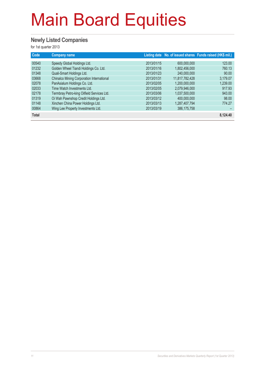### **Newly Listed Companies**

| Code           | <b>Company name</b>                                                  |                          |                              | Listing date No. of issued shares Funds raised (HK\$ mil.) |
|----------------|----------------------------------------------------------------------|--------------------------|------------------------------|------------------------------------------------------------|
| 00540<br>01232 | Speedy Global Holdings Ltd.<br>Golden Wheel Tiandi Holdings Co. Ltd. | 2013/01/15<br>2013/01/16 | 600,000,000<br>1,802,456,000 | 123.00<br>760.13                                           |
| 01348          | Quali-Smart Holdings Ltd.                                            | 2013/01/23               | 240,000,000                  | 90.00                                                      |
| 03668          | Chinalco Mining Corporation International                            | 2013/01/31               | 11,817,782,428               | 3,179.07                                                   |
| 02078          | PanAsialum Holdings Co. Ltd.                                         | 2013/02/05               | 1,200,000,000                | 1,239.00                                                   |
| 02033          | Time Watch Investments Ltd.                                          | 2013/02/05               | 2,079,946,000                | 917.93                                                     |
| 02178          | Termbray Petro-king Oilfield Services Ltd.                           | 2013/03/06               | 1,037,500,000                | 943.00                                                     |
| 01319          | Oi Wah Pawnshop Credit Holdings Ltd.                                 | 2013/03/12               | 400.000.000                  | 98.00                                                      |
| 01148          | Xinchen China Power Holdings Ltd.                                    | 2013/03/13               | 1,287,407,794                | 774.27                                                     |
| 00864          | Wing Lee Property Investments Ltd.                                   | 2013/03/19               | 386, 175, 758                |                                                            |
| <b>Total</b>   |                                                                      |                          |                              | 8,124.40                                                   |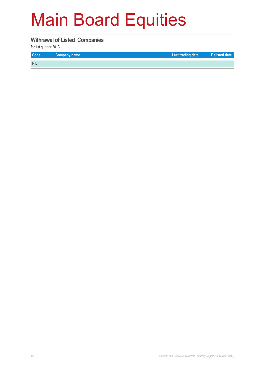#### **Withrawal of Listed Companies**

| <b>Code</b> | Company name | Last trading date | Delisted date |
|-------------|--------------|-------------------|---------------|
| <b>NIL</b>  |              |                   |               |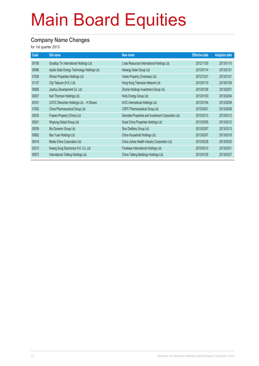#### **Company Name Changes**

| Code  | Old name                                     | New name                                           | <b>Effective date</b> | <b>Adoption date</b> |
|-------|----------------------------------------------|----------------------------------------------------|-----------------------|----------------------|
| 00195 | Goodtop Tin International Holdings Ltd.      | L'sea Resources International Holdings Ltd.        | 2012/11/30            | 2013/01/10           |
| 00566 | Apollo Solar Energy Technology Holdings Ltd. | Hanergy Solar Group Ltd.                           | 2013/01/14            | 2013/01/21           |
| 01036 | Winsor Properties Holdings Ltd.              | Vanke Property (Overseas) Ltd.                     | 2012/12/31            | 2013/01/21           |
| 01137 | City Telecom (H.K.) Ltd.                     | Hong Kong Television Network Ltd.                  | 2013/01/10            | 2013/01/28           |
| 00908 | Jiuzhou Development Co. Ltd.                 | Zhuhai Holdings Investment Group Ltd.              | 2013/01/08            | 2013/02/01           |
| 00007 | Karl Thomson Holdings Ltd.                   | Hoifu Energy Group Ltd.                            | 2013/01/03            | 2013/02/04           |
| 00161 | CATIC Shenzhen Holdings Ltd. - H Shares      | AVIC International Holdings Ltd.                   | 2013/01/04            | 2013/02/08           |
| 01093 | China Pharmaceutical Group Ltd.              | CSPC Pharmaceutical Group Ltd.                     | 2013/03/01            | 2013/03/08           |
| 00535 | Frasers Property (China) Ltd.                | Gemdale Properties and Investment Corporation Ltd. | 2013/03/12            | 2013/03/12           |
| 00021 | Waytung Global Group Ltd.                    | Great China Properties Holdings Ltd.               | 2013/03/05            | 2013/03/12           |
| 00039 | Bio-Dynamic Group Ltd.                       | Sino Distillery Group Ltd.                         | 2013/02/07            | 2013/03/13           |
| 00692 | Bao Yuan Holdings Ltd.                       | China Household Holdings Ltd.                      | 2013/02/07            | 2013/03/18           |
| 00419 | Media China Corporation Ltd.                 | China Jiuhao Health Industry Corporation Ltd.      | 2013/02/28            | 2013/03/20           |
| 02310 | Kwang Sung Electronics H.K. Co. Ltd.         | Forebase International Holdings Ltd.               | 2013/03/12            | 2013/03/21           |
| 00873 | International Taifeng Holdings Ltd.          | China Taifeng Beddings Holdings Ltd.               | 2013/01/25            | 2013/03/27           |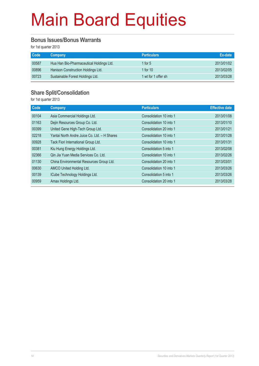#### **Bonus Issues/Bonus Warrants**

for 1st quarter 2013

| <b>Code</b> | Company                                  | <b>Particulars</b>  | Ex-date    |
|-------------|------------------------------------------|---------------------|------------|
| 00587       | Hua Han Bio-Pharmaceutical Holdings Ltd. | 1 for $5$           | 2013/01/02 |
| 00896       | Hanison Construction Holdings Ltd.       | 1 for $10$          | 2013/02/05 |
| 00723       | Sustainable Forest Holdings Ltd.         | 1 wt for 1 offer sh | 2013/03/28 |

### **Share Split/Consolidation**

| Code  | Company                                      | <b>Particulars</b>      | <b>Effective date</b> |
|-------|----------------------------------------------|-------------------------|-----------------------|
| 00104 | Asia Commercial Holdings Ltd.                | Consolidation 10 into 1 | 2013/01/08            |
| 01163 | Dejin Resources Group Co. Ltd.               | Consolidation 10 into 1 | 2013/01/10            |
| 00399 | United Gene High-Tech Group Ltd.             | Consolidation 20 into 1 | 2013/01/21            |
| 02218 | Yantai North Andre Juice Co. Ltd. - H Shares | Consolidation 10 into 1 | 2013/01/28            |
| 00928 | Tack Fiori International Group Ltd.          | Consolidation 10 into 1 | 2013/01/31            |
| 00381 | Kiu Hung Energy Holdings Ltd.                | Consolidation 5 into 1  | 2013/02/08            |
| 02366 | Qin Jia Yuan Media Services Co. Ltd.         | Consolidation 10 into 1 | 2013/02/26            |
| 01130 | China Environmental Resources Group Ltd.     | Consolidation 20 into 1 | 2013/03/01            |
| 00630 | AMCO United Holding Ltd.                     | Consolidation 10 into 1 | 2013/03/26            |
| 00139 | ICube Technology Holdings Ltd.               | Consolidation 5 into 1  | 2013/03/26            |
| 00959 | Amax Holdings Ltd.                           | Consolidation 20 into 1 | 2013/03/28            |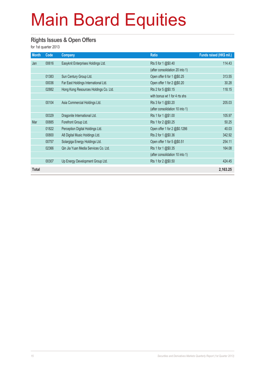#### **Rights Issues & Open Offers**

| <b>Month</b> | Code  | <b>Company</b>                        | <b>Ratio</b>                    | Funds raised (HK\$ mil.) |
|--------------|-------|---------------------------------------|---------------------------------|--------------------------|
| Jan          | 00616 | Easyknit Enterprises Holdings Ltd.    | Rts 5 for 1 @\$0.40             | 114.43                   |
|              |       |                                       | (after consolidation 20 into 1) |                          |
|              | 01383 | Sun Century Group Ltd.                | Open offer 6 for 1 @\$0.25      | 313.55                   |
|              | 00036 | Far East Holdings International Ltd.  | Open offer 1 for 2 @\$0.20      | 30.28                    |
|              | 02882 | Hong Kong Resources Holdings Co. Ltd. | Rts 2 for 5 @\$0.15             | 118.15                   |
|              |       |                                       | with bonus wt 1 for 4 rts shs   |                          |
|              | 00104 | Asia Commercial Holdings Ltd.         | Rts 3 for 1 @\$0.20             | 205.03                   |
|              |       |                                       | (after consolidation 10 into 1) |                          |
|              | 00329 | Dragonite International Ltd.          | Rts 1 for 1 @\$1.00             | 105.97                   |
| Mar          | 00885 | Forefront Group Ltd.                  | Rts 1 for 2 @\$0.25             | 50.25                    |
|              | 01822 | Perception Digital Holdings Ltd.      | Open offer 1 for 2 @\$0.1286    | 40.03                    |
|              | 00800 | A8 Digital Music Holdings Ltd.        | Rts 2 for 1 @\$0.36             | 342.92                   |
|              | 00757 | Solargiga Energy Holdings Ltd.        | Open offer 1 for 5 @\$0.51      | 254.11                   |
|              | 02366 | Qin Jia Yuan Media Services Co. Ltd.  | Rts 1 for 1 @\$0.35             | 164.08                   |
|              |       |                                       | (after consolidation 10 into 1) |                          |
|              | 00307 | Up Energy Development Group Ltd.      | Rts 1 for 2 @\$0.50             | 424.45                   |
| <b>Total</b> |       |                                       |                                 | 2,163.25                 |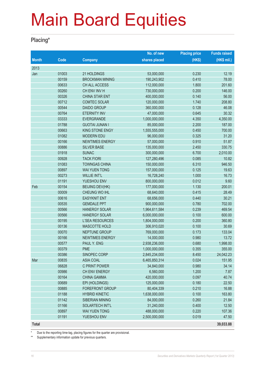#### **Placing\***

|              |       |                        | No. of new    | <b>Placing price</b> | <b>Funds raised</b> |
|--------------|-------|------------------------|---------------|----------------------|---------------------|
| <b>Month</b> | Code  | <b>Company</b>         | shares placed | (HK\$)               | (HK\$ mil.)         |
| 2013         |       |                        |               |                      |                     |
| Jan          | 01003 | 21 HOLDINGS            | 53,000,000    | 0.230                | 12.19               |
|              | 00159 | <b>BROCKMAN MINING</b> | 190,243,902   | 0.410                | 78.00               |
|              | 00633 | CH ALL ACCESS          | 112,000,000   | 1.800                | 201.60              |
|              | 00260 | CH ENV INV H           | 730,000,000   | 0.200                | 146.00              |
|              | 00326 | <b>CHINA STAR ENT</b>  | 400,000,000   | 0.140                | 56.00               |
|              | 00712 | <b>COMTEC SOLAR</b>    | 120,000,000   | 1.740                | 208.80              |
|              | 00544 | <b>DAIDO GROUP</b>     | 360,000,000   | 0.128                | 46.08               |
|              | 00764 | <b>ETERNITY INV</b>    | 47,000,000    | 0.645                | 30.32               |
|              | 03333 | <b>EVERGRANDE</b>      | 1,000,000,000 | 4.350                | 4,350.00            |
|              | 01788 | <b>GUOTAI JUNAN I</b>  | 85,000,000    | 2.200                | 187.00              |
|              | 00663 | <b>KING STONE ENGY</b> | 1,555,555,000 | 0.450                | 700.00              |
|              | 01082 | <b>MODERN EDU</b>      | 96,000,000    | 0.325                | 31.20               |
|              | 00166 | <b>NEWTIMES ENERGY</b> | 57,000,000    | 0.910                | 51.87               |
|              | 00886 | <b>SILVER BASE</b>     | 135,000,000   | 2.450                | 330.75              |
|              | 01918 | <b>SUNAC</b>           | 300,000,000   | 6.700                | 2,010.00            |
|              | 00928 | <b>TACK FIORI</b>      | 127,280,496   | 0.085                | 10.82               |
|              | 01083 | <b>TOWNGAS CHINA</b>   | 150,000,000   | 6.310                | 946.50              |
|              | 00897 | <b>WAI YUEN TONG</b>   | 157,000,000   | 0.125                | 19.63               |
|              | 00273 | <b>WILLIE INT'L</b>    | 16,728,240    | 1.000                | 16.73               |
|              | 01191 | YUESHOU ENV            | 800,000,000   | 0.012                | 9.60                |
| Feb          | 00154 | <b>BEIJING DEV(HK)</b> | 177,000,000   | 1.130                | 200.01              |
|              | 00009 | CHEUNG WO IHL          | 68,640,000    | 0.415                | 28.49               |
|              | 00616 | <b>EASYKNIT ENT</b>    | 68,656,000    | 0.440                | 30.21               |
|              | 00535 | <b>GEMDALE PPT</b>     | 900,000,000   | 0.780                | 702.00              |
|              | 00566 | <b>HANERGY SOLAR</b>   | 1,964,611,584 | 0.239                | 469.54              |
|              | 00566 | <b>HANERGY SOLAR</b>   | 6,000,000,000 | 0.100                | 600.00              |
|              | 00195 | L'SEA RESOURCES        | 1,804,000,000 | 0.200                | 360.80              |
|              | 00136 | <b>MASCOTTE HOLD</b>   | 306,910,020   | 0.100                | 30.69               |
|              | 00070 | NEPTUNE GROUP          | 769,000,000   | 0.173                | 133.04              |
|              | 00166 | <b>NEWTIMES ENERGY</b> | 14,000,000    | 0.980                | 13.72               |
|              | 00577 | PAUL Y. ENG            | 2,938,236,000 | 0.680                | 1,998.00            |
|              | 00379 | <b>PME</b>             | 1,000,000,000 | 0.355                | 355.00              |
|              | 00386 | SINOPEC CORP           | 2,845,234,000 | 8.450                | 24,042.23           |
| Mar          | 00835 | <b>ASIA COAL</b>       | 6,465,850,314 | 0.024                | 151.95              |
|              | 06828 | C PRINT POWER          | 34,840,000    | 0.980                | 34.14               |
|              | 00986 | CH ENV ENERGY          | 6,560,000     | 1.200                | 7.87                |
|              | 00164 | <b>CHINA GAMMA</b>     | 420,000,000   | 0.097                | 40.74               |
|              | 00689 | EPI (HOLDINGS)         | 125,000,000   | 0.180                | 22.50               |
|              | 00885 | <b>FOREFRONT GROUP</b> | 80,404,339    | 0.210                | 16.88               |
|              | 01188 | <b>HYBRID KINETIC</b>  | 1,638,000,000 | 0.100                | 163.80              |
|              | 01142 | SIBERIAN MINING        | 84,000,000    | 0.260                | 21.84               |
|              | 01166 | SOLARTECH INT'L        | 31,240,000    | 0.400                | 12.50               |
|              | 00897 | <b>WAI YUEN TONG</b>   | 488,000,000   | 0.220                | 107.36              |
|              | 01191 | YUESHOU ENV            | 2,500,000,000 | 0.019                | 47.50               |
| <b>Total</b> |       |                        |               |                      | 39,033.88           |

\* Due to the reporting time-lag, placing figures for the quarter are provisional.

\*\* Supplementary information update for previous quarters.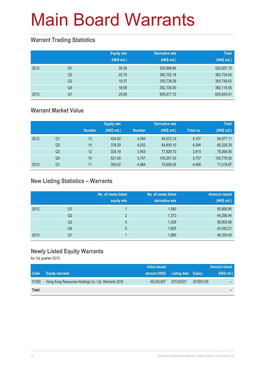### **Warrant Trading Statistics**

|      |                | <b>Equity wts</b><br>(HK\$ mil.) | <b>Derivative wts</b><br>(HK\$ mil.) | <b>Total</b><br>(HK\$ mil.) |
|------|----------------|----------------------------------|--------------------------------------|-----------------------------|
| 2012 | Q <sub>1</sub> | 28.26                            | 525,898.84                           | 525,927.10                  |
|      | Q <sub>2</sub> | 22.75                            | 382,702.18                           | 382,724.93                  |
|      | Q <sub>3</sub> | 10.37                            | 355,739.26                           | 355,749.63                  |
|      | Q4             | 18.06                            | 382,100.50                           | 382,118.56                  |
| 2013 | Q <sub>1</sub> | 25.69                            | 605,817.72                           | 605,843.41                  |

### **Warrant Market Value**

|      |                |               | <b>Equity wts</b> |               | <b>Derivative wts</b> |           | <b>Total</b> |
|------|----------------|---------------|-------------------|---------------|-----------------------|-----------|--------------|
|      |                | <b>Number</b> | (HK\$ mil.)       | <b>Number</b> | (HK\$ mil.)           | Total no. | (HK\$ mil.)  |
| 2012 | Q1             | 13            | 404.92            | 4.094         | 94.572.19             | 4.107     | 94,977.11    |
|      | Q <sub>2</sub> | 14            | 378.29            | 4.032         | 64,850.10             | 4.046     | 65,228.38    |
|      | Q3             | 12            | 335.18            | 3.903         | 77.929.72             | 3.915     | 78,264.90    |
|      | Q4             | 10            | 521.90            | 3.747         | 105.257.03            | 3.757     | 105,778.92   |
| 2013 | Q1             | 11            | 359.52            | 4.484         | 70,659.35             | 4,495     | 71,018.87    |

### **New Listing Statistics – Warrants**

|      |                | No. of newly listed<br>equity wts | No. of newly listed<br>derivative wts | <b>Amount raised</b><br>(HK\$ mil.) |
|------|----------------|-----------------------------------|---------------------------------------|-------------------------------------|
| 2012 | Q1             |                                   | 1,580                                 | 50,958.90                           |
|      | Q2             | $\overline{2}$                    | 1,373                                 | 44,256.44                           |
|      | Q <sub>3</sub> | 0                                 | 1,328                                 | 36,903.66                           |
|      | Q4             | 0                                 | 1,605                                 | 42,042.21                           |
| 2013 | Q1             |                                   | 1,880                                 | 48,254.00                           |

### **Newly Listed Equity Warrants**

|              |                                                     | Initial issued                    |            |            | <b>Amount raised</b> |
|--------------|-----------------------------------------------------|-----------------------------------|------------|------------|----------------------|
| Code         | <b>Equity warrants</b>                              | amount (HK\$) Listing date Expiry |            |            | (HK\$ mil.)          |
| 01350        | Hong Kong Resources Holdings Co. Ltd. Warrants 2018 | 48.242.607                        | 2013/02/01 | 2018/01/30 | -                    |
| <b>Total</b> |                                                     |                                   |            |            | -                    |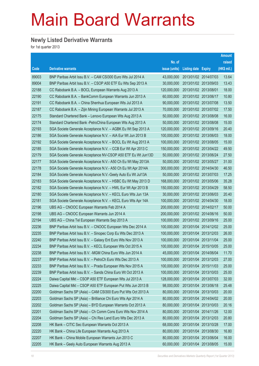### **Newly Listed Derivative Warrants**

|       |                                                              |               |                       | Amount      |
|-------|--------------------------------------------------------------|---------------|-----------------------|-------------|
|       |                                                              | No. of        |                       | raised      |
| Code  | <b>Derivative warrants</b>                                   | issue (units) | Listing date Expiry   | (HK\$ mil.) |
| 89003 | BNP Paribas Arbit Issu B.V. - CAM CSI300 Euro Wts Jul 2014 A | 43,000,000    | 2013/01/02 2014/07/03 | 13.64       |
| 89004 | BNP Paribas Arbit Issu B.V. - CSOP A50 ETF Eu Wts Sep 2013 A | 30,000,000    | 2013/01/02 2013/09/03 | 13.43       |
| 22188 | CC Rabobank B.A. - BOCL European Warrants Aug 2013 A         | 120,000,000   | 2013/01/02 2013/08/01 | 18.00       |
| 22190 | CC Rabobank B.A. - BankComm European Warrants Jun 2013 A     | 60,000,000    | 2013/01/02 2013/06/17 | 10.80       |
| 22191 | CC Rabobank B.A. - China Shenhua European Wts Jul 2013 A     | 90,000,000    | 2013/01/02 2013/07/08 | 13.50       |
| 22187 | CC Rabobank B.A. - Zijin Mining European Warrants Jul 2013 A | 70,000,000    | 2013/01/02 2013/07/02 | 17.50       |
| 22175 | Standard Chartered Bank - Lenovo European Wts Aug 2013 A     | 50,000,000    | 2013/01/02 2013/08/08 | 16.00       |
| 22174 | Standard Chartered Bank - PetroChina European Wts Aug 2013 A | 50,000,000    | 2013/01/02 2013/08/08 | 15.00       |
| 22193 | SGA Societe Generale Acceptance N.V. - AGBK Eu Wt Sep 2013 A | 120,000,000   | 2013/01/02 2013/09/16 | 20.40       |
| 22186 | SGA Societe Generale Acceptance N.V. - AIA Eur Wt Jun 2013 B | 100,000,000   | 2013/01/02 2013/06/03 | 18.00       |
| 22192 | SGA Societe Generale Acceptance N.V. - BOCL Eu Wt Aug 2013 A | 100,000,000   | 2013/01/02 2013/08/05 | 15.00       |
| 22185 | SGA Societe Generale Acceptance N.V. - CCB Eur Wt Apr 2013 C | 150,000,000   | 2013/01/02 2013/04/22 | 49.50       |
| 22179 | SGA Societe Generale Acceptance NV-CSOP A50 ETF Eu Wt Jun13D | 50,000,000    | 2013/01/02 2013/06/24 | 27.50       |
| 22177 | SGA Societe Generale Acceptance N.V.- A50 Ch Eu Wt May 2013A | 50,000,000    | 2013/01/02 2013/05/27 | 31.00       |
| 22178 | SGA Societe Generale Acceptance N.V.- A50 Ch Eu Wt Apr 2014A | 300,000,000   | 2013/01/02 2014/04/30 | 46.50       |
| 22184 | SGA Societe Generale Acceptance N.V.-Geely Auto Eu Wt Jul13A | 50,000,000    | 2013/01/02 2013/07/03 | 17.25       |
| 22183 | SGA Societe Generale Acceptance N.V. - HSBC Eu Wt May 2013 D | 168,000,000   | 2013/01/02 2013/05/06 | 35.28       |
| 22182 | SGA Societe Generale Acceptance N.V. - HWL Eur Wt Apr 2013 B | 150,000,000   | 2013/01/02 2013/04/29 | 58.50       |
| 22180 | SGA Societe Generale Acceptance N.V. - KECL Euro Wts Jun 13A | 30,000,000    | 2013/01/02 2013/06/03 | 20.40       |
| 22181 | SGA Societe Generale Acceptance N.V. - KECL Euro Wts Apr 14A | 100,000,000   | 2013/01/02 2014/04/30 | 18.00       |
| 22196 | UBS AG - CNOOC European Warrants Feb 2014 A                  | 200,000,000   | 2013/01/02 2014/02/17 | 50.00       |
| 22198 | UBS AG - CNOOC European Warrants Jun 2014 A                  | 200,000,000   | 2013/01/02 2014/06/16 | 50.00       |
| 22194 | UBS AG - China Tel European Warrants Sep 2013 A              | 100,000,000   | 2013/01/02 2013/09/16 | 25.00       |
| 22236 | BNP Paribas Arbit Issu B.V. - CNOOC European Wts Dec 2014 A  | 100,000,000   | 2013/01/04 2014/12/02 | 25.00       |
| 22235 | BNP Paribas Arbit Issu B.V. - Sinopec Corp Eu Wts Dec 2013 A | 100,000,000   | 2013/01/04 2013/12/03 | 26.00       |
| 22240 | BNP Paribas Arbit Issu B.V. - Galaxy Ent Euro Wts Nov 2013 A | 100,000,000   | 2013/01/04 2013/11/04 | 25.00       |
| 22234 | BNP Paribas Arbit Issu B.V. - KECL European Wts Oct 2015 A   | 100,000,000   | 2013/01/04 2015/10/05 | 25.00       |
| 22238 | BNP Paribas Arbit Issu B.V. - MGM China Euro Wts Jun 2014 A  | 45,000,000    | 2013/01/04 2014/06/04 | 11.70       |
| 22237 | BNP Paribas Arbit Issu B.V. - PetroCh Euro Wts Dec 2013 A    | 100,000,000   | 2013/01/04 2013/12/03 | 27.00       |
| 22233 | BNP Paribas Arbit Issu B.V. - Prada European Wts Nov 2015 A  | 100,000,000   | 2013/01/04 2015/11/03 | 25.00       |
| 22239 | BNP Paribas Arbit Issu B.V. - Sands China Euro Wt Oct 2013 A | 100,000,000   | 2013/01/04 2013/10/03 | 25.00       |
| 22224 | Daiwa Capital Mkt - CSOP A50 ETF European Wts Jul 2013 A     | 128,000,000   | 2013/01/04 2013/07/03 | 32.00       |
| 22225 | Daiwa Capital Mkt - CSOP A50 ETF European Put Wts Jun 2013 B | 98,000,000    | 2013/01/04 2013/06/18 | 25.48       |
| 22200 | Goldman Sachs SP (Asia) - CAM CSI300 Euro Put Wts Oct 2013 A | 80,000,000    | 2013/01/04 2013/10/03 | 20.00       |
| 22203 | Goldman Sachs SP (Asia) - Brilliance Chi Euro Wts Apr 2014 A | 80,000,000    | 2013/01/04 2014/04/02 | 20.00       |
| 22202 | Goldman Sachs SP (Asia) - BYD European Warrants Oct 2013 A   | 80,000,000    | 2013/01/04 2013/10/03 | 20.16       |
| 22201 | Goldman Sachs SP (Asia) - Ch Comm Cons Euro Wts Nov 2014 A   | 80,000,000    | 2013/01/04 2014/11/26 | 12.00       |
| 22204 | Goldman Sachs SP (Asia) - Chi Res Land Euro Wts Dec 2013 A   | 80,000,000    | 2013/01/04 2013/12/03 | 20.80       |
| 22208 | HK Bank - CITIC Sec European Warrants Oct 2013 A             | 68,000,000    | 2013/01/04 2013/10/28 | 17.00       |
| 22220 | HK Bank - China Life European Warrants Aug 2013 A            | 80,000,000    | 2013/01/04 2013/08/30 | 16.80       |
| 22207 | HK Bank - China Mobile European Warrants Jun 2013 C          | 80,000,000    | 2013/01/04 2013/06/04 | 16.00       |
| 22205 | HK Bank - Geely Auto European Warrants Aug 2013 A            | 60,000,000    | 2013/01/04 2013/08/05 | 15.00       |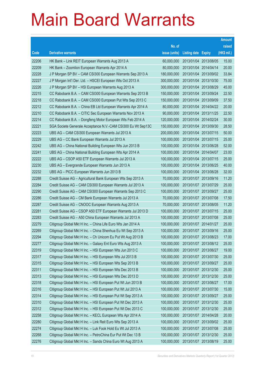|       |                                                              |               |                            | <b>Amount</b> |
|-------|--------------------------------------------------------------|---------------|----------------------------|---------------|
|       |                                                              | No. of        |                            | raised        |
| Code  | <b>Derivative warrants</b>                                   | issue (units) | <b>Listing date Expiry</b> | (HK\$ mil.)   |
| 22206 | HK Bank – Link REIT European Warrants Aug 2013 A             | 60,000,000    | 2013/01/04 2013/08/05      | 15.00         |
| 22209 | HK Bank – Zoomlion European Warrants Apr 2014 A              | 80,000,000    | 2013/01/04 2014/04/14      | 20.00         |
| 22228 | J P Morgan SP BV - CAM CSI300 European Warrants Sep 2013 A   | 180,000,000   | 2013/01/04 2013/09/02      | 33.84         |
| 22227 | J P Morgan Int'l Der. Ltd. - HSCEI European Wts Oct 2013 A   | 300,000,000   | 2013/01/04 2013/10/30      | 75.00         |
| 22226 | J P Morgan SP BV - HSI European Warrants Aug 2013 A          | 300,000,000   | 2013/01/04 2013/08/29      | 45.00         |
| 22215 | CC Rabobank B.A. - CAM CSI300 European Warrants Sep 2013 B   | 150,000,000   | 2013/01/04 2013/09/24      | 22.50         |
| 22218 | CC Rabobank B.A. - CAM CSI300 European Put Wts Sep 2013 C    | 150,000,000   | 2013/01/04 2013/09/09      | 37.50         |
| 22212 | CC Rabobank B.A. - China EB Ltd European Warrants Apr 2014 A | 80,000,000    | 2013/01/04 2014/04/22      | 20.00         |
| 22210 | CC Rabobank B.A. - CITIC Sec European Warrants Nov 2013 A    | 90,000,000    | 2013/01/04 2013/11/25      | 22.50         |
| 22214 | CC Rabobank B.A. - Dongfeng Motor European Wts Feb 2014 A    | 120,000,000   | 2013/01/04 2014/02/24      | 30.00         |
| 22221 | SGA Societe Generale Acceptance N.V.-CAM CSI300 Eu Wt Sep13C | 150,000,000   | 2013/01/04 2013/09/30      | 28.50         |
| 22223 | UBS AG - CAM CSI300 European Warrants Jul 2013 A             | 200,000,000   | 2013/01/04 2013/07/15      | 50.00         |
| 22229 | UBS AG - CC Bank European Warrants Jul 2013 A                | 100,000,000   | 2013/01/04 2013/07/15      | 25.00         |
| 22242 | UBS AG - China National Building European Wts Jun 2013 B     | 100,000,000   | 2013/01/04 2013/06/28      | 52.00         |
| 22241 | UBS AG - China National Building European Wts Apr 2014 A     | 100,000,000   | 2013/01/04 2014/04/07      | 23.00         |
| 22222 | UBS AG - CSOP A50 ETF European Warrants Jul 2013 A           | 100,000,000   | 2013/01/04 2013/07/15      | 25.00         |
| 22230 | UBS AG – Evergrande European Warrants Jun 2013 A             | 100,000,000   | 2013/01/04 2013/06/25      | 40.00         |
| 22232 | UBS AG - PICC European Warrants Jun 2013 B                   | 100,000,000   | 2013/01/04 2013/06/28      | 32.00         |
| 22288 | Credit Suisse AG - Agricultural Bank European Wts Sep 2013 A | 70,000,000    | 2013/01/07 2013/09/16      | 11.20         |
| 22284 | Credit Suisse AG - CAM CSI300 European Warrants Jul 2013 A   | 100,000,000   | 2013/01/07 2013/07/29      | 25.00         |
| 22290 | Credit Suisse AG - CAM CSI300 European Warrants Sep 2013 C   | 100,000,000   | 2013/01/07 2013/09/27      | 25.00         |
| 22286 | Credit Suisse AG - CM Bank European Warrants Jul 2013 A      | 70,000,000    | 2013/01/07 2013/07/08      | 17.50         |
| 22287 | Credit Suisse AG - CNOOC European Warrants Aug 2013 A        | 70,000,000    | 2013/01/07 2013/08/05      | 11.20         |
| 22281 | Credit Suisse AG - CSOP A50 ETF European Warrants Jul 2013 D | 100,000,000   | 2013/01/07 2013/07/15      | 25.00         |
| 22283 | Credit Suisse AG - A50 China European Warrants Jul 2013 A    | 100,000,000   | 2013/01/07 2013/07/08      | 25.00         |
| 22279 | Citigroup Global Mkt H Inc. - China Life Euro Wts Jan 2014 A | 100,000,000   | 2013/01/07 2014/01/27      | 25.00         |
| 22269 | Citigroup Global Mkt H Inc. - China Shenhua Eu Wt Sep 2013 A | 100,000,000   | 2013/01/07 2013/09/16      | 25.00         |
| 22294 | Citigroup Global Mkt H Inc. - Ch Unicom Eu Put Wt Aug 2013 B | 100,000,000   | 2013/01/07 2013/08/23      | 17.00         |
| 22277 | Citigroup Global Mkt H Inc. - Galaxy Ent Euro Wts Aug 2013 A | 100,000,000   | 2013/01/07 2013/08/12      | 25.00         |
| 22319 | Citigroup Global Mkt H Inc. - HSI European Wts Jun 2013 C    | 100,000,000   | 2013/01/07 2013/06/27      | 19.00         |
| 22317 | Citigroup Global Mkt H Inc. - HSI European Wts Jul 2013 B    | 100,000,000   | 2013/01/07 2013/07/30      | 25.00         |
| 22315 | Citigroup Global Mkt H Inc. - HSI European Wts Sep 2013 B    | 100,000,000   | 2013/01/07 2013/09/27      | 25.00         |
| 22311 | Citigroup Global Mkt H Inc. - HSI European Wts Dec 2013 B    | 100,000,000   | 2013/01/07 2013/12/30      | 25.00         |
| 22313 | Citigroup Global Mkt H Inc. - HSI European Wts Dec 2013 D    | 100,000,000   | 2013/01/07 2013/12/30      | 25.00         |
| 22318 | Citigroup Global Mkt H Inc. - HSI European Put Wt Jun 2013 B | 100,000,000   | 2013/01/07 2013/06/27      | 17.00         |
| 22316 | Citigroup Global Mkt H Inc. - HSI European Put Wt Jul 2013 A | 100,000,000   | 2013/01/07 2013/07/30      | 15.00         |
| 22314 | Citigroup Global Mkt H Inc. - HSI European Put Wt Sep 2013 A | 100,000,000   | 2013/01/07 2013/09/27      | 25.00         |
| 22310 | Citigroup Global Mkt H Inc. - HSI European Put Wt Dec 2013 A | 100,000,000   | 2013/01/07 2013/12/30      | 25.00         |
| 22312 | Citigroup Global Mkt H Inc. - HSI European Put Wt Dec 2013 C | 100,000,000   | 2013/01/07 2013/12/30      | 25.00         |
| 22258 | Citigroup Global Mkt H Inc. - KECL European Wts Apr 2014 A   | 100,000,000   | 2013/01/07 2014/04/28      | 20.00         |
| 22280 | Citigroup Global Mkt H Inc. - Link Reit Euro Wts Sep 2013 A  | 100,000,000   | 2013/01/07 2013/09/02      | 25.00         |
| 22274 | Citigroup Global Mkt H Inc. - Luk Fook Hold Eu Wt Jul 2013 A | 100,000,000   | 2013/01/07 2013/07/08      | 25.00         |
| 22268 | Citigroup Global Mkt H Inc. - PetroChina Eur Put Wt Dec 13 B | 100,000,000   | 2013/01/07 2013/12/30      | 25.00         |
| 22276 | Citigroup Global Mkt H Inc. - Sands China Euro Wt Aug 2013 A | 100,000,000   | 2013/01/07 2013/08/19      | 25.00         |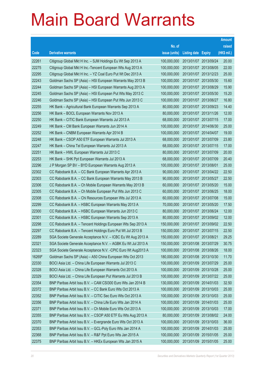|        |                                                               |               |                            |            | <b>Amount</b> |
|--------|---------------------------------------------------------------|---------------|----------------------------|------------|---------------|
|        |                                                               | No. of        |                            |            | raised        |
| Code   | <b>Derivative warrants</b>                                    | issue (units) | <b>Listing date Expiry</b> |            | (HK\$ mil.)   |
| 22261  | Citigroup Global Mkt H Inc. - SJM Holdings Eu Wt Sep 2013 A   | 100,000,000   | 2013/01/07 2013/09/24      |            | 20.00         |
| 22275  | Citigroup Global Mkt H Inc.-Tencent European Wts Aug 2013 A   | 100,000,000   | 2013/01/07 2013/08/05      |            | 22.00         |
| 22295  | Citigroup Global Mkt H Inc. - YZ Coal Euro Put Wt Dec 2013 A  | 100,000,000   | 2013/01/07 2013/12/23      |            | 25.00         |
| 22243  | Goldman Sachs SP (Asia) - HSI European Warrants May 2013 B    | 100,000,000   | 2013/01/07 2013/05/30      |            | 15.60         |
| 22244  | Goldman Sachs SP (Asia) - HSI European Warrants Aug 2013 A    | 100,000,000   | 2013/01/07 2013/08/29      |            | 15.90         |
| 22245  | Goldman Sachs SP (Asia) - HSI European Put Wts May 2013 C     | 100,000,000   | 2013/01/07 2013/05/30      |            | 15.20         |
| 22246  | Goldman Sachs SP (Asia) - HSI European Put Wts Jun 2013 C     | 100,000,000   | 2013/01/07 2013/06/27      |            | 16.80         |
| 22255  | HK Bank – Agricultural Bank European Warrants Sep 2013 A      | 80,000,000    | 2013/01/07 2013/09/23      |            | 14.40         |
| 22256  | HK Bank - BOCL European Warrants Nov 2013 A                   | 80,000,000    | 2013/01/07 2013/11/26      |            | 12.00         |
| 22250  | HK Bank – CITIC Bank European Warrants Jul 2013 A             | 68,000,000    | 2013/01/07 2013/07/15      |            | 17.00         |
| 22249  | HK Bank - CM Bank European Warrants Jun 2014 A                | 100,000,000   | 2013/01/07 2014/06/30      |            | 25.00         |
| 22252  | HK Bank – CNBM European Warrants Apr 2014 B                   | 100,000,000   | 2013/01/07 2014/04/07      |            | 19.00         |
| 22248  | HK Bank - CSOP A50 ETF European Warrants Jul 2013 A           | 68,000,000    | 2013/01/07 2013/07/09      |            | 23.80         |
| 22247  | HK Bank - China Tel European Warrants Jul 2013 A              | 68,000,000    | 2013/01/07 2013/07/15      |            | 17.00         |
| 22251  | HK Bank – HWL European Warrants Jul 2013 C                    | 80,000,000    | 2013/01/07 2013/07/09      |            | 20.00         |
| 22253  | HK Bank - SHK Ppt European Warrants Jul 2013 A                | 68,000,000    | 2013/01/07 2013/07/09      |            | 20.40         |
| 22296  | J P Morgan SP BV - BYD European Warrants Aug 2013 A           | 100,000,000   | 2013/01/07 2013/08/01      |            | 25.00         |
| 22302  | CC Rabobank B.A. - CC Bank European Warrants Apr 2013 A       | 90,000,000    | 2013/01/07 2013/04/22      |            | 22.50         |
| 22303  | CC Rabobank B.A. - CC Bank European Warrants May 2013 B       | 90,000,000    | 2013/01/07 2013/05/27      |            | 22.50         |
| 22306  | CC Rabobank B.A. - Ch Mobile European Warrants May 2013 B     | 60,000,000    | 2013/01/07 2013/05/20      |            | 15.00         |
| 22305  | CC Rabobank B.A. - Ch Mobile European Put Wts Jun 2013 C      | 60,000,000    | 2013/01/07 2013/06/25      |            | 18.00         |
| 22308  | CC Rabobank B.A. - Chi Resources European Wts Jul 2013 A      | 60,000,000    | 2013/01/07 2013/07/08      |            | 15.00         |
| 22299  | CC Rabobank B.A. - HSBC European Warrants May 2013 A          | 70,000,000    | 2013/01/07 2013/05/20      |            | 17.50         |
| 22300  | CC Rabobank B.A. - HSBC European Warrants Jun 2013 C          | 80,000,000    | 2013/01/07 2013/06/24      |            | 12.00         |
| 22301  | CC Rabobank B.A. - HSBC European Warrants Sep 2013 A          | 80,000,000    | 2013/01/07 2013/09/02      |            | 12.00         |
| 22298  | CC Rabobank B.A. - Tencent Holdings European Wts Sep 2013 A   | 150,000,000   | 2013/01/07 2013/09/02      |            | 22.50         |
| 22297  | CC Rabobank B.A. – Tencent Holdings Euro Put Wt Jul 2013 B    | 150,000,000   | 2013/01/07 2013/07/15      |            | 22.50         |
| 22289  | SGA Societe Generale Acceptance N.V. - ICBC Eu Wt Aug 2013 A  | 150,000,000   | 2013/01/07 2013/08/21      |            | 29.25         |
| 22321  | SGA Societe Generale Acceptance N.V. - AGBK Eu Wt Jul 2013 A  | 150,000,000   | 2013/01/08 2013/07/29      |            | 30.75         |
| 22323  | SGA Societe Generale Acceptance N.V. - CPIC Euro Wt Aug2013 A | 100,000,000   | 2013/01/08 2013/08/26      |            | 18.00         |
| 16269# | Goldman Sachs SP (Asia) - A50 China European Wts Oct 2013     | 180,000,000   | 2013/01/08 2013/10/30      |            | 11.70         |
| 22330  | BOCI Asia Ltd. - China Life European Warrants Jul 2013 C      | 100,000,000   | 2013/01/09 2013/07/29      |            | 25.00         |
| 22328  | BOCI Asia Ltd. - China Life European Warrants Oct 2013 A      | 100,000,000   | 2013/01/09 2013/10/28      |            | 25.00         |
| 22329  | BOCI Asia Ltd. – China Life European Put Warrants Jul 2013 B  | 100,000,000   | 2013/01/09 2013/07/22      |            | 25.00         |
| 22354  | BNP Paribas Arbit Issu B.V. - CAM CSI300 Euro Wts Jan 2014 B  | 130,000,000   | 2013/01/09 2014/01/03      |            | 32.50         |
| 22372  | BNP Paribas Arbit Issu B.V. - CC Bank Euro Wts Oct 2013 A     | 100,000,000   | 2013/01/09 2013/10/03      |            | 25.00         |
| 22352  | BNP Paribas Arbit Issu B.V. - CITIC Sec Euro Wts Oct 2013 A   | 100,000,000   | 2013/01/09 2013/10/03      |            | 25.00         |
| 22356  | BNP Paribas Arbit Issu B.V. - China Life Euro Wts Jan 2014 A  | 100,000,000   | 2013/01/09 2014/01/03      |            | 25.00         |
| 22371  | BNP Paribas Arbit Issu B.V. - Ch Mobile Euro Wts Oct 2013 A   | 100,000,000   | 2013/01/09 2013/10/03      |            | 17.00         |
| 22355  | BNP Paribas Arbit Issu B.V. - CSOP A50 ETF Eu Wts Aug 2013 A  | 80,000,000    | 2013/01/09 2013/08/02      |            | 24.00         |
| 22370  | BNP Paribas Arbit Issu B.V. - Evergrande Euro Wts Oct 2013 A  | 100,000,000   | 2013/01/09                 | 2013/10/03 | 36.00         |
| 22353  | BNP Paribas Arbit Issu B.V. - GCL-Poly Euro Wts Jan 2014 A    | 100,000,000   | 2013/01/09 2014/01/03      |            | 25.00         |
| 22368  | BNP Paribas Arbit Issu B.V. - R&F Ppt Euro Wts Jan 2015 A     | 100,000,000   | 2013/01/09 2015/01/05      |            | 25.00         |
| 22375  | BNP Paribas Arbit Issu B.V. - HKEx European Wts Jan 2015 A    | 100,000,000   | 2013/01/09 2015/01/05      |            | 25.00         |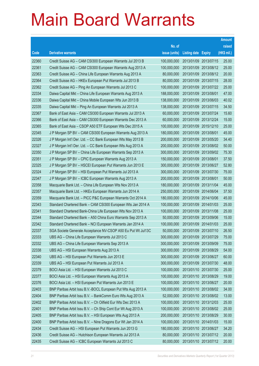|       |                                                              |               |                       |                       | <b>Amount</b> |
|-------|--------------------------------------------------------------|---------------|-----------------------|-----------------------|---------------|
|       |                                                              | No. of        |                       |                       | raised        |
| Code  | <b>Derivative warrants</b>                                   | issue (units) | Listing date          | <b>Expiry</b>         | (HK\$ mil.)   |
| 22360 | Credit Suisse AG - CAM CSI300 European Warrants Jul 2013 B   | 100,000,000   |                       | 2013/01/09 2013/07/15 | 25.00         |
| 22361 | Credit Suisse AG - CAM CSI300 European Warrants Aug 2013 A   | 100,000,000   |                       | 2013/01/09 2013/08/12 | 25.00         |
| 22363 | Credit Suisse AG - China Life European Warrants Aug 2013 A   | 80,000,000    |                       | 2013/01/09 2013/08/12 | 20.00         |
| 22364 | Credit Suisse AG - HKEx European Put Warrants Jul 2013 B     | 80,000,000    |                       | 2013/01/09 2013/07/15 | 28.00         |
| 22362 | Credit Suisse AG - Ping An European Warrants Jul 2013 C      | 100,000,000   |                       | 2013/01/09 2013/07/22 | 25.00         |
| 22334 | Daiwa Capital Mkt - China Life European Warrants Aug 2013 A  | 188,000,000   | 2013/01/09 2013/08/01 |                       | 47.00         |
| 22336 | Daiwa Capital Mkt - China Mobile European Wts Jun 2013 B     | 138,000,000   |                       | 2013/01/09 2013/06/03 | 40.02         |
| 22335 | Daiwa Capital Mkt - Ping An European Warrants Jul 2013 A     | 138,000,000   |                       | 2013/01/09 2013/07/15 | 34.50         |
| 22367 | Bank of East Asia - CAM CSI300 European Warrants Jul 2013 A  | 60,000,000    |                       | 2013/01/09 2013/07/24 | 15.60         |
| 22366 | Bank of East Asia - CAM CSI300 European Warrants Dec 2013 A  | 60,000,000    |                       | 2013/01/09 2013/12/24 | 15.00         |
| 22365 | Bank of East Asia - CSOP A50 ETF European Wts Dec 2015 A     | 100,000,000   |                       | 2013/01/09 2015/12/10 | 25.00         |
| 22345 | J P Morgan SP BV - CAM CSI300 European Warrants Aug 2013 A   | 180,000,000   | 2013/01/09 2013/08/01 |                       | 45.00         |
| 22326 | J P Morgan Int'l Der. Ltd. - CC Bank European Wts May 2013 B | 200,000,000   |                       | 2013/01/09 2013/05/20 | 34.40         |
| 22327 | J P Morgan Int'l Der. Ltd. - CC Bank European Wts Aug 2013 A | 200,000,000   |                       | 2013/01/09 2013/08/02 | 50.00         |
| 22350 | J P Morgan SP BV - China Life European Warrants Sep 2013 A   | 300,000,000   |                       | 2013/01/09 2013/09/02 | 75.30         |
| 22351 | J P Morgan SP BV - CPIC European Warrants Aug 2013 A         | 150,000,000   | 2013/01/09 2013/08/01 |                       | 37.50         |
| 22325 | J P Morgan SP BV - HSCEI European Put Warrants Jun 2013 E    | 300,000,000   |                       | 2013/01/09 2013/06/27 | 52.80         |
| 22324 | J P Morgan SP BV - HSI European Put Warrants Jul 2013 A      | 300,000,000   |                       | 2013/01/09 2013/07/30 | 75.00         |
| 22347 | J P Morgan SP BV - ICBC European Warrants Aug 2013 A         | 200,000,000   | 2013/01/09 2013/08/01 |                       | 50.00         |
| 22358 | Macquarie Bank Ltd. - China Life European Wts Nov 2013 A     | 180,000,000   | 2013/01/09 2013/11/04 |                       | 45.00         |
| 22357 | Macquarie Bank Ltd. - HKEx European Warrants Jun 2014 A      | 250,000,000   |                       | 2013/01/09 2014/06/04 | 37.50         |
| 22359 | Macquarie Bank Ltd. - PICC P&C European Warrants Oct 2014 A  | 180,000,000   |                       | 2013/01/09 2014/10/06 | 45.00         |
| 22343 | Standard Chartered Bank - CAM CSI300 European Wts Jan 2014 A | 100,000,000   |                       | 2013/01/09 2014/01/03 | 25.00         |
| 22341 | Standard Chartered Bank-China Life European Wts Nov 2013 A   | 100,000,000   | 2013/01/09 2013/11/08 |                       | 25.00         |
| 22344 | Standard Chartered Bank - A50 China Euro Warrants Sep 2013 A | 50,000,000    |                       | 2013/01/09 2013/09/06 | 15.00         |
| 22342 | Standard Chartered Bank - NCI European Warrants Jan 2014 A   | 100,000,000   | 2013/01/09 2014/01/03 |                       | 25.00         |
| 22337 | SGA Societe Generale Acceptance NV-CSOP A50 Eu Put Wt Jul13C | 50,000,000    |                       | 2013/01/09 2013/07/10 | 26.50         |
| 22333 | UBS AG - China Life European Warrants Jul 2013 C             | 300,000,000   | 2013/01/09 2013/07/29 |                       | 75.00         |
| 22332 | UBS AG - China Life European Warrants Sep 2013 A             | 300,000,000   | 2013/01/09 2013/09/09 |                       | 75.00         |
| 22338 | UBS AG - HSI European Warrants Aug 2013 A                    | 300,000,000   | 2013/01/09 2013/08/29 |                       | 54.00         |
| 22340 | UBS AG - HSI European Put Warrants Jun 2013 E                | 300,000,000   |                       | 2013/01/09 2013/06/27 | 60.00         |
| 22339 | UBS AG - HSI European Put Warrants Jul 2013 A                | 300,000,000   |                       | 2013/01/09 2013/07/30 | 48.00         |
| 22379 | BOCI Asia Ltd. - HSI European Warrants Jul 2013 C            | 100,000,000   |                       | 2013/01/10 2013/07/30 | 25.00         |
| 22377 | BOCI Asia Ltd. - HSI European Warrants Aug 2013 A            | 100,000,000   | 2013/01/10 2013/08/29 |                       | 19.00         |
| 22376 | BOCI Asia Ltd. - HSI European Put Warrants Jun 2013 E        | 100,000,000   |                       | 2013/01/10 2013/06/27 | 20.00         |
| 22403 | BNP Paribas Arbit Issu B.V.-BOCL European Put Wts Aug 2013 A | 100,000,000   |                       | 2013/01/10 2013/08/02 | 34.00         |
| 22404 | BNP Paribas Arbit Issu B.V. - BankComm Euro Wts Aug 2013 A   | 52,000,000    |                       | 2013/01/10 2013/08/02 | 13.00         |
| 22402 | BNP Paribas Arbit Issu B.V. - Ch Oilfield Eur Wts Dec 2013 A | 100,000,000   | 2013/01/10 2013/12/03 |                       | 25.00         |
| 22401 | BNP Paribas Arbit Issu B.V. - Ch Ship Cont Eur Wt Aug 2013 A | 100,000,000   |                       | 2013/01/10 2013/08/02 | 25.00         |
| 22405 | BNP Paribas Arbit Issu B.V. - HSI European Wts Aug 2013 A    | 200,000,000   |                       | 2013/01/10 2013/08/29 | 30.00         |
| 22400 | BNP Paribas Arbit Issu B.V. - Nine Dragons Eur Wt Jan 2014 A | 100,000,000   |                       | 2013/01/10 2014/01/03 | 15.00         |
| 22434 | Credit Suisse AG - HSI European Put Warrants Jun 2013 G      | 180,000,000   | 2013/01/10 2013/06/27 |                       | 34.20         |
| 22436 | Credit Suisse AG - Hutchison European Warrants Jul 2013 A    | 80,000,000    |                       | 2013/01/10 2013/07/12 | 20.00         |
| 22435 | Credit Suisse AG - ICBC European Warrants Jul 2013 C         | 80,000,000    |                       | 2013/01/10 2013/07/12 | 20.00         |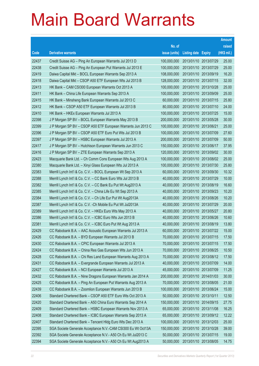|       |                                                               |               |                            | <b>Amount</b> |
|-------|---------------------------------------------------------------|---------------|----------------------------|---------------|
|       |                                                               | No. of        |                            | raised        |
| Code  | <b>Derivative warrants</b>                                    | issue (units) | <b>Listing date Expiry</b> | (HK\$ mil.)   |
| 22437 | Credit Suisse AG - Ping An European Warrants Jul 2013 D       | 100,000,000   | 2013/01/10 2013/07/29      | 25.00         |
| 22438 | Credit Suisse AG - Ping An European Put Warrants Jul 2013 E   | 100,000,000   | 2013/01/10 2013/07/29      | 25.00         |
| 22419 | Daiwa Capital Mkt - BOCL European Warrants Sep 2013 A         | 108,000,000   | 2013/01/10 2013/09/19      | 16.20         |
| 22418 | Daiwa Capital Mkt - CSOP A50 ETF European Wts Jul 2013 B      | 128,000,000   | 2013/01/10 2013/07/15      | 32.00         |
| 22413 | HK Bank - CAM CSI300 European Warrants Oct 2013 A             | 100,000,000   | 2013/01/10 2013/10/28      | 25.00         |
| 22411 | HK Bank - China Life European Warrants Sep 2013 A             | 100,000,000   | 2013/01/10 2013/09/09      | 25.00         |
| 22415 | HK Bank - Minsheng Bank European Warrants Jul 2013 C          | 60,000,000    | 2013/01/10 2013/07/15      | 25.80         |
| 22412 | HK Bank - CSOP A50 ETF European Warrants Jul 2013 B           | 80,000,000    | 2013/01/10 2013/07/10      | 24.00         |
| 22410 | HK Bank - HKEx European Warrants Jul 2013 A                   | 100,000,000   | 2013/01/10 2013/07/25      | 15.00         |
| 22398 | J P Morgan SP BV - BOCL European Warrants May 2013 B          | 200,000,000   | 2013/01/10 2013/05/28      | 30.00         |
| 22399 | J P Morgan SP BV - CSOP A50 ETF European Warrants Jun 2013 C  | 100,000,000   | 2013/01/10 2013/06/21      | 25.00         |
| 22396 | J P Morgan SP BV - CSOP A50 ETF Euro Put Wts Jul 2013 B       | 100,000,000   | 2013/01/10 2013/07/09      | 27.60         |
| 22397 | J P Morgan SP BV - HSBC European Warrants Jul 2013 A          | 200,000,000   | 2013/01/10 2013/07/09      | 50.00         |
| 22417 | J P Morgan SP BV - Hutchison European Warrants Jun 2013 C     | 150,000,000   | 2013/01/10 2013/06/17      | 37.95         |
| 22416 | J P Morgan SP BV - ZTE European Warrants Sep 2013 A           | 120,000,000   | 2013/01/10 2013/09/02      | 30.00         |
| 22423 | Macquarie Bank Ltd. - Ch Comm Cons European Wts Aug 2013 A    | 100,000,000   | 2013/01/10 2013/08/02      | 25.00         |
| 22380 | Macquarie Bank Ltd. - Xinyi Glass European Wts Jul 2013 A     | 100,000,000   | 2013/01/10 2013/07/30      | 25.80         |
| 22383 | Merrill Lynch Int'l & Co. C.V. - BOCL European Wt Sep 2013 A  | 60,000,000    | 2013/01/10 2013/09/30      | 10.32         |
| 22388 | Merrill Lynch Int'l & Co. C.V. - CC Bank Euro Wts Jul 2013 B  | 40,000,000    | 2013/01/10 2013/07/29      | 10.00         |
| 22382 | Merrill Lynch Int'l & Co. C.V. - CC Bank Eu Put Wt Aug2013 A  | 40,000,000    | 2013/01/10 2013/08/19      | 16.60         |
| 22385 | Merrill Lynch Int'l & Co. C.V. - China Life Eu Wt Sep 2013 A  | 40,000,000    | 2013/01/10 2013/09/23      | 10.20         |
| 22384 | Merrill Lynch Int'l & Co. C.V. - Ch Life Eur Put Wt Aug2013A  | 40,000,000    | 2013/01/10 2013/08/26      | 10.20         |
| 22387 | Merrill Lynch Int'l & Co. C.V. - Ch Mobile Eu Put Wt Jul2013A | 40,000,000    | 2013/01/10 2013/07/29      | 20.00         |
| 22389 | Merrill Lynch Int'l & Co. C.V. - HKEx Euro Wts May 2013 A     | 40,000,000    | 2013/01/10 2013/05/27      | 20.80         |
| 22386 | Merrill Lynch Int'l & Co. C.V. - ICBC Euro Wts Jun 2013 B     | 40,000,000    | 2013/01/10 2013/06/26      | 10.60         |
| 22381 | Merrill Lynch Int'l & Co. C.V. - ICBC Euro Put Wt Aug 2013 A  | 40,000,000    | 2013/01/10 2013/08/19      | 13.80         |
| 22429 | CC Rabobank B.A. - AAC Acoustic European Warrants Jul 2013 A  | 60,000,000    | 2013/01/10 2013/07/22      | 15.00         |
| 22426 | CC Rabobank B.A. - BYD European Warrants Jul 2013 B           | 70,000,000    | 2013/01/10 2013/07/15      | 17.50         |
| 22430 | CC Rabobank B.A. - CPIC European Warrants Jul 2013 A          | 70,000,000    | 2013/01/10 2013/07/15      | 17.50         |
| 22424 | CC Rabobank B.A. - China Res Gas European Wts Jun 2013 A      | 70,000,000    | 2013/01/10 2013/06/25      | 10.50         |
| 22428 | CC Rabobank B.A. - Chi Res Land European Warrants Aug 2013 A  | 70,000,000    | 2013/01/10 2013/08/12      | 17.50         |
| 22431 | CC Rabobank B.A. - Evergrande European Warrants Jul 2013 A    | 40,000,000    | 2013/01/10 2013/07/09      | 14.00         |
| 22427 | CC Rabobank B.A. - NCI European Warrants Jul 2013 A           | 45,000,000    | 2013/01/10 2013/07/09      | 11.25         |
| 22432 | CC Rabobank B.A. - Nine Dragons European Warrants Jan 2014 A  | 200,000,000   | 2013/01/10 2014/01/03      | 30.00         |
| 22425 | CC Rabobank B.A. - Ping An European Put Warrants Aug 2013 A   | 70,000,000    | 2013/01/10 2013/08/05      | 21.00         |
| 22439 | CC Rabobank B.A. - Zoomlion European Warrants Jun 2013 B      | 100,000,000   | 2013/01/10 2013/06/24      | 15.00         |
| 22406 | Standard Chartered Bank - CSOP A50 ETF Euro Wts Oct 2013 A    | 50,000,000    | 2013/01/10 2013/10/11      | 12.50         |
| 22420 | Standard Chartered Bank - A50 China Euro Warrants Sep 2014 A  | 150,000,000   | 2013/01/10 2014/09/15      | 27.75         |
| 22409 | Standard Chartered Bank - HSBC European Warrants Nov 2013 A   | 65,000,000    | 2013/01/10 2013/11/08      | 16.25         |
| 22408 | Standard Chartered Bank - ICBC European Warrants Sep 2013 A   | 65,000,000    | 2013/01/10 2013/09/12      | 12.22         |
| 22407 | Standard Chartered Bank - Tencent Hidg Euro Wts Dec 2013 A    | 100,000,000   | 2013/01/10 2013/12/03      | 25.00         |
| 22395 | SGA Societe Generale Acceptance N.V.-CAM CSI300 Eu Wt Oct13A  | 150,000,000   | 2013/01/10 2013/10/28      | 39.00         |
| 22392 | SGA Societe Generale Acceptance N.V.- A50 Ch Eu Wt Jul2013 C  | 50,000,000    | 2013/01/10 2013/07/15      | 19.00         |
| 22394 | SGA Societe Generale Acceptance N.V.- A50 Ch Eu Wt Aug2013 A  | 50,000,000    | 2013/01/10 2013/08/05      | 14.75         |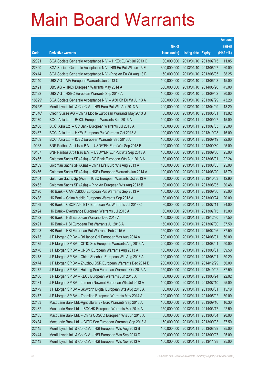|        |                                                               |               |                            |            | <b>Amount</b> |
|--------|---------------------------------------------------------------|---------------|----------------------------|------------|---------------|
|        |                                                               | No. of        |                            |            | raised        |
| Code   | <b>Derivative warrants</b>                                    | issue (units) | <b>Listing date Expiry</b> |            | (HK\$ mil.)   |
| 22391  | SGA Societe Generale Acceptance N.V. - HKEx Eu Wt Jul 2013 C  | 30,000,000    | 2013/01/10 2013/07/15      |            | 11.85         |
| 22390  | SGA Societe Generale Acceptance N.V. - HSI Eu Put Wt Jun 13 E | 300,000,000   | 2013/01/10 2013/06/27      |            | 60.00         |
| 22414  | SGA Societe Generale Acceptance N.V. - Ping An Eu Wt Aug 13 B | 150,000,000   | 2013/01/10 2013/08/05      |            | 38.25         |
| 22440  | UBS AG - AIA European Warrants Jun 2013 C                     | 100,000,000   | 2013/01/10 2013/06/03      |            | 15.00         |
| 22421  | UBS AG - HKEx European Warrants May 2014 A                    | 300,000,000   | 2013/01/10 2014/05/26      |            | 45.00         |
| 22422  | UBS AG - HSBC European Warrants Sep 2013 A                    | 100,000,000   | 2013/01/10 2013/09/02      |            | 20.00         |
| 18629# | SGA Societe Generale Acceptance N.V. - A50 Ch Eu Wt Jul 13 A  | 300,000,000   | 2013/01/10 2013/07/29      |            | 43.20         |
| 20758# | Merrill Lynch Int'l & Co. C.V. - HSI Euro Put Wts Apr 2013 A  | 200,000,000   | 2013/01/10 2013/04/29      |            | 13.20         |
| 21646# | Credit Suisse AG - China Mobile European Warrants May 2013 B  | 80,000,000    | 2013/01/10 2013/05/31      |            | 13.92         |
| 22470  | BOCI Asia Ltd. - BOCL European Warrants Sep 2013 A            | 100,000,000   | 2013/01/11 2013/09/27      |            | 15.00         |
| 22468  | BOCI Asia Ltd. - CC Bank European Warrants Jul 2013 A         | 100,000,000   | 2013/01/11                 | 2013/07/03 | 25.00         |
| 22467  | BOCI Asia Ltd. - HKEx European Put Warrants Oct 2013 A        | 100,000,000   | 2013/01/11                 | 2013/10/28 | 16.00         |
| 22469  | BOCI Asia Ltd. - ICBC European Warrants Sep 2013 A            | 100,000,000   | 2013/01/11                 | 2013/09/19 | 22.00         |
| 10168  | BNP Paribas Arbit Issu B.V. - USD/YEN Euro Wts Sep 2013 B     | 100,000,000   | 2013/01/11                 | 2013/09/30 | 25.00         |
| 10167  | BNP Paribas Arbit Issu B.V. - USD/YEN Eur Put Wts Sep 2013 A  | 100,000,000   | 2013/01/11                 | 2013/09/30 | 25.00         |
| 22465  | Goldman Sachs SP (Asia) - CC Bank European Wts Aug 2013 A     | 80,000,000    | 2013/01/11                 | 2013/08/01 | 22.24         |
| 22459  | Goldman Sachs SP (Asia) - China Life Euro Wts Aug 2013 A      | 100,000,000   | 2013/01/11                 | 2013/08/05 | 25.00         |
| 22466  | Goldman Sachs SP (Asia) - HKEx European Warrants Jun 2014 A   | 100,000,000   | 2013/01/11                 | 2014/06/20 | 18.70         |
| 22464  | Goldman Sachs Sp (Asia) - ICBC European Warrants Oct 2013 A   | 50,000,000    | 2013/01/11                 | 2013/10/03 | 12.90         |
| 22463  | Goldman Sachs SP (Asia) - Ping An European Wts Aug 2013 B     | 80,000,000    | 2013/01/11                 | 2013/08/05 | 30.48         |
| 22490  | HK Bank - CAM CSI300 European Put Warrants Sep 2013 A         | 100,000,000   | 2013/01/11                 | 2013/09/30 | 25.00         |
| 22488  | HK Bank - China Mobile European Warrants Sep 2013 A           | 80,000,000    | 2013/01/11                 | 2013/09/24 | 20.00         |
| 22489  | HK Bank - CSOP A50 ETF European Put Warrants Jul 2013 C       | 80,000,000    | 2013/01/11                 | 2013/07/11 | 24.00         |
| 22494  | HK Bank - Evergrande European Warrants Jul 2013 A             | 60,000,000    | 2013/01/11                 | 2013/07/15 | 15.00         |
| 22492  | HK Bank - HSI European Warrants Dec 2013 A                    | 150,000,000   | 2013/01/11                 | 2013/12/30 | 37.50         |
| 22491  | HK Bank - HSI European Put Warrants Jul 2013 A                | 150,000,000   | 2013/01/11                 | 2013/07/30 | 37.50         |
| 22493  | HK Bank – HSI European Put Warrants Feb 2015 A                | 150,000,000   | 2013/01/11 2015/02/26      |            | 37.50         |
| 22473  | J P Morgan SP BV - Brilliance Chi European Wts Aug 2014 A     | 200,000,000   | 2013/01/11 2014/08/01      |            | 50.00         |
| 22475  | J P Morgan SP BV - CITIC Sec European Warrants Aug 2013 A     | 200,000,000   | 2013/01/11                 | 2013/08/01 | 50.00         |
| 22476  | J P Morgan SP BV - CNBM European Warrants Aug 2013 A          | 100,000,000   | 2013/01/11                 | 2013/08/01 | 69.50         |
| 22478  | J P Morgan SP BV - China Shenhua European Wts Aug 2013 A      | 200,000,000   | 2013/01/11                 | 2013/08/01 | 50.20         |
| 22474  | J P Morgan SP BV - Zhuzhou CSR European Warrants Dec 2014 B   | 200,000,000   | 2013/01/11                 | 2014/12/29 | 50.00         |
| 22472  | J P Morgan SP BV - Haitong Sec European Warrants Oct 2013 A   | 150,000,000   | 2013/01/11                 | 2013/10/02 | 37.50         |
| 22480  | J P Morgan SP BV - KECL European Warrants Jun 2013 A          | 60,000,000    | 2013/01/11                 | 2013/06/24 | 22.02         |
| 22481  | J P Morgan SP BV - Lumena Newmat European Wts Jul 2013 A      | 100,000,000   | 2013/01/11                 | 2013/07/10 | 25.00         |
| 22479  | J P Morgan SP BV - Skyworth Digital European Wts Aug 2013 A   | 60,000,000    | 2013/01/11                 | 2013/08/01 | 15.18         |
| 22477  | J P Morgan SP BV - Zoomlion European Warrants May 2014 A      | 200,000,000   | 2013/01/11                 | 2014/05/02 | 50.00         |
| 22483  | Macquarie Bank Ltd.-Agricultural Bk Euro Warrants Sep 2013 A  | 100,000,000   | 2013/01/11                 | 2013/09/16 | 16.30         |
| 22482  | Macquarie Bank Ltd. - BOCHK European Warrants Mar 2014 A      | 150,000,000   | 2013/01/11                 | 2014/03/17 | 22.50         |
| 22485  | Macquarie Bank Ltd. - China COSCO European Wts Jun 2013 A     | 80,000,000    | 2013/01/11                 | 2013/06/04 | 20.00         |
| 22484  | Macquarie Bank Ltd. - CITIC Sec European Warrants Sep 2013 A  | 150,000,000   | 2013/01/11                 | 2013/09/03 | 37.50         |
| 22445  | Merrill Lynch Int'l & Co. C.V. - HSI European Wts Aug 2013 B  | 100,000,000   | 2013/01/11                 | 2013/08/29 | 25.00         |
| 22444  | Merrill Lynch Int'l & Co. C.V. - HSI European Wts Sep 2013 D  | 100,000,000   | 2013/01/11                 | 2013/09/27 | 25.00         |
| 22443  | Merrill Lynch Int'l & Co. C.V. - HSI European Wts Nov 2013 A  | 100,000,000   | 2013/01/11                 | 2013/11/28 | 25.00         |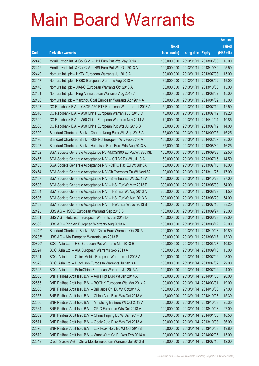|        |                                                               |               |                            |            | <b>Amount</b> |
|--------|---------------------------------------------------------------|---------------|----------------------------|------------|---------------|
|        |                                                               | No. of        |                            |            | raised        |
| Code   | <b>Derivative warrants</b>                                    | issue (units) | <b>Listing date Expiry</b> |            | (HK\$ mil.)   |
| 22446  | Merrill Lynch Int'l & Co. C.V. - HSI Euro Put Wts May 2013 C  | 100,000,000   | 2013/01/11                 | 2013/05/30 | 15.00         |
| 22442  | Merrill Lynch Int'l & Co. C.V. - HSI Euro Put Wts Oct 2013 A  | 100,000,000   | 2013/01/11                 | 2013/10/30 | 25.50         |
| 22449  | Nomura Int'l plc - HKEx European Warrants Jul 2013 A          | 30,000,000    | 2013/01/11                 | 2013/07/03 | 15.00         |
| 22447  | Nomura Int'l plc - HSBC European Warrants Aug 2013 A          | 60,000,000    | 2013/01/11                 | 2013/08/02 | 15.00         |
| 22448  | Nomura Int'l plc - JIANC European Warrants Oct 2013 A         | 60,000,000    | 2013/01/11                 | 2013/10/03 | 15.00         |
| 22451  | Nomura Int'l plc - Ping An European Warrants Aug 2013 A       | 30,000,000    | 2013/01/11                 | 2013/08/02 | 15.00         |
| 22450  | Nomura Int'l plc - Yanzhou Coal European Warrants Apr 2014 A  | 60,000,000    | 2013/01/11                 | 2014/04/02 | 15.00         |
| 22507  | CC Rabobank B.A. - CSOP A50 ETF European Warrants Jul 2013 A  | 50,000,000    | 2013/01/11 2013/07/12      |            | 12.50         |
| 22510  | CC Rabobank B.A. - A50 China European Warrants Jul 2013 C     | 40,000,000    | 2013/01/11                 | 2013/07/12 | 19.20         |
| 22509  | CC Rabobank B.A. - A50 China European Warrants Nov 2014 A     | 70,000,000    | 2013/01/11                 | 2014/11/04 | 10.85         |
| 22508  | CC Rabobank B.A. - A50 China European Put Wts Jul 2013 B      | 50,000,000    | 2013/01/11                 | 2013/07/12 | 14.00         |
| 22500  | Standard Chartered Bank – Cheung Kong Euro Wts Sep 2013 A     | 65,000,000    | 2013/01/11                 | 2013/09/06 | 16.25         |
| 22496  | Standard Chartered Bank - R&F Ppt European Wts Feb 2014 A     | 100,000,000   | 2013/01/11                 | 2014/02/07 | 25.00         |
| 22497  | Standard Chartered Bank - Hutchison Euro Euro Wts Aug 2013 A  | 65,000,000    | 2013/01/11                 | 2013/08/30 | 16.25         |
| 22452  | SGA Societe Generale Acceptance NV-AMCSI300 Eu Put Wt Sep13D  | 150,000,000   | 2013/01/11                 | 2013/09/23 | 22.50         |
| 22455  | SGA Societe Generale Acceptance N.V. - CITBK Eu Wt Jul 13 A   | 50,000,000    | 2013/01/11 2013/07/15      |            | 14.50         |
| 22453  | SGA Societe Generale Acceptance N.V. - CITIC Pac Eu Wt Jul13A | 30,000,000    | 2013/01/11                 | 2013/07/15 | 18.00         |
| 22454  | SGA Societe Generale Acceptance N.V-Ch Overseas Eu Wt Nov13A  | 100,000,000   | 2013/01/11                 | 2013/11/25 | 17.00         |
| 22457  | SGA Societe Generale Acceptance N.V. - Shenhua Eu Wt Oct 13 A | 100,000,000   | 2013/01/11                 | 2013/10/23 | 27.00         |
| 22503  | SGA Societe Generale Acceptance N.V. - HSI Eur Wt May 2013 E  | 300,000,000   | 2013/01/11                 | 2013/05/30 | 54.00         |
| 22504  | SGA Societe Generale Acceptance N.V. - HSI Eur Wt Aug 2013 A  | 300,000,000   | 2013/01/11                 | 2013/08/29 | 61.50         |
| 22506  | SGA Societe Generale Acceptance N.V. - HSI Eur Wt Aug 2013 B  | 300,000,000   | 2013/01/11                 | 2013/08/29 | 54.00         |
| 22458  | SGA Societe Generale Acceptance N.V. - HWL Eur Wt Jul 2013 B  | 150,000,000   | 2013/01/11                 | 2013/07/15 | 38.25         |
| 22495  | UBS AG - HSCEI European Warrants Sep 2013 B                   | 100,000,000   | 2013/01/11                 | 2013/09/27 | 25.00         |
| 22501  | UBS AG - Hutchison European Warrants Jun 2013 D               | 100,000,000   | 2013/01/11                 | 2013/06/28 | 29.00         |
| 22502  | UBS AG - Ping An European Warrants Aug 2013 A                 | 100,000,000   | 2013/01/11                 | 2013/08/12 | 25.00         |
| 14442# | Standard Chartered Bank - A50 China Euro Warrants Oct 2013    | 200,000,000   | 2013/01/11 2013/10/28      |            | 10.80         |
| 20235# | UBS AG - AIA European Warrants Jun 2013 B                     | 100,000,000   | 2013/01/11 2013/06/17      |            | 13.30         |
| 20820# | BOCI Asia Ltd. - HSI European Put Warrants Mar 2013 E         | 400,000,000   | 2013/01/11                 | 2013/03/27 | 10.80         |
| 22524  | BOCI Asia Ltd. - AIA European Warrants Sep 2013 A             | 100,000,000   | 2013/01/14 2013/09/16      |            | 15.00         |
| 22521  | BOCI Asia Ltd. - China Mobile European Warrants Jul 2013 A    | 100,000,000   | 2013/01/14 2013/07/02      |            | 23.00         |
| 22523  | BOCI Asia Ltd. - Hutchison European Warrants Jul 2013 A       | 100,000,000   | 2013/01/14 2013/07/02      |            | 29.00         |
| 22525  | BOCI Asia Ltd. - PetroChina European Warrants Jul 2013 A      | 100,000,000   | 2013/01/14                 | 2013/07/02 | 24.00         |
| 22563  | BNP Paribas Arbit Issu B.V. - Agile Ppt Euro Wt Jan 2014 A    | 100,000,000   | 2013/01/14 2014/01/03      |            | 26.00         |
| 22565  | BNP Paribas Arbit Issu B.V. - BOCHK European Wts Mar 2014 A   | 100,000,000   | 2013/01/14 2014/03/31      |            | 19.00         |
| 22568  | BNP Paribas Arbit Issu B.V. - Brilliance Chi Eu Wt Oct2014 A  | 100,000,000   | 2013/01/14 2014/10/06      |            | 27.00         |
| 22567  | BNP Paribas Arbit Issu B.V. - China Coal Euro Wts Oct 2013 A  | 45,000,000    | 2013/01/14                 | 2013/10/03 | 15.30         |
| 22566  | BNP Paribas Arbit Issu B.V. - Minsheng Bk Euro Wt Oct 2013 A  | 65,000,000    | 2013/01/14 2013/10/03      |            | 25.35         |
| 22564  | BNP Paribas Arbit Issu B.V. - CPIC European Wts Oct 2013 A    | 100,000,000   | 2013/01/14 2013/10/03      |            | 27.00         |
| 22569  | BNP Paribas Arbit Issu B.V. - China Taiping Eu Wt Jan 2014 B  | 33,000,000    | 2013/01/14 2014/01/03      |            | 10.56         |
| 22571  | BNP Paribas Arbit Issu B.V. - Geely Auto Euro Wts Oct 2013 A  | 100,000,000   | 2013/01/14                 | 2013/10/03 | 36.00         |
| 22570  | BNP Paribas Arbit Issu B.V. - Luk Fook Hold Eu Wt Oct 2013B   | 60,000,000    | 2013/01/14 2013/10/03      |            | 19.80         |
| 22572  | BNP Paribas Arbit Issu B.V. - Want Want Ch Eu Wts Feb 2014 A  | 100,000,000   | 2013/01/14 2014/02/05      |            | 15.00         |
| 22549  | Credit Suisse AG - China Mobile European Warrants Jul 2013 B  | 80,000,000    | 2013/01/14 2013/07/16      |            | 12.00         |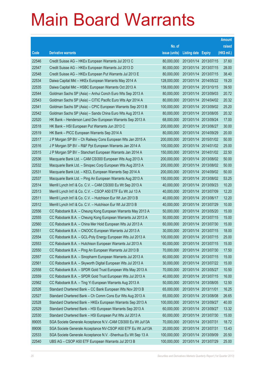|       |                                                               |               |                       |            | <b>Amount</b> |
|-------|---------------------------------------------------------------|---------------|-----------------------|------------|---------------|
|       |                                                               | No. of        |                       |            | raised        |
| Code  | <b>Derivative warrants</b>                                    | issue (units) | Listing date Expiry   |            | (HK\$ mil.)   |
| 22546 | Credit Suisse AG - HKEx European Warrants Jul 2013 C          | 80,000,000    | 2013/01/14 2013/07/15 |            | 37.60         |
| 22547 | Credit Suisse AG - HKEx European Warrants Jul 2013 D          | 80,000,000    | 2013/01/14 2013/07/15 |            | 28.00         |
| 22548 | Credit Suisse AG - HKEx European Put Warrants Jul 2013 E      | 80,000,000    | 2013/01/14 2013/07/15 |            | 38.40         |
| 22534 | Daiwa Capital Mkt - HKEx European Warrants May 2014 A         | 128,000,000   | 2013/01/14 2014/05/22 |            | 19.20         |
| 22535 | Daiwa Capital Mkt - HSBC European Warrants Oct 2013 A         | 158,000,000   | 2013/01/14 2013/10/15 |            | 39.50         |
| 22544 | Goldman Sachs SP (Asia) – Anhui Conch Euro Wts Sep 2013 A     | 80,000,000    | 2013/01/14 2013/09/03 |            | 20.72         |
| 22543 | Goldman Sachs SP (Asia) - CITIC Pacific Euro Wts Apr 2014 A   | 80,000,000    | 2013/01/14 2014/04/02 |            | 20.32         |
| 22541 | Goldman Sachs SP (Asia) – CPIC European Warrants Sep 2013 B   | 100,000,000   | 2013/01/14 2013/09/02 |            | 25.20         |
| 22542 | Goldman Sachs SP (Asia) – Sands China Euro Wts Aug 2013 A     | 80,000,000    | 2013/01/14 2013/08/05 |            | 20.32         |
| 22520 | HK Bank - Henderson Land Dev European Warrants Sep 2013 A     | 68,000,000    | 2013/01/14 2013/09/24 |            | 17.00         |
| 22518 | HK Bank – HSI European Put Warrants Jun 2013 C                | 200,000,000   | 2013/01/14 2013/06/27 |            | 30.00         |
| 22519 | HK Bank – PICC European Warrants Sep 2014 A                   | 80,000,000    | 2013/01/14 2014/09/29 |            | 20.00         |
| 22517 | J P Morgan SP BV - Ch Railway Cons European Wts Jan 2015 A    | 200,000,000   | 2013/01/14 2015/01/02 |            | 50.00         |
| 22516 | J P Morgan SP BV - R&F Ppt European Warrants Jan 2014 A       | 100,000,000   | 2013/01/14 2014/01/02 |            | 25.00         |
| 22515 | J P Morgan SP BV - Stanchart European Warrants Jan 2014 A     | 150,000,000   | 2013/01/14 2014/01/02 |            | 22.50         |
| 22536 | Macquarie Bank Ltd. - CAM CSI300 European Wts Aug 2013 A      | 200,000,000   | 2013/01/14 2013/08/02 |            | 50.00         |
| 22532 | Macquarie Bank Ltd. - Sinopec Corp European Wts Aug 2013 A    | 200,000,000   | 2013/01/14 2013/08/02 |            | 50.00         |
| 22531 | Macquarie Bank Ltd. - KECL European Warrants Sep 2014 A       | 200,000,000   | 2013/01/14 2014/09/02 |            | 50.00         |
| 22537 | Macquarie Bank Ltd. - Ping An European Warrants Aug 2013 A    | 150,000,000   | 2013/01/14 2013/08/02 |            | 53.25         |
| 22514 | Merrill Lynch Int'l & Co. C.V. - CAM CSI300 Eu Wt Sep 2013 A  | 40,000,000    | 2013/01/14 2013/09/23 |            | 10.20         |
| 22513 | Merrill Lynch Int'l & Co. C.V. - CSOP A50 ETF Eu Wt Jul 13 A  | 40,000,000    | 2013/01/14 2013/07/09 |            | 12.20         |
| 22511 | Merrill Lynch Int'l & Co. C.V. - Hutchison Eur Wt Jun 2013 B  | 40,000,000    | 2013/01/14 2013/06/17 |            | 12.20         |
| 22512 | Merrill Lynch Int'l & Co. C.V. - Hutchison Eur Wt Jul 2013 B  | 40,000,000    | 2013/01/14 2013/07/29 |            | 10.00         |
| 22556 | CC Rabobank B.A. - Cheung Kong European Warrants May 2013 A   | 50,000,000    | 2013/01/14 2013/05/20 |            | 15.00         |
| 22555 | CC Rabobank B.A. - Cheung Kong European Warrants Jul 2013 A   | 50,000,000    | 2013/01/14 2013/07/15 |            | 15.00         |
| 22560 | CC Rabobank B.A. - China Mer Hold European Wts Jul 2013 A     | 60,000,000    | 2013/01/14 2013/07/30 |            | 15.00         |
| 22551 | CC Rabobank B.A. - CNOOC European Warrants Jul 2013 A         | 30,000,000    | 2013/01/14 2013/07/15 |            | 18.00         |
| 22554 | CC Rabobank B.A. - GCL-Poly Energy European Wts Jul 2013 A    | 100,000,000   | 2013/01/14 2013/07/15 |            | 25.00         |
| 22553 | CC Rabobank B.A. - Hutchison European Warrants Jul 2013 A     | 60,000,000    | 2013/01/14 2013/07/15 |            | 15.00         |
| 22550 | CC Rabobank B.A. - Ping An European Warrants Jul 2013 B       | 70,000,000    | 2013/01/14 2013/07/30 |            | 17.50         |
| 22557 | CC Rabobank B.A. - Sinopharm European Warrants Jul 2013 A     | 60,000,000    | 2013/01/14 2013/07/15 |            | 15.00         |
| 22561 | CC Rabobank B.A. - Skyworth Digital European Wts Jul 2013 A   | 30,000,000    | 2013/01/14 2013/07/22 |            | 15.00         |
| 22558 | CC Rabobank B.A. - SPDR Gold Trust European Wts May 2013 A    | 70,000,000    | 2013/01/14            | 2013/05/27 | 10.50         |
| 22559 | CC Rabobank B.A. - SPDR Gold Trust European Wts Jul 2013 A    | 40,000,000    | 2013/01/14 2013/07/15 |            | 16.00         |
| 22562 | CC Rabobank B.A. - Ting Yi European Warrants Aug 2013 A       | 50,000,000    | 2013/01/14 2013/08/05 |            | 12.50         |
| 22526 | Standard Chartered Bank - CC Bank European Wts Nov 2013 B     | 65,000,000    | 2013/01/14 2013/11/01 |            | 16.25         |
| 22527 | Standard Chartered Bank - Ch Comm Cons Eur Wts Aug 2013 A     | 65,000,000    | 2013/01/14            | 2013/08/08 | 26.65         |
| 22528 | Standard Chartered Bank - HKEx European Warrants Sep 2013 A   | 100,000,000   | 2013/01/14 2013/09/27 |            | 40.00         |
| 22529 | Standard Chartered Bank - HSI European Warrants Sep 2013 A    | 60,000,000    | 2013/01/14 2013/09/27 |            | 13.32         |
| 22530 | Standard Chartered Bank - HSI European Put Wts Jul 2013 A     | 60,000,000    | 2013/01/14 2013/07/30 |            | 15.00         |
| 89005 | SGA Societe Generale Acceptance N.V.-CAM CSI300 Eu Wt Jul13A  | 70,000,000    | 2013/01/14            | 2013/07/31 | 18.72         |
| 89006 | SGA Societe Generale Acceptance NV-CSOP A50 ETF Eu Wt Jul13A  | 20,000,000    | 2013/01/14 2013/07/31 |            | 13.43         |
| 22533 | SGA Societe Generale Acceptance N.V. - Shenhua Eu Wt Sep 13 A | 100,000,000   | 2013/01/14 2013/09/09 |            | 20.50         |
| 22540 | UBS AG - CSOP A50 ETF European Warrants Jul 2013 B            | 100,000,000   | 2013/01/14 2013/07/29 |            | 25.00         |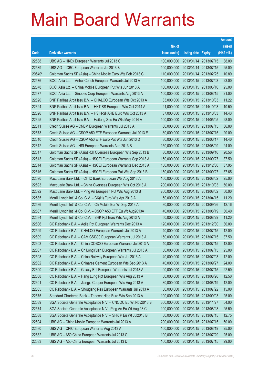|        |                                                               |               |                       |                       | <b>Amount</b> |
|--------|---------------------------------------------------------------|---------------|-----------------------|-----------------------|---------------|
|        |                                                               | No. of        |                       |                       | raised        |
| Code   | <b>Derivative warrants</b>                                    | issue (units) | Listing date Expiry   |                       | (HK\$ mil.)   |
| 22538  | UBS AG - HKEx European Warrants Jul 2013 C                    | 100,000,000   |                       | 2013/01/14 2013/07/15 | 38.00         |
| 22539  | UBS AG - ICBC European Warrants Jul 2013 B                    | 100,000,000   |                       | 2013/01/14 2013/07/15 | 25.00         |
| 20540# | Goldman Sachs SP (Asia) - China Mobile Euro Wts Feb 2013 C    | 110,000,000   |                       | 2013/01/14 2013/02/25 | 10.89         |
| 22576  | BOCI Asia Ltd. - Anhui Conch European Warrants Jul 2013 A     | 100,000,000   |                       | 2013/01/15 2013/07/03 | 23.00         |
| 22578  | BOCI Asia Ltd. - China Mobile European Put Wts Jun 2013 A     | 100,000,000   |                       | 2013/01/15 2013/06/10 | 25.00         |
| 22577  | BOCI Asia Ltd. - Sinopec Corp European Warrants Aug 2013 A    | 100,000,000   |                       | 2013/01/15 2013/08/15 | 21.00         |
| 22620  | BNP Paribas Arbit Issu B.V. - CHALCO European Wts Oct 2013 A  | 33,000,000    |                       | 2013/01/15 2013/10/03 | 11.22         |
| 22624  | BNP Paribas Arbit Issu B.V. - HKT-SS European Wts Oct 2014 A  | 21,000,000    |                       | 2013/01/15 2014/10/03 | 10.50         |
| 22626  | BNP Paribas Arbit Issu B.V. - HS H-SHARE Euro Wts Oct 2013 A  | 37,000,000    |                       | 2013/01/15 2013/10/03 | 14.43         |
| 22625  | BNP Paribas Arbit Issu B.V. - Haitong Sec Eu Wts May 2014 A   | 100,000,000   |                       | 2013/01/15 2014/05/05 | 28.00         |
| 22611  | Credit Suisse AG - CNBM European Warrants Jul 2013 A          | 80,000,000    |                       | 2013/01/15 2013/07/15 | 36.80         |
| 22573  | Credit Suisse AG - CSOP A50 ETF European Warrants Jul 2013 E  | 80,000,000    |                       | 2013/01/15 2013/07/15 | 20.00         |
| 22610  | Credit Suisse AG - CSOP A50 ETF Euro Put Wts Jun 2013 D       | 80,000,000    |                       | 2013/01/15 2013/06/17 | 14.40         |
| 22612  | Credit Suisse AG - HSI European Warrants Aug 2013 B           | 150,000,000   |                       | 2013/01/15 2013/08/29 | 24.00         |
| 22617  | Goldman Sachs SP (Asia) - Ch Overseas European Wts Sep 2013 B | 80,000,000    |                       | 2013/01/15 2013/09/16 | 20.56         |
| 22613  | Goldman Sachs SP (Asia) - HSCEI European Warrants Sep 2013 A  | 150,000,000   |                       | 2013/01/15 2013/09/27 | 37.50         |
| 22614  | Goldman Sachs SP (Asia) - HSCEI European Warrants Dec 2013 A  | 150,000,000   |                       | 2013/01/15 2013/12/30 | 37.95         |
| 22616  | Goldman Sachs SP (Asia) - HSCEI European Put Wts Sep 2013 B   | 150,000,000   |                       | 2013/01/15 2013/09/27 | 37.65         |
| 22590  | Macquarie Bank Ltd. - CITIC Bank European Wts Aug 2013 A      | 100,000,000   |                       | 2013/01/15 2013/08/02 | 25.00         |
| 22593  | Macquarie Bank Ltd. - China Overseas European Wts Oct 2013 A  | 200,000,000   |                       | 2013/01/15 2013/10/03 | 50.00         |
| 22592  | Macquarie Bank Ltd. - Ping An European Put Wts Aug 2013 B     | 200,000,000   |                       | 2013/01/15 2013/08/02 | 50.00         |
| 22585  | Merrill Lynch Int'l & Co. C.V. - CK(H) Euro Wts Apr 2013 A    | 50,000,000    |                       | 2013/01/15 2013/04/15 | 11.20         |
| 22586  | Merrill Lynch Int'l & Co. C.V. - Ch Mobile Eur Wt Sep 2013 A  | 80,000,000    |                       | 2013/01/15 2013/09/26 | 12.16         |
| 22587  | Merrill Lynch Int'l & Co. C.V. - CSOP A50 ETF Eu Wt Aug2013A  | 40,000,000    |                       | 2013/01/15 2013/08/19 | 30.40         |
| 22584  | Merrill Lynch Int'l & Co. C.V. - SHK Ppt Euro Wts Aug 2013 A  | 50,000,000    |                       | 2013/01/15 2013/08/29 | 11.20         |
| 22606  | CC Rabobank B.A. - Agile Ppt European Warrants Dec 2013 A     | 120,000,000   |                       | 2013/01/15 2013/12/30 | 30.00         |
| 22599  | CC Rabobank B.A. - CHALCO European Warrants Jul 2013 A        | 40,000,000    | 2013/01/15 2013/07/15 |                       | 12.00         |
| 22609  | CC Rabobank B.A. - CAM CSI300 European Warrants Jul 2013 A    | 150,000,000   | 2013/01/15 2013/07/15 |                       | 37.50         |
| 22603  | CC Rabobank B.A. - China COSCO European Warrants Jul 2013 A   | 40,000,000    | 2013/01/15 2013/07/15 |                       | 12.00         |
| 22607  | CC Rabobank B.A. - Ch LongYuan European Warrants Jul 2013 A   | 50,000,000    |                       | 2013/01/15 2013/07/15 | 25.00         |
| 22598  | CC Rabobank B.A. - China Railway European Wts Jul 2013 A      | 40,000,000    | 2013/01/15 2013/07/03 |                       | 12.00         |
| 22602  | CC Rabobank B.A. - Chinares Cement European Wts Sep 2013 A    | 40,000,000    | 2013/01/15 2013/09/27 |                       | 24.00         |
| 22600  | CC Rabobank B.A. - Galaxy Ent European Warrants Jul 2013 A    | 90,000,000    |                       | 2013/01/15 2013/07/15 | 22.50         |
| 22608  | CC Rabobank B.A. - Hang Lung Ppt European Wts Aug 2013 A      | 50,000,000    |                       | 2013/01/15 2013/08/26 | 12.50         |
| 22601  | CC Rabobank B.A. - Jiangxi Copper European Wts Aug 2013 A     | 80,000,000    | 2013/01/15 2013/08/19 |                       | 12.00         |
| 22605  | CC Rabobank B.A. - Shougang Res European Warrants Jul 2013 A  | 50,000,000    |                       | 2013/01/15 2013/07/22 | 15.00         |
| 22575  | Standard Chartered Bank - Tencent Hidg Euro Wts Sep 2013 A    | 100,000,000   |                       | 2013/01/15 2013/09/03 | 25.00         |
| 22589  | SGA Societe Generale Acceptance N.V. - CNOOC Eu Wt Nov2013 B  | 300,000,000   | 2013/01/15 2013/11/27 |                       | 54.00         |
| 22574  | SGA Societe Generale Acceptance N.V. - Ping An Eu Wt Aug 13 C | 100,000,000   | 2013/01/15 2013/08/28 |                       | 25.50         |
| 22588  | SGA Societe Generale Acceptance N.V. - SHK P Eu Wt Jul2013 B  | 50,000,000    |                       | 2013/01/15 2013/07/15 | 12.75         |
| 22594  | UBS AG - China Mobile European Warrants Jul 2013 A            | 200,000,000   | 2013/01/15 2013/07/15 |                       | 50.00         |
| 22580  | UBS AG - CPIC European Warrants Aug 2013 A                    | 100,000,000   | 2013/01/15 2013/08/19 |                       | 25.00         |
| 22582  | UBS AG - A50 China European Warrants Jul 2013 C               | 100,000,000   | 2013/01/15 2013/07/29 |                       | 25.00         |
| 22583  | UBS AG - A50 China European Warrants Jul 2013 D               | 100,000,000   | 2013/01/15 2013/07/15 |                       | 29.00         |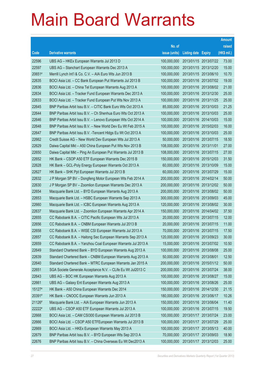|        |                                                              |               |                            | <b>Amount</b> |
|--------|--------------------------------------------------------------|---------------|----------------------------|---------------|
|        |                                                              | No. of        |                            | raised        |
| Code   | <b>Derivative warrants</b>                                   | issue (units) | <b>Listing date Expiry</b> | (HK\$ mil.)   |
| 22596  | UBS AG - HKEx European Warrants Jul 2013 D                   | 100,000,000   | 2013/01/15 2013/07/22      | 73.00         |
| 22597  | UBS AG - Stanchart European Warrants Dec 2013 A              | 100,000,000   | 2013/01/15 2013/12/20      | 15.00         |
| 20651# | Merrill Lynch Int'l & Co. C.V. - AIA Euro Wts Jun 2013 B     | 100,000,000   | 2013/01/15 2013/06/10      | 10.70         |
| 22635  | BOCI Asia Ltd. - CC Bank European Put Warrants Jul 2013 B    | 100,000,000   | 2013/01/16 2013/07/02      | 19.00         |
| 22636  | BOCI Asia Ltd. - China Tel European Warrants Aug 2013 A      | 100,000,000   | 2013/01/16 2013/08/02      | 21.00         |
| 22634  | BOCI Asia Ltd. - Tracker Fund European Warrants Dec 2013 A   | 100,000,000   | 2013/01/16 2013/12/30      | 25.00         |
| 22633  | BOCI Asia Ltd. - Tracker Fund European Put Wts Nov 2013 A    | 100,000,000   | 2013/01/16 2013/11/25      | 25.00         |
| 22645  | BNP Paribas Arbit Issu B.V. - CITIC Bank Euro Wts Oct 2013 A | 85,000,000    | 2013/01/16 2013/10/03      | 21.25         |
| 22644  | BNP Paribas Arbit Issu B.V. - Ch Shenhua Euro Wts Oct 2013 A | 100,000,000   | 2013/01/16 2013/10/03      | 25.00         |
| 22646  | BNP Paribas Arbit Issu B.V. - Lenovo European Wts Oct 2014 A | 100,000,000   | 2013/01/16 2014/10/03      | 15.00         |
| 22648  | BNP Paribas Arbit Issu B.V. - New World Dev Eu Wt Feb 2015 A | 100,000,000   | 2013/01/16 2015/02/03      | 16.00         |
| 22647  | BNP Paribas Arbit Issu B.V. - Tencent HIdgs Eu Wt Oct 2013 A | 100,000,000   | 2013/01/16 2013/10/03      | 25.00         |
| 22662  | Credit Suisse AG - New World Dev European Wts Jul 2013 A     | 50,000,000    | 2013/01/16 2013/07/15      | 18.50         |
| 22629  | Daiwa Capital Mkt - A50 China European Put Wts Nov 2013 B    | 108,000,000   | 2013/01/16 2013/11/01      | 27.00         |
| 22650  | Daiwa Capital Mkt - Ping An European Put Warrants Jul 2013 B | 108,000,000   | 2013/01/16 2013/07/15      | 27.00         |
| 22652  | HK Bank - CSOP A50 ETF European Warrants Dec 2015 B          | 150,000,000   | 2013/01/16 2015/12/03      | 31.50         |
| 22628  | HK Bank - GCL-Poly Energy European Warrants Oct 2013 A       | 60,000,000    | 2013/01/16 2013/10/09      | 15.00         |
| 22627  | HK Bank - SHK Ppt European Warrants Jul 2013 B               | 60,000,000    | 2013/01/16 2013/07/29      | 15.00         |
| 22632  | J P Morgan SP BV - Dongfeng Motor European Wts Feb 2014 A    | 200,000,000   | 2013/01/16 2014/02/14      | 50.00         |
| 22630  | J P Morgan SP BV - Zoomlion European Warrants Dec 2013 A     | 200,000,000   | 2013/01/16 2013/12/02      | 50.00         |
| 22654  | Macquarie Bank Ltd. - BYD European Warrants Aug 2013 A       | 200,000,000   | 2013/01/16 2013/08/02      | 50.00         |
| 22653  | Macquarie Bank Ltd. - HSBC European Warrants Sep 2013 A      | 300,000,000   | 2013/01/16 2013/09/03      | 45.00         |
| 22660  | Macquarie Bank Ltd. - ICBC European Warrants Aug 2013 A      | 120,000,000   | 2013/01/16 2013/08/02      | 30.00         |
| 22637  | Macquarie Bank Ltd. - Zoomlion European Warrants Apr 2014 A  | 150,000,000   | 2013/01/16 2014/04/02      | 37.50         |
| 22655  | CC Rabobank B.A. - CITIC Pacific European Wts Jul 2013 A     | 20,000,000    | 2013/01/16 2013/07/15      | 12.00         |
| 22656  | CC Rabobank B.A. - CNBM European Warrants Jul 2013 B         | 20,000,000    | 2013/01/16 2013/07/15      | 11.00         |
| 22658  | CC Rabobank B.A. - WISE CSI European Warrants Jul 2013 A     | 70,000,000    | 2013/01/16 2013/07/15      | 17.50         |
| 22657  | CC Rabobank B.A. - Haitong Sec European Warrants Sep 2013 A  | 120,000,000   | 2013/01/16 2013/09/23      | 30.00         |
| 22659  | CC Rabobank B.A. - Yanzhou Coal European Warrants Jul 2013 A | 15,000,000    | 2013/01/16 2013/07/02      | 10.50         |
| 22649  | Standard Chartered Bank - BYD European Warrants Aug 2013 A   | 100,000,000   | 2013/01/16 2013/08/08      | 25.00         |
| 22639  | Standard Chartered Bank - CNBM European Warrants Aug 2013 A  | 50,000,000    | 2013/01/16 2013/08/01      | 12.50         |
| 22640  | Standard Chartered Bank - MTRC European Warrants Jan 2015 A  | 200,000,000   | 2013/01/16 2015/01/12      | 50.00         |
| 22651  | SGA Societe Generale Acceptance N.V. - CLife Eu Wt Jul2013 C | 200,000,000   | 2013/01/16 2013/07/24      | 38.00         |
| 22643  | UBS AG - BOC HK European Warrants Aug 2013 A                 | 100,000,000   | 2013/01/16 2013/08/27      | 15.00         |
| 22661  | UBS AG - Galaxy Ent European Warrants Aug 2013 A             | 100,000,000   | 2013/01/16 2013/08/26      | 25.00         |
| 15127# | HK Bank - A50 China European Warrants Dec 2014               | 150,000,000   | 2013/01/16 2014/12/30      | 21.15         |
| 20391# | HK Bank - CNOOC European Warrants Jun 2013 A                 | 180,000,000   | 2013/01/16 2013/06/17      | 10.26         |
| 21126# | Macquarie Bank Ltd. - AIA European Warrants Jun 2013 A       | 150,000,000   | 2013/01/16 2013/06/04      | 11.40         |
| 22222# | UBS AG - CSOP A50 ETF European Warrants Jul 2013 A           | 100,000,000   | 2013/01/16 2013/07/15      | 19.50         |
| 22668  | BOCI Asia Ltd. - CAM CSI300 European Warrants Jul 2013 B     | 100,000,000   | 2013/01/17 2013/07/24      | 23.00         |
| 22666  | BOCI Asia Ltd. - CSOP A50 ETFEuropean Warrants Jul 2013 B    | 100,000,000   | 2013/01/17 2013/07/29      | 25.00         |
| 22669  | BOCI Asia Ltd. - HKEx European Warrants May 2013 A           | 100,000,000   | 2013/01/17 2013/05/13      | 40.00         |
| 22679  | BNP Paribas Arbit Issu B.V. - BYD European Wts Sep 2013 A    | 70,000,000    | 2013/01/17 2013/09/03      | 18.90         |
| 22676  | BNP Paribas Arbit Issu B.V. - China Overseas Eu Wt Dec2013 A | 100,000,000   | 2013/01/17 2013/12/03      | 25.00         |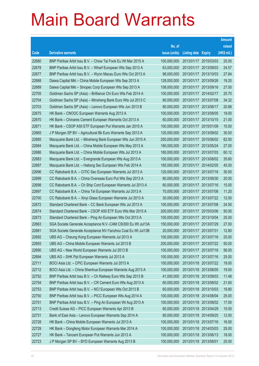|       |                                                              |               |                            |                       | <b>Amount</b> |
|-------|--------------------------------------------------------------|---------------|----------------------------|-----------------------|---------------|
|       |                                                              | No. of        |                            |                       | raised        |
| Code  | <b>Derivative warrants</b>                                   | issue (units) | <b>Listing date Expiry</b> |                       | (HK\$ mil.)   |
| 22680 | BNP Paribas Arbit Issu B.V. - Chow Tai Fook Eu Wt Mar 2015 A | 100,000,000   | 2013/01/17 2015/03/03      |                       | 25.00         |
| 22678 | BNP Paribas Arbit Issu B.V. - Wharf European Wts Sep 2013 A  | 63,000,000    | 2013/01/17                 | 2013/09/03            | 24.57         |
| 22677 | BNP Paribas Arbit Issu B.V. - Wynn Macau Euro Wts Oct 2013 A | 96,000,000    | 2013/01/17                 | 2013/10/03            | 27.84         |
| 22688 | Daiwa Capital Mkt - China Mobile European Wts Sep 2013 A     | 128,000,000   | 2013/01/17 2013/09/26      |                       | 19.20         |
| 22689 | Daiwa Capital Mkt - Sinopec Corp European Wts Sep 2013 A     | 108,000,000   |                            | 2013/01/17 2013/09/16 | 27.00         |
| 22705 | Goldman Sachs SP (Asia) - Brilliance Chi Euro Wts Feb 2014 A | 100,000,000   | 2013/01/17 2014/02/17      |                       | 25.70         |
| 22704 | Goldman Sachs SP (Asia) - Minsheng Bank Euro Wts Jul 2013 C  | 80,000,000    | 2013/01/17 2013/07/08      |                       | 34.32         |
| 22703 | Goldman Sachs SP (Asia) - Lenovo European Wts Jun 2013 B     | 80,000,000    | 2013/01/17 2013/06/17      |                       | 20.88         |
| 22675 | HK Bank - CNOOC European Warrants Aug 2013 A                 | 100,000,000   | 2013/01/17 2013/08/05      |                       | 19.00         |
| 22670 | HK Bank - Chinares Cement European Warrants Oct 2013 A       | 60,000,000    | 2013/01/17 2013/10/15      |                       | 21.00         |
| 22671 | HK Bank - CSOP A50 ETF European Put Warrants Jan 2015 A      | 100,000,000   | 2013/01/17 2015/01/09      |                       | 15.00         |
| 22665 | J P Morgan SP BV - Agricultural Bk Euro Warrants Sep 2013 A  | 120,000,000   | 2013/01/17 2013/09/02      |                       | 30.00         |
| 22685 | Macquarie Bank Ltd. - Minsheng Bank European Wts Jun 2015 A  | 250,000,000   |                            | 2013/01/17 2015/06/02 | 62.50         |
| 22684 | Macquarie Bank Ltd. - China Mobile European Wts May 2013 A   | 180,000,000   | 2013/01/17 2013/05/24      |                       | 27.00         |
| 22686 | Macquarie Bank Ltd. - China Mobile European Wts Jul 2013 A   | 180,000,000   | 2013/01/17 2013/07/03      |                       | 60.12         |
| 22683 | Macquarie Bank Ltd. - Evergrande European Wts Aug 2013 A     | 100,000,000   | 2013/01/17 2013/08/02      |                       | 35.60         |
| 22687 | Macquarie Bank Ltd. - Haitong Sec European Wts Feb 2014 A    | 180,000,000   | 2013/01/17 2014/02/05      |                       | 45.00         |
| 22696 | CC Rabobank B.A. - CITIC Sec European Warrants Jul 2013 A    | 120,000,000   | 2013/01/17 2013/07/16      |                       | 30.00         |
| 22699 | CC Rabobank B.A. - China Overseas Euro Put Wts Sep 2013 A    | 80,000,000    | 2013/01/17                 | 2013/09/30            | 20.00         |
| 22698 | CC Rabobank B.A. - Ch Ship Cont European Warrants Jul 2013 A | 60,000,000    | 2013/01/17 2013/07/16      |                       | 15.00         |
| 22697 | CC Rabobank B.A. - China Tel European Warrants Jul 2013 A    | 70,000,000    | 2013/01/17 2013/07/08      |                       | 11.20         |
| 22700 | CC Rabobank B.A. - Xinyi Glass European Warrants Jul 2013 A  | 30,000,000    | 2013/01/17 2013/07/22      |                       | 12.00         |
| 22672 | Standard Chartered Bank - CC Bank European Wts Jul 2013 A    | 100,000,000   | 2013/01/17 2013/07/08      |                       | 24.50         |
| 22674 | Standard Chartered Bank - CSOP A50 ETF Euro Wts Mar 2015 A   | 200,000,000   | 2013/01/17 2015/03/06      |                       | 50.00         |
| 22673 | Standard Chartered Bank - Ping An European Wts Oct 2013 A    | 100,000,000   |                            | 2013/01/17 2013/10/04 | 25.00         |
| 22663 | SGA Societe Generale Acceptance N.V.-CAM CSI300 Eu Wt Jul13A | 150,000,000   | 2013/01/17 2013/07/29      |                       | 27.00         |
| 22681 | SGA Societe Generale Acceptance NV-Yanzhou Coal Eu Wt Jul13B | 20,000,000    | 2013/01/17 2013/07/31      |                       | 12.80         |
| 22692 | UBS AG - Cheung Kong European Warrants Jul 2013 A            | 100,000,000   | 2013/01/17 2013/07/16      |                       | 25.00         |
| 22693 | UBS AG - China Mobile European Warrants Jul 2013 B           | 200,000,000   | 2013/01/17 2013/07/22      |                       | 50.00         |
| 22690 | UBS AG - New World European Warrants Jul 2013 B              | 100,000,000   | 2013/01/17 2013/07/16      |                       | 56.00         |
| 22694 | UBS AG - SHK Ppt European Warrants Jul 2013 A                | 100,000,000   | 2013/01/17 2013/07/16      |                       | 25.00         |
| 22711 | BOCI Asia Ltd. - CPIC European Warrants Jul 2013 A           | 100,000,000   | 2013/01/18 2013/07/22      |                       | 19.00         |
| 22712 | BOCI Asia Ltd. - China Shenhua European Warrants Aug 2013 A  | 100,000,000   | 2013/01/18 2013/08/05      |                       | 19.00         |
| 22752 | BNP Paribas Arbit Issu B.V. - Ch Railway Euro Wts Sep 2013 B | 41,000,000    | 2013/01/18 2013/09/03      |                       | 11.48         |
| 22754 | BNP Paribas Arbit Issu B.V. - CR Cement Euro Wts Aug 2013 A  | 60,000,000    |                            | 2013/01/18 2013/08/02 | 21.60         |
| 22753 | BNP Paribas Arbit Issu B.V. - NCI European Wts Oct 2013 B    | 60,000,000    | 2013/01/18 2013/10/03      |                       | 19.80         |
| 22750 | BNP Paribas Arbit Issu B.V. - PICC European Wts Aug 2014 A   | 100,000,000   |                            | 2013/01/18 2014/08/04 | 25.00         |
| 22751 | BNP Paribas Arbit Issu B.V. - Ping An European Wt Aug 2013 A | 100,000,000   | 2013/01/18 2013/08/02      |                       | 17.00         |
| 22713 | Credit Suisse AG - PICC European Warrants Apr 2013 B         | 60,000,000    | 2013/01/18 2013/04/29      |                       | 15.00         |
| 22731 | Bank of East Asia - Lenovo European Warrants Sep 2014 A      | 80,000,000    | 2013/01/18 2014/09/25      |                       | 12.00         |
| 22728 | HK Bank - China Mobile European Warrants Jul 2013 A          | 100,000,000   | 2013/01/18 2013/07/16      |                       | 16.00         |
| 22729 | HK Bank - Dongfeng Motor European Warrants Mar 2014 A        | 100,000,000   | 2013/01/18 2014/03/03      |                       | 25.00         |
| 22727 | HK Bank - Tencent European Put Warrants Jun 2013 A           | 100,000,000   | 2013/01/18 2013/06/13      |                       | 18.00         |
| 22723 | J P Morgan SP BV - BYD European Warrants Aug 2013 B          | 100,000,000   | 2013/01/18 2013/08/01      |                       | 25.00         |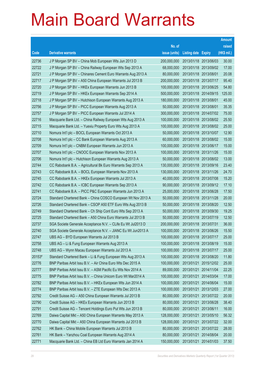|        |                                                              |               |                            |                       | <b>Amount</b> |
|--------|--------------------------------------------------------------|---------------|----------------------------|-----------------------|---------------|
|        |                                                              | No. of        |                            |                       | raised        |
| Code   | <b>Derivative warrants</b>                                   | issue (units) | <b>Listing date Expiry</b> |                       | (HK\$ mil.)   |
| 22736  | J P Morgan SP BV - China Mob European Wts Jun 2013 D         | 200,000,000   |                            | 2013/01/18 2013/06/03 | 30.00         |
| 22722  | J P Morgan SP BV - China Railway European Wts Sep 2013 A     | 68,000,000    |                            | 2013/01/18 2013/09/02 | 17.00         |
| 22721  | J P Morgan SP BV - Chinares Cement Euro Warrants Aug 2013 A  | 80,000,000    | 2013/01/18 2013/08/01      |                       | 20.08         |
| 22717  | J P Morgan SP BV - A50 China European Warrants Jul 2013 B    | 200,000,000   | 2013/01/18 2013/07/17      |                       | 95.40         |
| 22720  | J P Morgan SP BV - HKEx European Warrants Jun 2013 B         | 100,000,000   |                            | 2013/01/18 2013/06/25 | 54.80         |
| 22719  | J P Morgan SP BV - HKEx European Warrants Sep 2014 A         | 500,000,000   |                            | 2013/01/18 2014/09/15 | 125.00        |
| 22718  | J P Morgan SP BV - Hutchison European Warrants Aug 2013 A    | 180,000,000   | 2013/01/18 2013/08/01      |                       | 45.00         |
| 22756  | J P Morgan SP BV - PICC European Warrants Aug 2013 A         | 50,000,000    | 2013/01/18 2013/08/01      |                       | 35.35         |
| 22757  | J P Morgan SP BV - PICC European Warrants Jul 2014 A         | 300,000,000   |                            | 2013/01/18 2014/07/02 | 75.00         |
| 22716  | Macquarie Bank Ltd. - China Railway European Wts Aug 2013 A  | 100,000,000   |                            | 2013/01/18 2013/08/02 | 25.50         |
| 22715  | Macquarie Bank Ltd. - Yuexiu Property Euro Wts Aug 2013 A    | 100,000,000   |                            | 2013/01/18 2013/08/02 | 25.00         |
| 22710  | Nomura Int'l plc - BOCL European Warrants Oct 2013 A         | 50,000,000    |                            | 2013/01/18 2013/10/07 | 12.90         |
| 22708  | Nomura Int'l plc - CC Bank European Warrants Aug 2013 A      | 60,000,000    |                            | 2013/01/18 2013/08/02 | 15.00         |
| 22709  | Nomura Int'l plc - CNBM European Warrants Jun 2013 A         | 100,000,000   |                            | 2013/01/18 2013/06/17 | 15.00         |
| 22707  | Nomura Int'l plc - CNOOC European Warrants Nov 2013 A        | 100,000,000   | 2013/01/18 2013/11/26      |                       | 15.00         |
| 22706  | Nomura Int'l plc - Hutchison European Warrants Aug 2013 A    | 50,000,000    |                            | 2013/01/18 2013/08/02 | 13.00         |
| 22744  | CC Rabobank B.A. - Agricultural Bk Euro Warrants Sep 2013 A  | 130,000,000   |                            | 2013/01/18 2013/09/16 | 23.40         |
| 22743  | CC Rabobank B.A. - BOCL European Warrants Nov 2013 A         | 130,000,000   |                            | 2013/01/18 2013/11/26 | 24.70         |
| 22745  | CC Rabobank B.A. - HKEx European Warrants Jul 2013 A         | 40,000,000    | 2013/01/18 2013/07/08      |                       | 15.20         |
| 22742  | CC Rabobank B.A. - ICBC European Warrants Sep 2013 A         | 90,000,000    |                            | 2013/01/18 2013/09/12 | 17.10         |
| 22741  | CC Rabobank B.A. - PICC P&C European Warrants Jun 2013 A     | 25,000,000    |                            | 2013/01/18 2013/06/28 | 17.50         |
| 22724  | Standard Chartered Bank - China COSCO European Wt Nov 2013 A | 50,000,000    |                            | 2013/01/18 2013/11/28 | 20.00         |
| 22726  | Standard Chartered Bank - CSOP A50 ETF Euro Wts Aug 2013 B   | 50,000,000    | 2013/01/18 2013/08/20      |                       | 12.50         |
| 22749  | Standard Chartered Bank - Ch Ship Cont Euro Wts Sep 2013 A   | 50,000,000    |                            | 2013/01/18 2013/09/30 | 19.25         |
| 22725  | Standard Chartered Bank - A50 China Euro Warrants Jul 2013 B | 50,000,000    |                            | 2013/01/18 2013/07/19 | 12.50         |
| 22737  | SGA Societe Generale Acceptance N.V. - CLife Eu Wt Jul2013 D | 200,000,000   | 2013/01/18 2013/07/31      |                       | 36.00         |
| 22740  | SGA Societe Generale Acceptance N.V. - JIANC Eu Wt Jun2013 A | 100,000,000   |                            | 2013/01/18 2013/06/26 | 15.50         |
| 22747  | UBS AG - BYD European Warrants Jul 2013 B                    | 100,000,000   | 2013/01/18 2013/07/17      |                       | 25.00         |
| 22758  | UBS AG - Li & Fung European Warrants Aug 2013 A              | 100,000,000   | 2013/01/18 2013/08/19      |                       | 15.00         |
| 22748  | UBS AG - Wynn Macau European Warrants Jul 2013 A             | 100,000,000   | 2013/01/18 2013/07/17      |                       | 25.00         |
| 20153# | Standard Chartered Bank - Li & Fung European Wts Aug 2013 A  | 100,000,000   | 2013/01/18 2013/08/20      |                       | 11.80         |
| 22776  | BNP Paribas Arbit Issu B.V. - Air China Euro Wts Dec 2015 A  | 100,000,000   | 2013/01/21                 | 2015/12/02            | 25.00         |
| 22777  | BNP Paribas Arbit Issu B.V. - ASM Pacific Eu Wts Nov 2014 A  | 89,000,000    | 2013/01/21                 | 2014/11/04            | 22.25         |
| 22775  | BNP Paribas Arbit Issu B.V. - China Unicom Euro Wt Mar2014 A | 100,000,000   | 2013/01/21                 | 2014/03/04            | 17.00         |
| 22782  | BNP Paribas Arbit Issu B.V. - HKEx European Wts Jun 2014 A   | 100,000,000   | 2013/01/21                 | 2014/06/04            | 15.00         |
| 22774  | BNP Paribas Arbit Issu B.V. - ZTE European Wts Dec 2013 A    | 100,000,000   | 2013/01/21                 | 2013/12/03            | 27.00         |
| 22792  | Credit Suisse AG - A50 China European Warrants Jul 2013 B    | 80,000,000    | 2013/01/21                 | 2013/07/22            | 20.00         |
| 22790  | Credit Suisse AG - HKEx European Warrants Jun 2013 B         | 80,000,000    | 2013/01/21                 | 2013/06/28            | 38.40         |
| 22791  | Credit Suisse AG - Tencent Holdings Euro Put Wts Jun 2013 B  | 80,000,000    | 2013/01/21                 | 2013/06/11            | 16.00         |
| 22769  | Daiwa Capital Mkt - A50 China European Warrants May 2013 A   | 128,000,000   | 2013/01/21                 | 2013/05/10            | 56.32         |
| 22770  | Daiwa Capital Mkt - A50 China European Warrants Jul 2013 B   | 128,000,000   | 2013/01/21                 | 2013/07/22            | 32.00         |
| 22762  | HK Bank - China Mobile European Warrants Jul 2013 B          | 80,000,000    | 2013/01/21                 | 2013/07/22            | 28.00         |
| 22761  | HK Bank - Yanzhou Coal European Warrants Aug 2014 A          | 80,000,000    | 2013/01/21                 | 2014/08/04            | 20.00         |
| 22771  | Macquarie Bank Ltd. - China EB Ltd Euro Warrants Jan 2014 A  | 150,000,000   | 2013/01/21                 | 2014/01/03            | 37.50         |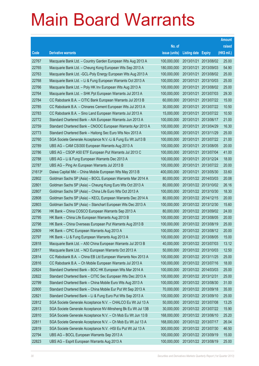|        |                                                               |               |                            |                       | <b>Amount</b> |
|--------|---------------------------------------------------------------|---------------|----------------------------|-----------------------|---------------|
|        |                                                               | No. of        |                            |                       | raised        |
| Code   | <b>Derivative warrants</b>                                    | issue (units) | <b>Listing date Expiry</b> |                       | (HK\$ mil.)   |
| 22767  | Macquarie Bank Ltd. - Country Garden European Wts Aug 2013 A  | 100,000,000   | 2013/01/21                 | 2013/08/02            | 25.00         |
| 22765  | Macquarie Bank Ltd. - Cheung Kong European Wts Sep 2013 A     | 180,000,000   | 2013/01/21                 | 2013/09/03            | 54.90         |
| 22763  | Macquarie Bank Ltd. - GCL-Poly Energy European Wts Aug 2013 A | 100,000,000   | 2013/01/21                 | 2013/08/02            | 25.00         |
| 22768  | Macquarie Bank Ltd. - Li & Fung European Warrants Oct 2013 A  | 100,000,000   | 2013/01/21                 | 2013/10/03            | 25.00         |
| 22766  | Macquarie Bank Ltd. - Poly HK Inv European Wts Aug 2013 A     | 100,000,000   | 2013/01/21                 | 2013/08/02            | 25.00         |
| 22764  | Macquarie Bank Ltd. - SHK Ppt European Warrants Jul 2013 A    | 100,000,000   | 2013/01/21                 | 2013/07/03            | 29.30         |
| 22784  | CC Rabobank B.A. - CITIC Bank European Warrants Jul 2013 B    | 60,000,000    | 2013/01/21                 | 2013/07/22            | 15.00         |
| 22785  | CC Rabobank B.A. - Chinares Cement European Wts Jul 2013 A    | 30,000,000    | 2013/01/21                 | 2013/07/22            | 10.50         |
| 22783  | CC Rabobank B.A. - Sino Land European Warrants Jul 2013 A     | 15,000,000    | 2013/01/21                 | 2013/07/22            | 10.50         |
| 22772  | Standard Chartered Bank - AIA European Warrants Jun 2013 A    | 100,000,000   | 2013/01/21                 | 2013/06/17            | 21.00         |
| 22759  | Standard Chartered Bank - CNOOC European Warrants Apr 2013 A  | 100,000,000   | 2013/01/21                 | 2013/04/29            | 16.30         |
| 22773  | Standard Chartered Bank - Haitong Sec Euro Wts Nov 2013 A     | 100,000,000   | 2013/01/21                 | 2013/11/29            | 25.00         |
| 22760  | SGA Societe Generale Acceptance N.V.-Li & Fung Eu Wt Jul13 B  | 100,000,000   | 2013/01/21                 | 2013/07/22            | 21.00         |
| 22789  | UBS AG - CAM CSI300 European Warrants Aug 2013 A              | 100,000,000   | 2013/01/21                 | 2013/08/05            | 20.00         |
| 22786  | UBS AG - CSOP A50 ETF European Put Warrants Jul 2013 C        | 100,000,000   | 2013/01/21                 | 2013/07/04            | 41.00         |
| 22788  | UBS AG - Li & Fung European Warrants Dec 2013 A               | 100,000,000   |                            | 2013/01/21 2013/12/24 | 18.00         |
| 22787  | UBS AG - Ping An European Warrants Jul 2013 B                 | 100,000,000   | 2013/01/21                 | 2013/07/22            | 20.00         |
| 21613# | Daiwa Capital Mkt - China Mobile European Wts May 2013 B      | 400,000,000   |                            | 2013/01/21 2013/05/30 | 33.60         |
| 22802  | Goldman Sachs SP (Asia) - BOCL European Warrants Mar 2014 A   | 80,000,000    |                            | 2013/01/22 2014/03/03 | 20.08         |
| 22801  | Goldman Sachs SP (Asia) - Cheung Kong Euro Wts Oct 2013 A     | 80,000,000    |                            | 2013/01/22 2013/10/02 | 26.16         |
| 22807  | Goldman Sachs SP (Asia) - China Life Euro Wts Oct 2013 A      | 100,000,000   |                            | 2013/01/22 2013/10/30 | 18.30         |
| 22808  | Goldman Sachs SP (Asia) - KECL European Warrants Dec 2014 A   | 80,000,000    |                            | 2013/01/22 2014/12/15 | 20.00         |
| 22803  | Goldman Sachs SP (Asia) - Stanchart European Wts Dec 2013 A   | 100,000,000   |                            | 2013/01/22 2013/12/30 | 15.60         |
| 22796  | HK Bank - China COSCO European Warrants Sep 2013 A            | 80,000,000    |                            | 2013/01/22 2013/09/02 | 24.00         |
| 22795  | HK Bank - China Life European Warrants Aug 2013 B             | 100,000,000   |                            | 2013/01/22 2013/08/05 | 20.00         |
| 22798  | HK Bank - China Overseas European Put Warrants Aug 2013 B     | 100,000,000   | 2013/01/22 2013/08/19      |                       | 25.00         |
| 22809  | HK Bank – CPIC European Warrants Aug 2013 A                   | 100,000,000   |                            | 2013/01/22 2013/08/12 | 20.00         |
| 22797  | HK Bank - Li & Fung European Warrants Aug 2013 A              | 100,000,000   | 2013/01/22 2013/08/05      |                       | 15.00         |
| 22818  | Macquarie Bank Ltd. - A50 China European Warrants Jul 2013 B  | 40,000,000    | 2013/01/22 2013/07/03      |                       | 13.12         |
| 22817  | Macquarie Bank Ltd. - NCI European Warrants Oct 2013 A        | 50,000,000    |                            | 2013/01/22 2013/10/03 | 12.50         |
| 22814  | CC Rabobank B.A. - China EB Ltd European Warrants Nov 2013 A  | 100,000,000   | 2013/01/22 2013/11/25      |                       | 25.00         |
| 22816  | CC Rabobank B.A. - Ch Mobile European Warrants Jul 2013 A     | 100,000,000   | 2013/01/22 2013/07/16      |                       | 18.00         |
| 22824  | Standard Chartered Bank - BOC HK European Wts Mar 2014 A      | 100,000,000   | 2013/01/22 2014/03/03      |                       | 25.00         |
| 22822  | Standard Chartered Bank - CITIC Sec European Wts Dec 2013 A   | 100,000,000   | 2013/01/22 2013/12/31      |                       | 25.00         |
| 22799  | Standard Chartered Bank - China Mobile Euro Wts Aug 2013 A    | 100,000,000   | 2013/01/22 2013/08/30      |                       | 31.00         |
| 22800  | Standard Chartered Bank - China Mobile Eur Put Wt Sep 2013 A  | 70,000,000    | 2013/01/22 2013/09/18      |                       | 35.00         |
| 22821  | Standard Chartered Bank - Li & Fung Euro Put Wts Sep 2013 A   | 100,000,000   | 2013/01/22 2013/09/10      |                       | 25.00         |
| 22812  | SGA Societe Generale Acceptance N.V. - CHALCO Eu Wt Jul 13 A  | 50,000,000    | 2013/01/22 2013/07/08      |                       | 13.25         |
| 22813  | SGA Societe Generale Acceptance NV-Minsheng Bk Eu Wt Jul 13B  | 30,000,000    | 2013/01/22 2013/07/22      |                       | 15.90         |
| 22810  | SGA Societe Generale Acceptance N.V. - Ch Mob Eu Wt Jun 13 B  | 168,000,000   | 2013/01/22 2013/06/10      |                       | 25.20         |
| 22811  | SGA Societe Generale Acceptance N.V. - Ch Mob Eu Wt Jul 13 A  | 168,000,000   | 2013/01/22 2013/07/17      |                       | 26.04         |
| 22819  | SGA Societe Generale Acceptance N.V. - HSI Eu Put Wt Jul 13 A | 300,000,000   | 2013/01/22 2013/07/30      |                       | 46.50         |
| 22794  | UBS AG - BOCL European Warrants Sep 2013 A                    | 100,000,000   | 2013/01/22 2013/09/19      |                       | 15.00         |
| 22823  | UBS AG - Esprit European Warrants Aug 2013 A                  | 100,000,000   | 2013/01/22 2013/08/19      |                       | 25.00         |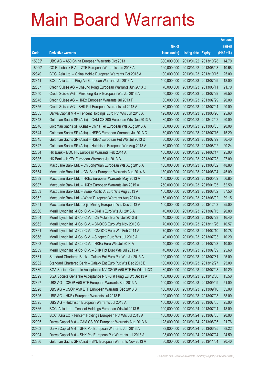|        |                                                               |               |                            |                       | <b>Amount</b> |
|--------|---------------------------------------------------------------|---------------|----------------------------|-----------------------|---------------|
|        |                                                               | No. of        |                            |                       | raised        |
| Code   | <b>Derivative warrants</b>                                    | issue (units) | <b>Listing date Expiry</b> |                       | (HK\$ mil.)   |
| 15032# | UBS AG - A50 China European Warrants Oct 2013                 | 300,000,000   |                            | 2013/01/22 2013/10/28 | 14.70         |
| 18990# | CC Rabobank B.A. - ZTE European Warrants Jun 2013 A           | 120,000,000   |                            | 2013/01/22 2013/06/03 | 10.68         |
| 22840  | BOCI Asia Ltd. - China Mobile European Warrants Oct 2013 A    | 100,000,000   | 2013/01/23 2013/10/15      |                       | 25.00         |
| 22841  | BOCI Asia Ltd. - Ping An European Warrants Jul 2013 A         | 100,000,000   |                            | 2013/01/23 2013/07/29 | 18.00         |
| 22857  | Credit Suisse AG - Cheung Kong European Warrants Jun 2013 C   | 70,000,000    | 2013/01/23 2013/06/11      |                       | 21.70         |
| 22850  | Credit Suisse AG - Minsheng Bank European Wts Jul 2013 A      | 50,000,000    | 2013/01/23 2013/07/29      |                       | 26.50         |
| 22848  | Credit Suisse AG - HKEx European Warrants Jul 2013 F          | 80,000,000    | 2013/01/23 2013/07/29      |                       | 20.00         |
| 22856  | Credit Suisse AG - SHK Ppt European Warrants Jul 2013 A       | 80,000,000    |                            | 2013/01/23 2013/07/24 | 20.00         |
| 22855  | Daiwa Capital Mkt - Tencent Holdings Euro Put Wts Jun 2013 A  | 128,000,000   |                            | 2013/01/23 2013/06/26 | 25.60         |
| 22843  | Goldman Sachs SP (Asia) - CAM CSI300 European Wts Dec 2013 A  | 80,000,000    |                            | 2013/01/23 2013/12/02 | 20.00         |
| 22846  | Goldman Sachs SP (Asia) - China Tel European Wts Aug 2013 A   | 80,000,000    |                            | 2013/01/23 2013/08/05 | 20.08         |
| 22844  | Goldman Sachs SP (Asia) - HSBC European Warrants Jul 2013 C   | 80,000,000    | 2013/01/23 2013/07/15      |                       | 15.20         |
| 22845  | Goldman Sachs SP (Asia) - HSBC European Put Wts Jul 2013 D    | 80,000,000    |                            | 2013/01/23 2013/07/29 | 36.40         |
| 22847  | Goldman Sachs SP (Asia) - Hutchison European Wts Aug 2013 A   | 80,000,000    |                            | 2013/01/23 2013/08/02 | 20.24         |
| 22834  | HK Bank - BOC HK European Warrants Feb 2014 A                 | 100,000,000   | 2013/01/23 2014/02/17      |                       | 25.00         |
| 22835  | HK Bank - HKEx European Warrants Jul 2013 B                   | 60,000,000    |                            | 2013/01/23 2013/07/23 | 27.00         |
| 22836  | Macquarie Bank Ltd. - Ch LongYuan European Wts Aug 2013 A     | 100,000,000   |                            | 2013/01/23 2013/08/02 | 48.80         |
| 22854  | Macquarie Bank Ltd. - CM Bank European Warrants Aug 2014 A    | 180,000,000   |                            | 2013/01/23 2014/08/04 | 45.00         |
| 22839  | Macquarie Bank Ltd. - HKEx European Warrants May 2013 A       | 150,000,000   | 2013/01/23 2013/05/09      |                       | 56.85         |
| 22837  | Macquarie Bank Ltd. - HKEx European Warrants Jan 2015 A       | 250,000,000   | 2013/01/23 2015/01/05      |                       | 62.50         |
| 22853  | Macquarie Bank Ltd. - Swrie Pacific A Euro Wts Aug 2013 A     | 150,000,000   |                            | 2013/01/23 2013/08/02 | 37.50         |
| 22852  | Macquarie Bank Ltd. - Wharf European Warrants Aug 2013 A      | 150,000,000   |                            | 2013/01/23 2013/08/02 | 39.15         |
| 22851  | Macquarie Bank Ltd. - Zijin Mining European Wts Dec 2013 A    | 100,000,000   |                            | 2013/01/23 2013/12/03 | 25.00         |
| 22860  | Merrill Lynch Int'l & Co. C.V. - CK(H) Euro Wts Jul 2013 A    | 40,000,000    |                            | 2013/01/23 2013/07/15 | 20.80         |
| 22864  | Merrill Lynch Int'l & Co. C.V. - Ch Mobile Eur Wt Jul 2013 B  | 40,000,000    |                            | 2013/01/23 2013/07/23 | 16.40         |
| 22862  | Merrill Lynch Int'l & Co. C.V. - CNOOC Euro Wts Nov 2013 C    | 70,000,000    |                            | 2013/01/23 2013/11/26 | 10.57         |
| 22861  | Merrill Lynch Int'l & Co. C.V. - CNOOC Euro Wts Feb 2014 A    | 70,000,000    | 2013/01/23 2014/02/10      |                       | 10.78         |
| 22858  | Merrill Lynch Int'l & Co. C.V. - Sinopec Euro Wts Jul 2013 A  | 40,000,000    | 2013/01/23 2013/07/03      |                       | 10.20         |
| 22863  | Merrill Lynch Int'l & Co. C.V. - HKEx Euro Wts Jul 2014 A     | 40,000,000    | 2013/01/23 2014/07/23      |                       | 10.00         |
| 22859  | Merrill Lynch Int'l & Co. C.V. - SHK Ppt Euro Wts Jul 2013 A  | 40,000,000    | 2013/01/23 2013/07/09      |                       | 25.60         |
| 22831  | Standard Chartered Bank - Galaxy Ent Euro Put Wts Jul 2013 A  | 100,000,000   | 2013/01/23 2013/07/31      |                       | 25.00         |
| 22832  | Standard Chartered Bank - Galaxy Ent Euro Put Wts Dec 2013 B  | 100,000,000   | 2013/01/23 2013/12/27      |                       | 25.00         |
| 22830  | SGA Societe Generale Acceptance NV-CSOP A50 ETF Eu Wt Jul13D  | 80,000,000    | 2013/01/23 2013/07/08      |                       | 19.20         |
| 22829  | SGA Societe Generale Acceptance N.V.-Li & Fung Eu Wt Dec13 A  | 100,000,000   |                            | 2013/01/23 2013/12/30 | 15.50         |
| 22827  | UBS AG - CSOP A50 ETF European Warrants Sep 2013 A            | 100,000,000   | 2013/01/23 2013/09/09      |                       | 51.00         |
| 22828  | UBS AG - CSOP A50 ETF European Warrants Sep 2013 B            | 100,000,000   | 2013/01/23 2013/09/16      |                       | 35.00         |
| 22826  | UBS AG - HKEx European Warrants Jul 2013 E                    | 100,000,000   | 2013/01/23 2013/07/08      |                       | 58.00         |
| 22825  | UBS AG - Hutchison European Warrants Jul 2013 A               | 100,000,000   | 2013/01/23 2013/07/05      |                       | 25.00         |
| 22866  | BOCI Asia Ltd. - Tencent Holdings European Wts Jul 2013 B     | 100,000,000   | 2013/01/24 2013/07/04      |                       | 18.00         |
| 22865  | BOCI Asia Ltd. - Tencent Holdings European Put Wts Jul 2013 A | 100,000,000   |                            | 2013/01/24 2013/07/05 | 20.00         |
| 22905  | Daiwa Capital Mkt - CAM CSI300 European Warrants Aug 2013 A   | 128,000,000   | 2013/01/24 2013/08/05      |                       | 21.76         |
| 22903  | Daiwa Capital Mkt - SHK Ppt European Warrants Jun 2013 A      | 98,000,000    | 2013/01/24 2013/06/25      |                       | 38.22         |
| 22904  | Daiwa Capital Mkt - SHK Ppt European Put Warrants Jul 2013 A  | 98,000,000    | 2013/01/24 2013/07/24      |                       | 24.50         |
| 22886  | Goldman Sachs SP (Asia) - BYD European Warrants Nov 2013 A    | 80,000,000    | 2013/01/24 2013/11/04      |                       | 20.40         |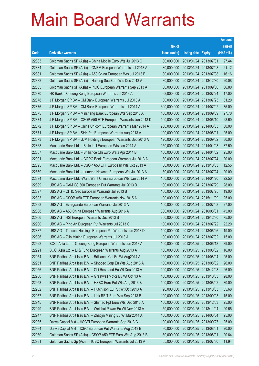|       |                                                               |               |                            |            | <b>Amount</b> |
|-------|---------------------------------------------------------------|---------------|----------------------------|------------|---------------|
|       |                                                               | No. of        |                            |            | raised        |
| Code  | <b>Derivative warrants</b>                                    | issue (units) | <b>Listing date Expiry</b> |            | (HK\$ mil.)   |
| 22883 | Goldman Sachs SP (Asia) – China Mobile Euro Wts Jul 2013 C    | 80,000,000    | 2013/01/24 2013/07/31      |            | 27.44         |
| 22884 | Goldman Sachs SP (Asia) – CNBM European Warrants Jul 2013 A   | 80,000,000    | 2013/01/24 2013/07/08      |            | 21.12         |
| 22881 | Goldman Sachs SP (Asia) – A50 China European Wts Jul 2013 B   | 80,000,000    | 2013/01/24                 | 2013/07/08 | 16.16         |
| 22882 | Goldman Sachs SP (Asia) – Haitong Sec Euro Wts Dec 2013 A     | 80,000,000    | 2013/01/24 2013/12/30      |            | 20.08         |
| 22885 | Goldman Sachs SP (Asia) – PICC European Warrants Sep 2013 A   | 80,000,000    | 2013/01/24 2013/09/30      |            | 66.80         |
| 22870 | HK Bank - Cheung Kong European Warrants Jul 2013 A            | 68,000,000    | 2013/01/24 2013/07/24      |            | 17.00         |
| 22878 | J P Morgan SP BV - CM Bank European Warrants Jul 2013 A       | 80,000,000    | 2013/01/24 2013/07/23      |            | 31.20         |
| 22876 | J P Morgan SP BV - CM Bank European Warrants Jul 2014 A       | 300,000,000   | 2013/01/24 2014/07/02      |            | 75.00         |
| 22875 | J P Morgan SP BV - Minsheng Bank European Wts Sep 2013 A      | 100,000,000   | 2013/01/24 2013/09/09      |            | 27.70         |
| 22874 | J P Morgan SP BV - CSOP A50 ETF European Warrants Jun 2013 D  | 100,000,000   | 2013/01/24 2013/06/10      |            | 28.60         |
| 22872 | J P Morgan SP BV - China Unicom European Warrants Mar 2014 A  | 200,000,000   | 2013/01/24                 | 2014/03/03 | 30.00         |
| 22871 | J P Morgan SP BV - SHK Ppt European Warrants Aug 2013 A       | 100,000,000   | 2013/01/24 2013/08/01      |            | 25.00         |
| 22873 | J P Morgan SP BV - SJM Holdings European Warrants Sep 2013 A  | 120,000,000   | 2013/01/24 2013/09/02      |            | 30.00         |
| 22868 | Macquarie Bank Ltd. - Belle Int'l European Wts Jan 2014 A     | 150,000,000   | 2013/01/24 2014/01/03      |            | 37.50         |
| 22867 | Macquarie Bank Ltd. - Brilliance Chi Euro Wats Apr 2014 B     | 100,000,000   | 2013/01/24                 | 2014/04/02 | 25.00         |
| 22901 | Macquarie Bank Ltd. - CQRC Bank European Warrants Jul 2013 A  | 80,000,000    | 2013/01/24 2013/07/24      |            | 20.00         |
| 22895 | Macquarie Bank Ltd. - CSOP A50 ETF European Wts Oct 2013 A    | 50,000,000    | 2013/01/24 2013/10/03      |            | 12.55         |
| 22869 | Macquarie Bank Ltd. - Lumena Newmat European Wts Jul 2013 A   | 80,000,000    | 2013/01/24 2013/07/24      |            | 20.00         |
| 22894 | Macquarie Bank Ltd. - Want Want China European Wts Jan 2014 A | 150,000,000   | 2013/01/24                 | 2014/01/20 | 22.50         |
| 22899 | UBS AG - CAM CSI300 European Put Warrants Jul 2013 B          | 100,000,000   | 2013/01/24 2013/07/29      |            | 28.00         |
| 22897 | UBS AG - CITIC Sec European Warrants Jul 2013 B               | 100,000,000   | 2013/01/24 2013/07/25      |            | 19.00         |
| 22893 | UBS AG - CSOP A50 ETF European Warrants Nov 2015 A            | 100,000,000   | 2013/01/24 2015/11/09      |            | 25.00         |
| 22898 | UBS AG - Evergrande European Warrants Jul 2013 A              | 100,000,000   | 2013/01/24                 | 2013/07/08 | 27.00         |
| 22888 | UBS AG - A50 China European Warrants Aug 2016 A               | 300,000,000   | 2013/01/24 2016/08/01      |            | 45.00         |
| 22906 | UBS AG - HSI European Warrants Dec 2013 B                     | 300,000,000   | 2013/01/24 2013/12/30      |            | 75.00         |
| 22900 | UBS AG – Ping An European Put Warrants Jul 2013 C             | 100,000,000   | 2013/01/24 2013/07/22      |            | 22.20         |
| 22887 | UBS AG - Tencent Holdings European Put Warrants Jun 2013 D    | 100,000,000   | 2013/01/24 2013/06/26      |            | 19.00         |
| 22896 | UBS AG - Zijin Mining European Warrants Jul 2013 A            | 100,000,000   | 2013/01/24 2013/07/02      |            | 15.00         |
| 22922 | BOCI Asia Ltd. - Cheung Kong European Warrants Jun 2013 A     | 100,000,000   | 2013/01/25 2013/06/18      |            | 39.00         |
| 22921 | BOCI Asia Ltd. - Li & Fung European Warrants Aug 2013 A       | 100,000,000   | 2013/01/25 2013/08/02      |            | 16.00         |
| 22954 | BNP Paribas Arbit Issu B.V. - Brilliance Chi Eu Wt Aug2014 A  | 100,000,000   | 2013/01/25 2014/08/04      |            | 25.00         |
| 22951 | BNP Paribas Arbit Issu B.V. - Sinopec Corp Eu Wts Aug 2013 A  | 100,000,000   | 2013/01/25 2013/08/02      |            | 26.00         |
| 22956 | BNP Paribas Arbit Issu B.V. - Chi Res Land Eu Wt Dec 2013 A   | 100,000,000   | 2013/01/25 2013/12/03      |            | 26.00         |
| 22950 | BNP Paribas Arbit Issu B.V. - Greatwall Motor Eu Wt Oct 13 A  | 100,000,000   | 2013/01/25 2013/10/03      |            | 28.00         |
| 22953 | BNP Paribas Arbit Issu B.V. - HSBC Euro Put Wts Aug 2013 B    | 100,000,000   | 2013/01/25 2013/08/02      |            | 30.00         |
| 22952 | BNP Paribas Arbit Issu B.V. - Hutchison Eu Put Wt Oct 2013 A  | 96,000,000    | 2013/01/25 2013/10/03      |            | 55.68         |
| 22957 | BNP Paribas Arbit Issu B.V. - Link REIT Euro Wts Sep 2013 B   | 100,000,000   | 2013/01/25 2013/09/03      |            | 15.00         |
| 22945 | BNP Paribas Arbit Issu B.V. - Shimao Ppt Euro Wts Dec 2013 A  | 100,000,000   | 2013/01/25 2013/12/03      |            | 25.00         |
| 22949 | BNP Paribas Arbit Issu B.V. - Weichai Power Eu Wt Nov 2013 A  | 59,000,000    | 2013/01/25 2013/11/04      |            | 20.65         |
| 22947 | BNP Paribas Arbit Issu B.V. - Zhaojin Mining Eu Wt Mar2014 A  | 100,000,000   | 2013/01/25 2014/03/04      |            | 25.00         |
| 22935 | Daiwa Capital Mkt - HSCEI European Warrants Sep 2013 C        | 100,000,000   | 2013/01/25 2013/09/27      |            | 25.00         |
| 22934 | Daiwa Capital Mkt - ICBC European Put Warrants Aug 2013 B     | 80,000,000    | 2013/01/25 2013/08/01      |            | 20.00         |
| 22930 | Goldman Sachs SP (Asia) - CSOP A50 ETF Euro Wts Aug 2013 B    | 80,000,000    | 2013/01/25 2013/08/01      |            | 20.64         |
| 22931 | Goldman Sachs Sp (Asia) - ICBC European Warrants Jul 2013 A   | 55,000,000    | 2013/01/25 2013/07/30      |            | 11.94         |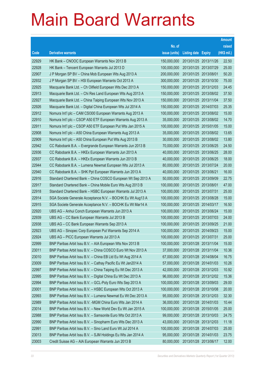|       |                                                              |               |                            | <b>Amount</b> |
|-------|--------------------------------------------------------------|---------------|----------------------------|---------------|
|       |                                                              | No. of        |                            | raised        |
| Code  | <b>Derivative warrants</b>                                   | issue (units) | <b>Listing date Expiry</b> | (HK\$ mil.)   |
| 22929 | HK Bank – CNOOC European Warrants Nov 2013 B                 | 150,000,000   | 2013/01/25 2013/11/26      | 22.50         |
| 22928 | HK Bank – Tencent European Warrants Jul 2013 D               | 100,000,000   | 2013/01/25 2013/07/29      | 25.00         |
| 22907 | J P Morgan SP BV - China Mob European Wts Aug 2013 A         | 200,000,000   | 2013/01/25 2013/08/01      | 50.20         |
| 22932 | J P Morgan SP BV - HSI European Warrants Oct 2013 A          | 300,000,000   | 2013/01/25 2013/10/30      | 75.00         |
| 22925 | Macquarie Bank Ltd. - Ch Oilfield European Wts Dec 2013 A    | 150,000,000   | 2013/01/25 2013/12/03      | 24.45         |
| 22913 | Macquarie Bank Ltd. - Chi Res Land European Wts Aug 2013 A   | 150,000,000   | 2013/01/25 2013/08/02      | 37.50         |
| 22927 | Macquarie Bank Ltd. - China Taiping European Wts Nov 2013 A  | 150,000,000   | 2013/01/25 2013/11/04      | 37.50         |
| 22926 | Macquarie Bank Ltd. - Digital China European Wts Jul 2014 A  | 150,000,000   | 2013/01/25 2014/07/03      | 25.35         |
| 22912 | Nomura Int'l plc - CAM CSI300 European Warrants Aug 2013 A   | 100,000,000   | 2013/01/25 2013/08/02      | 15.00         |
| 22910 | Nomura Int'l plc - CSOP A50 ETF European Warrants Aug 2013 A | 35,000,000    | 2013/01/25 2013/08/02      | 14.70         |
| 22911 | Nomura Int'l plc - CSOP A50 ETF European Put Wts Jan 2015 A  | 100,000,000   | 2013/01/25 2015/01/05      | 15.00         |
| 22908 | Nomura Int'l plc - A50 China European Warrants Aug 2013 A    | 35,000,000    | 2013/01/25 2013/08/02      | 13.65         |
| 22909 | Nomura Int'l plc - A50 China European Put Wts Aug 2013 B     | 30,000,000    | 2013/01/25 2013/08/02      | 13.80         |
| 22942 | CC Rabobank B.A. - Evergrande European Warrants Jun 2013 B   | 70,000,000    | 2013/01/25 2013/06/25      | 24.50         |
| 22936 | CC Rabobank B.A. - HKEx European Warrants Jun 2013 A         | 40,000,000    | 2013/01/25 2013/06/25      | 28.00         |
| 22937 | CC Rabobank B.A. - HKEx European Warrants Jun 2013 B         | 40,000,000    | 2013/01/25 2013/06/25      | 18.00         |
| 22944 | CC Rabobank B.A. - Lumena Newmat European Wts Jul 2013 A     | 80,000,000    | 2013/01/25 2013/07/24      | 20.00         |
| 22940 | CC Rabobank B.A. - SHK Ppt European Warrants Jun 2013 A      | 40,000,000    | 2013/01/25 2013/06/21      | 16.00         |
| 22916 | Standard Chartered Bank - China COSCO European Wt Sep 2013 A | 50,000,000    | 2013/01/25 2013/09/09      | 22.75         |
| 22917 | Standard Chartered Bank - China Mobile Euro Wts Aug 2013 B   | 100,000,000   | 2013/01/25 2013/08/01      | 47.00         |
| 22918 | Standard Chartered Bank - HSBC European Warrants Jul 2013 A  | 100,000,000   | 2013/01/25 2013/07/31      | 25.00         |
| 22914 | SGA Societe Generale Acceptance N.V. - BOCHK Eu Wt Aug13 A   | 100,000,000   | 2013/01/25 2013/08/28      | 15.00         |
| 22915 | SGA Societe Generale Acceptance N.V. - BOCHK Eu Wt Mar14 A   | 100,000,000   | 2013/01/25 2014/03/17      | 16.50         |
| 22920 | UBS AG - Anhui Conch European Warrants Jun 2013 A            | 100,000,000   | 2013/01/25 2013/06/24      | 15.00         |
| 22939 | UBS AG - CC Bank European Warrants Jul 2013 B                | 100,000,000   | 2013/01/25 2013/07/03      | 24.00         |
| 22938 | UBS AG – CC Bank European Warrants Sep 2013 A                | 100,000,000   | 2013/01/25 2013/09/25      | 21.00         |
| 22923 | UBS AG - Sinopec Corp European Put Warrants Sep 2014 A       | 100,000,000   | 2013/01/25 2014/09/23      | 15.00         |
| 22924 | UBS AG - PICC European Warrants Jul 2013 A                   | 100,000,000   | 2013/01/25 2013/07/31      | 25.00         |
| 22999 | BNP Paribas Arbit Issu B.V. - AIA European Wts Nov 2013 B    | 100,000,000   | 2013/01/28 2013/11/04      | 15.00         |
| 23011 | BNP Paribas Arbit Issu B.V. - China COSCO Euro Wt Nov 2013 A | 37,000,000    | 2013/01/28 2013/11/04      | 10.36         |
| 23010 | BNP Paribas Arbit Issu B.V. - China EB Ltd Eu Wt Aug 2014 A  | 67,000,000    | 2013/01/28 2014/08/04      | 16.75         |
| 23009 | BNP Paribas Arbit Issu B.V. - Cathay Pacific Eu Wt Jan2014 A | 57,000,000    | 2013/01/28 2014/01/03      | 10.26         |
| 22997 | BNP Paribas Arbit Issu B.V. - China Taiping Eu Wt Dec 2013 A | 42,000,000    | 2013/01/28 2013/12/03      | 10.92         |
| 22995 | BNP Paribas Arbit Issu B.V. - Digital China Eu Wt Dec 2013 A | 96,000,000    | 2013/01/28 2013/12/02      | 15.36         |
| 22994 | BNP Paribas Arbit Issu B.V. - GCL-Poly Euro Wts Sep 2013 A   | 100,000,000   | 2013/01/28 2013/09/03      | 29.00         |
| 23001 | BNP Paribas Arbit Issu B.V. - HSBC European Wts Oct 2013 A   | 100,000,000   | 2013/01/28 2013/10/08      | 20.00         |
| 22993 | BNP Paribas Arbit Issu B.V. - Lumena Newmat Eu Wt Dec 2013 A | 95,000,000    | 2013/01/28 2013/12/03      | 32.30         |
| 22989 | BNP Paribas Arbit Issu B.V. - MGM China Euro Wts Jan 2014 A  | 36,000,000    | 2013/01/28 2014/01/03      | 10.44         |
| 23014 | BNP Paribas Arbit Issu B.V. - New World Dev Eu Wt Jan 2015 A | 100,000,000   | 2013/01/28 2015/01/05      | 25.00         |
| 22988 | BNP Paribas Arbit Issu B.V. - Samsonite Euro Wts Oct 2013 A  | 99,000,000    | 2013/01/28 2013/10/03      | 24.75         |
| 22990 | BNP Paribas Arbit Issu B.V. - Sinopharm Euro Wts Dec 2013 A  | 43,000,000    | 2013/01/28 2013/12/03      | 11.18         |
| 22991 | BNP Paribas Arbit Issu B.V. - Sino Land Euro Wt Jul 2014 A   | 100,000,000   | 2013/01/28 2014/07/03      | 25.00         |
| 23013 | BNP Paribas Arbit Issu B.V. - SJM Holdings Eu Wts Jan 2014 A | 95,000,000    | 2013/01/28 2014/01/03      | 23.75         |
| 23003 | Credit Suisse AG - AIA European Warrants Jun 2013 B          | 80,000,000    | 2013/01/28 2013/06/17      | 12.00         |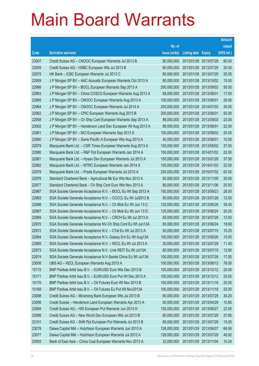|       |                                                               |               |                            | <b>Amount</b> |
|-------|---------------------------------------------------------------|---------------|----------------------------|---------------|
|       |                                                               | No. of        |                            | raised        |
| Code  | <b>Derivative warrants</b>                                    | issue (units) | <b>Listing date Expiry</b> | (HK\$ mil.)   |
| 23007 | Credit Suisse AG - CNOOC European Warrants Jul 2013 B         | 80,000,000    | 2013/01/28 2013/07/29      | 60.00         |
| 23005 | Credit Suisse AG - HSBC European Wts Jul 2013 B               | 80,000,000    | 2013/01/28 2013/07/29      | 20.00         |
| 22975 | HK Bank – ICBC European Warrants Jul 2013 C                   | 80,000,000    | 2013/01/28 2013/07/29      | 20.00         |
| 22959 | J P Morgan SP BV - AAC Acoustic European Warrants Oct 2013 A  | 60,000,000    | 2013/01/28 2013/10/02      | 15.00         |
| 22966 | J P Morgan SP BV - BOCL European Warrants Sep 2013 A          | 200,000,000   | 2013/01/28 2013/09/02      | 50.00         |
| 22963 | J P Morgan SP BV - China COSCO European Warrants Aug 2013 A   | 68,000,000    | 2013/01/28 2013/08/01      | 17.00         |
| 22965 | J P Morgan SP BV - CNOOC European Warrants Aug 2013 A         | 100,000,000   | 2013/01/28 2013/08/01      | 26.90         |
| 22964 | J P Morgan SP BV - CNOOC European Warrants Jul 2014 A         | 200,000,000   | 2013/01/28 2014/07/02      | 30.00         |
| 22962 | J P Morgan SP BV - CPIC European Warrants Aug 2013 B          | 200,000,000   | 2013/01/28 2013/08/01      | 50.00         |
| 22958 | J P Morgan SP BV - Ch Ship Cont European Warrants Sep 2013 A  | 88,000,000    | 2013/01/28 2013/09/02      | 22.00         |
| 23002 | J P Morgan SP BV - Henderson Land Dev European Wt Aug 2013 A  | 88,000,000    | 2013/01/28 2013/08/01      | 22.00         |
| 22961 | J P Morgan SP BV - NCI European Warrants Sep 2013 A           | 100,000,000   | 2013/01/28 2013/09/02      | 25.00         |
| 22960 | J P Morgan SP BV - Swrie Pacific A European Wts Aug 2013 A    | 40,000,000    | 2013/01/28 2013/08/01      | 10.00         |
| 22979 | Macquarie Bank Ltd. - CSR Times European Warrants Aug 2013 A  | 150,000,000   | 2013/01/28 2013/08/02      | 37.50         |
| 22980 | Macquarie Bank Ltd. - R&F Ppt European Warrants Jan 2014 A    | 150,000,000   | 2013/01/28 2014/01/02      | 22.50         |
| 22981 | Macquarie Bank Ltd. - Hysan Dev European Warrants Jul 2013 A  | 150,000,000   | 2013/01/28 2013/07/29      | 37.50         |
| 22982 | Macquarie Bank Ltd. - MTRC European Warrants Jan 2014 A       | 150,000,000   | 2013/01/28 2014/01/03      | 22.50         |
| 22978 | Macquarie Bank Ltd. - Prada European Warrants Jul 2015 A      | 250,000,000   | 2013/01/28 2015/07/02      | 62.50         |
| 22976 | Standard Chartered Bank - Agricultural Bk Eur Wts Nov 2013 A  | 80,000,000    | 2013/01/28 2013/11/05      | 20.00         |
| 22977 | Standard Chartered Bank – Ch Ship Cont Euro Wts Nov 2013 A    | 80,000,000    | 2013/01/28 2013/11/06      | 20.00         |
| 22967 | SGA Societe Generale Acceptance N.V. - BOCL Eu Wt Sep 2013 A  | 150,000,000   | 2013/01/28 2013/09/23      | 28.50         |
| 22983 | SGA Societe Generale Acceptance N.V. - CCCCL Eu Wt Jul2013 B  | 50,000,000    | 2013/01/28 2013/07/29      | 12.50         |
| 22986 | SGA Societe Generale Acceptance N.V. - Ch Mob Eu Wt Jun 13 C  | 120,000,000   | 2013/01/28 2013/06/26      | 38.40         |
| 22987 | SGA Societe Generale Acceptance N.V. - Ch Mob Eu Wt Jun 13 D  | 120,000,000   | 2013/01/28 2013/06/24      | 25.20         |
| 22969 | SGA Societe Generale Acceptance N.V. - CRCH Eu Wt Jul 2013 A  | 50,000,000    | 2013/01/28 2013/07/29      | 13.50         |
| 22970 | SGA Societe Generale Acceptance NV-Ch Ship Cont Eu Wt Jun13A  | 80,000,000    | 2013/01/28 2013/06/24      | 19.60         |
| 22972 | SGA Societe Generale Acceptance N.V. - CTel Eu Wt Jul 2013 A  | 50,000,000    | 2013/01/28 2013/07/15      | 10.25         |
| 22984 | SGA Societe Generale Acceptance N.V.-Galaxy Ent Eu Wt Aug13A  | 100,000,000   | 2013/01/28 2013/08/26      | 15.00         |
| 22985 | SGA Societe Generale Acceptance N.V. - KECL Eu Wt Jul 2013 A  | 30,000,000    | 2013/01/28 2013/07/29      | 11.40         |
| 22973 | SGA Societe Generale Acceptance N.V. - Link REIT Eu Wt Jul13A | 80,000,000    | 2013/01/28 2013/07/15      | 12.80         |
| 22974 | SGA Societe Generale Acceptance N.V-Sands China Eu Wt Jul13A  | 100,000,000   | 2013/01/28 2013/07/29      | 17.00         |
| 23008 | UBS AG - KECL European Warrants Aug 2013 A                    | 100,000,000   | 2013/01/28 2013/08/12      | 76.00         |
| 10172 | BNP Paribas Arbit Issu B.V. - EUR/USD Euro Wts Dec 2013 B     | 100,000,000   | 2013/01/29 2013/12/12      | 25.00         |
| 10171 | BNP Paribas Arbit Issu B.V. - EUR/USD Euro Put Wt Dec 2013 A  | 100,000,000   | 2013/01/29 2013/12/12      | 25.00         |
| 10170 | BNP Paribas Arbit Issu B.V. - Oil Futures Euro Wt Nov 2013 B  | 100,000,000   | 2013/01/29 2013/11/18      | 25.00         |
| 10169 | BNP Paribas Arbit Issu B.V. - Oil Futures Eu Put Wt Nov2013A  | 100,000,000   | 2013/01/29 2013/11/18      | 25.00         |
| 23098 | Credit Suisse AG - Minsheng Bank European Wts Jul 2013 B      | 60,000,000    | 2013/01/29 2013/07/29      | 34.20         |
| 23095 | Credit Suisse - Henderson Land European Warrants Apr 2013 A   | 60,000,000    | 2013/01/29 2013/04/29      | 10.80         |
| 23094 | Credit Suisse AG - HSI European Put Warrants Jun 2013 H       | 150,000,000   | 2013/01/29 2013/06/27      | 22.50         |
| 23096 | Credit Suisse AG - New World Dev European Wts Jul 2013 B      | 60,000,000    | 2013/01/29 2013/07/29      | 37.80         |
| 23101 | Credit Suisse AG - SHK Ppt European Put Warrants Jul 2013 B   | 60,000,000    | 2013/01/29 2013/07/29      | 15.00         |
| 23078 | Daiwa Capital Mkt - Hutchison European Warrants Jun 2013 A    | 128,000,000   | 2013/01/29 2013/06/07      | 66.56         |
| 23077 | Daiwa Capital Mkt - Hutchison European Warrants Jul 2013 A    | 128,000,000   | 2013/01/29 2013/07/29      | 49.92         |
| 23093 | Bank of East Asia - China Coal European Warrants Nov 2013 A   | 32,000,000    | 2013/01/29 2013/11/04      | 10.24         |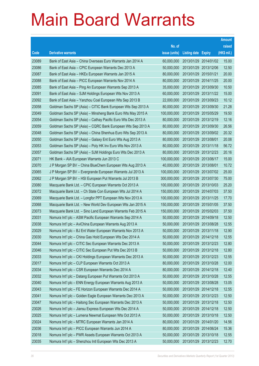|       |                                                              |               |                            |            | <b>Amount</b> |
|-------|--------------------------------------------------------------|---------------|----------------------------|------------|---------------|
|       |                                                              | No. of        |                            |            | raised        |
| Code  | <b>Derivative warrants</b>                                   | issue (units) | <b>Listing date Expiry</b> |            | (HK\$ mil.)   |
| 23089 | Bank of East Asia – China Overseas Euro Warrants Jan 2014 A  | 60,000,000    | 2013/01/29                 | 2014/01/02 | 15.00         |
| 23086 | Bank of East Asia - CPIC European Warrants Dec 2013 A        | 50,000,000    | 2013/01/29                 | 2013/12/06 | 12.50         |
| 23087 | Bank of East Asia - HKEx European Warrants Jan 2015 A        | 80,000,000    | 2013/01/29                 | 2015/01/21 | 20.00         |
| 23088 | Bank of East Asia – PICC European Warrants Nov 2014 A        | 80,000,000    | 2013/01/29 2014/11/25      |            | 20.00         |
| 23085 | Bank of East Asia - Ping An European Warrants Sep 2013 A     | 35,000,000    | 2013/01/29                 | 2013/09/30 | 10.50         |
| 23091 | Bank of East Asia - SJM Holdings European Wts Nov 2013 A     | 60,000,000    | 2013/01/29 2013/11/22      |            | 15.00         |
| 23092 | Bank of East Asia - Yanzhou Coal European Wts Sep 2013 B     | 22,000,000    | 2013/01/29                 | 2013/09/23 | 10.12         |
| 23058 | Goldman Sachs SP (Asia) – CITIC Bank European Wts Sep 2013 A | 80,000,000    | 2013/01/29 2013/09/30      |            | 21.28         |
| 23049 | Goldman Sachs SP (Asia) – Minsheng Bank Euro Wts May 2015 A  | 100,000,000   | 2013/01/29                 | 2015/05/29 | 19.50         |
| 23054 | Goldman Sachs SP (Asia) - Cathay Pacific Euro Wts Dec 2013 A | 80,000,000    | 2013/01/29 2013/12/19      |            | 12.16         |
| 23059 | Goldman Sachs SP (Asia) - CQRC Bank European Wts Sep 2013 A  | 80,000,000    | 2013/01/29                 | 2013/09/30 | 26.56         |
| 23048 | Goldman Sachs SP (Asia) – China Shenhua Euro Wts Sep 2013 A  | 80,000,000    | 2013/01/29 2013/09/02      |            | 20.32         |
| 23050 | Goldman Sachs SP (Asia) - Galaxy Ent Euro Wts Aug 2013 A     | 80,000,000    | 2013/01/29 2013/08/01      |            | 20.08         |
| 23053 | Goldman Sachs SP (Asia) - Poly HK Inv Euro Wts Nov 2013 A    | 80,000,000    | 2013/01/29 2013/11/18      |            | 56.72         |
| 23057 | Goldman Sachs SP (Asia) – SJM Holdings Euro Wts Dec 2013 A   | 80,000,000    | 2013/01/29                 | 2013/12/23 | 20.16         |
| 23071 | HK Bank - AIA European Warrants Jun 2013 C                   | 100,000,000   | 2013/01/29 2013/06/17      |            | 15.00         |
| 23070 | J P Morgan SP BV – China BlueChem European Wts Aug 2013 A    | 40,000,000    | 2013/01/29 2013/08/01      |            | 10.72         |
| 23065 | J P Morgan SP BV - Evergrande European Warrants Jul 2013 A   | 100,000,000   | 2013/01/29                 | 2013/07/02 | 25.00         |
| 23062 | J P Morgan SP BV - HSI European Put Warrants Jul 2013 B      | 300,000,000   | 2013/01/29                 | 2013/07/30 | 75.00         |
| 23080 | Macquarie Bank Ltd. - CPIC European Warrants Oct 2013 A      | 100,000,000   | 2013/01/29 2013/10/03      |            | 25.20         |
| 23072 | Macquarie Bank Ltd. - Ch State Con European Wts Jul 2014 A   | 150,000,000   | 2013/01/29                 | 2014/07/03 | 37.50         |
| 23069 | Macquarie Bank Ltd. - Longfor PPT European Wts Nov 2013 A    | 100,000,000   | 2013/01/29                 | 2013/11/25 | 17.70         |
| 23068 | Macquarie Bank Ltd. - New World Dev European Wts Jan 2015 A  | 150,000,000   | 2013/01/29                 | 2015/01/05 | 37.50         |
| 23073 | Macquarie Bank Ltd. - Sino Land European Warrants Feb 2015 A | 150,000,000   | 2013/01/29 2015/02/03      |            | 37.50         |
| 23031 | Nomura Int'l plc - ASM Pacific European Warrants Sep 2014 A  | 50,000,000    | 2013/01/29 2014/09/18      |            | 12.50         |
| 23038 | Nomura Int'l plc - AviChina European Warrants Aug 2013 A     | 50,000,000    | 2013/01/29 2013/08/28      |            | 12.55         |
| 23029 | Nomura Int'l plc - BJ Ent Water European Warrants Nov 2013 A | 50,000,000    | 2013/01/29 2013/11/18      |            | 12.90         |
| 23030 | Nomura Int'l plc - China Gas Hold European Wts Dec 2014 A    | 50,000,000    | 2013/01/29 2014/12/18      |            | 12.55         |
| 23044 | Nomura Int'l plc - CITIC Sec European Warrants Dec 2013 A    | 50,000,000    | 2013/01/29 2013/12/23      |            | 12.80         |
| 23046 | Nomura Int'l plc - CITIC Sec European Put Wts Dec 2013 B     | 50,000,000    | 2013/01/29 2013/12/18      |            | 12.80         |
| 23033 | Nomura Int'l plc - CKI Holdings European Warrants Dec 2013 A | 50,000,000    | 2013/01/29 2013/12/23      |            | 12.55         |
| 23017 | Nomura Int'l plc - CLP European Warrants Oct 2013 A          | 80,000,000    | 2013/01/29 2013/10/28      |            | 12.00         |
| 23034 | Nomura Int'l plc - CSR European Warrants Dec 2014 A          | 80,000,000    | 2013/01/29 2014/12/18      |            | 12.40         |
| 23032 | Nomura Int'l plc - Datang European Put Warrants Oct 2013 A   | 50,000,000    | 2013/01/29 2013/10/28      |            | 12.55         |
| 23040 | Nomura Int'l plc - ENN Energy European Warrants Aug 2013 A   | 50,000,000    | 2013/01/29 2013/08/28      |            | 13.05         |
| 23043 | Nomura Int'l plc - FE Horizon European Warrants Dec 2014 A   | 50,000,000    | 2013/01/29 2014/12/18      |            | 12.55         |
| 23041 | Nomura Int'l plc - Golden Eagle European Warrants Dec 2013 A | 50,000,000    | 2013/01/29                 | 2013/12/23 | 12.50         |
| 23047 | Nomura Int'l plc - Haitong Sec European Warrants Dec 2013 A  | 50,000,000    | 2013/01/29 2013/12/18      |            | 12.50         |
| 23026 | Nomura Int'l plc - Jiansu Express European Wts Dec 2014 A    | 50,000,000    | 2013/01/29 2014/12/18      |            | 12.50         |
| 23025 | Nomura Int'l plc - Lumena Newmat European Wts Oct 2013 A     | 50,000,000    | 2013/01/29 2013/10/18      |            | 12.50         |
| 23024 | Nomura Int'l plc - MTRC European Warrants Jan 2014 A         | 80,000,000    | 2013/01/29 2014/01/20      |            | 14.56         |
| 23036 | Nomura Int'l plc - PICC European Warrants Jun 2014 A         | 80,000,000    | 2013/01/29 2014/06/24      |            | 15.36         |
| 23018 | Nomura Int'l plc - PWR Assets European Warrants Oct 2013 A   | 50,000,000    | 2013/01/29 2013/10/18      |            | 12.55         |
| 23035 | Nomura Int'l plc - Shenzhou Intl European Wts Dec 2013 A     | 50,000,000    | 2013/01/29 2013/12/23      |            | 12.70         |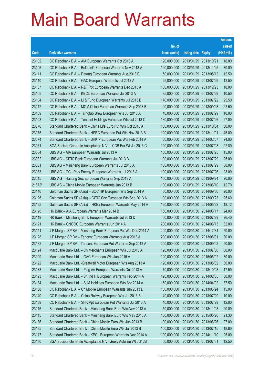|        |                                                               |               |                            | <b>Amount</b> |
|--------|---------------------------------------------------------------|---------------|----------------------------|---------------|
|        |                                                               | No. of        |                            | raised        |
| Code   | <b>Derivative warrants</b>                                    | issue (units) | <b>Listing date Expiry</b> | (HK\$ mil.)   |
| 23102  | CC Rabobank B.A. - AIA European Warrants Oct 2013 A           | 120,000,000   | 2013/01/29 2013/10/21      | 18.00         |
| 23106  | CC Rabobank B.A. - Belle Int'l European Warrants Nov 2013 A   | 120,000,000   | 2013/01/29 2013/11/25      | 30.00         |
| 23111  | CC Rabobank B.A. - Datang European Warrants Aug 2013 B        | 50,000,000    | 2013/01/29 2013/08/12      | 12.50         |
| 23110  | CC Rabobank B.A. - GAC European Warrants Jul 2013 A           | 25,000,000    | 2013/01/29 2013/07/29      | 12.50         |
| 23107  | CC Rabobank B.A. - R&F Ppt European Warrants Dec 2013 A       | 100,000,000   | 2013/01/29 2013/12/23      | 18.00         |
| 23105  | CC Rabobank B.A. - KECL European Warrants Jul 2013 A          | 35,000,000    | 2013/01/29 2013/07/29      | 10.50         |
| 23104  | CC Rabobank B.A. - Li & Fung European Warrants Jul 2013 B     | 170,000,000   | 2013/01/29 2013/07/22      | 25.50         |
| 23112  | CC Rabobank B.A. - MGM China European Warrants Sep 2013 B     | 90,000,000    | 2013/01/29 2013/09/23      | 22.50         |
| 23109  | CC Rabobank B.A. - Tsingtao Brew European Wts Jul 2013 A      | 40,000,000    | 2013/01/29 2013/07/29      | 10.00         |
| 23103  | CC Rabobank B.A. - Tencent Holdings European Wts Jul 2013 C   | 180,000,000   | 2013/01/29 2013/07/26      | 27.00         |
| 23076  | Standard Chartered Bank - China Life Euro Put Wts Oct 2013 A  | 100,000,000   | 2013/01/29 2013/10/04      | 30.00         |
| 23075  | Standard Chartered Bank - HSBC European Put Wts Nov 2013 B    | 100,000,000   | 2013/01/29 2013/11/01      | 45.00         |
| 23074  | Standard Chartered Bank - SHK P European Put Wts Feb 2014 A   | 80,000,000    | 2013/01/29 2014/02/07      | 24.00         |
| 23061  | SGA Societe Generale Acceptance N.V. - CCB Eur Wt Jul 2013 C  | 120,000,000   | 2013/01/29 2013/07/08      | 22.80         |
| 23084  | UBS AG - AIA European Warrants Jul 2013 A                     | 100,000,000   | 2013/01/29 2013/07/25      | 15.00         |
| 23082  | UBS AG - CITIC Bank European Warrants Jul 2013 B              | 100,000,000   | 2013/01/29 2013/07/29      | 25.00         |
| 23081  | UBS AG - Minsheng Bank European Warrants Jul 2013 A           | 100,000,000   | 2013/01/29 2013/07/29      | 68.00         |
| 23083  | UBS AG - GCL-Poly Energy European Warrants Jul 2013 A         | 100,000,000   | 2013/01/29 2013/07/26      | 23.00         |
| 23015  | UBS AG - Haitong Sec European Warrants Sep 2013 A             | 100,000,000   | 2013/01/29 2013/09/24      | 20.00         |
| 21672# | UBS AG - China Mobile European Warrants Jun 2013 B            | 100,000,000   | 2013/01/29 2013/06/10      | 12.70         |
| 23146  | Goldman Sachs SP (Asia) - BOC HK European Wts Sep 2014 A      | 80,000,000    | 2013/01/30 2014/09/30      | 20.00         |
| 23126  | Goldman Sachs SP (Asia) - CITIC Sec European Wts Sep 2013 A   | 100,000,000   | 2013/01/30 2013/09/23      | 25.60         |
| 23125  | Goldman Sachs SP (Asia) - HKEx European Warrants May 2014 A   | 120,000,000   | 2013/01/30 2014/05/22      | 18.12         |
| 23120  | HK Bank - AIA European Warrants Mar 2014 B                    | 150,000,000   | 2013/01/30 2014/03/17      | 24.00         |
| 23119  | HK Bank - Minsheng Bank European Warrants Jul 2013 D          | 60,000,000    | 2013/01/30 2013/07/29      | 26.40         |
| 23121  | HK Bank - CNOOC European Warrants Jun 2014 A                  | 200,000,000   | 2013/01/30 2014/06/13      | 32.00         |
| 23141  | J P Morgan SP BV – Minsheng Bank European Put Wts Dec 2014 A  | 200,000,000   | 2013/01/30 2014/12/31      | 50.00         |
| 23128  | J P Morgan SP BV - Tencent European Warrants Aug 2013 A       | 200,000,000   | 2013/01/30 2013/08/01      | 30.00         |
| 23132  | J P Morgan SP BV - Tencent European Put Warrants Sep 2013 A   | 200,000,000   | 2013/01/30 2013/09/02      | 50.00         |
| 23124  | Macquarie Bank Ltd. - Ch Merchants European Wts Jul 2013 A    | 120,000,000   | 2013/01/30 2013/07/30      | 30.00         |
| 23129  | Macquarie Bank Ltd. - GAC European Wts Jun 2015 A             | 120,000,000   | 2013/01/30 2015/06/02      | 30.00         |
| 23122  | Macquarie Bank Ltd. - Greatwall Motor European Wts Aug 2013 A | 120,000,000   | 2013/01/30 2013/08/02      | 30.00         |
| 23133  | Macquarie Bank Ltd. - Ping An European Warrants Oct 2013 A    | 70,000,000    | 2013/01/30 2013/10/03      | 17.50         |
| 23123  | Macquarie Bank Ltd. - Sh Ind H European Warrants Feb 2014 A   | 120,000,000   | 2013/01/30 2014/02/05      | 30.00         |
| 23134  | Macquarie Bank Ltd. - SJM Holdings European Wts Apr 2014 A    | 150,000,000   | 2013/01/30 2014/04/02      | 37.50         |
| 23138  | CC Rabobank B.A. - Ch Mobile European Warrants Jun 2013 D     | 100,000,000   | 2013/01/30 2013/06/24      | 15.00         |
| 23140  | CC Rabobank B.A. - China Railway European Wts Jul 2013 B      | 40,000,000    | 2013/01/30 2013/07/29      | 10.00         |
| 23139  | CC Rabobank B.A. - SHK Ppt European Put Warrants Jul 2013 A   | 40,000,000    | 2013/01/30 2013/07/29      | 12.00         |
| 23116  | Standard Chartered Bank - Minsheng Bank Euro Wts Nov 2013 A   | 50,000,000    | 2013/01/30 2013/11/08      | 20.00         |
| 23115  | Standard Chartered Bank - Minsheng Bank Euro Wts May 2015 A   | 100,000,000   | 2013/01/30 2015/05/26      | 21.30         |
| 23136  | Standard Chartered Bank - China Mobile Euro Wts Jun 2013 B    | 100,000,000   | 2013/01/30 2013/06/26      | 27.00         |
| 23135  | Standard Chartered Bank - China Mobile Euro Wts Jul 2013 B    | 100,000,000   | 2013/01/30 2013/07/15      | 18.80         |
| 23117  | Standard Chartered Bank - KECL European Warrants Nov 2014 A   | 100,000,000   | 2013/01/30 2014/11/10      | 25.00         |
| 23130  | SGA Societe Generale Acceptance N.V.-Geely Auto Eu Wt Jul13B  | 50,000,000    | 2013/01/30 2013/07/31      | 12.50         |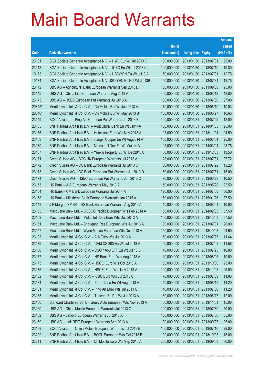|        |                                                              |               |                            |                       | <b>Amount</b> |
|--------|--------------------------------------------------------------|---------------|----------------------------|-----------------------|---------------|
|        |                                                              | No. of        |                            |                       | raised        |
| Code   | <b>Derivative warrants</b>                                   | issue (units) | <b>Listing date Expiry</b> |                       | (HK\$ mil.)   |
| 23131  | SGA Societe Generale Acceptance N.V. - HWL Eur Wt Jul 2013 C | 100,000,000   | 2013/01/30 2013/07/31      |                       | 25.00         |
| 23118  | SGA Societe Generale Acceptance N.V. - ICBC Eu Wt Jul 2013 C | 120,000,000   |                            | 2013/01/30 2013/07/10 | 19.80         |
| 10173  | SGA Societe Generale Acceptance N.V. - USD/YEN Eu Wt Jul13 A | 50,000,000    | 2013/01/30 2013/07/31      |                       | 12.75         |
| 10174  | SGA Societe Generale Acceptance N.V-USD/YEN Eu Put Wt Jul13B | 50,000,000    | 2013/01/30 2013/07/31      |                       | 12.75         |
| 23142  | UBS AG - Agricultural Bank European Warrants Sep 2013 B      | 100,000,000   |                            | 2013/01/30 2013/09/09 | 25.00         |
| 23145  | UBS AG - China Life European Warrants Aug 2013 A             | 300,000,000   |                            | 2013/01/30 2013/08/12 | 48.00         |
| 23143  | UBS AG - HSBC European Put Warrants Jul 2013 A               | 100,000,000   |                            | 2013/01/30 2013/07/30 | 27.00         |
| 20845# | Merrill Lynch Int'l & Co. C.V. - Ch Mobile Eur Wt Jun 2013 A | 170,000,000   |                            | 2013/01/30 2013/06/10 | 10.03         |
| 20846# | Merrill Lynch Int'l & Co. C.V. - Ch Mobile Eur Wt May 2013 B | 130,000,000   |                            | 2013/01/30 2013/05/27 | 10.66         |
| 23149  | BOCI Asia Ltd. - Ping An European Put Warrants Jul 2013 B    | 100,000,000   |                            | 2013/01/31 2013/07/29 | 18.00         |
| 23165  | BNP Paribas Arbit Issu B.V. - Agricultural Bank Eu Wt Jan14A | 100,000,000   | 2013/01/31                 | 2014/01/03            | 25.00         |
| 23166  | BNP Paribas Arbit Issu B.V. - Hutchison Euro Wts Nov 2013 A  | 98,000,000    | 2013/01/31                 | 2013/11/04            | 24.50         |
| 23168  | BNP Paribas Arbit Issu B.V. - Jiangxi Copper Eu Wt Aug2014 A | 100,000,000   |                            | 2013/01/31 2014/08/04 | 25.00         |
| 23170  | BNP Paribas Arbit Issu B.V. - Melco Int'l Dev Eu Wt Mar 14 A | 95,000,000    |                            | 2013/01/31 2014/03/04 | 23.75         |
| 23167  | BNP Paribas Arbit Issu B.V. - Yuexiu Property Eu Wt Dec2013A | 50,000,000    | 2013/01/31                 | 2013/12/03            | 13.50         |
| 23171  | Credit Suisse AG - BOC HK European Warrants Jul 2013 A       | 28,000,000    | 2013/01/31 2013/07/31      |                       | 27.72         |
| 23172  | Credit Suisse AG - CC Bank European Warrants Jul 2013 C      | 60,000,000    |                            | 2013/01/31 2013/07/22 | 13.20         |
| 23173  | Credit Suisse AG - CC Bank European Put Warrants Jul 2013 D  | 60,000,000    | 2013/01/31 2013/07/31      |                       | 15.00         |
| 23174  | Credit Suisse AG - HSBC European Put Warrants Jun 2013 C     | 70,000,000    | 2013/01/31                 | 2013/06/28            | 10.50         |
| 23153  | HK Bank - AIA European Warrants May 2013 A                   | 150,000,000   | 2013/01/31                 | 2013/05/28            | 22.50         |
| 23154  | HK Bank - CM Bank European Warrants Jul 2014 A               | 120,000,000   | 2013/01/31                 | 2014/07/08            | 30.00         |
| 23158  | HK Bank - Minsheng Bank European Warrants Jan 2015 A         | 150,000,000   |                            | 2013/01/31 2015/01/26 | 37.50         |
| 23148  | J P Morgan SP BV - HS Bank European Warrants Aug 2013 A      | 40,000,000    | 2013/01/31                 | 2013/08/01            | 10.00         |
| 23155  | Macquarie Bank Ltd. - COSCO Pacific European Wts Feb 2014 A  | 150,000,000   | 2013/01/31                 | 2014/02/05            | 37.50         |
| 23152  | Macquarie Bank Ltd. - Melco Int'l Dev Euro Wts Dec 2013 A    | 150,000,000   | 2013/01/31                 | 2013/12/03            | 37.50         |
| 23151  | Macquarie Bank Ltd. - Shougang Res European Wts Jul 2013 A   | 80,000,000    | 2013/01/31                 | 2013/07/31            | 20.00         |
| 23157  | Macquarie Bank Ltd. - Wynn Macau European Wts Oct 2013 A     | 150,000,000   | 2013/01/31                 | 2013/10/03            | 24.60         |
| 23183  | Merrill Lynch Int'l & Co. C.V. - AIA Euro Wts Jul 2013 A     | 60,000,000    |                            | 2013/01/31 2013/07/25 | 11.64         |
| 23179  | Merrill Lynch Int'l & Co. C.V. - CAM CSI300 Eu Wt Jul 2013 A | 60,000,000    | 2013/01/31                 | 2013/07/08            | 11.58         |
| 23180  | Merrill Lynch Int'l & Co. C.V. - CSOP A50 ETF Eu Wt Jul 13 B | 40,000,000    |                            | 2013/01/31 2013/07/25 | 16.80         |
| 23177  | Merrill Lynch Int'l & Co. C.V. - HS Bank Euro Wts Aug 2013 A | 40,000,000    |                            | 2013/01/31 2013/08/05 | 10.60         |
| 23175  | Merrill Lynch Int'l & Co. C.V. - HSCEI Euro Wts Oct 2013 A   | 100,000,000   | 2013/01/31                 | 2013/10/30            | 25.00         |
| 23176  | Merrill Lynch Int'l & Co. C.V. - HSCEI Euro Wts Nov 2013 A   | 100,000,000   | 2013/01/31                 | 2013/11/28            | 25.00         |
| 23182  | Merrill Lynch Int'l & Co. C.V. - ICBC Euro Wts Jul 2013 C    | 70,000,000    | 2013/01/31                 | 2013/07/09            | 11.06         |
| 23184  | Merrill Lynch Int'l & Co. C.V. - PetroChina Eu Wt Aug 2013 A | 40,000,000    |                            | 2013/01/31 2013/08/12 | 14.20         |
| 23181  | Merrill Lynch Int'l & Co. C.V. - Ping An Euro Wts Jul 2013 C | 40,000,000    |                            | 2013/01/31 2013/07/30 | 11.20         |
| 23185  | Merrill Lynch Int'l & Co. C.V. - Tencent Eu Put Wt Jun2013 A | 80,000,000    | 2013/01/31                 | 2013/06/17            | 12.00         |
| 23150  | Standard Chartered Bank - Geely Auto European Wts Nov 2013 A | 50,000,000    | 2013/01/31                 | 2013/11/01            | 15.00         |
| 23160  | UBS AG - China Mobile European Warrants Jul 2013 C           | 200,000,000   | 2013/01/31                 | 2013/07/30            | 50.00         |
| 23162  | UBS AG - Lenovo European Warrants Jul 2013 A                 | 100,000,000   | 2013/01/31                 | 2013/07/30            | 35.00         |
| 23159  | UBS AG - Link REIT European Warrants Sep 2013 A              | 100,000,000   | 2013/01/31                 | 2013/09/27            | 25.00         |
| 23189  | BOCI Asia Ltd. - China Mobile European Warrants Jul 2013 B   | 100,000,000   | 2013/02/01                 | 2013/07/16            | 29.00         |
| 23209  | BNP Paribas Arbit Issu B.V. - BOCL European Wts Oct 2013 B   | 100,000,000   | 2013/02/01                 | 2013/10/03            | 15.00         |
| 23211  | BNP Paribas Arbit Issu B.V. - Ch Mobile Euro Wts Sep 2013 A  | 200,000,000   | 2013/02/01                 | 2013/09/03            | 30.00         |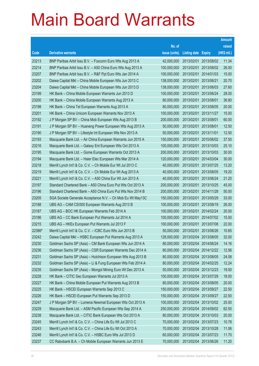|        |                                                              |               |                            |                       | <b>Amount</b> |
|--------|--------------------------------------------------------------|---------------|----------------------------|-----------------------|---------------|
|        |                                                              | No. of        |                            |                       | raised        |
| Code   | <b>Derivative warrants</b>                                   | issue (units) | <b>Listing date Expiry</b> |                       | (HK\$ mil.)   |
| 23213  | BNP Paribas Arbit Issu B.V. - Foxconn Euro Wts Aug 2013 A    | 42,000,000    | 2013/02/01                 | 2013/08/02            | 11.34         |
| 23214  | BNP Paribas Arbit Issu B.V. - A50 China Euro Wts Aug 2013 A  | 100,000,000   | 2013/02/01                 | 2013/08/02            | 26.00         |
| 23207  | BNP Paribas Arbit Issu B.V. - R&F Ppt Euro Wts Jan 2014 A    | 100,000,000   | 2013/02/01                 | 2014/01/03            | 15.00         |
| 23202  | Daiwa Capital Mkt - China Mobile European Wts Jun 2013 C     | 138,000,000   | 2013/02/01                 | 2013/06/21            | 20.70         |
| 23204  | Daiwa Capital Mkt - China Mobile European Wts Jun 2013 D     | 138,000,000   | 2013/02/01                 | 2013/06/03            | 27.60         |
| 23199  | HK Bank - China Mobile European Warrants Jun 2013 D          | 100,000,000   | 2013/02/01                 | 2013/06/24            | 28.00         |
| 23200  | HK Bank - China Mobile European Warrants Aug 2013 A          | 80,000,000    | 2013/02/01                 | 2013/08/01            | 36.80         |
| 23198  | HK Bank - China Tel European Warrants Aug 2013 A             | 80,000,000    | 2013/02/01                 | 2013/08/05            | 20.00         |
| 23201  | HK Bank - China Unicom European Warrants Nov 2013 A          | 100,000,000   | 2013/02/01                 | 2013/11/27            | 15.00         |
| 23192  | J P Morgan SP BV - China Mob European Wts Aug 2013 B         | 200,000,000   | 2013/02/01                 | 2013/08/01            | 60.00         |
| 23191  | J P Morgan SP BV - Huaneng Power European Wts Aug 2013 A     | 50,000,000    | 2013/02/01                 | 2013/08/01            | 12.50         |
| 23190  | J P Morgan SP BV - Lifestyle Int European Wts Nov 2013 A     | 50,000,000    | 2013/02/01                 | 2013/11/01            | 12.50         |
| 23193  | Macquarie Bank Ltd. - Air China European Warrants Jun 2015 A | 150,000,000   | 2013/02/01                 | 2015/06/02            | 37.50         |
| 23216  | Macquarie Bank Ltd. - Galaxy Ent European Wts Oct 2013 A     | 100,000,000   | 2013/02/01                 | 2013/10/03            | 25.10         |
| 23195  | Macquarie Bank Ltd. - Gome European Warrants Oct 2013 A      | 200,000,000   | 2013/02/01                 | 2013/10/03            | 30.00         |
| 23194  | Macquarie Bank Ltd. - Haier Elec European Wts Mar 2014 A     | 120,000,000   | 2013/02/01                 | 2014/03/04            | 30.00         |
| 23218  | Merrill Lynch Int'l & Co. C.V. - Ch Mobile Eur Wt Jul 2013 C | 40,000,000    | 2013/02/01                 | 2013/07/25            | 13.20         |
| 23219  | Merrill Lynch Int'l & Co. C.V. - Ch Mobile Eur Wt Aug 2013 A | 40,000,000    | 2013/02/01                 | 2013/08/05            | 19.20         |
| 23221  | Merrill Lynch Int'l & Co. C.V. - A50 China Eur Wt Jun 2013 A | 40,000,000    | 2013/02/01                 | 2013/06/24            | 21.20         |
| 23197  | Standard Chartered Bank - A50 China Euro Put Wts Oct 2013 A  | 200,000,000   | 2013/02/01                 | 2013/10/25            | 45.00         |
| 23196  | Standard Chartered Bank - A50 China Euro Put Wts Nov 2014 B  | 200,000,000   | 2013/02/01                 | 2014/11/28            | 50.00         |
| 23205  | SGA Societe Generale Acceptance N.V. - Ch Mob Eu Wt May13C   | 150,000,000   | 2013/02/01                 | 2013/05/29            | 33.00         |
| 23188  | UBS AG - CAM CSI300 European Warrants Aug 2013 B             | 100,000,000   | 2013/02/01                 | 2013/08/19            | 26.00         |
| 23187  | UBS AG - BOC HK European Warrants Feb 2014 A                 | 100,000,000   | 2013/02/01                 | 2014/02/24            | 20.00         |
| 23186  | UBS AG - CC Bank European Put Warrants Jul 2014 A            | 100,000,000   | 2013/02/01                 | 2014/07/02            | 15.00         |
| 23215  | UBS AG - HKEx European Put Warrants Jul 2013 F               | 100,000,000   | 2013/02/01                 | 2013/07/08            | 22.00         |
| 22386# | Merrill Lynch Int'l & Co. C.V. - ICBC Euro Wts Jun 2013 B    | 50,000,000    | 2013/02/01                 | 2013/06/26            | 10.65         |
| 23242  | Daiwa Capital Mkt - HSBC European Put Warrants Aug 2013 A    | 128,000,000   |                            | 2013/02/04 2013/08/05 | 32.00         |
| 23230  | Goldman Sachs SP (Asia) - CM Bank European Wts Jun 2014 A    | 80,000,000    | 2013/02/04                 | 2014/06/24            | 14.16         |
| 23236  | Goldman Sachs SP (Asia) - CSR European Warrants Dec 2014 A   | 80,000,000    |                            | 2013/02/04 2014/12/22 | 12.56         |
| 23231  | Goldman Sachs SP (Asia) - Hutchison European Wts Aug 2013 B  | 80,000,000    | 2013/02/04                 | 2013/08/05            | 24.08         |
| 23232  | Goldman Sachs SP (Asia) - Li & Fung European Wts Feb 2014 A  | 80,000,000    | 2013/02/04                 | 2014/02/25            | 12.24         |
| 23235  | Goldman Sachs SP (Asia) - Mongol Mining Euro Wt Dec 2013 A   | 50,000,000    | 2013/02/04                 | 2013/12/23            | 19.50         |
| 23228  | HK Bank - CITIC Sec European Warrants Jul 2013 A             | 100,000,000   | 2013/02/04                 | 2013/07/29            | 18.00         |
| 23227  | HK Bank - China Mobile European Put Warrants Aug 2013 B      | 80,000,000    | 2013/02/04                 | 2013/08/05            | 20.00         |
| 23225  | HK Bank - HSCEI European Warrants Sep 2013 C                 | 150,000,000   |                            | 2013/02/04 2013/09/27 | 22.50         |
| 23226  | HK Bank - HSCEI European Put Warrants Sep 2013 D             | 150,000,000   | 2013/02/04                 | 2013/09/27            | 22.50         |
| 23247  | J P Morgan SP BV - Lumena Newmat European Wts Oct 2013 A     | 100,000,000   | 2013/02/04                 | 2013/10/02            | 25.00         |
| 23229  | Macquarie Bank Ltd. - ASM Pacific European Wts Sep 2014 A    | 250,000,000   | 2013/02/04                 | 2014/09/02            | 62.50         |
| 23238  | Macquarie Bank Ltd. - CITIC Bank European Wts Oct 2013 A     | 80,000,000    |                            | 2013/02/04 2013/10/03 | 20.00         |
| 23245  | Merrill Lynch Int'l & Co. C.V. - China Life Eu Wt Jul 2013 C | 70,000,000    | 2013/02/04                 | 2013/07/23            | 10.78         |
| 23243  | Merrill Lynch Int'l & Co. C.V. - China Life Eu Wt Oct 2013 A | 70,000,000    |                            | 2013/02/04 2013/10/28 | 11.06         |
| 23246  | Merrill Lynch Int'l & Co. C.V. - HSBC Euro Wts Jul 2013 D    | 60,000,000    | 2013/02/04                 | 2013/07/23            | 11.70         |
| 23237  | CC Rabobank B.A. - Ch Mobile European Warrants Jun 2013 E    | 70,000,000    |                            | 2013/02/04 2013/06/26 | 11.20         |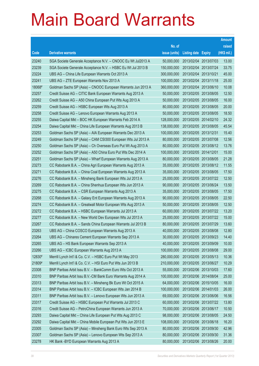|        |                                                              |               |                       | <b>Amount</b> |
|--------|--------------------------------------------------------------|---------------|-----------------------|---------------|
|        |                                                              | No. of        |                       | raised        |
| Code   | <b>Derivative warrants</b>                                   | issue (units) | Listing date Expiry   | (HK\$ mil.)   |
| 23240  | SGA Societe Generale Acceptance N.V. - CNOOC Eu Wt Jul2013 A | 50,000,000    | 2013/02/04 2013/07/03 | 13.00         |
| 23239  | SGA Societe Generale Acceptance N.V. - HSBC Eu Wt Jul 2013 B | 150,000,000   | 2013/02/04 2013/07/24 | 33.75         |
| 23224  | UBS AG - China Life European Warrants Oct 2013 A             | 300,000,000   | 2013/02/04 2013/10/21 | 45.00         |
| 23241  | UBS AG - ZTE European Warrants Nov 2013 A                    | 100,000,000   | 2013/02/04 2013/11/18 | 25.00         |
| 18068# | Goldman Sachs SP (Asia) - CNOOC European Warrants Jun 2013 A | 360,000,000   | 2013/02/04 2013/06/10 | 10.08         |
| 23257  | Credit Suisse AG - CITIC Bank European Warrants Aug 2013 A   | 50,000,000    | 2013/02/05 2013/08/05 | 12.50         |
| 23262  | Credit Suisse AG - A50 China European Put Wts Aug 2013 A     | 50,000,000    | 2013/02/05 2013/08/05 | 16.00         |
| 23259  | Credit Suisse AG - HSBC European Wts Aug 2013 A              | 80,000,000    | 2013/02/05 2013/08/05 | 20.00         |
| 23258  | Credit Suisse AG - Lenovo European Warrants Aug 2013 A       | 50,000,000    | 2013/02/05 2013/08/05 | 18.50         |
| 23255  | Daiwa Capital Mkt - BOC HK European Warrants Feb 2014 A      | 128,000,000   | 2013/02/05 2014/02/10 | 24.32         |
| 23254  | Daiwa Capital Mkt - China Life European Warrants Aug 2013 B  | 138,000,000   | 2013/02/05 2013/08/05 | 45.54         |
| 23253  | Goldman Sachs SP (Asia) - AIA European Warrants Dec 2013 A   | 100,000,000   | 2013/02/05 2013/12/31 | 15.40         |
| 23249  | Goldman Sachs SP (Asia) - CAM CSI300 European Wts Jul 2013 A | 80,000,000    | 2013/02/05 2013/07/08 | 12.56         |
| 23250  | Goldman Sachs SP (Asia) - Ch Overseas Euro Put Wt Aug 2013 A | 80,000,000    | 2013/02/05 2013/08/12 | 13.76         |
| 23252  | Goldman Sachs SP (Asia) - A50 China Euro Put Wts Dec 2014 A  | 100,000,000   | 2013/02/05 2014/12/01 | 15.00         |
| 23251  | Goldman Sachs SP (Asia) - Wharf European Warrants Aug 2013 A | 80,000,000    | 2013/02/05 2013/08/05 | 21.28         |
| 23273  | CC Rabobank B.A. - China Agri European Warrants Aug 2013 A   | 35,000,000    | 2013/02/05 2013/08/12 | 11.55         |
| 23271  | CC Rabobank B.A. - China Coal European Warrants Aug 2013 A   | 35,000,000    | 2013/02/05 2013/08/05 | 17.50         |
| 23276  | CC Rabobank B.A. - Minsheng Bank European Wts Jul 2013 A     | 25,000,000    | 2013/02/05 2013/07/22 | 12.50         |
| 23269  | CC Rabobank B.A. - China Shenhua European Wts Jun 2013 A     | 90,000,000    | 2013/02/05 2013/06/24 | 13.50         |
| 23275  | CC Rabobank B.A. - CSR European Warrants Aug 2013 A          | 35,000,000    | 2013/02/05 2013/08/05 | 17.50         |
| 23268  | CC Rabobank B.A. - Galaxy Ent European Warrants Aug 2013 A   | 90,000,000    | 2013/02/05 2013/08/05 | 22.50         |
| 23274  | CC Rabobank B.A. - Greatwall Motor European Wts Aug 2013 A   | 50,000,000    | 2013/02/05 2013/08/05 | 12.50         |
| 23272  | CC Rabobank B.A. - HSBC European Warrants Jul 2013 A         | 60,000,000    | 2013/02/05 2013/07/22 | 13.20         |
| 23277  | CC Rabobank B.A. - New World Dev European Wts Jul 2013 A     | 25,000,000    | 2013/02/05 2013/07/22 | 15.00         |
| 23267  | CC Rabobank B.A. - Sands China European Warrants Jul 2013 B  | 80,000,000    | 2013/02/05 2013/07/29 | 13.60         |
| 23263  | UBS AG - China COSCO European Warrants Aug 2013 A            | 40,000,000    | 2013/02/05 2013/08/08 | 12.80         |
| 23264  | UBS AG - Chinares Cement European Warrants Sep 2013 A        | 30,000,000    | 2013/02/05 2013/09/23 | 14.40         |
| 23265  | UBS AG - HS Bank European Warrants Sep 2013 A                | 40,000,000    | 2013/02/05 2013/09/09 | 10.00         |
| 23266  | UBS AG - ICBC European Warrants Aug 2013 A                   | 100,000,000   | 2013/02/05 2013/08/08 | 29.00         |
| 12830# | Merrill Lynch Int'l & Co. C.V. - HSBC Euro Put Wt May 2013   | 280,000,000   | 2013/02/05 2013/05/13 | 10.36         |
| 21809# | Merrill Lynch Int'l & Co. C.V. - HSI Euro Put Wts Jun 2013 B | 210,000,000   | 2013/02/05 2013/06/27 | 10.29         |
| 23308  | BNP Paribas Arbit Issu B.V. - BankComm Euro Wts Oct 2013 A   | 55,000,000    | 2013/02/06 2013/10/03 | 17.60         |
| 23310  | BNP Paribas Arbit Issu B.V.-CM Bank Euro Warrants Aug 2014 A | 100,000,000   | 2013/02/06 2014/08/04 | 25.00         |
| 23313  | BNP Paribas Arbit Issu B.V. - Minsheng Bk Euro Wt Oct 2015 A | 64,000,000    | 2013/02/06 2015/10/05 | 16.00         |
| 23314  | BNP Paribas Arbit Issu B.V. - ICBC European Wts Jan 2014 B   | 100,000,000   | 2013/02/06 2014/01/03 | 26.00         |
| 23311  | BNP Paribas Arbit Issu B.V. - Lenovo European Wts Jun 2013 A | 69,000,000    | 2013/02/06 2013/06/06 | 16.56         |
| 23317  | Credit Suisse AG - HSBC European Put Warrants Jul 2013 C     | 60,000,000    | 2013/02/06 2013/07/22 | 13.80         |
| 23316  | Credit Suisse AG - PetroChina European Warrants Jun 2013 A   | 70,000,000    | 2013/02/06 2013/06/17 | 10.50         |
| 23293  | Daiwa Capital Mkt - China Life European Put Wts Aug 2013 C   | 98,000,000    | 2013/02/06 2013/08/05 | 24.50         |
| 23292  | Daiwa Capital Mkt - China Mobile European Put Wts Jun 2013 E | 108,000,000   | 2013/02/06 2013/06/18 | 16.20         |
| 23305  | Goldman Sachs SP (Asia) - Minsheng Bank Euro Wts Sep 2013 A  | 80,000,000    | 2013/02/06 2013/09/30 | 42.96         |
| 23307  | Goldman Sachs SP (Asia) - Lenovo European Wts Sep 2013 A     | 80,000,000    | 2013/02/06 2013/09/30 | 31.36         |
| 23278  | HK Bank - BYD European Warrants Aug 2013 A                   | 80,000,000    | 2013/02/06 2013/08/26 | 20.00         |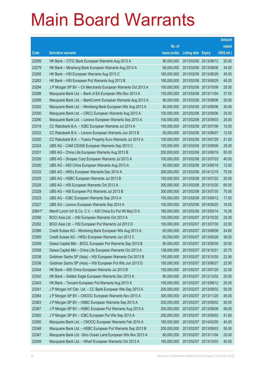|        |                                                               |               |                       |            | <b>Amount</b> |
|--------|---------------------------------------------------------------|---------------|-----------------------|------------|---------------|
|        |                                                               | No. of        |                       |            | raised        |
| Code   | <b>Derivative warrants</b>                                    | issue (units) | Listing date Expiry   |            | $(HK$$ mil.)  |
| 23289  | HK Bank – CITIC Bank European Warrants Aug 2013 A             | 80,000,000    | 2013/02/06 2013/08/12 |            | 20.00         |
| 23279  | HK Bank – Minsheng Bank European Warrants Aug 2013 A          | 68,000,000    | 2013/02/06 2013/08/06 |            | 34.00         |
| 23285  | HK Bank - HSI European Warrants Aug 2013 C                    | 180,000,000   | 2013/02/06 2013/08/29 |            | 45.00         |
| 23283  | HK Bank - HSI European Put Warrants Aug 2013 B                | 180,000,000   | 2013/02/06 2013/08/29 |            | 45.00         |
| 23294  | J P Morgan SP BV - Ch Merchants European Warrants Oct 2013 A  | 100,000,000   | 2013/02/06 2013/10/09 |            | 25.00         |
| 23298  | Macquarie Bank Ltd. - Bank of EA European Wts Nov 2013 A      | 150,000,000   | 2013/02/06 2013/11/04 |            | 37.50         |
| 23299  | Macquarie Bank Ltd. - BankComm European Warrants Aug 2013 A   | 80,000,000    | 2013/02/06 2013/08/06 |            | 20.00         |
| 23302  | Macquarie Bank Ltd. - Minsheng Bank European Wts Aug 2013 A   | 80,000,000    | 2013/02/06 2013/08/06 |            | 30.40         |
| 23300  | Macquarie Bank Ltd. - CRCC European Warrants Aug 2013 A       | 100,000,000   | 2013/02/06 2013/08/06 |            | 25.00         |
| 23290  | Macquarie Bank Ltd. - Lenovo European Warrants Sep 2013 A     | 100,000,000   | 2013/02/06 2013/09/03 |            | 25.00         |
| 23319  | CC Rabobank B.A. - ICBC European Warrants Jul 2013 A          | 100,000,000   | 2013/02/06 2013/07/08 |            | 15.00         |
| 23322  | CC Rabobank B.A. - Lenovo European Warrants Jun 2013 B        | 50,000,000    | 2013/02/06 2013/06/07 |            | 12.50         |
| 23320  | CC Rabobank B.A. - Yuexiu Property Euro Warrants Jul 2013 A   | 100,000,000   | 2013/02/06 2013/07/29 |            | 21.00         |
| 23324  | UBS AG - CAM CSI300 European Warrants Sep 2013 C              | 100,000,000   | 2013/02/06 2013/09/09 |            | 25.00         |
| 23331  | UBS AG - China Life European Warrants Aug 2013 B              | 200,000,000   | 2013/02/06 2013/08/19 |            | 50.00         |
| 23326  | UBS AG - Sinopec Corp European Warrants Jul 2013 A            | 100,000,000   | 2013/02/06 2013/07/03 |            | 40.00         |
| 23330  | UBS AG - A50 China European Warrants Aug 2013 A               | 50,000,000    | 2013/02/06 2013/08/19 |            | 12.50         |
| 23333  | UBS AG - HKEx European Warrants Dec 2014 A                    | 300,000,000   | 2013/02/06 2014/12/15 |            | 75.00         |
| 23325  | UBS AG - HSBC European Warrants Jul 2013 B                    | 100,000,000   | 2013/02/06 2013/07/22 |            | 20.00         |
| 23328  | UBS AG - HSI European Warrants Oct 2013 A                     | 300,000,000   | 2013/02/06 2013/10/30 |            | 60.00         |
| 23329  | UBS AG - HSI European Put Warrants Jul 2013 B                 | 300,000,000   | 2013/02/06 2013/07/30 |            | 75.00         |
| 23323  | UBS AG - ICBC European Warrants Sep 2013 A                    | 100,000,000   | 2013/02/06 2013/09/12 |            | 17.00         |
| 23327  | UBS AG - Lenovo European Warrants Sep 2014 A                  | 100,000,000   | 2013/02/06 2014/09/25 |            | 16.50         |
| 20841# | Merrill Lynch Int'l & Co. C.V. - A50 China Eu Put Wt May13 A  | 180,000,000   | 2013/02/06 2013/05/14 |            | 10.26         |
| 23356  | BOCI Asia Ltd. - HSI European Warrants Oct 2013 A             | 100,000,000   | 2013/02/07 2013/10/30 |            | 25.00         |
| 23352  | BOCI Asia Ltd. - HSI European Put Warrants Jul 2013 D         | 100,000,000   | 2013/02/07 2013/07/30 |            | 22.00         |
| 23366  | Credit Suisse AG – Minsheng Bank European Wts Aug 2013 A      | 60,000,000    | 2013/02/07 2013/08/09 |            | 24.60         |
| 23365  | Credit Suisse AG - HKEx European Warrants Jun 2013 C          | 60,000,000    | 2013/02/07 2013/06/28 |            | 36.00         |
| 23359  | Daiwa Capital Mkt - BOCL European Put Warrants Sep 2013 B     | 80,000,000    | 2013/02/07            | 2013/09/30 | 20.00         |
| 23358  | Daiwa Capital Mkt - China Life European Warrants Oct 2013 A   | 138,000,000   | 2013/02/07 2013/10/21 |            | 20.70         |
| 23338  | Goldman Sachs SP (Asia) - HSI European Warrants Oct 2013 B    | 150,000,000   | 2013/02/07            | 2013/10/30 | 22.95         |
| 23336  | Goldman Sachs SP (Asia) - HSI European Put Wts Jun 2013 D     | 150,000,000   | 2013/02/07 2013/06/27 |            | 22.95         |
| 23344  | HK Bank - A50 China European Warrants Jul 2013 B              | 150,000,000   | 2013/02/07            | 2013/07/25 | 22.50         |
| 23342  | HK Bank - Golden Eagle European Warrants Dec 2013 A           | 80,000,000    | 2013/02/07 2013/12/02 |            | 20.00         |
| 23343  | HK Bank - Tencent European Put Warrants Aug 2013 A            | 100,000,000   | 2013/02/07            | 2013/08/12 | 25.00         |
| 23341  | J P Morgan Int'l Der. Ltd. - CC Bank European Wts Sep 2013 A  | 200,000,000   | 2013/02/07 2013/09/02 |            | 50.00         |
| 23364  | J P Morgan SP BV - CNOOC European Warrants Nov 2013 A         | 300,000,000   | 2013/02/07            | 2013/11/20 | 45.00         |
| 23363  | J P Morgan SP BV - HSBC European Warrants Sep 2013 A          | 200,000,000   | 2013/02/07 2013/09/02 |            | 50.00         |
| 23367  | J P Morgan SP BV - HSBC European Put Warrants Aug 2013 A      | 200,000,000   | 2013/02/07            | 2013/08/06 | 56.00         |
| 23362  | J P Morgan SP BV - ICBC European Put Wts Sep 2013 A           | 200,000,000   | 2013/02/07            | 2013/09/02 | 51.80         |
| 23350  | Macquarie Bank Ltd. - CNOOC European Warrants Feb 2014 A      | 180,000,000   | 2013/02/07            | 2014/02/05 | 45.00         |
| 23348  | Macquarie Bank Ltd. - HSBC European Put Warrants Sep 2013 B   | 200,000,000   | 2013/02/07 2013/09/03 |            | 50.00         |
| 23347  | Macquarie Bank Ltd. - Sino Ocean Land European Wts Nov 2013 A | 80,000,000    | 2013/02/07            | 2013/11/04 | 20.00         |
| 23349  | Macquarie Bank Ltd. - Wharf European Warrants Oct 2013 A      | 160,000,000   | 2013/02/07 2013/10/03 |            | 40.00         |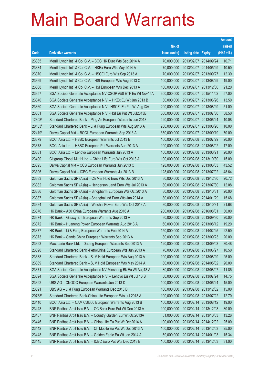|        |                                                               |               |                            |            | <b>Amount</b> |
|--------|---------------------------------------------------------------|---------------|----------------------------|------------|---------------|
|        |                                                               | No. of        |                            |            | raised        |
| Code   | <b>Derivative warrants</b>                                    | issue (units) | <b>Listing date Expiry</b> |            | (HK\$ mil.)   |
| 23335  | Merrill Lynch Int'l & Co. C.V. - BOC HK Euro Wts Sep 2014 A   | 70,000,000    | 2013/02/07                 | 2014/09/24 | 10.71         |
| 23334  | Merrill Lynch Int'l & Co. C.V. - HKEx Euro Wts May 2014 A     | 70,000,000    | 2013/02/07 2014/05/29      |            | 10.50         |
| 23370  | Merrill Lynch Int'l & Co. C.V. - HSCEI Euro Wts Sep 2013 A    | 70,000,000    | 2013/02/07                 | 2013/09/27 | 12.39         |
| 23369  | Merrill Lynch Int'l & Co. C.V. - HSI European Wts Aug 2013 C  | 100,000,000   | 2013/02/07 2013/08/29      |            | 19.00         |
| 23368  | Merrill Lynch Int'l & Co. C.V. - HSI European Wts Dec 2013 A  | 100,000,000   | 2013/02/07 2013/12/30      |            | 21.20         |
| 23357  | SGA Societe Generale Acceptance NV-CSOP A50 ETF Eu Wt Nov15A  | 300,000,000   | 2013/02/07 2015/11/02      |            | 57.00         |
| 23340  | SGA Societe Generale Acceptance N.V. - HKEx Eu Wt Jun 2013 B  | 30,000,000    | 2013/02/07                 | 2013/06/26 | 13.50         |
| 23360  | SGA Societe Generale Acceptance N.V. - HSCEI Eu Put Wt Aug13A | 200,000,000   | 2013/02/07 2013/08/29      |            | 51.00         |
| 23361  | SGA Societe Generale Acceptance N.V. - HSI Eu Put Wt Jul2013B | 300,000,000   | 2013/02/07 2013/07/30      |            | 58.50         |
| 12308# | Standard Chartered Bank - Ping An European Warrants Jun 2013  | 420,000,000   | 2013/02/07 2013/06/24      |            | 10.08         |
| 20153# | Standard Chartered Bank - Li & Fung European Wts Aug 2013 A   | 200,000,000   | 2013/02/07                 | 2013/08/20 | 10.00         |
| 22419# | Daiwa Capital Mkt - BOCL European Warrants Sep 2013 A         | 350,000,000   | 2013/02/07 2013/09/19      |            | 70.00         |
| 23379  | BOCI Asia Ltd. - HSBC European Warrants Jul 2013 B            | 100,000,000   | 2013/02/08 2013/07/29      |            | 20.00         |
| 23378  | BOCI Asia Ltd. - HSBC European Put Warrants Aug 2013 A        | 100,000,000   | 2013/02/08 2013/08/02      |            | 17.00         |
| 23381  | BOCI Asia Ltd. - Lenovo European Warrants Jun 2013 A          | 100,000,000   | 2013/02/08                 | 2013/06/21 | 20.00         |
| 23400  | Citigroup Global Mkt H Inc. - China Life Euro Wts Oct 2013 A  | 100,000,000   | 2013/02/08 2013/10/30      |            | 15.00         |
| 23395  | Daiwa Capital Mkt - CCB European Warrants Jun 2013 C          | 128,000,000   | 2013/02/08 2013/06/03      |            | 43.52         |
| 23396  | Daiwa Capital Mkt - ICBC European Warrants Jul 2013 B         | 128,000,000   | 2013/02/08 2013/07/02      |            | 48.64         |
| 23383  | Goldman Sachs SP (Asia) - Ch Mer Hold Euro Wts Dec 2013 A     | 80,000,000    | 2013/02/08                 | 2013/12/30 | 20.72         |
| 23382  | Goldman Sachs SP (Asia) – Henderson Land Euro Wts Jul 2013 A  | 80,000,000    | 2013/02/08 2013/07/30      |            | 12.08         |
| 23386  | Goldman Sachs SP (Asia) - Sinopharm European Wts Oct 2013 A   | 80,000,000    | 2013/02/08 2013/10/31      |            | 20.00         |
| 23387  | Goldman Sachs SP (Asia) - Shanghai Ind Euro Wts Jan 2014 A    | 80,000,000    | 2013/02/08 2014/01/29      |            | 15.68         |
| 23384  | Goldman Sachs SP (Asia) - Weichai Power Euro Wts Oct 2013 A   | 80,000,000    | 2013/02/08 2013/10/31      |            | 21.68         |
| 23376  | HK Bank - A50 China European Warrants Aug 2016 A              | 200,000,000   | 2013/02/08 2016/08/01      |            | 30.00         |
| 23374  | HK Bank – Galaxy Ent European Warrants Sep 2013 A             | 80,000,000    | 2013/02/08 2013/09/30      |            | 20.00         |
| 23372  | HK Bank – Huaneng Power European Warrants Aug 2013 A          | 60,000,000    | 2013/02/08 2013/08/12      |            | 19.20         |
| 23377  | HK Bank - Li & Fung European Warrants Feb 2014 A              | 150,000,000   | 2013/02/08 2014/02/25      |            | 22.50         |
| 23373  | HK Bank - Sands China European Warrants Sep 2013 A            | 80,000,000    | 2013/02/08 2013/09/23      |            | 20.00         |
| 23393  | Macquarie Bank Ltd. - Datang European Warrants Sep 2013 A     | 120,000,000   | 2013/02/08 2013/09/03      |            | 30.48         |
| 23390  | Standard Chartered Bank - PetroChina European Wts Jun 2013 A  | 70,000,000    | 2013/02/08 2013/06/27      |            | 10.50         |
| 23388  | Standard Chartered Bank - SJM Hold European Wts Aug 2013 A    | 100,000,000   | 2013/02/08 2013/08/29      |            | 25.00         |
| 23389  | Standard Chartered Bank - SJM Hold European Wts May 2014 A    | 80,000,000    | 2013/02/08 2014/05/02      |            | 20.00         |
| 23371  | SGA Societe Generale Acceptance NV-Minsheng Bk Eu Wt Aug13 A  | 30,000,000    | 2013/02/08                 | 2013/08/07 | 11.85         |
| 23394  | SGA Societe Generale Acceptance N.V. - Lenovo Eu Wt Jul 13 B  | 50,000,000    | 2013/02/08 2013/07/24      |            | 14.75         |
| 23392  | UBS AG - CNOOC European Warrants Jun 2013 D                   | 100,000,000   | 2013/02/08 2013/06/24      |            | 15.00         |
| 23391  | UBS AG - Li & Fung European Warrants Dec 2013 B               | 100,000,000   | 2013/02/08 2013/12/02      |            | 15.00         |
| 20738# | Standard Chartered Bank-China Life European Wts Jul 2013 A    | 100,000,000   | 2013/02/08 2013/07/22      |            | 12.70         |
| 23410  | BOCI Asia Ltd. - CAM CSI300 European Warrants Aug 2013 B      | 100,000,000   | 2013/02/14 2013/08/12      |            | 19.00         |
| 23443  | BNP Paribas Arbit Issu B.V. - CC Bank Euro Put Wt Dec 2013 A  | 100,000,000   | 2013/02/14 2013/12/03      |            | 30.00         |
| 23457  | BNP Paribas Arbit Issu B.V. - Country Garden Eur Wt Oct2013A  | 51,000,000    | 2013/02/14 2013/10/03      |            | 13.26         |
| 23446  | BNP Paribas Arbit Issu B.V. - China Life Eu Put Wt Dec2014 A  | 100,000,000   | 2013/02/14 2014/12/02      |            | 25.00         |
| 23442  | BNP Paribas Arbit Issu B.V. - Ch Mobile Eu Put Wt Dec 2013 A  | 100,000,000   | 2013/02/14 2013/12/03      |            | 25.00         |
| 23448  | BNP Paribas Arbit Issu B.V. - Golden Eagle Eu Wt Jan 2014 A   | 59,000,000    | 2013/02/14 2014/01/03      |            | 15.34         |
| 23445  | BNP Paribas Arbit Issu B.V. - ICBC Euro Put Wts Dec 2013 B    | 100,000,000   | 2013/02/14 2013/12/03      |            | 31.00         |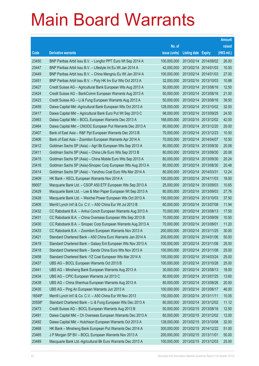|        |                                                              |               |                            |                       | <b>Amount</b> |
|--------|--------------------------------------------------------------|---------------|----------------------------|-----------------------|---------------|
|        |                                                              | No. of        |                            |                       | raised        |
| Code   | <b>Derivative warrants</b>                                   | issue (units) | <b>Listing date Expiry</b> |                       | (HK\$ mil.)   |
| 23450  | BNP Paribas Arbit Issu B.V. - Longfor PPT Euro Wt Sep 2014 A | 100,000,000   | 2013/02/14                 | 2014/09/02            | 26.00         |
| 23447  | BNP Paribas Arbit Issu B.V. - Lifestyle Int Eu Wt Jan 2014 A | 42,000,000    | 2013/02/14 2014/01/03      |                       | 10.50         |
| 23449  | BNP Paribas Arbit Issu B.V. - China Mengniu Eu Wt Jan 2014 A | 100,000,000   | 2013/02/14                 | 2014/01/03            | 27.00         |
| 23451  | BNP Paribas Arbit Issu B.V. - Poly HK Inv Eur Wts Oct 2013 A | 32,000,000    | 2013/02/14 2013/10/03      |                       | 10.88         |
| 23427  | Credit Suisse AG - Agricultural Bank European Wts Aug 2013 A | 50,000,000    | 2013/02/14                 | 2013/08/16            | 12.50         |
| 23424  | Credit Suisse AG - BankComm European Warrants Aug 2013 A     | 50,000,000    | 2013/02/14 2013/08/16      |                       | 21.00         |
| 23423  | Credit Suisse AG - Li & Fung European Warrants Aug 2013 A    | 50,000,000    | 2013/02/14                 | 2013/08/16            | 39.50         |
| 23459  | Daiwa Capital Mkt -Agricultural Bank European Wts Oct 2013 A | 128,000,000   | 2013/02/14 2013/10/02      |                       | 32.00         |
| 23417  | Daiwa Capital Mkt - Agricultural Bank Euro Put Wt Sep 2013 C | 98,000,000    |                            | 2013/02/14 2013/09/25 | 24.50         |
| 23463  | Daiwa Capital Mkt - BOCL European Warrants Dec 2013 A        | 168,000,000   |                            | 2013/02/14 2013/12/02 | 42.00         |
| 23464  | Daiwa Capital Mkt - CNOOC European Put Warrants Dec 2013 A   | 80,000,000    | 2013/02/14                 | 2013/12/20            | 20.00         |
| 23407  | Bank of East Asia – R&F Ppt European Warrants Dec 2013 B     | 70,000,000    | 2013/02/14 2013/12/23      |                       | 10.50         |
| 23406  | Bank of East Asia - Zoomlion European Warrants Apr 2014 A    | 70,000,000    |                            | 2013/02/14 2014/04/07 | 10.50         |
| 23412  | Goldman Sachs SP (Asia) - Agri Bk European Wts Sep 2013 A    | 80,000,000    |                            | 2013/02/14 2013/09/30 | 20.08         |
| 23411  | Goldman Sachs SP (Asia) - China Life Euro Wts Sep 2013 B     | 80,000,000    | 2013/02/14                 | 2013/09/30            | 20.08         |
| 23415  | Goldman Sachs SP (Asia) – China Mobile Euro Wts Sep 2013 A   | 80,000,000    | 2013/02/14 2013/09/30      |                       | 20.24         |
| 23416  | Goldman Sachs SP (Asia)-Sinopec Corp European Wts Aug 2013 A | 80,000,000    | 2013/02/14                 | 2013/08/30            | 20.48         |
| 23414  | Goldman Sachs SP (Asia) - Yanzhou Coal Euro Wts Mar 2014 A   | 80,000,000    | 2013/02/14 2014/03/31      |                       | 12.24         |
| 23409  | HK Bank - KECL European Warrants Nov 2014 A                  | 100,000,000   | 2013/02/14                 | 2014/11/03            | 18.00         |
| 89007  | Macquarie Bank Ltd. - CSOP A50 ETF European Wts Sep 2013 A   | 25,000,000    | 2013/02/14 2013/09/03      |                       | 10.65         |
| 23429  | Macquarie Bank Ltd. - Lee & Man Paper European Wt Sep 2013 A | 80,000,000    | 2013/02/14                 | 2013/09/03            | 27.76         |
| 23428  | Macquarie Bank Ltd. - Weichai Power European Wts Oct 2013 A  | 150,000,000   | 2013/02/14 2013/10/03      |                       | 37.50         |
| 23405  | Merrill Lynch Int'l & Co. C.V. - A50 China Eur Wt Jul 2013 B | 60,000,000    | 2013/02/14                 | 2013/07/08            | 11.94         |
| 23432  | CC Rabobank B.A. - Anhui Conch European Warrants Aug 2013 A  | 70,000,000    | 2013/02/14 2013/08/13      |                       | 17.50         |
| 23431  | CC Rabobank B.A. - China Overseas European Wts Sep 2013 B    | 70,000,000    | 2013/02/14 2013/09/09      |                       | 10.50         |
| 23430  | CC Rabobank B.A. - Sinopec Corp European Warrants Aug 2013 A | 70,000,000    | 2013/02/14 2013/08/01      |                       | 11.20         |
| 23433  | CC Rabobank B.A. - Zoomlion European Warrants Nov 2013 A     | 200,000,000   | 2013/02/14 2013/11/25      |                       | 30.00         |
| 23421  | Standard Chartered Bank - A50 China Euro Warrants Jan 2014 A | 200,000,000   | 2013/02/14 2014/01/06      |                       | 50.00         |
| 23419  | Standard Chartered Bank - Galaxy Ent European Wts Nov 2013 A | 100,000,000   | 2013/02/14 2013/11/08      |                       | 25.00         |
| 23418  | Standard Chartered Bank - Sands China Euro Wts Nov 2013 A    | 100,000,000   | 2013/02/14 2013/11/08      |                       | 25.00         |
| 23458  | Standard Chartered Bank -YZ Coal European Wts Mar 2014 A     | 100,000,000   | 2013/02/14 2014/03/24      |                       | 25.00         |
| 23437  | UBS AG - BOCL European Warrants Oct 2013 B                   | 100,000,000   | 2013/02/14 2013/10/28      |                       | 25.00         |
| 23441  | UBS AG - Minsheng Bank European Warrants Aug 2013 A          | 30,000,000    | 2013/02/14                 | 2013/08/13            | 18.00         |
| 23434  | UBS AG - CPIC European Warrants Jul 2013 C                   | 80,000,000    | 2013/02/14 2013/07/25      |                       | 13.60         |
| 23438  | UBS AG - China Shenhua European Warrants Aug 2013 A          | 80,000,000    | 2013/02/14 2013/08/26      |                       | 20.00         |
| 23435  | UBS AG - Ping An European Warrants Jun 2013 A                | 100,000,000   | 2013/02/14 2013/06/17      |                       | 46.00         |
| 16549# | Merrill Lynch Int'l & Co. C.V. - A50 China Eur Wt Nov 2013   | 150,000,000   | 2013/02/14 2013/11/11      |                       | 10.05         |
| 20558# | Standard Chartered Bank - Li & Fung European Wts Dec 2013 A  | 80,000,000    |                            | 2013/02/14 2013/12/02 | 11.12         |
| 23473  | Credit Suisse AG - BOCL European Warrants Aug 2013 B         | 50,000,000    | 2013/02/15 2013/08/16      |                       | 12.50         |
| 23491  | Daiwa Capital Mkt - Ch Overseas European Warrants Dec 2013 A | 80,000,000    | 2013/02/15 2013/12/02      |                       | 12.00         |
| 23492  | Daiwa Capital Mkt - Hutchison European Warrants Oct 2013 A   | 128,000,000   | 2013/02/15 2013/10/08      |                       | 32.00         |
| 23468  | HK Bank - Minsheng Bank European Put Warrants Dec 2014 A     | 300,000,000   | 2013/02/15 2014/12/22      |                       | 51.00         |
| 23465  | J P Morgan SP BV - BOCL European Warrants Nov 2013 A         | 200,000,000   | 2013/02/15 2013/11/01      |                       | 50.00         |
| 23489  | Macquarie Bank Ltd.-Agricultural Bk Euro Warrants Dec 2013 A | 100,000,000   | 2013/02/15 2013/12/03      |                       | 25.00         |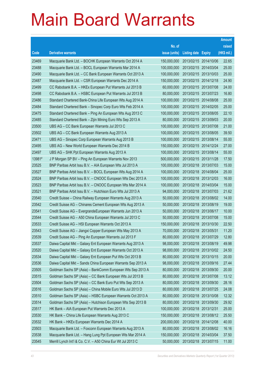|        |                                                              |               |                            | <b>Amount</b> |
|--------|--------------------------------------------------------------|---------------|----------------------------|---------------|
|        |                                                              | No. of        |                            | raised        |
| Code   | <b>Derivative warrants</b>                                   | issue (units) | <b>Listing date Expiry</b> | (HK\$ mil.)   |
| 23469  | Macquarie Bank Ltd. - BOCHK European Warrants Oct 2014 A     | 150,000,000   | 2013/02/15 2014/10/06      | 22.65         |
| 23488  | Macquarie Bank Ltd. - BOCL European Warrants Mar 2014 A      | 100,000,000   | 2013/02/15 2014/03/04      | 25.00         |
| 23490  | Macquarie Bank Ltd. - CC Bank European Warrants Oct 2013 A   | 100,000,000   | 2013/02/15 2013/10/03      | 25.00         |
| 23487  | Macquarie Bank Ltd. - CSR European Warrants Dec 2014 A       | 150,000,000   | 2013/02/15 2014/12/18      | 24.90         |
| 23499  | CC Rabobank B.A. - HKEx European Put Warrants Jul 2013 B     | 60,000,000    | 2013/02/15 2013/07/08      | 24.00         |
| 23498  | CC Rabobank B.A. - HSBC European Put Warrants Jul 2013 B     | 80,000,000    | 2013/02/15 2013/07/23      | 16.80         |
| 23486  | Standard Chartered Bank-China Life European Wts Aug 2014 A   | 100,000,000   | 2013/02/15 2014/08/08      | 25.00         |
| 23484  | Standard Chartered Bank - Sinopec Corp Euro Wts Feb 2014 A   | 100,000,000   | 2013/02/15 2014/02/05      | 25.00         |
| 23475  | Standard Chartered Bank - Ping An European Wts Aug 2013 C    | 100,000,000   | 2013/02/15 2013/08/05      | 22.10         |
| 23485  | Standard Chartered Bank - Zijin Mining Euro Wts Sep 2013 A   | 80,000,000    | 2013/02/15 2013/09/03      | 20.00         |
| 23500  | UBS AG - CC Bank European Warrants Jul 2013 C                | 100,000,000   | 2013/02/15 2013/07/08      | 21.00         |
| 23502  | UBS AG - CC Bank European Warrants Aug 2013 A                | 100,000,000   | 2013/02/15 2013/08/05      | 39.50         |
| 23471  | UBS AG - Sinopec Corp European Warrants Aug 2013 B           | 100,000,000   | 2013/02/15 2013/08/14      | 55.00         |
| 23495  | UBS AG - New World European Warrants Dec 2014 B              | 150,000,000   | 2013/02/15 2014/12/24      | 27.00         |
| 23497  | UBS AG - SHK Ppt European Warrants Aug 2013 A                | 100,000,000   | 2013/02/15 2013/08/14      | 55.00         |
| 13981# | J P Morgan SP BV - Ping An European Warrants Nov 2013        | 500,000,000   | 2013/02/15 2013/11/28      | 17.50         |
| 23525  | BNP Paribas Arbit Issu B.V. - AIA European Wts Jul 2013 A    | 100,000,000   | 2013/02/18 2013/07/03      | 15.00         |
| 23527  | BNP Paribas Arbit Issu B.V. - BOCL European Wts Aug 2014 A   | 100,000,000   | 2013/02/18 2014/08/04      | 25.00         |
| 23524  | BNP Paribas Arbit Issu B.V. - CNOOC European Wts Dec 2013 A  | 100,000,000   | 2013/02/18 2013/12/03      | 16.00         |
| 23523  | BNP Paribas Arbit Issu B.V. - CNOOC European Wts Mar 2014 A  | 100,000,000   | 2013/02/18 2014/03/04      | 15.00         |
| 23521  | BNP Paribas Arbit Issu B.V. - Hutchison Euro Wts Jul 2013 A  | 94,000,000    | 2013/02/18 2013/07/03      | 21.62         |
| 23540  | Credit Suisse - China Railway European Warrants Aug 2013 A   | 50,000,000    | 2013/02/18 2013/08/02      | 14.00         |
| 23542  | Credit Suisse AG - Chinares Cement European Wts Aug 2013 A   | 50,000,000    | 2013/02/18 2013/08/19      | 19.00         |
| 23541  | Credit Suisse AG - EvergrandeEuropean Warrants Jun 2013 A    | 50,000,000    | 2013/02/18 2013/06/17      | 10.00         |
| 23544  | Credit Suisse AG - A50 China European Warrants Jul 2013 C    | 50,000,000    | 2013/02/18 2013/07/08      | 15.00         |
| 23533  | Credit Suisse AG - HSI European Warrants Oct 2013 A          | 150,000,000   | 2013/02/18 2013/10/30      | 22.50         |
| 23543  | Credit Suisse AG - Jiangxi Copper European Wts May 2013 A    | 70,000,000    | 2013/02/18 2013/05/31      | 11.20         |
| 23539  | Credit Suisse AG - Ping An European Warrants Jul 2013 F      | 80,000,000    | 2013/02/18 2013/07/29      | 12.80         |
| 23537  | Daiwa Capital Mkt - Galaxy Ent European Warrants Aug 2013 A  | 98,000,000    | 2013/02/18 2013/08/19      | 49.98         |
| 23520  | Daiwa Capital Mkt - Galaxy Ent European Warrants Oct 2013 A  | 98,000,000    | 2013/02/18 2013/10/02      | 24.50         |
| 23534  | Daiwa Capital Mkt - Galaxy Ent European Put Wts Oct 2013 B   | 80,000,000    | 2013/02/18 2013/10/15      | 20.00         |
| 23536  | Daiwa Capital Mkt - Sands China European Warrants Sep 2013 A | 98,000,000    | 2013/02/18 2013/09/16      | 27.44         |
| 23505  | Goldman Sachs SP (Asia) - BankComm European Wts Sep 2013 A   | 80,000,000    | 2013/02/18 2013/09/30      | 20.00         |
| 23515  | Goldman Sachs SP (Asia) - CC Bank European Wts Jul 2013 B    | 80,000,000    | 2013/02/18 2013/07/08      | 13.12         |
| 23504  | Goldman Sachs SP (Asia) - CC Bank Euro Put Wts Sep 2013 A    | 80,000,000    | 2013/02/18 2013/09/30      | 28.16         |
| 23516  | Goldman Sachs SP (Asia) - China Mobile Euro Wts Jul 2013 D   | 80,000,000    | 2013/02/18 2013/07/25      | 24.08         |
| 23510  | Goldman Sachs SP (Asia) - HSBC European Warrants Oct 2013 A  | 80,000,000    | 2013/02/18 2013/10/08      | 12.32         |
| 23514  | Goldman Sachs SP (Asia) - Hutchison European Wts Sep 2013 B  | 80,000,000    | 2013/02/18 2013/09/30      | 29.92         |
| 23517  | HK Bank - AIA European Put Warrants Dec 2013 A               | 100,000,000   | 2013/02/18 2013/12/31      | 25.00         |
| 23530  | HK Bank - China Life European Warrants Aug 2013 C            | 150,000,000   | 2013/02/18 2013/08/12      | 25.50         |
| 23532  | HK Bank - HKEx European Warrants Dec 2014 A                  | 200,000,000   | 2013/02/18 2014/12/08      | 40.00         |
| 23503  | Macquarie Bank Ltd. - Foxconn European Warrants Aug 2013 A   | 80,000,000    | 2013/02/18 2013/08/02      | 16.16         |
| 23538  | Macquarie Bank Ltd. - Hang Lung Ppt European Wts Mar 2014 A  | 150,000,000   | 2013/02/18 2014/03/04      | 37.50         |
| 23545  | Merrill Lynch Int'l & Co. C.V. - A50 China Eur Wt Jul 2013 C | 50,000,000    | 2013/02/18 2013/07/15      | 11.00         |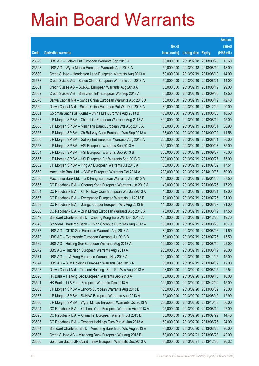|       |                                                              |               |                            |                       | <b>Amount</b> |
|-------|--------------------------------------------------------------|---------------|----------------------------|-----------------------|---------------|
|       |                                                              | No. of        |                            |                       | raised        |
| Code  | <b>Derivative warrants</b>                                   | issue (units) | <b>Listing date Expiry</b> |                       | (HK\$ mil.)   |
| 23529 | UBS AG - Galaxy Ent European Warrants Sep 2013 A             | 80,000,000    |                            | 2013/02/18 2013/09/25 | 13.60         |
| 23528 | UBS AG - Wynn Macau European Warrants Aug 2013 A             | 50,000,000    |                            | 2013/02/18 2013/08/19 | 18.00         |
| 23580 | Credit Suisse - Henderson Land European Warrants Aug 2013 A  | 50,000,000    | 2013/02/19                 | 2013/08/19            | 14.00         |
| 23578 | Credit Suisse AG - Sands China European Warrants Jun 2013 A  | 50,000,000    | 2013/02/19 2013/06/21      |                       | 14.00         |
| 23581 | Credit Suisse AG - SUNAC European Warrants Aug 2013 A        | 50,000,000    |                            | 2013/02/19 2013/08/19 | 29.00         |
| 23582 | Credit Suisse AG - Shenzhen Int'l European Wts Sep 2013 A    | 50,000,000    |                            | 2013/02/19 2013/09/30 | 12.50         |
| 23570 | Daiwa Capital Mkt - Sands China European Warrants Aug 2013 A | 80,000,000    | 2013/02/19                 | 2013/08/19            | 42.40         |
| 23569 | Daiwa Capital Mkt - Sands China European Put Wts Dec 2013 A  | 80,000,000    |                            | 2013/02/19 2013/12/02 | 20.00         |
| 23561 | Goldman Sachs SP (Asia) - China Life Euro Wts Aug 2013 B     | 100,000,000   |                            | 2013/02/19 2013/08/30 | 16.60         |
| 23563 | J P Morgan SP BV - China Life European Warrants Aug 2013 A   | 300,000,000   |                            | 2013/02/19 2013/08/12 | 45.00         |
| 23558 | J P Morgan SP BV - Minsheng Bank European Wts Aug 2013 A     | 100,000,000   | 2013/02/19                 | 2013/08/01            | 38.90         |
| 23557 | J P Morgan SP BV - Ch Railway Cons European Wts Sep 2013 A   | 58,000,000    |                            | 2013/02/19 2013/09/02 | 14.56         |
| 23556 | J P Morgan SP BV - Galaxy Ent European Warrants Aug 2013 A   | 200,000,000   | 2013/02/19 2013/08/01      |                       | 30.00         |
| 23553 | J P Morgan SP BV - HSI European Warrants Sep 2013 A          | 300,000,000   |                            | 2013/02/19 2013/09/27 | 75.00         |
| 23554 | J P Morgan SP BV - HSI European Warrants Sep 2013 B          | 300,000,000   | 2013/02/19 2013/09/27      |                       | 75.00         |
| 23555 | J P Morgan SP BV - HSI European Put Warrants Sep 2013 C      | 300,000,000   |                            | 2013/02/19 2013/09/27 | 75.00         |
| 23552 | J P Morgan SP BV - Ping An European Warrants Jul 2013 A      | 88,000,000    |                            | 2013/02/19 2013/07/02 | 17.51         |
| 23559 | Macquarie Bank Ltd. - CNBM European Warrants Oct 2014 A      | 200,000,000   |                            | 2013/02/19 2014/10/06 | 50.00         |
| 23560 | Macquarie Bank Ltd. - Li & Fung European Warrants Jan 2015 A | 150,000,000   | 2013/02/19                 | 2015/01/05            | 37.50         |
| 23565 | CC Rabobank B.A. - Cheung Kong European Warrants Jun 2013 A  | 40,000,000    |                            | 2013/02/19 2013/06/25 | 17.20         |
| 23564 | CC Rabobank B.A. - Ch Railway Cons European Wts Jun 2013 A   | 40,000,000    | 2013/02/19 2013/06/21      |                       | 12.00         |
| 23567 | CC Rabobank B.A. - Evergrande European Warrants Jul 2013 B   | 70,000,000    |                            | 2013/02/19 2013/07/25 | 21.00         |
| 23568 | CC Rabobank B.A. - Jiangxi Copper European Wts Aug 2013 B    | 140,000,000   | 2013/02/19                 | 2013/08/27            | 21.00         |
| 23566 | CC Rabobank B.A. - Zijin Mining European Warrants Aug 2013 A | 70,000,000    |                            | 2013/02/19 2013/08/19 | 17.50         |
| 23549 | Standard Chartered Bank - Cheung Kong Euro Wts Dec 2013 A    | 100,000,000   |                            | 2013/02/19 2013/12/20 | 19.70         |
| 23546 | Standard Chartered Bank - China Shenhua Euro Wts Aug 2013 A  | 100,000,000   | 2013/02/19 2013/08/28      |                       | 16.70         |
| 23577 | UBS AG - CITIC Sec European Warrants Aug 2013 A              | 80,000,000    |                            | 2013/02/19 2013/08/26 | 21.60         |
| 23573 | UBS AG - Evergrande European Warrants Jul 2013 B             | 50,000,000    | 2013/02/19 2013/07/25      |                       | 15.50         |
| 23562 | UBS AG - Haitong Sec European Warrants Aug 2013 A            | 100,000,000   | 2013/02/19 2013/08/19      |                       | 25.00         |
| 23572 | UBS AG - Hutchison European Warrants Aug 2013 A              | 200,000,000   | 2013/02/19 2013/08/19      |                       | 96.00         |
| 23571 | UBS AG - Li & Fung European Warrants Nov 2013 A              | 100,000,000   | 2013/02/19 2013/11/25      |                       | 15.00         |
| 23574 | UBS AG - SJM Holdings European Warrants Sep 2013 A           | 80,000,000    | 2013/02/19 2013/09/09      |                       | 12.00         |
| 23593 | Daiwa Capital Mkt - Tencent Holdings Euro Put Wts Aug 2013 A | 98,000,000    | 2013/02/20 2013/08/05      |                       | 22.54         |
| 23590 | HK Bank - Haitong Sec European Warrants Sep 2013 A           | 100,000,000   | 2013/02/20 2013/09/13      |                       | 16.00         |
| 23591 | HK Bank - Li & Fung European Warrants Dec 2013 A             | 100,000,000   | 2013/02/20 2013/12/09      |                       | 15.00         |
| 23588 | J P Morgan SP BV - Lenovo European Warrants Aug 2013 B       | 100,000,000   |                            | 2013/02/20 2013/08/02 | 25.00         |
| 23587 | J P Morgan SP BV - SUNAC European Warrants Aug 2013 A        | 50,000,000    | 2013/02/20 2013/08/19      |                       | 12.90         |
| 23586 | J P Morgan SP BV - Wynn Macau European Warrants Oct 2013 A   | 200,000,000   | 2013/02/20 2013/10/03      |                       | 50.00         |
| 23594 | CC Rabobank B.A. - Ch LongYuan European Warrants Aug 2013 A  | 45,000,000    | 2013/02/20 2013/08/19      |                       | 27.00         |
| 23595 | CC Rabobank B.A. - China Tel European Warrants Jul 2013 B    | 80,000,000    | 2013/02/20 2013/07/29      |                       | 14.40         |
| 23596 | CC Rabobank B.A. - Tencent Holdings Euro Put Wt Jun 2013 A   | 150,000,000   | 2013/02/20                 | 2013/06/26            | 24.00         |
| 23584 | Standard Chartered Bank - Minsheng Bank Euro Wts Aug 2013 A  | 80,000,000    | 2013/02/20 2013/08/20      |                       | 20.00         |
| 23607 | Credit Suisse AG - Minsheng Bank European Wts Aug 2013 B     | 60,000,000    | 2013/02/21                 | 2013/08/23            | 42.00         |
| 23600 | Goldman Sachs SP (Asia) - BEA European Warrants Dec 2013 A   | 80,000,000    | 2013/02/21 2013/12/30      |                       | 20.32         |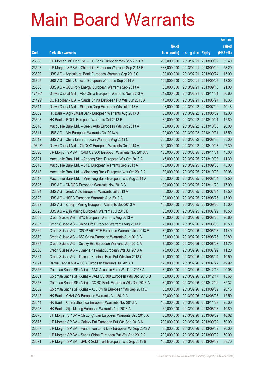|        |                                                              |               |                       |                       | <b>Amount</b> |
|--------|--------------------------------------------------------------|---------------|-----------------------|-----------------------|---------------|
|        |                                                              | No. of        |                       |                       | raised        |
| Code   | <b>Derivative warrants</b>                                   | issue (units) | <b>Listing date</b>   | <b>Expiry</b>         | (HK\$ mil.)   |
| 23598  | J P Morgan Int'l Der. Ltd. - CC Bank European Wts Sep 2013 B | 200,000,000   | 2013/02/21            | 2013/09/02            | 52.40         |
| 23597  | J P Morgan SP BV - China Life European Warrants Sep 2013 B   | 388,000,000   | 2013/02/21            | 2013/09/02            | 58.20         |
| 23602  | UBS AG - Agricultural Bank European Warrants Sep 2013 C      | 100,000,000   | 2013/02/21            | 2013/09/24            | 15.00         |
| 23605  | UBS AG - China Unicom European Warrants Sep 2014 A           | 100,000,000   | 2013/02/21            | 2014/09/25            | 18.00         |
| 23606  | UBS AG - GCL-Poly Energy European Warrants Sep 2013 A        | 60,000,000    | 2013/02/21            | 2013/09/16            | 21.00         |
| 17196# | Daiwa Capital Mkt - A50 China European Warrants Nov 2013 A   | 612,000,000   | 2013/02/21 2013/11/01 |                       | 30.60         |
| 21499# | CC Rabobank B.A. - Sands China European Put Wts Jun 2013 A   | 140,000,000   | 2013/02/21            | 2013/06/24            | 10.36         |
| 23614  | Daiwa Capital Mkt - Sinopec Corp European Wts Jul 2013 A     | 98,000,000    |                       | 2013/02/22 2013/07/02 | 40.18         |
| 23609  | HK Bank - Agricultural Bank European Warrants Aug 2013 B     | 80,000,000    |                       | 2013/02/22 2013/08/09 | 12.00         |
| 23608  | HK Bank - BOCL European Warrants Oct 2013 B                  | 80,000,000    | 2013/02/22 2013/10/21 |                       | 12.80         |
| 23610  | Macquarie Bank Ltd. - Geely Auto European Wts Oct 2013 A     | 80,000,000    |                       | 2013/02/22 2013/10/03 | 20.00         |
| 23611  | UBS AG - AIA European Warrants Oct 2013 A                    | 100,000,000   | 2013/02/22 2013/10/21 |                       | 18.50         |
| 23612  | UBS AG - China Life European Warrants Aug 2013 C             | 200,000,000   |                       | 2013/02/22 2013/08/30 | 35.00         |
| 19623# | Daiwa Capital Mkt - CNOOC European Warrants Oct 2013 A       | 300,000,000   |                       | 2013/02/22 2013/10/07 | 27.30         |
| 23620  | J P Morgan SP BV - CAM CSI300 European Warrants Nov 2013 A   | 180,000,000   | 2013/02/25 2013/11/01 |                       | 45.00         |
| 23621  | Macquarie Bank Ltd. - Angang Steel European Wts Oct 2013 A   | 45,000,000    |                       | 2013/02/25 2013/10/03 | 11.30         |
| 23615  | Macquarie Bank Ltd. - BYD European Warrants Sep 2013 A       | 180,000,000   |                       | 2013/02/25 2013/09/03 | 45.00         |
| 23618  | Macquarie Bank Ltd. - Minsheng Bank European Wts Oct 2013 A  | 80,000,000    |                       | 2013/02/25 2013/10/03 | 30.08         |
| 23617  | Macquarie Bank Ltd. - Minsheng Bank European Wts Aug 2014 A  | 250,000,000   |                       | 2013/02/25 2014/08/04 | 62.50         |
| 23625  | UBS AG - CNOOC European Warrants Nov 2013 C                  | 100,000,000   |                       | 2013/02/25 2013/11/20 | 17.00         |
| 23624  | UBS AG - Geely Auto European Warrants Jul 2013 A             | 50,000,000    |                       | 2013/02/25 2013/07/24 | 18.50         |
| 23623  | UBS AG - HSBC European Warrants Aug 2013 A                   | 100,000,000   |                       | 2013/02/25 2013/08/26 | 15.00         |
| 23622  | UBS AG - Zhaojin Mining European Warrants Sep 2013 A         | 100,000,000   |                       | 2013/02/25 2013/09/25 | 15.00         |
| 23626  | UBS AG - Zijin Mining European Warrants Jul 2013 B           | 60,000,000    |                       | 2013/02/25 2013/07/29 | 10.50         |
| 23668  | Credit Suisse AG - BYD European Warrants Aug 2013 A          | 70,000,000    |                       | 2013/02/26 2013/08/26 | 26.60         |
| 23667  | Credit Suisse AG - China Life European Warrants Aug 2013 B   | 70,000,000    |                       | 2013/02/26 2013/08/30 | 10.50         |
| 23669  | Credit Suisse AG - CSOP A50 ETF European Warrants Jun 2013 E | 80,000,000    | 2013/02/26 2013/06/28 |                       | 14.40         |
| 23670  | Credit Suisse AG - A50 China European Warrants Aug 2013 B    | 80,000,000    |                       | 2013/02/26 2013/08/26 | 32.80         |
| 23665  | Credit Suisse AG - Galaxy Ent European Warrants Jun 2013 A   | 70,000,000    |                       | 2013/02/26 2013/06/28 | 14.70         |
| 23666  | Credit Suisse AG - Lumena Newmat European Wts Jul 2013 A     | 70,000,000    |                       | 2013/02/26 2013/07/22 | 11.20         |
| 23664  | Credit Suisse AG - Tencent Holdings Euro Put Wts Jun 2013 C  | 70,000,000    |                       | 2013/02/26 2013/06/24 | 10.50         |
| 23691  | Daiwa Capital Mkt - CCB European Warrants Jul 2013 B         | 128,000,000   |                       | 2013/02/26 2013/07/22 | 49.92         |
| 23656  | Goldman Sachs SP (Asia) - AAC Acoustic Euro Wts Dec 2013 A   | 80,000,000    |                       | 2013/02/26 2013/12/16 | 20.08         |
| 23651  | Goldman Sachs SP (Asia) - CAM CSI300 European Wts Dec 2013 B | 80,000,000    |                       | 2013/02/26 2013/12/17 | 13.68         |
| 23653  | Goldman Sachs SP (Asia) - CQRC Bank European Wts Dec 2013 A  | 80,000,000    |                       | 2013/02/26 2013/12/02 | 32.32         |
| 23652  | Goldman Sachs SP (Asia) - A50 China European Wts Sep 2013 C  | 80,000,000    | 2013/02/26 2013/09/09 |                       | 20.16         |
| 23645  | HK Bank - CHALCO European Warrants Aug 2013 A                | 50,000,000    | 2013/02/26 2013/08/28 |                       | 12.50         |
| 23644  | HK Bank - China Shenhua European Warrants Nov 2013 A         | 100,000,000   | 2013/02/26 2013/11/29 |                       | 25.00         |
| 23643  | HK Bank - Zijin Mining European Warrants Aug 2013 A          | 60,000,000    |                       | 2013/02/26 2013/08/28 | 10.80         |
| 23676  | J P Morgan SP BV - Ch LongYuan European Warrants Sep 2013 A  | 60,000,000    |                       | 2013/02/26 2013/09/02 | 16.62         |
| 23675  | J P Morgan SP BV - Galaxy Ent European Put Wts Sep 2013 A    | 200,000,000   |                       | 2013/02/26 2013/09/02 | 50.00         |
| 23637  | J P Morgan SP BV - Henderson Land Dev European Wt Sep 2013 A | 80,000,000    |                       | 2013/02/26 2013/09/02 | 20.00         |
| 23672  | J P Morgan SP BV - Sands China European Put Wts Sep 2013 A   | 200,000,000   |                       | 2013/02/26 2013/09/02 | 50.00         |
| 23671  | J P Morgan SP BV - SPDR Gold Trust European Wts Sep 2013 B   | 100,000,000   |                       | 2013/02/26 2013/09/02 | 38.70         |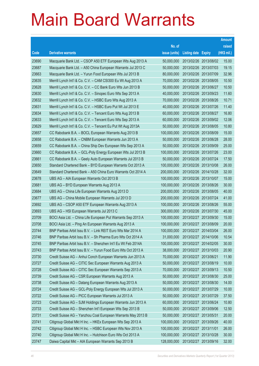|                |                                                                                                                        |                           |                                     |                          | <b>Amount</b>  |
|----------------|------------------------------------------------------------------------------------------------------------------------|---------------------------|-------------------------------------|--------------------------|----------------|
|                |                                                                                                                        | No. of                    |                                     |                          | raised         |
| Code           | <b>Derivative warrants</b>                                                                                             | issue (units)             | <b>Listing date Expiry</b>          |                          | (HK\$ mil.)    |
| 23690          | Macquarie Bank Ltd. - CSOP A50 ETF European Wts Aug 2013 A                                                             | 50,000,000                | 2013/02/26 2013/08/02               |                          | 15.00          |
| 23687          | Macquarie Bank Ltd. - A50 China European Warrants Jul 2013 C                                                           | 50,000,000                | 2013/02/26 2013/07/03               |                          | 19.15          |
| 23663          | Macquarie Bank Ltd. - Yurun Food European Wts Jul 2013 B                                                               | 80,000,000                | 2013/02/26 2013/07/09               |                          | 32.96          |
| 23635          | Merrill Lynch Int'l & Co. C.V. - CAM CSI300 Eu Wt Aug 2013 A                                                           | 70,000,000                | 2013/02/26 2013/08/05               |                          | 10.50          |
| 23628          | Merrill Lynch Int'l & Co. C.V. - CC Bank Euro Wts Jun 2013 B                                                           | 50,000,000                | 2013/02/26 2013/06/27               |                          | 10.50          |
| 23630          | Merrill Lynch Int'l & Co. C.V. - Sinopec Euro Wts Sep 2013 A                                                           | 40,000,000                | 2013/02/26 2013/09/23               |                          | 11.60          |
| 23632          | Merrill Lynch Int'l & Co. C.V. - HSBC Euro Wts Aug 2013 A                                                              | 70,000,000                | 2013/02/26 2013/08/26               |                          | 10.71          |
| 23631          | Merrill Lynch Int'l & Co. C.V. - HSBC Euro Put Wt Jul 2013 E                                                           | 40,000,000                | 2013/02/26 2013/07/26               |                          | 11.40          |
| 23634          | Merrill Lynch Int'l & Co. C.V. - Tencent Euro Wts Aug 2013 B                                                           | 60,000,000                | 2013/02/26 2013/08/27               |                          | 16.80          |
| 23633          | Merrill Lynch Int'l & Co. C.V. - Tencent Euro Wts Sep 2013 A                                                           | 60,000,000                | 2013/02/26 2013/09/02               |                          | 12.06          |
| 23629          | Merrill Lynch Int'l & Co. C.V. - Tencent Eu Put Wt Aug 2013A                                                           | 50,000,000                | 2013/02/26 2013/08/05               |                          | 10.80          |
| 23657          | CC Rabobank B.A. - BOCL European Warrants Aug 2013 B                                                                   | 100,000,000               | 2013/02/26 2013/08/09               |                          | 15.00          |
| 23658          | CC Rabobank B.A. - CNBM European Warrants Jun 2013 A                                                                   | 50,000,000                | 2013/02/26 2013/06/28               |                          | 28.00          |
| 23659          | CC Rabobank B.A. - China Ship Dev European Wts Sep 2013 A                                                              | 50,000,000                | 2013/02/26 2013/09/09               |                          | 25.00          |
| 23660          | CC Rabobank B.A. - GCL-Poly Energy European Wts Jul 2013 B                                                             | 100,000,000               | 2013/02/26 2013/07/26               |                          | 23.00          |
| 23661          | CC Rabobank B.A. - Geely Auto European Warrants Jul 2013 B                                                             | 50,000,000                | 2013/02/26 2013/07/24               |                          | 17.50          |
| 23650          | Standard Chartered Bank - BYD European Warrants Oct 2013 A                                                             | 100,000,000               | 2013/02/26 2013/10/08               |                          | 26.00          |
| 23649          | Standard Chartered Bank - A50 China Euro Warrants Oct 2014 A                                                           | 200,000,000               | 2013/02/26 2014/10/28               |                          | 32.00          |
| 23678          | UBS AG - AIA European Warrants Oct 2013 B                                                                              | 100,000,000               | 2013/02/26 2013/10/07               |                          | 15.00          |
| 23681          | UBS AG - BYD European Warrants Aug 2013 A                                                                              | 100,000,000               | 2013/02/26 2013/08/26               |                          | 30.00          |
| 23684          | UBS AG - China Life European Warrants Aug 2013 D                                                                       | 200,000,000               | 2013/02/26 2013/08/05               |                          | 40.00          |
| 23677          | UBS AG - China Mobile European Warrants Jul 2013 D                                                                     | 200,000,000               | 2013/02/26 2013/07/24               |                          | 41.00          |
| 23692          | UBS AG - CSOP A50 ETF European Warrants Aug 2013 A                                                                     | 100,000,000               | 2013/02/26 2013/08/26               |                          | 55.00          |
| 23693          | UBS AG - HSI European Warrants Jul 2013 C                                                                              | 300,000,000               | 2013/02/26 2013/07/30               |                          | 45.00          |
| 23709          | BOCI Asia Ltd. - China Life European Put Warrants Sep 2013 A                                                           | 100,000,000               | 2013/02/27 2013/09/30               |                          | 15.00          |
| 23708          | BOCI Asia Ltd. - Ping An European Warrants Aug 2013 A                                                                  | 100,000,000               | 2013/02/27 2013/08/09               |                          | 20.00          |
| 23744          | BNP Paribas Arbit Issu B.V. - Link REIT Euro Wts Mar 2014 A                                                            | 100,000,000               | 2013/02/27 2014/03/04               |                          | 26.00          |
| 23746          | BNP Paribas Arbit Issu B.V. - Sh Pharma Euro Wts Oct 2014 A                                                            | 31,000,000                | 2013/02/27 2014/10/06               |                          | 10.54          |
| 23745          | BNP Paribas Arbit Issu B.V. - Shenzhen Int'l Eu Wt Feb 2014A                                                           | 100,000,000               | 2013/02/27 2014/02/05               |                          | 30.00          |
| 23743          | BNP Paribas Arbit Issu B.V. - Yurun Food Euro Wts Oct 2013 A                                                           | 38,000,000                | 2013/02/27 2013/10/03               |                          | 20.90          |
| 23730          | Credit Suisse AG - Anhui Conch European Warrants Jun 2013 A                                                            | 70,000,000                | 2013/02/27 2013/06/21               |                          | 11.90          |
| 23727          | Credit Suisse AG - CITIC Sec European Warrants Aug 2013 A<br>Credit Suisse AG - CITIC Sec European Warrants Sep 2013 A | 50,000,000                | 2013/02/27 2013/08/19               |                          | 10.00<br>10.50 |
| 23728<br>23739 | Credit Suisse AG - CSR European Warrants Aug 2013 A                                                                    | 70,000,000<br>50,000,000  | 2013/02/27<br>2013/02/27            | 2013/09/13<br>2013/08/30 | 25.00          |
| 23738          | Credit Suisse AG - Datang European Warrants Aug 2013 A                                                                 | 50,000,000                | 2013/02/27 2013/08/30               |                          | 14.00          |
| 23724          | Credit Suisse AG - GCL-Poly Energy European Wts Jul 2013 A                                                             | 50,000,000                | 2013/02/27 2013/07/29               |                          | 10.00          |
| 23722          | Credit Suisse AG - PICC European Warrants Jul 2013 A                                                                   | 50,000,000                | 2013/02/27                          | 2013/07/29               | 37.50          |
| 23723          | Credit Suisse AG - SJM Holdings European Warrants Jun 2013 A                                                           | 60,000,000                | 2013/02/27 2013/06/24               |                          | 10.80          |
| 23733          | Credit Suisse AG - Shenzhen Int'l European Wts Sep 2013 B                                                              | 50,000,000                | 2013/02/27                          | 2013/09/06               | 12.50          |
| 23731          |                                                                                                                        |                           |                                     |                          | 20.00          |
| 23741          | Credit Suisse AG - Yanzhou Coal European Warrants May 2013 B                                                           | 50,000,000<br>100,000,000 | 2013/02/27 2013/05/31<br>2013/02/27 |                          | 40.00          |
| 23742          | Citigroup Global Mkt H Inc. - HKEx European Wts Sep 2013 A                                                             | 100,000,000               | 2013/02/27 2013/11/01               | 2013/09/26               | 26.00          |
|                | Citigroup Global Mkt H Inc. - HSBC European Wts Nov 2013 A                                                             |                           |                                     |                          |                |
| 23740          | Citigroup Global Mkt H Inc. - Hutchison Euro Wts Oct 2013 A                                                            | 100,000,000               | 2013/02/27                          | 2013/10/28               | 30.00          |
| 23747          | Daiwa Capital Mkt - AIA European Warrants Sep 2013 B                                                                   | 128,000,000               | 2013/02/27                          | 2013/09/16               | 32.00          |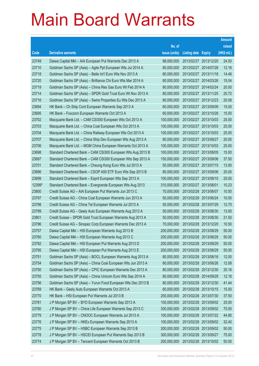|        |                                                              |               |                            |            | <b>Amount</b> |
|--------|--------------------------------------------------------------|---------------|----------------------------|------------|---------------|
|        |                                                              | No. of        |                            |            | raised        |
| Code   | <b>Derivative warrants</b>                                   | issue (units) | <b>Listing date Expiry</b> |            | (HK\$ mil.)   |
| 23749  | Daiwa Capital Mkt - AIA European Put Warrants Dec 2013 A     | 98,000,000    | 2013/02/27 2013/12/20      |            | 24.50         |
| 23710  | Goldman Sachs SP (Asia) - Agile Ppt European Wts Jul 2014 A  | 80,000,000    | 2013/02/27 2014/07/28      |            | 12.16         |
| 23718  | Goldman Sachs SP (Asia) – Belle Int'l Euro Wts Nov 2013 A    | 80,000,000    | 2013/02/27 2013/11/18      |            | 14.48         |
| 23720  | Goldman Sachs SP (Asia) – Brilliance Chi Euro Wts Mar 2014 A | 80,000,000    | 2013/02/27 2014/03/26      |            | 15.04         |
| 23719  | Goldman Sachs SP (Asia) – China Res Gas Euro Wt Feb 2014 A   | 80,000,000    | 2013/02/27 2014/02/24      |            | 20.00         |
| 23714  | Goldman Sachs SP (Asia) - SPDR Gold Trust Euro Wt Nov 2013 A | 80,000,000    | 2013/02/27 2013/11/25      |            | 20.72         |
| 23716  | Goldman Sachs SP (Asia) – Swire Properties Eu Wts Dec 2013 A | 80,000,000    | 2013/02/27 2013/12/23      |            | 20.08         |
| 23694  | HK Bank – Ch Ship Cont European Warrants Sep 2013 A          | 60,000,000    | 2013/02/27 2013/09/09      |            | 15.00         |
| 23695  | HK Bank - Foxconn European Warrants Oct 2013 A               | 60,000,000    | 2013/02/27 2013/10/28      |            | 15.00         |
| 23702  | Macquarie Bank Ltd. - CAM CSI300 European Wts Oct 2013 A     | 100,000,000   | 2013/02/27 2013/10/03      |            | 25.00         |
| 23703  | Macquarie Bank Ltd. - China Coal European Wts Oct 2013 A     | 100,000,000   | 2013/02/27 2013/10/03      |            | 25.00         |
| 23704  | Macquarie Bank Ltd. - China Railway European Wts Oct 2013 A  | 100,000,000   | 2013/02/27 2013/10/03      |            | 25.00         |
| 23707  | Macquarie Bank Ltd. - China Ship Dev European Wts Aug 2013 A | 80,000,000    | 2013/02/27 2013/08/27      |            | 20.00         |
| 23706  | Macquarie Bank Ltd. - MGM China European Warrants Oct 2013 A | 100,000,000   | 2013/02/27 2013/10/03      |            | 25.00         |
| 23698  | Standard Chartered Bank - CAM CSI300 European Wts Aug 2013 B | 100,000,000   | 2013/02/27                 | 2013/08/05 | 15.00         |
| 23697  | Standard Chartered Bank - CAM CSI300 European Wts Sep 2013 A | 150,000,000   | 2013/02/27 2013/09/06      |            | 37.50         |
| 23701  | Standard Chartered Bank – Cheung Kong Euro Wts Jul 2013 A    | 50,000,000    | 2013/02/27 2013/07/15      |            | 13.00         |
| 23696  | Standard Chartered Bank - CSOP A50 ETF Euro Wts Sep 2013 B   | 80,000,000    | 2013/02/27 2013/09/06      |            | 20.00         |
| 23699  | Standard Chartered Bank - Esprit European Wts Sep 2013 A     | 100,000,000   | 2013/02/27                 | 2013/09/10 | 25.00         |
| 12399# | Standard Chartered Bank – Evergrande European Wts Aug 2013   | 310,000,000   | 2013/02/27 2013/08/01      |            | 10.23         |
| 23800  | Credit Suisse AG - AIA European Put Warrants Jun 2013 C      | 70,000,000    | 2013/02/28 2013/06/07      |            | 10.50         |
| 23797  | Credit Suisse AG - China Coal European Warrants Jun 2013 A   | 50,000,000    | 2013/02/28 2013/06/24      |            | 10.00         |
| 23798  | Credit Suisse AG - China Tel European Warrants Jul 2013 A    | 50,000,000    | 2013/02/28 2013/07/29      |            | 12.75         |
| 23799  | Credit Suisse AG - Geely Auto European Warrants Aug 2013 A   | 50,000,000    | 2013/02/28 2013/08/30      |            | 13.00         |
| 23801  | Credit Suisse - SPDR Gold Trust European Warrants Aug 2013 A | 50,000,000    | 2013/02/28 2013/08/30      |            | 21.50         |
| 23796  | Credit Suisse AG - Sinopec Corp European Warrants Dec 2013 A | 70,000,000    | 2013/02/28 2013/12/20      |            | 10.50         |
| 23757  | Daiwa Capital Mkt - HSI European Warrants Aug 2013 B         | 200,000,000   | 2013/02/28 2013/08/29      |            | 50.00         |
| 23760  | Daiwa Capital Mkt - HSI European Warrants Aug 2013 C         | 200,000,000   | 2013/02/28 2013/08/29      |            | 50.00         |
| 23792  | Daiwa Capital Mkt - HSI European Put Warrants Aug 2013 D     | 200,000,000   | 2013/02/28 2013/08/29      |            | 50.00         |
| 23795  | Daiwa Capital Mkt - HSI European Put Warrants Aug 2013 E     | 200,000,000   | 2013/02/28 2013/08/29      |            | 50.00         |
| 23751  | Goldman Sachs SP (Asia) - BOCL European Warrants Aug 2013 A  | 80,000,000    | 2013/02/28 2013/08/16      |            | 12.00         |
| 23754  | Goldman Sachs SP (Asia) - China Coal European Wts Jun 2013 A | 80,000,000    | 2013/02/28 2013/06/26      |            | 12.08         |
| 23750  | Goldman Sachs SP (Asia) - CPIC European Warrants Dec 2013 A  | 80,000,000    | 2013/02/28 2013/12/30      |            | 20.16         |
| 23755  | Goldman Sachs SP (Asia) - China Unicom Euro Wts Sep 2014 A   | 80,000,000    | 2013/02/28 2014/09/29      |            | 12.16         |
| 23756  | Goldman Sachs SP (Asia) - Yurun Food European Wts Dec 2013 B | 80,000,000    | 2013/02/28 2013/12/30      |            | 41.44         |
| 23769  | HK Bank - Geely Auto European Warrants Oct 2013 A            | 60,000,000    | 2013/02/28 2013/10/15      |            | 15.00         |
| 23770  | HK Bank - HSI European Put Warrants Jul 2013 B               | 250,000,000   | 2013/02/28 2013/07/30      |            | 37.50         |
| 23781  | J P Morgan SP BV - BYD European Warrants Sep 2013 A          | 100,000,000   | 2013/02/28 2013/09/02      |            | 25.00         |
| 23780  | J P Morgan SP BV - China Life European Warrants Sep 2013 C   | 300,000,000   | 2013/02/28 2013/09/02      |            | 75.00         |
| 23779  | J P Morgan SP BV - CNOOC European Warrants Jul 2013 A        | 100,000,000   | 2013/02/28 2013/07/22      |            | 44.80         |
| 23776  | J P Morgan SP BV - HKEx European Warrants Sep 2013 A         | 100,000,000   | 2013/02/28 2013/09/02      |            | 32.40         |
| 23775  | J P Morgan SP BV - HSBC European Warrants Sep 2013 B         | 200,000,000   | 2013/02/28 2013/09/02      |            | 50.00         |
| 23778  | J P Morgan SP BV - HSCEI European Put Warrants Sep 2013 B    | 300,000,000   | 2013/02/28 2013/09/27      |            | 75.00         |
| 23774  | J P Morgan SP BV - Tencent European Warrants Oct 2013 B      | 200,000,000   | 2013/02/28 2013/10/02      |            | 50.00         |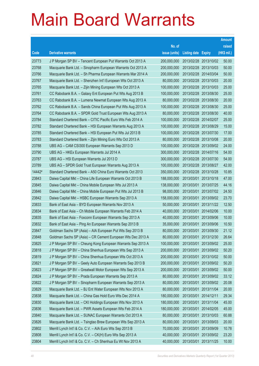|                |                                                                                                                        |                          |                            |                       | <b>Amount</b> |
|----------------|------------------------------------------------------------------------------------------------------------------------|--------------------------|----------------------------|-----------------------|---------------|
|                |                                                                                                                        | No. of                   |                            |                       | raised        |
| Code           | <b>Derivative warrants</b>                                                                                             | issue (units)            | <b>Listing date Expiry</b> |                       | (HK\$ mil.)   |
| 23773          | J P Morgan SP BV - Tencent European Put Warrants Oct 2013 A                                                            | 200,000,000              |                            | 2013/02/28 2013/10/02 | 50.00         |
| 23768          | Macquarie Bank Ltd. - Sinopharm European Warrants Oct 2013 A                                                           | 200,000,000              | 2013/02/28 2013/10/03      |                       | 50.00         |
| 23766          | Macquarie Bank Ltd. - Sh Pharma European Warrants Mar 2014 A                                                           | 200,000,000              | 2013/02/28                 | 2014/03/04            | 50.00         |
| 23767          | Macquarie Bank Ltd. - Shenzhen Int'l European Wts Oct 2013 A                                                           | 80,000,000               |                            | 2013/02/28 2013/10/03 | 20.00         |
| 23765          | Macquarie Bank Ltd. - Zijin Mining European Wts Oct 2013 A                                                             | 100,000,000              |                            | 2013/02/28 2013/10/03 | 25.00         |
| 23761          | CC Rabobank B.A. - Galaxy Ent European Put Wts Aug 2013 B                                                              | 100,000,000              |                            | 2013/02/28 2013/08/30 | 25.00         |
| 23763          | CC Rabobank B.A. - Lumena Newmat European Wts Aug 2013 A                                                               | 80,000,000               | 2013/02/28                 | 2013/08/30            | 20.00         |
| 23762          | CC Rabobank B.A. - Sands China European Put Wts Aug 2013 A                                                             | 100,000,000              |                            | 2013/02/28 2013/08/30 | 25.00         |
| 23764          | CC Rabobank B.A. - SPDR Gold Trust European Wts Aug 2013 A                                                             | 80,000,000               |                            | 2013/02/28 2013/08/30 | 40.00         |
| 23784          | Standard Chartered Bank - CITIC Pacific Euro Wts Feb 2014 A                                                            | 100,000,000              |                            | 2013/02/28 2014/02/07 | 25.00         |
| 23782          | Standard Chartered Bank - HSI European Warrants Aug 2013 A                                                             | 100,000,000              | 2013/02/28                 | 2013/08/29            | 15.00         |
| 23785          | Standard Chartered Bank - HSI European Put Wts Jul 2013 B                                                              | 100,000,000              |                            | 2013/02/28 2013/07/30 | 17.00         |
| 23783          | Standard Chartered Bank - Zijin Mining Euro Wts Oct 2013 A                                                             | 80,000,000               |                            | 2013/02/28 2013/10/08 | 20.00         |
| 23788          | UBS AG - CAM CSI300 European Warrants Sep 2013 D                                                                       | 100,000,000              |                            | 2013/02/28 2013/09/02 | 24.00         |
| 23790          | UBS AG - HKEx European Warrants Jul 2014 A                                                                             | 300,000,000              | 2013/02/28                 | 2014/07/16            | 54.00         |
| 23787          | UBS AG - HSI European Warrants Jul 2013 D                                                                              | 300,000,000              |                            | 2013/02/28 2013/07/30 | 54.00         |
| 23789          | UBS AG - SPDR Gold Trust European Warrants Aug 2013 A                                                                  | 100,000,000              |                            | 2013/02/28 2013/08/27 | 42.00         |
| 14442#         | Standard Chartered Bank - A50 China Euro Warrants Oct 2013                                                             | 350,000,000              |                            | 2013/02/28 2013/10/28 | 10.85         |
| 23843          | Daiwa Capital Mkt - China Life European Warrants Oct 2013 B                                                            | 188,000,000              | 2013/03/01                 | 2013/10/18            | 47.00         |
| 23845          | Daiwa Capital Mkt - China Mobile European Wts Jul 2013 A                                                               | 138,000,000              |                            | 2013/03/01 2013/07/25 | 44.16         |
| 23846          | Daiwa Capital Mkt - China Mobile European Put Wts Jul 2013 B                                                           | 98,000,000               | 2013/03/01                 | 2013/07/02            | 24.50         |
| 23842          | Daiwa Capital Mkt - HSBC European Warrants Sep 2013 A                                                                  | 158,000,000              |                            | 2013/03/01 2013/09/02 | 23.70         |
| 23833          | Bank of East Asia - BYD European Warrants Nov 2013 A                                                                   | 50,000,000               | 2013/03/01                 | 2013/11/22            | 12.50         |
| 23834          | Bank of East Asia - Ch Mobile European Warrants Feb 2014 A                                                             | 40,000,000               |                            | 2013/03/01 2014/02/06 | 10.00         |
| 23835          | Bank of East Asia - Foxconn European Warrants Sep 2013 A                                                               | 40,000,000               | 2013/03/01                 | 2013/09/06            | 10.00         |
| 23832          | Bank of East Asia - Ping An European Warrants Sep 2013 B                                                               | 35,000,000               | 2013/03/01                 | 2013/09/06            | 10.50         |
| 23847          | Goldman Sachs SP (Asia) - AIA European Put Wts Sep 2013 B                                                              | 80,000,000               | 2013/03/01                 | 2013/09/30            | 21.12         |
| 23848          | Goldman Sachs SP (Asia) - CR Cement European Wts Dec 2013 A                                                            | 80,000,000               |                            | 2013/03/01 2013/12/30 | 26.64         |
| 23825          | J P Morgan SP BV - Cheung Kong European Warrants Sep 2013 A                                                            | 100,000,000              | 2013/03/01                 | 2013/09/02            | 25.00         |
| 23818          | J P Morgan SP BV - China Shenhua European Wts Sep 2013 A                                                               | 200,000,000              |                            | 2013/03/01 2013/09/02 | 50.20         |
| 23819          | J P Morgan SP BV - China Shenhua European Wts Oct 2013 A                                                               | 200,000,000              | 2013/03/01                 | 2013/10/02            | 50.00         |
| 23821          | J P Morgan SP BV - Geely Auto European Warrants Sep 2013 B                                                             | 200,000,000              | 2013/03/01                 | 2013/09/02            | 50.20         |
| 23823          | J P Morgan SP BV - Greatwall Motor European Wts Sep 2013 A                                                             | 200,000,000              | 2013/03/01                 | 2013/09/02            | 50.00         |
| 23824          | J P Morgan SP BV - Prada European Warrants Sep 2013 A                                                                  | 80,000,000               | 2013/03/01                 | 2013/09/02            | 33.12         |
| 23822          | J P Morgan SP BV - Sinopharm European Warrants Sep 2013 A                                                              | 80,000,000               | 2013/03/01                 | 2013/09/02            | 20.08         |
| 23829          | Macquarie Bank Ltd. - BJ Ent Water European Wts Nov 2013 A                                                             | 80,000,000               | 2013/03/01                 | 2013/11/04            | 20.00         |
| 23838<br>23830 | Macquarie Bank Ltd. - China Gas Hold Euro Wts Dec 2014 A                                                               | 180,000,000              | 2013/03/01                 | 2014/12/11            | 29.34         |
|                | Macquarie Bank Ltd. - CKI Holdings European Wts Nov 2013 A                                                             | 180,000,000              | 2013/03/01                 | 2013/11/04            | 45.00         |
| 23836<br>23840 | Macquarie Bank Ltd. - PWR Assets European Wts Feb 2014 A                                                               | 180,000,000              | 2013/03/01                 | 2014/02/05            | 45.00         |
| 23826          | Macquarie Bank Ltd. - SUNAC European Warrants Oct 2013 A                                                               | 80,000,000               | 2013/03/01                 | 2013/10/03            | 60.88         |
|                | Macquarie Bank Ltd. - Tsingtao Brew European Wts Sep 2013 A                                                            | 80,000,000<br>70,000,000 | 2013/03/01                 | 2013/09/03            | 20.00         |
| 23802          | Merrill Lynch Int'l & Co. C.V. - AIA Euro Wts Sep 2013 B<br>Merrill Lynch Int'l & Co. C.V. - CK(H) Euro Wts Sep 2013 A | 40,000,000               | 2013/03/01                 | 2013/09/09            | 10.78         |
| 23808          |                                                                                                                        |                          | 2013/03/01                 | 2013/09/02            | 23.20         |
| 23804          | Merrill Lynch Int'l & Co. C.V. - Ch Shenhua Eu Wt Nov 2013 A                                                           | 40,000,000               | 2013/03/01                 | 2013/11/25            | 10.00         |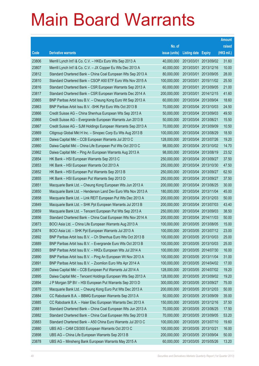|       |                                                              |               |                       |            | <b>Amount</b> |
|-------|--------------------------------------------------------------|---------------|-----------------------|------------|---------------|
|       |                                                              | No. of        |                       |            | raised        |
| Code  | <b>Derivative warrants</b>                                   | issue (units) | Listing date Expiry   |            | (HK\$ mil.)   |
| 23806 | Merrill Lynch Int'l & Co. C.V. - HKEx Euro Wts Sep 2013 A    | 40,000,000    | 2013/03/01            | 2013/09/02 | 31.60         |
| 23807 | Merrill Lynch Int'l & Co. C.V. - JX Copper Eu Wts Dec 2013 A | 40,000,000    | 2013/03/01            | 2013/12/16 | 10.00         |
| 23812 | Standard Chartered Bank - China Coal European Wts Sep 2013 A | 80,000,000    | 2013/03/01            | 2013/09/05 | 28.00         |
| 23810 | Standard Chartered Bank - CSOP A50 ETF Euro Wts Nov 2015 A   | 100,000,000   | 2013/03/01            | 2015/11/02 | 25.50         |
| 23816 | Standard Chartered Bank - CSR European Warrants Sep 2013 A   | 60,000,000    | 2013/03/01            | 2013/09/05 | 21.00         |
| 23817 | Standard Chartered Bank - CSR European Warrants Dec 2014 A   | 200,000,000   | 2013/03/01            | 2014/12/15 | 41.60         |
| 23865 | BNP Paribas Arbit Issu B.V. - Cheung Kong Euro Wt Sep 2013 A | 60,000,000    | 2013/03/04            | 2013/09/04 | 18.60         |
| 23863 | BNP Paribas Arbit Issu B.V. - SHK Ppt Euro Wts Oct 2013 B    | 70,000,000    | 2013/03/04 2013/10/03 |            | 24.50         |
| 23866 | Credit Suisse AG - China Shenhua European Wts Sep 2013 A     | 50,000,000    | 2013/03/04            | 2013/09/03 | 49.50         |
| 23868 | Credit Suisse AG - Evergrande European Warrants Jun 2013 B   | 50,000,000    | 2013/03/04 2013/06/21 |            | 15.50         |
| 23867 | Credit Suisse AG - SJM Holdings European Warrants Sep 2013 A | 70,000,000    | 2013/03/04            | 2013/09/09 | 10.50         |
| 23869 | Citigroup Global Mkt H Inc. - Sinopec Corp Eu Wts Aug 2013 B | 100,000,000   | 2013/03/04 2013/08/29 |            | 18.50         |
| 23861 | Daiwa Capital Mkt - CCB European Warrants Jul 2013 C         | 128,000,000   | 2013/03/04            | 2013/07/26 | 19.20         |
| 23860 | Daiwa Capital Mkt - China Life European Put Wts Oct 2013 C   | 98,000,000    | 2013/03/04 2013/10/02 |            | 14.70         |
| 23862 | Daiwa Capital Mkt - Ping An European Warrants Aug 2013 A     | 98,000,000    | 2013/03/04            | 2013/08/19 | 23.52         |
| 23854 | HK Bank - HSI European Warrants Sep 2013 C                   | 250,000,000   | 2013/03/04 2013/09/27 |            | 37.50         |
| 23853 | HK Bank - HSI European Warrants Oct 2013 A                   | 250,000,000   | 2013/03/04            | 2013/10/30 | 47.50         |
| 23852 | HK Bank - HSI European Put Warrants Sep 2013 B               | 250,000,000   | 2013/03/04 2013/09/27 |            | 62.50         |
| 23855 | HK Bank - HSI European Put Warrants Sep 2013 D               | 250,000,000   | 2013/03/04            | 2013/09/27 | 37.50         |
| 23851 | Macquarie Bank Ltd. - Cheung Kong European Wts Jun 2013 A    | 200,000,000   | 2013/03/04 2013/06/25 |            | 30.00         |
| 23850 | Macquarie Bank Ltd. - Henderson Land Dev Euro Wts Nov 2013 A | 180,000,000   | 2013/03/04            | 2013/11/04 | 45.00         |
| 23858 | Macquarie Bank Ltd. - Link REIT European Put Wts Dec 2013 A  | 200,000,000   | 2013/03/04 2013/12/03 |            | 50.00         |
| 23849 | Macquarie Bank Ltd. - SHK Ppt European Warrants Jul 2013 B   | 200,000,000   | 2013/03/04            | 2013/07/03 | 43.40         |
| 23859 | Macquarie Bank Ltd. - Tencent European Put Wts Sep 2013 A    | 250,000,000   | 2013/03/04 2013/09/03 |            | 38.50         |
| 23856 | Standard Chartered Bank - China Coal European Wts Nov 2014 A | 200,000,000   | 2013/03/04 2014/11/03 |            | 50.00         |
| 23873 | BOCI Asia Ltd. - China Life European Warrants Aug 2013 A     | 100,000,000   | 2013/03/05 2013/08/05 |            | 15.00         |
| 23874 | BOCI Asia Ltd. – SHK Ppt European Warrants Jul 2013 A        | 100,000,000   | 2013/03/05 2013/07/12 |            | 23.00         |
| 23892 | BNP Paribas Arbit Issu B.V. - Ch Shenhua Euro Wts Oct 2013 B | 100,000,000   | 2013/03/05 2013/10/03 |            | 25.00         |
| 23889 | BNP Paribas Arbit Issu B.V. - Evergrande Euro Wts Oct 2013 B | 100,000,000   | 2013/03/05 2013/10/03 |            | 25.00         |
| 23893 | BNP Paribas Arbit Issu B.V. - HKEx European Wts Jul 2014 A   | 100,000,000   | 2013/03/05 2014/07/30 |            | 16.00         |
| 23890 | BNP Paribas Arbit Issu B.V. - Ping An European Wt Nov 2013 A | 100,000,000   | 2013/03/05 2013/11/04 |            | 31.00         |
| 23891 | BNP Paribas Arbit Issu B.V. - Zoomlion Euro Wts Apr 2014 A   | 100,000,000   | 2013/03/05 2014/04/02 |            | 17.00         |
| 23897 | Daiwa Capital Mkt - CCB European Put Warrants Jul 2014 A     | 128,000,000   | 2013/03/05 2014/07/02 |            | 19.20         |
| 23895 | Daiwa Capital Mkt - Tencent Holdings European Wts Sep 2013 A | 128,000,000   | 2013/03/05 2013/09/02 |            | 19.20         |
| 23894 | J P Morgan SP BV - HSI European Put Warrants Sep 2013 D      | 300,000,000   | 2013/03/05 2013/09/27 |            | 75.00         |
| 23870 | Macquarie Bank Ltd. - Cheung Kong Euro Put Wts Dec 2013 A    | 200,000,000   | 2013/03/05 2013/12/03 |            | 50.00         |
| 23884 | CC Rabobank B.A. - BBMG European Warrants Sep 2013 A         | 50,000,000    | 2013/03/05 2013/09/09 |            | 35.00         |
| 23885 | CC Rabobank B.A. - Haier Elec European Warrants Dec 2013 A   | 150,000,000   | 2013/03/05 2013/12/16 |            | 37.50         |
| 23881 | Standard Chartered Bank - China Coal European Wts Jun 2013 A | 70,000,000    | 2013/03/05 2013/06/25 |            | 17.50         |
| 23882 | Standard Chartered Bank - China Coal European Wts Sep 2013 B | 70,000,000    | 2013/03/05 2013/09/05 |            | 53.20         |
| 23883 | Standard Chartered Bank - A50 China Euro Warrants Jul 2013 C | 100,000,000   | 2013/03/05 2013/07/10 |            | 19.60         |
| 23880 | UBS AG - CAM CSI300 European Warrants Oct 2013 C             | 100,000,000   | 2013/03/05 2013/10/21 |            | 16.00         |
| 23898 | UBS AG - China Life European Warrants Sep 2013 B             | 200,000,000   | 2013/03/05 2013/09/04 |            | 50.00         |
| 23878 | UBS AG - Minsheng Bank European Warrants May 2015 A          | 60,000,000    | 2013/03/05 2015/05/26 |            | 13.20         |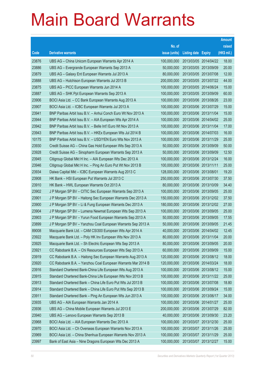|       |                                                              |               |                            | <b>Amount</b> |
|-------|--------------------------------------------------------------|---------------|----------------------------|---------------|
|       |                                                              | No. of        |                            | raised        |
| Code  | <b>Derivative warrants</b>                                   | issue (units) | <b>Listing date Expiry</b> | (HK\$ mil.)   |
| 23876 | UBS AG – China Unicom European Warrants Apr 2014 A           | 100,000,000   | 2013/03/05 2014/04/22      | 18.00         |
| 23886 | UBS AG - Evergrande European Warrants Sep 2013 A             | 50,000,000    | 2013/03/05 2013/09/09      | 20.00         |
| 23879 | UBS AG - Galaxy Ent European Warrants Jul 2013 A             | 80,000,000    | 2013/03/05 2013/07/08      | 12.00         |
| 23888 | UBS AG - Hutchison European Warrants Jul 2013 B              | 200,000,000   | 2013/03/05 2013/07/22      | 44.00         |
| 23875 | UBS AG - PICC European Warrants Jun 2014 A                   | 100,000,000   | 2013/03/05 2014/06/24      | 15.00         |
| 23887 | UBS AG – SHK Ppt European Warrants Sep 2013 A                | 100,000,000   | 2013/03/05 2013/09/09      | 60.00         |
| 23906 | BOCI Asia Ltd. - CC Bank European Warrants Aug 2013 A        | 100,000,000   | 2013/03/06 2013/08/26      | 23.00         |
| 23907 | BOCI Asia Ltd. - ICBC European Warrants Jul 2013 A           | 100,000,000   | 2013/03/06 2013/07/29      | 15.00         |
| 23941 | BNP Paribas Arbit Issu B.V. - Anhui Conch Euro Wt Nov 2013 A | 100,000,000   | 2013/03/06 2013/11/04      | 15.00         |
| 23944 | BNP Paribas Arbit Issu B.V. - AIA European Wts Apr 2014 A    | 100,000,000   | 2013/03/06 2014/04/02      | 25.00         |
| 23942 | BNP Paribas Arbit Issu B.V. - Belle Int'l Euro Wt Nov 2013 A | 100,000,000   | 2013/03/06 2013/11/04      | 17.00         |
| 23943 | BNP Paribas Arbit Issu B.V. - HKEx European Wts Jul 2014 B   | 100,000,000   | 2013/03/06 2014/07/03      | 16.00         |
| 10175 | BNP Paribas Arbit Issu B.V. - USD/YEN Euro Wts Nov 2013 A    | 100,000,000   | 2013/03/06 2013/11/29      | 25.00         |
| 23930 | Credit Suisse AG - China Gas Hold European Wts Sep 2013 A    | 50,000,000    | 2013/03/06 2013/09/09      | 50.00         |
| 23928 | Credit Suisse AG - Sinopharm European Warrants Sep 2013 A    | 50,000,000    | 2013/03/06 2013/09/09      | 12.50         |
| 23945 | Citigroup Global Mkt H Inc. - AIA European Wts Dec 2013 A    | 100,000,000   | 2013/03/06 2013/12/24      | 16.00         |
| 23946 | Citigroup Global Mkt H Inc. - Ping An Euro Put Wt Nov 2013 B | 100,000,000   | 2013/03/06 2013/11/11      | 25.00         |
| 23934 | Daiwa Capital Mkt - ICBC European Warrants Aug 2013 C        | 128,000,000   | 2013/03/06 2013/08/01      | 19.20         |
| 23908 | HK Bank – HSI European Put Warrants Jul 2013 C               | 250,000,000   | 2013/03/06 2013/07/30      | 37.50         |
| 23910 | HK Bank – HWL European Warrants Oct 2013 A                   | 80,000,000    | 2013/03/06 2013/10/09      | 34.40         |
| 23902 | J P Morgan SP BV - CITIC Sec European Warrants Sep 2013 A    | 100,000,000   | 2013/03/06 2013/09/05      | 25.00         |
| 23901 | J P Morgan SP BV - Haitong Sec European Warrants Dec 2013 A  | 150,000,000   | 2013/03/06 2013/12/02      | 37.50         |
| 23900 | J P Morgan SP BV - Li & Fung European Warrants Dec 2013 A    | 180,000,000   | 2013/03/06 2013/12/02      | 27.00         |
| 23904 | J P Morgan SP BV - Lumena Newmat European Wts Sep 2013 A     | 100,000,000   | 2013/03/06 2013/09/05      | 25.00         |
| 23903 | J P Morgan SP BV - Yurun Food European Warrants Sep 2013 A   | 50,000,000    | 2013/03/06 2013/09/05      | 17.55         |
| 23899 | J P Morgan SP BV - Yanzhou Coal European Warrants Sep 2013 A | 50,000,000    | 2013/03/06 2013/09/05      | 21.45         |
| 89008 | Macquarie Bank Ltd. - CAM CSI300 European Wts Apr 2014 A     | 40,000,000    | 2013/03/06 2014/04/02      | 12.45         |
| 23922 | Macquarie Bank Ltd. - Poly HK Inv European Wts Nov 2013 A    | 80,000,000    | 2013/03/06 2013/11/04      | 20.00         |
| 23925 | Macquarie Bank Ltd. - Sh Electric European Wts Sep 2013 A    | 80,000,000    | 2013/03/06 2013/09/05      | 20.00         |
| 23921 | CC Rabobank B.A. - Chi Resources European Wts Sep 2013 A     | 60,000,000    | 2013/03/06 2013/09/09      | 15.00         |
| 23919 | CC Rabobank B.A. - Haitong Sec European Warrants Aug 2013 A  | 120,000,000   | 2013/03/06 2013/08/12      | 18.00         |
| 23920 | CC Rabobank B.A. - Yanzhou Coal European Warrants Mar 2014 B | 120,000,000   | 2013/03/06 2014/03/24      | 18.00         |
| 23916 | Standard Chartered Bank-China Life European Wts Aug 2013 A   | 100,000,000   | 2013/03/06 2013/08/12      | 15.00         |
| 23915 | Standard Chartered Bank-China Life European Wts Nov 2013 B   | 100,000,000   | 2013/03/06 2013/11/22      | 25.00         |
| 23913 | Standard Chartered Bank - China Life Euro Put Wts Jul 2013 B | 100,000,000   | 2013/03/06 2013/07/08      | 18.80         |
| 23914 | Standard Chartered Bank - China Life Euro Put Wts Sep 2013 B | 100,000,000   | 2013/03/06 2013/09/24      | 15.00         |
| 23911 | Standard Chartered Bank - Ping An European Wts Jun 2013 A    | 100,000,000   | 2013/03/06 2013/06/17      | 34.00         |
| 23935 | UBS AG - AIA European Warrants Jan 2014 A                    | 100,000,000   | 2013/03/06 2014/01/27      | 25.00         |
| 23936 | UBS AG - China Mobile European Warrants Jul 2013 E           | 200,000,000   | 2013/03/06 2013/07/29      | 82.00         |
| 23940 | UBS AG - Lenovo European Warrants Sep 2013 B                 | 40,000,000    | 2013/03/06 2013/09/30      | 23.20         |
| 23968 | BOCI Asia Ltd. - AIA European Warrants Dec 2013 A            | 100,000,000   | 2013/03/07 2013/12/30      | 25.00         |
| 23970 | BOCI Asia Ltd. - Ch Overseas European Warrants Nov 2013 A    | 100,000,000   | 2013/03/07 2013/11/26      | 25.00         |
| 23969 | BOCI Asia Ltd. - China Shenhua European Warrants Nov 2013 A  | 100,000,000   | 2013/03/07 2013/11/29      | 25.00         |
| 23997 | Bank of East Asia - Nine Dragons European Wts Dec 2013 A     | 100,000,000   | 2013/03/07 2013/12/27      | 15.00         |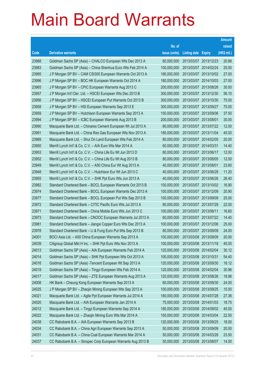|       |                                                              |               |                       | <b>Amount</b> |
|-------|--------------------------------------------------------------|---------------|-----------------------|---------------|
|       |                                                              | No. of        |                       | raised        |
| Code  | <b>Derivative warrants</b>                                   | issue (units) | Listing date Expiry   | (HK\$ mil.)   |
| 23988 | Goldman Sachs SP (Asia) - CHALCO European Wts Dec 2013 A     | 80,000,000    | 2013/03/07 2013/12/23 | 20.88         |
| 23983 | Goldman Sachs SP (Asia) - China Shenhua Euro Wts Feb 2014 A  | 100,000,000   | 2013/03/07 2014/02/24 | 25.00         |
| 23995 | J P Morgan SP BV - CAM CSI300 European Warrants Oct 2013 A   | 180,000,000   | 2013/03/07 2013/10/02 | 27.00         |
| 23996 | J P Morgan SP BV - BOC HK European Warrants Oct 2014 A       | 180,000,000   | 2013/03/07 2014/10/03 | 27.00         |
| 23965 | J P Morgan SP BV - CPIC European Warrants Aug 2013 C         | 200,000,000   | 2013/03/07 2013/08/26 | 30.00         |
| 23957 | J P Morgan Int'l Der. Ltd. - HSCEI European Wts Dec 2013 B   | 300,000,000   | 2013/03/07 2013/12/30 | 56.10         |
| 23956 | J P Morgan SP BV - HSCEI European Put Warrants Oct 2013 B    | 300,000,000   | 2013/03/07 2013/10/30 | 75.00         |
| 23958 | J P Morgan SP BV - HSI European Warrants Sep 2013 E          | 300,000,000   | 2013/03/07 2013/09/27 | 75.00         |
| 23959 | J P Morgan SP BV - Hutchison European Warrants Sep 2013 A    | 150,000,000   | 2013/03/07 2013/09/06 | 37.50         |
| 23994 | J P Morgan SP BV - ICBC European Warrants Aug 2013 B         | 200,000,000   | 2013/03/07 2013/08/01 | 30.00         |
| 23990 | Macquarie Bank Ltd. - Chinares Cement European Wt Jul 2013 A | 80,000,000    | 2013/03/07 2013/07/22 | 12.00         |
| 23991 | Macquarie Bank Ltd. - China Res Gas European Wts Nov 2013 A  | 180,000,000   | 2013/03/07 2013/11/04 | 45.00         |
| 23989 | Macquarie Bank Ltd. - Shui On Land European Wts Feb 2014 A   | 80,000,000    | 2013/03/07 2014/02/05 | 20.00         |
| 23950 | Merrill Lynch Int'l & Co. C.V. - AIA Euro Wts Mar 2014 A     | 60,000,000    | 2013/03/07 2014/03/31 | 14.40         |
| 23953 | Merrill Lynch Int'l & Co. C.V. - China Life Eu Wt Jun 2013 D | 80,000,000    | 2013/03/07 2013/06/17 | 12.00         |
| 23952 | Merrill Lynch Int'l & Co. C.V. - China Life Eu Wt Aug 2013 B | 80,000,000    | 2013/03/07 2013/08/05 | 12.00         |
| 23949 | Merrill Lynch Int'l & Co. C.V. - A50 China Eur Wt Aug 2013 A | 40,000,000    | 2013/03/07 2013/08/01 | 23.60         |
| 23948 | Merrill Lynch Int'l & Co. C.V. - Hutchison Eur Wt Jun 2013 C | 40,000,000    | 2013/03/07 2013/06/28 | 11.20         |
| 23955 | Merrill Lynch Int'l & Co. C.V. - SHK Ppt Euro Wts Jun 2013 A | 40,000,000    | 2013/03/07 2013/06/26 | 26.40         |
| 23982 | Standard Chartered Bank - BOCL European Warrants Oct 2013 B  | 100,000,000   | 2013/03/07 2013/10/02 | 16.90         |
| 23974 | Standard Chartered Bank - BOCL European Warrants Dec 2013 A  | 100,000,000   | 2013/03/07 2013/12/09 | 20.90         |
| 23977 | Standard Chartered Bank - BOCL European Put Wts Sep 2013 B   | 100,000,000   | 2013/03/07 2013/09/09 | 25.00         |
| 23972 | Standard Chartered Bank - CITIC Pacific Euro Wts Jul 2013 A  | 80,000,000    | 2013/03/07 2013/07/29 | 22.00         |
| 23971 | Standard Chartered Bank - China Mobile Euro Wts Jun 2013 C   | 100,000,000   | 2013/03/07 2013/06/11 | 16.60         |
| 23973 | Standard Chartered Bank - CNOOC European Warrants Jul 2013 A | 60,000,000    | 2013/03/07 2013/07/22 | 14.40         |
| 23981 | Standard Chartered Bank - Jiangxi Copper Euro Wts Dec 2013 A | 100,000,000   | 2013/03/07 2013/12/06 | 25.00         |
| 23978 | Standard Chartered Bank – Li & Fung Euro Put Wts Sep 2013 B  | 80,000,000    | 2013/03/07 2013/09/09 | 24.00         |
| 24001 | BOCI Asia Ltd. - A50 China European Warrants Sep 2013 A      | 100,000,000   | 2013/03/08 2013/09/09 | 20.00         |
| 24039 | Citigroup Global Mkt H Inc. - SHK Ppt Euro Wts Nov 2013 A    | 100,000,000   | 2013/03/08 2013/11/18 | 45.00         |
| 24013 | Goldman Sachs SP (Asia) - AIA European Warrants Feb 2014 A   | 120,000,000   | 2013/03/08 2014/02/04 | 30.12         |
| 24014 | Goldman Sachs SP (Asia) - SHK Ppt European Wts Oct 2013 A    | 100,000,000   | 2013/03/08 2013/10/31 | 54.40         |
| 24016 | Goldman Sachs SP (Asia) - Tencent European Wt Sep 2013 A     | 120,000,000   | 2013/03/08 2013/09/30 | 18.12         |
| 24019 | Goldman Sachs SP (Asia) - Tingyi European Wts Feb 2014 A     | 120,000,000   | 2013/03/08 2014/02/04 | 30.96         |
| 24017 | Goldman Sachs SP (Asia) - ZTE European Warrants Aug 2013 A   | 120,000,000   | 2013/03/08 2013/08/26 | 18.96         |
| 24008 | HK Bank - Cheung Kong European Warrants Sep 2013 A           | 60,000,000    | 2013/03/08 2013/09/30 | 24.00         |
| 24025 | J P Morgan SP BV - Zhaojin Mining European Wts Sep 2013 A    | 100,000,000   | 2013/03/08 2013/09/25 | 15.00         |
| 24021 | Macquarie Bank Ltd. - Agile Ppt European Warrants Jul 2014 A | 180,000,000   | 2013/03/08 2014/07/28 | 27.36         |
| 24020 | Macquarie Bank Ltd. - AIA European Warrants Jan 2014 A       | 75,000,000    | 2013/03/08 2014/01/03 | 18.75         |
| 24012 | Macquarie Bank Ltd. - Tingyi European Warrants Sep 2014 A    | 180,000,000   | 2013/03/08 2014/09/02 | 45.00         |
| 24022 | Macquarie Bank Ltd. - Zhaojin Mining Euro Wts Mar 2014 A     | 150,000,000   | 2013/03/08 2014/03/04 | 22.50         |
| 24038 | CC Rabobank B.A. - AIA European Warrants Sep 2013 B          | 120,000,000   | 2013/03/08 2013/09/25 | 18.00         |
| 24034 | CC Rabobank B.A. - China Agri European Warrants Sep 2013 A   | 50,000,000    | 2013/03/08 2013/09/09 | 20.00         |
| 24031 | CC Rabobank B.A. - China Coal European Warrants Mar 2014 A   | 50,000,000    | 2013/03/08 2014/03/28 | 23.50         |
| 24037 | CC Rabobank B.A. - Sinopec Corp European Warrants Aug 2013 B | 50,000,000    | 2013/03/08 2013/08/07 | 14.00         |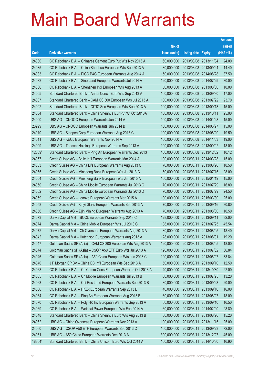|        |                                                              |               |                            |            | <b>Amount</b> |
|--------|--------------------------------------------------------------|---------------|----------------------------|------------|---------------|
|        |                                                              | No. of        |                            |            | raised        |
| Code   | <b>Derivative warrants</b>                                   | issue (units) | <b>Listing date Expiry</b> |            | (HK\$ mil.)   |
| 24030  | CC Rabobank B.A. - Chinares Cement Euro Put Wts Nov 2013 A   | 60,000,000    | 2013/03/08 2013/11/04      |            | 24.00         |
| 24035  | CC Rabobank B.A. - China Shenhua European Wts Sep 2013 A     | 80,000,000    | 2013/03/08 2013/09/24      |            | 14.40         |
| 24033  | CC Rabobank B.A. - PICC P&C European Warrants Aug 2014 A     | 150,000,000   | 2013/03/08 2014/08/28      |            | 37.50         |
| 24032  | CC Rabobank B.A. - Sino Land European Warrants Jul 2014 A    | 120,000,000   | 2013/03/08 2014/07/29      |            | 30.00         |
| 24036  | CC Rabobank B.A. - Shenzhen Int'l European Wts Aug 2013 A    | 50,000,000    | 2013/03/08 2013/08/30      |            | 10.00         |
| 24005  | Standard Chartered Bank - Anhui Conch Euro Wts Sep 2013 A    | 100,000,000   | 2013/03/08 2013/09/30      |            | 17.00         |
| 24007  | Standard Chartered Bank - CAM CSI300 European Wts Jul 2013 A | 100,000,000   | 2013/03/08 2013/07/22      |            | 23.70         |
| 24002  | Standard Chartered Bank – CITIC Sec European Wts Sep 2013 A  | 100,000,000   | 2013/03/08 2013/09/13      |            | 15.00         |
| 24004  | Standard Chartered Bank - China Shenhua Eur Put Wt Oct 2013A | 100,000,000   | 2013/03/08 2013/10/11      |            | 25.00         |
| 24000  | UBS AG - CNOOC European Warrants Jan 2014 A                  | 100,000,000   | 2013/03/08 2014/01/28      |            | 15.00         |
| 23999  | UBS AG - CNOOC European Warrants Jun 2014 B                  | 100,000,000   | 2013/03/08 2014/06/27      |            | 15.00         |
| 24010  | UBS AG – Sinopec Corp European Warrants Aug 2013 C           | 100,000,000   | 2013/03/08 2013/08/29      |            | 19.50         |
| 24011  | UBS AG - KECL European Warrants Nov 2014 A                   | 100,000,000   | 2013/03/08 2014/11/03      |            | 19.00         |
| 24009  | UBS AG - Tencent Holdings European Warrants Sep 2013 A       | 100,000,000   | 2013/03/08 2013/09/02      |            | 18.00         |
| 12309# | Standard Chartered Bank - Ping An European Warrants Dec 2013 | 460,000,000   | 2013/03/08 2013/12/02      |            | 10.12         |
| 24057  | Credit Suisse AG - Belle Int'l European Warrants Mar 2014 A  | 100,000,000   | 2013/03/11 2014/03/28      |            | 15.00         |
| 24053  | Credit Suisse AG - China Life European Warrants Aug 2013 C   | 70,000,000    | 2013/03/11                 | 2013/08/26 | 10.50         |
| 24055  | Credit Suisse AG - Minsheng Bank European Wts Jul 2013 C     | 50,000,000    | 2013/03/11                 | 2013/07/15 | 28.00         |
| 24054  | Credit Suisse AG - Minsheng Bank European Wts Jan 2015 A     | 100,000,000   | 2013/03/11                 | 2015/01/19 | 15.00         |
| 24050  | Credit Suisse AG - China Mobile European Warrants Jul 2013 C | 70,000,000    | 2013/03/11                 | 2013/07/29 | 16.80         |
| 24052  | Credit Suisse AG - China Mobile European Warrants Jul 2013 D | 70,000,000    | 2013/03/11                 | 2013/07/29 | 24.50         |
| 24059  | Credit Suisse AG - Lenovo European Warrants Mar 2015 A       | 100,000,000   | 2013/03/11                 | 2015/03/30 | 25.00         |
| 24058  | Credit Suisse AG - Xinyi Glass European Warrants Sep 2013 A  | 70,000,000    | 2013/03/11                 | 2013/09/16 | 30.80         |
| 24056  | Credit Suisse AG - Zijin Mining European Warrants Aug 2013 A | 70,000,000    | 2013/03/11                 | 2013/08/30 | 10.50         |
| 24073  | Daiwa Capital Mkt - BOCL European Warrants Sep 2013 C        | 128,000,000   | 2013/03/11                 | 2013/09/11 | 32.00         |
| 24074  | Daiwa Capital Mkt - China Mobile European Wts Jul 2013 C     | 138,000,000   | 2013/03/11                 | 2013/07/25 | 45.54         |
| 24072  | Daiwa Capital Mkt - Ch Overseas European Warrants Aug 2013 A | 80,000,000    | 2013/03/11 2013/08/05      |            | 18.40         |
| 24042  | Daiwa Capital Mkt - Hutchison European Warrants Aug 2013 A   | 128,000,000   | 2013/03/11 2013/08/01      |            | 19.20         |
| 24047  | Goldman Sachs SP (Asia) - CAM CSI300 European Wts Aug 2013 A | 120,000,000   | 2013/03/11                 | 2013/08/05 | 18.00         |
| 24044  | Goldman Sachs SP (Asia) - CSOP A50 ETF Euro Wts Jul 2013 A   | 120,000,000   | 2013/03/11                 | 2013/07/02 | 36.84         |
| 24046  | Goldman Sachs SP (Asia) - A50 China European Wts Jun 2013 C  | 120,000,000   | 2013/03/11                 | 2013/06/27 | 33.84         |
| 24040  | J P Morgan SP BV - China EB Int'l European Wts Sep 2013 A    | 50,000,000    | 2013/03/11                 | 2013/09/10 | 12.50         |
| 24068  | CC Rabobank B.A. - Ch Comm Cons European Warrants Oct 2013 A | 40,000,000    | 2013/03/11                 | 2013/10/30 | 22.00         |
| 24065  | CC Rabobank B.A. - Ch Mobile European Warrants Jul 2013 B    | 60,000,000    | 2013/03/11                 | 2013/07/25 | 13.20         |
| 24063  | CC Rabobank B.A. - Chi Res Land European Warrants Sep 2013 B | 80,000,000    | 2013/03/11                 | 2013/09/23 | 20.00         |
| 24066  | CC Rabobank B.A. - HKEx European Warrants Sep 2013 B         | 40,000,000    | 2013/03/11                 | 2013/09/16 | 16.00         |
| 24064  | CC Rabobank B.A. - Ping An European Warrants Aug 2013 B      | 60,000,000    | 2013/03/11                 | 2013/08/27 | 18.00         |
| 24070  | CC Rabobank B.A. - Poly HK Inv European Warrants Sep 2013 A  | 50,000,000    | 2013/03/11                 | 2013/09/10 | 16.50         |
| 24069  | CC Rabobank B.A. - Weichai Power European Wts Feb 2014 A     | 60,000,000    | 2013/03/11                 | 2014/02/20 | 28.80         |
| 24048  | Standard Chartered Bank - China Shenhua Euro Wts Aug 2013 B  | 80,000,000    | 2013/03/11                 | 2013/08/26 | 15.20         |
| 24062  | UBS AG - China Overseas European Warrants Nov 2013 A         | 100,000,000   | 2013/03/11                 | 2013/11/15 | 25.00         |
| 24060  | UBS AG - CSOP A50 ETF European Warrants Sep 2013 C           | 100,000,000   | 2013/03/11                 | 2013/09/23 | 72.00         |
| 24061  | UBS AG - A50 China European Warrants Dec 2013 A              | 300,000,000   | 2013/03/11                 | 2013/12/27 | 45.00         |
| 18864# | Standard Chartered Bank - China Unicom Euro Wts Oct 2014 A   | 100,000,000   | 2013/03/11                 | 2014/10/30 | 16.90         |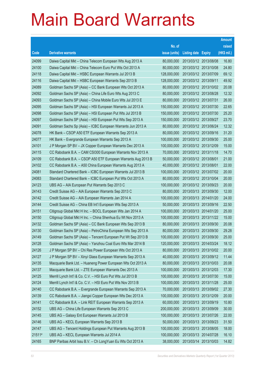|        |                                                              |               |                            |                       | <b>Amount</b> |
|--------|--------------------------------------------------------------|---------------|----------------------------|-----------------------|---------------|
|        |                                                              | No. of        |                            |                       | raised        |
| Code   | <b>Derivative warrants</b>                                   | issue (units) | <b>Listing date Expiry</b> |                       | (HK\$ mil.)   |
| 24099  | Daiwa Capital Mkt - China Telecom European Wts Aug 2013 A    | 80,000,000    | 2013/03/12 2013/08/08      |                       | 16.80         |
| 24100  | Daiwa Capital Mkt - China Telecom Euro Put Wts Oct 2013 A    | 80,000,000    | 2013/03/12 2013/10/08      |                       | 24.80         |
| 24118  | Daiwa Capital Mkt - HSBC European Warrants Jul 2013 B        | 128,000,000   | 2013/03/12 2013/07/09      |                       | 69.12         |
| 24116  | Daiwa Capital Mkt - HSBC European Warrants Sep 2013 B        | 128,000,000   | 2013/03/12 2013/09/11      |                       | 49.92         |
| 24089  | Goldman Sachs SP (Asia) - CC Bank European Wts Oct 2013 A    | 80,000,000    |                            | 2013/03/12 2013/10/02 | 20.08         |
| 24092  | Goldman Sachs SP (Asia) - China Life Euro Wts Aug 2013 C     | 80,000,000    | 2013/03/12 2013/08/28      |                       | 12.32         |
| 24093  | Goldman Sachs SP (Asia) - China Mobile Euro Wts Jul 2013 E   | 80,000,000    | 2013/03/12 2013/07/31      |                       | 26.00         |
| 24095  | Goldman Sachs SP (Asia) – HSI European Warrants Jul 2013 A   | 150,000,000   | 2013/03/12 2013/07/30      |                       | 22.65         |
| 24098  | Goldman Sachs SP (Asia) – HSI European Put Wts Jul 2013 B    | 150,000,000   |                            | 2013/03/12 2013/07/30 | 25.20         |
| 24097  | Goldman Sachs SP (Asia) - HSI European Put Wts Sep 2013 A    | 150,000,000   | 2013/03/12 2013/09/27      |                       | 23.70         |
| 24091  | Goldman Sachs Sp (Asia) – ICBC European Warrants Jun 2013 A  | 80,000,000    | 2013/03/12 2013/06/24      |                       | 12.32         |
| 24078  | HK Bank - CSOP A50 ETF European Warrants Sep 2013 A          | 80,000,000    | 2013/03/12 2013/09/16      |                       | 31.20         |
| 24077  | HK Bank - Evergrande European Warrants Sep 2013 A            | 100,000,000   | 2013/03/12 2013/09/30      |                       | 25.00         |
| 24101  | J P Morgan SP BV - JX Copper European Warrants Dec 2013 A    | 100,000,000   | 2013/03/12 2013/12/09      |                       | 15.00         |
| 24115  | CC Rabobank B.A. - CAM CSI300 European Warrants Nov 2013 A   | 70,000,000    | 2013/03/12 2013/11/18      |                       | 14.70         |
| 24109  | CC Rabobank B.A. - CSOP A50 ETF European Warrants Aug 2013 B | 50,000,000    | 2013/03/12 2013/08/01      |                       | 21.00         |
| 24102  | CC Rabobank B.A. - A50 China European Warrants Aug 2013 A    | 40,000,000    | 2013/03/12 2013/08/01      |                       | 22.00         |
| 24081  | Standard Chartered Bank – ICBC European Warrants Jul 2013 B  | 100,000,000   | 2013/03/12 2013/07/02      |                       | 20.00         |
| 24083  | Standard Chartered Bank - ICBC European Put Wts Oct 2013 A   | 80,000,000    |                            | 2013/03/12 2013/10/04 | 20.00         |
| 24123  | UBS AG - AIA European Put Warrants Sep 2013 C                | 100,000,000   | 2013/03/12 2013/09/23      |                       | 20.00         |
| 24143  | Credit Suisse AG - AIA European Warrants Sep 2013 C          | 80,000,000    |                            | 2013/03/13 2013/09/30 | 12.00         |
| 24142  | Credit Suisse AG - AIA European Warrants Jan 2014 A          | 100,000,000   | 2013/03/13 2014/01/20      |                       | 24.00         |
| 24144  | Credit Suisse AG - China EB Int'l European Wts Sep 2013 A    | 50,000,000    |                            | 2013/03/13 2013/09/16 | 22.50         |
| 24151  | Citigroup Global Mkt H Inc. - BOCL European Wts Jan 2014 A   | 100,000,000   | 2013/03/13 2014/01/20      |                       | 25.00         |
| 24150  | Citigroup Global Mkt H Inc. - China Shenhua Eu Wt Nov 2013 A | 100,000,000   | 2013/03/13 2013/11/22      |                       | 15.00         |
| 24132  | Goldman Sachs SP (Asia) - CC Bank European Wts Sep 2013 B    | 80,000,000    | 2013/03/13 2013/09/30      |                       | 20.08         |
| 24130  | Goldman Sachs SP (Asia) - PetroChina European Wts Sep 2013 A | 80,000,000    | 2013/03/13 2013/09/30      |                       | 29.28         |
| 24149  | Goldman Sachs SP (Asia) - Tencent European Put Wt Sep 2013 B | 100,000,000   | 2013/03/13 2013/09/30      |                       | 25.00         |
| 24128  | Goldman Sachs SP (Asia) - Yanzhou Coal Euro Wts Mar 2014 B   | 120,000,000   |                            | 2013/03/13 2014/03/24 | 18.12         |
| 24126  | J P Morgan SP BV - Chi Res Power European Wts Oct 2013 A     | 80,000,000    | 2013/03/13 2013/10/02      |                       | 20.00         |
| 24127  | J P Morgan SP BV - Xinyi Glass European Warrants Sep 2013 A  | 40,000,000    |                            | 2013/03/13 2013/09/12 | 11.44         |
| 24135  | Macquarie Bank Ltd. - Huaneng Power European Wts Oct 2013 A  | 80,000,000    | 2013/03/13 2013/10/03      |                       | 20.08         |
| 24137  | Macquarie Bank Ltd. - ZTE European Warrants Dec 2013 A       | 100,000,000   | 2013/03/13 2013/12/03      |                       | 17.30         |
| 24125  | Merrill Lynch Int'l & Co. C.V. - HSI Euro Put Wts Jul 2013 B | 100,000,000   | 2013/03/13 2013/07/30      |                       | 15.00         |
| 24124  | Merrill Lynch Int'l & Co. C.V. - HSI Euro Put Wts Nov 2013 B | 100,000,000   | 2013/03/13 2013/11/28      |                       | 25.00         |
| 24140  | CC Rabobank B.A. - Evergrande European Warrants Sep 2013 A   | 70,000,000    | 2013/03/13 2013/09/02      |                       | 27.30         |
| 24139  | CC Rabobank B.A. - Jiangxi Copper European Wts Dec 2013 A    | 100,000,000   | 2013/03/13 2013/12/09      |                       | 20.00         |
| 24141  | CC Rabobank B.A. - Link REIT European Warrants Sep 2013 A    | 60,000,000    | 2013/03/13 2013/09/19      |                       | 10.80         |
| 24152  | UBS AG - China Life European Warrants Sep 2013 C             | 200,000,000   | 2013/03/13 2013/09/09      |                       | 30.00         |
| 24145  | UBS AG - Galaxy Ent European Warrants Jul 2013 B             | 100,000,000   | 2013/03/13 2013/07/26      |                       | 22.00         |
| 24146  | UBS AG - KECL European Warrants Sep 2013 B                   | 50,000,000    | 2013/03/13 2013/09/23      |                       | 31.50         |
| 24147  | UBS AG - Tencent Holdings European Put Warrants Aug 2013 B   | 100,000,000   | 2013/03/13 2013/08/05      |                       | 18.00         |
| 21511# | UBS AG - KECL European Warrants Jul 2014 A                   | 100,000,000   | 2013/03/13 2014/07/28      |                       | 16.10         |
| 24165  | BNP Paribas Arbit Issu B.V. - Ch LongYuan Eu Wts Oct 2013 A  | 38,000,000    | 2013/03/14 2013/10/03      |                       | 14.82         |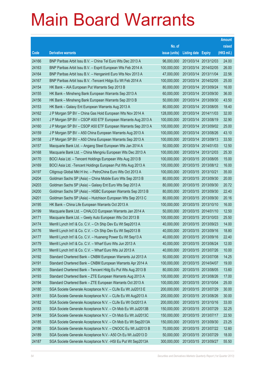|       |                                                               |               |                            |            | <b>Amount</b> |
|-------|---------------------------------------------------------------|---------------|----------------------------|------------|---------------|
|       |                                                               | No. of        |                            |            | raised        |
| Code  | <b>Derivative warrants</b>                                    | issue (units) | <b>Listing date Expiry</b> |            | (HK\$ mil.)   |
| 24166 | BNP Paribas Arbit Issu B.V. - China Tel Euro Wts Dec 2013 A   | 96,000,000    | 2013/03/14                 | 2013/12/03 | 24.00         |
| 24163 | BNP Paribas Arbit Issu B.V. - Esprit European Wts Feb 2014 A  | 100,000,000   | 2013/03/14 2014/02/05      |            | 26.00         |
| 24164 | BNP Paribas Arbit Issu B.V. - Henganintl Euro Wts Nov 2013 A  | 47,000,000    | 2013/03/14                 | 2013/11/04 | 22.56         |
| 24167 | BNP Paribas Arbit Issu B.V. - Tencent Hidgs Eu Wt Feb 2014 A  | 100,000,000   | 2013/03/14 2014/02/05      |            | 25.00         |
| 24154 | HK Bank - AIA European Put Warrants Sep 2013 B                | 80,000,000    | 2013/03/14 2013/09/24      |            | 16.00         |
| 24155 | HK Bank – Minsheng Bank European Warrants Sep 2013 A          | 60,000,000    | 2013/03/14 2013/09/30      |            | 36.00         |
| 24156 | HK Bank - Minsheng Bank European Warrants Sep 2013 B          | 50,000,000    | 2013/03/14                 | 2013/09/30 | 43.50         |
| 24153 | HK Bank – Galaxy Ent European Warrants Aug 2013 A             | 80,000,000    | 2013/03/14 2013/08/05      |            | 18.40         |
| 24162 | J P Morgan SP BV - China Gas Hold European Wts Nov 2014 A     | 128,000,000   | 2013/03/14 2014/11/03      |            | 32.00         |
| 24161 | J P Morgan SP BV - CSOP A50 ETF European Warrants Aug 2013 A  | 100,000,000   | 2013/03/14 2013/08/19      |            | 32.90         |
| 24160 | J P Morgan SP BV - CSOP A50 ETF European Warrants Sep 2013 A  | 100,000,000   | 2013/03/14                 | 2013/09/02 | 25.00         |
| 24159 | J P Morgan SP BV - A50 China European Warrants Aug 2013 A     | 100,000,000   | 2013/03/14 2013/08/26      |            | 43.10         |
| 24158 | J P Morgan SP BV - A50 China European Warrants Sep 2013 A     | 100,000,000   | 2013/03/14 2013/09/13      |            | 33.50         |
| 24157 | Macquarie Bank Ltd. - Angang Steel European Wts Jan 2014 A    | 50,000,000    | 2013/03/14 2014/01/03      |            | 12.50         |
| 24168 | Macquarie Bank Ltd. - China Mengniu European Wts Dec 2013 A   | 100,000,000   | 2013/03/14                 | 2013/12/03 | 25.30         |
| 24170 | BOCI Asia Ltd. – Tencent Holdings European Wts Aug 2013 B     | 100,000,000   | 2013/03/15 2013/08/05      |            | 15.00         |
| 24169 | BOCI Asia Ltd. - Tencent Holdings European Put Wts Aug 2013 A | 100,000,000   | 2013/03/15 2013/08/12      |            | 16.00         |
| 24197 | Citigroup Global Mkt H Inc. - PetroChina Euro Wts Oct 2013 A  | 100,000,000   | 2013/03/15 2013/10/21      |            | 35.00         |
| 24204 | Goldman Sachs SP (Asia) – China Mobile Euro Wts Sep 2013 B    | 80,000,000    | 2013/03/15 2013/09/30      |            | 20.00         |
| 24203 | Goldman Sachs SP (Asia) – Galaxy Ent Euro Wts Sep 2013 A      | 80,000,000    | 2013/03/15 2013/09/30      |            | 20.72         |
| 24200 | Goldman Sachs SP (Asia) – HSBC European Warrants Sep 2013 B   | 80,000,000    | 2013/03/15 2013/09/30      |            | 22.40         |
| 24201 | Goldman Sachs SP (Asia) - Hutchison European Wts Sep 2013 C   | 80,000,000    | 2013/03/15 2013/09/30      |            | 20.16         |
| 24195 | HK Bank - China Life European Warrants Oct 2013 A             | 100,000,000   | 2013/03/15 2013/10/10      |            | 16.00         |
| 24199 | Macquarie Bank Ltd. - CHALCO European Warrants Jan 2014 A     | 50,000,000    | 2013/03/15 2014/01/10      |            | 12.50         |
| 24171 | Macquarie Bank Ltd. - Geely Auto European Wts Oct 2013 B      | 100,000,000   | 2013/03/15 2013/10/03      |            | 25.50         |
| 24174 | Merrill Lynch Int'l & Co. C.V. - Ch Ship Dev Eu Wt Sep2013 A  | 40,000,000    | 2013/03/15 2013/09/23      |            | 14.00         |
| 24176 | Merrill Lynch Int'l & Co. C.V. - Ch Ship Dev Eu Wt Sep2013 B  | 40,000,000    | 2013/03/15 2013/09/16      |            | 18.80         |
| 24177 | Merrill Lynch Int'l & Co. C.V. - Huaneng Power Eu Wt Sep13 A  | 40,000,000    | 2013/03/15 2013/09/16      |            | 22.40         |
| 24179 | Merrill Lynch Int'l & Co. C.V. - Wharf Euro Wts Jun 2013 A    | 40,000,000    | 2013/03/15 2013/06/24      |            | 12.00         |
| 24178 | Merrill Lynch Int'l & Co. C.V. - Wharf Euro Wts Jul 2013 A    | 40,000,000    | 2013/03/15 2013/07/26      |            | 10.00         |
| 24192 | Standard Chartered Bank - CNBM European Warrants Jul 2013 A   | 50,000,000    | 2013/03/15 2013/07/08      |            | 14.25         |
| 24191 | Standard Chartered Bank - CNBM European Warrants Apr 2014 A   | 100,000,000   | 2013/03/15 2014/04/07      |            | 19.00         |
| 24190 | Standard Chartered Bank - Tencent Hidg Eu Put Wts Aug 2013 B  | 80,000,000    | 2013/03/15 2013/08/05      |            | 13.60         |
| 24193 | Standard Chartered Bank - ZTE European Warrants Aug 2013 A    | 100,000,000   | 2013/03/15 2013/08/26      |            | 17.00         |
| 24194 | Standard Chartered Bank - ZTE European Warrants Oct 2013 A    | 100,000,000   | 2013/03/15 2013/10/04      |            | 25.00         |
| 24180 | SGA Societe Generale Acceptance N.V. - CLife Eu Wt Jul2013 E  | 200,000,000   | 2013/03/15 2013/07/29      |            | 30.00         |
| 24181 | SGA Societe Generale Acceptance N.V. - CLife Eu Wt Aug2013 A  | 200,000,000   | 2013/03/15 2013/08/26      |            | 30.00         |
| 24182 | SGA Societe Generale Acceptance N.V. - CLife Eu Wt Oct2013 A  | 200,000,000   | 2013/03/15 2013/10/16      |            | 33.00         |
| 24183 | SGA Societe Generale Acceptance N.V. - Ch Mob Eu Wt Jul2013B  | 150,000,000   | 2013/03/15 2013/07/29      |            | 32.25         |
| 24184 | SGA Societe Generale Acceptance N.V. - Ch Mob Eu Wt Jul2013C  | 150,000,000   | 2013/03/15 2013/07/17      |            | 22.50         |
| 24185 | SGA Societe Generale Acceptance N.V. - Ch Mob Eu Wt Sep2013A  | 150,000,000   | 2013/03/15 2013/09/30      |            | 23.25         |
| 24186 | SGA Societe Generale Acceptance N.V. - CNOOC Eu Wt Jul2013 B  | 70,000,000    | 2013/03/15 2013/07/22      |            | 12.60         |
| 24189 | SGA Societe Generale Acceptance N.V.- A50 Ch Eu Wt Jul2013 D  | 50,000,000    | 2013/03/15 2013/07/29      |            | 18.00         |
| 24187 | SGA Societe Generale Acceptance N.V. - HSI Eu Put Wt Sep2013A | 300,000,000   | 2013/03/15 2013/09/27      |            | 55.50         |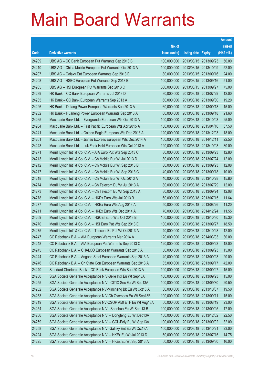|       |                                                               |               |                            | <b>Amount</b> |
|-------|---------------------------------------------------------------|---------------|----------------------------|---------------|
|       |                                                               | No. of        |                            | raised        |
| Code  | <b>Derivative warrants</b>                                    | issue (units) | <b>Listing date Expiry</b> | (HK\$ mil.)   |
| 24209 | UBS AG – CC Bank European Put Warrants Sep 2013 B             | 100,000,000   | 2013/03/15 2013/09/23      | 50.00         |
| 24210 | UBS AG – China Mobile European Put Warrants Oct 2013 A        | 100,000,000   | 2013/03/15 2013/10/09      | 52.00         |
| 24207 | UBS AG - Galaxy Ent European Warrants Sep 2013 B              | 80,000,000    | 2013/03/15 2013/09/16      | 24.00         |
| 24208 | UBS AG - HSBC European Put Warrants Sep 2013 B                | 100,000,000   | 2013/03/15 2013/09/16      | 51.00         |
| 24205 | UBS AG - HSI European Put Warrants Sep 2013 C                 | 300,000,000   | 2013/03/15 2013/09/27      | 75.00         |
| 24239 | HK Bank – CC Bank European Warrants Jul 2013 D                | 80,000,000    | 2013/03/18 2013/07/29      | 12.00         |
| 24235 | HK Bank - CC Bank European Warrants Sep 2013 A                | 60,000,000    | 2013/03/18 2013/09/30      | 19.20         |
| 24226 | HK Bank - Datang Power European Warrants Sep 2013 A           | 60,000,000    | 2013/03/18 2013/09/18      | 15.00         |
| 24232 | HK Bank – Huaneng Power European Warrants Sep 2013 A          | 60,000,000    | 2013/03/18 2013/09/18      | 21.60         |
| 24265 | Macquarie Bank Ltd. - Evergrande European Wts Oct 2013 A      | 100,000,000   | 2013/03/18 2013/10/03      | 25.00         |
| 24264 | Macquarie Bank Ltd. - First Pacific European Wts Apr 2015 A   | 150,000,000   | 2013/03/18 2015/04/10      | 37.50         |
| 24241 | Macquarie Bank Ltd. - Golden Eagle European Wts Dec 2013 A    | 120,000,000   | 2013/03/18 2013/12/03      | 18.00         |
| 24261 | Macquarie Bank Ltd. - Jiansu Express European Wts Dec 2014 A  | 150,000,000   | 2013/03/18 2014/12/11      | 22.50         |
| 24243 | Macquarie Bank Ltd. - Luk Fook Hold European Wts Oct 2013 A   | 120,000,000   | 2013/03/18 2013/10/03      | 30.00         |
| 24271 | Merrill Lynch Int'l & Co. C.V. - AIA Euro Put Wts Sep 2013 C  | 80,000,000    | 2013/03/18 2013/09/23      | 12.80         |
| 24213 | Merrill Lynch Int'l & Co. C.V. - Ch Mobile Eur Wt Jul 2013 D  | 80,000,000    | 2013/03/18 2013/07/24      | 12.00         |
| 24212 | Merrill Lynch Int'l & Co. C.V. - Ch Mobile Eur Wt Sep 2013 B  | 80,000,000    | 2013/03/18 2013/09/23      | 12.08         |
| 24217 | Merrill Lynch Int'l & Co. C.V. - Ch Mobile Eur Wt Sep 2013 C  | 40,000,000    | 2013/03/18 2013/09/18      | 10.00         |
| 24218 | Merrill Lynch Int'l & Co. C.V. - Ch Mobile Eur Wt Oct 2013 A  | 40,000,000    | 2013/03/18 2013/10/28      | 15.80         |
| 24274 | Merrill Lynch Int'l & Co. C.V. - Ch Telecom Eu Wt Jul 2013 A  | 80,000,000    | 2013/03/18 2013/07/29      | 12.00         |
| 24273 | Merrill Lynch Int'l & Co. C.V. - Ch Telecom Eu Wt Sep 2013 A  | 80,000,000    | 2013/03/18 2013/09/24      | 12.08         |
| 24278 | Merrill Lynch Int'l & Co. C.V. - HKEx Euro Wts Jul 2013 B     | 60,000,000    | 2013/03/18 2013/07/15      | 11.64         |
| 24277 | Merrill Lynch Int'l & Co. C.V. - HKEx Euro Wts Aug 2013 A     | 50,000,000    | 2013/03/18 2013/08/26      | 11.20         |
| 24211 | Merrill Lynch Int'l & Co. C.V. - HKEx Euro Wts Dec 2014 A     | 70,000,000    | 2013/03/18 2014/12/24      | 11.55         |
| 24269 | Merrill Lynch Int'l & Co. C.V. - HSCEI Euro Wts Oct 2013 B    | 100,000,000   | 2013/03/18 2013/10/30      | 15.30         |
| 24270 | Merrill Lynch Int'l & Co. C.V. - HSI Euro Put Wts Sep 2013 E  | 100,000,000   | 2013/03/18 2013/09/27      | 18.50         |
| 24275 | Merrill Lynch Int'l & Co. C.V. - Tencent Eu Put Wt Oct2013 A  | 40,000,000    | 2013/03/18 2013/10/28      | 12.00         |
| 24247 | CC Rabobank B.A. - AIA European Warrants Mar 2014 A           | 120,000,000   | 2013/03/18 2014/03/03      | 30.00         |
| 24248 | CC Rabobank B.A. - AIA European Put Warrants Sep 2013 C       | 120,000,000   | 2013/03/18 2013/09/23      | 18.00         |
| 24245 | CC Rabobank B.A. - CHALCO European Warrants Sep 2013 A        | 50,000,000    | 2013/03/18 2013/09/23      | 15.00         |
| 24244 | CC Rabobank B.A. - Angang Steel European Warrants Sep 2013 A  | 40,000,000    | 2013/03/18 2013/09/23      | 20.00         |
| 24246 | CC Rabobank B.A. - Ch State Con European Warrants Sep 2013 A  | 35,000,000    | 2013/03/18 2013/09/17      | 42.00         |
| 24240 | Standard Chartered Bank - CC Bank European Wts Sep 2013 A     | 100,000,000   | 2013/03/18 2013/09/27      | 15.00         |
| 24250 | SGA Societe Generale Acceptance N.V-Belle Int'l Eu Wt Sep13A  | 100,000,000   | 2013/03/18 2013/09/23      | 15.00         |
| 24255 | SGA Societe Generale Acceptance N.V. - CITIC Sec Eu Wt Sep13A | 100,000,000   | 2013/03/18 2013/09/30      | 20.50         |
| 24252 | SGA Societe Generale Acceptance NV-Minsheng Bk Eu Wt Oct13 A  | 30,000,000    | 2013/03/18 2013/10/07      | 19.50         |
| 24253 | SGA Societe Generale Acceptance N.V-Ch Overseas Eu Wt Sep13B  | 100,000,000   | 2013/03/18 2013/09/11      | 15.00         |
| 24219 | SGA Societe Generale Acceptance NV-CSOP A50 ETF Eu Wt Aug13A  | 50,000,000    | 2013/03/18 2013/08/19      | 23.00         |
| 24254 | SGA Societe Generale Acceptance N.V. - Shenhua Eu Wt Sep 13 B | 100,000,000   | 2013/03/18 2013/09/25      | 17.00         |
| 24256 | SGA Societe Generale Acceptance N.V. - Dongfeng Eu Wt Dec13A  | 150,000,000   | 2013/03/18 2013/12/02      | 22.50         |
| 24259 | SGA Societe Generale Acceptance N.V. - GCL-Poly Eu Wt Sep13A  | 100,000,000   | 2013/03/18 2013/09/02      | 32.00         |
| 24258 | SGA Societe Generale Acceptance N.V.-Galaxy Ent Eu Wt Oct13A  | 100,000,000   | 2013/03/18 2013/10/21      | 23.00         |
| 24224 | SGA Societe Generale Acceptance N.V. - HKEx Eu Wt Jul 2013 D  | 50,000,000    | 2013/03/18 2013/07/15      | 14.75         |
| 24225 | SGA Societe Generale Acceptance N.V. - HKEx Eu Wt Sep 2013 A  | 50,000,000    | 2013/03/18 2013/09/30      | 16.00         |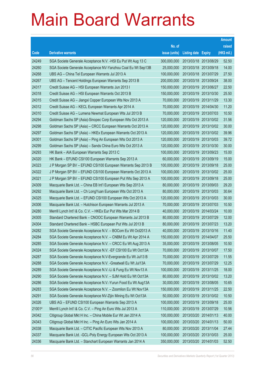|        |                                                               |               |                            |            | <b>Amount</b> |
|--------|---------------------------------------------------------------|---------------|----------------------------|------------|---------------|
|        |                                                               | No. of        |                            |            | raised        |
| Code   | <b>Derivative warrants</b>                                    | issue (units) | <b>Listing date Expiry</b> |            | (HK\$ mil.)   |
| 24249  | SGA Societe Generale Acceptance N.V. - HSI Eu Put Wt Aug 13 C | 300,000,000   | 2013/03/18 2013/08/29      |            | 52.50         |
| 24260  | SGA Societe Generale Acceptance NV-Yanzhou Coal Eu Wt Sep13B  | 25,000,000    | 2013/03/18 2013/09/18      |            | 14.00         |
| 24268  | UBS AG - China Tel European Warrants Jul 2013 A               | 100,000,000   | 2013/03/18 2013/07/29      |            | 27.50         |
| 24267  | UBS AG - Tencent Holdings European Warrants Sep 2013 B        | 200,000,000   | 2013/03/18 2013/09/24      |            | 38.00         |
| 24317  | Credit Suisse AG - HSI European Warrants Jun 2013 I           | 150,000,000   | 2013/03/19 2013/06/27      |            | 22.50         |
| 24318  | Credit Suisse AG - HSI European Warrants Oct 2013 B           | 150,000,000   | 2013/03/19 2013/10/30      |            | 25.50         |
| 24315  | Credit Suisse AG - Jiangxi Copper European Wts Nov 2013 A     | 70,000,000    | 2013/03/19 2013/11/29      |            | 13.30         |
| 24312  | Credit Suisse AG - KECL European Warrants Apr 2014 A          | 70,000,000    | 2013/03/19 2014/04/30      |            | 11.20         |
| 24310  | Credit Suisse AG - Lumena Newmat European Wts Jul 2013 B      | 70,000,000    | 2013/03/19 2013/07/03      |            | 10.50         |
| 24294  | Goldman Sachs SP (Asia)-Sinopec Corp European Wts Oct 2013 A  | 120,000,000   | 2013/03/19 2013/10/02      |            | 31.56         |
| 24298  | Goldman Sachs SP (Asia) - CRCC European Warrants Oct 2013 A   | 120,000,000   | 2013/03/19                 | 2013/10/02 | 30.00         |
| 24297  | Goldman Sachs SP (Asia) - HKEx European Warrants Oct 2013 A   | 120,000,000   | 2013/03/19 2013/10/02      |            | 39.96         |
| 24301  | Goldman Sachs SP (Asia) - Ping An European Wts Oct 2013 A     | 120,000,000   | 2013/03/19 2013/10/03      |            | 39.72         |
| 24299  | Goldman Sachs SP (Asia) - Sands China Euro Wts Oct 2013 A     | 120,000,000   | 2013/03/19 2013/10/30      |            | 30.00         |
| 24293  | HK Bank - AIA European Warrants Sep 2013 C                    | 100,000,000   | 2013/03/19                 | 2013/09/23 | 15.00         |
| 24320  | HK Bank - EFUND CSI100 European Warrants Sep 2013 A           | 60,000,000    | 2013/03/19 2013/09/19      |            | 15.00         |
| 24323  | J P Morgan SP BV - EFUND CSI100 European Warrants Sep 2013 B  | 100,000,000   | 2013/03/19 2013/09/18      |            | 25.00         |
| 24322  | J P Morgan SP BV - EFUND CSI100 European Warrants Oct 2013 A  | 100,000,000   | 2013/03/19 2013/10/02      |            | 25.00         |
| 24321  | J P Morgan SP BV - EFUND CSI100 European Put Wts Sep 2013 A   | 100,000,000   | 2013/03/19                 | 2013/09/18 | 25.00         |
| 24309  | Macquarie Bank Ltd. - China EB Int'l European Wts Sep 2013 A  | 80,000,000    | 2013/03/19 2013/09/03      |            | 29.20         |
| 24292  | Macquarie Bank Ltd. - Ch LongYuan European Wts Oct 2013 A     | 80,000,000    | 2013/03/19 2013/10/03      |            | 30.64         |
| 24325  | Macquarie Bank Ltd. - EFUND CSI100 European Wts Oct 2013 A    | 120,000,000   | 2013/03/19                 | 2013/10/03 | 30.00         |
| 24306  | Macquarie Bank Ltd. - Hutchison European Warrants Jul 2013 A  | 70,000,000    | 2013/03/19                 | 2013/07/03 | 10.50         |
| 24280  | Merrill Lynch Int'l & Co. C.V. - HKEx Eur Put Wts Mar 2014 B  | 40,000,000    | 2013/03/19 2014/03/24      |            | 10.00         |
| 24305  | Standard Chartered Bank - CNOOC European Warrants Jul 2013 B  | 80,000,000    | 2013/03/19 2013/07/29      |            | 12.00         |
| 24304  | Standard Chartered Bank - HSBC European Put Wts Jul 2013 B    | 80,000,000    | 2013/03/19 2013/07/23      |            | 13.20         |
| 24282  | SGA Societe Generale Acceptance N.V. - BOCom Eu Wt Oct2013 A  | 40,000,000    | 2013/03/19 2013/10/16      |            | 11.40         |
| 24284  | SGA Societe Generale Acceptance N.V. - CNBM Eu Wt Apr 2014 A  | 150,000,000   | 2013/03/19 2014/04/07      |            | 25.50         |
| 24285  | SGA Societe Generale Acceptance N.V. - CRCC Eu Wt Aug 2013 A  | 35,000,000    | 2013/03/19 2013/08/05      |            | 10.50         |
| 24324  | SGA Societe Generale Acceptance N.V. - EF CSI100 Eu Wt Oct13A | 70,000,000    | 2013/03/19 2013/10/07      |            | 17.50         |
| 24287  | SGA Societe Generale Acceptance N.V-Evergrande Eu Wt Jul13 B  | 70,000,000    | 2013/03/19 2013/07/29      |            | 11.55         |
| 24288  | SGA Societe Generale Acceptance N.V. - Greatwall Eu Wt Jul13A | 70,000,000    | 2013/03/19 2013/07/29      |            | 12.25         |
| 24289  | SGA Societe Generale Acceptance N.V.-Li & Fung Eu Wt Nov13 A  | 100,000,000   | 2013/03/19                 | 2013/11/25 | 18.00         |
| 24290  | SGA Societe Generale Acceptance N.V. - SJM Hold Eu Wt Oct13A  | 80,000,000    | 2013/03/19                 | 2013/10/02 | 13.20         |
| 24286  | SGA Societe Generale Acceptance N.V.-Yurun Food Eu Wt Aug13A  | 30,000,000    | 2013/03/19                 | 2013/08/05 | 10.65         |
| 24283  | SGA Societe Generale Acceptance N.V. - Zoomlion Eu Wt Nov13A  | 150,000,000   | 2013/03/19 2013/11/25      |            | 22.50         |
| 24291  | SGA Societe Generale Acceptance NV-Zijin Mining Eu Wt Oct13A  | 50,000,000    | 2013/03/19                 | 2013/10/02 | 10.50         |
| 24326  | UBS AG - EFUND CSI100 European Warrants Sep 2013 A            | 100,000,000   | 2013/03/19                 | 2013/09/18 | 25.00         |
| 21001# | Merrill Lynch Int'l & Co. C.V. - Ping An Euro Wts Jul 2013 A  | 110,000,000   | 2013/03/19 2013/07/29      |            | 10.56         |
| 24342  | Citigroup Global Mkt H Inc. - China Mobile Eur Wt Jan 2014 A  | 100,000,000   | 2013/03/20 2014/01/13      |            | 40.00         |
| 24343  | Citigroup Global Mkt H Inc. - Ping An Euro Wts Jan 2014 A     | 100,000,000   | 2013/03/20                 | 2014/01/13 | 50.00         |
| 24338  | Macquarie Bank Ltd. - CITIC Pacific European Wts Nov 2013 A   | 80,000,000    | 2013/03/20 2013/11/04      |            | 27.44         |
| 24337  | Macquarie Bank Ltd. - GCL-Poly Energy European Wts Oct 2013 A | 100,000,000   | 2013/03/20                 | 2013/10/03 | 25.00         |
| 24336  | Macquarie Bank Ltd. - Stanchart European Warrants Jan 2014 A  | 350,000,000   | 2013/03/20 2014/01/03      |            | 52.50         |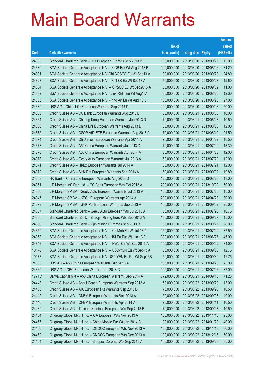|        |                                                               |               |                            |            | <b>Amount</b> |
|--------|---------------------------------------------------------------|---------------|----------------------------|------------|---------------|
|        |                                                               | No. of        |                            |            | raised        |
| Code   | <b>Derivative warrants</b>                                    | issue (units) | <b>Listing date Expiry</b> |            | (HK\$ mil.)   |
| 24335  | Standard Chartered Bank - HSI European Put Wts Sep 2013 B     | 100,000,000   | 2013/03/20 2013/09/27      |            | 15.00         |
| 24330  | SGA Societe Generale Acceptance N.V. - CCB Eur Wt Aug 2013 B  | 120,000,000   | 2013/03/20 2013/08/26      |            | 31.20         |
| 24331  | SGA Societe Generale Acceptance N.V-Chi COSCO Eu Wt Sep13 A   | 80,000,000    | 2013/03/20 2013/09/23      |            | 24.80         |
| 24328  | SGA Societe Generale Acceptance N.V. - CITBK Eu Wt Sep13 A    | 50,000,000    | 2013/03/20 2013/09/23      |            | 12.50         |
| 24334  | SGA Societe Generale Acceptance N.V. - CP&CC Eu Wt Sep2013 A  | 50,000,000    | 2013/03/20 2013/09/02      |            | 11.00         |
| 24332  | SGA Societe Generale Acceptance N.V. - Link REIT Eu Wt Aug13A | 80,000,000    | 2013/03/20 2013/08/26      |            | 12.00         |
| 24333  | SGA Societe Generale Acceptance N.V. - Ping An Eu Wt Aug 13 D | 100,000,000   | 2013/03/20                 | 2013/08/28 | 27.00         |
| 24339  | UBS AG - China Life European Warrants Sep 2013 D              | 200,000,000   | 2013/03/20 2013/09/23      |            | 50.00         |
| 24365  | Credit Suisse AG - CC Bank European Warrants Aug 2013 B       | 80,000,000    | 2013/03/21                 | 2013/08/30 | 16.00         |
| 24364  | Credit Suisse AG - Cheung Kong European Warrants Jun 2013 D   | 70,000,000    | 2013/03/21                 | 2013/06/28 | 10.50         |
| 24366  | Credit Suisse AG - China Life European Warrants Aug 2013 D    | 80,000,000    | 2013/03/21                 | 2013/08/30 | 12.00         |
| 24375  | Credit Suisse AG - CSOP A50 ETF European Warrants Aug 2013 A  | 70,000,000    | 2013/03/21                 | 2013/08/12 | 24.50         |
| 24374  | Credit Suisse AG - ChiUnicom European Warrants Apr 2014 A     | 70,000,000    | 2013/03/21                 | 2014/04/22 | 10.50         |
| 24378  | Credit Suisse AG - A50 China European Warrants Jul 2013 D     | 70,000,000    | 2013/03/21                 | 2013/07/29 | 13.30         |
| 24376  | Credit Suisse AG - A50 China European Warrants Apr 2014 A     | 80,000,000    | 2013/03/21                 | 2014/04/28 | 12.00         |
| 24373  | Credit Suisse AG - Geely Auto European Warrants Jul 2013 A    | 60,000,000    | 2013/03/21                 | 2013/07/29 | 12.00         |
| 24371  | Credit Suisse AG - HKEx European Warrants Jul 2014 A          | 80,000,000    | 2013/03/21                 | 2014/07/21 | 12.00         |
| 24372  | Credit Suisse AG - SHK Ppt European Warrants Sep 2013 A       | 60,000,000    | 2013/03/21                 | 2013/09/02 | 19.80         |
| 24353  | HK Bank - China Life European Warrants Aug 2013 D             | 120,000,000   | 2013/03/21                 | 2013/08/28 | 18.00         |
| 24351  | J P Morgan Int'l Der. Ltd. - CC Bank European Wts Oct 2013 A  | 200,000,000   | 2013/03/21                 | 2013/10/02 | 50.00         |
| 24350  | J P Morgan SP BV - Geely Auto European Warrants Jul 2013 A    | 100,000,000   | 2013/03/21                 | 2013/07/26 | 15.00         |
| 24347  | J P Morgan SP BV - KECL European Warrants Apr 2014 A          | 200,000,000   | 2013/03/21                 | 2014/04/28 | 30.00         |
| 24379  | J P Morgan SP BV - SHK Ppt European Warrants Sep 2013 A       | 100,000,000   | 2013/03/21                 | 2013/09/02 | 25.00         |
| 24357  | Standard Chartered Bank - Geely Auto European Wts Jul 2013 A  | 50,000,000    | 2013/03/21                 | 2013/07/26 | 10.75         |
| 24355  | Standard Chartered Bank - Zhaojin Mining Euro Wts Sep 2013 A  | 100,000,000   | 2013/03/21                 | 2013/09/27 | 15.00         |
| 24356  | Standard Chartered Bank - Zijin Mining Euro Wts Sep 2013 B    | 80,000,000    | 2013/03/21                 | 2013/09/27 | 28.00         |
| 24359  | SGA Societe Generale Acceptance N.V. - Ch Mob Eu Wt Jul 13 D  | 150,000,000   | 2013/03/21                 | 2013/07/29 | 37.50         |
| 24358  | SGA Societe Generale Acceptance N.V. - HSI Eu Put Wt Jun 13 F | 300,000,000   | 2013/03/21 2013/06/27      |            | 45.00         |
| 24346  | SGA Societe Generale Acceptance N.V. - HWL Eur Wt Sep 2013 A  | 100,000,000   | 2013/03/21                 | 2013/09/02 | 34.00         |
| 10176  | SGA Societe Generale Acceptance N.V. - USD/YEN Eu Wt Sep13 A  | 50,000,000    | 2013/03/21                 | 2013/09/30 | 12.75         |
| 10177  | SGA Societe Generale Acceptance N.V-USD/YEN Eu Put Wt Sep13B  | 50,000,000    | 2013/03/21                 | 2013/09/30 | 12.75         |
| 24363  | UBS AG - A50 China European Warrants Sep 2013 A               | 100,000,000   | 2013/03/21                 | 2013/09/23 | 25.00         |
| 24360  | UBS AG - ICBC European Warrants Jul 2013 C                    | 100,000,000   | 2013/03/21                 | 2013/07/26 | 37.00         |
| 17713# | Daiwa Capital Mkt - A50 China European Warrants Sep 2014 A    | 672,000,000   | 2013/03/21                 | 2014/09/15 | 71.23         |
| 24443  | Credit Suisse AG - Anhui Conch European Warrants Sep 2013 A   | 50,000,000    | 2013/03/22 2013/09/23      |            | 13.00         |
| 24438  | Credit Suisse AG - AIA European Put Warrants Sep 2013 D       | 70,000,000    | 2013/03/22 2013/09/23      |            | 10.50         |
| 24442  | Credit Suisse AG - CNBM European Warrants Sep 2013 A          | 50,000,000    | 2013/03/22 2013/09/23      |            | 40.00         |
| 24440  | Credit Suisse AG - CNBM European Warrants Apr 2014 A          | 70,000,000    | 2013/03/22 2014/04/11      |            | 10.50         |
| 24439  | Credit Suisse AG - Tencent Holdings European Wts Sep 2013 B   | 70,000,000    | 2013/03/22 2013/09/27      |            | 10.50         |
| 24464  | Citigroup Global Mkt H Inc. - AIA European Wts Nov 2013 A     | 100,000,000   | 2013/03/22 2013/11/18      |            | 25.00         |
| 24457  | Citigroup Global Mkt H Inc. - China Mobile Eur Wt Jan 2014 B  | 100,000,000   | 2013/03/22 2014/01/20      |            | 40.00         |
| 24460  | Citigroup Global Mkt H Inc. - CNOOC European Wts Nov 2013 A   | 100,000,000   | 2013/03/22 2013/11/18      |            | 80.00         |
| 24459  | Citigroup Global Mkt H Inc. - CNOOC European Wts Dec 2013 A   | 100,000,000   | 2013/03/22 2013/12/16      |            | 50.00         |
| 24454  | Citigroup Global Mkt H Inc. - Sinopec Corp Eu Wts Sep 2013 A  | 100,000,000   | 2013/03/22 2013/09/23      |            | 35.00         |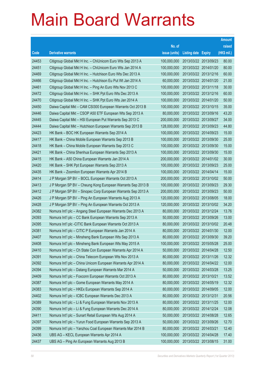|       |                                                              |               |                            |                       | <b>Amount</b> |
|-------|--------------------------------------------------------------|---------------|----------------------------|-----------------------|---------------|
|       |                                                              | No. of        |                            |                       | raised        |
| Code  | <b>Derivative warrants</b>                                   | issue (units) | <b>Listing date Expiry</b> |                       | (HK\$ mil.)   |
| 24453 | Citigroup Global Mkt H Inc. - ChiUnicom Euro Wts Sep 2013 A  | 100,000,000   | 2013/03/22 2013/09/23      |                       | 80.00         |
| 24451 | Citigroup Global Mkt H Inc. - ChiUnicom Euro Wts Jan 2014 A  | 100,000,000   |                            | 2013/03/22 2014/01/20 | 80.00         |
| 24469 | Citigroup Global Mkt H Inc. - Hutchison Euro Wts Dec 2013 A  | 100,000,000   |                            | 2013/03/22 2013/12/16 | 60.00         |
| 24466 | Citigroup Global Mkt H Inc. - Hutchison Eu Put Wt Jan 2014 A | 60,000,000    | 2013/03/22 2014/01/20      |                       | 21.00         |
| 24461 | Citigroup Global Mkt H Inc. - Ping An Euro Wts Nov 2013 C    | 100,000,000   |                            | 2013/03/22 2013/11/18 | 30.00         |
| 24472 | Citigroup Global Mkt H Inc. - SHK Ppt Euro Wts Dec 2013 A    | 100,000,000   | 2013/03/22 2013/12/16      |                       | 60.00         |
| 24470 | Citigroup Global Mkt H Inc. - SHK Ppt Euro Wts Jan 2014 A    | 100,000,000   |                            | 2013/03/22 2014/01/20 | 50.00         |
| 24450 | Daiwa Capital Mkt - CAM CSI300 European Warrants Oct 2013 B  | 100,000,000   | 2013/03/22 2013/10/15      |                       | 35.00         |
| 24446 | Daiwa Capital Mkt - CSOP A50 ETF European Wts Sep 2013 A     | 80,000,000    |                            | 2013/03/22 2013/09/16 | 43.20         |
| 24445 | Daiwa Capital Mkt - HSI European Put Warrants Sep 2013 C     | 200,000,000   | 2013/03/22 2013/09/27      |                       | 34.00         |
| 24444 | Daiwa Capital Mkt - Hutchison European Warrants Sep 2013 B   | 128,000,000   | 2013/03/22 2013/09/23      |                       | 44.80         |
| 24423 | HK Bank - BOC HK European Warrants Sep 2014 A                | 100,000,000   | 2013/03/22 2014/09/23      |                       | 15.00         |
| 24417 | HK Bank - China Mobile European Warrants Sep 2013 B          | 100,000,000   |                            | 2013/03/22 2013/09/30 | 25.00         |
| 24418 | HK Bank - China Mobile European Warrants Sep 2013 C          | 100,000,000   |                            | 2013/03/22 2013/09/30 | 15.00         |
| 24421 | HK Bank - China Shenhua European Warrants Sep 2013 A         | 100,000,000   | 2013/03/22 2013/09/30      |                       | 15.00         |
| 24415 | HK Bank - A50 China European Warrants Jan 2014 A             | 200,000,000   |                            | 2013/03/22 2014/01/02 | 30.00         |
| 24420 | HK Bank - SHK Ppt European Warrants Sep 2013 A               | 100,000,000   |                            | 2013/03/22 2013/09/23 | 25.00         |
| 24435 | HK Bank - Zoomlion European Warrants Apr 2014 B              | 100,000,000   | 2013/03/22 2014/04/14      |                       | 15.00         |
| 24414 | J P Morgan SP BV - BOCL European Warrants Oct 2013 A         | 200,000,000   |                            | 2013/03/22 2013/10/02 | 50.00         |
| 24413 | J P Morgan SP BV - Cheung Kong European Warrants Sep 2013 B  | 100,000,000   | 2013/03/22 2013/09/23      |                       | 29.30         |
| 24412 | J P Morgan SP BV - Sinopec Corp European Warrants Sep 2013 A | 200,000,000   | 2013/03/22 2013/09/23      |                       | 50.00         |
| 24426 | J P Morgan SP BV - Ping An European Warrants Aug 2013 A      | 120,000,000   | 2013/03/22 2013/08/05      |                       | 18.00         |
| 24428 | J P Morgan SP BV - Ping An European Warrants Oct 2013 A      | 120,000,000   |                            | 2013/03/22 2013/10/02 | 34.20         |
| 24382 | Nomura Int'l plc - Angang Steel European Warrants Dec 2013 A | 80,000,000    | 2013/03/22 2013/12/24      |                       | 13.76         |
| 24393 | Nomura Int'l plc - CC Bank European Warrants Sep 2013 A      | 50,000,000    | 2013/03/22 2013/09/26      |                       | 13.00         |
| 24395 | Nomura Int'l plc -CITIC Bank European Warrants Oct 2013 A    | 80,000,000    | 2013/03/22 2013/10/02      |                       | 20.48         |
| 24381 | Nomura Int'l plc - CITIC P European Warrants Jan 2014 A      | 80,000,000    |                            | 2013/03/22 2014/01/30 | 12.00         |
| 24407 | Nomura Int'l plc - Minsheng Bank European Wts Sep 2013 A     | 80,000,000    | 2013/03/22 2013/09/30      |                       | 39.20         |
| 24408 | Nomura Int'l plc - Minsheng Bank European Wts May 2015 A     | 100,000,000   | 2013/03/22 2015/05/28      |                       | 25.00         |
| 24410 | Nomura Int'l plc - Ch State Con European Warrants Apr 2014 A | 50,000,000    | 2013/03/22 2014/04/28      |                       | 12.50         |
| 24391 | Nomura Int'l plc - China Telecom European Wts Nov 2013 A     | 80,000,000    | 2013/03/22 2013/11/26      |                       | 12.32         |
| 24392 | Nomura Int'l plc - China Unicom European Warrants Apr 2014 A | 80,000,000    | 2013/03/22 2014/04/22      |                       | 12.00         |
| 24394 | Nomura Int'l plc - Datang European Warrants Mar 2014 A       | 50,000,000    | 2013/03/22 2014/03/28      |                       | 13.25         |
| 24409 | Nomura Int'l plc - Foxconn European Warrants Oct 2013 A      | 80,000,000    | 2013/03/22 2013/10/21      |                       | 13.52         |
| 24387 | Nomura Int'l plc - Gome European Warrants May 2014 A         | 80,000,000    | 2013/03/22 2014/05/19      |                       | 12.32         |
| 24383 | Nomura Int'l plc - HKEx European Warrants Sep 2014 A         | 80,000,000    | 2013/03/22 2014/09/05      |                       | 12.00         |
| 24402 | Nomura Int'l plc - ICBC European Warrants Dec 2013 A         | 80,000,000    | 2013/03/22 2013/12/31      |                       | 20.56         |
| 24389 | Nomura Int'l plc - Li & Fung European Warrants Nov 2013 A    | 80,000,000    | 2013/03/22 2013/11/25      |                       | 12.00         |
| 24390 | Nomura Int'l plc - Li & Fung European Warrants Dec 2014 A    | 80,000,000    | 2013/03/22 2014/12/24      |                       | 12.08         |
| 24411 | Nomura Int'l plc - Sunart Retail European Wts Aug 2014 A     | 50,000,000    | 2013/03/22 2014/08/28      |                       | 12.65         |
| 24397 | Nomura Int'l plc - Yurun Food European Warrants Sep 2013 A   | 50,000,000    | 2013/03/22 2013/09/26      |                       | 12.70         |
| 24399 | Nomura Int'l plc - Yanzhou Coal European Warrants Mar 2014 B | 80,000,000    | 2013/03/22 2014/03/21      |                       | 12.40         |
| 24436 | UBS AG - KECL European Warrants Apr 2014 A                   | 100,000,000   | 2013/03/22 2014/04/28      |                       | 17.40         |
| 24437 | UBS AG - Ping An European Warrants Aug 2013 B                | 100,000,000   | 2013/03/22 2013/08/15      |                       | 31.00         |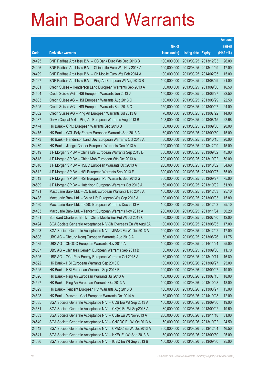|       |                                                              |               |                            | <b>Amount</b> |
|-------|--------------------------------------------------------------|---------------|----------------------------|---------------|
|       |                                                              | No. of        |                            | raised        |
| Code  | <b>Derivative warrants</b>                                   | issue (units) | <b>Listing date Expiry</b> | (HK\$ mil.)   |
| 24495 | BNP Paribas Arbit Issu B.V. - CC Bank Euro Wts Dec 2013 B    | 100,000,000   | 2013/03/25 2013/12/03      | 26.00         |
| 24496 | BNP Paribas Arbit Issu B.V. - China Life Euro Wts Nov 2013 A | 100,000,000   | 2013/03/25 2013/11/29      | 17.00         |
| 24499 | BNP Paribas Arbit Issu B.V. - Ch Mobile Euro Wts Feb 2014 A  | 100,000,000   | 2013/03/25 2014/02/05      | 15.00         |
| 24497 | BNP Paribas Arbit Issu B.V. - Ping An European Wt Aug 2013 B | 100,000,000   | 2013/03/25 2013/08/29      | 21.00         |
| 24501 | Credit Suisse - Henderson Land European Warrants Sep 2013 A  | 50,000,000    | 2013/03/25 2013/09/30      | 16.50         |
| 24504 | Credit Suisse AG - HSI European Warrants Jun 2013 J          | 150,000,000   | 2013/03/25 2013/06/27      | 22.50         |
| 24503 | Credit Suisse AG - HSI European Warrants Aug 2013 C          | 150,000,000   | 2013/03/25 2013/08/29      | 22.50         |
| 24505 | Credit Suisse AG - HSI European Warrants Sep 2013 C          | 150,000,000   | 2013/03/25 2013/09/27      | 24.00         |
| 24502 | Credit Suisse AG - Ping An European Warrants Jul 2013 G      | 70,000,000    | 2013/03/25 2013/07/22      | 14.00         |
| 24487 | Daiwa Capital Mkt - Ping An European Warrants Aug 2013 B     | 108,000,000   | 2013/03/25 2013/08/15      | 22.68         |
| 24474 | HK Bank - CPIC European Warrants Sep 2013 B                  | 80,000,000    | 2013/03/25 2013/09/30      | 20.00         |
| 24475 | HK Bank - GCL-Poly Energy European Warrants Sep 2013 A       | 60,000,000    | 2013/03/25 2013/09/30      | 15.00         |
| 24473 | HK Bank - Henderson Land Dev European Warrants Oct 2013 A    | 80,000,000    | 2013/03/25 2013/10/15      | 20.00         |
| 24480 | HK Bank - Jiangxi Copper European Warrants Dec 2013 A        | 100,000,000   | 2013/03/25 2013/12/09      | 15.00         |
| 24519 | J P Morgan SP BV - China Life European Warrants Sep 2013 D   | 300,000,000   | 2013/03/25 2013/09/02      | 45.00         |
| 24518 | J P Morgan SP BV - China Mob European Wts Oct 2013 A         | 200,000,000   | 2013/03/25 2013/10/02      | 50.00         |
| 24510 | J P Morgan SP BV - HSBC European Warrants Oct 2013 A         | 200,000,000   | 2013/03/25 2013/10/02      | 54.60         |
| 24512 | J P Morgan SP BV - HSI European Warrants Sep 2013 F          | 300,000,000   | 2013/03/25 2013/09/27      | 75.00         |
| 24513 | J P Morgan SP BV - HSI European Put Warrants Sep 2013 G      | 300,000,000   | 2013/03/25 2013/09/27      | 75.00         |
| 24509 | J P Morgan SP BV - Hutchison European Warrants Oct 2013 A    | 150,000,000   | 2013/03/25 2013/10/02      | 51.90         |
| 24491 | Macquarie Bank Ltd. - CC Bank European Warrants Dec 2013 A   | 100,000,000   | 2013/03/25 2013/12/03      | 25.10         |
| 24488 | Macquarie Bank Ltd. - China Life European Wts Sep 2013 A     | 100,000,000   | 2013/03/25 2013/09/03      | 15.80         |
| 24490 | Macquarie Bank Ltd. - ICBC European Warrants Dec 2013 A      | 100,000,000   | 2013/03/25 2013/12/03      | 25.10         |
| 24483 | Macquarie Bank Ltd. - Tencent European Warrants Nov 2013 A   | 200,000,000   | 2013/03/25 2013/11/04      | 50.20         |
| 24481 | Standard Chartered Bank - China Mobile Eur Put Wt Jul 2013 C | 80,000,000    | 2013/03/25 2013/07/30      | 12.00         |
| 24494 | SGA Societe Generale Acceptance N.V-Ch Overseas Eu Wt Aug13A | 100,000,000   | 2013/03/25 2013/08/05      | 17.00         |
| 24493 | SGA Societe Generale Acceptance N.V. - JIANC Eu Wt Dec2013 A | 100,000,000   | 2013/03/25 2013/12/02      | 17.00         |
| 24508 | UBS AG - Cheung Kong European Warrants Aug 2013 A            | 50,000,000    | 2013/03/25 2013/08/26      | 11.75         |
| 24485 | UBS AG - CNOOC European Warrants Nov 2014 A                  | 100,000,000   | 2013/03/25 2014/11/24      | 25.00         |
| 24507 | UBS AG - Chinares Cement European Warrants Sep 2013 B        | 30,000,000    | 2013/03/25 2013/09/30      | 11.70         |
| 24506 | UBS AG - GCL-Poly Energy European Warrants Oct 2013 A        | 60,000,000    | 2013/03/25 2013/10/11      | 16.80         |
| 24522 | HK Bank - HSI European Warrants Sep 2013 E                   | 100,000,000   | 2013/03/26 2013/09/27      | 25.00         |
| 24525 | HK Bank - HSI European Warrants Sep 2013 F                   | 100,000,000   | 2013/03/26 2013/09/27      | 19.00         |
| 24526 | HK Bank - Ping An European Warrants Jul 2013 A               | 100,000,000   | 2013/03/26 2013/07/15      | 18.00         |
| 24527 | HK Bank - Ping An European Warrants Oct 2013 A               | 100,000,000   | 2013/03/26 2013/10/28      | 18.00         |
| 24529 | HK Bank - Tencent European Put Warrants Aug 2013 B           | 100,000,000   | 2013/03/26 2013/08/27      | 15.00         |
| 24528 | HK Bank - Yanzhou Coal European Warrants Oct 2014 A          | 80,000,000    | 2013/03/26 2014/10/28      | 12.00         |
| 24535 | SGA Societe Generale Acceptance N.V. - CCB Eur Wt Sep 2013 A | 100,000,000   | 2013/03/26 2013/09/30      | 19.00         |
| 24531 | SGA Societe Generale Acceptance N.V. - CK(H) Eu Wt Sep2013 A | 80,000,000    | 2013/03/26 2013/09/02      | 19.60         |
| 24533 | SGA Societe Generale Acceptance N.V. - CLife Eu Wt Nov2013 A | 200,000,000   | 2013/03/26 2013/11/18      | 31.00         |
| 24540 | SGA Societe Generale Acceptance N.V. - CNOOC Eu Wt Oct2013 A | 50,000,000    | 2013/03/26 2013/10/02      | 24.50         |
| 24543 | SGA Societe Generale Acceptance N.V. - CP&CC Eu Wt Dec2013 A | 300,000,000   | 2013/03/26 2013/12/04      | 46.50         |
| 24541 | SGA Societe Generale Acceptance N.V. - HKEx Eu Wt Sep 2013 B | 50,000,000    | 2013/03/26 2013/09/30      | 25.00         |
| 24536 | SGA Societe Generale Acceptance N.V. - ICBC Eu Wt Sep 2013 B | 100,000,000   | 2013/03/26 2013/09/30      | 25.00         |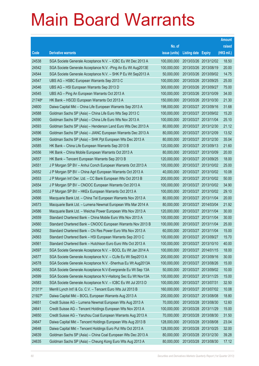|        |                                                               |               |                            |            | <b>Amount</b> |
|--------|---------------------------------------------------------------|---------------|----------------------------|------------|---------------|
|        |                                                               | No. of        |                            |            | raised        |
| Code   | <b>Derivative warrants</b>                                    | issue (units) | <b>Listing date Expiry</b> |            | (HK\$ mil.)   |
| 24538  | SGA Societe Generale Acceptance N.V. - ICBC Eu Wt Dec 2013 A  | 100,000,000   | 2013/03/26 2013/12/02      |            | 18.50         |
| 24542  | SGA Societe Generale Acceptance N.V. - Ping An Eu Wt Aug2013E | 100,000,000   | 2013/03/26 2013/08/19      |            | 20.00         |
| 24544  | SGA Societe Generale Acceptance N.V. - SHK P Eu Wt Sep2013 A  | 50,000,000    | 2013/03/26 2013/09/02      |            | 14.75         |
| 24547  | UBS AG - HSBC European Warrants Sep 2013 C                    | 100,000,000   | 2013/03/26 2013/09/25      |            | 25.00         |
| 24546  | UBS AG - HSI European Warrants Sep 2013 D                     | 300,000,000   | 2013/03/26 2013/09/27      |            | 75.00         |
| 24545  | UBS AG - Ping An European Warrants Oct 2013 A                 | 100,000,000   | 2013/03/26 2013/10/09      |            | 34.00         |
| 21748# | HK Bank - HSCEI European Warrants Oct 2013 A                  | 150,000,000   | 2013/03/26 2013/10/30      |            | 21.30         |
| 24600  | Daiwa Capital Mkt - China Life European Warrants Sep 2013 A   | 198,000,000   | 2013/03/27 2013/09/16      |            | 31.68         |
| 24588  | Goldman Sachs SP (Asia) - China Life Euro Wts Sep 2013 C      | 100,000,000   | 2013/03/27 2013/09/02      |            | 15.20         |
| 24590  | Goldman Sachs SP (Asia) - China Life Euro Wts Nov 2013 A      | 100,000,000   | 2013/03/27 2013/11/04      |            | 25.10         |
| 24593  | Goldman Sachs SP (Asia) – Henderson Land Euro Wts Dec 2013 A  | 80,000,000    | 2013/03/27 2013/12/30      |            | 21.12         |
| 24596  | Goldman Sachs SP (Asia) - JIANC European Warrants Dec 2013 A  | 80,000,000    | 2013/03/27 2013/12/09      |            | 13.52         |
| 24594  | Goldman Sachs SP (Asia) - SHK Ppt European Wts Dec 2013 A     | 80,000,000    | 2013/03/27 2013/12/30      |            | 35.04         |
| 24585  | HK Bank - China Life European Warrants Sep 2013 B             | 120,000,000   | 2013/03/27 2013/09/13      |            | 21.60         |
| 24556  | HK Bank - China Mobile European Warrants Oct 2013 A           | 80,000,000    | 2013/03/27 2013/10/09      |            | 20.00         |
| 24557  | HK Bank - Tencent European Warrants Sep 2013 B                | 120,000,000   | 2013/03/27 2013/09/25      |            | 18.00         |
| 24551  | J P Morgan SP BV - Anhui Conch European Warrants Oct 2013 A   | 100,000,000   | 2013/03/27 2013/10/02      |            | 25.00         |
| 24552  | J P Morgan SP BV - China Agri European Warrants Oct 2013 A    | 40,000,000    | 2013/03/27 2013/10/02      |            | 10.08         |
| 24553  | J P Morgan Int'l Der. Ltd. - CC Bank European Wts Oct 2013 B  | 200,000,000   | 2013/03/27 2013/10/02      |            | 50.00         |
| 24554  | J P Morgan SP BV - CNOOC European Warrants Oct 2013 A         | 100,000,000   | 2013/03/27 2013/10/02      |            | 34.90         |
| 24555  | J P Morgan SP BV - HKEx European Warrants Oct 2013 A          | 100,000,000   | 2013/03/27 2013/10/02      |            | 29.10         |
| 24566  | Macquarie Bank Ltd. - China Tel European Warrants Nov 2013 A  | 80,000,000    | 2013/03/27 2013/11/04      |            | 20.00         |
| 24573  | Macquarie Bank Ltd. - Lumena Newmat European Wts Mar 2014 A   | 80,000,000    | 2013/03/27 2014/03/04      |            | 21.92         |
| 24586  | Macquarie Bank Ltd. - Weichai Power European Wts Nov 2013 A   | 120,000,000   | 2013/03/27 2013/11/04      |            | 30.00         |
| 24559  | Standard Chartered Bank - China Mobile Euro Wts Nov 2013 A    | 100,000,000   | 2013/03/27 2013/11/04      |            | 30.00         |
| 24560  | Standard Chartered Bank - CNOOC European Warrants Nov 2013 B  | 100,000,000   | 2013/03/27 2013/11/04      |            | 25.00         |
| 24562  | Standard Chartered Bank – Chi Res Power Euro Wts Nov 2013 A   | 60,000,000    | 2013/03/27 2013/11/04      |            | 15.00         |
| 24563  | Standard Chartered Bank - HSI European Warrants Sep 2013 C    | 100,000,000   | 2013/03/27 2013/09/27      |            | 15.70         |
| 24561  | Standard Chartered Bank - Hutchison Euro Euro Wts Oct 2013 A  | 100,000,000   | 2013/03/27                 | 2013/10/10 | 40.00         |
| 24597  | SGA Societe Generale Acceptance N.V. - BOCL Eu Wt Jan 2014 A  | 100,000,000   | 2013/03/27 2014/01/15      |            | 18.00         |
| 24577  | SGA Societe Generale Acceptance N.V. - CLife Eu Wt Sep2013 A  | 200,000,000   | 2013/03/27                 | 2013/09/16 | 30.00         |
| 24578  | SGA Societe Generale Acceptance N.V. - Shenhua Eu Wt Aug2013A | 100,000,000   | 2013/03/27                 | 2013/08/26 | 15.00         |
| 24582  | SGA Societe Generale Acceptance N.V-Evergrande Eu Wt Sep 13A  | 50,000,000    | 2013/03/27                 | 2013/09/02 | 10.00         |
| 24599  | SGA Societe Generale Acceptance N.V-Haitong Sec Eu Wt Nov13A  | 100,000,000   | 2013/03/27                 | 2013/11/25 | 15.00         |
| 24583  | SGA Societe Generale Acceptance N.V. - ICBC Eu Wt Jul 2013 D  | 100,000,000   | 2013/03/27                 | 2013/07/31 | 32.50         |
| 21311# | Merrill Lynch Int'l & Co. C.V. - Tencent Euro Wts Jul 2013 B  | 160,000,000   | 2013/03/27                 | 2013/07/02 | 10.08         |
| 21927# | Daiwa Capital Mkt - BOCL European Warrants Aug 2013 A         | 200,000,000   | 2013/03/27                 | 2013/08/08 | 18.80         |
| 24651  | Credit Suisse AG - Lumena Newmat European Wts Aug 2013 A      | 70,000,000    | 2013/03/28 2013/08/30      |            | 12.60         |
| 24641  | Credit Suisse AG - Tencent Holdings European Wts Nov 2013 A   | 100,000,000   | 2013/03/28 2013/11/29      |            | 15.00         |
| 24650  | Credit Suisse AG - Yanzhou Coal European Warrants Aug 2013 A  | 70,000,000    | 2013/03/28 2013/08/30      |            | 31.50         |
| 24647  | Daiwa Capital Mkt - Tencent Holdings European Wts Aug 2013 B  | 128,000,000   | 2013/03/28                 | 2013/08/08 | 23.04         |
| 24648  | Daiwa Capital Mkt - Tencent Holdings Euro Put Wts Oct 2013 A  | 128,000,000   | 2013/03/28 2013/10/25      |            | 32.00         |
| 24639  | Goldman Sachs SP (Asia) - China Coal European Wts Dec 2013 A  | 80,000,000    | 2013/03/28                 | 2013/12/30 | 39.28         |
| 24635  | Goldman Sachs SP (Asia) - Cheung Kong Euro Wts Aug 2013 A     | 80,000,000    | 2013/03/28 2013/08/30      |            | 17.12         |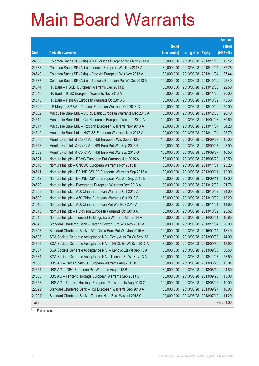|        |                                                               |               |                            | <b>Amount</b> |
|--------|---------------------------------------------------------------|---------------|----------------------------|---------------|
|        |                                                               | No. of        |                            | raised        |
| Code   | <b>Derivative warrants</b>                                    | issue (units) | <b>Listing date Expiry</b> | (HK\$ mil.)   |
| 24636  | Goldman Sachs SP (Asia) - Ch Overseas European Wts Nov 2013 A | 80,000,000    | 2013/03/28 2013/11/18      | 15.12         |
| 24638  | Goldman Sachs SP (Asia) - Lenovo European Wts Nov 2013 A      | 80,000,000    | 2013/03/28 2013/11/04      | 37.76         |
| 24640  | Goldman Sachs SP (Asia) - Ping An European Wts Nov 2013 A     | 80,000,000    | 2013/03/28 2013/11/04      | 27.44         |
| 24637  | Goldman Sachs SP (Asia) - Tencent European Put Wt Oct 2013 A  | 100,000,000   | 2013/03/28 2013/10/02      | 25.40         |
| 24644  | HK Bank - HSCEI European Warrants Dec 2013 B                  | 150,000,000   | 2013/03/28 2013/12/30      | 22.50         |
| 24646  | HK Bank - ICBC European Warrants Nov 2013 A                   | 80,000,000    | 2013/03/28 2013/11/25      | 20.00         |
| 24645  | HK Bank - Ping An European Warrants Oct 2013 B                | 80,000,000    | 2013/03/28 2013/10/09      | 45.60         |
| 24602  | J P Morgan SP BV - Tencent European Warrants Oct 2013 C       | 200,000,000   | 2013/03/28 2013/10/02      | 50.00         |
| 24652  | Macquarie Bank Ltd. - CQRC Bank European Warrants Dec 2013 A  | 80,000,000    | 2013/03/28 2013/12/03      | 20.40         |
| 24619  | Macquarie Bank Ltd. - Chi Resources European Wts Jan 2014 A   | 120,000,000   | 2013/03/28 2014/01/03      | 30.60         |
| 24617  | Macquarie Bank Ltd. - Foxconn European Warrants Nov 2013 A    | 120,000,000   | 2013/03/28 2013/11/04      | 34.20         |
| 24649  | Macquarie Bank Ltd. - HKT-SS European Warrants Nov 2013 A     | 100,000,000   | 2013/03/28 2013/11/04      | 25.70         |
| 24660  | Merrill Lynch Int'l & Co. C.V. - HSI European Wts Sep 2013 H  | 100,000,000   | 2013/03/28 2013/09/27      | 15.00         |
| 24658  | Merrill Lynch Int'l & Co. C.V. - HSI Euro Put Wts Sep 2013 F  | 100,000,000   | 2013/03/28 2013/09/27      | 28.00         |
| 24659  | Merrill Lynch Int'l & Co. C.V. - HSI Euro Put Wts Sep 2013 G  | 100,000,000   | 2013/03/28 2013/09/27      | 16.50         |
| 24621  | Nomura Int'l plc - BBMG European Put Warrants Jun 2015 A      | 50,000,000    | 2013/03/28 2015/06/29      | 12.50         |
| 24616  | Nomura Int'l plc - CNOOC European Warrants Nov 2013 B         | 30,000,000    | 2013/03/28 2013/11/01      | 25.20         |
| 24611  | Nomura Int'l plc - EFUND CSI100 European Warrants Sep 2013 A  | 80,000,000    | 2013/03/28 2013/09/11      | 12.00         |
| 24612  | Nomura Int'l plc - EFUND CSI100 European Put Wts Sep 2013 B   | 80,000,000    | 2013/03/28 2013/09/11      | 12.00         |
| 24629  | Nomura Int'l plc - Evergrande European Warrants Dec 2013 A    | 80,000,000    | 2013/03/28 2013/12/02      | 21.76         |
| 24608  | Nomura Int'l plc - A50 China European Warrants Oct 2013 A     | 50,000,000    | 2013/03/28 2013/10/02      | 24.00         |
| 24609  | Nomura Int'l plc - A50 China European Warrants Oct 2013 B     | 50,000,000    | 2013/03/28 2013/10/02      | 13.20         |
| 24610  | Nomura Int'l plc - A50 China European Put Wts Nov 2013 A      | 50,000,000    | 2013/03/28 2013/11/01      | 14.60         |
| 24613  | Nomura Int'l plc - Hutchison European Warrants Oct 2013 A     | 80,000,000    | 2013/03/28 2013/10/02      | 23.52         |
| 24615  | Nomura Int'l plc - Tencent Holdings Euro Warrants Mar 2014 A  | 50,000,000    | 2013/03/28 2014/03/31      | 16.85         |
| 24642  | Standard Chartered Bank - Datang Power Euro Wts Nov 2013 A    | 80,000,000    | 2013/03/28 2013/11/04      | 20.00         |
| 24643  | Standard Chartered Bank - A50 China Euro Put Wts Jan 2015 A   | 100,000,000   | 2013/03/28 2015/01/14      | 18.40         |
| 24603  | SGA Societe Generale Acceptance N.V.-Geely Auto Eu Wt Sep13A  | 50,000,000    | 2013/03/28 2013/09/30      | 14.00         |
| 24606  | SGA Societe Generale Acceptance N.V. - KECL Eu Wt Sep 2013 A  | 30,000,000    | 2013/03/28 2013/09/30      | 15.90         |
| 24607  | SGA Societe Generale Acceptance N.V. - Lenovo Eu Wt Sep 13 A  | 50,000,000    | 2013/03/28 2013/09/30      | 30.50         |
| 24634  | SGA Societe Generale Acceptance N.V. - Tencent Eu Wt Nov 13 A | 300,000,000   | 2013/03/28 2013/11/27      | 58.50         |
| 24656  | UBS AG - China Shenhua European Warrants Aug 2013 B           | 80,000,000    | 2013/03/28 2013/08/26      | 13.04         |
| 24654  | UBS AG - ICBC European Put Warrants Aug 2013 B                | 80,000,000    | 2013/03/28 2013/08/12      | 24.80         |
| 24655  | UBS AG - Tencent Holdings European Warrants Sep 2013 C        | 100,000,000   | 2013/03/28 2013/09/25      | 15.00         |
| 24653  | UBS AG - Tencent Holdings European Put Warrants Aug 2013 C    | 100,000,000   | 2013/03/28 2013/08/26      | 19.00         |
| 22529# | Standard Chartered Bank - HSI European Warrants Sep 2013 A    | 160,000,000   | 2013/03/28 2013/09/27      | 10.08         |
| 21294# | Standard Chartered Bank - Tencent Hldg Euro Wts Jul 2013 C    | 100,000,000   | 2013/03/28 2013/07/10      | 11.20         |
| Total  |                                                               |               |                            | 48,254.00     |

# Further issue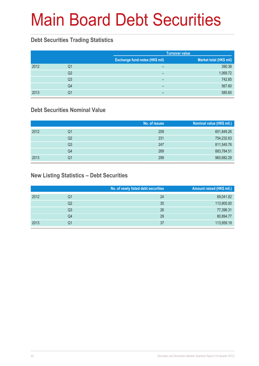# Main Board Debt Securities

#### **Debt Securities Trading Statistics**

|      |                |                                       | <b>Turnover value</b>   |  |  |
|------|----------------|---------------------------------------|-------------------------|--|--|
|      |                | <b>Exchange fund notes (HK\$ mil)</b> | Market total (HK\$ mil) |  |  |
| 2012 | Q1             | $\overline{\phantom{0}}$              | 390.38                  |  |  |
|      | Q2             | $\overline{\phantom{0}}$              | 1,069.72                |  |  |
|      | Q <sub>3</sub> | $\overline{\phantom{0}}$              | 742.85                  |  |  |
|      | Q4             | $\overline{\phantom{0}}$              | 567.60                  |  |  |
| 2013 | Q1             | $\overline{\phantom{0}}$              | 585.65                  |  |  |

#### **Debt Securities Nominal Value**

|      |                | No. of issues | Nominal value (HK\$ mil.) |
|------|----------------|---------------|---------------------------|
| 2012 | Q1             | 209           | 651,849.26                |
|      | Q2             | 231           | 754,232.63                |
|      | Q <sub>3</sub> | 247           | 811,545.76                |
|      | Q4             | 269           | 883,784.51                |
| 2013 | Q1             | 299           | 960,682.29                |

#### **New Listing Statistics – Debt Securities**

|      |                | No. of newly listed debt securities | Amount raised (HK\$ mil.) |
|------|----------------|-------------------------------------|---------------------------|
| 2012 | Q1             | 24                                  | 69,041.82                 |
|      | Q2             | 30                                  | 113,905.00                |
|      | Q <sub>3</sub> | 26                                  | 77,396.31                 |
|      | Q4             | 29                                  | 80,894.77                 |
| 2013 | Q1             | 37                                  | 113,959.19                |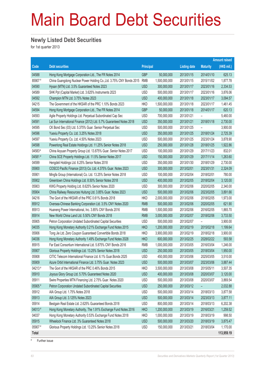# Main Board Debt Securities

#### **Newly Listed Debt Securities**

for 1st quarter 2013

|                |                                                                                                                           |                          |                                |                          |                 | <b>Amount raised</b> |
|----------------|---------------------------------------------------------------------------------------------------------------------------|--------------------------|--------------------------------|--------------------------|-----------------|----------------------|
| Code           | <b>Debt securities</b>                                                                                                    | <b>Principal</b>         |                                | <b>Listing date</b>      | <b>Maturity</b> | (HK\$ mil.)          |
| 04588          | Hong Kong Mortgage Corporation Ltd., The FR Notes 2014                                                                    | <b>GBP</b>               | 50,000,000                     | 2013/01/15               | 2014/01/10      | 625.13               |
| 85907#         | China Guangdong Nuclear Power Holding Co., Ltd. 3.75% CNY Bonds 2015                                                      | <b>RMB</b>               | 1,500,000,000                  | 2013/01/15               | 2015/11/02      | 1,877.78             |
| 04590          | Hysan (MTN) Ltd. 3.5% Guaranteed Notes 2023                                                                               | <b>USD</b>               | 300,000,000                    | 2013/01/17               | 2023/01/16      | 2,334.53             |
| 04589          | SHK Ppt (Capital Market) Ltd. 3.625% Instruments 2023                                                                     | <b>USD</b>               | 500,000,000                    | 2013/01/17               | 2023/01/16      | 3,876.06             |
| 04592          | Champion MTN Ltd. 3.75% Notes 2023                                                                                        | <b>USD</b>               | 400,000,000                    | 2013/01/18               | 2023/01/17      | 3,094.57             |
| 04215          | The Government of the HKSAR of the PRC 1.10% Bonds 2023                                                                   | <b>HKD</b>               | 1,500,000,000                  | 2013/01/18               | 2023/01/17      | 1,461.45             |
| 04594          | Hong Kong Mortgage Corporation Ltd., The FR Notes 2014                                                                    | <b>GBP</b>               | 50,000,000                     | 2013/01/18               | 2014/01/17      | 620.13               |
| 04593          | Agile Property Holdings Ltd. Perpetual Subordinated Cap Sec                                                               | <b>USD</b>               | 700,000,000                    | 2013/01/21               |                 | 5,460.00             |
| 04591          | Lai Sun International Finance (2012) Ltd. 5.7% Guaranteed Notes 2018                                                      | <b>USD</b>               | 350,000,000                    | 2013/01/21               | 2018/01/18      | 2,730.00             |
| 04595          | CK Bond Sec (03) Ltd. 5.375% Guar. Senior Perpetual Sec                                                                   | <b>USD</b>               | 500,000,000                    | 2013/01/25               |                 | 3,900.00             |
| 04596          | Yuexiu Property Co. Ltd. 3.25% Notes 2018                                                                                 | <b>USD</b>               | 350,000,000                    | 2013/01/25               | 2018/01/24      | 2,725.39             |
| 04597          | Yuexiu Property Co. Ltd. 4.50% Notes 2023                                                                                 | <b>USD</b>               | 500,000,000                    | 2013/01/25               | 2023/01/24      | 3,878.90             |
| 04598          | Powerlong Real Estate Holdings Ltd. 11.25% Senior Notes 2018                                                              | <b>USD</b>               | 250,000,000                    | 2013/01/28               | 2018/01/25      | 1,922.86             |
| 04583#         | China Aoyuan Property Group Ltd. 13.875% Guar. Senior Notes 2017                                                          | <b>USD</b>               | 100,000,000                    | 2013/01/29               | 2017/11/23      | 832.01               |
| 04581#         | China SCE Property Holdings Ltd. 11.5% Senior Notes 2017                                                                  | <b>USD</b>               | 150,000,000                    | 2013/01/29               | 2017/11/14      | 1,263.60             |
| 04599          | Hengdeli Holdings Ltd. 6.25% Senior Notes 2018                                                                            | <b>USD</b>               | 350,000,000                    | 2013/01/30               | 2018/01/29      | 2,730.00             |
| 05900          | COSCO Pacific Finance (2013) Co. Ltd. 4.375% Guar. Notes 2023                                                             | <b>USD</b>               | 300,000,000                    | 2013/02/01               | 2023/01/31      | 2,324.09             |
| 05901          | Mingfa Group (International) Co. Ltd. 13.25% Senior Notes 2018                                                            | <b>USD</b>               | 100,000,000                    | 2013/02/04               | 2018/02/01      | 780.00               |
| 05902          | Greentown China Holdings Ltd. 8.50% Senior Notes 2018                                                                     | <b>USD</b>               | 400,000,000                    | 2013/02/05               | 2018/02/04      | 3,120.00             |
| 05903          | KWG Property Holding Ltd. 8.625% Senior Notes 2020                                                                        | <b>USD</b>               | 300,000,000                    | 2013/02/06               | 2020/02/05      | 2,340.00             |
| 05904          | China Railway Resources Huitung Ltd. 3.85% Guar. Notes 2023                                                               | <b>USD</b>               | 500,000,000                    | 2013/02/06               | 2023/02/05      | 3,891.66             |
| 04216          | The Govt of the HKSAR of the PRC 0.61% Bonds 2018                                                                         | <b>HKD</b>               | 2,000,000,000                  | 2013/02/06               | 2018/02/05      | 1,973.00             |
| 85912          | Oversea-Chinese Banking Corporation Ltd. 3.5% CNY Notes 2020                                                              | <b>RMB</b>               | 500,000,000                    | 2013/02/06               | 2020/02/05      | 621.90               |
| 85913          | Huaneng Power International, Inc. 3.85% CNY Bonds 2016                                                                    | <b>RMB</b>               | 1,500,000,000                  | 2013/02/06               | 2016/02/05      | 1,865.70             |
| 85914          | New World China Land Ltd. 5.50% CNY Bonds 2018                                                                            | <b>RMB</b>               | 3,000,000,000                  | 2013/02/07               | 2018/02/06      | 3,733.50             |
| 05905<br>04035 | Petron Corporation Undated Subordinated Capital Securities<br>Hong Kong Monetary Authority 0.21% Exchange Fund Notes 2015 | <b>USD</b><br><b>HKD</b> | 500,000,000                    | 2013/02/07<br>2013/02/19 | 2015/02/18      | 3,900.00<br>1,199.64 |
| 05906          | Tong Jie Ltd. Zero Coupon Guaranteed Convertible Bonds 2018                                                               | <b>HKD</b>               | 1,200,000,000<br>3,900,000,000 | 2013/02/19               | 2018/02/18      | 3,900.00             |
| 04036          | Hong Kong Monetary Authority 1.49% Exchange Fund Notes 2028                                                               | <b>HKD</b>               | 600,000,000                    | 2013/02/25               | 2028/02/22      | 593.58               |
| 85915          | Far East Consortium International Ltd. 5.875% CNY Bonds 2016                                                              | <b>RMB</b>               | 1,000,000,000                  | 2013/03/05               | 2016/03/04      | 1,246.00             |
| 05907          | Glorious Property Holdings Ltd. 13.25% Senior Notes 2018                                                                  | <b>USD</b>               | 250,000,000                    | 2013/03/05               | 2018/03/04      | 1,950.00             |
| 05908          | CITIC Telecom International Finance Ltd. 6.1% Guar.Bonds 2025                                                             | <b>USD</b>               | 450,000,000                    | 2013/03/06               | 2025/03/05      | 3,510.00             |
| 05909          | Azure Orbit International Finance Ltd. 3.75% Guar. Notes 2023                                                             | <b>USD</b>               | 500,000,000                    | 2013/03/07               | 2023/03/06      | 3,887.44             |
| 04213#         | The Govt of the HKSAR of the PRC 0.46% Bonds 2015                                                                         | <b>HKD</b>               | 3,500,000,000                  | 2013/03/08               | 2015/05/11      | 3,507.35             |
| 05910          | Joyous Glory Group Ltd. 5.70% Guaranteed Notes 2020                                                                       | <b>USD</b>               | 400,000,000                    | 2013/03/08               | 2020/03/07      | 3,120.00             |
| 05911          | Swire Properties MTN Financing Ltd. 2.75% Guar. Notes 2020                                                                | <b>USD</b>               | 500,000,000                    | 2013/03/08               | 2020/03/07      | 3,869.54             |
| 05905 #        | Petron Corporation Undated Subordinated Capital Securities                                                                | <b>USD</b>               | 250,000,000                    | 2013/03/12               | -               | 2,032.88             |
| 05912          | AIA Group Ltd. 1.75% Notes 2018                                                                                           | <b>USD</b>               | 500,000,000                    | 2013/03/14               | 2018/03/13      | 3,877.58             |
| 05913          | AIA Group Ltd. 3.125% Notes 2023                                                                                          | <b>USD</b>               | 500,000,000                    | 2013/03/14               | 2023/03/13      | 3,877.11             |
| 05914          | Bestgain Real Estate Ltd. 2.625% Guaranteed Bonds 2018                                                                    | <b>USD</b>               | 800,000,000                    | 2013/03/14               | 2018/03/13      | 6,202.38             |
| 04013#         | Hong Kong Monetary Authority, The 1.91% Exchange Fund Notes 2016                                                          | <b>HKD</b>               | 1,200,000,000                  | 2013/03/19               | 2016/03/21      | 1,259.52             |
| 04037          | Hong Kong Monetary Authority 0.53% Exchange Fund Notes 2018                                                               | <b>HKD</b>               | 1,000,000,000                  | 2013/03/19               | 2018/03/19      | 998.50               |
| 05915          | Wheelock Finance Ltd. 3% Guaranteed Notes 2018                                                                            | <b>USD</b>               | 500,000,000                    | 2013/03/20               | 2018/03/19      | 3,875.47             |
| 05907 #        | Glorious Property Holdings Ltd. 13.25% Senior Notes 2018                                                                  | <b>USD</b>               | 150,000,000                    | 2013/03/21               | 2018/03/04      | 1,170.00             |
| Total          |                                                                                                                           |                          |                                |                          |                 | 113,959.19           |

# Further issue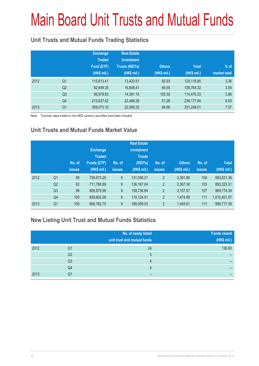# Main Board Unit Trusts and Mutual Funds

#### **Unit Trusts and Mutual Funds Trading Statistics**

|      |                | <b>Exchange</b><br><b>Traded</b><br>Fund (ETF)<br>(HK\$ mil.) | <b>Real Estate</b><br><b>Investment</b><br><b>Trusts (REITs)</b><br>(HK\$ mil.) | <b>Others</b><br>(HK\$ mil.) | <b>Total</b><br>(HK\$ mil.) | $%$ of<br>market total |
|------|----------------|---------------------------------------------------------------|---------------------------------------------------------------------------------|------------------------------|-----------------------------|------------------------|
| 2012 | Q <sub>1</sub> | 115,613.41                                                    | 13,420.51                                                                       | 82.93                        | 129,116.85                  | 3.36                   |
|      | Q <sub>2</sub> | 92,849.35                                                     | 16,848.41                                                                       | 66.55                        | 109,764.32                  | 3.59                   |
|      | Q <sub>3</sub> | 99,979.83                                                     | 14,391.15                                                                       | 105.35                       | 114,476.33                  | 3.86                   |
|      | Q4             | 213,637.42                                                    | 22,489.26                                                                       | 51.26                        | 236, 177.94                 | 6.93                   |
| 2013 | Q <sub>1</sub> | 309,073.10                                                    | 22,090.25                                                                       | 84.66                        | 331,248.01                  | 7.57                   |

Note: Turnover value traded in non-HKD currency securities have been included

#### **Unit Trusts and Mutual Funds Market Value**

|      |                | No. of<br><b>issues</b> | <b>Exchange</b><br><b>Traded</b><br><b>Funds (ETF)</b><br>(HK\$ mil.) | No. of<br><b>issues</b> | <b>Real Estate</b><br><b>Investment</b><br><b>Trusts</b><br>(REITs)<br>(HK\$ mil.) | No. of<br><b>issues</b> | <b>Others</b><br>(HK\$ mil.) | No. of<br><b>issues</b> | <b>Total</b><br>(HK\$ mil.) |
|------|----------------|-------------------------|-----------------------------------------------------------------------|-------------------------|------------------------------------------------------------------------------------|-------------------------|------------------------------|-------------------------|-----------------------------|
| 2012 | Q <sub>1</sub> | 89                      | 759,673.29                                                            | 9                       | 131,556.21                                                                         | $\overline{2}$          | 2,391.86                     | 100                     | 893,621.36                  |
|      | Q2             | 92                      | 711,788.89                                                            | 9                       | 136, 167.04                                                                        | $\overline{2}$          | 2,367.38                     | 103                     | 850,323.31                  |
|      | Q <sub>3</sub> | 96                      | 808,879.98                                                            | 9                       | 158,736.84                                                                         | $\overline{2}$          | 2,157.57                     | 107                     | 969,774.39                  |
|      | Q <sub>4</sub> | 100                     | 839,802.08                                                            | 9                       | 174,124.01                                                                         | $\overline{2}$          | 1,474.98                     | 111                     | 1,015,401.07                |
| 2013 | Q <sub>1</sub> | 100                     | 808,762.75                                                            | 9                       | 188,509.03                                                                         | $\overline{2}$          | 1,445.61                     | 111                     | 998,717.39                  |

#### **New Listing Unit Trust and Mutual Funds Statistics**

|      |                | No. of newly listed<br>unit trust and mutual funds | <b>Funds raised</b><br>(HK\$ mil.) |
|------|----------------|----------------------------------------------------|------------------------------------|
| 2012 | Q1             | 24                                                 | 136.80                             |
|      | Q2             | ≘                                                  |                                    |
|      | Q <sub>3</sub> |                                                    |                                    |
|      | Q4             |                                                    |                                    |
| 2013 | Q1             |                                                    |                                    |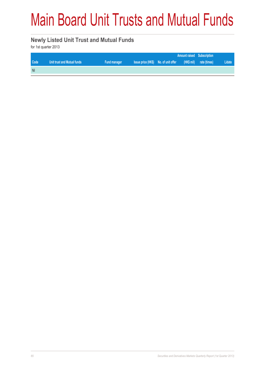# Main Board Unit Trusts and Mutual Funds

#### **Newly Listed Unit Trust and Mutual Funds**

for 1st quarter 2013

|      |                             |              |                                      |  | <b>Amount raised Subscription</b> |        |
|------|-----------------------------|--------------|--------------------------------------|--|-----------------------------------|--------|
| Code | Unit trust and Mutual funds | Fund manager | Issue price (HK\$) No. of unit offer |  | (HK\$ mil) rate (times)           | Lidate |
| Nil  |                             |              |                                      |  |                                   |        |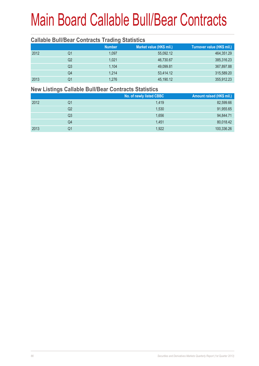#### **Callable Bull/Bear Contracts Trading Statistics**

|      |    | <b>Number</b> | Market value (HK\$ mil.) | Turnover value (HK\$ mil.) |
|------|----|---------------|--------------------------|----------------------------|
| 2012 | Q1 | 1,097         | 55,092.12                | 464,351.29                 |
|      | Q2 | 1.021         | 46,730.67                | 385,316.23                 |
|      | Q3 | 1.104         | 49,099.81                | 367,897.88                 |
|      | Q4 | 1.214         | 53,414.12                | 315,589.20                 |
| 2013 | Q1 | 1,276         | 45,190.12                | 355,912.23                 |

#### **New Listings Callable Bull/Bear Contracts Statistics**

|      |    | No. of newly listed CBBC | Amount raised (HK\$ mil.) |
|------|----|--------------------------|---------------------------|
| 2012 | Q1 | 1,419                    | 82,599.66                 |
|      | Q2 | 1,530                    | 91,955.65                 |
|      | Q3 | 1,656                    | 94,844.71                 |
|      | Q4 | 1.451                    | 80,018.42                 |
| 2013 | Q1 | 1,922                    | 100,336.26                |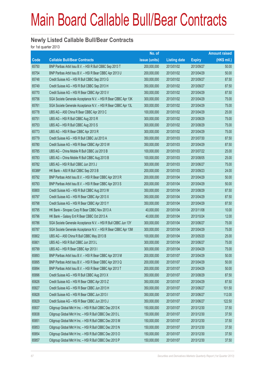#### **Newly Listed Callable Bull/Bear Contracts**

for 1st quarter 2013

|             |                                                                | No. of        |                     |               | <b>Amount raised</b> |
|-------------|----------------------------------------------------------------|---------------|---------------------|---------------|----------------------|
| <b>Code</b> | <b>Callable Bull/Bear Contracts</b>                            | issue (units) | <b>Listing date</b> | <b>Expiry</b> | (HK\$ mil.)          |
| 65750       | BNP Paribas Arbit Issu B.V. - HSI R Bull CBBC Sep 2013 T       | 200,000,000   | 2013/01/02          | 2013/09/27    | 50.00                |
| 65754       | BNP Paribas Arbit Issu B.V. - HSI R Bear CBBC Apr 2013 U       | 200,000,000   | 2013/01/02          | 2013/04/29    | 50.00                |
| 65748       | Credit Suisse AG - HSI R Bull CBBC Sep 2013 G                  | 350,000,000   | 2013/01/02          | 2013/09/27    | 87.50                |
| 65749       | Credit Suisse AG - HSI R Bull CBBC Sep 2013 H                  | 350,000,000   | 2013/01/02          | 2013/09/27    | 87.50                |
| 65770       | Credit Suisse AG - HSI R Bear CBBC Apr 2013 V                  | 350,000,000   | 2013/01/02          | 2013/04/29    | 87.50                |
| 65756       | SGA Societe Generale Acceptance N.V. - HSI R Bear CBBC Apr 13K | 300,000,000   | 2013/01/02          | 2013/04/29    | 75.00                |
| 65761       | SGA Societe Generale Acceptance N.V. - HSI R Bear CBBC Apr 13L | 300,000,000   | 2013/01/02          | 2013/04/29    | 75.00                |
| 65778       | UBS AG - A50 China R Bear CBBC Apr 2013 C                      | 100,000,000   | 2013/01/02          | 2013/04/29    | 25.00                |
| 65751       | UBS AG - HSI R Bull CBBC Aug 2013 R                            | 300,000,000   | 2013/01/02          | 2013/08/29    | 75.00                |
| 65753       | UBS AG - HSI R Bull CBBC Aug 2013 S                            | 300,000,000   | 2013/01/02          | 2013/08/29    | 75.00                |
| 65773       | UBS AG - HSI R Bear CBBC Apr 2013 R                            | 300,000,000   | 2013/01/02          | 2013/04/29    | 75.00                |
| 65779       | Credit Suisse AG - HSI R Bull CBBC Jul 2013 A                  | 350,000,000   | 2013/01/03          | 2013/07/30    | 87.50                |
| 65780       | Credit Suisse AG - HSI R Bear CBBC Apr 2013 W                  | 350,000,000   | 2013/01/03          | 2013/04/29    | 87.50                |
| 65785       | UBS AG - China Mobile R Bull CBBC Jul 2013 B                   | 100,000,000   | 2013/01/03          | 2013/07/22    | 25.00                |
| 65783       | UBS AG - China Mobile R Bull CBBC Aug 2013 B                   | 100,000,000   | 2013/01/03          | 2013/08/05    | 25.00                |
| 65782       | UBS AG - HSI R Bull CBBC Jun 2013 J                            | 300,000,000   | 2013/01/03          | 2013/06/27    | 75.00                |
| 65386#      | HK Bank - A50 R Bull CBBC Sep 2013 B                           | 200,000,000   | 2013/01/03          | 2013/09/23    | 24.00                |
| 65792       | BNP Paribas Arbit Issu B.V. - HSI R Bear CBBC Apr 2013 R       | 200,000,000   | 2013/01/04          | 2013/04/29    | 50.00                |
| 65793       | BNP Paribas Arbit Issu B.V. - HSI R Bear CBBC Apr 2013 S       | 200,000,000   | 2013/01/04          | 2013/04/29    | 50.00                |
| 65800       | Credit Suisse AG - HSI R Bull CBBC Aug 2013 W                  | 350,000,000   | 2013/01/04          | 2013/08/29    | 87.50                |
| 65797       | Credit Suisse AG - HSI R Bear CBBC Apr 2013 X                  | 350,000,000   | 2013/01/04          | 2013/04/29    | 87.50                |
| 65798       | Credit Suisse AG - HSI R Bear CBBC Apr 2013 Y                  | 350,000,000   | 2013/01/04          | 2013/04/29    | 87.50                |
| 65795       | HK Bank - Sinopec Corp R Bear CBBC Nov 2013 A                  | 40,000,000    | 2013/01/04          | 2013/11/08    | 10.00                |
| 65796       | HK Bank - Galaxy Ent R Bear CBBC Oct 2013 A                    | 40,000,000    | 2013/01/04          | 2013/10/24    | 12.00                |
| 65786       | SGA Societe Generale Acceptance N.V. - HSI R Bull CBBC Jun 13Y | 300,000,000   | 2013/01/04          | 2013/06/27    | 75.00                |
| 65787       | SGA Societe Generale Acceptance N.V. - HSI R Bear CBBC Apr 13M | 300,000,000   | 2013/01/04          | 2013/04/29    | 75.00                |
| 65802       | UBS AG - A50 China R Bull CBBC May 2013 B                      | 100,000,000   | 2013/01/04          | 2013/05/20    | 25.00                |
| 65801       | UBS AG - HSI R Bull CBBC Jun 2013 L                            | 300,000,000   | 2013/01/04          | 2013/06/27    | 75.00                |
| 65799       | UBS AG - HSI R Bear CBBC Apr 2013 I                            | 300,000,000   | 2013/01/04          | 2013/04/29    | 75.00                |
| 65893       | BNP Paribas Arbit Issu B.V. - HSI R Bear CBBC Apr 2013 M       | 200,000,000   | 2013/01/07          | 2013/04/29    | 50.00                |
| 65895       | BNP Paribas Arbit Issu B.V. - HSI R Bear CBBC Apr 2013 Q       | 200,000,000   | 2013/01/07          | 2013/04/29    | 50.00                |
| 65894       | BNP Paribas Arbit Issu B.V. - HSI R Bear CBBC Apr 2013 T       | 200,000,000   | 2013/01/07          | 2013/04/29    | 50.00                |
| 65896       | Credit Suisse AG - HSI R Bull CBBC Aug 2013 X                  | 350,000,000   | 2013/01/07          | 2013/08/29    | 87.50                |
| 65826       | Credit Suisse AG - HSI R Bear CBBC Apr 2013 Z                  | 350,000,000   | 2013/01/07          | 2013/04/29    | 87.50                |
| 65827       | Credit Suisse AG - HSI R Bear CBBC Jun 2013 H                  | 350,000,000   | 2013/01/07          | 2013/06/27    | 101.50               |
| 65828       | Credit Suisse AG - HSI R Bear CBBC Jun 2013 I                  | 350,000,000   | 2013/01/07          | 2013/06/27    | 112.00               |
| 65829       | Credit Suisse AG - HSI R Bear CBBC Jun 2013 J                  | 350,000,000   | 2013/01/07          | 2013/06/27    | 122.50               |
| 65837       | Citigroup Global Mkt H Inc. - HSI R Bull CBBC Dec 2013 K       | 150,000,000   | 2013/01/07          | 2013/12/30    | 37.50                |
| 65838       | Citigroup Global Mkt H Inc. - HSI R Bull CBBC Dec 2013 L       | 150,000,000   | 2013/01/07          | 2013/12/30    | 37.50                |
| 65851       | Citigroup Global Mkt H Inc. - HSI R Bull CBBC Dec 2013 M       | 150,000,000   | 2013/01/07          | 2013/12/30    | 37.50                |
| 65853       | Citigroup Global Mkt H Inc. - HSI R Bull CBBC Dec 2013 N       | 150,000,000   | 2013/01/07          | 2013/12/30    | 37.50                |
| 65854       | Citigroup Global Mkt H Inc. - HSI R Bull CBBC Dec 2013 O       | 150,000,000   | 2013/01/07          | 2013/12/30    | 37.50                |
| 65857       | Citigroup Global Mkt H Inc. - HSI R Bull CBBC Dec 2013 P       | 150,000,000   | 2013/01/07          | 2013/12/30    | 37.50                |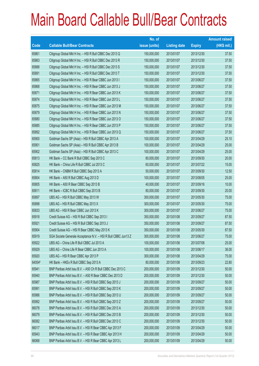|        |                                                                | No. of        |                     |               | <b>Amount raised</b> |
|--------|----------------------------------------------------------------|---------------|---------------------|---------------|----------------------|
| Code   | <b>Callable Bull/Bear Contracts</b>                            | issue (units) | <b>Listing date</b> | <b>Expiry</b> | $(HK$$ mil.)         |
| 65861  | Citigroup Global Mkt H Inc. - HSI R Bull CBBC Dec 2013 Q       | 150,000,000   | 2013/01/07          | 2013/12/30    | 37.50                |
| 65863  | Citigroup Global Mkt H Inc. - HSI R Bull CBBC Dec 2013 R       | 150,000,000   | 2013/01/07          | 2013/12/30    | 37.50                |
| 65888  | Citigroup Global Mkt H Inc. - HSI R Bull CBBC Dec 2013 S       | 150,000,000   | 2013/01/07          | 2013/12/30    | 37.50                |
| 65891  | Citigroup Global Mkt H Inc. - HSI R Bull CBBC Dec 2013 T       | 150,000,000   | 2013/01/07          | 2013/12/30    | 37.50                |
| 65865  | Citigroup Global Mkt H Inc. - HSI R Bear CBBC Jun 2013 I       | 150,000,000   | 2013/01/07          | 2013/06/27    | 37.50                |
| 65868  | Citigroup Global Mkt H Inc. - HSI R Bear CBBC Jun 2013 J       | 150,000,000   | 2013/01/07          | 2013/06/27    | 37.50                |
| 65871  | Citigroup Global Mkt H Inc. - HSI R Bear CBBC Jun 2013 K       | 150,000,000   | 2013/01/07          | 2013/06/27    | 37.50                |
| 65874  | Citigroup Global Mkt H Inc. - HSI R Bear CBBC Jun 2013 L       | 150,000,000   | 2013/01/07          | 2013/06/27    | 37.50                |
| 65875  | Citigroup Global Mkt H Inc. - HSI R Bear CBBC Jun 2013 M       | 150,000,000   | 2013/01/07          | 2013/06/27    | 37.50                |
| 65879  | Citigroup Global Mkt H Inc. - HSI R Bear CBBC Jun 2013 N       | 150,000,000   | 2013/01/07          | 2013/06/27    | 37.50                |
| 65880  | Citigroup Global Mkt H Inc. - HSI R Bear CBBC Jun 2013 O       | 150,000,000   | 2013/01/07          | 2013/06/27    | 37.50                |
| 65885  | Citigroup Global Mkt H Inc. - HSI R Bear CBBC Jun 2013 P       | 150,000,000   | 2013/01/07          | 2013/06/27    | 37.50                |
| 65892  | Citigroup Global Mkt H Inc. - HSI R Bear CBBC Jun 2013 Q       | 150,000,000   | 2013/01/07          | 2013/06/27    | 37.50                |
| 65900  | Goldman Sachs SP (Asia) - HSI R Bull CBBC Apr 2013 A           | 100,000,000   | 2013/01/07          | 2013/04/29    | 25.10                |
| 65901  | Goldman Sachs SP (Asia) - HSI R Bull CBBC Apr 2013 B           | 100,000,000   | 2013/01/07          | 2013/04/29    | 25.00                |
| 65902  | Goldman Sachs SP (Asia) - HSI R Bull CBBC Apr 2013 C           | 100,000,000   | 2013/01/07          | 2013/04/29    | 25.00                |
| 65813  | HK Bank - CC Bank R Bull CBBC Sep 2013 C                       | 80,000,000    | 2013/01/07          | 2013/09/30    | 20.00                |
| 65825  | HK Bank - China Life R Bull CBBC Jul 2013 C                    | 60,000,000    | 2013/01/07          | 2013/07/22    | 15.00                |
| 65814  | HK Bank - CNBM R Bull CBBC Sep 2013 A                          | 50,000,000    | 2013/01/07          | 2013/09/30    | 12.50                |
| 65804  | HK Bank - A50 R Bull CBBC Aug 2013 D                           | 100,000,000   | 2013/01/07          | 2013/08/05    | 25.00                |
| 65805  | HK Bank - A50 R Bear CBBC Sep 2013 B                           | 40,000,000    | 2013/01/07          | 2013/09/16    | 10.00                |
| 65811  | HK Bank - ICBC R Bull CBBC Sep 2013 B                          | 80,000,000    | 2013/01/07          | 2013/09/30    | 20.00                |
| 65897  | UBS AG - HSI R Bull CBBC May 2013 W                            | 300,000,000   | 2013/01/07          | 2013/05/30    | 75.00                |
| 65898  | UBS AG - HSI R Bull CBBC May 2013 X                            | 300,000,000   | 2013/01/07          | 2013/05/30    | 75.00                |
| 65833  | UBS AG - HSI R Bear CBBC Jun 2013 K                            | 300,000,000   | 2013/01/07          | 2013/06/27    | 75.00                |
| 65918  | Credit Suisse AG - HSI R Bull CBBC Sep 2013 I                  | 350,000,000   | 2013/01/08          | 2013/09/27    | 87.50                |
| 65921  | Credit Suisse AG - HSI R Bull CBBC Sep 2013 J                  | 350,000,000   | 2013/01/08          | 2013/09/27    | 87.50                |
| 65904  | Credit Suisse AG - HSI R Bear CBBC May 2013 K                  | 350,000,000   | 2013/01/08          | 2013/05/30    | 87.50                |
| 65919  | SGA Societe Generale Acceptance N.V. - HSI R Bull CBBC Jun13 Z | 300,000,000   | 2013/01/08          | 2013/06/27    | 75.00                |
| 65922  | UBS AG - China Life R Bull CBBC Jul 2013 A                     | 100,000,000   | 2013/01/08          | 2013/07/08    | 25.00                |
| 65929  | UBS AG - China Life R Bear CBBC Jun 2013 A                     | 100,000,000   | 2013/01/08          | 2013/06/17    | 36.00                |
| 65920  | UBS AG - HSI R Bear CBBC Apr 2013 P                            | 300,000,000   | 2013/01/08          | 2013/04/29    | 75.00                |
| 64054# | HK Bank - HKEx R Bull CBBC Sep 2013 A                          | 80,000,000    | 2013/01/08          | 2013/09/23    | 22.80                |
| 65941  | BNP Paribas Arbit Issu B.V. - A50 Ch R Bull CBBC Dec 2013 C    | 200,000,000   | 2013/01/09          | 2013/12/30    | 50.00                |
| 65940  | BNP Paribas Arbit Issu B.V. - A50 R Bear CBBC Dec 2013 D       | 200,000,000   | 2013/01/09          | 2013/12/30    | 50.00                |
| 65987  | BNP Paribas Arbit Issu B.V. - HSI R Bull CBBC Sep 2013 J       | 200,000,000   | 2013/01/09          | 2013/09/27    | 50.00                |
| 65991  | BNP Paribas Arbit Issu B.V. - HSI R Bull CBBC Sep 2013 K       | 200,000,000   | 2013/01/09          | 2013/09/27    | 50.00                |
| 65986  | BNP Paribas Arbit Issu B.V. - HSI R Bull CBBC Sep 2013 U       | 200,000,000   | 2013/01/09          | 2013/09/27    | 50.00                |
| 65992  | BNP Paribas Arbit Issu B.V. - HSI R Bull CBBC Sep 2013 Z       | 200,000,000   | 2013/01/09          | 2013/09/27    | 50.00                |
| 66078  | BNP Paribas Arbit Issu B.V. - HSI R Bull CBBC Dec 2013 A       | 200,000,000   | 2013/01/09          | 2013/12/30    | 50.00                |
| 66079  | BNP Paribas Arbit Issu B.V. - HSI R Bull CBBC Dec 2013 B       | 200,000,000   | 2013/01/09          | 2013/12/30    | 50.00                |
| 66082  | BNP Paribas Arbit Issu B.V. - HSI R Bull CBBC Dec 2013 C       | 200,000,000   | 2013/01/09          | 2013/12/30    | 50.00                |
| 66017  | BNP Paribas Arbit Issu B.V. - HSI R Bear CBBC Apr 2013 F       | 200,000,000   | 2013/01/09          | 2013/04/29    | 50.00                |
| 65943  | BNP Paribas Arbit Issu B.V. - HSI R Bear CBBC Apr 2013 H       | 200,000,000   | 2013/01/09          | 2013/04/29    | 50.00                |
| 66068  | BNP Paribas Arbit Issu B.V. - HSI R Bear CBBC Apr 2013 L       | 200,000,000   | 2013/01/09          | 2013/04/29    | 50.00                |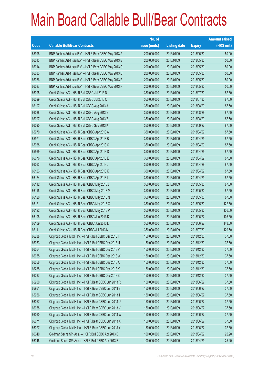|       |                                                          | No. of        |                     |               | <b>Amount raised</b> |
|-------|----------------------------------------------------------|---------------|---------------------|---------------|----------------------|
| Code  | <b>Callable Bull/Bear Contracts</b>                      | issue (units) | <b>Listing date</b> | <b>Expiry</b> | $(HK$$ mil.)         |
| 65998 | BNP Paribas Arbit Issu B.V. - HSI R Bear CBBC May 2013 A | 200,000,000   | 2013/01/09          | 2013/05/30    | 50.00                |
| 66013 | BNP Paribas Arbit Issu B.V. - HSI R Bear CBBC May 2013 B | 200,000,000   | 2013/01/09          | 2013/05/30    | 50.00                |
| 66014 | BNP Paribas Arbit Issu B.V. - HSI R Bear CBBC May 2013 C | 200,000,000   | 2013/01/09          | 2013/05/30    | 50.00                |
| 66083 | BNP Paribas Arbit Issu B.V. - HSI R Bear CBBC May 2013 D | 200,000,000   | 2013/01/09          | 2013/05/30    | 50.00                |
| 66086 | BNP Paribas Arbit Issu B.V. - HSI R Bear CBBC May 2013 E | 200,000,000   | 2013/01/09          | 2013/05/30    | 50.00                |
| 66087 | BNP Paribas Arbit Issu B.V. - HSI R Bear CBBC May 2013 F | 200,000,000   | 2013/01/09          | 2013/05/30    | 50.00                |
| 66095 | Credit Suisse AG - HSI R Bull CBBC Jul 2013 N            | 350,000,000   | 2013/01/09          | 2013/07/30    | 87.50                |
| 66099 | Credit Suisse AG - HSI R Bull CBBC Jul 2013 O            | 350,000,000   | 2013/01/09          | 2013/07/30    | 87.50                |
| 66107 | Credit Suisse AG - HSI R Bull CBBC Aug 2013 A            | 350,000,000   | 2013/01/09          | 2013/08/29    | 87.50                |
| 66088 | Credit Suisse AG - HSI R Bull CBBC Aug 2013 Y            | 350,000,000   | 2013/01/09          | 2013/08/29    | 87.50                |
| 66097 | Credit Suisse AG - HSI R Bull CBBC Aug 2013 Z            | 350,000,000   | 2013/01/09          | 2013/08/29    | 87.50                |
| 66090 | Credit Suisse AG - HSI R Bull CBBC Sep 2013 K            | 350,000,000   | 2013/01/09          | 2013/09/27    | 87.50                |
| 65970 | Credit Suisse AG - HSI R Bear CBBC Apr 2013 A            | 350,000,000   | 2013/01/09          | 2013/04/29    | 87.50                |
| 65971 | Credit Suisse AG - HSI R Bear CBBC Apr 2013 B            | 350,000,000   | 2013/01/09          | 2013/04/29    | 87.50                |
| 65968 | Credit Suisse AG - HSI R Bear CBBC Apr 2013 C            | 350,000,000   | 2013/01/09          | 2013/04/29    | 87.50                |
| 65969 | Credit Suisse AG - HSI R Bear CBBC Apr 2013 D            | 350,000,000   | 2013/01/09          | 2013/04/29    | 87.50                |
| 66076 | Credit Suisse AG - HSI R Bear CBBC Apr 2013 E            | 350,000,000   | 2013/01/09          | 2013/04/29    | 87.50                |
| 66063 | Credit Suisse AG - HSI R Bear CBBC Apr 2013 J            | 350,000,000   | 2013/01/09          | 2013/04/29    | 87.50                |
| 66123 | Credit Suisse AG - HSI R Bear CBBC Apr 2013 K            | 350,000,000   | 2013/01/09          | 2013/04/29    | 87.50                |
| 66124 | Credit Suisse AG - HSI R Bear CBBC Apr 2013 L            | 350,000,000   | 2013/01/09          | 2013/04/29    | 87.50                |
| 66112 | Credit Suisse AG - HSI R Bear CBBC May 2013 L            | 350,000,000   | 2013/01/09          | 2013/05/30    | 87.50                |
| 66115 | Credit Suisse AG - HSI R Bear CBBC May 2013 M            | 350,000,000   | 2013/01/09          | 2013/05/30    | 87.50                |
| 66120 | Credit Suisse AG - HSI R Bear CBBC May 2013 N            | 350,000,000   | 2013/01/09          | 2013/05/30    | 87.50                |
| 66121 | Credit Suisse AG - HSI R Bear CBBC May 2013 O            | 350,000,000   | 2013/01/09          | 2013/05/30    | 122.50               |
| 66122 | Credit Suisse AG - HSI R Bear CBBC May 2013 P            | 350,000,000   | 2013/01/09          | 2013/05/30    | 136.50               |
| 66108 | Credit Suisse AG - HSI R Bear CBBC Jun 2013 K            | 350,000,000   | 2013/01/09          | 2013/06/27    | 108.50               |
| 66109 | Credit Suisse AG - HSI R Bear CBBC Jun 2013 L            | 350,000,000   | 2013/01/09          | 2013/06/27    | 143.50               |
| 66111 | Credit Suisse AG - HSI R Bear CBBC Jul 2013 N            | 350,000,000   | 2013/01/09          | 2013/07/30    | 129.50               |
| 66288 | Citigroup Global Mkt H Inc. - HSI R Bull CBBC Dec 2013 I | 150,000,000   | 2013/01/09          | 2013/12/30    | 37.50                |
| 66053 | Citigroup Global Mkt H Inc. - HSI R Bull CBBC Dec 2013 U | 150,000,000   | 2013/01/09          | 2013/12/30    | 37.50                |
| 66054 | Citigroup Global Mkt H Inc. - HSI R Bull CBBC Dec 2013 V | 150,000,000   | 2013/01/09          | 2013/12/30    | 37.50                |
| 66055 | Citigroup Global Mkt H Inc. - HSI R Bull CBBC Dec 2013 W | 150,000,000   | 2013/01/09          | 2013/12/30    | 37.50                |
| 66056 | Citigroup Global Mkt H Inc. - HSI R Bull CBBC Dec 2013 X | 150,000,000   | 2013/01/09          | 2013/12/30    | 37.50                |
| 66285 | Citigroup Global Mkt H Inc. - HSI R Bull CBBC Dec 2013 Y | 150,000,000   | 2013/01/09          | 2013/12/30    | 37.50                |
| 66287 | Citigroup Global Mkt H Inc. - HSI R Bull CBBC Dec 2013 Z | 150,000,000   | 2013/01/09          | 2013/12/30    | 37.50                |
| 65950 | Citigroup Global Mkt H Inc. - HSI R Bear CBBC Jun 2013 R | 150,000,000   | 2013/01/09          | 2013/06/27    | 37.50                |
| 65951 | Citigroup Global Mkt H Inc. - HSI R Bear CBBC Jun 2013 S | 150,000,000   | 2013/01/09          | 2013/06/27    | 37.50                |
| 65956 | Citigroup Global Mkt H Inc. - HSI R Bear CBBC Jun 2013 T | 150,000,000   | 2013/01/09          | 2013/06/27    | 37.50                |
| 66057 | Citigroup Global Mkt H Inc. - HSI R Bear CBBC Jun 2013 U | 150,000,000   | 2013/01/09          | 2013/06/27    | 37.50                |
| 66058 | Citigroup Global Mkt H Inc. - HSI R Bear CBBC Jun 2013 V | 150,000,000   | 2013/01/09          | 2013/06/27    | 37.50                |
| 66060 | Citigroup Global Mkt H Inc. - HSI R Bear CBBC Jun 2013 W | 150,000,000   | 2013/01/09          | 2013/06/27    | 37.50                |
| 66071 | Citigroup Global Mkt H Inc. - HSI R Bear CBBC Jun 2013 X | 150,000,000   | 2013/01/09          | 2013/06/27    | 37.50                |
| 66077 | Citigroup Global Mkt H Inc. - HSI R Bear CBBC Jun 2013 Y | 150,000,000   | 2013/01/09          | 2013/06/27    | 37.50                |
| 66340 | Goldman Sachs SP (Asia) - HSI R Bull CBBC Apr 2013 D     | 100,000,000   | 2013/01/09          | 2013/04/29    | 25.20                |
| 66346 | Goldman Sachs SP (Asia) - HSI R Bull CBBC Apr 2013 E     | 100,000,000   | 2013/01/09          | 2013/04/29    | 25.20                |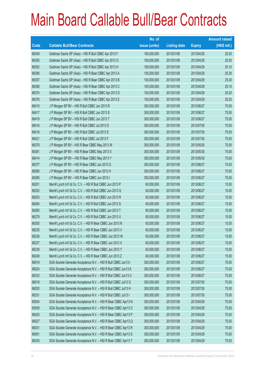|       |                                                                | No. of        |                     |               | <b>Amount raised</b> |
|-------|----------------------------------------------------------------|---------------|---------------------|---------------|----------------------|
| Code  | <b>Callable Bull/Bear Contracts</b>                            | issue (units) | <b>Listing date</b> | <b>Expiry</b> | $(HK$$ mil.)         |
| 66349 | Goldman Sachs SP (Asia) - HSI R Bull CBBC Apr 2013 F           | 100,000,000   | 2013/01/09          | 2013/04/29    | 25.20                |
| 66350 | Goldman Sachs SP (Asia) - HSI R Bull CBBC Apr 2013 G           | 100,000,000   | 2013/01/09          | 2013/04/29    | 25.00                |
| 66352 | Goldman Sachs SP (Asia) - HSI R Bull CBBC Apr 2013 H           | 100,000,000   | 2013/01/09          | 2013/04/29    | 25.10                |
| 66356 | Goldman Sachs SP (Asia) - HSI R Bear CBBC Apr 2013 A           | 100,000,000   | 2013/01/09          | 2013/04/29    | 25.30                |
| 66357 | Goldman Sachs SP (Asia) - HSI R Bear CBBC Apr 2013 B           | 100,000,000   | 2013/01/09          | 2013/04/29    | 25.30                |
| 66358 | Goldman Sachs SP (Asia) - HSI R Bear CBBC Apr 2013 C           | 100,000,000   | 2013/01/09          | 2013/04/29    | 25.10                |
| 66374 | Goldman Sachs SP (Asia) - HSI R Bear CBBC Apr 2013 D           | 100,000,000   | 2013/01/09          | 2013/04/29    | 25.20                |
| 66376 | Goldman Sachs SP (Asia) - HSI R Bear CBBC Apr 2013 E           | 100,000,000   | 2013/01/09          | 2013/04/29    | 25.20                |
| 66415 | J P Morgan SP BV - HSI R Bull CBBC Jun 2013 R                  | 300,000,000   | 2013/01/09          | 2013/06/27    | 75.00                |
| 66417 | J P Morgan SP BV - HSI R Bull CBBC Jun 2013 S                  | 300,000,000   | 2013/01/09          | 2013/06/27    | 75.00                |
| 66419 | J P Morgan SP BV - HSI R Bull CBBC Jun 2013 T                  | 300,000,000   | 2013/01/09          | 2013/06/27    | 75.00                |
| 66416 | J P Morgan SP BV - HSI R Bull CBBC Jul 2013 D                  | 300,000,000   | 2013/01/09          | 2013/07/30    | 75.00                |
| 66418 | J P Morgan SP BV - HSI R Bull CBBC Jul 2013 E                  | 300,000,000   | 2013/01/09          | 2013/07/30    | 75.00                |
| 66421 | J P Morgan SP BV - HSI R Bull CBBC Jul 2013 F                  | 300,000,000   | 2013/01/09          | 2013/07/30    | 75.00                |
| 66379 | J P Morgan SP BV - HSI R Bear CBBC May 2013 W                  | 300,000,000   | 2013/01/09          | 2013/05/30    | 75.00                |
| 66381 | J P Morgan SP BV - HSI R Bear CBBC May 2013 X                  | 300,000,000   | 2013/01/09          | 2013/05/30    | 75.00                |
| 66414 | J P Morgan SP BV - HSI R Bear CBBC May 2013 Y                  | 300,000,000   | 2013/01/09          | 2013/05/30    | 75.00                |
| 66377 | J P Morgan SP BV - HSI R Bear CBBC Jun 2013 G                  | 300,000,000   | 2013/01/09          | 2013/06/27    | 75.00                |
| 66380 | J P Morgan SP BV - HSI R Bear CBBC Jun 2013 H                  | 300,000,000   | 2013/01/09          | 2013/06/27    | 75.00                |
| 66385 | J P Morgan SP BV - HSI R Bear CBBC Jun 2013 I                  | 300,000,000   | 2013/01/09          | 2013/06/27    | 75.00                |
| 66251 | Merrill Lynch Int'l & Co. C.V. - HSI R Bull CBBC Jun 2013 P    | 60,000,000    | 2013/01/09          | 2013/06/27    | 15.00                |
| 66252 | Merrill Lynch Int'l & Co. C.V. - HSI R Bull CBBC Jun 2013 Q    | 60,000,000    | 2013/01/09          | 2013/06/27    | 15.00                |
| 66253 | Merrill Lynch Int'l & Co. C.V. - HSI R Bull CBBC Jun 2013 R    | 60,000,000    | 2013/01/09          | 2013/06/27    | 15.00                |
| 66264 | Merrill Lynch Int'l & Co. C.V. - HSI R Bull CBBC Jun 2013 S    | 60,000,000    | 2013/01/09          | 2013/06/27    | 15.00                |
| 66265 | Merrill Lynch Int'l & Co. C.V. - HSI R Bull CBBC Jun 2013 T    | 60,000,000    | 2013/01/09          | 2013/06/27    | 15.00                |
| 66279 | Merrill Lynch Int'l & Co. C.V. - HSI R Bull CBBC Jun 2013 U    | 60,000,000    | 2013/01/09          | 2013/06/27    | 15.00                |
| 66355 | Merrill Lynch Int'l & Co. C.V. - HSI R Bear CBBC Jun 2013 N    | 60,000,000    | 2013/01/09          | 2013/06/27    | 15.00                |
| 66235 | Merrill Lynch Int'l & Co. C.V. - HSI R Bear CBBC Jun 2013 V    | 60,000,000    | 2013/01/09          | 2013/06/27    | 15.00                |
| 66236 | Merrill Lynch Int'l & Co. C.V. - HSI R Bear CBBC Jun 2013 W    | 60,000,000    | 2013/01/09          | 2013/06/27    | 15.00                |
| 66237 | Merrill Lynch Int'l & Co. C.V. - HSI R Bear CBBC Jun 2013 X    | 60,000,000    | 2013/01/09          | 2013/06/27    | 15.00                |
| 66239 | Merrill Lynch Int'l & Co. C.V. - HSI R Bear CBBC Jun 2013 Y    | 60,000,000    | 2013/01/09          | 2013/06/27    | 15.00                |
| 66249 | Merrill Lynch Int'l & Co. C.V. - HSI R Bear CBBC Jun 2013 Z    | 60,000,000    | 2013/01/09          | 2013/06/27    | 15.00                |
| 66019 | SGA Societe Generale Acceptance N.V. - HSI R Bull CBBC Jun13 I | 300,000,000   | 2013/01/09          | 2013/06/27    | 75.00                |
| 66024 | SGA Societe Generale Acceptance N.V. - HSI R Bull CBBC Jun13 K | 300,000,000   | 2013/01/09          | 2013/06/27    | 75.00                |
| 66333 | SGA Societe Generale Acceptance N.V. - HSI R Bull CBBC Jun13 U | 300,000,000   | 2013/01/09          | 2013/06/27    | 75.00                |
| 66018 | SGA Societe Generale Acceptance N.V. - HSI R Bull CBBC Jul13 G | 300,000,000   | 2013/01/09          | 2013/07/30    | 75.00                |
| 66020 | SGA Societe Generale Acceptance N.V. - HSI R Bull CBBC Jul13 H | 300,000,000   | 2013/01/09          | 2013/07/30    | 75.00                |
| 66331 | SGA Societe Generale Acceptance N.V. - HSI R Bull CBBC Jul13 I | 300,000,000   | 2013/01/09          | 2013/07/30    | 75.00                |
| 65934 | SGA Societe Generale Acceptance N.V. - HSI R Bear CBBC Apr13 N | 300,000,000   | 2013/01/09          | 2013/04/29    | 75.00                |
| 65939 | SGA Societe Generale Acceptance N.V. - HSI R Bear CBBC Apr13 O | 300,000,000   | 2013/01/09          | 2013/04/29    | 75.00                |
| 66025 | SGA Societe Generale Acceptance N.V. - HSI R Bear CBBC Apr13 P | 300,000,000   | 2013/01/09          | 2013/04/29    | 75.00                |
| 66027 | SGA Societe Generale Acceptance N.V. - HSI R Bear CBBC Apr13 Q | 300,000,000   | 2013/01/09          | 2013/04/29    | 75.00                |
| 66031 | SGA Societe Generale Acceptance N.V. - HSI R Bear CBBC Apr13 R | 300,000,000   | 2013/01/09          | 2013/04/29    | 75.00                |
| 66051 | SGA Societe Generale Acceptance N.V. - HSI R Bear CBBC Apr13 S | 300,000,000   | 2013/01/09          | 2013/04/29    | 75.00                |
| 66335 | SGA Societe Generale Acceptance N.V. - HSI R Bear CBBC Apr13 T | 300,000,000   | 2013/01/09          | 2013/04/29    | 75.00                |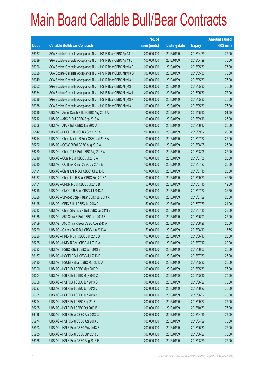|       |                                                                | No. of        |                     |               | <b>Amount raised</b> |
|-------|----------------------------------------------------------------|---------------|---------------------|---------------|----------------------|
| Code  | <b>Callable Bull/Bear Contracts</b>                            | issue (units) | <b>Listing date</b> | <b>Expiry</b> | (HK\$ mil.)          |
| 66337 | SGA Societe Generale Acceptance N.V. - HSI R Bear CBBC Apr13 U | 300,000,000   | 2013/01/09          | 2013/04/29    | 75.00                |
| 66339 | SGA Societe Generale Acceptance N.V. - HSI R Bear CBBC Apr13 V | 300,000,000   | 2013/01/09          | 2013/04/29    | 75.00                |
| 66026 | SGA Societe Generale Acceptance N.V. - HSI R Bear CBBC May13 F | 300,000,000   | 2013/01/09          | 2013/05/30    | 75.00                |
| 66028 | SGA Societe Generale Acceptance N.V. - HSI R Bear CBBC May13 G | 300,000,000   | 2013/01/09          | 2013/05/30    | 75.00                |
| 66049 | SGA Societe Generale Acceptance N.V. - HSI R Bear CBBC May13 H | 300,000,000   | 2013/01/09          | 2013/05/30    | 75.00                |
| 66052 | SGA Societe Generale Acceptance N.V. - HSI R Bear CBBC May13 I | 300,000,000   | 2013/01/09          | 2013/05/30    | 75.00                |
| 66334 | SGA Societe Generale Acceptance N.V. - HSI R Bear CBBC May13 J | 300,000,000   | 2013/01/09          | 2013/05/30    | 75.00                |
| 66336 | SGA Societe Generale Acceptance N.V. - HSI R Bear CBBC May13 K | 300,000,000   | 2013/01/09          | 2013/05/30    | 75.00                |
| 66338 | SGA Societe Generale Acceptance N.V. - HSI R Bear CBBC May13 L | 300,000,000   | 2013/01/09          | 2013/05/30    | 75.00                |
| 66216 | UBS AG - Anhui Conch R Bull CBBC Aug 2013 A                    | 100,000,000   | 2013/01/09          | 2013/08/12    | 51.00                |
| 66212 | UBS AG - ABC R Bull CBBC Sep 2013 A                            | 100,000,000   | 2013/01/09          | 2013/09/16    | 25.00                |
| 66208 | UBS AG - AIA R Bull CBBC Jun 2013 A                            | 100,000,000   | 2013/01/09          | 2013/06/17    | 25.00                |
| 66142 | UBS AG - BOCL R Bull CBBC Sep 2013 A                           | 100,000,000   | 2013/01/09          | 2013/09/02    | 25.00                |
| 66214 | UBS AG - China Mobile R Bear CBBC Jul 2013 A                   | 100,000,000   | 2013/01/09          | 2013/07/22    | 25.00                |
| 66222 | UBS AG - COVS R Bull CBBC Aug 2013 A                           | 100,000,000   | 2013/01/09          | 2013/08/05    | 25.00                |
| 66220 | UBS AG - China Tel R Bull CBBC Aug 2013 A                      | 100,000,000   | 2013/01/09          | 2013/08/05    | 25.00                |
| 66219 | UBS AG - CUni R Bull CBBC Jul 2013 A                           | 100,000,000   | 2013/01/09          | 2013/07/08    | 25.00                |
| 66215 | UBS AG - CC Bank R Bull CBBC Jul 2013 E                        | 100,000,000   | 2013/01/09          | 2013/07/22    | 25.00                |
| 66191 | UBS AG - China Life R Bull CBBC Jul 2013 B                     | 100,000,000   | 2013/01/09          | 2013/07/15    | 25.00                |
| 66187 | UBS AG - China Life R Bear CBBC Sep 2013 A                     | 100,000,000   | 2013/01/09          | 2013/09/23    | 42.50                |
| 66151 | UBS AG - CNBM R Bull CBBC Jul 2013 B                           | 50,000,000    | 2013/01/09          | 2013/07/15    | 12.50                |
| 66218 | UBS AG - CNOOC R Bear CBBC Jul 2013 A                          | 100,000,000   | 2013/01/09          | 2013/07/22    | 36.50                |
| 66228 | UBS AG - Sinopec Corp R Bear CBBC Jul 2013 A                   | 100,000,000   | 2013/01/09          | 2013/07/29    | 25.00                |
| 66195 | UBS AG - CPIC R Bull CBBC Jul 2013 A                           | 50,000,000    | 2013/01/09          | 2013/07/29    | 24.00                |
| 66213 | UBS AG - China Shenhua R Bull CBBC Jul 2013 B                  | 100,000,000   | 2013/01/09          | 2013/07/15    | 38.50                |
| 66185 | UBS AG - A50 China R Bull CBBC Jun 2013 B                      | 100,000,000   | 2013/01/09          | 2013/06/03    | 25.00                |
| 66159 | UBS AG - A50 China R Bear CBBC Aug 2013 A                      | 100,000,000   | 2013/01/09          | 2013/08/26    | 25.00                |
| 66229 | UBS AG - Galaxy Ent R Bull CBBC Jun 2013 A                     | 50,000,000    | 2013/01/09          | 2013/06/10    | 17.75                |
| 66226 | UBS AG - HKEx R Bull CBBC Jun 2013 B                           | 100,000,000   | 2013/01/09          | 2013/06/10    | 25.00                |
| 66225 | UBS AG - HKEx R Bear CBBC Jul 2013 A                           | 100,000,000   | 2013/01/09          | 2013/07/17    | 29.00                |
| 66233 | UBS AG - HSBC R Bull CBBC Jun 2013 B                           | 100,000,000   | 2013/01/09          | 2013/06/03    | 25.00                |
| 66137 | UBS AG - HSCEI R Bull CBBC Jul 2013 D                          | 100,000,000   | 2013/01/09          | 2013/07/30    | 25.00                |
| 66130 | UBS AG - HSCEI R Bear CBBC May 2013 A                          | 100,000,000   | 2013/01/09          | 2013/05/30    | 25.00                |
| 66300 | UBS AG - HSI R Bull CBBC May 2013 Y                            | 300,000,000   | 2013/01/09          | 2013/05/30    | 75.00                |
| 66304 | UBS AG - HSI R Bull CBBC May 2013 Z                            | 300,000,000   | 2013/01/09          | 2013/05/30    | 75.00                |
| 66308 | UBS AG - HSI R Bull CBBC Jun 2013 G                            | 300,000,000   | 2013/01/09          | 2013/06/27    | 75.00                |
| 66297 | UBS AG - HSI R Bull CBBC Jun 2013 V                            | 300,000,000   | 2013/01/09          | 2013/06/27    | 75.00                |
| 66301 | UBS AG - HSI R Bull CBBC Jun 2013 X                            | 300,000,000   | 2013/01/09          | 2013/06/27    | 75.00                |
| 66294 | UBS AG - HSI R Bull CBBC Sep 2013 J                            | 300,000,000   | 2013/01/09          | 2013/09/27    | 75.00                |
| 66295 | UBS AG - HSI R Bull CBBC Oct 2013 B                            | 300,000,000   | 2013/01/09          | 2013/10/30    | 75.00                |
| 66126 | UBS AG - HSI R Bear CBBC Apr 2013 G                            | 300,000,000   | 2013/01/09          | 2013/04/29    | 75.00                |
| 65974 | UBS AG - HSI R Bear CBBC Apr 2013 U                            | 300,000,000   | 2013/01/09          | 2013/04/29    | 75.00                |
| 65973 | UBS AG - HSI R Bear CBBC May 2013 E                            | 300,000,000   | 2013/01/09          | 2013/05/30    | 75.00                |
| 65985 | UBS AG - HSI R Bear CBBC Jun 2013 L                            | 300,000,000   | 2013/01/09          | 2013/06/27    | 75.00                |
| 66325 | UBS AG - HSI R Bear CBBC Aug 2013 F                            | 300,000,000   | 2013/01/09          | 2013/08/29    | 75.00                |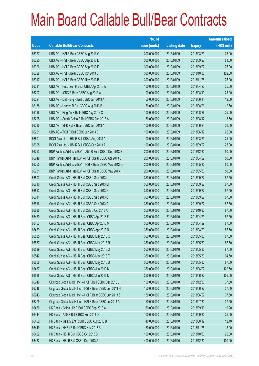|       |                                                          | No. of        |                     |               | <b>Amount raised</b> |
|-------|----------------------------------------------------------|---------------|---------------------|---------------|----------------------|
| Code  | <b>Callable Bull/Bear Contracts</b>                      | issue (units) | <b>Listing date</b> | <b>Expiry</b> | $(HK$$ mil.)         |
| 66327 | UBS AG - HSI R Bear CBBC Aug 2013 G                      | 300,000,000   | 2013/01/09          | 2013/08/29    | 75.00                |
| 66320 | UBS AG - HSI R Bear CBBC Sep 2013 D                      | 300,000,000   | 2013/01/09          | 2013/09/27    | 81.00                |
| 66326 | UBS AG - HSI R Bear CBBC Sep 2013 E                      | 300,000,000   | 2013/01/09          | 2013/09/27    | 75.00                |
| 66328 | UBS AG - HSI R Bear CBBC Oct 2013 D                      | 300,000,000   | 2013/01/09          | 2013/10/30    | 102.00               |
| 66317 | UBS AG - HSI R Bear CBBC Nov 2013 B                      | 300,000,000   | 2013/01/09          | 2013/11/28    | 75.00                |
| 66231 | UBS AG - Hutchison R Bear CBBC Apr 2013 A                | 100,000,000   | 2013/01/09          | 2013/04/22    | 25.00                |
| 66207 | UBS AG - ICBC R Bear CBBC Aug 2013 A                     | 100,000,000   | 2013/01/09          | 2013/08/19    | 25.00                |
| 66224 | UBS AG - Li & Fung R Bull CBBC Jun 2013 A                | 50,000,000    | 2013/01/09          | 2013/06/14    | 12.50                |
| 66138 | UBS AG - Lenovo R Bull CBBC Aug 2013 B                   | 50,000,000    | 2013/01/09          | 2013/08/26    | 12.50                |
| 66196 | UBS AG - Ping An R Bull CBBC Aug 2013 C                  | 100,000,000   | 2013/01/09          | 2013/08/26    | 25.00                |
| 66205 | UBS AG - Sands China R Bull CBBC Aug 2013 A              | 50,000,000    | 2013/01/09          | 2013/08/12    | 18.50                |
| 66230 | UBS AG - SHK Ppt R Bear CBBC Jun 2013 A                  | 100,000,000   | 2013/01/09          | 2013/06/24    | 26.50                |
| 66221 | UBS AG - TCH R Bull CBBC Jun 2013 E                      | 100,000,000   | 2013/01/09          | 2013/06/17    | 25.00                |
| 66601 | BOCI Asia Ltd. - HSI R Bull CBBC Aug 2013 A              | 100,000,000   | 2013/01/10          | 2013/08/29    | 25.00                |
| 66605 | BOCI Asia Ltd. - HSI R Bull CBBC Sep 2013 A              | 100,000,000   | 2013/01/10          | 2013/09/27    | 25.00                |
| 66753 | BNP Paribas Arbit Issu B.V. - A50 R Bear CBBC Dec 2013 E | 200,000,000   | 2013/01/10          | 2013/12/30    | 50.00                |
| 66749 | BNP Paribas Arbit Issu B.V. - HSI R Bear CBBC Apr 2013 E | 200,000,000   | 2013/01/10          | 2013/04/29    | 50.00                |
| 66750 | BNP Paribas Arbit Issu B.V. - HSI R Bear CBBC May 2013 G | 200,000,000   | 2013/01/10          | 2013/05/30    | 50.00                |
| 66751 | BNP Paribas Arbit Issu B.V. - HSI R Bear CBBC May 2013 H | 200,000,000   | 2013/01/10          | 2013/05/30    | 50.00                |
| 66607 | Credit Suisse AG - HSI R Bull CBBC Sep 2013 L            | 350,000,000   | 2013/01/10          | 2013/09/27    | 87.50                |
| 66610 | Credit Suisse AG - HSI R Bull CBBC Sep 2013 M            | 350,000,000   | 2013/01/10          | 2013/09/27    | 87.50                |
| 66613 | Credit Suisse AG - HSI R Bull CBBC Sep 2013 N            | 350,000,000   | 2013/01/10          | 2013/09/27    | 87.50                |
| 66614 | Credit Suisse AG - HSI R Bull CBBC Sep 2013 O            | 350,000,000   | 2013/01/10          | 2013/09/27    | 87.50                |
| 66616 | Credit Suisse AG - HSI R Bull CBBC Sep 2013 P            | 350,000,000   | 2013/01/10          | 2013/09/27    | 87.50                |
| 66636 | Credit Suisse AG - HSI R Bull CBBC Oct 2013 A            | 350,000,000   | 2013/01/10          | 2013/10/30    | 87.50                |
| 66480 | Credit Suisse AG - HSI R Bear CBBC Apr 2013 F            | 350,000,000   | 2013/01/10          | 2013/04/29    | 87.50                |
| 66453 | Credit Suisse AG - HSI R Bear CBBC Apr 2013 M            | 350,000,000   | 2013/01/10          | 2013/04/29    | 87.50                |
| 66479 | Credit Suisse AG - HSI R Bear CBBC Apr 2013 N            | 350,000,000   | 2013/01/10          | 2013/04/29    | 87.50                |
| 66535 | Credit Suisse AG - HSI R Bear CBBC May 2013 Q            | 350,000,000   | 2013/01/10          | 2013/05/30    | 87.50                |
| 66537 | Credit Suisse AG - HSI R Bear CBBC May 2013 R            | 350,000,000   | 2013/01/10          | 2013/05/30    | 87.50                |
| 66539 | Credit Suisse AG - HSI R Bear CBBC May 2013 S            | 350,000,000   | 2013/01/10          | 2013/05/30    | 87.50                |
| 66542 | Credit Suisse AG - HSI R Bear CBBC May 2013 T            | 350,000,000   | 2013/01/10          | 2013/05/30    | 94.50                |
| 66606 | Credit Suisse AG - HSI R Bear CBBC May 2013 U            | 350,000,000   | 2013/01/10          | 2013/05/30    | 87.50                |
| 66487 | Credit Suisse AG - HSI R Bear CBBC Jun 2013 M            | 350,000,000   | 2013/01/10          | 2013/06/27    | 122.50               |
| 66518 | Credit Suisse AG - HSI R Bear CBBC Jun 2013 N            | 350,000,000   | 2013/01/10          | 2013/06/27    | 105.00               |
| 66740 | Citigroup Global Mkt H Inc. - HSI R Bull CBBC Dec 2013 J | 150,000,000   | 2013/01/10          | 2013/12/30    | 37.50                |
| 66746 | Citigroup Global Mkt H Inc. - HSI R Bear CBBC Jun 2013 H | 150,000,000   | 2013/01/10          | 2013/06/27    | 37.50                |
| 66743 | Citigroup Global Mkt H Inc. - HSI R Bear CBBC Jun 2013 Z | 150,000,000   | 2013/01/10          | 2013/06/27    | 37.50                |
| 66779 | Citigroup Global Mkt H Inc. - HSI R Bear CBBC Jul 2013 A | 150,000,000   | 2013/01/10          | 2013/07/30    | 37.50                |
| 66450 | HK Bank - China Life R Bull CBBC Sep 2013 A              | 60,000,000    | 2013/01/10          | 2013/09/16    | 19.20                |
| 66444 | HK Bank - A50 R Bull CBBC Sep 2013 D                     | 100,000,000   | 2013/01/10          | 2013/09/30    | 25.00                |
| 66452 | HK Bank - Galaxy Ent R Bull CBBC Aug 2013 B              | 40,000,000    | 2013/01/10          | 2013/08/19    | 12.40                |
| 66449 | HK Bank - HKEx R Bull CBBC Nov 2013 A                    | 60,000,000    | 2013/01/10          | 2013/11/25    | 15.00                |
| 66422 | HK Bank - HSI R Bull CBBC Oct 2013 B                     | 100,000,000   | 2013/01/10          | 2013/10/30    | 25.00                |
| 66432 | HK Bank - HSI R Bull CBBC Dec 2013 A                     | 400,000,000   | 2013/01/10          | 2013/12/30    | 100.00               |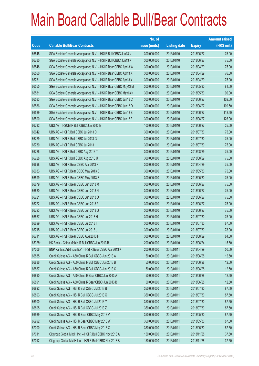|        |                                                                | No. of        |                     |               | <b>Amount raised</b> |
|--------|----------------------------------------------------------------|---------------|---------------------|---------------|----------------------|
| Code   | <b>Callable Bull/Bear Contracts</b>                            | issue (units) | <b>Listing date</b> | <b>Expiry</b> | $(HK$$ mil.)         |
| 66545  | SGA Societe Generale Acceptance N.V. - HSI R Bull CBBC Jun13 V | 300,000,000   | 2013/01/10          | 2013/06/27    | 75.00                |
| 66780  | SGA Societe Generale Acceptance N.V. - HSI R Bull CBBC Jun13 X | 300,000,000   | 2013/01/10          | 2013/06/27    | 75.00                |
| 66548  | SGA Societe Generale Acceptance N.V. - HSI R Bear CBBC Apr13 W | 300,000,000   | 2013/01/10          | 2013/04/29    | 75.00                |
| 66560  | SGA Societe Generale Acceptance N.V. - HSI R Bear CBBC Apr13 X | 300,000,000   | 2013/01/10          | 2013/04/29    | 76.50                |
| 66781  | SGA Societe Generale Acceptance N.V. - HSI R Bear CBBC Apr13 Y | 300,000,000   | 2013/01/10          | 2013/04/29    | 75.00                |
| 66555  | SGA Societe Generale Acceptance N.V. - HSI R Bear CBBC May13 M | 300,000,000   | 2013/01/10          | 2013/05/30    | 81.00                |
| 66581  | SGA Societe Generale Acceptance N.V. - HSI R Bear CBBC May13 N | 300,000,000   | 2013/01/10          | 2013/05/30    | 90.00                |
| 66583  | SGA Societe Generale Acceptance N.V. - HSI R Bear CBBC Jun13 C | 300,000,000   | 2013/01/10          | 2013/06/27    | 102.00               |
| 66586  | SGA Societe Generale Acceptance N.V. - HSI R Bear CBBC Jun13 D | 300,000,000   | 2013/01/10          | 2013/06/27    | 109.50               |
| 66589  | SGA Societe Generale Acceptance N.V. - HSI R Bear CBBC Jun13 E | 300,000,000   | 2013/01/10          | 2013/06/27    | 118.50               |
| 66590  | SGA Societe Generale Acceptance N.V. - HSI R Bear CBBC Jun13 F | 300,000,000   | 2013/01/10          | 2013/06/27    | 126.00               |
| 66732  | UBS AG - HSCEI R Bull CBBC Jun 2013 E                          | 100,000,000   | 2013/01/10          | 2013/06/27    | 25.00                |
| 66642  | UBS AG - HSI R Bull CBBC Jul 2013 D                            | 300,000,000   | 2013/01/10          | 2013/07/30    | 75.00                |
| 66729  | UBS AG - HSI R Bull CBBC Jul 2013 G                            | 300,000,000   | 2013/01/10          | 2013/07/30    | 75.00                |
| 66730  | UBS AG - HSI R Bull CBBC Jul 2013 I                            | 300,000,000   | 2013/01/10          | 2013/07/30    | 75.00                |
| 66726  | UBS AG - HSI R Bull CBBC Aug 2013 T                            | 300,000,000   | 2013/01/10          | 2013/08/29    | 75.00                |
| 66728  | UBS AG - HSI R Bull CBBC Aug 2013 U                            | 300,000,000   | 2013/01/10          | 2013/08/29    | 75.00                |
| 66698  | UBS AG - HSI R Bear CBBC Apr 2013 N                            | 300,000,000   | 2013/01/10          | 2013/04/29    | 75.00                |
| 66683  | UBS AG - HSI R Bear CBBC May 2013 B                            | 300,000,000   | 2013/01/10          | 2013/05/30    | 75.00                |
| 66599  | UBS AG - HSI R Bear CBBC May 2013 F                            | 300,000,000   | 2013/01/10          | 2013/05/30    | 75.00                |
| 66679  | UBS AG - HSI R Bear CBBC Jun 2013 M                            | 300,000,000   | 2013/01/10          | 2013/06/27    | 75.00                |
| 66680  | UBS AG - HSI R Bear CBBC Jun 2013 N                            | 300,000,000   | 2013/01/10          | 2013/06/27    | 75.00                |
| 66721  | UBS AG - HSI R Bear CBBC Jun 2013 O                            | 300,000,000   | 2013/01/10          | 2013/06/27    | 75.00                |
| 66722  | UBS AG - HSI R Bear CBBC Jun 2013 P                            | 300,000,000   | 2013/01/10          | 2013/06/27    | 75.00                |
| 66723  | UBS AG - HSI R Bear CBBC Jun 2013 Q                            | 300,000,000   | 2013/01/10          | 2013/06/27    | 75.00                |
| 66667  | UBS AG - HSI R Bear CBBC Jul 2013 H                            | 300,000,000   | 2013/01/10          | 2013/07/30    | 75.00                |
| 66699  | UBS AG - HSI R Bear CBBC Jul 2013 I                            | 300,000,000   | 2013/01/10          | 2013/07/30    | 87.00                |
| 66715  | UBS AG - HSI R Bear CBBC Jul 2013 J                            | 300,000,000   | 2013/01/10          | 2013/07/30    | 78.00                |
| 66711  | UBS AG - HSI R Bear CBBC Aug 2013 H                            | 300,000,000   | 2013/01/10          | 2013/08/29    | 84.00                |
| 65328# | HK Bank - China Mobile R Bull CBBC Jun 2013 B                  | 200,000,000   | 2013/01/10          | 2013/06/24    | 15.60                |
| 67006  | BNP Paribas Arbit Issu B.V. - HSI R Bear CBBC Apr 2013 K       | 200,000,000   | 2013/01/11          | 2013/04/29    | 50.00                |
| 66885  | Credit Suisse AG - A50 China R Bull CBBC Jun 2013 A            | 50,000,000    | 2013/01/11          | 2013/06/28    | 12.50                |
| 66886  | Credit Suisse AG - A50 China R Bull CBBC Jun 2013 B            | 50,000,000    | 2013/01/11          | 2013/06/28    | 12.50                |
| 66887  | Credit Suisse AG - A50 China R Bull CBBC Jun 2013 C            | 50,000,000    | 2013/01/11          | 2013/06/28    | 12.50                |
| 66890  | Credit Suisse AG - A50 China R Bear CBBC Jun 2013 A            | 50,000,000    | 2013/01/11          | 2013/06/28    | 12.50                |
| 66891  | Credit Suisse AG - A50 China R Bear CBBC Jun 2013 B            | 50,000,000    | 2013/01/11          | 2013/06/28    | 12.50                |
| 66892  | Credit Suisse AG - HSI R Bull CBBC Jul 2013 B                  | 350,000,000   | 2013/01/11          | 2013/07/30    | 87.50                |
| 66893  | Credit Suisse AG - HSI R Bull CBBC Jul 2013 X                  | 350,000,000   | 2013/01/11          | 2013/07/30    | 87.50                |
| 66900  | Credit Suisse AG - HSI R Bull CBBC Jul 2013 Y                  | 350,000,000   | 2013/01/11          | 2013/07/30    | 87.50                |
| 66895  | Credit Suisse AG - HSI R Bull CBBC Jul 2013 Z                  | 350,000,000   | 2013/01/11          | 2013/07/30    | 87.50                |
| 66989  | Credit Suisse AG - HSI R Bear CBBC May 2013 V                  | 350,000,000   | 2013/01/11          | 2013/05/30    | 87.50                |
| 66992  | Credit Suisse AG - HSI R Bear CBBC May 2013 W                  | 350,000,000   | 2013/01/11          | 2013/05/30    | 87.50                |
| 67000  | Credit Suisse AG - HSI R Bear CBBC May 2013 X                  | 350,000,000   | 2013/01/11          | 2013/05/30    | 87.50                |
| 67011  | Citigroup Global Mkt H Inc. - HSI R Bull CBBC Nov 2013 A       | 150,000,000   | 2013/01/11          | 2013/11/28    | 37.50                |
| 67012  | Citigroup Global Mkt H Inc. - HSI R Bull CBBC Nov 2013 B       | 150,000,000   | 2013/01/11          | 2013/11/28    | 37.50                |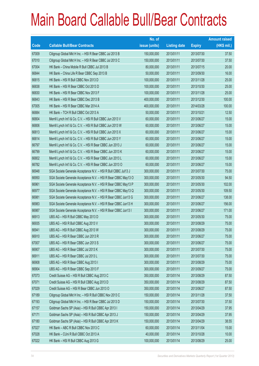|       |                                                                | No. of        |                     |               | <b>Amount raised</b> |
|-------|----------------------------------------------------------------|---------------|---------------------|---------------|----------------------|
| Code  | <b>Callable Bull/Bear Contracts</b>                            | issue (units) | <b>Listing date</b> | <b>Expiry</b> | $(HK$$ mil.)         |
| 67009 | Citigroup Global Mkt H Inc. - HSI R Bear CBBC Jul 2013 B       | 150,000,000   | 2013/01/11          | 2013/07/30    | 37.50                |
| 67010 | Citigroup Global Mkt H Inc. - HSI R Bear CBBC Jul 2013 C       | 150,000,000   | 2013/01/11          | 2013/07/30    | 37.50                |
| 67004 | HK Bank - China Mobile R Bull CBBC Jul 2013 B                  | 80,000,000    | 2013/01/11          | 2013/07/15    | 20.00                |
| 66844 | HK Bank - China Life R Bear CBBC Sep 2013 B                    | 50,000,000    | 2013/01/11          | 2013/09/30    | 16.00                |
| 66815 | HK Bank - HSI R Bull CBBC Nov 2013 D                           | 100,000,000   | 2013/01/11          | 2013/11/28    | 25.00                |
| 66838 | HK Bank - HSI R Bear CBBC Oct 2013 D                           | 100,000,000   | 2013/01/11          | 2013/10/30    | 25.00                |
| 66830 | HK Bank - HSI R Bear CBBC Nov 2013 F                           | 100,000,000   | 2013/01/11          | 2013/11/28    | 25.00                |
| 66843 | HK Bank - HSI R Bear CBBC Dec 2013 B                           | 400,000,000   | 2013/01/11          | 2013/12/30    | 100.00               |
| 67005 | HK Bank - HSI R Bear CBBC Mar 2014 A                           | 400,000,000   | 2013/01/11          | 2014/03/28    | 100.00               |
| 66884 | HK Bank - TCH R Bull CBBC Oct 2013 A                           | 50,000,000    | 2013/01/11          | 2013/10/21    | 12.50                |
| 66804 | Merrill Lynch Int'l & Co. C.V. - HSI R Bull CBBC Jun 2013 V    | 60,000,000    | 2013/01/11          | 2013/06/27    | 15.00                |
| 66806 | Merrill Lynch Int'l & Co. C.V. - HSI R Bull CBBC Jun 2013 W    | 60,000,000    | 2013/01/11          | 2013/06/27    | 15.00                |
| 66813 | Merrill Lynch Int'l & Co. C.V. - HSI R Bull CBBC Jun 2013 X    | 60,000,000    | 2013/01/11          | 2013/06/27    | 15.00                |
| 66814 | Merrill Lynch Int'l & Co. C.V. - HSI R Bull CBBC Jun 2013 Y    | 60,000,000    | 2013/01/11          | 2013/06/27    | 15.00                |
| 66797 | Merrill Lynch Int'l & Co. C.V. - HSI R Bear CBBC Jun 2013 J    | 60,000,000    | 2013/01/11          | 2013/06/27    | 15.00                |
| 66799 | Merrill Lynch Int'l & Co. C.V. - HSI R Bear CBBC Jun 2013 K    | 60,000,000    | 2013/01/11          | 2013/06/27    | 15.00                |
| 66802 | Merrill Lynch Int'l & Co. C.V. - HSI R Bear CBBC Jun 2013 L    | 60,000,000    | 2013/01/11          | 2013/06/27    | 15.00                |
| 66782 | Merrill Lynch Int'l & Co. C.V. - HSI R Bear CBBC Jun 2013 O    | 60,000,000    | 2013/01/11          | 2013/06/27    | 15.00                |
| 66948 | SGA Societe Generale Acceptance N.V. - HSI R Bull CBBC Jul13 J | 300,000,000   | 2013/01/11          | 2013/07/30    | 75.00                |
| 66950 | SGA Societe Generale Acceptance N.V. - HSI R Bear CBBC May13 O | 300,000,000   | 2013/01/11          | 2013/05/30    | 94.50                |
| 66961 | SGA Societe Generale Acceptance N.V. - HSI R Bear CBBC May13 P | 300,000,000   | 2013/01/11          | 2013/05/30    | 102.00               |
| 66977 | SGA Societe Generale Acceptance N.V. - HSI R Bear CBBC May13 Q | 300,000,000   | 2013/01/11          | 2013/05/30    | 109.50               |
| 66981 | SGA Societe Generale Acceptance N.V. - HSI R Bear CBBC Jun13 G | 300,000,000   | 2013/01/11          | 2013/06/27    | 138.00               |
| 66983 | SGA Societe Generale Acceptance N.V. - HSI R Bear CBBC Jun13 H | 300,000,000   | 2013/01/11          | 2013/06/27    | 156.00               |
| 66987 | SGA Societe Generale Acceptance N.V. - HSI R Bear CBBC Jun13 I | 300,000,000   | 2013/01/11          | 2013/06/27    | 171.00               |
| 66913 | UBS AG - HSI R Bull CBBC May 2013 D                            | 300,000,000   | 2013/01/11          | 2013/05/30    | 75.00                |
| 66935 | UBS AG - HSI R Bull CBBC Aug 2013 V                            | 300,000,000   | 2013/01/11          | 2013/08/29    | 75.00                |
| 66941 | UBS AG - HSI R Bull CBBC Aug 2013 W                            | 300,000,000   | 2013/01/11          | 2013/08/29    | 75.00                |
| 66910 | UBS AG - HSI R Bear CBBC Jun 2013 R                            | 300,000,000   | 2013/01/11          | 2013/06/27    | 75.00                |
| 67007 | UBS AG - HSI R Bear CBBC Jun 2013 S                            | 300,000,000   | 2013/01/11          | 2013/06/27    | 75.00                |
| 66907 | UBS AG - HSI R Bear CBBC Jul 2013 K                            | 300,000,000   | 2013/01/11          | 2013/07/30    | 75.00                |
| 66911 | UBS AG - HSI R Bear CBBC Jul 2013 L                            | 300,000,000   | 2013/01/11          | 2013/07/30    | 75.00                |
| 66908 | UBS AG - HSI R Bear CBBC Aug 2013 I                            | 300,000,000   | 2013/01/11          | 2013/08/29    | 75.00                |
| 66904 | UBS AG - HSI R Bear CBBC Sep 2013 F                            | 300,000,000   | 2013/01/11          | 2013/09/27    | 75.00                |
| 67073 | Credit Suisse AG - HSI R Bull CBBC Aug 2013 C                  | 350,000,000   | 2013/01/14          | 2013/08/29    | 87.50                |
| 67071 | Credit Suisse AG - HSI R Bull CBBC Aug 2013 D                  | 350,000,000   | 2013/01/14          | 2013/08/29    | 87.50                |
| 67029 | Credit Suisse AG - HSI R Bear CBBC Jun 2013 O                  | 350,000,000   | 2013/01/14          | 2013/06/27    | 87.50                |
| 67189 | Citigroup Global Mkt H Inc. - HSI R Bull CBBC Nov 2013 C       | 150,000,000   | 2013/01/14          | 2013/11/28    | 37.50                |
| 67193 | Citigroup Global Mkt H Inc. - HSI R Bear CBBC Jul 2013 D       | 150,000,000   | 2013/01/14          | 2013/07/30    | 37.50                |
| 67157 | Goldman Sachs SP (Asia) - HSI R Bull CBBC Apr 2013 I           | 150,000,000   | 2013/01/14          | 2013/04/29    | 37.95                |
| 67171 | Goldman Sachs SP (Asia) - HSI R Bull CBBC Apr 2013 J           | 150,000,000   | 2013/01/14          | 2013/04/29    | 37.95                |
| 67180 | Goldman Sachs SP (Asia) - HSI R Bull CBBC Apr 2013 K           | 150,000,000   | 2013/01/14          | 2013/04/29    | 38.55                |
| 67027 | HK Bank - ABC R Bull CBBC Nov 2013 C                           | 60,000,000    | 2013/01/14          | 2013/11/04    | 15.00                |
| 67028 | HK Bank - CUni R Bull CBBC Oct 2013 A                          | 40,000,000    | 2013/01/14          | 2013/10/28    | 10.00                |
| 67022 | HK Bank - HSI R Bull CBBC Aug 2013 G                           | 100,000,000   | 2013/01/14          | 2013/08/29    | 25.00                |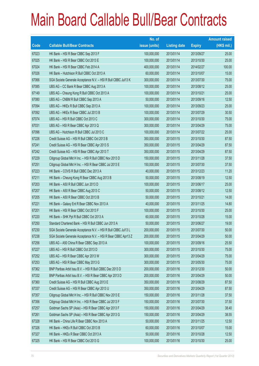|       |                                                                | No. of        |                     |               | <b>Amount raised</b> |
|-------|----------------------------------------------------------------|---------------|---------------------|---------------|----------------------|
| Code  | <b>Callable Bull/Bear Contracts</b>                            | issue (units) | <b>Listing date</b> | <b>Expiry</b> | $(HK$$ mil.)         |
| 67023 | HK Bank - HSI R Bear CBBC Sep 2013 F                           | 100,000,000   | 2013/01/14          | 2013/09/27    | 25.00                |
| 67025 | HK Bank - HSI R Bear CBBC Oct 2013 E                           | 100,000,000   | 2013/01/14          | 2013/10/30    | 25.00                |
| 67024 | HK Bank - HSI R Bear CBBC Feb 2014 A                           | 400,000,000   | 2013/01/14          | 2014/02/27    | 100.00               |
| 67026 | HK Bank - Hutchison R Bull CBBC Oct 2013 A                     | 60,000,000    | 2013/01/14          | 2013/10/07    | 15.00                |
| 67066 | SGA Societe Generale Acceptance N.V. - HSI R Bull CBBC Jul13 K | 300,000,000   | 2013/01/14          | 2013/07/30    | 75.00                |
| 67085 | UBS AG - CC Bank R Bear CBBC Aug 2013 A                        | 100,000,000   | 2013/01/14          | 2013/08/12    | 25.00                |
| 67149 | UBS AG - Cheung Kong R Bull CBBC Oct 2013 A                    | 100,000,000   | 2013/01/14          | 2013/10/21    | 25.00                |
| 67080 | UBS AG - CNBM R Bull CBBC Sep 2013 A                           | 50,000,000    | 2013/01/14          | 2013/09/16    | 12.50                |
| 67094 | UBS AG - HKEx R Bull CBBC Sep 2013 A                           | 100,000,000   | 2013/01/14          | 2013/09/23    | 25.00                |
| 67092 | UBS AG - HKEx R Bear CBBC Jul 2013 B                           | 100,000,000   | 2013/01/14          | 2013/07/29    | 30.50                |
| 67074 | UBS AG - HSI R Bull CBBC Oct 2013 C                            | 300,000,000   | 2013/01/14          | 2013/10/30    | 75.00                |
| 67031 | UBS AG - HSI R Bear CBBC Apr 2013 Q                            | 300,000,000   | 2013/01/14          | 2013/04/29    | 75.00                |
| 67096 | UBS AG - Hutchison R Bull CBBC Jul 2013 C                      | 100,000,000   | 2013/01/14          | 2013/07/22    | 25.00                |
| 67226 | Credit Suisse AG - HSI R Bull CBBC Oct 2013 B                  | 350,000,000   | 2013/01/15          | 2013/10/30    | 87.50                |
| 67241 | Credit Suisse AG - HSI R Bear CBBC Apr 2013 S                  | 350,000,000   | 2013/01/15          | 2013/04/29    | 87.50                |
| 67242 | Credit Suisse AG - HSI R Bear CBBC Apr 2013 T                  | 350,000,000   | 2013/01/15          | 2013/04/29    | 87.50                |
| 67229 | Citigroup Global Mkt H Inc. - HSI R Bull CBBC Nov 2013 D       | 150,000,000   | 2013/01/15          | 2013/11/28    | 37.50                |
| 67251 | Citigroup Global Mkt H Inc. - HSI R Bear CBBC Jul 2013 E       | 150,000,000   | 2013/01/15          | 2013/07/30    | 37.50                |
| 67223 | HK Bank - COVS R Bull CBBC Dec 2013 A                          | 40,000,000    | 2013/01/15          | 2013/12/23    | 11.20                |
| 67211 | HK Bank - Cheung Kong R Bear CBBC Aug 2013 B                   | 50,000,000    | 2013/01/15          | 2013/08/19    | 12.50                |
| 67203 | HK Bank - A50 R Bull CBBC Jun 2013 D                           | 100,000,000   | 2013/01/15          | 2013/06/17    | 25.00                |
| 67207 | HK Bank - A50 R Bear CBBC Aug 2013 C                           | 50,000,000    | 2013/01/15          | 2013/08/12    | 12.50                |
| 67205 | HK Bank - A50 R Bear CBBC Oct 2013 B                           | 50,000,000    | 2013/01/15          | 2013/10/21    | 14.00                |
| 67221 | HK Bank - Galaxy Ent R Bear CBBC Nov 2013 A                    | 40,000,000    | 2013/01/15          | 2013/11/25    | 14.80                |
| 67201 | HK Bank - HSI R Bear CBBC Oct 2013 F                           | 100,000,000   | 2013/01/15          | 2013/10/30    | 25.00                |
| 67220 | HK Bank - SHK Ppt R Bull CBBC Oct 2013 A                       | 60,000,000    | 2013/01/15          | 2013/10/28    | 15.00                |
| 67250 | Standard Chartered Bank - HSI R Bull CBBC Jun 2013 A           | 50,000,000    | 2013/01/15          | 2013/06/27    | 19.00                |
| 67230 | SGA Societe Generale Acceptance N.V. - HSI R Bull CBBC Jul13 L | 200,000,000   | 2013/01/15          | 2013/07/30    | 50.00                |
| 67238 | SGA Societe Generale Acceptance N.V. - HSI R Bear CBBC Apr13 Z | 200,000,000   | 2013/01/15          | 2013/04/29    | 50.00                |
| 67256 | UBS AG - A50 China R Bear CBBC Sep 2013 A                      | 100,000,000   | 2013/01/15          | 2013/09/16    | 25.50                |
| 67227 | UBS AG - HSI R Bull CBBC Oct 2013 D                            | 300,000,000   | 2013/01/15          | 2013/10/30    | 75.00                |
| 67252 | UBS AG - HSI R Bear CBBC Apr 2013 W                            | 300,000,000   | 2013/01/15          | 2013/04/29    | 75.00                |
| 67253 | UBS AG - HSI R Bear CBBC May 2013 G                            | 300,000,000   | 2013/01/15          | 2013/05/30    | 75.00                |
| 67362 | BNP Paribas Arbit Issu B.V. - HSI R Bull CBBC Dec 2013 D       | 200,000,000   | 2013/01/16          | 2013/12/30    | 50.00                |
| 67332 | BNP Paribas Arbit Issu B.V. - HSI R Bear CBBC Apr 2013 D       | 200,000,000   | 2013/01/16          | 2013/04/29    | 50.00                |
| 67360 | Credit Suisse AG - HSI R Bull CBBC Aug 2013 E                  | 350,000,000   | 2013/01/16          | 2013/08/29    | 87.50                |
| 67337 | Credit Suisse AG - HSI R Bear CBBC Apr 2013 U                  | 350,000,000   | 2013/01/16          | 2013/04/29    | 87.50                |
| 67357 | Citigroup Global Mkt H Inc. - HSI R Bull CBBC Nov 2013 E       | 150,000,000   | 2013/01/16          | 2013/11/28    | 37.50                |
| 67356 | Citigroup Global Mkt H Inc. - HSI R Bear CBBC Jul 2013 F       | 150,000,000   | 2013/01/16          | 2013/07/30    | 37.50                |
| 67257 | Goldman Sachs SP (Asia) - HSI R Bear CBBC Apr 2013 F           | 150,000,000   | 2013/01/16          | 2013/04/29    | 38.40                |
| 67261 | Goldman Sachs SP (Asia) - HSI R Bear CBBC Apr 2013 G           | 150,000,000   | 2013/01/16          | 2013/04/29    | 38.55                |
| 67328 | HK Bank - China Life R Bear CBBC Nov 2013 A                    | 50,000,000    | 2013/01/16          | 2013/11/25    | 12.50                |
| 67326 | HK Bank - HKEx R Bull CBBC Oct 2013 B                          | 60,000,000    | 2013/01/16          | 2013/10/07    | 15.00                |
| 67327 | HK Bank - HKEx R Bear CBBC Oct 2013 A                          | 50,000,000    | 2013/01/16          | 2013/10/28    | 12.50                |
| 67325 | HK Bank - HSI R Bear CBBC Oct 2013 G                           | 100,000,000   | 2013/01/16          | 2013/10/30    | 25.00                |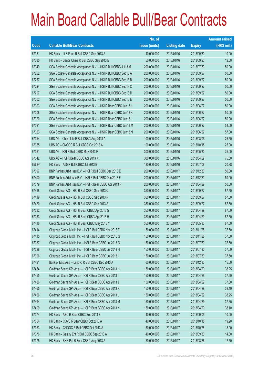|        |                                                                | No. of        |                     |               | <b>Amount raised</b> |
|--------|----------------------------------------------------------------|---------------|---------------------|---------------|----------------------|
| Code   | <b>Callable Bull/Bear Contracts</b>                            | issue (units) | <b>Listing date</b> | <b>Expiry</b> | (HK\$ mil.)          |
| 67331  | HK Bank - Li & Fung R Bull CBBC Sep 2013 A                     | 40,000,000    | 2013/01/16          | 2013/09/30    | 10.00                |
| 67330  | HK Bank - Sands China R Bull CBBC Sep 2013 B                   | 50,000,000    | 2013/01/16          | 2013/09/23    | 12.50                |
| 67349  | SGA Societe Generale Acceptance N.V. - HSI R Bull CBBC Jul13 M | 200,000,000   | 2013/01/16          | 2013/07/30    | 50.00                |
| 67262  | SGA Societe Generale Acceptance N.V. - HSI R Bull CBBC Sep13 A | 200,000,000   | 2013/01/16          | 2013/09/27    | 50.00                |
| 67267  | SGA Societe Generale Acceptance N.V. - HSI R Bull CBBC Sep13 B | 200,000,000   | 2013/01/16          | 2013/09/27    | 50.00                |
| 67294  | SGA Societe Generale Acceptance N.V. - HSI R Bull CBBC Sep13 C | 200,000,000   | 2013/01/16          | 2013/09/27    | 50.00                |
| 67297  | SGA Societe Generale Acceptance N.V. - HSI R Bull CBBC Sep13 D | 200,000,000   | 2013/01/16          | 2013/09/27    | 50.00                |
| 67302  | SGA Societe Generale Acceptance N.V. - HSI R Bull CBBC Sep13 E | 200,000,000   | 2013/01/16          | 2013/09/27    | 50.00                |
| 67303  | SGA Societe Generale Acceptance N.V. - HSI R Bear CBBC Jun13 J | 200,000,000   | 2013/01/16          | 2013/06/27    | 50.00                |
| 67308  | SGA Societe Generale Acceptance N.V. - HSI R Bear CBBC Jun13 K | 200,000,000   | 2013/01/16          | 2013/06/27    | 50.00                |
| 67320  | SGA Societe Generale Acceptance N.V. - HSI R Bear CBBC Jun13 L | 200,000,000   | 2013/01/16          | 2013/06/27    | 50.00                |
| 67321  | SGA Societe Generale Acceptance N.V. - HSI R Bear CBBC Jun13 M | 200,000,000   | 2013/01/16          | 2013/06/27    | 51.00                |
| 67323  | SGA Societe Generale Acceptance N.V. - HSI R Bear CBBC Jun13 N | 200,000,000   | 2013/01/16          | 2013/06/27    | 57.00                |
| 67354  | UBS AG - China Life R Bull CBBC Aug 2013 A                     | 100,000,000   | 2013/01/16          | 2013/08/05    | 26.50                |
| 67355  | UBS AG - CNOOC R Bull CBBC Oct 2013 A                          | 100,000,000   | 2013/01/16          | 2013/10/15    | 25.00                |
| 67361  | UBS AG - HSI R Bull CBBC May 2013 F                            | 300,000,000   | 2013/01/16          | 2013/05/30    | 75.00                |
| 67342  | UBS AG - HSI R Bear CBBC Apr 2013 X                            | 300,000,000   | 2013/01/16          | 2013/04/29    | 75.00                |
| 65624# | HK Bank - A50 R Bull CBBC Jul 2013 B                           | 180,000,000   | 2013/01/16          | 2013/07/08    | 20.88                |
| 67397  | BNP Paribas Arbit Issu B.V. - HSI R Bull CBBC Dec 2013 E       | 200,000,000   | 2013/01/17          | 2013/12/30    | 50.00                |
| 67400  | BNP Paribas Arbit Issu B.V. - HSI R Bull CBBC Dec 2013 F       | 200,000,000   | 2013/01/17          | 2013/12/30    | 50.00                |
| 67379  | BNP Paribas Arbit Issu B.V. - HSI R Bear CBBC Apr 2013 P       | 200,000,000   | 2013/01/17          | 2013/04/29    | 50.00                |
| 67418  | Credit Suisse AG - HSI R Bull CBBC Sep 2013 Q                  | 350,000,000   | 2013/01/17          | 2013/09/27    | 87.50                |
| 67419  | Credit Suisse AG - HSI R Bull CBBC Sep 2013 R                  | 350,000,000   | 2013/01/17          | 2013/09/27    | 87.50                |
| 67420  | Credit Suisse AG - HSI R Bull CBBC Sep 2013 S                  | 350,000,000   | 2013/01/17          | 2013/09/27    | 87.50                |
| 67382  | Credit Suisse AG - HSI R Bear CBBC Apr 2013 G                  | 350,000,000   | 2013/01/17          | 2013/04/29    | 87.50                |
| 67383  | Credit Suisse AG - HSI R Bear CBBC Apr 2013 H                  | 350,000,000   | 2013/01/17          | 2013/04/29    | 87.50                |
| 67416  | Credit Suisse AG - HSI R Bear CBBC May 2013 Y                  | 350,000,000   | 2013/01/17          | 2013/05/30    | 87.50                |
| 67414  | Citigroup Global Mkt H Inc. - HSI R Bull CBBC Nov 2013 F       | 150,000,000   | 2013/01/17          | 2013/11/28    | 37.50                |
| 67415  | Citigroup Global Mkt H Inc. - HSI R Bull CBBC Nov 2013 G       | 150,000,000   | 2013/01/17          | 2013/11/28    | 37.50                |
| 67387  | Citigroup Global Mkt H Inc. - HSI R Bear CBBC Jul 2013 G       | 150,000,000   | 2013/01/17          | 2013/07/30    | 37.50                |
| 67388  | Citigroup Global Mkt H Inc. - HSI R Bear CBBC Jul 2013 H       | 150,000,000   | 2013/01/17          | 2013/07/30    | 37.50                |
| 67396  | Citigroup Global Mkt H Inc. - HSI R Bear CBBC Jul 2013 I       | 150,000,000   | 2013/01/17          | 2013/07/30    | 37.50                |
| 67421  | Bank of East Asia - Lenovo R Bull CBBC Dec 2013 A              | 60,000,000    | 2013/01/17          | 2013/12/30    | 15.00                |
| 67454  | Goldman Sachs SP (Asia) - HSI R Bear CBBC Apr 2013 H           | 150,000,000   | 2013/01/17          | 2013/04/29    | 38.25                |
| 67455  | Goldman Sachs SP (Asia) - HSI R Bear CBBC Apr 2013 I           | 150,000,000   | 2013/01/17          | 2013/04/29    | 37.50                |
| 67456  | Goldman Sachs SP (Asia) - HSI R Bear CBBC Apr 2013 J           | 150,000,000   | 2013/01/17          | 2013/04/29    | 37.80                |
| 67465  | Goldman Sachs SP (Asia) - HSI R Bear CBBC Apr 2013 K           | 150,000,000   | 2013/01/17          | 2013/04/29    | 38.40                |
| 67466  | Goldman Sachs SP (Asia) - HSI R Bear CBBC Apr 2013 L           | 150,000,000   | 2013/01/17          | 2013/04/29    | 38.25                |
| 67494  | Goldman Sachs SP (Asia) - HSI R Bear CBBC Apr 2013 M           | 150,000,000   | 2013/01/17          | 2013/04/29    | 37.65                |
| 67499  | Goldman Sachs SP (Asia) - HSI R Bear CBBC Apr 2013 N           | 150,000,000   | 2013/01/17          | 2013/04/29    | 38.10                |
| 67374  | HK Bank - ABC R Bear CBBC Sep 2013 B                           | 40,000,000    | 2013/01/17          | 2013/09/09    | 10.00                |
| 67364  | HK Bank - COVS R Bear CBBC Oct 2013 A                          | 40,000,000    | 2013/01/17          | 2013/10/18    | 19.20                |
| 67363  | HK Bank - CNOOC R Bull CBBC Oct 2013 A                         | 50,000,000    | 2013/01/17          | 2013/10/28    | 18.00                |
| 67376  | HK Bank - Galaxy Ent R Bull CBBC Sep 2013 A                    | 40,000,000    | 2013/01/17          | 2013/09/30    | 14.00                |
| 67375  | HK Bank - SHK Ppt R Bear CBBC Aug 2013 A                       | 50,000,000    | 2013/01/17          | 2013/08/26    | 12.50                |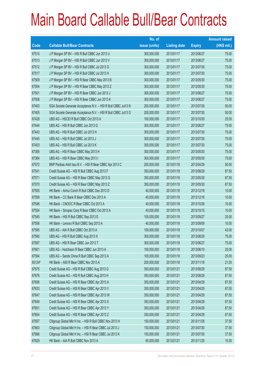|        |                                                                | No. of        |                     |               | <b>Amount raised</b> |
|--------|----------------------------------------------------------------|---------------|---------------------|---------------|----------------------|
| Code   | <b>Callable Bull/Bear Contracts</b>                            | issue (units) | <b>Listing date</b> | <b>Expiry</b> | $(HK$$ mil.)         |
| 67510  | J P Morgan SP BV - HSI R Bull CBBC Jun 2013 U                  | 300,000,000   | 2013/01/17          | 2013/06/27    | 75.00                |
| 67513  | J P Morgan SP BV - HSI R Bull CBBC Jun 2013 V                  | 300,000,000   | 2013/01/17          | 2013/06/27    | 75.00                |
| 67512  | J P Morgan SP BV - HSI R Bull CBBC Jul 2013 G                  | 300,000,000   | 2013/01/17          | 2013/07/30    | 75.00                |
| 67517  | J P Morgan SP BV - HSI R Bull CBBC Jul 2013 H                  | 300,000,000   | 2013/01/17          | 2013/07/30    | 75.00                |
| 67509  | J P Morgan SP BV - HSI R Bear CBBC May 2013 B                  | 300,000,000   | 2013/01/17          | 2013/05/30    | 75.00                |
| 67504  | J P Morgan SP BV - HSI R Bear CBBC May 2013 Z                  | 300,000,000   | 2013/01/17          | 2013/05/30    | 75.00                |
| 67501  | J P Morgan SP BV - HSI R Bear CBBC Jun 2013 J                  | 300,000,000   | 2013/01/17          | 2013/06/27    | 75.00                |
| 67508  | J P Morgan SP BV - HSI R Bear CBBC Jun 2013 K                  | 300,000,000   | 2013/01/17          | 2013/06/27    | 75.00                |
| 67403  | SGA Societe Generale Acceptance N.V. - HSI R Bull CBBC Jul13 N | 200,000,000   | 2013/01/17          | 2013/07/30    | 50.00                |
| 67405  | SGA Societe Generale Acceptance N.V. - HSI R Bull CBBC Jul13 O | 200,000,000   | 2013/01/17          | 2013/07/30    | 50.00                |
| 67428  | UBS AG - HSCEI R Bull CBBC Oct 2013 A                          | 100,000,000   | 2013/01/17          | 2013/10/30    | 25.00                |
| 67444  | UBS AG - HSI R Bull CBBC Jun 2013 G                            | 300,000,000   | 2013/01/17          | 2013/06/27    | 75.00                |
| 67443  | UBS AG - HSI R Bull CBBC Jul 2013 H                            | 300,000,000   | 2013/01/17          | 2013/07/30    | 75.00                |
| 67445  | UBS AG - HSI R Bull CBBC Jul 2013 J                            | 300,000,000   | 2013/01/17          | 2013/07/30    | 75.00                |
| 67453  | UBS AG - HSI R Bull CBBC Jul 2013 K                            | 300,000,000   | 2013/01/17          | 2013/07/30    | 75.00                |
| 67385  | UBS AG - HSI R Bear CBBC May 2013 H                            | 300,000,000   | 2013/01/17          | 2013/05/30    | 75.00                |
| 67384  | UBS AG - HSI R Bear CBBC May 2013 I                            | 300,000,000   | 2013/01/17          | 2013/05/30    | 75.00                |
| 67572  | BNP Paribas Arbit Issu B.V. - HSI R Bear CBBC Apr 2013 C       | 200,000,000   | 2013/01/18          | 2013/04/29    | 50.00                |
| 67541  | Credit Suisse AG - HSI R Bull CBBC Aug 2013 F                  | 350,000,000   | 2013/01/18          | 2013/08/29    | 87.50                |
| 67571  | Credit Suisse AG - HSI R Bear CBBC May 2013 G                  | 350,000,000   | 2013/01/18          | 2013/05/30    | 87.50                |
| 67570  | Credit Suisse AG - HSI R Bear CBBC May 2013 Z                  | 350,000,000   | 2013/01/18          | 2013/05/30    | 87.50                |
| 67555  | HK Bank - Anhui Conch R Bull CBBC Dec 2013 D                   | 40,000,000    | 2013/01/18          | 2013/12/18    | 10.00                |
| 67559  | HK Bank – CC Bank R Bear CBBC Dec 2013 A                       | 40,000,000    | 2013/01/18          | 2013/12/16    | 10.00                |
| 67546  | HK Bank - CNOOC R Bear CBBC Oct 2013 A                         | 40,000,000    | 2013/01/18          | 2013/10/28    | 10.00                |
| 67554  | HK Bank - Sinopec Corp R Bear CBBC Oct 2013 A                  | 40,000,000    | 2013/01/18          | 2013/10/15    | 10.00                |
| 67545  | HK Bank - HSI R Bull CBBC Sep 2013 E                           | 100,000,000   | 2013/01/18          | 2013/09/27    | 25.00                |
| 67556  | HK Bank - Lenovo R Bull CBBC Sep 2013 A                        | 40,000,000    | 2013/01/18          | 2013/09/09    | 10.00                |
| 67595  | UBS AG - AIA R Bull CBBC Oct 2013 A                            | 100,000,000   | 2013/01/18          | 2013/10/07    | 42.00                |
| 67560  | UBS AG - HSI R Bull CBBC Aug 2013 X                            | 300,000,000   | 2013/01/18          | 2013/08/29    | 75.00                |
| 67587  | UBS AG - HSI R Bear CBBC Jun 2013 T                            | 300,000,000   | 2013/01/18          | 2013/06/27    | 75.00                |
| 67601  | UBS AG - Hutchison R Bear CBBC Jun 2013 A                      | 100,000,000   | 2013/01/18          | 2013/06/10    | 25.00                |
| 67594  | UBS AG - Sands China R Bull CBBC Sep 2013 A                    | 100,000,000   | 2013/01/18          | 2013/09/23    | 25.00                |
| 65124# | HK Bank - A50 R Bear CBBC Nov 2013 A                           | 200,000,000   | 2013/01/18          | 2013/11/18    | 21.00                |
| 67675  | Credit Suisse AG - HSI R Bull CBBC Aug 2013 G                  | 350,000,000   | 2013/01/21          | 2013/08/29    | 87.50                |
| 67676  | Credit Suisse AG - HSI R Bull CBBC Aug 2013 H                  | 350,000,000   | 2013/01/21          | 2013/08/29    | 87.50                |
| 67656  | Credit Suisse AG - HSI R Bear CBBC Apr 2013 A                  | 350,000,000   | 2013/01/21          | 2013/04/29    | 87.50                |
| 67633  | Credit Suisse AG - HSI R Bear CBBC Apr 2013 V                  | 350,000,000   | 2013/01/21          | 2013/04/29    | 87.50                |
| 67647  | Credit Suisse AG - HSI R Bear CBBC Apr 2013 W                  | 350,000,000   | 2013/01/21          | 2013/04/29    | 87.50                |
| 67649  | Credit Suisse AG - HSI R Bear CBBC Apr 2013 X                  | 350,000,000   | 2013/01/21          | 2013/04/29    | 87.50                |
| 67651  | Credit Suisse AG - HSI R Bear CBBC Apr 2013 Y                  | 350,000,000   | 2013/01/21          | 2013/04/29    | 87.50                |
| 67654  | Credit Suisse AG - HSI R Bear CBBC Apr 2013 Z                  | 350,000,000   | 2013/01/21          | 2013/04/29    | 87.50                |
| 67657  | Citigroup Global Mkt H Inc. - HSI R Bull CBBC Nov 2013 H       | 150,000,000   | 2013/01/21          | 2013/11/28    | 37.50                |
| 67663  | Citigroup Global Mkt H Inc. - HSI R Bear CBBC Jul 2013 J       | 150,000,000   | 2013/01/21          | 2013/07/30    | 37.50                |
| 67666  | Citigroup Global Mkt H Inc. - HSI R Bear CBBC Jul 2013 K       | 150,000,000   | 2013/01/21          | 2013/07/30    | 37.50                |
| 67629  | HK Bank - AIA R Bull CBBC Nov 2013 A                           | 60,000,000    | 2013/01/21          | 2013/11/25    | 15.00                |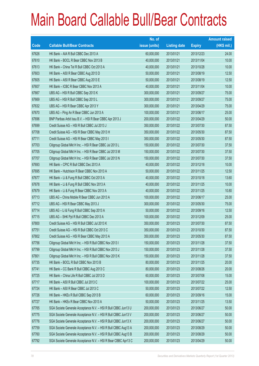|       |                                                                | No. of        |                     |               | <b>Amount raised</b> |
|-------|----------------------------------------------------------------|---------------|---------------------|---------------|----------------------|
| Code  | <b>Callable Bull/Bear Contracts</b>                            | issue (units) | <b>Listing date</b> | <b>Expiry</b> | $(HK$$ mil.)         |
| 67626 | HK Bank - AIA R Bull CBBC Dec 2013 A                           | 60,000,000    | 2013/01/21          | 2013/12/23    | 24.00                |
| 67610 | HK Bank - BOCL R Bear CBBC Nov 2013 B                          | 40,000,000    | 2013/01/21          | 2013/11/04    | 10.00                |
| 67613 | HK Bank - China Tel R Bull CBBC Oct 2013 A                     | 40,000,000    | 2013/01/21          | 2013/10/28    | 10.00                |
| 67603 | HK Bank - A50 R Bear CBBC Aug 2013 D                           | 50,000,000    | 2013/01/21          | 2013/08/19    | 12.50                |
| 67605 | HK Bank - A50 R Bear CBBC Aug 2013 E                           | 50,000,000    | 2013/01/21          | 2013/08/19    | 12.50                |
| 67607 | HK Bank - ICBC R Bear CBBC Nov 2013 A                          | 40,000,000    | 2013/01/21          | 2013/11/04    | 10.00                |
| 67667 | UBS AG - HSI R Bull CBBC Sep 2013 K                            | 300,000,000   | 2013/01/21          | 2013/09/27    | 75.00                |
| 67669 | UBS AG - HSI R Bull CBBC Sep 2013 L                            | 300,000,000   | 2013/01/21          | 2013/09/27    | 75.00                |
| 67632 | UBS AG - HSI R Bear CBBC Apr 2013 Y                            | 300,000,000   | 2013/01/21          | 2013/04/29    | 75.00                |
| 67670 | UBS AG - Ping An R Bear CBBC Jun 2013 A                        | 100,000,000   | 2013/01/21          | 2013/06/17    | 25.00                |
| 67696 | BNP Paribas Arbit Issu B.V. - HSI R Bear CBBC Apr 2013 J       | 200,000,000   | 2013/01/22          | 2013/04/29    | 50.00                |
| 67699 | Credit Suisse AG - HSI R Bull CBBC Jul 2013 J                  | 350,000,000   | 2013/01/22          | 2013/07/30    | 87.50                |
| 67708 | Credit Suisse AG - HSI R Bear CBBC May 2013 H                  | 350,000,000   | 2013/01/22          | 2013/05/30    | 87.50                |
| 67711 | Credit Suisse AG - HSI R Bear CBBC May 2013 I                  | 350,000,000   | 2013/01/22          | 2013/05/30    | 87.50                |
| 67703 | Citigroup Global Mkt H Inc. - HSI R Bear CBBC Jul 2013 L       | 150,000,000   | 2013/01/22          | 2013/07/30    | 37.50                |
| 67705 | Citigroup Global Mkt H Inc. - HSI R Bear CBBC Jul 2013 M       | 150,000,000   | 2013/01/22          | 2013/07/30    | 37.50                |
| 67707 | Citigroup Global Mkt H Inc. - HSI R Bear CBBC Jul 2013 N       | 150,000,000   | 2013/01/22          | 2013/07/30    | 37.50                |
| 67693 | HK Bank - CPIC R Bull CBBC Dec 2013 A                          | 40,000,000    | 2013/01/22          | 2013/12/18    | 10.00                |
| 67695 | HK Bank - Hutchison R Bear CBBC Nov 2013 A                     | 50,000,000    | 2013/01/22          | 2013/11/25    | 12.50                |
| 67677 | HK Bank - Li & Fung R Bull CBBC Oct 2013 A                     | 40,000,000    | 2013/01/22          | 2013/10/18    | 13.60                |
| 67678 | HK Bank - Li & Fung R Bull CBBC Nov 2013 A                     | 40,000,000    | 2013/01/22          | 2013/11/25    | 10.00                |
| 67679 | HK Bank - Li & Fung R Bear CBBC Nov 2013 A                     | 40,000,000    | 2013/01/22          | 2013/11/25    | 10.80                |
| 67713 | UBS AG - China Mobile R Bear CBBC Jun 2013 A                   | 100,000,000   | 2013/01/22          | 2013/06/17    | 25.00                |
| 67712 | UBS AG - HSI R Bear CBBC May 2013 J                            | 300,000,000   | 2013/01/22          | 2013/05/30    | 75.00                |
| 67714 | UBS AG - Li & Fung R Bull CBBC Sep 2013 A                      | 50,000,000    | 2013/01/22          | 2013/09/16    | 12.50                |
| 67715 | UBS AG - SHK Ppt R Bull CBBC Dec 2013 A                        | 100,000,000   | 2013/01/22          | 2013/12/09    | 25.00                |
| 67800 | Credit Suisse AG - HSI R Bull CBBC Jul 2013 K                  | 350,000,000   | 2013/01/23          | 2013/07/30    | 87.50                |
| 67751 | Credit Suisse AG - HSI R Bull CBBC Oct 2013 C                  | 350,000,000   | 2013/01/23          | 2013/10/30    | 87.50                |
| 67802 | Credit Suisse AG - HSI R Bear CBBC May 2013 A                  | 350,000,000   | 2013/01/23          | 2013/05/30    | 87.50                |
| 67756 | Citigroup Global Mkt H Inc. - HSI R Bull CBBC Nov 2013 I       | 150,000,000   | 2013/01/23          | 2013/11/28    | 37.50                |
| 67799 | Citigroup Global Mkt H Inc. - HSI R Bull CBBC Nov 2013 J       | 150,000,000   | 2013/01/23          | 2013/11/28    | 37.50                |
| 67801 | Citigroup Global Mkt H Inc. - HSI R Bull CBBC Nov 2013 K       | 150,000,000   | 2013/01/23          | 2013/11/28    | 37.50                |
| 67735 | HK Bank - BOCL R Bull CBBC Nov 2013 B                          | 80,000,000    | 2013/01/23          | 2013/11/25    | 20.00                |
| 67741 | HK Bank - CC Bank R Bull CBBC Aug 2013 C                       | 80,000,000    | 2013/01/23          | 2013/08/26    | 20.00                |
| 67725 | HK Bank - China Life R Bull CBBC Jul 2013 D                    | 60,000,000    | 2013/01/23          | 2013/07/08    | 15.00                |
| 67717 | HK Bank - A50 R Bull CBBC Jul 2013 C                           | 100,000,000   | 2013/01/23          | 2013/07/22    | 25.00                |
| 67724 | HK Bank - A50 R Bear CBBC Jul 2013 C                           | 50,000,000    | 2013/01/23          | 2013/07/22    | 12.50                |
| 67726 | HK Bank - HKEx R Bull CBBC Sep 2013 B                          | 60,000,000    | 2013/01/23          | 2013/09/16    | 15.00                |
| 67727 | HK Bank - HKEx R Bear CBBC Nov 2013 A                          | 50,000,000    | 2013/01/23          | 2013/11/25    | 13.50                |
| 67765 | SGA Societe Generale Acceptance N.V. - HSI R Bull CBBC Jun13 U | 200,000,000   | 2013/01/23          | 2013/06/27    | 50.00                |
| 67775 | SGA Societe Generale Acceptance N.V. - HSI R Bull CBBC Jun13 V | 200,000,000   | 2013/01/23          | 2013/06/27    | 50.00                |
| 67776 | SGA Societe Generale Acceptance N.V. - HSI R Bull CBBC Jun13 X | 200,000,000   | 2013/01/23          | 2013/06/27    | 50.00                |
| 67759 | SGA Societe Generale Acceptance N.V. - HSI R Bull CBBC Aug13 A | 200,000,000   | 2013/01/23          | 2013/08/29    | 50.00                |
| 67760 | SGA Societe Generale Acceptance N.V. - HSI R Bull CBBC Aug13 B | 200,000,000   | 2013/01/23          | 2013/08/29    | 50.00                |
| 67792 | SGA Societe Generale Acceptance N.V. - HSI R Bear CBBC Apr13 C | 200,000,000   | 2013/01/23          | 2013/04/29    | 50.00                |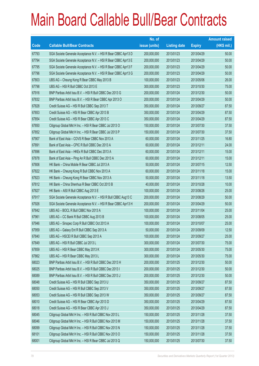|             |                                                                | No. of        |                     |               | <b>Amount raised</b> |
|-------------|----------------------------------------------------------------|---------------|---------------------|---------------|----------------------|
| <b>Code</b> | <b>Callable Bull/Bear Contracts</b>                            | issue (units) | <b>Listing date</b> | <b>Expiry</b> | $(HK$$ mil.)         |
| 67793       | SGA Societe Generale Acceptance N.V. - HSI R Bear CBBC Apr13 D | 200,000,000   | 2013/01/23          | 2013/04/29    | 50.00                |
| 67794       | SGA Societe Generale Acceptance N.V. - HSI R Bear CBBC Apr13 E | 200,000,000   | 2013/01/23          | 2013/04/29    | 50.00                |
| 67795       | SGA Societe Generale Acceptance N.V. - HSI R Bear CBBC Apr13 F | 200,000,000   | 2013/01/23          | 2013/04/29    | 50.00                |
| 67796       | SGA Societe Generale Acceptance N.V. - HSI R Bear CBBC Apr13 G | 200,000,000   | 2013/01/23          | 2013/04/29    | 50.00                |
| 67803       | UBS AG - Cheung Kong R Bear CBBC May 2013 B                    | 100,000,000   | 2013/01/23          | 2013/05/06    | 26.00                |
| 67798       | UBS AG - HSI R Bull CBBC Oct 2013 E                            | 300,000,000   | 2013/01/23          | 2013/10/30    | 75.00                |
| 67916       | BNP Paribas Arbit Issu B.V. - HSI R Bull CBBC Dec 2013 G       | 200,000,000   | 2013/01/24          | 2013/12/30    | 50.00                |
| 67832       | BNP Paribas Arbit Issu B.V. - HSI R Bear CBBC Apr 2013 O       | 200,000,000   | 2013/01/24          | 2013/04/29    | 50.00                |
| 67828       | Credit Suisse AG - HSI R Bull CBBC Sep 2013 T                  | 350,000,000   | 2013/01/24          | 2013/09/27    | 87.50                |
| 67853       | Credit Suisse AG - HSI R Bear CBBC Apr 2013 B                  | 350,000,000   | 2013/01/24          | 2013/04/29    | 87.50                |
| 67854       | Credit Suisse AG - HSI R Bear CBBC Apr 2013 C                  | 350,000,000   | 2013/01/24          | 2013/04/29    | 87.50                |
| 67850       | Citigroup Global Mkt H Inc. - HSI R Bear CBBC Jul 2013 O       | 150,000,000   | 2013/01/24          | 2013/07/30    | 37.50                |
| 67852       | Citigroup Global Mkt H Inc. - HSI R Bear CBBC Jul 2013 P       | 150,000,000   | 2013/01/24          | 2013/07/30    | 37.50                |
| 67907       | Bank of East Asia - COVS R Bear CBBC Nov 2013 A                | 60,000,000    | 2013/01/24          | 2013/11/25    | 16.80                |
| 67891       | Bank of East Asia - CPIC R Bull CBBC Dec 2013 A                | 60,000,000    | 2013/01/24          | 2013/12/11    | 24.00                |
| 67896       | Bank of East Asia - HKEx R Bull CBBC Dec 2013 A                | 60,000,000    | 2013/01/24          | 2013/12/11    | 15.00                |
| 67878       | Bank of East Asia - Ping An R Bull CBBC Dec 2013 A             | 60,000,000    | 2013/01/24          | 2013/12/11    | 15.00                |
| 67806       | HK Bank - China Mobile R Bear CBBC Jul 2013 A                  | 50,000,000    | 2013/01/24          | 2013/07/15    | 12.50                |
| 67822       | HK Bank - Cheung Kong R Bull CBBC Nov 2013 A                   | 60,000,000    | 2013/01/24          | 2013/11/18    | 15.00                |
| 67823       | HK Bank - Cheung Kong R Bear CBBC Nov 2013 A                   | 50,000,000    | 2013/01/24          | 2013/11/18    | 13.50                |
| 67812       | HK Bank - China Shenhua R Bear CBBC Oct 2013 B                 | 40,000,000    | 2013/01/24          | 2013/10/28    | 10.00                |
| 67827       | HK Bank - A50 R Bull CBBC Aug 2013 E                           | 100,000,000   | 2013/01/24          | 2013/08/26    | 25.00                |
| 67917       | SGA Societe Generale Acceptance N.V. - HSI R Bull CBBC Aug13 C | 200,000,000   | 2013/01/24          | 2013/08/29    | 50.00                |
| 67926       | SGA Societe Generale Acceptance N.V. - HSI R Bear CBBC Apr13 H | 200,000,000   | 2013/01/24          | 2013/04/29    | 50.00                |
| 67842       | UBS AG - BOCL R Bull CBBC Nov 2013 A                           | 100,000,000   | 2013/01/24          | 2013/11/04    | 25.00                |
| 67961       | UBS AG - CC Bank R Bull CBBC Aug 2013 B                        | 100,000,000   | 2013/01/24          | 2013/08/05    | 25.00                |
| 67946       | UBS AG - Sinopec Corp R Bull CBBC Oct 2013 A                   | 100,000,000   | 2013/01/24          | 2013/10/07    | 25.00                |
| 67959       | UBS AG - Galaxy Ent R Bull CBBC Sep 2013 A                     | 50,000,000    | 2013/01/24          | 2013/09/09    | 12.50                |
| 67840       | UBS AG - HSCEI R Bull CBBC Sep 2013 A                          | 100,000,000   | 2013/01/24          | 2013/09/27    | 25.00                |
| 67849       | UBS AG - HSI R Bull CBBC Jul 2013 L                            | 300,000,000   | 2013/01/24          | 2013/07/30    | 75.00                |
| 67859       | UBS AG - HSI R Bear CBBC May 2013 K                            | 300,000,000   | 2013/01/24          | 2013/05/30    | 75.00                |
| 67862       | UBS AG - HSI R Bear CBBC May 2013 L                            | 300,000,000   | 2013/01/24          | 2013/05/30    | 75.00                |
| 68023       | BNP Paribas Arbit Issu B.V. - HSI R Bull CBBC Dec 2013 H       | 200,000,000   | 2013/01/25          | 2013/12/30    | 50.00                |
| 68025       | BNP Paribas Arbit Issu B.V. - HSI R Bull CBBC Dec 2013 I       | 200,000,000   | 2013/01/25          | 2013/12/30    | 50.00                |
| 68089       | BNP Paribas Arbit Issu B.V. - HSI R Bull CBBC Dec 2013 J       | 200,000,000   | 2013/01/25          | 2013/12/30    | 50.00                |
| 68048       | Credit Suisse AG - HSI R Bull CBBC Sep 2013 U                  | 350,000,000   | 2013/01/25          | 2013/09/27    | 87.50                |
| 68050       | Credit Suisse AG - HSI R Bull CBBC Sep 2013 V                  | 350,000,000   | 2013/01/25          | 2013/09/27    | 87.50                |
| 68053       | Credit Suisse AG - HSI R Bull CBBC Sep 2013 W                  | 350,000,000   | 2013/01/25          | 2013/09/27    | 87.50                |
| 68010       | Credit Suisse AG - HSI R Bear CBBC Apr 2013 D                  | 350,000,000   | 2013/01/25          | 2013/04/29    | 87.50                |
| 68018       | Credit Suisse AG - HSI R Bear CBBC Apr 2013 J                  | 350,000,000   | 2013/01/25          | 2013/04/29    | 87.50                |
| 68045       | Citigroup Global Mkt H Inc. - HSI R Bull CBBC Nov 2013 L       | 150,000,000   | 2013/01/25          | 2013/11/28    | 37.50                |
| 68046       | Citigroup Global Mkt H Inc. - HSI R Bull CBBC Nov 2013 M       | 150,000,000   | 2013/01/25          | 2013/11/28    | 37.50                |
| 68099       | Citigroup Global Mkt H Inc. - HSI R Bull CBBC Nov 2013 N       | 150,000,000   | 2013/01/25          | 2013/11/28    | 37.50                |
| 68101       | Citigroup Global Mkt H Inc. - HSI R Bull CBBC Nov 2013 O       | 150,000,000   | 2013/01/25          | 2013/11/28    | 37.50                |
| 68001       | Citigroup Global Mkt H Inc. - HSI R Bear CBBC Jul 2013 Q       | 150,000,000   | 2013/01/25          | 2013/07/30    | 37.50                |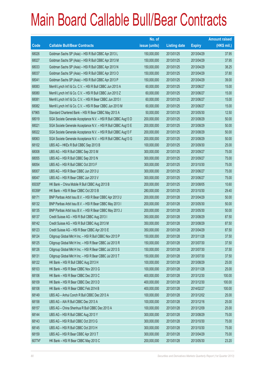|        |                                                                | No. of        |                     |               | <b>Amount raised</b> |
|--------|----------------------------------------------------------------|---------------|---------------------|---------------|----------------------|
| Code   | <b>Callable Bull/Bear Contracts</b>                            | issue (units) | <b>Listing date</b> | <b>Expiry</b> | $(HK$$ mil.)         |
| 68026  | Goldman Sachs SP (Asia) - HSI R Bull CBBC Apr 2013 L           | 150,000,000   | 2013/01/25          | 2013/04/29    | 37.95                |
| 68027  | Goldman Sachs SP (Asia) - HSI R Bull CBBC Apr 2013 M           | 150,000,000   | 2013/01/25          | 2013/04/29    | 37.95                |
| 68033  | Goldman Sachs SP (Asia) - HSI R Bull CBBC Apr 2013 N           | 150,000,000   | 2013/01/25          | 2013/04/29    | 38.25                |
| 68037  | Goldman Sachs SP (Asia) - HSI R Bull CBBC Apr 2013 O           | 150,000,000   | 2013/01/25          | 2013/04/29    | 37.80                |
| 68041  | Goldman Sachs SP (Asia) - HSI R Bull CBBC Apr 2013 P           | 150,000,000   | 2013/01/25          | 2013/04/29    | 39.00                |
| 68083  | Merrill Lynch Int'l & Co. C.V. - HSI R Bull CBBC Jun 2013 A    | 60,000,000    | 2013/01/25          | 2013/06/27    | 15.00                |
| 68080  | Merrill Lynch Int'l & Co. C.V. - HSI R Bull CBBC Jun 2013 Z    | 60,000,000    | 2013/01/25          | 2013/06/27    | 15.00                |
| 68081  | Merrill Lynch Int'l & Co. C.V. - HSI R Bear CBBC Jun 2013 I    | 60,000,000    | 2013/01/25          | 2013/06/27    | 15.00                |
| 68082  | Merrill Lynch Int'l & Co. C.V. - HSI R Bear CBBC Jun 2013 M    | 60,000,000    | 2013/01/25          | 2013/06/27    | 15.00                |
| 67965  | Standard Chartered Bank - HSI R Bear CBBC May 2013 A           | 50,000,000    | 2013/01/25          | 2013/05/30    | 12.50                |
| 68019  | SGA Societe Generale Acceptance N.V. - HSI R Bull CBBC Aug13 D | 200,000,000   | 2013/01/25          | 2013/08/29    | 50.00                |
| 68021  | SGA Societe Generale Acceptance N.V. - HSI R Bull CBBC Aug13 E | 200,000,000   | 2013/01/25          | 2013/08/29    | 50.00                |
| 68022  | SGA Societe Generale Acceptance N.V. - HSI R Bull CBBC Aug13 F | 200,000,000   | 2013/01/25          | 2013/08/29    | 50.00                |
| 68063  | SGA Societe Generale Acceptance N.V. - HSI R Bull CBBC Aug13 G | 200,000,000   | 2013/01/25          | 2013/08/29    | 50.00                |
| 68102  | UBS AG - HKEx R Bull CBBC Sep 2013 B                           | 100,000,000   | 2013/01/25          | 2013/09/30    | 25.00                |
| 68008  | UBS AG - HSI R Bull CBBC Sep 2013 M                            | 300,000,000   | 2013/01/25          | 2013/09/27    | 75.00                |
| 68055  | UBS AG - HSI R Bull CBBC Sep 2013 N                            | 300,000,000   | 2013/01/25          | 2013/09/27    | 75.00                |
| 68054  | UBS AG - HSI R Bull CBBC Oct 2013 F                            | 300,000,000   | 2013/01/25          | 2013/10/30    | 75.00                |
| 68007  | UBS AG - HSI R Bear CBBC Jun 2013 U                            | 300,000,000   | 2013/01/25          | 2013/06/27    | 75.00                |
| 68047  | UBS AG - HSI R Bear CBBC Jun 2013 V                            | 300,000,000   | 2013/01/25          | 2013/06/27    | 75.00                |
| 65030# | HK Bank - China Mobile R Bull CBBC Aug 2013 B                  | 200,000,000   | 2013/01/25          | 2013/08/05    | 10.60                |
| 65356# | HK Bank - HSI R Bear CBBC Oct 2013 B                           | 280,000,000   | 2013/01/25          | 2013/10/30    | 29.40                |
| 68171  | BNP Paribas Arbit Issu B.V. - HSI R Bear CBBC Apr 2013 U       | 200,000,000   | 2013/01/28          | 2013/04/29    | 50.00                |
| 68132  | BNP Paribas Arbit Issu B.V. - HSI R Bear CBBC May 2013 I       | 200,000,000   | 2013/01/28          | 2013/05/30    | 50.00                |
| 68135  | BNP Paribas Arbit Issu B.V. - HSI R Bear CBBC May 2013 J       | 200,000,000   | 2013/01/28          | 2013/05/30    | 50.00                |
| 68137  | Credit Suisse AG - HSI R Bull CBBC Aug 2013 I                  | 350,000,000   | 2013/01/28          | 2013/08/29    | 87.50                |
| 68142  | Credit Suisse AG - HSI R Bull CBBC Aug 2013 M                  | 350,000,000   | 2013/01/28          | 2013/08/29    | 87.50                |
| 68123  | Credit Suisse AG - HSI R Bear CBBC Apr 2013 E                  | 350,000,000   | 2013/01/28          | 2013/04/29    | 87.50                |
| 68124  | Citigroup Global Mkt H Inc. - HSI R Bull CBBC Nov 2013 P       | 150,000,000   | 2013/01/28          | 2013/11/28    | 37.50                |
| 68125  | Citigroup Global Mkt H Inc. - HSI R Bear CBBC Jul 2013 R       | 150,000,000   | 2013/01/28          | 2013/07/30    | 37.50                |
| 68126  | Citigroup Global Mkt H Inc. - HSI R Bear CBBC Jul 2013 S       | 150,000,000   | 2013/01/28          | 2013/07/30    | 37.50                |
| 68131  | Citigroup Global Mkt H Inc. - HSI R Bear CBBC Jul 2013 T       | 150,000,000   | 2013/01/28          | 2013/07/30    | 37.50                |
| 68122  | HK Bank - HSI R Bull CBBC Aug 2013 H                           | 100,000,000   | 2013/01/28          | 2013/08/29    | 25.00                |
| 68103  | HK Bank - HSI R Bear CBBC Nov 2013 G                           | 100,000,000   | 2013/01/28          | 2013/11/28    | 25.00                |
| 68106  | HK Bank - HSI R Bear CBBC Dec 2013 C                           | 400,000,000   | 2013/01/28          | 2013/12/30    | 100.00               |
| 68109  | HK Bank - HSI R Bear CBBC Dec 2013 D                           | 400,000,000   | 2013/01/28          | 2013/12/30    | 100.00               |
| 68108  | HK Bank - HSI R Bear CBBC Feb 2014 B                           | 400,000,000   | 2013/01/28          | 2014/02/27    | 100.00               |
| 68149  | UBS AG - Anhui Conch R Bull CBBC Dec 2013 A                    | 100,000,000   | 2013/01/28          | 2013/12/02    | 25.00                |
| 68158  | UBS AG - AIA R Bull CBBC Dec 2013 A                            | 100,000,000   | 2013/01/28          | 2013/12/16    | 25.00                |
| 68157  | UBS AG - China Shenhua R Bull CBBC Dec 2013 A                  | 100,000,000   | 2013/01/28          | 2013/12/09    | 25.00                |
| 68144  | UBS AG - HSI R Bull CBBC Aug 2013 Y                            | 300,000,000   | 2013/01/28          | 2013/08/29    | 75.00                |
| 68143  | UBS AG - HSI R Bull CBBC Oct 2013 G                            | 300,000,000   | 2013/01/28          | 2013/10/30    | 75.00                |
| 68145  | UBS AG - HSI R Bull CBBC Oct 2013 H                            | 300,000,000   | 2013/01/28          | 2013/10/30    | 75.00                |
| 68159  | UBS AG - HSI R Bear CBBC Apr 2013 T                            | 300,000,000   | 2013/01/28          | 2013/04/29    | 75.00                |
| 60774# | HK Bank - HSI R Bear CBBC May 2013 C                           | 200,000,000   | 2013/01/28          | 2013/05/30    | 23.20                |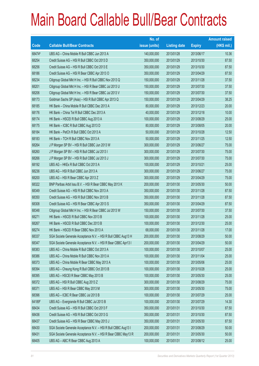|        |                                                                | No. of        |                     |               | <b>Amount raised</b> |
|--------|----------------------------------------------------------------|---------------|---------------------|---------------|----------------------|
| Code   | <b>Callable Bull/Bear Contracts</b>                            | issue (units) | <b>Listing date</b> | <b>Expiry</b> | $(HK$$ mil.)         |
| 68474# | UBS AG - China Mobile R Bull CBBC Jun 2013 A                   | 140,000,000   | 2013/01/28          | 2013/06/17    | 10.36                |
| 68254  | Credit Suisse AG - HSI R Bull CBBC Oct 2013 D                  | 350,000,000   | 2013/01/29          | 2013/10/30    | 87.50                |
| 68256  | Credit Suisse AG - HSI R Bull CBBC Oct 2013 E                  | 350,000,000   | 2013/01/29          | 2013/10/30    | 87.50                |
| 68186  | Credit Suisse AG - HSI R Bear CBBC Apr 2013 O                  | 350,000,000   | 2013/01/29          | 2013/04/29    | 87.50                |
| 68234  | Citigroup Global Mkt H Inc. - HSI R Bull CBBC Nov 2013 Q       | 150,000,000   | 2013/01/29          | 2013/11/28    | 37.50                |
| 68201  | Citigroup Global Mkt H Inc. - HSI R Bear CBBC Jul 2013 U       | 150,000,000   | 2013/01/29          | 2013/07/30    | 37.50                |
| 68206  | Citigroup Global Mkt H Inc. - HSI R Bear CBBC Jul 2013 V       | 150,000,000   | 2013/01/29          | 2013/07/30    | 37.50                |
| 68173  | Goldman Sachs SP (Asia) - HSI R Bull CBBC Apr 2013 Q           | 150,000,000   | 2013/01/29          | 2013/04/29    | 38.25                |
| 68185  | HK Bank - China Mobile R Bull CBBC Dec 2013 A                  | 80,000,000    | 2013/01/29          | 2013/12/23    | 20.00                |
| 68176  | HK Bank - China Tel R Bull CBBC Dec 2013 A                     | 40,000,000    | 2013/01/29          | 2013/12/18    | 10.00                |
| 68174  | HK Bank - HSCEI R Bull CBBC Aug 2013 A                         | 100,000,000   | 2013/01/29          | 2013/08/29    | 25.00                |
| 68175  | HK Bank - ICBC R Bull CBBC Aug 2013 D                          | 80,000,000    | 2013/01/29          | 2013/08/05    | 20.00                |
| 68184  | HK Bank - PetCh R Bull CBBC Oct 2013 A                         | 50,000,000    | 2013/01/29          | 2013/10/28    | 12.50                |
| 68183  | HK Bank - TCH R Bull CBBC Nov 2013 A                           | 50,000,000    | 2013/01/29          | 2013/11/25    | 12.50                |
| 68264  | J P Morgan SP BV - HSI R Bull CBBC Jun 2013 W                  | 300,000,000   | 2013/01/29          | 2013/06/27    | 75.00                |
| 68260  | J P Morgan SP BV - HSI R Bull CBBC Jul 2013 I                  | 300,000,000   | 2013/01/29          | 2013/07/30    | 75.00                |
| 68266  | J P Morgan SP BV - HSI R Bull CBBC Jul 2013 J                  | 300,000,000   | 2013/01/29          | 2013/07/30    | 75.00                |
| 68192  | UBS AG - HKEx R Bull CBBC Oct 2013 A                           | 100,000,000   | 2013/01/29          | 2013/10/21    | 25.00                |
| 68236  | UBS AG - HSI R Bull CBBC Jun 2013 A                            | 300,000,000   | 2013/01/29          | 2013/06/27    | 75.00                |
| 68200  | UBS AG - HSI R Bear CBBC Apr 2013 Z                            | 300,000,000   | 2013/01/29          | 2013/04/29    | 75.00                |
| 68322  | BNP Paribas Arbit Issu B.V. - HSI R Bear CBBC May 2013 K       | 200,000,000   | 2013/01/30          | 2013/05/30    | 50.00                |
| 68349  | Credit Suisse AG - HSI R Bull CBBC Nov 2013 A                  | 350,000,000   | 2013/01/30          | 2013/11/28    | 87.50                |
| 68350  | Credit Suisse AG - HSI R Bull CBBC Nov 2013 B                  | 350,000,000   | 2013/01/30          | 2013/11/28    | 87.50                |
| 68308  | Credit Suisse AG - HSI R Bear CBBC Apr 2013 S                  | 350,000,000   | 2013/01/30          | 2013/04/29    | 87.50                |
| 68348  | Citigroup Global Mkt H Inc. - HSI R Bear CBBC Jul 2013 W       | 150,000,000   | 2013/01/30          | 2013/07/30    | 37.50                |
| 68271  | HK Bank - HSCEI R Bull CBBC Nov 2013 B                         | 100,000,000   | 2013/01/30          | 2013/11/28    | 25.00                |
| 68267  | HK Bank - HSCEI R Bull CBBC Dec 2013 B                         | 100,000,000   | 2013/01/30          | 2013/12/30    | 25.00                |
| 68274  | HK Bank - HSCEI R Bear CBBC Nov 2013 A                         | 68,000,000    | 2013/01/30          | 2013/11/28    | 17.00                |
| 68337  | SGA Societe Generale Acceptance N.V. - HSI R Bull CBBC Aug13 H | 200,000,000   | 2013/01/30          | 2013/08/29    | 50.00                |
| 68347  | SGA Societe Generale Acceptance N.V. - HSI R Bear CBBC Apr13 I | 200,000,000   | 2013/01/30          | 2013/04/29    | 50.00                |
| 68383  | UBS AG - China Mobile R Bull CBBC Oct 2013 A                   | 100,000,000   | 2013/01/30          | 2013/10/07    | 25.00                |
| 68386  | UBS AG - China Mobile R Bull CBBC Nov 2013 A                   | 100,000,000   | 2013/01/30          | 2013/11/04    | 25.00                |
| 68373  | UBS AG - China Mobile R Bear CBBC May 2013 A                   | 100,000,000   | 2013/01/30          | 2013/05/06    | 25.00                |
| 68394  | UBS AG - Cheung Kong R Bull CBBC Oct 2013 B                    | 100,000,000   | 2013/01/30          | 2013/10/28    | 25.00                |
| 68395  | UBS AG - HSCEI R Bear CBBC May 2013 B                          | 100,000,000   | 2013/01/30          | 2013/05/30    | 25.00                |
| 68372  | UBS AG - HSI R Bull CBBC Aug 2013 Z                            | 300,000,000   | 2013/01/30          | 2013/08/29    | 75.00                |
| 68371  | UBS AG - HSI R Bear CBBC May 2013 M                            | 300,000,000   | 2013/01/30          | 2013/05/30    | 75.00                |
| 68396  | UBS AG - ICBC R Bear CBBC Jul 2013 B                           | 100,000,000   | 2013/01/30          | 2013/07/29    | 25.00                |
| 64189# | UBS AG - Evergrande R Bull CBBC Jul 2013 B                     | 100,000,000   | 2013/01/30          | 2013/07/29    | 14.30                |
| 68434  | Credit Suisse AG - HSI R Bull CBBC Oct 2013 F                  | 350,000,000   | 2013/01/31          | 2013/10/30    | 87.50                |
| 68436  | Credit Suisse AG - HSI R Bull CBBC Oct 2013 G                  | 350,000,000   | 2013/01/31          | 2013/10/30    | 87.50                |
| 68437  | Credit Suisse AG - HSI R Bear CBBC May 2013 J                  | 350,000,000   | 2013/01/31          | 2013/05/30    | 87.50                |
| 68430  | SGA Societe Generale Acceptance N.V. - HSI R Bull CBBC Aug13 I | 200,000,000   | 2013/01/31          | 2013/08/29    | 50.00                |
| 68431  | SGA Societe Generale Acceptance N.V. - HSI R Bear CBBC May13 R | 200,000,000   | 2013/01/31          | 2013/05/30    | 50.00                |
| 68405  | UBS AG - ABC R Bear CBBC Aug 2013 A                            | 100,000,000   | 2013/01/31          | 2013/08/12    | 25.00                |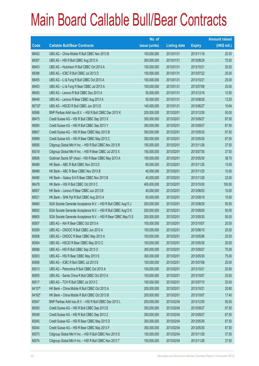|        |                                                                | No. of        |                     |               | <b>Amount raised</b> |
|--------|----------------------------------------------------------------|---------------|---------------------|---------------|----------------------|
| Code   | <b>Callable Bull/Bear Contracts</b>                            | issue (units) | <b>Listing date</b> | <b>Expiry</b> | $(HK$$ mil.)         |
| 68452  | UBS AG - China Mobile R Bull CBBC Nov 2013 B                   | 100,000,000   | 2013/01/31          | 2013/11/18    | 25.00                |
| 68397  | UBS AG - HSI R Bull CBBC Aug 2013 A                            | 300,000,000   | 2013/01/31          | 2013/08/29    | 75.00                |
| 68403  | UBS AG - Hutchison R Bull CBBC Oct 2013 A                      | 100,000,000   | 2013/01/31          | 2013/10/21    | 25.00                |
| 68398  | UBS AG - ICBC R Bull CBBC Jul 2013 D                           | 100,000,000   | 2013/01/31          | 2013/07/22    | 25.00                |
| 68455  | UBS AG - Li & Fung R Bull CBBC Oct 2013 A                      | 100,000,000   | 2013/01/31          | 2013/10/21    | 25.00                |
| 68453  | UBS AG - Li & Fung R Bear CBBC Jul 2013 A                      | 100,000,000   | 2013/01/31          | 2013/07/08    | 25.00                |
| 68450  | UBS AG - Lenovo R Bull CBBC Dec 2013 A                         | 50,000,000    | 2013/01/31          | 2013/12/16    | 12.50                |
| 68449  | UBS AG - Lenovo R Bear CBBC Aug 2013 A                         | 50,000,000    | 2013/01/31          | 2013/08/26    | 13.25                |
| 66732# | UBS AG - HSCEI R Bull CBBC Jun 2013 E                          | 140,000,000   | 2013/01/31          | 2013/06/27    | 10.64                |
| 68586  | BNP Paribas Arbit Issu B.V. - HSI R Bull CBBC Dec 2013 K       | 200,000,000   | 2013/02/01          | 2013/12/30    | 50.00                |
| 68475  | Credit Suisse AG - HSI R Bull CBBC Sep 2013 X                  | 350,000,000   | 2013/02/01          | 2013/09/27    | 87.50                |
| 68585  | Credit Suisse AG - HSI R Bull CBBC Sep 2013 Y                  | 350,000,000   | 2013/02/01          | 2013/09/27    | 87.50                |
| 68607  | Credit Suisse AG - HSI R Bear CBBC May 2013 B                  | 350,000,000   | 2013/02/01          | 2013/05/30    | 87.50                |
| 69999  | Credit Suisse AG - HSI R Bear CBBC May 2013 C                  | 350,000,000   | 2013/02/01          | 2013/05/30    | 87.50                |
| 68590  | Citigroup Global Mkt H Inc. - HSI R Bull CBBC Nov 2013 R       | 150,000,000   | 2013/02/01          | 2013/11/28    | 37.50                |
| 60018  | Citigroup Global Mkt H Inc. - HSI R Bear CBBC Jul 2013 X       | 150,000,000   | 2013/02/01          | 2013/07/30    | 37.50                |
| 68606  | Goldman Sachs SP (Asia) - HSI R Bear CBBC May 2013 A           | 150,000,000   | 2013/02/01          | 2013/05/30    | 38.70                |
| 68486  | HK Bank - ABC R Bull CBBC Nov 2013 D                           | 60,000,000    | 2013/02/01          | 2013/11/25    | 15.00                |
| 68488  | HK Bank - ABC R Bear CBBC Nov 2013 B                           | 40,000,000    | 2013/02/01          | 2013/11/25    | 10.00                |
| 68480  | HK Bank - Galaxy Ent R Bear CBBC Nov 2013 B                    | 40,000,000    | 2013/02/01          | 2013/11/28    | 22.00                |
| 68478  | HK Bank - HSI R Bull CBBC Oct 2013 C                           | 400,000,000   | 2013/02/01          | 2013/10/30    | 100.00               |
| 68507  | HK Bank - Lenovo R Bear CBBC Jun 2013 B                        | 40,000,000    | 2013/02/01          | 2013/06/03    | 10.00                |
| 68521  | HK Bank - SHK Ppt R Bull CBBC Aug 2013 A                       | 60,000,000    | 2013/02/01          | 2013/08/19    | 15.00                |
| 68465  | SGA Societe Generale Acceptance N.V. - HSI R Bull CBBC Aug13 J | 200,000,000   | 2013/02/01          | 2013/08/29    | 50.00                |
| 68602  | SGA Societe Generale Acceptance N.V. - HSI R Bull CBBC Aug13 K | 200,000,000   | 2013/02/01          | 2013/08/29    | 50.00                |
| 68605  | SGA Societe Generale Acceptance N.V. - HSI R Bear CBBC May13 S | 200,000,000   | 2013/02/01          | 2013/05/30    | 50.00                |
| 60007  | UBS AG - AIA R Bear CBBC Oct 2013 A                            | 100,000,000   | 2013/02/01          | 2013/10/07    | 25.00                |
| 60009  | UBS AG - CNOOC R Bull CBBC Jun 2013 A                          | 100,000,000   | 2013/02/01          | 2013/06/10    | 25.00                |
| 60008  | UBS AG - CNOOC R Bear CBBC May 2013 A                          | 100,000,000   | 2013/02/01          | 2013/05/06    | 25.00                |
| 60004  | UBS AG - HSCEI R Bear CBBC May 2013 C                          | 100,000,000   | 2013/02/01          | 2013/05/30    | 25.00                |
| 68588  | UBS AG - HSI R Bull CBBC Sep 2013 O                            | 300,000,000   | 2013/02/01          | 2013/09/27    | 75.00                |
| 60003  | UBS AG - HSI R Bear CBBC May 2013 S                            | 300,000,000   | 2013/02/01          | 2013/05/30    | 75.00                |
| 60006  | UBS AG - ICBC R Bull CBBC Jul 2013 E                           | 100,000,000   | 2013/02/01          | 2013/07/08    | 25.00                |
| 60013  | UBS AG - Petrochina R Bull CBBC Oct 2013 A                     | 100,000,000   | 2013/02/01          | 2013/10/21    | 25.00                |
| 60005  | UBS AG - Sands China R Bull CBBC Oct 2013 A                    | 100,000,000   | 2013/02/01          | 2013/10/07    | 25.00                |
| 60017  | UBS AG - TCH R Bull CBBC Jul 2013 C                            | 100,000,000   | 2013/02/01          | 2013/07/15    | 25.00                |
| 64157# | HK Bank - China Mobile R Bull CBBC Oct 2013 A                  | 200,000,000   | 2013/02/01          | 2013/10/21    | 20.80                |
| 64162# | HK Bank - China Mobile R Bull CBBC Oct 2013 B                  | 200,000,000   | 2013/02/01          | 2013/10/07    | 17.40                |
| 60047  | BNP Paribas Arbit Issu B.V. - HSI R Bull CBBC Dec 2013 L       | 200,000,000   | 2013/02/04          | 2013/12/30    | 50.00                |
| 60050  | Credit Suisse AG - HSI R Bull CBBC Sep 2013 E                  | 350,000,000   | 2013/02/04          | 2013/09/27    | 87.50                |
| 60048  | Credit Suisse AG - HSI R Bull CBBC Sep 2013 Z                  | 350,000,000   | 2013/02/04          | 2013/09/27    | 87.50                |
| 60045  | Credit Suisse AG - HSI R Bear CBBC May 2013 D                  | 350,000,000   | 2013/02/04          | 2013/05/30    | 87.50                |
| 60044  | Credit Suisse AG - HSI R Bear CBBC May 2013 F                  | 350,000,000   | 2013/02/04          | 2013/05/30    | 87.50                |
| 60073  | Citigroup Global Mkt H Inc. - HSI R Bull CBBC Nov 2013 S       | 150,000,000   | 2013/02/04          | 2013/11/28    | 37.50                |
| 60074  | Citigroup Global Mkt H Inc. - HSI R Bull CBBC Nov 2013 T       | 150,000,000   | 2013/02/04          | 2013/11/28    | 37.50                |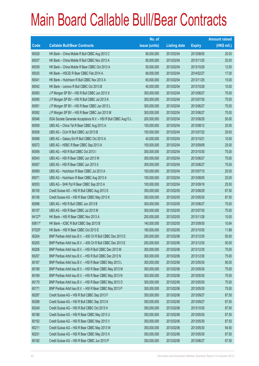|        |                                                                | No. of        |                     |               | <b>Amount raised</b> |
|--------|----------------------------------------------------------------|---------------|---------------------|---------------|----------------------|
| Code   | <b>Callable Bull/Bear Contracts</b>                            | issue (units) | <b>Listing date</b> | <b>Expiry</b> | $(HK$$ mil.)         |
| 60028  | HK Bank - China Mobile R Bull CBBC Aug 2013 C                  | 80,000,000    | 2013/02/04          | 2013/08/05    | 20.00                |
| 60037  | HK Bank - China Mobile R Bull CBBC Nov 2013 A                  | 80,000,000    | 2013/02/04          | 2013/11/25    | 20.00                |
| 60039  | HK Bank - China Mobile R Bear CBBC Oct 2013 A                  | 50,000,000    | 2013/02/04          | 2013/10/28    | 12.50                |
| 60025  | HK Bank - HSCEI R Bear CBBC Feb 2014 A                         | 68,000,000    | 2013/02/04          | 2014/02/27    | 17.00                |
| 60041  | HK Bank - Hutchison R Bull CBBC Nov 2013 A                     | 60,000,000    | 2013/02/04          | 2013/11/25    | 15.00                |
| 60042  | HK Bank - Lenovo R Bull CBBC Oct 2013 B                        | 40,000,000    | 2013/02/04          | 2013/10/28    | 10.00                |
| 60093  | J P Morgan SP BV - HSI R Bull CBBC Jun 2013 X                  | 300,000,000   | 2013/02/04          | 2013/06/27    | 75.00                |
| 60095  | J P Morgan SP BV - HSI R Bull CBBC Jul 2013 K                  | 300,000,000   | 2013/02/04          | 2013/07/30    | 75.00                |
| 60091  | J P Morgan SP BV - HSI R Bear CBBC Jun 2013 L                  | 300,000,000   | 2013/02/04          | 2013/06/27    | 75.00                |
| 60092  | J P Morgan SP BV - HSI R Bear CBBC Jun 2013 M                  | 300,000,000   | 2013/02/04          | 2013/06/27    | 75.00                |
| 60046  | SGA Societe Generale Acceptance N.V. - HSI R Bull CBBC Aug13 L | 200,000,000   | 2013/02/04          | 2013/08/29    | 50.00                |
| 60059  | UBS AG - China Tel R Bear CBBC Aug 2013 A                      | 100,000,000   | 2013/02/04          | 2013/08/12    | 25.00                |
| 60058  | UBS AG - CUni R Bull CBBC Jul 2013 B                           | 100,000,000   | 2013/02/04          | 2013/07/22    | 29.50                |
| 60068  | UBS AG - Galaxy Ent R Bull CBBC Oct 2013 A                     | 40,000,000    | 2013/02/04          | 2013/10/21    | 10.00                |
| 60072  | UBS AG - HSBC R Bear CBBC Sep 2013 A                           | 100,000,000   | 2013/02/04          | 2013/09/09    | 25.00                |
| 60056  | UBS AG - HSI R Bull CBBC Oct 2013 I                            | 300,000,000   | 2013/02/04          | 2013/10/30    | 75.00                |
| 60043  | UBS AG - HSI R Bear CBBC Jun 2013 W                            | 300,000,000   | 2013/02/04          | 2013/06/27    | 75.00                |
| 60057  | UBS AG - HSI R Bear CBBC Jun 2013 X                            | 300,000,000   | 2013/02/04          | 2013/06/27    | 75.00                |
| 60069  | UBS AG - Hutchison R Bear CBBC Jul 2013 A                      | 100,000,000   | 2013/02/04          | 2013/07/15    | 25.00                |
| 60071  | UBS AG - Hutchison R Bear CBBC Aug 2013 A                      | 100,000,000   | 2013/02/04          | 2013/08/05    | 25.00                |
| 60053  | UBS AG - SHK Ppt R Bear CBBC Sep 2013 A                        | 100,000,000   | 2013/02/04          | 2013/09/16    | 25.50                |
| 60105  | Credit Suisse AG - HSI R Bull CBBC Aug 2013 S                  | 350,000,000   | 2013/02/05          | 2013/08/29    | 87.50                |
| 60106  | Credit Suisse AG - HSI R Bear CBBC May 2013 K                  | 350,000,000   | 2013/02/05          | 2013/05/30    | 87.50                |
| 60096  | UBS AG - HSI R Bull CBBC Jun 2013 B                            | 300,000,000   | 2013/02/05          | 2013/06/27    | 75.00                |
| 60107  | UBS AG - HSI R Bear CBBC Jul 2013 M                            | 300,000,000   | 2013/02/05          | 2013/07/30    | 75.00                |
| 64127# | HK Bank - HSI R Bear CBBC Nov 2013 A                           | 200,000,000   | 2013/02/05          | 2013/11/28    | 10.00                |
| 65811# | HK Bank - ICBC R Bull CBBC Sep 2013 B                          | 140,000,000   | 2013/02/05          | 2013/09/30    | 10.64                |
| 67025# | HK Bank - HSI R Bear CBBC Oct 2013 E                           | 180,000,000   | 2013/02/05          | 2013/10/30    | 11.88                |
| 60204  | BNP Paribas Arbit Issu B.V. - A50 Ch R Bull CBBC Dec 2013 D    | 200,000,000   | 2013/02/06          | 2013/12/30    | 50.00                |
| 60205  | BNP Paribas Arbit Issu B.V. - A50 Ch R Bull CBBC Dec 2013 E    | 200,000,000   | 2013/02/06          | 2013/12/30    | 50.00                |
| 60206  | BNP Paribas Arbit Issu B.V. - HSI R Bull CBBC Dec 2013 M       | 300,000,000   | 2013/02/06          | 2013/12/30    | 75.00                |
| 60207  | BNP Paribas Arbit Issu B.V. - HSI R Bull CBBC Dec 2013 N       | 300,000,000   | 2013/02/06          | 2013/12/30    | 75.00                |
| 60167  | BNP Paribas Arbit Issu B.V. - HSI R Bear CBBC May 2013 L       | 300,000,000   | 2013/02/06          | 2013/05/30    | 90.00                |
| 60168  | BNP Paribas Arbit Issu B.V. - HSI R Bear CBBC May 2013 M       | 300,000,000   | 2013/02/06          | 2013/05/30    | 75.00                |
| 60169  | BNP Paribas Arbit Issu B.V. - HSI R Bear CBBC May 2013 N       | 300,000,000   | 2013/02/06          | 2013/05/30    | 75.00                |
| 60170  | BNP Paribas Arbit Issu B.V. - HSI R Bear CBBC May 2013 O       | 300,000,000   | 2013/02/06          | 2013/05/30    | 75.00                |
| 60171  | BNP Paribas Arbit Issu B.V. - HSI R Bear CBBC May 2013 P       | 300,000,000   | 2013/02/06          | 2013/05/30    | 75.00                |
| 60287  | Credit Suisse AG - HSI R Bull CBBC Sep 2013 F                  | 350,000,000   | 2013/02/06          | 2013/09/27    | 87.50                |
| 60288  | Credit Suisse AG - HSI R Bull CBBC Sep 2013 K                  | 350,000,000   | 2013/02/06          | 2013/09/27    | 87.50                |
| 60249  | Credit Suisse AG - HSI R Bull CBBC Oct 2013 H                  | 350,000,000   | 2013/02/06          | 2013/10/30    | 87.50                |
| 60186  | Credit Suisse AG - HSI R Bear CBBC May 2013 U                  | 350,000,000   | 2013/02/06          | 2013/05/30    | 87.50                |
| 60192  | Credit Suisse AG - HSI R Bear CBBC May 2013 V                  | 350,000,000   | 2013/02/06          | 2013/05/30    | 87.50                |
| 60211  | Credit Suisse AG - HSI R Bear CBBC May 2013 W                  | 350,000,000   | 2013/02/06          | 2013/05/30    | 94.50                |
| 60251  | Credit Suisse AG - HSI R Bear CBBC May 2013 X                  | 350,000,000   | 2013/02/06          | 2013/05/30    | 87.50                |
| 60182  | Credit Suisse AG - HSI R Bear CBBC Jun 2013 P                  | 350,000,000   | 2013/02/06          | 2013/06/27    | 87.50                |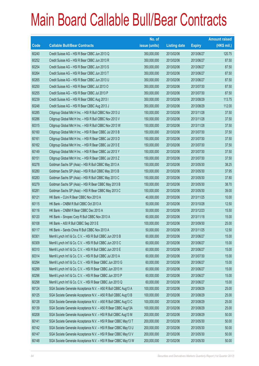|       |                                                                | No. of        |                     |               | <b>Amount raised</b> |
|-------|----------------------------------------------------------------|---------------|---------------------|---------------|----------------------|
| Code  | <b>Callable Bull/Bear Contracts</b>                            | issue (units) | <b>Listing date</b> | <b>Expiry</b> | (HK\$ mil.)          |
| 60240 | Credit Suisse AG - HSI R Bear CBBC Jun 2013 Q                  | 350,000,000   | 2013/02/06          | 2013/06/27    | 120.75               |
| 60252 | Credit Suisse AG - HSI R Bear CBBC Jun 2013 R                  | 350,000,000   | 2013/02/06          | 2013/06/27    | 87.50                |
| 60254 | Credit Suisse AG - HSI R Bear CBBC Jun 2013 S                  | 350,000,000   | 2013/02/06          | 2013/06/27    | 87.50                |
| 60264 | Credit Suisse AG - HSI R Bear CBBC Jun 2013 T                  | 350,000,000   | 2013/02/06          | 2013/06/27    | 87.50                |
| 60265 | Credit Suisse AG - HSI R Bear CBBC Jun 2013 U                  | 350,000,000   | 2013/02/06          | 2013/06/27    | 87.50                |
| 60250 | Credit Suisse AG - HSI R Bear CBBC Jul 2013 O                  | 350,000,000   | 2013/02/06          | 2013/07/30    | 87.50                |
| 60255 | Credit Suisse AG - HSI R Bear CBBC Jul 2013 P                  | 350,000,000   | 2013/02/06          | 2013/07/30    | 87.50                |
| 60239 | Credit Suisse AG - HSI R Bear CBBC Aug 2013 I                  | 350,000,000   | 2013/02/06          | 2013/08/29    | 113.75               |
| 60248 | Credit Suisse AG - HSI R Bear CBBC Aug 2013 J                  | 350,000,000   | 2013/02/06          | 2013/08/29    | 112.00               |
| 60285 | Citigroup Global Mkt H Inc. - HSI R Bull CBBC Nov 2013 U       | 150,000,000   | 2013/02/06          | 2013/11/28    | 37.50                |
| 60286 | Citigroup Global Mkt H Inc. - HSI R Bull CBBC Nov 2013 V       | 150,000,000   | 2013/02/06          | 2013/11/28    | 37.50                |
| 60315 | Citigroup Global Mkt H Inc. - HSI R Bull CBBC Nov 2013 W       | 150,000,000   | 2013/02/06          | 2013/11/28    | 37.50                |
| 60160 | Citigroup Global Mkt H Inc. - HSI R Bear CBBC Jul 2013 B       | 150,000,000   | 2013/02/06          | 2013/07/30    | 37.50                |
| 60161 | Citigroup Global Mkt H Inc. - HSI R Bear CBBC Jul 2013 D       | 150,000,000   | 2013/02/06          | 2013/07/30    | 37.50                |
| 60162 | Citigroup Global Mkt H Inc. - HSI R Bear CBBC Jul 2013 E       | 150,000,000   | 2013/02/06          | 2013/07/30    | 37.50                |
| 60149 | Citigroup Global Mkt H Inc. - HSI R Bear CBBC Jul 2013 Y       | 150,000,000   | 2013/02/06          | 2013/07/30    | 37.50                |
| 60151 | Citigroup Global Mkt H Inc. - HSI R Bear CBBC Jul 2013 Z       | 150,000,000   | 2013/02/06          | 2013/07/30    | 37.50                |
| 60278 | Goldman Sachs SP (Asia) - HSI R Bull CBBC May 2013 A           | 150,000,000   | 2013/02/06          | 2013/05/30    | 38.25                |
| 60280 | Goldman Sachs SP (Asia) - HSI R Bull CBBC May 2013 B           | 150,000,000   | 2013/02/06          | 2013/05/30    | 37.95                |
| 60283 | Goldman Sachs SP (Asia) - HSI R Bull CBBC May 2013 C           | 150,000,000   | 2013/02/06          | 2013/05/30    | 37.80                |
| 60279 | Goldman Sachs SP (Asia) - HSI R Bear CBBC May 2013 B           | 150,000,000   | 2013/02/06          | 2013/05/30    | 38.70                |
| 60281 | Goldman Sachs SP (Asia) - HSI R Bear CBBC May 2013 C           | 150,000,000   | 2013/02/06          | 2013/05/30    | 39.00                |
| 60121 | HK Bank - CUni R Bear CBBC Nov 2013 A                          | 40,000,000    | 2013/02/06          | 2013/11/25    | 10.00                |
| 60115 | HK Bank - CNBM R Bull CBBC Oct 2013 A                          | 50,000,000    | 2013/02/06          | 2013/10/28    | 12.50                |
| 60116 | HK Bank - CNBM R Bear CBBC Dec 2013 A                          | 50,000,000    | 2013/02/06          | 2013/12/23    | 15.50                |
| 60120 | HK Bank - Sinopec Corp R Bull CBBC Nov 2013 A                  | 60,000,000    | 2013/02/06          | 2013/11/18    | 15.00                |
| 60108 | HK Bank - A50 R Bull CBBC Sep 2013 E                           | 100,000,000   | 2013/02/06          | 2013/09/30    | 25.00                |
| 60117 | HK Bank - Sands China R Bull CBBC Nov 2013 A                   | 50,000,000    | 2013/02/06          | 2013/11/25    | 12.50                |
| 60301 | Merrill Lynch Int'l & Co. C.V. - HSI R Bull CBBC Jun 2013 B    | 60,000,000    | 2013/02/06          | 2013/06/27    | 15.00                |
| 60309 | Merrill Lynch Int'l & Co. C.V. - HSI R Bull CBBC Jun 2013 C    | 60,000,000    | 2013/02/06          | 2013/06/27    | 15.00                |
| 60310 | Merrill Lynch Int'l & Co. C.V. - HSI R Bull CBBC Jun 2013 E    | 60,000,000    | 2013/02/06          | 2013/06/27    | 15.00                |
| 60314 | Merrill Lynch Int'l & Co. C.V. - HSI R Bull CBBC Jul 2013 A    | 60,000,000    | 2013/02/06          | 2013/07/30    | 15.00                |
| 60294 | Merrill Lynch Int'l & Co. C.V. - HSI R Bear CBBC Jun 2013 G    | 60,000,000    | 2013/02/06          | 2013/06/27    | 15.00                |
| 60299 | Merrill Lynch Int'l & Co. C.V. - HSI R Bear CBBC Jun 2013 H    | 60,000,000    | 2013/02/06          | 2013/06/27    | 15.00                |
| 60296 | Merrill Lynch Int'l & Co. C.V. - HSI R Bear CBBC Jun 2013 P    | 60,000,000    | 2013/02/06          | 2013/06/27    | 15.00                |
| 60298 | Merrill Lynch Int'l & Co. C.V. - HSI R Bear CBBC Jun 2013 Q    | 60,000,000    | 2013/02/06          | 2013/06/27    | 15.00                |
| 60124 | SGA Societe Generale Acceptance N.V. - A50 R Bull CBBC Aug13 A | 100,000,000   | 2013/02/06          | 2013/08/29    | 25.00                |
| 60125 | SGA Societe Generale Acceptance N.V. - A50 R Bull CBBC Aug13 B | 100,000,000   | 2013/02/06          | 2013/08/29    | 25.00                |
| 60128 | SGA Societe Generale Acceptance N.V. - A50 R Bull CBBC Aug13 C | 100,000,000   | 2013/02/06          | 2013/08/29    | 25.00                |
| 60139 | SGA Societe Generale Acceptance N.V. - A50 R Bear CBBC Aug13A  | 100,000,000   | 2013/02/06          | 2013/08/29    | 25.00                |
| 60208 | SGA Societe Generale Acceptance N.V. - HSI R Bull CBBC Aug13 M | 200,000,000   | 2013/02/06          | 2013/08/29    | 50.00                |
| 60141 | SGA Societe Generale Acceptance N.V. - HSI R Bear CBBC May13 T | 200,000,000   | 2013/02/06          | 2013/05/30    | 50.00                |
| 60142 | SGA Societe Generale Acceptance N.V. - HSI R Bear CBBC May13 U | 200,000,000   | 2013/02/06          | 2013/05/30    | 50.00                |
| 60147 | SGA Societe Generale Acceptance N.V. - HSI R Bear CBBC May13 V | 200,000,000   | 2013/02/06          | 2013/05/30    | 50.00                |
| 60148 | SGA Societe Generale Acceptance N.V. - HSI R Bear CBBC May13 W | 200,000,000   | 2013/02/06          | 2013/05/30    | 50.00                |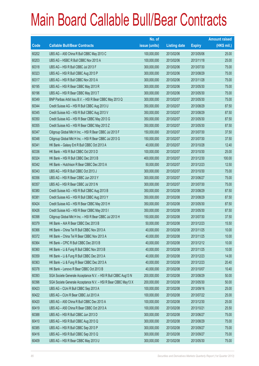|       |                                                                | No. of        |                     |               | <b>Amount raised</b> |
|-------|----------------------------------------------------------------|---------------|---------------------|---------------|----------------------|
| Code  | <b>Callable Bull/Bear Contracts</b>                            | issue (units) | <b>Listing date</b> | <b>Expiry</b> | $(HK$$ mil.)         |
| 60202 | UBS AG - A50 China R Bull CBBC May 2013 C                      | 100,000,000   | 2013/02/06          | 2013/05/06    | 25.00                |
| 60203 | UBS AG - HSBC R Bull CBBC Nov 2013 A                           | 100,000,000   | 2013/02/06          | 2013/11/18    | 25.00                |
| 60318 | UBS AG - HSI R Bull CBBC Jul 2013 F                            | 300,000,000   | 2013/02/06          | 2013/07/30    | 75.00                |
| 60323 | UBS AG - HSI R Bull CBBC Aug 2013 P                            | 300,000,000   | 2013/02/06          | 2013/08/29    | 75.00                |
| 60317 | UBS AG - HSI R Bull CBBC Nov 2013 A                            | 300,000,000   | 2013/02/06          | 2013/11/28    | 75.00                |
| 60195 | UBS AG - HSI R Bear CBBC May 2013 R                            | 300,000,000   | 2013/02/06          | 2013/05/30    | 75.00                |
| 60196 | UBS AG - HSI R Bear CBBC May 2013 T                            | 300,000,000   | 2013/02/06          | 2013/05/30    | 75.00                |
| 60349 | BNP Paribas Arbit Issu B.V. - HSI R Bear CBBC May 2013 Q       | 300,000,000   | 2013/02/07          | 2013/05/30    | 75.00                |
| 60344 | Credit Suisse AG - HSI R Bull CBBC Aug 2013 U                  | 350,000,000   | 2013/02/07          | 2013/08/29    | 87.50                |
| 60345 | Credit Suisse AG - HSI R Bull CBBC Aug 2013 V                  | 350,000,000   | 2013/02/07          | 2013/08/29    | 87.50                |
| 60350 | Credit Suisse AG - HSI R Bear CBBC May 2013 G                  | 350,000,000   | 2013/02/07          | 2013/05/30    | 87.50                |
| 60355 | Credit Suisse AG - HSI R Bear CBBC May 2013 Z                  | 350,000,000   | 2013/02/07          | 2013/05/30    | 87.50                |
| 60347 | Citigroup Global Mkt H Inc. - HSI R Bear CBBC Jul 2013 F       | 150,000,000   | 2013/02/07          | 2013/07/30    | 37.50                |
| 60348 | Citigroup Global Mkt H Inc. - HSI R Bear CBBC Jul 2013 G       | 150,000,000   | 2013/02/07          | 2013/07/30    | 37.50                |
| 60341 | HK Bank - Galaxy Ent R Bull CBBC Oct 2013 A                    | 40,000,000    | 2013/02/07          | 2013/10/28    | 12.40                |
| 60336 | HK Bank - HSI R Bull CBBC Oct 2013 D                           | 100,000,000   | 2013/02/07          | 2013/10/30    | 25.00                |
| 60324 | HK Bank - HSI R Bull CBBC Dec 2013 B                           | 400,000,000   | 2013/02/07          | 2013/12/30    | 100.00               |
| 60342 | HK Bank - Hutchison R Bear CBBC Dec 2013 A                     | 50,000,000    | 2013/02/07          | 2013/12/23    | 12.50                |
| 60343 | UBS AG - HSI R Bull CBBC Oct 2013 J                            | 300,000,000   | 2013/02/07          | 2013/10/30    | 75.00                |
| 60356 | UBS AG - HSI R Bear CBBC Jun 2013 Y                            | 300,000,000   | 2013/02/07          | 2013/06/27    | 75.00                |
| 60357 | UBS AG - HSI R Bear CBBC Jul 2013 N                            | 300,000,000   | 2013/02/07          | 2013/07/30    | 75.00                |
| 60380 | Credit Suisse AG - HSI R Bull CBBC Aug 2013 B                  | 350,000,000   | 2013/02/08          | 2013/08/29    | 87.50                |
| 60381 | Credit Suisse AG - HSI R Bull CBBC Aug 2013 Y                  | 350,000,000   | 2013/02/08          | 2013/08/29    | 87.50                |
| 60424 | Credit Suisse AG - HSI R Bear CBBC May 2013 H                  | 350,000,000   | 2013/02/08          | 2013/05/30    | 87.50                |
| 60426 | Credit Suisse AG - HSI R Bear CBBC May 2013 I                  | 350,000,000   | 2013/02/08          | 2013/05/30    | 87.50                |
| 60398 | Citigroup Global Mkt H Inc. - HSI R Bear CBBC Jul 2013 H       | 150,000,000   | 2013/02/08          | 2013/07/30    | 37.50                |
| 60379 | HK Bank - AIA R Bear CBBC Dec 2013 B                           | 50,000,000    | 2013/02/08          | 2013/12/23    | 15.50                |
| 60366 | HK Bank - China Tel R Bull CBBC Nov 2013 A                     | 40,000,000    | 2013/02/08          | 2013/11/25    | 10.00                |
| 60372 | HK Bank - China Tel R Bear CBBC Nov 2013 A                     | 40,000,000    | 2013/02/08          | 2013/11/25    | 10.00                |
| 60364 | HK Bank - CPIC R Bull CBBC Dec 2013 B                          | 40,000,000    | 2013/02/08          | 2013/12/12    | 10.00                |
| 60360 | HK Bank - Li & Fung R Bull CBBC Nov 2013 B                     | 40,000,000    | 2013/02/08          | 2013/11/25    | 10.00                |
| 60359 | HK Bank - Li & Fung R Bull CBBC Dec 2013 A                     | 40,000,000    | 2013/02/08          | 2013/12/23    | 14.00                |
| 60363 | HK Bank - Li & Fung R Bear CBBC Dec 2013 A                     | 40,000,000    | 2013/02/08          | 2013/12/23    | 20.40                |
| 60378 | HK Bank - Lenovo R Bear CBBC Oct 2013 B                        | 40,000,000    | 2013/02/08          | 2013/10/07    | 10.40                |
| 60393 | SGA Societe Generale Acceptance N.V. - HSI R Bull CBBC Aug13 N | 200,000,000   | 2013/02/08          | 2013/08/29    | 50.00                |
| 60396 | SGA Societe Generale Acceptance N.V. - HSI R Bear CBBC May13 X | 200,000,000   | 2013/02/08          | 2013/05/30    | 50.00                |
| 60423 | UBS AG - CUni R Bull CBBC Sep 2013 A                           | 100,000,000   | 2013/02/08          | 2013/09/16    | 25.00                |
| 60422 | UBS AG - CUni R Bear CBBC Jul 2013 A                           | 100,000,000   | 2013/02/08          | 2013/07/22    | 25.00                |
| 60420 | UBS AG - A50 China R Bull CBBC Dec 2013 A                      | 100,000,000   | 2013/02/08          | 2013/12/30    | 25.00                |
| 60419 | UBS AG - A50 China R Bear CBBC Oct 2013 A                      | 100,000,000   | 2013/02/08          | 2013/10/21    | 25.50                |
| 60388 | UBS AG - HSI R Bull CBBC Jun 2013 D                            | 300,000,000   | 2013/02/08          | 2013/06/27    | 75.00                |
| 60410 | UBS AG - HSI R Bull CBBC Aug 2013 Q                            | 300,000,000   | 2013/02/08          | 2013/08/29    | 75.00                |
| 60385 | UBS AG - HSI R Bull CBBC Sep 2013 P                            | 300,000,000   | 2013/02/08          | 2013/09/27    | 75.00                |
| 60416 | UBS AG - HSI R Bull CBBC Sep 2013 Q                            | 300,000,000   | 2013/02/08          | 2013/09/27    | 75.00                |
| 60409 | UBS AG - HSI R Bear CBBC May 2013 U                            | 300,000,000   | 2013/02/08          | 2013/05/30    | 75.00                |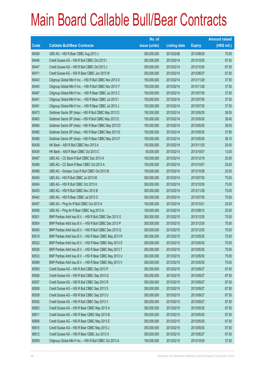|       |                                                          | No. of        |                     |               | <b>Amount raised</b> |
|-------|----------------------------------------------------------|---------------|---------------------|---------------|----------------------|
| Code  | <b>Callable Bull/Bear Contracts</b>                      | issue (units) | <b>Listing date</b> | <b>Expiry</b> | $(HK$$ mil.)         |
| 60408 | UBS AG - HSI R Bear CBBC Aug 2013 J                      | 300,000,000   | 2013/02/08          | 2013/08/29    | 75.00                |
| 60446 | Credit Suisse AG - HSI R Bull CBBC Oct 2013 I            | 350,000,000   | 2013/02/14          | 2013/10/30    | 87.50                |
| 60447 | Credit Suisse AG - HSI R Bull CBBC Oct 2013 J            | 350,000,000   | 2013/02/14          | 2013/10/30    | 87.50                |
| 60471 | Credit Suisse AG - HSI R Bear CBBC Jun 2013 W            | 350,000,000   | 2013/02/14          | 2013/06/27    | 87.50                |
| 60443 | Citigroup Global Mkt H Inc. - HSI R Bull CBBC Nov 2013 X | 150,000,000   | 2013/02/14          | 2013/11/28    | 37.50                |
| 60445 | Citigroup Global Mkt H Inc. - HSI R Bull CBBC Nov 2013 Y | 150,000,000   | 2013/02/14          | 2013/11/28    | 37.50                |
| 60487 | Citigroup Global Mkt H Inc. - HSI R Bear CBBC Jul 2013 C | 150,000,000   | 2013/02/14          | 2013/07/30    | 37.50                |
| 60441 | Citigroup Global Mkt H Inc. - HSI R Bear CBBC Jul 2013 I | 150,000,000   | 2013/02/14          | 2013/07/30    | 37.50                |
| 60491 | Citigroup Global Mkt H Inc. - HSI R Bear CBBC Jul 2013 J | 150,000,000   | 2013/02/14          | 2013/07/30    | 37.50                |
| 60472 | Goldman Sachs SP (Asia) - HSI R Bull CBBC May 2013 D     | 150,000,000   | 2013/02/14          | 2013/05/30    | 38.55                |
| 60483 | Goldman Sachs SP (Asia) - HSI R Bull CBBC May 2013 E     | 150,000,000   | 2013/02/14          | 2013/05/30    | 38.40                |
| 60484 | Goldman Sachs SP (Asia) - HSI R Bear CBBC May 2013 D     | 150,000,000   | 2013/02/14          | 2013/05/30    | 38.55                |
| 60485 | Goldman Sachs SP (Asia) - HSI R Bear CBBC May 2013 E     | 150,000,000   | 2013/02/14          | 2013/05/30    | 37.80                |
| 60486 | Goldman Sachs SP (Asia) - HSI R Bear CBBC May 2013 F     | 150,000,000   | 2013/02/14          | 2013/05/30    | 38.10                |
| 60438 | HK Bank - A50 R Bull CBBC Nov 2013 A                     | 100,000,000   | 2013/02/14          | 2013/11/25    | 25.00                |
| 60439 | HK Bank - A50 R Bear CBBC Oct 2013 C                     | 50,000,000    | 2013/02/14          | 2013/10/07    | 13.00                |
| 60467 | UBS AG - CC Bank R Bull CBBC Dec 2013 A                  | 100,000,000   | 2013/02/14          | 2013/12/16    | 25.00                |
| 60466 | UBS AG - CC Bank R Bear CBBC Oct 2013 A                  | 100,000,000   | 2013/02/14          | 2013/10/07    | 25.00                |
| 60469 | UBS AG - Sinopec Corp R Bull CBBC Oct 2013 B             | 100,000,000   | 2013/02/14          | 2013/10/28    | 25.00                |
| 60455 | UBS AG - HSI R Bull CBBC Jul 2013 M                      | 300,000,000   | 2013/02/14          | 2013/07/30    | 75.00                |
| 60454 | UBS AG - HSI R Bull CBBC Oct 2013 K                      | 300,000,000   | 2013/02/14          | 2013/10/30    | 75.00                |
| 60453 | UBS AG - HSI R Bull CBBC Nov 2013 B                      | 300,000,000   | 2013/02/14          | 2013/11/28    | 75.00                |
| 60442 | UBS AG - HSI R Bear CBBC Jul 2013 O                      | 300,000,000   | 2013/02/14          | 2013/07/30    | 75.00                |
| 60457 | UBS AG - Ping An R Bull CBBC Oct 2013 A                  | 100,000,000   | 2013/02/14          | 2013/10/21    | 25.00                |
| 60456 | UBS AG - Ping An R Bear CBBC Aug 2013 A                  | 100,000,000   | 2013/02/14          | 2013/08/12    | 25.00                |
| 60501 | BNP Paribas Arbit Issu B.V. - HSI R Bull CBBC Dec 2013 O | 300,000,000   | 2013/02/15          | 2013/12/30    | 75.00                |
| 60504 | BNP Paribas Arbit Issu B.V. - HSI R Bull CBBC Dec 2013 P | 300,000,000   | 2013/02/15          | 2013/12/30    | 75.00                |
| 60540 | BNP Paribas Arbit Issu B.V. - HSI R Bull CBBC Dec 2013 Q | 300,000,000   | 2013/02/15          | 2013/12/30    | 75.00                |
| 60519 | BNP Paribas Arbit Issu B.V. - HSI R Bear CBBC May 2013 R | 300,000,000   | 2013/02/15          | 2013/05/30    | 75.00                |
| 60522 | BNP Paribas Arbit Issu B.V. - HSI R Bear CBBC May 2013 S | 300,000,000   | 2013/02/15          | 2013/05/30    | 75.00                |
| 60526 | BNP Paribas Arbit Issu B.V. - HSI R Bear CBBC May 2013 T | 300,000,000   | 2013/02/15          | 2013/05/30    | 75.00                |
| 60533 | BNP Paribas Arbit Issu B.V. - HSI R Bear CBBC May 2013 U | 300,000,000   | 2013/02/15          | 2013/05/30    | 75.00                |
| 60599 | BNP Paribas Arbit Issu B.V. - HSI R Bear CBBC May 2013 V | 300,000,000   | 2013/02/15          | 2013/05/30    | 75.00                |
| 60505 | Credit Suisse AG - HSI R Bull CBBC Sep 2013 P            | 350,000,000   | 2013/02/15          | 2013/09/27    | 87.50                |
| 60506 | Credit Suisse AG - HSI R Bull CBBC Sep 2013 Q            | 350,000,000   | 2013/02/15          | 2013/09/27    | 87.50                |
| 60507 | Credit Suisse AG - HSI R Bull CBBC Sep 2013 R            | 350,000,000   | 2013/02/15          | 2013/09/27    | 87.50                |
| 60508 | Credit Suisse AG - HSI R Bull CBBC Sep 2013 S            | 350,000,000   | 2013/02/15          | 2013/09/27    | 87.50                |
| 60539 | Credit Suisse AG - HSI R Bull CBBC Sep 2013 U            | 350,000,000   | 2013/02/15          | 2013/09/27    | 87.50                |
| 60542 | Credit Suisse AG - HSI R Bull CBBC Sep 2013 V            | 350,000,000   | 2013/02/15          | 2013/09/27    | 87.50                |
| 60602 | Credit Suisse AG - HSI R Bear CBBC May 2013 A            | 350,000,000   | 2013/02/15          | 2013/05/30    | 87.50                |
| 60611 | Credit Suisse AG - HSI R Bear CBBC May 2013 B            | 350,000,000   | 2013/02/15          | 2013/05/30    | 87.50                |
| 60606 | Credit Suisse AG - HSI R Bear CBBC May 2013 E            | 350,000,000   | 2013/02/15          | 2013/05/30    | 87.50                |
| 60610 | Credit Suisse AG - HSI R Bear CBBC May 2013 J            | 350,000,000   | 2013/02/15          | 2013/05/30    | 87.50                |
| 60612 | Credit Suisse AG - HSI R Bear CBBC Jun 2013 X            | 350,000,000   | 2013/02/15          | 2013/06/27    | 87.50                |
| 60509 | Citigroup Global Mkt H Inc. - HSI R Bull CBBC Oct 2013 A | 150,000,000   | 2013/02/15          | 2013/10/30    | 37.50                |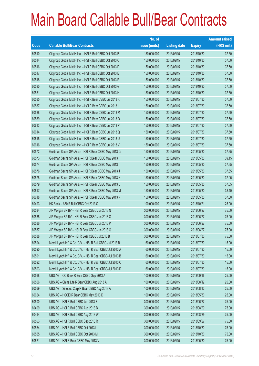|       |                                                             | No. of        |                     |               | <b>Amount raised</b> |
|-------|-------------------------------------------------------------|---------------|---------------------|---------------|----------------------|
| Code  | <b>Callable Bull/Bear Contracts</b>                         | issue (units) | <b>Listing date</b> | <b>Expiry</b> | (HK\$ mil.)          |
| 60510 | Citigroup Global Mkt H Inc. - HSI R Bull CBBC Oct 2013 B    | 150,000,000   | 2013/02/15          | 2013/10/30    | 37.50                |
| 60514 | Citigroup Global Mkt H Inc. - HSI R Bull CBBC Oct 2013 C    | 150,000,000   | 2013/02/15          | 2013/10/30    | 37.50                |
| 60516 | Citigroup Global Mkt H Inc. - HSI R Bull CBBC Oct 2013 D    | 150,000,000   | 2013/02/15          | 2013/10/30    | 37.50                |
| 60517 | Citigroup Global Mkt H Inc. - HSI R Bull CBBC Oct 2013 E    | 150,000,000   | 2013/02/15          | 2013/10/30    | 37.50                |
| 60518 | Citigroup Global Mkt H Inc. - HSI R Bull CBBC Oct 2013 F    | 150,000,000   | 2013/02/15          | 2013/10/30    | 37.50                |
| 60580 | Citigroup Global Mkt H Inc. - HSI R Bull CBBC Oct 2013 G    | 150,000,000   | 2013/02/15          | 2013/10/30    | 37.50                |
| 60581 | Citigroup Global Mkt H Inc. - HSI R Bull CBBC Oct 2013 H    | 150,000,000   | 2013/02/15          | 2013/10/30    | 37.50                |
| 60585 | Citigroup Global Mkt H Inc. - HSI R Bear CBBC Jul 2013 K    | 150,000,000   | 2013/02/15          | 2013/07/30    | 37.50                |
| 60587 | Citigroup Global Mkt H Inc. - HSI R Bear CBBC Jul 2013 L    | 150,000,000   | 2013/02/15          | 2013/07/30    | 37.50                |
| 60588 | Citigroup Global Mkt H Inc. - HSI R Bear CBBC Jul 2013 M    | 150,000,000   | 2013/02/15          | 2013/07/30    | 37.50                |
| 60589 | Citigroup Global Mkt H Inc. - HSI R Bear CBBC Jul 2013 O    | 150,000,000   | 2013/02/15          | 2013/07/30    | 37.50                |
| 60613 | Citigroup Global Mkt H Inc. - HSI R Bear CBBC Jul 2013 P    | 150,000,000   | 2013/02/15          | 2013/07/30    | 37.50                |
| 60614 | Citigroup Global Mkt H Inc. - HSI R Bear CBBC Jul 2013 Q    | 150,000,000   | 2013/02/15          | 2013/07/30    | 37.50                |
| 60615 | Citigroup Global Mkt H Inc. - HSI R Bear CBBC Jul 2013 U    | 150,000,000   | 2013/02/15          | 2013/07/30    | 37.50                |
| 60616 | Citigroup Global Mkt H Inc. - HSI R Bear CBBC Jul 2013 V    | 150,000,000   | 2013/02/15          | 2013/07/30    | 37.50                |
| 60572 | Goldman Sachs SP (Asia) - HSI R Bear CBBC May 2013 G        | 150,000,000   | 2013/02/15          | 2013/05/30    | 37.65                |
| 60573 | Goldman Sachs SP (Asia) - HSI R Bear CBBC May 2013 H        | 150,000,000   | 2013/02/15          | 2013/05/30    | 39.15                |
| 60574 | Goldman Sachs SP (Asia) - HSI R Bear CBBC May 2013 I        | 150,000,000   | 2013/02/15          | 2013/05/30    | 37.65                |
| 60576 | Goldman Sachs SP (Asia) - HSI R Bear CBBC May 2013 J        | 150,000,000   | 2013/02/15          | 2013/05/30    | 37.65                |
| 60578 | Goldman Sachs SP (Asia) - HSI R Bear CBBC May 2013 K        | 150,000,000   | 2013/02/15          | 2013/05/30    | 37.95                |
| 60579 | Goldman Sachs SP (Asia) - HSI R Bear CBBC May 2013 L        | 150,000,000   | 2013/02/15          | 2013/05/30    | 37.65                |
| 60617 | Goldman Sachs SP (Asia) - HSI R Bear CBBC May 2013 M        | 150,000,000   | 2013/02/15          | 2013/05/30    | 38.40                |
| 60618 | Goldman Sachs SP (Asia) - HSI R Bear CBBC May 2013 N        | 150,000,000   | 2013/02/15          | 2013/05/30    | 37.80                |
| 60493 | HK Bank - A50 R Bull CBBC Oct 2013 C                        | 100,000,000   | 2013/02/15          | 2013/10/21    | 25.00                |
| 60534 | J P Morgan SP BV - HSI R Bear CBBC Jun 2013 N               | 300,000,000   | 2013/02/15          | 2013/06/27    | 75.00                |
| 60535 | J P Morgan SP BV - HSI R Bear CBBC Jun 2013 O               | 300,000,000   | 2013/02/15          | 2013/06/27    | 75.00                |
| 60536 | J P Morgan SP BV - HSI R Bear CBBC Jun 2013 P               | 300,000,000   | 2013/02/15          | 2013/06/27    | 75.00                |
| 60537 | J P Morgan SP BV - HSI R Bear CBBC Jun 2013 Q               | 300,000,000   | 2013/02/15          | 2013/06/27    | 75.00                |
| 60538 | J P Morgan SP BV - HSI R Bear CBBC Jul 2013 B               | 300,000,000   | 2013/02/15          | 2013/07/30    | 75.00                |
| 60594 | Merrill Lynch Int'l & Co. C.V. - HSI R Bull CBBC Jul 2013 B | 60,000,000    | 2013/02/15          | 2013/07/30    | 15.00                |
| 60590 | Merrill Lynch Int'l & Co. C.V. - HSI R Bear CBBC Jul 2013 A | 60,000,000    | 2013/02/15          | 2013/07/30    | 15.00                |
| 60591 | Merrill Lynch Int'l & Co. C.V. - HSI R Bear CBBC Jul 2013 B | 60,000,000    | 2013/02/15          | 2013/07/30    | 15.00                |
| 60592 | Merrill Lynch Int'l & Co. C.V. - HSI R Bear CBBC Jul 2013 C | 60,000,000    | 2013/02/15          | 2013/07/30    | 15.00                |
| 60593 | Merrill Lynch Int'l & Co. C.V. - HSI R Bear CBBC Jul 2013 D | 60,000,000    | 2013/02/15          | 2013/07/30    | 15.00                |
| 60568 | UBS AG - CC Bank R Bear CBBC Sep 2013 A                     | 100,000,000   | 2013/02/15          | 2013/09/16    | 25.00                |
| 60556 | UBS AG - China Life R Bear CBBC Aug 2013 A                  | 100,000,000   | 2013/02/15          | 2013/08/12    | 25.00                |
| 60569 | UBS AG - Sinopec Corp R Bear CBBC Aug 2013 A                | 100,000,000   | 2013/02/15          | 2013/08/12    | 25.00                |
| 60624 | UBS AG - HSCEIR Bear CBBC May 2013 D                        | 100,000,000   | 2013/02/15          | 2013/05/30    | 25.00                |
| 60500 | UBS AG - HSI R Bull CBBC Jun 2013 E                         | 300,000,000   | 2013/02/15          | 2013/06/27    | 75.00                |
| 60499 | UBS AG - HSI R Bull CBBC Aug 2013 B                         | 300,000,000   | 2013/02/15          | 2013/08/29    | 75.00                |
| 60494 | UBS AG - HSI R Bull CBBC Aug 2013 W                         | 300,000,000   | 2013/02/15          | 2013/08/29    | 75.00                |
| 60553 | UBS AG - HSI R Bull CBBC Sep 2013 R                         | 300,000,000   | 2013/02/15          | 2013/09/27    | 75.00                |
| 60554 | UBS AG - HSI R Bull CBBC Oct 2013 L                         | 300,000,000   | 2013/02/15          | 2013/10/30    | 75.00                |
| 60555 | UBS AG - HSI R Bull CBBC Oct 2013 M                         | 300,000,000   | 2013/02/15          | 2013/10/30    | 75.00                |
| 60621 | UBS AG - HSI R Bear CBBC May 2013 V                         | 300,000,000   | 2013/02/15          | 2013/05/30    | 75.00                |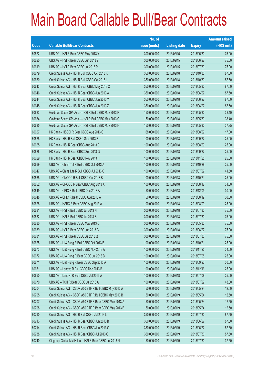|                          |                                                          | No. of        |                     |               | <b>Amount raised</b> |
|--------------------------|----------------------------------------------------------|---------------|---------------------|---------------|----------------------|
| $\overline{\text{Code}}$ | <b>Callable Bull/Bear Contracts</b>                      | issue (units) | <b>Listing date</b> | <b>Expiry</b> | $(HK$$ mil.)         |
| 60622                    | UBS AG - HSI R Bear CBBC May 2013 Y                      | 300,000,000   | 2013/02/15          | 2013/05/30    | 75.00                |
| 60620                    | UBS AG - HSI R Bear CBBC Jun 2013 Z                      | 300,000,000   | 2013/02/15          | 2013/06/27    | 75.00                |
| 60619                    | UBS AG - HSI R Bear CBBC Jul 2013 P                      | 300,000,000   | 2013/02/15          | 2013/07/30    | 75.00                |
| 60679                    | Credit Suisse AG - HSI R Bull CBBC Oct 2013 K            | 350,000,000   | 2013/02/18          | 2013/10/30    | 87.50                |
| 60680                    | Credit Suisse AG - HSI R Bull CBBC Oct 2013 L            | 350,000,000   | 2013/02/18          | 2013/10/30    | 87.50                |
| 60643                    | Credit Suisse AG - HSI R Bear CBBC May 2013 C            | 350,000,000   | 2013/02/18          | 2013/05/30    | 87.50                |
| 60646                    | Credit Suisse AG - HSI R Bear CBBC Jun 2013 A            | 350,000,000   | 2013/02/18          | 2013/06/27    | 87.50                |
| 60644                    | Credit Suisse AG - HSI R Bear CBBC Jun 2013 Y            | 350,000,000   | 2013/02/18          | 2013/06/27    | 87.50                |
| 60645                    | Credit Suisse AG - HSI R Bear CBBC Jun 2013 Z            | 350,000,000   | 2013/02/18          | 2013/06/27    | 87.50                |
| 60683                    | Goldman Sachs SP (Asia) - HSI R Bull CBBC May 2013 F     | 150,000,000   | 2013/02/18          | 2013/05/30    | 38.40                |
| 60684                    | Goldman Sachs SP (Asia) - HSI R Bull CBBC May 2013 G     | 150,000,000   | 2013/02/18          | 2013/05/30    | 38.40                |
| 60685                    | Goldman Sachs SP (Asia) - HSI R Bull CBBC May 2013 H     | 150,000,000   | 2013/02/18          | 2013/05/30    | 37.95                |
| 60627                    | HK Bank - HSCEI R Bear CBBC Aug 2013 C                   | 68,000,000    | 2013/02/18          | 2013/08/29    | 17.00                |
| 60628                    | HK Bank - HSI R Bull CBBC Sep 2013 F                     | 100,000,000   | 2013/02/18          | 2013/09/27    | 25.00                |
| 60625                    | HK Bank - HSI R Bear CBBC Aug 2013 E                     | 100,000,000   | 2013/02/18          | 2013/08/29    | 25.00                |
| 60626                    | HK Bank - HSI R Bear CBBC Sep 2013 G                     | 100,000,000   | 2013/02/18          | 2013/09/27    | 25.00                |
| 60629                    | HK Bank - HSI R Bear CBBC Nov 2013 H                     | 100,000,000   | 2013/02/18          | 2013/11/28    | 25.00                |
| 60669                    | UBS AG - China Tel R Bull CBBC Oct 2013 A                | 100,000,000   | 2013/02/18          | 2013/10/28    | 25.00                |
| 60647                    | UBS AG - China Life R Bull CBBC Jul 2013 C               | 100,000,000   | 2013/02/18          | 2013/07/22    | 41.50                |
| 60668                    | UBS AG - CNOOC R Bull CBBC Oct 2013 B                    | 100,000,000   | 2013/02/18          | 2013/10/21    | 25.00                |
| 60652                    | UBS AG - CNOOC R Bear CBBC Aug 2013 A                    | 100,000,000   | 2013/02/18          | 2013/08/12    | 31.50                |
| 60649                    | UBS AG - CPIC R Bull CBBC Dec 2013 A                     | 50,000,000    | 2013/02/18          | 2013/12/09    | 30.00                |
| 60648                    | UBS AG - CPIC R Bear CBBC Aug 2013 A                     | 50,000,000    | 2013/02/18          | 2013/08/19    | 30.50                |
| 60678                    | UBS AG - HSBC R Bear CBBC Aug 2013 A                     | 100,000,000   | 2013/02/18          | 2013/08/09    | 25.00                |
| 60681                    | UBS AG - HSI R Bull CBBC Jul 2013 N                      | 300,000,000   | 2013/02/18          | 2013/07/30    | 75.00                |
| 60682                    | UBS AG - HSI R Bull CBBC Jul 2013 S                      | 300,000,000   | 2013/02/18          | 2013/07/30    | 75.00                |
| 60630                    | UBS AG - HSI R Bear CBBC May 2013 C                      | 300,000,000   | 2013/02/18          | 2013/05/30    | 75.00                |
| 60639                    | UBS AG - HSI R Bear CBBC Jun 2013 C                      | 300,000,000   | 2013/02/18          | 2013/06/27    | 75.00                |
| 60631                    | UBS AG - HSI R Bear CBBC Jul 2013 Q                      | 300,000,000   | 2013/02/18          | 2013/07/30    | 75.00                |
| 60675                    | UBS AG - Li & Fung R Bull CBBC Oct 2013 B                | 100,000,000   | 2013/02/18          | 2013/10/21    | 25.00                |
| 60673                    | UBS AG - Li & Fung R Bull CBBC Nov 2013 A                | 100,000,000   | 2013/02/18          | 2013/11/25    | 34.00                |
| 60672                    | UBS AG - Li & Fung R Bear CBBC Jul 2013 B                | 100,000,000   | 2013/02/18          | 2013/07/08    | 25.00                |
| 60671                    | UBS AG - Li & Fung R Bear CBBC Sep 2013 A                | 100,000,000   | 2013/02/18          | 2013/09/23    | 30.00                |
| 60651                    | UBS AG - Lenovo R Bull CBBC Dec 2013 B                   | 100,000,000   | 2013/02/18          | 2013/12/16    | 25.00                |
| 60650                    | UBS AG - Lenovo R Bear CBBC Jul 2013 A                   | 100,000,000   | 2013/02/18          | 2013/07/08    | 25.00                |
| 60670                    | UBS AG - TCH R Bear CBBC Jul 2013 A                      | 100,000,000   | 2013/02/18          | 2013/07/29    | 43.00                |
| 60704                    | Credit Suisse AG - CSOP A50 ETF R Bull CBBC May 2013 A   | 50,000,000    | 2013/02/19          | 2013/05/24    | 12.50                |
| 60705                    | Credit Suisse AG - CSOP A50 ETF R Bull CBBC May 2013 B   | 50,000,000    | 2013/02/19          | 2013/05/24    | 12.50                |
| 60707                    | Credit Suisse AG - CSOP A50 ETF R Bear CBBC May 2013 A   | 50,000,000    | 2013/02/19          | 2013/05/24    | 12.50                |
| 60708                    | Credit Suisse AG - CSOP A50 ETF R Bear CBBC May 2013 B   | 50,000,000    | 2013/02/19          | 2013/05/24    | 12.50                |
| 60710                    | Credit Suisse AG - HSI R Bull CBBC Jul 2013 L            | 350,000,000   | 2013/02/19          | 2013/07/30    | 87.50                |
| 60713                    | Credit Suisse AG - HSI R Bear CBBC Jun 2013 B            | 350,000,000   | 2013/02/19          | 2013/06/27    | 87.50                |
| 60714                    | Credit Suisse AG - HSI R Bear CBBC Jun 2013 C            | 350,000,000   | 2013/02/19          | 2013/06/27    | 87.50                |
| 60738                    | Credit Suisse AG - HSI R Bear CBBC Jul 2013 Q            | 350,000,000   | 2013/02/19          | 2013/07/30    | 87.50                |
| 60740                    | Citigroup Global Mkt H Inc. - HSI R Bear CBBC Jul 2013 N | 150,000,000   | 2013/02/19          | 2013/07/30    | 37.50                |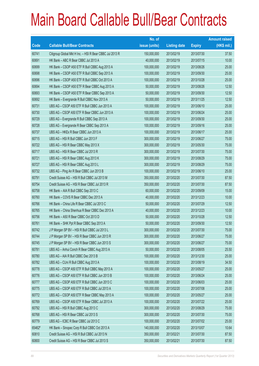|        |                                                          | No. of        |                     |               | <b>Amount raised</b> |
|--------|----------------------------------------------------------|---------------|---------------------|---------------|----------------------|
| Code   | <b>Callable Bull/Bear Contracts</b>                      | issue (units) | <b>Listing date</b> | <b>Expiry</b> | $(HK$$ mil.)         |
| 60741  | Citigroup Global Mkt H Inc. - HSI R Bear CBBC Jul 2013 R | 150,000,000   | 2013/02/19          | 2013/07/30    | 37.50                |
| 60691  | HK Bank - ABC R Bear CBBC Jul 2013 A                     | 40,000,000    | 2013/02/19          | 2013/07/15    | 10.00                |
| 60699  | HK Bank - CSOP A50 ETF R Bull CBBC Aug 2013 A            | 100,000,000   | 2013/02/19          | 2013/08/26    | 25.00                |
| 60698  | HK Bank - CSOP A50 ETF R Bull CBBC Sep 2013 A            | 100,000,000   | 2013/02/19          | 2013/09/30    | 25.00                |
| 60696  | HK Bank - CSOP A50 ETF R Bull CBBC Oct 2013 A            | 100,000,000   | 2013/02/19          | 2013/10/28    | 25.00                |
| 60694  | HK Bank - CSOP A50 ETF R Bear CBBC Aug 2013 A            | 50,000,000    | 2013/02/19          | 2013/08/26    | 12.50                |
| 60693  | HK Bank - CSOP A50 ETF R Bear CBBC Sep 2013 A            | 50,000,000    | 2013/02/19          | 2013/09/30    | 12.50                |
| 60692  | HK Bank - Evergrande R Bull CBBC Nov 2013 A              | 50,000,000    | 2013/02/19          | 2013/11/25    | 12.50                |
| 60731  | UBS AG - CSOP A50 ETF R Bull CBBC Jun 2013 A             | 100,000,000   | 2013/02/19          | 2013/06/10    | 25.00                |
| 60730  | UBS AG - CSOP A50 ETF R Bear CBBC Jun 2013 A             | 100,000,000   | 2013/02/19          | 2013/06/24    | 25.00                |
| 60729  | UBS AG - Evergrande R Bull CBBC Sep 2013 A               | 100,000,000   | 2013/02/19          | 2013/09/30    | 25.00                |
| 60728  | UBS AG - Evergrande R Bear CBBC Sep 2013 A               | 100,000,000   | 2013/02/19          | 2013/09/16    | 25.00                |
| 60737  | UBS AG - HKEx R Bear CBBC Jun 2013 A                     | 100,000,000   | 2013/02/19          | 2013/06/17    | 25.00                |
| 60715  | UBS AG - HSI R Bull CBBC Jun 2013 F                      | 300,000,000   | 2013/02/19          | 2013/06/27    | 75.00                |
| 60722  | UBS AG - HSI R Bear CBBC May 2013 X                      | 300,000,000   | 2013/02/19          | 2013/05/30    | 75.00                |
| 60717  | UBS AG - HSI R Bear CBBC Jul 2013 R                      | 300,000,000   | 2013/02/19          | 2013/07/30    | 75.00                |
| 60721  | UBS AG - HSI R Bear CBBC Aug 2013 K                      | 300,000,000   | 2013/02/19          | 2013/08/29    | 75.00                |
| 60727  | UBS AG - HSI R Bear CBBC Aug 2013 L                      | 300,000,000   | 2013/02/19          | 2013/08/29    | 75.00                |
| 60732  | UBS AG - Ping An R Bear CBBC Jun 2013 B                  | 100,000,000   | 2013/02/19          | 2013/06/10    | 25.00                |
| 60791  | Credit Suisse AG - HSI R Bull CBBC Jul 2013 M            | 350,000,000   | 2013/02/20          | 2013/07/30    | 87.50                |
| 60754  | Credit Suisse AG - HSI R Bear CBBC Jul 2013 R            | 350,000,000   | 2013/02/20          | 2013/07/30    | 87.50                |
| 60758  | HK Bank - AIA R Bull CBBC Sep 2013 C                     | 60,000,000    | 2013/02/20          | 2013/09/09    | 15.00                |
| 60760  | HK Bank - COVS R Bear CBBC Dec 2013 A                    | 40,000,000    | 2013/02/20          | 2013/12/23    | 10.00                |
| 60766  | HK Bank - China Life R Bear CBBC Jul 2013 C              | 50,000,000    | 2013/02/20          | 2013/07/29    | 12.50                |
| 60765  | HK Bank - China Shenhua R Bear CBBC Dec 2013 A           | 40,000,000    | 2013/02/20          | 2013/12/23    | 10.00                |
| 60756  | HK Bank - A50 R Bear CBBC Oct 2013 D                     | 50,000,000    | 2013/02/20          | 2013/10/28    | 12.50                |
| 60761  | HK Bank - SHK Ppt R Bear CBBC Sep 2013 A                 | 50,000,000    | 2013/02/20          | 2013/09/30    | 12.50                |
| 60742  | J P Morgan SP BV - HSI R Bull CBBC Jul 2013 L            | 300,000,000   | 2013/02/20          | 2013/07/30    | 75.00                |
| 60744  | J P Morgan SP BV - HSI R Bear CBBC Jun 2013 R            | 300,000,000   | 2013/02/20          | 2013/06/27    | 75.00                |
| 60745  | J P Morgan SP BV - HSI R Bear CBBC Jun 2013 S            | 300,000,000   | 2013/02/20          | 2013/06/27    | 75.00                |
| 60781  | UBS AG - Anhui Conch R Bear CBBC Aug 2013 A              | 50,000,000    | 2013/02/20          | 2013/08/05    | 25.50                |
| 60780  | UBS AG - AIA R Bull CBBC Dec 2013 B                      | 100,000,000   | 2013/02/20          | 2013/12/30    | 25.00                |
| 60782  | UBS AG - CUni R Bull CBBC Aug 2013 A                     | 100,000,000   | 2013/02/20          | 2013/08/19    | 34.50                |
| 60778  | UBS AG - CSOP A50 ETF R Bull CBBC May 2013 A             | 100,000,000   | 2013/02/20          | 2013/05/27    | 25.00                |
| 60776  | UBS AG - CSOP A50 ETF R Bull CBBC Jun 2013 B             | 100,000,000   | 2013/02/20          | 2013/06/24    | 25.00                |
| 60777  | UBS AG - CSOP A50 ETF R Bull CBBC Jun 2013 C             | 100,000,000   | 2013/02/20          | 2013/06/03    | 25.00                |
| 60775  | UBS AG - CSOP A50 ETF R Bull CBBC Jul 2013 A             | 100,000,000   | 2013/02/20          | 2013/07/08    | 25.00                |
| 60772  | UBS AG - CSOP A50 ETF R Bear CBBC May 2013 A             | 100,000,000   | 2013/02/20          | 2013/05/27    | 25.00                |
| 60769  | UBS AG - CSOP A50 ETF R Bear CBBC Jul 2013 A             | 100,000,000   | 2013/02/20          | 2013/07/22    | 25.00                |
| 60792  | UBS AG - HSI R Bull CBBC Aug 2013 C                      | 300,000,000   | 2013/02/20          | 2013/08/29    | 75.00                |
| 60768  | UBS AG - HSI R Bear CBBC Jul 2013 S                      | 300,000,000   | 2013/02/20          | 2013/07/30    | 75.00                |
| 60779  | UBS AG - ICBC R Bear CBBC Jul 2013 C                     | 100,000,000   | 2013/02/20          | 2013/07/02    | 25.00                |
| 65462# | HK Bank - Sinopec Corp R Bull CBBC Oct 2013 A            | 140,000,000   | 2013/02/20          | 2013/10/07    | 10.64                |
| 60810  | Credit Suisse AG - HSI R Bull CBBC Jul 2013 N            | 350,000,000   | 2013/02/21          | 2013/07/30    | 87.50                |
| 60800  | Credit Suisse AG - HSI R Bear CBBC Jul 2013 S            | 350,000,000   | 2013/02/21          | 2013/07/30    | 87.50                |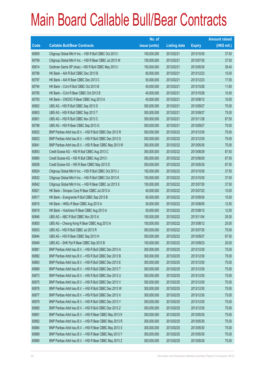|       |                                                          | No. of        |                     |               | <b>Amount raised</b> |
|-------|----------------------------------------------------------|---------------|---------------------|---------------|----------------------|
| Code  | <b>Callable Bull/Bear Contracts</b>                      | issue (units) | <b>Listing date</b> | <b>Expiry</b> | (HK\$ mil.)          |
| 60809 | Citigroup Global Mkt H Inc. - HSI R Bull CBBC Oct 2013 I | 150,000,000   | 2013/02/21          | 2013/10/30    | 37.50                |
| 60799 | Citigroup Global Mkt H Inc. - HSI R Bear CBBC Jul 2013 W | 150,000,000   | 2013/02/21          | 2013/07/30    | 37.50                |
| 60814 | Goldman Sachs SP (Asia) - HSI R Bull CBBC May 2013 I     | 150,000,000   | 2013/02/21          | 2013/05/30    | 38.40                |
| 60796 | HK Bank - AIA R Bull CBBC Dec 2013 B                     | 60,000,000    | 2013/02/21          | 2013/12/23    | 15.00                |
| 60797 | HK Bank - AIA R Bear CBBC Dec 2013 C                     | 50,000,000    | 2013/02/21          | 2013/12/23    | 17.50                |
| 60794 | HK Bank - CUni R Bull CBBC Oct 2013 B                    | 40,000,000    | 2013/02/21          | 2013/10/28    | 11.60                |
| 60795 | HK Bank - CUni R Bear CBBC Oct 2013 B                    | 40,000,000    | 2013/02/21          | 2013/10/28    | 10.00                |
| 60793 | HK Bank - CNOOC R Bear CBBC Aug 2013 A                   | 40,000,000    | 2013/02/21          | 2013/08/12    | 10.00                |
| 60802 | UBS AG - HSI R Bull CBBC Sep 2013 S                      | 300,000,000   | 2013/02/21          | 2013/09/27    | 75.00                |
| 60803 | UBS AG - HSI R Bull CBBC Sep 2013 T                      | 300,000,000   | 2013/02/21          | 2013/09/27    | 75.00                |
| 60801 | UBS AG - HSI R Bull CBBC Nov 2013 C                      | 350,000,000   | 2013/02/21          | 2013/11/28    | 87.50                |
| 60798 | UBS AG - HSI R Bear CBBC Sep 2013 G                      | 300,000,000   | 2013/02/21          | 2013/09/27    | 75.00                |
| 60822 | BNP Paribas Arbit Issu B.V. - HSI R Bull CBBC Dec 2013 R | 300,000,000   | 2013/02/22          | 2013/12/30    | 75.00                |
| 60823 | BNP Paribas Arbit Issu B.V. - HSI R Bull CBBC Dec 2013 S | 300,000,000   | 2013/02/22          | 2013/12/30    | 75.00                |
| 60841 | BNP Paribas Arbit Issu B.V. - HSI R Bear CBBC May 2013 W | 300,000,000   | 2013/02/22          | 2013/05/30    | 75.00                |
| 60853 | Credit Suisse AG - HSI R Bull CBBC Aug 2013 C            | 350,000,000   | 2013/02/22          | 2013/08/29    | 87.50                |
| 60860 | Credit Suisse AG - HSI R Bull CBBC Aug 2013 I            | 350,000,000   | 2013/02/22          | 2013/08/29    | 87.50                |
| 60836 | Credit Suisse AG - HSI R Bear CBBC May 2013 D            | 350,000,000   | 2013/02/22          | 2013/05/30    | 87.50                |
| 60824 | Citigroup Global Mkt H Inc. - HSI R Bull CBBC Oct 2013 J | 150,000,000   | 2013/02/22          | 2013/10/30    | 37.50                |
| 60832 | Citigroup Global Mkt H Inc. - HSI R Bull CBBC Oct 2013 K | 150,000,000   | 2013/02/22          | 2013/10/30    | 37.50                |
| 60842 | Citigroup Global Mkt H Inc. - HSI R Bear CBBC Jul 2013 X | 150,000,000   | 2013/02/22          | 2013/07/30    | 37.50                |
| 60821 | HK Bank - Sinopec Corp R Bear CBBC Jul 2013 A            | 40,000,000    | 2013/02/22          | 2013/07/22    | 10.00                |
| 60817 | HK Bank - Evergrande R Bull CBBC Sep 2013 B              | 60,000,000    | 2013/02/22          | 2013/09/30    | 15.00                |
| 60815 | HK Bank - HKEx R Bear CBBC Aug 2013 A                    | 50,000,000    | 2013/02/22          | 2013/08/05    | 12.50                |
| 60819 | HK Bank - Hutchison R Bear CBBC Aug 2013 A               | 50,000,000    | 2013/02/22          | 2013/08/12    | 12.50                |
| 60846 | UBS AG - ABC R Bull CBBC Nov 2013 A                      | 100,000,000   | 2013/02/22          | 2013/11/04    | 25.00                |
| 60850 | UBS AG - Cheung Kong R Bear CBBC Aug 2013 A              | 100,000,000   | 2013/02/22          | 2013/08/12    | 25.00                |
| 60833 | UBS AG - HSI R Bull CBBC Jul 2013 R                      | 300,000,000   | 2013/02/22          | 2013/07/30    | 75.00                |
| 60844 | UBS AG - HSI R Bear CBBC Sep 2013 H                      | 350,000,000   | 2013/02/22          | 2013/09/27    | 87.50                |
| 60849 | UBS AG - SHK Ppt R Bear CBBC Sep 2013 B                  | 100,000,000   | 2013/02/22          | 2013/09/23    | 25.00                |
| 60881 | BNP Paribas Arbit Issu B.V. - HSI R Bull CBBC Dec 2013 A | 300,000,000   | 2013/02/25          | 2013/12/30    | 75.00                |
| 60882 | BNP Paribas Arbit Issu B.V. - HSI R Bull CBBC Dec 2013 B | 300,000,000   | 2013/02/25          | 2013/12/30    | 75.00                |
| 60883 | BNP Paribas Arbit Issu B.V. - HSI R Bull CBBC Dec 2013 E | 300,000,000   | 2013/02/25          | 2013/12/30    | 75.00                |
| 60869 | BNP Paribas Arbit Issu B.V. - HSI R Bull CBBC Dec 2013 T | 300,000,000   | 2013/02/25          | 2013/12/30    | 75.00                |
| 60873 | BNP Paribas Arbit Issu B.V. - HSI R Bull CBBC Dec 2013 U | 300,000,000   | 2013/02/25          | 2013/12/30    | 75.00                |
| 60875 | BNP Paribas Arbit Issu B.V. - HSI R Bull CBBC Dec 2013 V | 300,000,000   | 2013/02/25          | 2013/12/30    | 75.00                |
| 60876 | BNP Paribas Arbit Issu B.V. - HSI R Bull CBBC Dec 2013 W | 300,000,000   | 2013/02/25          | 2013/12/30    | 75.00                |
| 60877 | BNP Paribas Arbit Issu B.V. - HSI R Bull CBBC Dec 2013 X | 300,000,000   | 2013/02/25          | 2013/12/30    | 75.00                |
| 60879 | BNP Paribas Arbit Issu B.V. - HSI R Bull CBBC Dec 2013 Y | 300,000,000   | 2013/02/25          | 2013/12/30    | 75.00                |
| 60880 | BNP Paribas Arbit Issu B.V. - HSI R Bull CBBC Dec 2013 Z | 300,000,000   | 2013/02/25          | 2013/12/30    | 75.00                |
| 60891 | BNP Paribas Arbit Issu B.V. - HSI R Bear CBBC May 2013 K | 300,000,000   | 2013/02/25          | 2013/05/30    | 75.00                |
| 60892 | BNP Paribas Arbit Issu B.V. - HSI R Bear CBBC May 2013 R | 300,000,000   | 2013/02/25          | 2013/05/30    | 75.00                |
| 60884 | BNP Paribas Arbit Issu B.V. - HSI R Bear CBBC May 2013 X | 300,000,000   | 2013/02/25          | 2013/05/30    | 75.00                |
| 60889 | BNP Paribas Arbit Issu B.V. - HSI R Bear CBBC May 2013 Y | 300,000,000   | 2013/02/25          | 2013/05/30    | 75.00                |
| 60890 | BNP Paribas Arbit Issu B.V. - HSI R Bear CBBC May 2013 Z | 300,000,000   | 2013/02/25          | 2013/05/30    | 75.00                |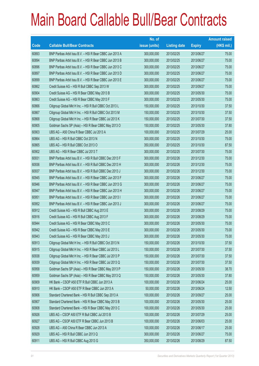|             |                                                          | No. of        |                     |               | <b>Amount raised</b> |
|-------------|----------------------------------------------------------|---------------|---------------------|---------------|----------------------|
| <b>Code</b> | <b>Callable Bull/Bear Contracts</b>                      | issue (units) | <b>Listing date</b> | <b>Expiry</b> | $(HK$$ mil.)         |
| 60893       | BNP Paribas Arbit Issu B.V. - HSI R Bear CBBC Jun 2013 A | 300,000,000   | 2013/02/25          | 2013/06/27    | 75.00                |
| 60894       | BNP Paribas Arbit Issu B.V. - HSI R Bear CBBC Jun 2013 B | 300,000,000   | 2013/02/25          | 2013/06/27    | 75.00                |
| 60896       | BNP Paribas Arbit Issu B.V. - HSI R Bear CBBC Jun 2013 C | 300,000,000   | 2013/02/25          | 2013/06/27    | 75.00                |
| 60897       | BNP Paribas Arbit Issu B.V. - HSI R Bear CBBC Jun 2013 D | 300,000,000   | 2013/02/25          | 2013/06/27    | 75.00                |
| 60899       | BNP Paribas Arbit Issu B.V. - HSI R Bear CBBC Jun 2013 E | 300,000,000   | 2013/02/25          | 2013/06/27    | 75.00                |
| 60862       | Credit Suisse AG - HSI R Bull CBBC Sep 2013 W            | 300,000,000   | 2013/02/25          | 2013/09/27    | 75.00                |
| 60904       | Credit Suisse AG - HSI R Bear CBBC May 2013 B            | 300,000,000   | 2013/02/25          | 2013/05/30    | 75.00                |
| 60863       | Credit Suisse AG - HSI R Bear CBBC May 2013 F            | 300,000,000   | 2013/02/25          | 2013/05/30    | 75.00                |
| 60866       | Citigroup Global Mkt H Inc. - HSI R Bull CBBC Oct 2013 L | 150,000,000   | 2013/02/25          | 2013/10/30    | 37.50                |
| 60867       | Citigroup Global Mkt H Inc. - HSI R Bull CBBC Oct 2013 M | 150,000,000   | 2013/02/25          | 2013/10/30    | 37.50                |
| 60868       | Citigroup Global Mkt H Inc. - HSI R Bear CBBC Jul 2013 K | 150,000,000   | 2013/02/25          | 2013/07/30    | 37.50                |
| 60905       | Goldman Sachs SP (Asia) - HSI R Bear CBBC May 2013 O     | 150,000,000   | 2013/02/25          | 2013/05/30    | 37.80                |
| 60903       | UBS AG - A50 China R Bear CBBC Jul 2013 A                | 100,000,000   | 2013/02/25          | 2013/07/29    | 25.00                |
| 60864       | UBS AG - HSI R Bull CBBC Oct 2013 N                      | 300,000,000   | 2013/02/25          | 2013/10/30    | 75.00                |
| 60865       | UBS AG - HSI R Bull CBBC Oct 2013 O                      | 350,000,000   | 2013/02/25          | 2013/10/30    | 87.50                |
| 60902       | UBS AG - HSI R Bear CBBC Jul 2013 T                      | 300,000,000   | 2013/02/25          | 2013/07/30    | 75.00                |
| 60931       | BNP Paribas Arbit Issu B.V. - HSI R Bull CBBC Dec 2013 F | 300,000,000   | 2013/02/26          | 2013/12/30    | 75.00                |
| 60936       | BNP Paribas Arbit Issu B.V. - HSI R Bull CBBC Dec 2013 H | 300,000,000   | 2013/02/26          | 2013/12/30    | 75.00                |
| 60937       | BNP Paribas Arbit Issu B.V. - HSI R Bull CBBC Dec 2013 J | 300,000,000   | 2013/02/26          | 2013/12/30    | 75.00                |
| 60945       | BNP Paribas Arbit Issu B.V. - HSI R Bear CBBC Jun 2013 F | 300,000,000   | 2013/02/26          | 2013/06/27    | 75.00                |
| 60946       | BNP Paribas Arbit Issu B.V. - HSI R Bear CBBC Jun 2013 G | 300,000,000   | 2013/02/26          | 2013/06/27    | 75.00                |
| 60947       | BNP Paribas Arbit Issu B.V. - HSI R Bear CBBC Jun 2013 H | 300,000,000   | 2013/02/26          | 2013/06/27    | 75.00                |
| 60951       | BNP Paribas Arbit Issu B.V. - HSI R Bear CBBC Jun 2013 I | 300,000,000   | 2013/02/26          | 2013/06/27    | 75.00                |
| 60952       | BNP Paribas Arbit Issu B.V. - HSI R Bear CBBC Jun 2013 J | 300,000,000   | 2013/02/26          | 2013/06/27    | 75.00                |
| 60912       | Credit Suisse AG - HSI R Bull CBBC Aug 2013 E            | 300,000,000   | 2013/02/26          | 2013/08/29    | 75.00                |
| 60916       | Credit Suisse AG - HSI R Bull CBBC Aug 2013 F            | 300,000,000   | 2013/02/26          | 2013/08/29    | 75.00                |
| 60944       | Credit Suisse AG - HSI R Bear CBBC May 2013 C            | 300,000,000   | 2013/02/26          | 2013/05/30    | 75.00                |
| 60942       | Credit Suisse AG - HSI R Bear CBBC May 2013 E            | 300,000,000   | 2013/02/26          | 2013/05/30    | 75.00                |
| 60943       | Credit Suisse AG - HSI R Bear CBBC May 2013 J            | 300,000,000   | 2013/02/26          | 2013/05/30    | 75.00                |
| 60913       | Citigroup Global Mkt H Inc. - HSI R Bull CBBC Oct 2013 N | 150,000,000   | 2013/02/26          | 2013/10/30    | 37.50                |
| 60915       | Citigroup Global Mkt H Inc. - HSI R Bear CBBC Jul 2013 L | 150,000,000   | 2013/02/26          | 2013/07/30    | 37.50                |
| 60938       | Citigroup Global Mkt H Inc. - HSI R Bear CBBC Jul 2013 P | 150,000,000   | 2013/02/26          | 2013/07/30    | 37.50                |
| 60939       | Citigroup Global Mkt H Inc. - HSI R Bear CBBC Jul 2013 Q | 150,000,000   | 2013/02/26          | 2013/07/30    | 37.50                |
| 60958       | Goldman Sachs SP (Asia) - HSI R Bear CBBC May 2013 P     | 150,000,000   | 2013/02/26          | 2013/05/30    | 38.70                |
| 60959       | Goldman Sachs SP (Asia) - HSI R Bear CBBC May 2013 Q     | 150,000,000   | 2013/02/26          | 2013/05/30    | 37.80                |
| 60909       | HK Bank - CSOP A50 ETF R Bull CBBC Jun 2013 A            | 100,000,000   | 2013/02/26          | 2013/06/24    | 25.00                |
| 60910       | HK Bank - CSOP A50 ETF R Bear CBBC Jun 2013 A            | 50,000,000    | 2013/02/26          | 2013/06/24    | 12.50                |
| 60906       | Standard Chartered Bank - HSI R Bull CBBC Sep 2013 A     | 100,000,000   | 2013/02/26          | 2013/09/27    | 25.00                |
| 60907       | Standard Chartered Bank - HSI R Bear CBBC May 2013 B     | 100,000,000   | 2013/02/26          | 2013/05/30    | 25.00                |
| 60908       | Standard Chartered Bank - HSI R Bear CBBC May 2013 C     | 100,000,000   | 2013/02/26          | 2013/05/30    | 25.00                |
| 60926       | UBS AG - CSOP A50 ETF R Bull CBBC Jul 2013 B             | 100,000,000   | 2013/02/26          | 2013/07/29    | 25.00                |
| 60927       | UBS AG - CSOP A50 ETF R Bear CBBC Jun 2013 B             | 100,000,000   | 2013/02/26          | 2013/06/03    | 25.00                |
| 60928       | UBS AG - A50 China R Bear CBBC Jun 2013 A                | 100,000,000   | 2013/02/26          | 2013/06/17    | 25.00                |
| 60929       | UBS AG - HSI R Bull CBBC Jun 2013 Q                      | 300,000,000   | 2013/02/26          | 2013/06/27    | 75.00                |
| 60911       | UBS AG - HSI R Bull CBBC Aug 2013 G                      | 350,000,000   | 2013/02/26          | 2013/08/29    | 87.50                |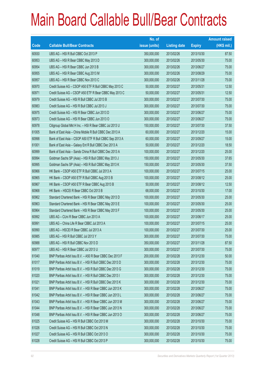|       |                                                          | No. of        |                     |               | <b>Amount raised</b> |
|-------|----------------------------------------------------------|---------------|---------------------|---------------|----------------------|
| Code  | <b>Callable Bull/Bear Contracts</b>                      | issue (units) | <b>Listing date</b> | <b>Expiry</b> | (HK\$ mil.)          |
| 60930 | UBS AG - HSI R Bull CBBC Oct 2013 P                      | 350,000,000   | 2013/02/26          | 2013/10/30    | 87.50                |
| 60953 | UBS AG - HSI R Bear CBBC May 2013 D                      | 300,000,000   | 2013/02/26          | 2013/05/30    | 75.00                |
| 60954 | UBS AG - HSI R Bear CBBC Jun 2013 B                      | 300,000,000   | 2013/02/26          | 2013/06/27    | 75.00                |
| 60955 | UBS AG - HSI R Bear CBBC Aug 2013 M                      | 300,000,000   | 2013/02/26          | 2013/08/29    | 75.00                |
| 60957 | UBS AG - HSI R Bear CBBC Nov 2013 C                      | 300,000,000   | 2013/02/26          | 2013/11/28    | 75.00                |
| 60970 | Credit Suisse AG - CSOP A50 ETF R Bull CBBC May 2013 C   | 50,000,000    | 2013/02/27          | 2013/05/31    | 12.50                |
| 60971 | Credit Suisse AG - CSOP A50 ETF R Bear CBBC May 2013 C   | 50,000,000    | 2013/02/27          | 2013/05/31    | 12.50                |
| 60979 | Credit Suisse AG - HSI R Bull CBBC Jul 2013 B            | 300,000,000   | 2013/02/27          | 2013/07/30    | 75.00                |
| 60983 | Credit Suisse AG - HSI R Bull CBBC Jul 2013 J            | 300,000,000   | 2013/02/27          | 2013/07/30    | 75.00                |
| 60975 | Credit Suisse AG - HSI R Bear CBBC Jun 2013 D            | 300,000,000   | 2013/02/27          | 2013/06/27    | 75.00                |
| 60973 | Credit Suisse AG - HSI R Bear CBBC Jun 2013 O            | 300,000,000   | 2013/02/27          | 2013/06/27    | 75.00                |
| 60978 | Citigroup Global Mkt H Inc. - HSI R Bear CBBC Jul 2013 U | 150,000,000   | 2013/02/27          | 2013/07/30    | 37.50                |
| 61005 | Bank of East Asia - China Mobile R Bull CBBC Dec 2013 A  | 60,000,000    | 2013/02/27          | 2013/12/20    | 15.00                |
| 60998 | Bank of East Asia - CSOP A50 ETF R Bull CBBC Sep 2013 A  | 60,000,000    | 2013/02/27          | 2013/09/27    | 15.00                |
| 61001 | Bank of East Asia - Galaxy Ent R Bull CBBC Dec 2013 A    | 50,000,000    | 2013/02/27          | 2013/12/20    | 18.50                |
| 60999 | Bank of East Asia - Sands China R Bull CBBC Dec 2013 A   | 100,000,000   | 2013/02/27          | 2013/12/20    | 25.00                |
| 60994 | Goldman Sachs SP (Asia) - HSI R Bull CBBC May 2013 J     | 150,000,000   | 2013/02/27          | 2013/05/30    | 37.65                |
| 60995 | Goldman Sachs SP (Asia) - HSI R Bull CBBC May 2013 K     | 150,000,000   | 2013/02/27          | 2013/05/30    | 37.50                |
| 60966 | HK Bank - CSOP A50 ETF R Bull CBBC Jul 2013 A            | 100,000,000   | 2013/02/27          | 2013/07/15    | 25.00                |
| 60965 | HK Bank - CSOP A50 ETF R Bull CBBC Aug 2013 B            | 100,000,000   | 2013/02/27          | 2013/08/12    | 25.00                |
| 60967 | HK Bank - CSOP A50 ETF R Bear CBBC Aug 2013 B            | 50,000,000    | 2013/02/27          | 2013/08/12    | 12.50                |
| 60968 | HK Bank - HSCEI R Bear CBBC Oct 2013 B                   | 68,000,000    | 2013/02/27          | 2013/10/30    | 17.00                |
| 60962 | Standard Chartered Bank - HSI R Bear CBBC May 2013 D     | 100,000,000   | 2013/02/27          | 2013/05/30    | 25.00                |
| 60963 | Standard Chartered Bank - HSI R Bear CBBC May 2013 E     | 100,000,000   | 2013/02/27          | 2013/05/30    | 25.00                |
| 60964 | Standard Chartered Bank - HSI R Bear CBBC May 2013 F     | 100,000,000   | 2013/02/27          | 2013/05/30    | 25.00                |
| 60992 | UBS AG - CUni R Bear CBBC Jun 2013 A                     | 100,000,000   | 2013/02/27          | 2013/06/17    | 25.00                |
| 60991 | UBS AG - China Life R Bear CBBC Jul 2013 A               | 100,000,000   | 2013/02/27          | 2013/07/15    | 25.00                |
| 60990 | UBS AG - HSCEI R Bear CBBC Jul 2013 A                    | 100,000,000   | 2013/02/27          | 2013/07/30    | 25.00                |
| 60985 | UBS AG - HSI R Bull CBBC Jul 2013 Y                      | 300,000,000   | 2013/02/27          | 2013/07/30    | 75.00                |
| 60988 | UBS AG - HSI R Bull CBBC Nov 2013 D                      | 350,000,000   | 2013/02/27          | 2013/11/28    | 87.50                |
| 60977 | UBS AG - HSI R Bear CBBC Jul 2013 U                      | 300,000,000   | 2013/02/27          | 2013/07/30    | 75.00                |
| 61040 | BNP Paribas Arbit Issu B.V. - A50 R Bear CBBC Dec 2013 F | 200,000,000   | 2013/02/28          | 2013/12/30    | 50.00                |
| 61017 | BNP Paribas Arbit Issu B.V. - HSI R Bull CBBC Dec 2013 D | 300,000,000   | 2013/02/28          | 2013/12/30    | 75.00                |
| 61019 | BNP Paribas Arbit Issu B.V. - HSI R Bull CBBC Dec 2013 G | 300,000,000   | 2013/02/28          | 2013/12/30    | 75.00                |
| 61020 | BNP Paribas Arbit Issu B.V. - HSI R Bull CBBC Dec 2013 I | 300,000,000   | 2013/02/28          | 2013/12/30    | 75.00                |
| 61021 | BNP Paribas Arbit Issu B.V. - HSI R Bull CBBC Dec 2013 K | 300,000,000   | 2013/02/28          | 2013/12/30    | 75.00                |
| 61041 | BNP Paribas Arbit Issu B.V. - HSI R Bear CBBC Jun 2013 K | 300,000,000   | 2013/02/28          | 2013/06/27    | 75.00                |
| 61042 | BNP Paribas Arbit Issu B.V. - HSI R Bear CBBC Jun 2013 L | 300,000,000   | 2013/02/28          | 2013/06/27    | 75.00                |
| 61043 | BNP Paribas Arbit Issu B.V. - HSI R Bear CBBC Jun 2013 M | 300,000,000   | 2013/02/28          | 2013/06/27    | 75.00                |
| 61044 | BNP Paribas Arbit Issu B.V. - HSI R Bear CBBC Jun 2013 N | 300,000,000   | 2013/02/28          | 2013/06/27    | 75.00                |
| 61048 | BNP Paribas Arbit Issu B.V. - HSI R Bear CBBC Jun 2013 O | 300,000,000   | 2013/02/28          | 2013/06/27    | 75.00                |
| 61025 | Credit Suisse AG - HSI R Bull CBBC Oct 2013 M            | 300,000,000   | 2013/02/28          | 2013/10/30    | 75.00                |
| 61026 | Credit Suisse AG - HSI R Bull CBBC Oct 2013 N            | 300,000,000   | 2013/02/28          | 2013/10/30    | 75.00                |
| 61027 | Credit Suisse AG - HSI R Bull CBBC Oct 2013 O            | 300,000,000   | 2013/02/28          | 2013/10/30    | 75.00                |
| 61028 | Credit Suisse AG - HSI R Bull CBBC Oct 2013 P            | 300,000,000   | 2013/02/28          | 2013/10/30    | 75.00                |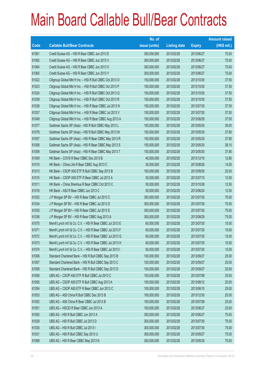|       |                                                             | No. of        |                     |               | <b>Amount raised</b> |
|-------|-------------------------------------------------------------|---------------|---------------------|---------------|----------------------|
| Code  | <b>Callable Bull/Bear Contracts</b>                         | issue (units) | <b>Listing date</b> | <b>Expiry</b> | $(HK$$ mil.)         |
| 61061 | Credit Suisse AG - HSI R Bear CBBC Jun 2013 E               | 300,000,000   | 2013/02/28          | 2013/06/27    | 75.00                |
| 61062 | Credit Suisse AG - HSI R Bear CBBC Jun 2013 V               | 300,000,000   | 2013/02/28          | 2013/06/27    | 75.00                |
| 61064 | Credit Suisse AG - HSI R Bear CBBC Jun 2013 X               | 300,000,000   | 2013/02/28          | 2013/06/27    | 75.00                |
| 61065 | Credit Suisse AG - HSI R Bear CBBC Jun 2013 Y               | 300,000,000   | 2013/02/28          | 2013/06/27    | 75.00                |
| 61022 | Citigroup Global Mkt H Inc. - HSI R Bull CBBC Oct 2013 O    | 150,000,000   | 2013/02/28          | 2013/10/30    | 37.50                |
| 61023 | Citigroup Global Mkt H Inc. - HSI R Bull CBBC Oct 2013 P    | 150,000,000   | 2013/02/28          | 2013/10/30    | 37.50                |
| 61024 | Citigroup Global Mkt H Inc. - HSI R Bull CBBC Oct 2013 Q    | 150,000,000   | 2013/02/28          | 2013/10/30    | 37.50                |
| 61039 | Citigroup Global Mkt H Inc. - HSI R Bull CBBC Oct 2013 R    | 150,000,000   | 2013/02/28          | 2013/10/30    | 37.50                |
| 61038 | Citigroup Global Mkt H Inc. - HSI R Bear CBBC Jul 2013 N    | 150,000,000   | 2013/02/28          | 2013/07/30    | 37.50                |
| 61037 | Citigroup Global Mkt H Inc. - HSI R Bear CBBC Jul 2013 V    | 150,000,000   | 2013/02/28          | 2013/07/30    | 37.50                |
| 61049 | Citigroup Global Mkt H Inc. - HSI R Bear CBBC Aug 2013 A    | 150,000,000   | 2013/02/28          | 2013/08/29    | 37.50                |
| 61077 | Goldman Sachs SP (Asia) - HSI R Bull CBBC May 2013 L        | 150,000,000   | 2013/02/28          | 2013/05/30    | 39.00                |
| 61078 | Goldman Sachs SP (Asia) - HSI R Bull CBBC May 2013 M        | 150,000,000   | 2013/02/28          | 2013/05/30    | 37.80                |
| 61057 | Goldman Sachs SP (Asia) - HSI R Bear CBBC May 2013 R        | 150,000,000   | 2013/02/28          | 2013/05/30    | 37.95                |
| 61058 | Goldman Sachs SP (Asia) - HSI R Bear CBBC May 2013 S        | 150,000,000   | 2013/02/28          | 2013/05/30    | 38.10                |
| 61059 | Goldman Sachs SP (Asia) - HSI R Bear CBBC May 2013 T        | 150,000,000   | 2013/02/28          | 2013/05/30    | 37.80                |
| 61009 | HK Bank - COVS R Bear CBBC Dec 2013 B                       | 40,000,000    | 2013/02/28          | 2013/12/16    | 12.80                |
| 61010 | HK Bank - China Life R Bear CBBC Aug 2013 C                 | 50,000,000    | 2013/02/28          | 2013/08/26    | 14.00                |
| 61013 | HK Bank - CSOP A50 ETF R Bull CBBC Sep 2013 B               | 100,000,000   | 2013/02/28          | 2013/09/30    | 25.00                |
| 61015 | HK Bank - CSOP A50 ETF R Bear CBBC Jul 2013 A               | 50,000,000    | 2013/02/28          | 2013/07/15    | 12.50                |
| 61011 | HK Bank - China Shenhua R Bear CBBC Oct 2013 C              | 50,000,000    | 2013/02/28          | 2013/10/28    | 12.50                |
| 61016 | HK Bank - A50 R Bear CBBC Jun 2013 C                        | 50,000,000    | 2013/02/28          | 2013/06/24    | 12.50                |
| 61032 | J P Morgan SP BV - HSI R Bear CBBC Jul 2013 C               | 300,000,000   | 2013/02/28          | 2013/07/30    | 75.00                |
| 61034 | J P Morgan SP BV - HSI R Bear CBBC Jul 2013 D               | 300,000,000   | 2013/02/28          | 2013/07/30    | 75.00                |
| 61035 | J P Morgan SP BV - HSI R Bear CBBC Jul 2013 E               | 300,000,000   | 2013/02/28          | 2013/07/30    | 75.00                |
| 61036 | J P Morgan SP BV - HSI R Bear CBBC Aug 2013 A               | 300,000,000   | 2013/02/28          | 2013/08/29    | 75.00                |
| 61070 | Merrill Lynch Int'l & Co. C.V. - HSI R Bear CBBC Jul 2013 E | 60,000,000    | 2013/02/28          | 2013/07/30    | 15.00                |
| 61071 | Merrill Lynch Int'l & Co. C.V. - HSI R Bear CBBC Jul 2013 F | 60,000,000    | 2013/02/28          | 2013/07/30    | 15.00                |
| 61072 | Merrill Lynch Int'l & Co. C.V. - HSI R Bear CBBC Jul 2013 G | 60,000,000    | 2013/02/28          | 2013/07/30    | 15.00                |
| 61073 | Merrill Lynch Int'l & Co. C.V. - HSI R Bear CBBC Jul 2013 H | 60,000,000    | 2013/02/28          | 2013/07/30    | 15.00                |
| 61074 | Merrill Lynch Int'l & Co. C.V. - HSI R Bear CBBC Jul 2013 I | 60,000,000    | 2013/02/28          | 2013/07/30    | 15.00                |
| 61006 | Standard Chartered Bank - HSI R Bull CBBC Sep 2013 B        | 100,000,000   | 2013/02/28          | 2013/09/27    | 25.00                |
| 61007 | Standard Chartered Bank - HSI R Bull CBBC Sep 2013 C        | 100,000,000   | 2013/02/28          | 2013/09/27    | 25.00                |
| 61008 | Standard Chartered Bank - HSI R Bull CBBC Sep 2013 D        | 100,000,000   | 2013/02/28          | 2013/09/27    | 25.00                |
| 61056 | UBS AG - CSOP A50 ETF R Bull CBBC Jul 2013 C                | 100,000,000   | 2013/02/28          | 2013/07/08    | 25.00                |
| 61055 | UBS AG - CSOP A50 ETF R Bull CBBC Aug 2013 A                | 100,000,000   | 2013/02/28          | 2013/08/12    | 25.00                |
| 61054 | UBS AG - CSOP A50 ETF R Bear CBBC Jun 2013 C                | 100,000,000   | 2013/02/28          | 2013/06/10    | 25.00                |
| 61053 | UBS AG - A50 China R Bull CBBC Dec 2013 B                   | 100,000,000   | 2013/02/28          | 2013/12/30    | 25.00                |
| 61052 | UBS AG - A50 China R Bear CBBC Jul 2013 B                   | 100,000,000   | 2013/02/28          | 2013/07/08    | 25.00                |
| 61051 | UBS AG - HSCEI R Bear CBBC Jun 2013 A                       | 100,000,000   | 2013/02/28          | 2013/06/27    | 25.00                |
| 61050 | UBS AG - HSI R Bull CBBC Jun 2013 A                         | 300,000,000   | 2013/02/28          | 2013/06/27    | 75.00                |
| 61029 | UBS AG - HSI R Bull CBBC Jul 2013 D                         | 300,000,000   | 2013/02/28          | 2013/07/30    | 75.00                |
| 61030 | UBS AG - HSI R Bull CBBC Jul 2013 I                         | 300,000,000   | 2013/02/28          | 2013/07/30    | 75.00                |
| 61031 | UBS AG - HSI R Bull CBBC Sep 2013 U                         | 300,000,000   | 2013/02/28          | 2013/09/27    | 75.00                |
| 61069 | UBS AG - HSI R Bear CBBC May 2013 N                         | 300,000,000   | 2013/02/28          | 2013/05/30    | 75.00                |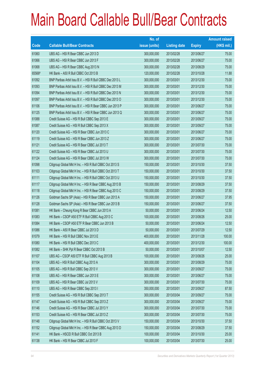|        |                                                          | No. of        |                     |               | <b>Amount raised</b> |
|--------|----------------------------------------------------------|---------------|---------------------|---------------|----------------------|
| Code   | <b>Callable Bull/Bear Contracts</b>                      | issue (units) | <b>Listing date</b> | <b>Expiry</b> | $(HK$$ mil.)         |
| 61060  | UBS AG - HSI R Bear CBBC Jun 2013 D                      | 300,000,000   | 2013/02/28          | 2013/06/27    | 75.00                |
| 61066  | UBS AG - HSI R Bear CBBC Jun 2013 F                      | 300,000,000   | 2013/02/28          | 2013/06/27    | 75.00                |
| 61068  | UBS AG - HSI R Bear CBBC Aug 2013 N                      | 300,000,000   | 2013/02/28          | 2013/08/29    | 75.00                |
| 65566# | HK Bank - A50 R Bull CBBC Oct 2013 B                     | 120,000,000   | 2013/02/28          | 2013/10/28    | 11.88                |
| 61092  | BNP Paribas Arbit Issu B.V. - HSI R Bull CBBC Dec 2013 L | 300,000,000   | 2013/03/01          | 2013/12/30    | 75.00                |
| 61093  | BNP Paribas Arbit Issu B.V. - HSI R Bull CBBC Dec 2013 M | 300,000,000   | 2013/03/01          | 2013/12/30    | 75.00                |
| 61094  | BNP Paribas Arbit Issu B.V. - HSI R Bull CBBC Dec 2013 N | 300,000,000   | 2013/03/01          | 2013/12/30    | 75.00                |
| 61097  | BNP Paribas Arbit Issu B.V. - HSI R Bull CBBC Dec 2013 O | 300,000,000   | 2013/03/01          | 2013/12/30    | 75.00                |
| 61106  | BNP Paribas Arbit Issu B.V. - HSI R Bear CBBC Jun 2013 P | 300,000,000   | 2013/03/01          | 2013/06/27    | 75.00                |
| 61125  | BNP Paribas Arbit Issu B.V. - HSI R Bear CBBC Jun 2013 Q | 300,000,000   | 2013/03/01          | 2013/06/27    | 75.00                |
| 61088  | Credit Suisse AG - HSI R Bull CBBC Sep 2013 E            | 300,000,000   | 2013/03/01          | 2013/09/27    | 75.00                |
| 61087  | Credit Suisse AG - HSI R Bull CBBC Sep 2013 X            | 300,000,000   | 2013/03/01          | 2013/09/27    | 75.00                |
| 61120  | Credit Suisse AG - HSI R Bear CBBC Jun 2013 C            | 300,000,000   | 2013/03/01          | 2013/06/27    | 75.00                |
| 61119  | Credit Suisse AG - HSI R Bear CBBC Jun 2013 Z            | 300,000,000   | 2013/03/01          | 2013/06/27    | 75.00                |
| 61121  | Credit Suisse AG - HSI R Bear CBBC Jul 2013 T            | 300,000,000   | 2013/03/01          | 2013/07/30    | 75.00                |
| 61122  | Credit Suisse AG - HSI R Bear CBBC Jul 2013 U            | 300,000,000   | 2013/03/01          | 2013/07/30    | 75.00                |
| 61124  | Credit Suisse AG - HSI R Bear CBBC Jul 2013 W            | 300,000,000   | 2013/03/01          | 2013/07/30    | 75.00                |
| 61098  | Citigroup Global Mkt H Inc. - HSI R Bull CBBC Oct 2013 S | 150,000,000   | 2013/03/01          | 2013/10/30    | 37.50                |
| 61103  | Citigroup Global Mkt H Inc. - HSI R Bull CBBC Oct 2013 T | 150,000,000   | 2013/03/01          | 2013/10/30    | 37.50                |
| 61111  | Citigroup Global Mkt H Inc. - HSI R Bull CBBC Oct 2013 U | 150,000,000   | 2013/03/01          | 2013/10/30    | 37.50                |
| 61117  | Citigroup Global Mkt H Inc. - HSI R Bear CBBC Aug 2013 B | 150,000,000   | 2013/03/01          | 2013/08/29    | 37.50                |
| 61118  | Citigroup Global Mkt H Inc. - HSI R Bear CBBC Aug 2013 C | 150,000,000   | 2013/03/01          | 2013/08/29    | 37.50                |
| 61126  | Goldman Sachs SP (Asia) - HSI R Bear CBBC Jun 2013 A     | 150,000,000   | 2013/03/01          | 2013/06/27    | 37.95                |
| 61128  | Goldman Sachs SP (Asia) - HSI R Bear CBBC Jun 2013 B     | 150,000,000   | 2013/03/01          | 2013/06/27    | 37.50                |
| 61081  | HK Bank - Cheung Kong R Bear CBBC Jun 2013 A             | 50,000,000    | 2013/03/01          | 2013/06/24    | 12.50                |
| 61083  | HK Bank - CSOP A50 ETF R Bull CBBC Aug 2013 C            | 100,000,000   | 2013/03/01          | 2013/08/26    | 25.00                |
| 61084  | HK Bank - CSOP A50 ETF R Bear CBBC Jun 2013 B            | 50,000,000    | 2013/03/01          | 2013/06/24    | 12.50                |
| 61086  | HK Bank - A50 R Bear CBBC Jul 2013 D                     | 50,000,000    | 2013/03/01          | 2013/07/29    | 12.50                |
| 61079  | HK Bank - HSI R Bull CBBC Nov 2013 E                     | 400,000,000   | 2013/03/01          | 2013/11/28    | 100.00               |
| 61080  | HK Bank - HSI R Bull CBBC Dec 2013 C                     | 400,000,000   | 2013/03/01          | 2013/12/30    | 100.00               |
| 61082  | HK Bank - SHK Ppt R Bear CBBC Oct 2013 B                 | 50,000,000    | 2013/03/01          | 2013/10/07    | 12.50                |
| 61107  | UBS AG - CSOP A50 ETF R Bull CBBC Aug 2013 B             | 100,000,000   | 2013/03/01          | 2013/08/26    | 25.00                |
| 61104  | UBS AG - HSI R Bull CBBC Aug 2013 A                      | 300,000,000   | 2013/03/01          | 2013/08/29    | 75.00                |
| 61105  | UBS AG - HSI R Bull CBBC Sep 2013 V                      | 300,000,000   | 2013/03/01          | 2013/09/27    | 75.00                |
| 61108  | UBS AG - HSI R Bear CBBC Jun 2013 E                      | 300,000,000   | 2013/03/01          | 2013/06/27    | 75.00                |
| 61109  | UBS AG - HSI R Bear CBBC Jul 2013 V                      | 300,000,000   | 2013/03/01          | 2013/07/30    | 75.00                |
| 61110  | UBS AG - HSI R Bear CBBC Sep 2013 I                      | 350,000,000   | 2013/03/01          | 2013/09/27    | 87.50                |
| 61155  | Credit Suisse AG - HSI R Bull CBBC Sep 2013 T            | 300,000,000   | 2013/03/04          | 2013/09/27    | 75.00                |
| 61147  | Credit Suisse AG - HSI R Bull CBBC Sep 2013 Z            | 300,000,000   | 2013/03/04          | 2013/09/27    | 75.00                |
| 61146  | Credit Suisse AG - HSI R Bear CBBC Jul 2013 Y            | 300,000,000   | 2013/03/04          | 2013/07/30    | 75.00                |
| 61153  | Credit Suisse AG - HSI R Bear CBBC Jul 2013 Z            | 300,000,000   | 2013/03/04          | 2013/07/30    | 75.00                |
| 61148  | Citigroup Global Mkt H Inc. - HSI R Bull CBBC Oct 2013 V | 150,000,000   | 2013/03/04          | 2013/10/30    | 37.50                |
| 61152  | Citigroup Global Mkt H Inc. - HSI R Bear CBBC Aug 2013 D | 150,000,000   | 2013/03/04          | 2013/08/29    | 37.50                |
| 61141  | HK Bank - HSCEI R Bull CBBC Oct 2013 B                   | 100,000,000   | 2013/03/04          | 2013/10/30    | 25.00                |
| 61138  | HK Bank - HSI R Bear CBBC Jul 2013 F                     | 100,000,000   | 2013/03/04          | 2013/07/30    | 25.00                |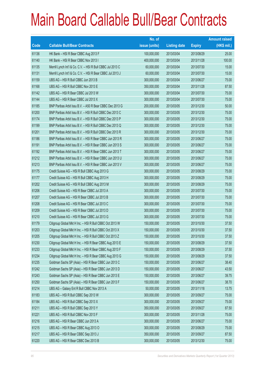|       |                                                             | No. of        |                     |               | <b>Amount raised</b> |
|-------|-------------------------------------------------------------|---------------|---------------------|---------------|----------------------|
| Code  | <b>Callable Bull/Bear Contracts</b>                         | issue (units) | <b>Listing date</b> | <b>Expiry</b> | (HK\$ mil.)          |
| 61136 | HK Bank - HSI R Bear CBBC Aug 2013 F                        | 100,000,000   | 2013/03/04          | 2013/08/29    | 25.00                |
| 61140 | HK Bank - HSI R Bear CBBC Nov 2013 I                        | 400,000,000   | 2013/03/04          | 2013/11/28    | 100.00               |
| 61135 | Merrill Lynch Int'l & Co. C.V. - HSI R Bull CBBC Jul 2013 C | 60,000,000    | 2013/03/04          | 2013/07/30    | 15.00                |
| 61131 | Merrill Lynch Int'l & Co. C.V. - HSI R Bear CBBC Jul 2013 J | 60,000,000    | 2013/03/04          | 2013/07/30    | 15.00                |
| 61159 | UBS AG - HSI R Bull CBBC Jun 2013 B                         | 300,000,000   | 2013/03/04          | 2013/06/27    | 75.00                |
| 61168 | UBS AG - HSI R Bull CBBC Nov 2013 E                         | 350,000,000   | 2013/03/04          | 2013/11/28    | 87.50                |
| 61142 | UBS AG - HSI R Bear CBBC Jul 2013 W                         | 300,000,000   | 2013/03/04          | 2013/07/30    | 75.00                |
| 61144 | UBS AG - HSI R Bear CBBC Jul 2013 X                         | 300,000,000   | 2013/03/04          | 2013/07/30    | 75.00                |
| 61185 | BNP Paribas Arbit Issu B.V. - A50 R Bear CBBC Dec 2013 G    | 200,000,000   | 2013/03/05          | 2013/12/30    | 50.00                |
| 61200 | BNP Paribas Arbit Issu B.V. - HSI R Bull CBBC Dec 2013 C    | 300,000,000   | 2013/03/05          | 2013/12/30    | 75.00                |
| 61174 | BNP Paribas Arbit Issu B.V. - HSI R Bull CBBC Dec 2013 P    | 300,000,000   | 2013/03/05          | 2013/12/30    | 75.00                |
| 61199 | BNP Paribas Arbit Issu B.V. - HSI R Bull CBBC Dec 2013 Q    | 300,000,000   | 2013/03/05          | 2013/12/30    | 75.00                |
| 61201 | BNP Paribas Arbit Issu B.V. - HSI R Bull CBBC Dec 2013 R    | 300,000,000   | 2013/03/05          | 2013/12/30    | 75.00                |
| 61186 | BNP Paribas Arbit Issu B.V. - HSI R Bear CBBC Jun 2013 R    | 300,000,000   | 2013/03/05          | 2013/06/27    | 75.00                |
| 61191 | BNP Paribas Arbit Issu B.V. - HSI R Bear CBBC Jun 2013 S    | 300,000,000   | 2013/03/05          | 2013/06/27    | 75.00                |
| 61192 | BNP Paribas Arbit Issu B.V. - HSI R Bear CBBC Jun 2013 T    | 300,000,000   | 2013/03/05          | 2013/06/27    | 75.00                |
| 61212 | BNP Paribas Arbit Issu B.V. - HSI R Bear CBBC Jun 2013 U    | 300,000,000   | 2013/03/05          | 2013/06/27    | 75.00                |
| 61213 | BNP Paribas Arbit Issu B.V. - HSI R Bear CBBC Jun 2013 V    | 300,000,000   | 2013/03/05          | 2013/06/27    | 75.00                |
| 61175 | Credit Suisse AG - HSI R Bull CBBC Aug 2013 G               | 300,000,000   | 2013/03/05          | 2013/08/29    | 75.00                |
| 61177 | Credit Suisse AG - HSI R Bull CBBC Aug 2013 H               | 300,000,000   | 2013/03/05          | 2013/08/29    | 75.00                |
| 61202 | Credit Suisse AG - HSI R Bull CBBC Aug 2013 M               | 300,000,000   | 2013/03/05          | 2013/08/29    | 75.00                |
| 61206 | Credit Suisse AG - HSI R Bear CBBC Jul 2013 A               | 300,000,000   | 2013/03/05          | 2013/07/30    | 75.00                |
| 61207 | Credit Suisse AG - HSI R Bear CBBC Jul 2013 B               | 300,000,000   | 2013/03/05          | 2013/07/30    | 75.00                |
| 61208 | Credit Suisse AG - HSI R Bear CBBC Jul 2013 C               | 300,000,000   | 2013/03/05          | 2013/07/30    | 75.00                |
| 61209 | Credit Suisse AG - HSI R Bear CBBC Jul 2013 D               | 300,000,000   | 2013/03/05          | 2013/07/30    | 75.00                |
| 61210 | Credit Suisse AG - HSI R Bear CBBC Jul 2013 G               | 300,000,000   | 2013/03/05          | 2013/07/30    | 75.00                |
| 61179 | Citigroup Global Mkt H Inc. - HSI R Bull CBBC Oct 2013 W    | 150,000,000   | 2013/03/05          | 2013/10/30    | 37.50                |
| 61203 | Citigroup Global Mkt H Inc. - HSI R Bull CBBC Oct 2013 X    | 150,000,000   | 2013/03/05          | 2013/10/30    | 37.50                |
| 61205 | Citigroup Global Mkt H Inc. - HSI R Bull CBBC Oct 2013 Z    | 150,000,000   | 2013/03/05          | 2013/10/30    | 37.50                |
| 61230 | Citigroup Global Mkt H Inc. - HSI R Bear CBBC Aug 2013 E    | 150,000,000   | 2013/03/05          | 2013/08/29    | 37.50                |
| 61233 | Citigroup Global Mkt H Inc. - HSI R Bear CBBC Aug 2013 F    | 150,000,000   | 2013/03/05          | 2013/08/29    | 37.50                |
| 61234 | Citigroup Global Mkt H Inc. - HSI R Bear CBBC Aug 2013 G    | 150,000,000   | 2013/03/05          | 2013/08/29    | 37.50                |
| 61235 | Goldman Sachs SP (Asia) - HSI R Bear CBBC Jun 2013 C        | 150,000,000   | 2013/03/05          | 2013/06/27    | 38.40                |
| 61242 | Goldman Sachs SP (Asia) - HSI R Bear CBBC Jun 2013 D        | 150,000,000   | 2013/03/05          | 2013/06/27    | 43.50                |
| 61243 | Goldman Sachs SP (Asia) - HSI R Bear CBBC Jun 2013 E        | 150,000,000   | 2013/03/05          | 2013/06/27    | 39.75                |
| 61250 | Goldman Sachs SP (Asia) - HSI R Bear CBBC Jun 2013 F        | 150,000,000   | 2013/03/05          | 2013/06/27    | 38.70                |
| 61214 | UBS AG - Galaxy Ent R Bull CBBC Nov 2013 A                  | 50,000,000    | 2013/03/05          | 2013/11/18    | 13.75                |
| 61183 | UBS AG - HSI R Bull CBBC Sep 2013 W                         | 300,000,000   | 2013/03/05          | 2013/09/27    | 75.00                |
| 61184 | UBS AG - HSI R Bull CBBC Sep 2013 X                         | 300,000,000   | 2013/03/05          | 2013/09/27    | 75.00                |
| 61211 | UBS AG - HSI R Bull CBBC Sep 2013 Y                         | 350,000,000   | 2013/03/05          | 2013/09/27    | 87.50                |
| 61221 | UBS AG - HSI R Bull CBBC Nov 2013 F                         | 300,000,000   | 2013/03/05          | 2013/11/28    | 75.00                |
| 61216 | UBS AG - HSI R Bear CBBC Jun 2013 A                         | 300,000,000   | 2013/03/05          | 2013/06/27    | 75.00                |
| 61215 | UBS AG - HSI R Bear CBBC Aug 2013 O                         | 300,000,000   | 2013/03/05          | 2013/08/29    | 75.00                |
| 61217 | UBS AG - HSI R Bear CBBC Sep 2013 J                         | 350,000,000   | 2013/03/05          | 2013/09/27    | 87.50                |
| 61220 | UBS AG - HSI R Bear CBBC Dec 2013 B                         | 300,000,000   | 2013/03/05          | 2013/12/30    | 75.00                |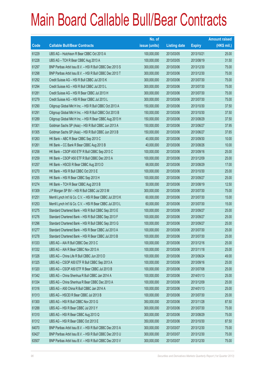|       |                                                             | No. of        |                     |               | <b>Amount raised</b> |
|-------|-------------------------------------------------------------|---------------|---------------------|---------------|----------------------|
| Code  | <b>Callable Bull/Bear Contracts</b>                         | issue (units) | <b>Listing date</b> | <b>Expiry</b> | $(HK$$ mil.)         |
| 61229 | UBS AG - Hutchison R Bear CBBC Oct 2013 A                   | 100,000,000   | 2013/03/05          | 2013/10/21    | 25.00                |
| 61228 | UBS AG - TCH R Bear CBBC Aug 2013 A                         | 100,000,000   | 2013/03/05          | 2013/08/19    | 31.50                |
| 61297 | BNP Paribas Arbit Issu B.V. - HSI R Bull CBBC Dec 2013 S    | 300,000,000   | 2013/03/06          | 2013/12/30    | 75.00                |
| 61298 | BNP Paribas Arbit Issu B.V. - HSI R Bull CBBC Dec 2013 T    | 300,000,000   | 2013/03/06          | 2013/12/30    | 75.00                |
| 61292 | Credit Suisse AG - HSI R Bull CBBC Jul 2013 K               | 300,000,000   | 2013/03/06          | 2013/07/30    | 75.00                |
| 61294 | Credit Suisse AG - HSI R Bull CBBC Jul 2013 L               | 300,000,000   | 2013/03/06          | 2013/07/30    | 75.00                |
| 61281 | Credit Suisse AG - HSI R Bear CBBC Jul 2013 H               | 300,000,000   | 2013/03/06          | 2013/07/30    | 75.00                |
| 61279 | Credit Suisse AG - HSI R Bear CBBC Jul 2013 L               | 300,000,000   | 2013/03/06          | 2013/07/30    | 75.00                |
| 61290 | Citigroup Global Mkt H Inc. - HSI R Bull CBBC Oct 2013 A    | 150,000,000   | 2013/03/06          | 2013/10/30    | 37.50                |
| 61291 | Citigroup Global Mkt H Inc. - HSI R Bull CBBC Oct 2013 B    | 150,000,000   | 2013/03/06          | 2013/10/30    | 37.50                |
| 61289 | Citigroup Global Mkt H Inc. - HSI R Bear CBBC Aug 2013 H    | 150,000,000   | 2013/03/06          | 2013/08/29    | 37.50                |
| 61301 | Goldman Sachs SP (Asia) - HSI R Bull CBBC Jun 2013 A        | 150,000,000   | 2013/03/06          | 2013/06/27    | 37.95                |
| 61305 | Goldman Sachs SP (Asia) - HSI R Bull CBBC Jun 2013 B        | 150,000,000   | 2013/03/06          | 2013/06/27    | 37.65                |
| 61263 | HK Bank - ABC R Bear CBBC Sep 2013 C                        | 40,000,000    | 2013/03/06          | 2013/09/30    | 10.00                |
| 61261 | HK Bank - CC Bank R Bear CBBC Aug 2013 B                    | 40,000,000    | 2013/03/06          | 2013/08/26    | 10.00                |
| 61258 | HK Bank - CSOP A50 ETF R Bull CBBC Sep 2013 C               | 100,000,000   | 2013/03/06          | 2013/09/16    | 25.00                |
| 61259 | HK Bank - CSOP A50 ETF R Bull CBBC Dec 2013 A               | 100,000,000   | 2013/03/06          | 2013/12/09    | 25.00                |
| 61257 | HK Bank - HSCEI R Bear CBBC Aug 2013 D                      | 68,000,000    | 2013/03/06          | 2013/08/29    | 17.00                |
| 61270 | HK Bank - HSI R Bull CBBC Oct 2013 E                        | 100,000,000   | 2013/03/06          | 2013/10/30    | 25.00                |
| 61255 | HK Bank - HSI R Bear CBBC Sep 2013 H                        | 100,000,000   | 2013/03/06          | 2013/09/27    | 25.00                |
| 61274 | HK Bank - TCH R Bear CBBC Aug 2013 B                        | 50,000,000    | 2013/03/06          | 2013/08/19    | 12.50                |
| 61309 | J P Morgan SP BV - HSI R Bull CBBC Jul 2013 M               | 300,000,000   | 2013/03/06          | 2013/07/30    | 75.00                |
| 61251 | Merrill Lynch Int'l & Co. C.V. - HSI R Bear CBBC Jul 2013 K | 60,000,000    | 2013/03/06          | 2013/07/30    | 15.00                |
| 61253 | Merrill Lynch Int'l & Co. C.V. - HSI R Bear CBBC Jul 2013 L | 60,000,000    | 2013/03/06          | 2013/07/30    | 15.00                |
| 61275 | Standard Chartered Bank - HSI R Bull CBBC Sep 2013 E        | 100,000,000   | 2013/03/06          | 2013/09/27    | 25.00                |
| 61276 | Standard Chartered Bank - HSI R Bull CBBC Sep 2013 F        | 100,000,000   | 2013/03/06          | 2013/09/27    | 25.00                |
| 61296 | Standard Chartered Bank - HSI R Bull CBBC Sep 2013 G        | 100,000,000   | 2013/03/06          | 2013/09/27    | 25.00                |
| 61277 | Standard Chartered Bank - HSI R Bear CBBC Jul 2013 A        | 100,000,000   | 2013/03/06          | 2013/07/30    | 25.00                |
| 61278 | Standard Chartered Bank - HSI R Bear CBBC Jul 2013 B        | 100,000,000   | 2013/03/06          | 2013/07/30    | 25.00                |
| 61333 | UBS AG - AIA R Bull CBBC Dec 2013 C                         | 100,000,000   | 2013/03/06          | 2013/12/16    | 25.00                |
| 61332 | UBS AG - AIA R Bear CBBC Nov 2013 A                         | 100,000,000   | 2013/03/06          | 2013/11/18    | 25.00                |
| 61326 | UBS AG - China Life R Bull CBBC Jun 2013 D                  | 100,000,000   | 2013/03/06          | 2013/06/24    | 49.00                |
| 61325 | UBS AG - CSOP A50 ETF R Bull CBBC Sep 2013 A                | 100,000,000   | 2013/03/06          | 2013/09/16    | 25.00                |
| 61320 | UBS AG - CSOP A50 ETF R Bear CBBC Jul 2013 B                | 100,000,000   | 2013/03/06          | 2013/07/08    | 25.00                |
| 61342 | UBS AG - China Shenhua R Bull CBBC Jan 2014 A               | 100,000,000   | 2013/03/06          | 2014/01/13    | 25.00                |
| 61334 | UBS AG - China Shenhua R Bear CBBC Dec 2013 A               | 100,000,000   | 2013/03/06          | 2013/12/09    | 25.00                |
| 61316 | UBS AG - A50 China R Bull CBBC Jan 2014 A                   | 100,000,000   | 2013/03/06          | 2014/01/13    | 25.00                |
| 61313 | UBS AG - HSCEI R Bear CBBC Jul 2013 B                       | 100,000,000   | 2013/03/06          | 2013/07/30    | 25.00                |
| 61300 | UBS AG - HSI R Bull CBBC Nov 2013 G                         | 350,000,000   | 2013/03/06          | 2013/11/28    | 87.50                |
| 61288 | UBS AG - HSI R Bear CBBC Jul 2013 Y                         | 300,000,000   | 2013/03/06          | 2013/07/30    | 75.00                |
| 61310 | UBS AG - HSI R Bear CBBC Aug 2013 Q                         | 300,000,000   | 2013/03/06          | 2013/08/29    | 75.00                |
| 61312 | UBS AG - HSI R Bear CBBC Oct 2013 E                         | 350,000,000   | 2013/03/06          | 2013/10/30    | 87.50                |
| 64070 | BNP Paribas Arbit Issu B.V. - HSI R Bull CBBC Dec 2013 A    | 300,000,000   | 2013/03/07          | 2013/12/30    | 75.00                |
| 63427 | BNP Paribas Arbit Issu B.V. - HSI R Bull CBBC Dec 2013 U    | 300,000,000   | 2013/03/07          | 2013/12/30    | 75.00                |
| 63507 | BNP Paribas Arbit Issu B.V. - HSI R Bull CBBC Dec 2013 V    | 300,000,000   | 2013/03/07          | 2013/12/30    | 75.00                |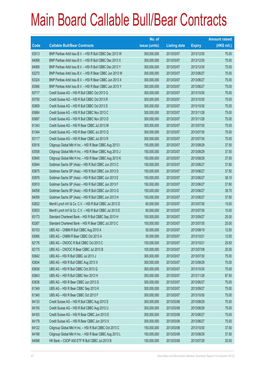|             |                                                             | No. of        |                     |               | <b>Amount raised</b> |
|-------------|-------------------------------------------------------------|---------------|---------------------|---------------|----------------------|
| <b>Code</b> | <b>Callable Bull/Bear Contracts</b>                         | issue (units) | <b>Listing date</b> | <b>Expiry</b> | $(HK$$ mil.)         |
| 63513       | BNP Paribas Arbit Issu B.V. - HSI R Bull CBBC Dec 2013 W    | 300,000,000   | 2013/03/07          | 2013/12/30    | 75.00                |
| 64068       | BNP Paribas Arbit Issu B.V. - HSI R Bull CBBC Dec 2013 X    | 300,000,000   | 2013/03/07          | 2013/12/30    | 75.00                |
| 64069       | BNP Paribas Arbit Issu B.V. - HSI R Bull CBBC Dec 2013 Y    | 300,000,000   | 2013/03/07          | 2013/12/30    | 75.00                |
| 63270       | BNP Paribas Arbit Issu B.V. - HSI R Bear CBBC Jun 2013 W    | 300,000,000   | 2013/03/07          | 2013/06/27    | 75.00                |
| 63324       | BNP Paribas Arbit Issu B.V. - HSI R Bear CBBC Jun 2013 X    | 300,000,000   | 2013/03/07          | 2013/06/27    | 75.00                |
| 63566       | BNP Paribas Arbit Issu B.V. - HSI R Bear CBBC Jun 2013 Y    | 300,000,000   | 2013/03/07          | 2013/06/27    | 75.00                |
| 63717       | Credit Suisse AG - HSI R Bull CBBC Oct 2013 Q               | 300,000,000   | 2013/03/07          | 2013/10/30    | 75.00                |
| 63750       | Credit Suisse AG - HSI R Bull CBBC Oct 2013 R               | 300,000,000   | 2013/03/07          | 2013/10/30    | 75.00                |
| 63809       | Credit Suisse AG - HSI R Bull CBBC Oct 2013 S               | 300,000,000   | 2013/03/07          | 2013/10/30    | 75.00                |
| 63664       | Credit Suisse AG - HSI R Bull CBBC Nov 2013 C               | 300,000,000   | 2013/03/07          | 2013/11/28    | 75.00                |
| 63697       | Credit Suisse AG - HSI R Bull CBBC Nov 2013 D               | 300,000,000   | 2013/03/07          | 2013/11/28    | 75.00                |
| 61343       | Credit Suisse AG - HSI R Bear CBBC Jul 2013 M               | 300,000,000   | 2013/03/07          | 2013/07/30    | 75.00                |
| 61344       | Credit Suisse AG - HSI R Bear CBBC Jul 2013 Q               | 300,000,000   | 2013/03/07          | 2013/07/30    | 75.00                |
| 63117       | Credit Suisse AG - HSI R Bear CBBC Jul 2013 R               | 300,000,000   | 2013/03/07          | 2013/07/30    | 75.00                |
| 63516       | Citigroup Global Mkt H Inc. - HSI R Bear CBBC Aug 2013 I    | 150,000,000   | 2013/03/07          | 2013/08/29    | 37.50                |
| 63558       | Citigroup Global Mkt H Inc. - HSI R Bear CBBC Aug 2013 J    | 150,000,000   | 2013/03/07          | 2013/08/29    | 37.50                |
| 63645       | Citigroup Global Mkt H Inc. - HSI R Bear CBBC Aug 2013 K    | 150,000,000   | 2013/03/07          | 2013/08/29    | 37.50                |
| 63844       | Goldman Sachs SP (Asia) - HSI R Bull CBBC Jun 2013 C        | 150,000,000   | 2013/03/07          | 2013/06/27    | 37.80                |
| 63875       | Goldman Sachs SP (Asia) - HSI R Bull CBBC Jun 2013 D        | 150,000,000   | 2013/03/07          | 2013/06/27    | 37.50                |
| 63876       | Goldman Sachs SP (Asia) - HSI R Bull CBBC Jun 2013 E        | 150,000,000   | 2013/03/07          | 2013/06/27    | 38.10                |
| 63910       | Goldman Sachs SP (Asia) - HSI R Bull CBBC Jun 2013 F        | 150,000,000   | 2013/03/07          | 2013/06/27    | 37.80                |
| 64058       | Goldman Sachs SP (Asia) - HSI R Bull CBBC Jun 2013 G        | 150,000,000   | 2013/03/07          | 2013/06/27    | 38.70                |
| 64059       | Goldman Sachs SP (Asia) - HSI R Bull CBBC Jun 2013 H        | 150,000,000   | 2013/03/07          | 2013/06/27    | 37.65                |
| 63832       | Merrill Lynch Int'l & Co. C.V. - HSI R Bull CBBC Jul 2013 D | 60,000,000    | 2013/03/07          | 2013/07/30    | 15.00                |
| 63833       | Merrill Lynch Int'l & Co. C.V. - HSI R Bull CBBC Jul 2013 E | 60,000,000    | 2013/03/07          | 2013/07/30    | 15.00                |
| 63173       | Standard Chartered Bank - HSI R Bull CBBC Sep 2013 H        | 100,000,000   | 2013/03/07          | 2013/09/27    | 25.00                |
| 63267       | Standard Chartered Bank - HSI R Bear CBBC Jul 2013 C        | 100,000,000   | 2013/03/07          | 2013/07/30    | 25.00                |
| 63103       | UBS AG - CNBM R Bull CBBC Aug 2013 A                        | 50,000,000    | 2013/03/07          | 2013/08/19    | 12.50                |
| 63066       | UBS AG - CNBM R Bear CBBC Oct 2013 A                        | 50,000,000    | 2013/03/07          | 2013/10/21    | 12.50                |
| 62176       | UBS AG - CNOOC R Bull CBBC Oct 2013 C                       | 100,000,000   | 2013/03/07          | 2013/10/21    | 29.50                |
| 62175       | UBS AG - CNOOC R Bear CBBC Jul 2013 B                       | 100,000,000   | 2013/03/07          | 2013/07/08    | 25.00                |
| 63842       | UBS AG - HSI R Bull CBBC Jul 2013 J                         | 300,000,000   | 2013/03/07          | 2013/07/30    | 75.00                |
| 63834       | UBS AG - HSI R Bull CBBC Aug 2013 X                         | 300,000,000   | 2013/03/07          | 2013/08/29    | 75.00                |
| 63836       | UBS AG - HSI R Bull CBBC Oct 2013 Q                         | 300,000,000   | 2013/03/07          | 2013/10/30    | 75.00                |
| 63843       | UBS AG - HSI R Bull CBBC Nov 2013 H                         | 350,000,000   | 2013/03/07          | 2013/11/28    | 87.50                |
| 63636       | UBS AG - HSI R Bear CBBC Jun 2013 G                         | 300,000,000   | 2013/03/07          | 2013/06/27    | 75.00                |
| 61349       | UBS AG - HSI R Bear CBBC Sep 2013 K                         | 300,000,000   | 2013/03/07          | 2013/09/27    | 75.00                |
| 61345       | UBS AG - HSI R Bear CBBC Oct 2013 F                         | 300,000,000   | 2013/03/07          | 2013/10/30    | 75.00                |
| 64133       | Credit Suisse AG - HSI R Bull CBBC Aug 2013 S               | 300,000,000   | 2013/03/08          | 2013/08/29    | 75.00                |
| 64155       | Credit Suisse AG - HSI R Bull CBBC Aug 2013 U               | 300,000,000   | 2013/03/08          | 2013/08/29    | 75.00                |
| 64163       | Credit Suisse AG - HSI R Bear CBBC Jun 2013 E               | 300,000,000   | 2013/03/08          | 2013/06/27    | 75.00                |
| 64178       | Credit Suisse AG - HSI R Bear CBBC Jun 2013 X               | 300,000,000   | 2013/03/08          | 2013/06/27    | 75.00                |
| 64122       | Citigroup Global Mkt H Inc. - HSI R Bull CBBC Oct 2013 C    | 150,000,000   | 2013/03/08          | 2013/10/30    | 37.50                |
| 64196       | Citigroup Global Mkt H Inc. - HSI R Bear CBBC Aug 2013 L    | 150,000,000   | 2013/03/08          | 2013/08/29    | 37.50                |
| 64088       | HK Bank - CSOP A50 ETF R Bull CBBC Jul 2013 B               | 100,000,000   | 2013/03/08          | 2013/07/29    | 25.00                |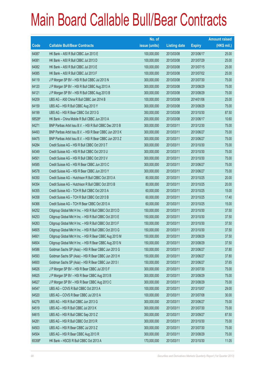|        |                                                          | No. of        |                     |               | <b>Amount raised</b> |
|--------|----------------------------------------------------------|---------------|---------------------|---------------|----------------------|
| Code   | <b>Callable Bull/Bear Contracts</b>                      | issue (units) | <b>Listing date</b> | <b>Expiry</b> | $(HK$$ mil.)         |
| 64087  | HK Bank - A50 R Bull CBBC Jun 2013 E                     | 100,000,000   | 2013/03/08          | 2013/06/17    | 25.00                |
| 64081  | HK Bank - A50 R Bull CBBC Jul 2013 D                     | 100,000,000   | 2013/03/08          | 2013/07/29    | 25.00                |
| 64082  | HK Bank - A50 R Bull CBBC Jul 2013 E                     | 100,000,000   | 2013/03/08          | 2013/07/15    | 25.00                |
| 64085  | HK Bank - A50 R Bull CBBC Jul 2013 F                     | 100,000,000   | 2013/03/08          | 2013/07/02    | 25.00                |
| 64119  | J P Morgan SP BV - HSI R Bull CBBC Jul 2013 N            | 300,000,000   | 2013/03/08          | 2013/07/30    | 75.00                |
| 64120  | J P Morgan SP BV - HSI R Bull CBBC Aug 2013 A            | 300,000,000   | 2013/03/08          | 2013/08/29    | 75.00                |
| 64121  | J P Morgan SP BV - HSI R Bull CBBC Aug 2013 B            | 300,000,000   | 2013/03/08          | 2013/08/29    | 75.00                |
| 64209  | UBS AG - A50 China R Bull CBBC Jan 2014 B                | 100,000,000   | 2013/03/08          | 2014/01/06    | 25.00                |
| 64159  | UBS AG - HSI R Bull CBBC Aug 2013 Y                      | 300,000,000   | 2013/03/08          | 2013/08/29    | 75.00                |
| 64199  | UBS AG - HSI R Bear CBBC Oct 2013 G                      | 350,000,000   | 2013/03/08          | 2013/10/30    | 87.50                |
| 68526# | HK Bank - China Mobile R Bull CBBC Jun 2013 A            | 200,000,000   | 2013/03/08          | 2013/06/17    | 10.60                |
| 64271  | BNP Paribas Arbit Issu B.V. - HSI R Bull CBBC Dec 2013 B | 300,000,000   | 2013/03/11          | 2013/12/30    | 75.00                |
| 64493  | BNP Paribas Arbit Issu B.V. - HSI R Bear CBBC Jun 2013 K | 300,000,000   | 2013/03/11          | 2013/06/27    | 75.00                |
| 64475  | BNP Paribas Arbit Issu B.V. - HSI R Bear CBBC Jun 2013 Z | 300,000,000   | 2013/03/11          | 2013/06/27    | 75.00                |
| 64284  | Credit Suisse AG - HSI R Bull CBBC Oct 2013 T            | 300,000,000   | 2013/03/11          | 2013/10/30    | 75.00                |
| 64349  | Credit Suisse AG - HSI R Bull CBBC Oct 2013 U            | 300,000,000   | 2013/03/11          | 2013/10/30    | 75.00                |
| 64501  | Credit Suisse AG - HSI R Bull CBBC Oct 2013 V            | 300,000,000   | 2013/03/11          | 2013/10/30    | 75.00                |
| 64585  | Credit Suisse AG - HSI R Bear CBBC Jun 2013 C            | 300,000,000   | 2013/03/11          | 2013/06/27    | 75.00                |
| 64578  | Credit Suisse AG - HSI R Bear CBBC Jun 2013 Y            | 300,000,000   | 2013/03/11          | 2013/06/27    | 75.00                |
| 64350  | Credit Suisse AG - Hutchison R Bull CBBC Oct 2013 A      | 80,000,000    | 2013/03/11          | 2013/10/25    | 20.00                |
| 64354  | Credit Suisse AG - Hutchison R Bull CBBC Oct 2013 B      | 80,000,000    | 2013/03/11          | 2013/10/25    | 20.00                |
| 64355  | Credit Suisse AG - TCH R Bull CBBC Oct 2013 A            | 60,000,000    | 2013/03/11          | 2013/10/25    | 15.00                |
| 64358  | Credit Suisse AG - TCH R Bull CBBC Oct 2013 B            | 60,000,000    | 2013/03/11          | 2013/10/25    | 17.40                |
| 64366  | Credit Suisse AG - TCH R Bear CBBC Oct 2013 A            | 60,000,000    | 2013/03/11          | 2013/10/25    | 15.00                |
| 64252  | Citigroup Global Mkt H Inc. - HSI R Bull CBBC Oct 2013 D | 150,000,000   | 2013/03/11          | 2013/10/30    | 37.50                |
| 64253  | Citigroup Global Mkt H Inc. - HSI R Bull CBBC Oct 2013 E | 150,000,000   | 2013/03/11          | 2013/10/30    | 37.50                |
| 64263  | Citigroup Global Mkt H Inc. - HSI R Bull CBBC Oct 2013 F | 150,000,000   | 2013/03/11          | 2013/10/30    | 37.50                |
| 64605  | Citigroup Global Mkt H Inc. - HSI R Bull CBBC Oct 2013 G | 150,000,000   | 2013/03/11          | 2013/10/30    | 37.50                |
| 64601  | Citigroup Global Mkt H Inc. - HSI R Bear CBBC Aug 2013 M | 150,000,000   | 2013/03/11          | 2013/08/29    | 37.50                |
| 64604  | Citigroup Global Mkt H Inc. - HSI R Bear CBBC Aug 2013 N | 150,000,000   | 2013/03/11          | 2013/08/29    | 37.50                |
| 64586  | Goldman Sachs SP (Asia) - HSI R Bear CBBC Jun 2013 G     | 150,000,000   | 2013/03/11          | 2013/06/27    | 37.80                |
| 64593  | Goldman Sachs SP (Asia) - HSI R Bear CBBC Jun 2013 H     | 150,000,000   | 2013/03/11          | 2013/06/27    | 37.80                |
| 64600  | Goldman Sachs SP (Asia) - HSI R Bear CBBC Jun 2013 I     | 150,000,000   | 2013/03/11          | 2013/06/27    | 37.65                |
| 64626  | J P Morgan SP BV - HSI R Bear CBBC Jul 2013 F            | 300,000,000   | 2013/03/11          | 2013/07/30    | 75.00                |
| 64625  | J P Morgan SP BV - HSI R Bear CBBC Aug 2013 B            | 300,000,000   | 2013/03/11          | 2013/08/29    | 75.00                |
| 64627  | J P Morgan SP BV - HSI R Bear CBBC Aug 2013 C            | 300,000,000   | 2013/03/11          | 2013/08/29    | 75.00                |
| 64547  | UBS AG - COVS R Bull CBBC Oct 2013 A                     | 100,000,000   | 2013/03/11          | 2013/10/07    | 29.00                |
| 64520  | UBS AG - COVS R Bear CBBC Jul 2013 A                     | 100,000,000   | 2013/03/11          | 2013/07/08    | 30.00                |
| 64279  | UBS AG - HSI R Bull CBBC Jun 2013 G                      | 300,000,000   | 2013/03/11          | 2013/06/27    | 75.00                |
| 64519  | UBS AG - HSI R Bull CBBC Jul 2013 K                      | 300,000,000   | 2013/03/11          | 2013/07/30    | 75.00                |
| 64615  | UBS AG - HSI R Bull CBBC Sep 2013 Z                      | 350,000,000   | 2013/03/11          | 2013/09/27    | 87.50                |
| 64281  | UBS AG - HSI R Bull CBBC Oct 2013 R                      | 300,000,000   | 2013/03/11          | 2013/10/30    | 75.00                |
| 64503  | UBS AG - HSI R Bear CBBC Jul 2013 Z                      | 300,000,000   | 2013/03/11          | 2013/07/30    | 75.00                |
| 64504  | UBS AG - HSI R Bear CBBC Aug 2013 R                      | 300,000,000   | 2013/03/11          | 2013/08/29    | 75.00                |
| 65358# | HK Bank - HSCEI R Bull CBBC Oct 2013 A                   | 170,000,000   | 2013/03/11          | 2013/10/30    | 11.05                |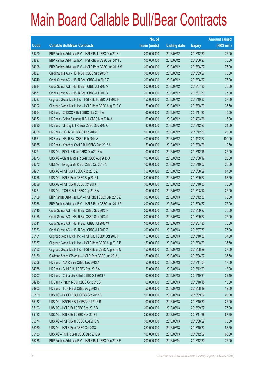|       |                                                          | No. of        |                     |               | <b>Amount raised</b> |
|-------|----------------------------------------------------------|---------------|---------------------|---------------|----------------------|
| Code  | <b>Callable Bull/Bear Contracts</b>                      | issue (units) | <b>Listing date</b> | <b>Expiry</b> | (HK\$ mil.)          |
| 64770 | BNP Paribas Arbit Issu B.V. - HSI R Bull CBBC Dec 2013 J | 300,000,000   | 2013/03/12          | 2013/12/30    | 75.00                |
| 64697 | BNP Paribas Arbit Issu B.V. - HSI R Bear CBBC Jun 2013 L | 300,000,000   | 2013/03/12          | 2013/06/27    | 75.00                |
| 64698 | BNP Paribas Arbit Issu B.V. - HSI R Bear CBBC Jun 2013 M | 300,000,000   | 2013/03/12          | 2013/06/27    | 75.00                |
| 64827 | Credit Suisse AG - HSI R Bull CBBC Sep 2013 Y            | 300,000,000   | 2013/03/12          | 2013/09/27    | 75.00                |
| 64740 | Credit Suisse AG - HSI R Bear CBBC Jun 2013 Z            | 300,000,000   | 2013/03/12          | 2013/06/27    | 75.00                |
| 64814 | Credit Suisse AG - HSI R Bear CBBC Jul 2013 V            | 300,000,000   | 2013/03/12          | 2013/07/30    | 75.00                |
| 64831 | Credit Suisse AG - HSI R Bear CBBC Jul 2013 X            | 300,000,000   | 2013/03/12          | 2013/07/30    | 75.00                |
| 64787 | Citigroup Global Mkt H Inc. - HSI R Bull CBBC Oct 2013 H | 150,000,000   | 2013/03/12          | 2013/10/30    | 37.50                |
| 64902 | Citigroup Global Mkt H Inc. - HSI R Bear CBBC Aug 2013 O | 150,000,000   | 2013/03/12          | 2013/08/29    | 37.50                |
| 64664 | HK Bank - CNOOC R Bull CBBC Nov 2013 A                   | 60,000,000    | 2013/03/12          | 2013/11/25    | 15.00                |
| 64652 | HK Bank - China Shenhua R Bull CBBC Mar 2014 A           | 60,000,000    | 2013/03/12          | 2014/03/26    | 15.00                |
| 64680 | HK Bank - Galaxy Ent R Bear CBBC Dec 2013 C              | 40,000,000    | 2013/03/12          | 2013/12/23    | 24.00                |
| 64628 | HK Bank - HSI R Bull CBBC Dec 2013 D                     | 100,000,000   | 2013/03/12          | 2013/12/30    | 25.00                |
| 64651 | HK Bank - HSI R Bull CBBC Feb 2014 A                     | 400,000,000   | 2013/03/12          | 2014/02/27    | 100.00               |
| 64665 | HK Bank - Yanzhou Coal R Bull CBBC Aug 2013 A            | 50,000,000    | 2013/03/12          | 2013/08/26    | 12.50                |
| 64771 | UBS AG - BOCL R Bear CBBC Dec 2013 A                     | 100,000,000   | 2013/03/12          | 2013/12/16    | 25.00                |
| 64773 | UBS AG - China Mobile R Bear CBBC Aug 2013 A             | 100,000,000   | 2013/03/12          | 2013/08/19    | 25.00                |
| 64772 | UBS AG - Evergrande R Bull CBBC Oct 2013 A               | 100,000,000   | 2013/03/12          | 2013/10/07    | 25.00                |
| 64901 | UBS AG - HSI R Bull CBBC Aug 2013 Z                      | 350,000,000   | 2013/03/12          | 2013/08/29    | 87.50                |
| 64756 | UBS AG - HSI R Bear CBBC Sep 2013 L                      | 350,000,000   | 2013/03/12          | 2013/09/27    | 87.50                |
| 64899 | UBS AG - HSI R Bear CBBC Oct 2013 H                      | 300,000,000   | 2013/03/12          | 2013/10/30    | 75.00                |
| 64781 | UBS AG - TCH R Bull CBBC Aug 2013 A                      | 100,000,000   | 2013/03/12          | 2013/08/12    | 25.00                |
| 65159 | BNP Paribas Arbit Issu B.V. - HSI R Bull CBBC Dec 2013 Z | 300,000,000   | 2013/03/13          | 2013/12/30    | 75.00                |
| 65038 | BNP Paribas Arbit Issu B.V. - HSI R Bear CBBC Jun 2013 P | 300,000,000   | 2013/03/13          | 2013/06/27    | 75.00                |
| 65145 | Credit Suisse AG - HSI R Bull CBBC Sep 2013 F            | 300,000,000   | 2013/03/13          | 2013/09/27    | 75.00                |
| 65158 | Credit Suisse AG - HSI R Bull CBBC Sep 2013 K            | 300,000,000   | 2013/03/13          | 2013/09/27    | 75.00                |
| 65041 | Credit Suisse AG - HSI R Bear CBBC Jul 2013 W            | 300,000,000   | 2013/03/13          | 2013/07/30    | 75.00                |
| 65073 | Credit Suisse AG - HSI R Bear CBBC Jul 2013 Z            | 300,000,000   | 2013/03/13          | 2013/07/30    | 75.00                |
| 65161 | Citigroup Global Mkt H Inc. - HSI R Bull CBBC Oct 2013 I | 150,000,000   | 2013/03/13          | 2013/10/30    | 37.50                |
| 65087 | Citigroup Global Mkt H Inc. - HSI R Bear CBBC Aug 2013 P | 150,000,000   | 2013/03/13          | 2013/08/29    | 37.50                |
| 65162 | Citigroup Global Mkt H Inc. - HSI R Bear CBBC Aug 2013 Q | 150,000,000   | 2013/03/13          | 2013/08/29    | 37.50                |
| 65160 | Goldman Sachs SP (Asia) - HSI R Bear CBBC Jun 2013 J     | 150,000,000   | 2013/03/13          | 2013/06/27    | 37.50                |
| 65008 | HK Bank - AIA R Bear CBBC Nov 2013 A                     | 50,000,000    | 2013/03/13          | 2013/11/04    | 17.50                |
| 64988 | HK Bank - CUni R Bull CBBC Dec 2013 A                    | 50,000,000    | 2013/03/13          | 2013/12/23    | 13.00                |
| 65007 | HK Bank - China Life R Bull CBBC Oct 2013 A              | 60,000,000    | 2013/03/13          | 2013/10/21    | 29.40                |
| 64915 | HK Bank - PetCh R Bull CBBC Oct 2013 B                   | 60,000,000    | 2013/03/13          | 2013/10/15    | 15.00                |
| 64903 | HK Bank - TCH R Bull CBBC Aug 2013 B                     | 50,000,000    | 2013/03/13          | 2013/08/19    | 12.50                |
| 65129 | UBS AG - HSCEI R Bull CBBC Sep 2013 B                    | 100,000,000   | 2013/03/13          | 2013/09/27    | 25.00                |
| 65132 | UBS AG - HSCEI R Bull CBBC Oct 2013 B                    | 100,000,000   | 2013/03/13          | 2013/10/30    | 25.00                |
| 65103 | UBS AG - HSI R Bull CBBC Sep 2013 B                      | 300,000,000   | 2013/03/13          | 2013/09/27    | 75.00                |
| 65122 | UBS AG - HSI R Bull CBBC Nov 2013 I                      | 350,000,000   | 2013/03/13          | 2013/11/28    | 87.50                |
| 65074 | UBS AG - HSI R Bear CBBC Aug 2013 S                      | 300,000,000   | 2013/03/13          | 2013/08/29    | 75.00                |
| 65080 | UBS AG - HSI R Bear CBBC Oct 2013 I                      | 350,000,000   | 2013/03/13          | 2013/10/30    | 87.50                |
| 65133 | UBS AG - TCH R Bear CBBC Dec 2013 A                      | 100,000,000   | 2013/03/13          | 2013/12/09    | 68.00                |
| 65238 | BNP Paribas Arbit Issu B.V. - HSI R Bull CBBC Dec 2013 E | 300,000,000   | 2013/03/14          | 2013/12/30    | 75.00                |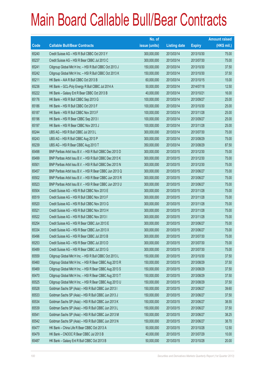|       |                                                          | No. of        |                     |               | <b>Amount raised</b> |
|-------|----------------------------------------------------------|---------------|---------------------|---------------|----------------------|
| Code  | <b>Callable Bull/Bear Contracts</b>                      | issue (units) | <b>Listing date</b> | <b>Expiry</b> | (HK\$ mil.)          |
| 65240 | Credit Suisse AG - HSI R Bull CBBC Oct 2013 Y            | 300,000,000   | 2013/03/14          | 2013/10/30    | 75.00                |
| 65237 | Credit Suisse AG - HSI R Bear CBBC Jul 2013 C            | 300,000,000   | 2013/03/14          | 2013/07/30    | 75.00                |
| 65241 | Citigroup Global Mkt H Inc. - HSI R Bull CBBC Oct 2013 J | 150,000,000   | 2013/03/14          | 2013/10/30    | 37.50                |
| 65242 | Citigroup Global Mkt H Inc. - HSI R Bull CBBC Oct 2013 K | 150,000,000   | 2013/03/14          | 2013/10/30    | 37.50                |
| 65211 | HK Bank - AIA R Bull CBBC Oct 2013 B                     | 60,000,000    | 2013/03/14          | 2013/10/15    | 15.00                |
| 65236 | HK Bank - GCL-Poly Energy R Bull CBBC Jul 2014 A         | 50,000,000    | 2013/03/14          | 2014/07/18    | 12.50                |
| 65222 | HK Bank - Galaxy Ent R Bear CBBC Oct 2013 B              | 40,000,000    | 2013/03/14          | 2013/10/21    | 16.00                |
| 65176 | HK Bank - HSI R Bull CBBC Sep 2013 G                     | 100,000,000   | 2013/03/14          | 2013/09/27    | 25.00                |
| 65186 | HK Bank - HSI R Bull CBBC Oct 2013 F                     | 100,000,000   | 2013/03/14          | 2013/10/30    | 25.00                |
| 65187 | HK Bank - HSI R Bull CBBC Nov 2013 F                     | 100,000,000   | 2013/03/14          | 2013/11/28    | 25.00                |
| 65196 | HK Bank - HSI R Bear CBBC Sep 2013 I                     | 100,000,000   | 2013/03/14          | 2013/09/27    | 25.00                |
| 65197 | HK Bank - HSI R Bear CBBC Nov 2013 J                     | 100,000,000   | 2013/03/14          | 2013/11/28    | 25.00                |
| 65244 | UBS AG - HSI R Bull CBBC Jul 2013 L                      | 300,000,000   | 2013/03/14          | 2013/07/30    | 75.00                |
| 65243 | UBS AG - HSI R Bull CBBC Aug 2013 P                      | 300,000,000   | 2013/03/14          | 2013/08/29    | 75.00                |
| 65239 | UBS AG - HSI R Bear CBBC Aug 2013 T                      | 350,000,000   | 2013/03/14          | 2013/08/29    | 87.50                |
| 65498 | BNP Paribas Arbit Issu B.V. - HSI R Bull CBBC Dec 2013 D | 300,000,000   | 2013/03/15          | 2013/12/30    | 75.00                |
| 65499 | BNP Paribas Arbit Issu B.V. - HSI R Bull CBBC Dec 2013 K | 300,000,000   | 2013/03/15          | 2013/12/30    | 75.00                |
| 65501 | BNP Paribas Arbit Issu B.V. - HSI R Bull CBBC Dec 2013 N | 300,000,000   | 2013/03/15          | 2013/12/30    | 75.00                |
| 65457 | BNP Paribas Arbit Issu B.V. - HSI R Bear CBBC Jun 2013 Q | 300,000,000   | 2013/03/15          | 2013/06/27    | 75.00                |
| 65502 | BNP Paribas Arbit Issu B.V. - HSI R Bear CBBC Jun 2013 R | 300,000,000   | 2013/03/15          | 2013/06/27    | 75.00                |
| 65523 | BNP Paribas Arbit Issu B.V. - HSI R Bear CBBC Jun 2013 U | 300,000,000   | 2013/03/15          | 2013/06/27    | 75.00                |
| 65504 | Credit Suisse AG - HSI R Bull CBBC Nov 2013 E            | 300,000,000   | 2013/03/15          | 2013/11/28    | 75.00                |
| 65519 | Credit Suisse AG - HSI R Bull CBBC Nov 2013 F            | 300,000,000   | 2013/03/15          | 2013/11/28    | 75.00                |
| 65520 | Credit Suisse AG - HSI R Bull CBBC Nov 2013 G            | 300,000,000   | 2013/03/15          | 2013/11/28    | 75.00                |
| 65521 | Credit Suisse AG - HSI R Bull CBBC Nov 2013 H            | 300,000,000   | 2013/03/15          | 2013/11/28    | 75.00                |
| 65522 | Credit Suisse AG - HSI R Bull CBBC Nov 2013 I            | 300,000,000   | 2013/03/15          | 2013/11/28    | 75.00                |
| 65254 | Credit Suisse AG - HSI R Bear CBBC Jun 2013 E            | 300,000,000   | 2013/03/15          | 2013/06/27    | 75.00                |
| 65334 | Credit Suisse AG - HSI R Bear CBBC Jun 2013 X            | 300,000,000   | 2013/03/15          | 2013/06/27    | 75.00                |
| 65496 | Credit Suisse AG - HSI R Bear CBBC Jul 2013 B            | 300,000,000   | 2013/03/15          | 2013/07/30    | 75.00                |
| 65253 | Credit Suisse AG - HSI R Bear CBBC Jul 2013 D            | 300,000,000   | 2013/03/15          | 2013/07/30    | 75.00                |
| 65489 | Credit Suisse AG - HSI R Bear CBBC Jul 2013 G            | 300,000,000   | 2013/03/15          | 2013/07/30    | 75.00                |
| 65559 | Citigroup Global Mkt H Inc. - HSI R Bull CBBC Oct 2013 L | 150,000,000   | 2013/03/15          | 2013/10/30    | 37.50                |
| 65460 | Citigroup Global Mkt H Inc. - HSI R Bear CBBC Aug 2013 R | 150,000,000   | 2013/03/15          | 2013/08/29    | 37.50                |
| 65469 | Citigroup Global Mkt H Inc. - HSI R Bear CBBC Aug 2013 S | 150,000,000   | 2013/03/15          | 2013/08/29    | 37.50                |
| 65470 | Citigroup Global Mkt H Inc. - HSI R Bear CBBC Aug 2013 T | 150,000,000   | 2013/03/15          | 2013/08/29    | 37.50                |
| 65525 | Citigroup Global Mkt H Inc. - HSI R Bear CBBC Aug 2013 U | 150,000,000   | 2013/03/15          | 2013/08/29    | 37.50                |
| 65528 | Goldman Sachs SP (Asia) - HSI R Bull CBBC Jun 2013 I     | 150,000,000   | 2013/03/15          | 2013/06/27    | 39.60                |
| 65533 | Goldman Sachs SP (Asia) - HSI R Bull CBBC Jun 2013 J     | 150,000,000   | 2013/03/15          | 2013/06/27    | 37.50                |
| 65534 | Goldman Sachs SP (Asia) - HSI R Bull CBBC Jun 2013 K     | 150,000,000   | 2013/03/15          | 2013/06/27    | 38.55                |
| 65539 | Goldman Sachs SP (Asia) - HSI R Bull CBBC Jun 2013 L     | 150,000,000   | 2013/03/15          | 2013/06/27    | 37.50                |
| 65541 | Goldman Sachs SP (Asia) - HSI R Bull CBBC Jun 2013 M     | 150,000,000   | 2013/03/15          | 2013/06/27    | 38.25                |
| 65542 | Goldman Sachs SP (Asia) - HSI R Bull CBBC Jun 2013 N     | 150,000,000   | 2013/03/15          | 2013/06/27    | 38.70                |
| 65477 | HK Bank - China Life R Bear CBBC Oct 2013 A              | 50,000,000    | 2013/03/15          | 2013/10/28    | 12.50                |
| 65479 | HK Bank - CNOOC R Bear CBBC Jul 2013 B                   | 40,000,000    | 2013/03/15          | 2013/07/29    | 10.00                |
| 65487 | HK Bank - Galaxy Ent R Bull CBBC Oct 2013 B              | 50,000,000    | 2013/03/15          | 2013/10/28    | 20.00                |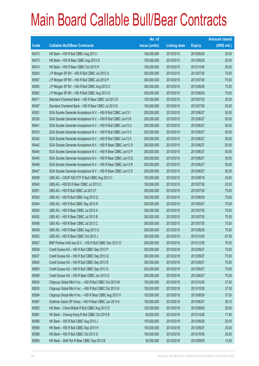|       |                                                                | No. of        |                     |               | <b>Amount raised</b> |
|-------|----------------------------------------------------------------|---------------|---------------------|---------------|----------------------|
| Code  | <b>Callable Bull/Bear Contracts</b>                            | issue (units) | <b>Listing date</b> | <b>Expiry</b> | (HK\$ mil.)          |
| 65472 | HK Bank - HSI R Bull CBBC Aug 2013 I                           | 100,000,000   | 2013/03/15          | 2013/08/29    | 25.00                |
| 65473 | HK Bank - HSI R Bear CBBC Aug 2013 G                           | 100,000,000   | 2013/03/15          | 2013/08/29    | 25.00                |
| 65474 | HK Bank - HSI R Bear CBBC Oct 2013 H                           | 100,000,000   | 2013/03/15          | 2013/10/30    | 25.00                |
| 65563 | J P Morgan SP BV - HSI R Bull CBBC Jul 2013 O                  | 300,000,000   | 2013/03/15          | 2013/07/30    | 75.00                |
| 65567 | J P Morgan SP BV - HSI R Bull CBBC Jul 2013 P                  | 300,000,000   | 2013/03/15          | 2013/07/30    | 75.00                |
| 65560 | J P Morgan SP BV - HSI R Bull CBBC Aug 2013 C                  | 300,000,000   | 2013/03/15          | 2013/08/29    | 75.00                |
| 65562 | J P Morgan SP BV - HSI R Bull CBBC Aug 2013 D                  | 300,000,000   | 2013/03/15          | 2013/08/29    | 75.00                |
| 65471 | Standard Chartered Bank - HSI R Bear CBBC Jul 2013 D           | 100,000,000   | 2013/03/15          | 2013/07/30    | 25.00                |
| 65497 | Standard Chartered Bank - HSI R Bear CBBC Jul 2013 E           | 100,000,000   | 2013/03/15          | 2013/07/30    | 25.00                |
| 65361 | SGA Societe Generale Acceptance N.V. - HSI R Bull CBBC Jun13 I | 200,000,000   | 2013/03/15          | 2013/06/27    | 50.00                |
| 65336 | SGA Societe Generale Acceptance N.V. - HSI R Bull CBBC Jun13 K | 200,000,000   | 2013/03/15          | 2013/06/27    | 50.00                |
| 65441 | SGA Societe Generale Acceptance N.V. - HSI R Bull CBBC Jun13 U | 200,000,000   | 2013/03/15          | 2013/06/27    | 50.00                |
| 65370 | SGA Societe Generale Acceptance N.V. - HSI R Bull CBBC Jun13 V | 200,000,000   | 2013/03/15          | 2013/06/27    | 50.00                |
| 65342 | SGA Societe Generale Acceptance N.V. - HSI R Bull CBBC Jun13 X | 200,000,000   | 2013/03/15          | 2013/06/27    | 50.00                |
| 65442 | SGA Societe Generale Acceptance N.V. - HSI R Bear CBBC Jun13 O | 200,000,000   | 2013/03/15          | 2013/06/27    | 50.00                |
| 65444 | SGA Societe Generale Acceptance N.V. - HSI R Bear CBBC Jun13 P | 200,000,000   | 2013/03/15          | 2013/06/27    | 50.00                |
| 65445 | SGA Societe Generale Acceptance N.V. - HSI R Bear CBBC Jun13 Q | 200,000,000   | 2013/03/15          | 2013/06/27    | 50.00                |
| 65446 | SGA Societe Generale Acceptance N.V. - HSI R Bear CBBC Jun13 R | 200,000,000   | 2013/03/15          | 2013/06/27    | 50.00                |
| 65447 | SGA Societe Generale Acceptance N.V. - HSI R Bear CBBC Jun13 S | 200,000,000   | 2013/03/15          | 2013/06/27    | 50.00                |
| 65558 | UBS AG - CSOP A50 ETF R Bull CBBC Aug 2013 C                   | 100,000,000   | 2013/03/15          | 2013/08/19    | 25.00                |
| 65543 | UBS AG - HSCEI R Bear CBBC Jul 2013 C                          | 100,000,000   | 2013/03/15          | 2013/07/30    | 25.00                |
| 65551 | UBS AG - HSI R Bull CBBC Jul 2013 F                            | 300,000,000   | 2013/03/15          | 2013/07/30    | 75.00                |
| 65550 | UBS AG - HSI R Bull CBBC Aug 2013 Q                            | 300,000,000   | 2013/03/15          | 2013/08/29    | 75.00                |
| 65544 | UBS AG - HSI R Bull CBBC Sep 2013 N                            | 300,000,000   | 2013/03/15          | 2013/09/27    | 75.00                |
| 65554 | UBS AG - HSI R Bear CBBC Jul 2013 A                            | 300,000,000   | 2013/03/15          | 2013/07/30    | 75.00                |
| 65552 | UBS AG - HSI R Bear CBBC Jul 2013 B                            | 300,000,000   | 2013/03/15          | 2013/07/30    | 75.00                |
| 65458 | UBS AG - HSI R Bear CBBC Jul 2013 C                            | 300,000,000   | 2013/03/15          | 2013/07/30    | 75.00                |
| 65459 | UBS AG - HSI R Bear CBBC Aug 2013 U                            | 300,000,000   | 2013/03/15          | 2013/08/29    | 75.00                |
| 65553 | UBS AG - HSI R Bear CBBC Oct 2013 J                            | 350,000,000   | 2013/03/15          | 2013/10/30    | 87.50                |
| 65627 | BNP Paribas Arbit Issu B.V. - HSI R Bull CBBC Dec 2013 O       | 300,000,000   | 2013/03/18          | 2013/12/30    | 75.00                |
| 65636 | Credit Suisse AG - HSI R Bull CBBC Sep 2013 P                  | 300,000,000   | 2013/03/18          | 2013/09/27    | 75.00                |
| 65637 | Credit Suisse AG - HSI R Bull CBBC Sep 2013 Q                  | 300,000,000   | 2013/03/18          | 2013/09/27    | 75.00                |
| 65640 | Credit Suisse AG - HSI R Bull CBBC Sep 2013 R                  | 300,000,000   | 2013/03/18          | 2013/09/27    | 75.00                |
| 65650 | Credit Suisse AG - HSI R Bull CBBC Sep 2013 S                  | 300,000,000   | 2013/03/18          | 2013/09/27    | 75.00                |
| 65595 | Credit Suisse AG - HSI R Bear CBBC Jun 2013 O                  | 300,000,000   | 2013/03/18          | 2013/06/27    | 75.00                |
| 65634 | Citigroup Global Mkt H Inc. - HSI R Bull CBBC Oct 2013 M       | 150,000,000   | 2013/03/18          | 2013/10/30    | 37.50                |
| 65635 | Citigroup Global Mkt H Inc. - HSI R Bull CBBC Oct 2013 N       | 150,000,000   | 2013/03/18          | 2013/10/30    | 37.50                |
| 65594 | Citigroup Global Mkt H Inc. - HSI R Bear CBBC Aug 2013 V       | 150,000,000   | 2013/03/18          | 2013/08/29    | 37.50                |
| 65587 | Goldman Sachs SP (Asia) - HSI R Bear CBBC Jun 2013 K           | 150,000,000   | 2013/03/18          | 2013/06/27    | 38.10                |
| 65582 | HK Bank - China Mobile R Bull CBBC Aug 2013 D                  | 120,000,000   | 2013/03/18          | 2013/08/05    | 30.00                |
| 65581 | HK Bank - Cheung Kong R Bull CBBC Oct 2013 B                   | 60,000,000    | 2013/03/18          | 2013/10/28    | 17.40                |
| 65580 | HK Bank - HSI R Bull CBBC Aug 2013 J                           | 100,000,000   | 2013/03/18          | 2013/08/29    | 25.00                |
| 65569 | HK Bank - HSI R Bull CBBC Sep 2013 H                           | 100,000,000   | 2013/03/18          | 2013/09/27    | 25.00                |
| 65568 | HK Bank - HSI R Bull CBBC Oct 2013 G                           | 100,000,000   | 2013/03/18          | 2013/10/30    | 25.00                |
| 65583 | HK Bank - SHK Ppt R Bear CBBC Sep 2013 B                       | 50,000,000    | 2013/03/18          | 2013/09/09    | 12.50                |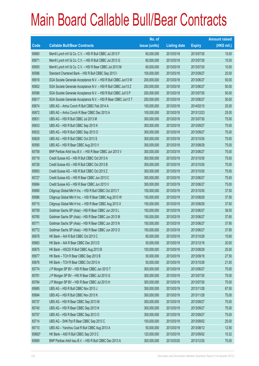|        |                                                                | No. of        |                     |               | <b>Amount raised</b> |
|--------|----------------------------------------------------------------|---------------|---------------------|---------------|----------------------|
| Code   | <b>Callable Bull/Bear Contracts</b>                            | issue (units) | <b>Listing date</b> | <b>Expiry</b> | (HK\$ mil.)          |
| 65660  | Merrill Lynch Int'l & Co. C.V. - HSI R Bull CBBC Jul 2013 F    | 60,000,000    | 2013/03/18          | 2013/07/30    | 15.00                |
| 65671  | Merrill Lynch Int'l & Co. C.V. - HSI R Bull CBBC Jul 2013 G    | 60,000,000    | 2013/03/18          | 2013/07/30    | 15.00                |
| 65655  | Merrill Lynch Int'l & Co. C.V. - HSI R Bear CBBC Jul 2013 M    | 60,000,000    | 2013/03/18          | 2013/07/30    | 15.00                |
| 65586  | Standard Chartered Bank - HSI R Bull CBBC Sep 2013 I           | 100,000,000   | 2013/03/18          | 2013/09/27    | 25.00                |
| 65616  | SGA Societe Generale Acceptance N.V. - HSI R Bull CBBC Jun13 W | 200,000,000   | 2013/03/18          | 2013/06/27    | 50.00                |
| 65602  | SGA Societe Generale Acceptance N.V. - HSI R Bull CBBC Jun13 Z | 200,000,000   | 2013/03/18          | 2013/06/27    | 50.00                |
| 65598  | SGA Societe Generale Acceptance N.V. - HSI R Bull CBBC Jul13 P | 200,000,000   | 2013/03/18          | 2013/07/30    | 50.00                |
| 65617  | SGA Societe Generale Acceptance N.V. - HSI R Bear CBBC Jun13 T | 200,000,000   | 2013/03/18          | 2013/06/27    | 50.00                |
| 65674  | UBS AG - Anhui Conch R Bull CBBC Feb 2014 A                    | 100,000,000   | 2013/03/18          | 2014/02/10    | 25.00                |
| 65672  | UBS AG - Anhui Conch R Bear CBBC Dec 2013 A                    | 100,000,000   | 2013/03/18          | 2013/12/23    | 25.00                |
| 65631  | UBS AG - HSI R Bull CBBC Jul 2013 M                            | 300,000,000   | 2013/03/18          | 2013/07/30    | 75.00                |
| 65633  | UBS AG - HSI R Bull CBBC Sep 2013 K                            | 300,000,000   | 2013/03/18          | 2013/09/27    | 75.00                |
| 65632  | UBS AG - HSI R Bull CBBC Sep 2013 O                            | 300,000,000   | 2013/03/18          | 2013/09/27    | 75.00                |
| 65629  | UBS AG - HSI R Bull CBBC Oct 2013 S                            | 300,000,000   | 2013/03/18          | 2013/10/30    | 75.00                |
| 65590  | UBS AG - HSI R Bear CBBC Aug 2013 V                            | 300,000,000   | 2013/03/18          | 2013/08/29    | 75.00                |
| 65758  | BNP Paribas Arbit Issu B.V. - HSI R Bear CBBC Jun 2013 V       | 300,000,000   | 2013/03/19          | 2013/06/27    | 75.00                |
| 65718  | Credit Suisse AG - HSI R Bull CBBC Oct 2013 A                  | 300,000,000   | 2013/03/19          | 2013/10/30    | 75.00                |
| 65726  | Credit Suisse AG - HSI R Bull CBBC Oct 2013 B                  | 300,000,000   | 2013/03/19          | 2013/10/30    | 75.00                |
| 65693  | Credit Suisse AG - HSI R Bull CBBC Oct 2013 Z                  | 300,000,000   | 2013/03/19          | 2013/10/30    | 75.00                |
| 65727  | Credit Suisse AG - HSI R Bear CBBC Jun 2013 C                  | 300,000,000   | 2013/03/19          | 2013/06/27    | 75.00                |
| 65684  | Credit Suisse AG - HSI R Bear CBBC Jun 2013 V                  | 300,000,000   | 2013/03/19          | 2013/06/27    | 75.00                |
| 65690  | Citigroup Global Mkt H Inc. - HSI R Bull CBBC Oct 2013 Y       | 150,000,000   | 2013/03/19          | 2013/10/30    | 37.50                |
| 65686  | Citigroup Global Mkt H Inc. - HSI R Bear CBBC Aug 2013 W       | 150,000,000   | 2013/03/19          | 2013/08/29    | 37.50                |
| 65715  | Citigroup Global Mkt H Inc. - HSI R Bear CBBC Aug 2013 X       | 150,000,000   | 2013/03/19          | 2013/08/29    | 37.50                |
| 65759  | Goldman Sachs SP (Asia) - HSI R Bear CBBC Jun 2013 L           | 150,000,000   | 2013/03/19          | 2013/06/27    | 38.55                |
| 65760  | Goldman Sachs SP (Asia) - HSI R Bear CBBC Jun 2013 M           | 150,000,000   | 2013/03/19          | 2013/06/27    | 37.65                |
| 65771  | Goldman Sachs SP (Asia) - HSI R Bear CBBC Jun 2013 N           | 150,000,000   | 2013/03/19          | 2013/06/27    | 37.95                |
| 65772  | Goldman Sachs SP (Asia) - HSI R Bear CBBC Jun 2013 O           | 150,000,000   | 2013/03/19          | 2013/06/27    | 37.95                |
| 65678  | HK Bank - AIA R Bull CBBC Oct 2013 C                           | 60,000,000    | 2013/03/19          | 2013/10/28    | 15.60                |
| 65683  | HK Bank - AIA R Bear CBBC Dec 2013 D                           | 50,000,000    | 2013/03/19          | 2013/12/16    | 20.00                |
| 65675  | HK Bank - HSCEI R Bull CBBC Aug 2013 B                         | 100,000,000   | 2013/03/19          | 2013/08/29    | 25.00                |
| 65677  | HK Bank - TCH R Bear CBBC Sep 2013 B                           | 50,000,000    | 2013/03/19          | 2013/09/18    | 27.50                |
| 65676  | HK Bank - TCH R Bear CBBC Oct 2013 A                           | 50,000,000    | 2013/03/19          | 2013/10/28    | 21.00                |
| 65774  | J P Morgan SP BV - HSI R Bear CBBC Jun 2013 T                  | 300,000,000   | 2013/03/19          | 2013/06/27    | 75.00                |
| 65781  | J P Morgan SP BV - HSI R Bear CBBC Jul 2013 G                  | 300,000,000   | 2013/03/19          | 2013/07/30    | 75.00                |
| 65784  | J P Morgan SP BV - HSI R Bear CBBC Jul 2013 H                  | 300,000,000   | 2013/03/19          | 2013/07/30    | 75.00                |
| 65685  | UBS AG - HSI R Bull CBBC Nov 2013 J                            | 350,000,000   | 2013/03/19          | 2013/11/28    | 87.50                |
| 65694  | UBS AG - HSI R Bull CBBC Nov 2013 K                            | 300,000,000   | 2013/03/19          | 2013/11/28    | 75.00                |
| 65737  | UBS AG - HSI R Bear CBBC Sep 2013 M                            | 300,000,000   | 2013/03/19          | 2013/09/27    | 75.00                |
| 65740  | UBS AG - HSI R Bear CBBC Sep 2013 N                            | 300,000,000   | 2013/03/19          | 2013/09/27    | 75.00                |
| 65757  | UBS AG - HSI R Bear CBBC Sep 2013 O                            | 300,000,000   | 2013/03/19          | 2013/09/27    | 75.00                |
| 65714  | UBS AG - SHK Ppt R Bear CBBC Sep 2013 C                        | 100,000,000   | 2013/03/19          | 2013/09/02    | 25.00                |
| 65710  | UBS AG - Yanzhou Coal R Bull CBBC Aug 2013 A                   | 50,000,000    | 2013/03/19          | 2013/08/12    | 12.50                |
| 65682# | HK Bank - A50 R Bull CBBC Sep 2013 C                           | 120,000,000   | 2013/03/19          | 2013/09/02    | 10.32                |
| 65890  | BNP Paribas Arbit Issu B.V. - HSI R Bull CBBC Dec 2013 A       | 300,000,000   | 2013/03/20          | 2013/12/30    | 75.00                |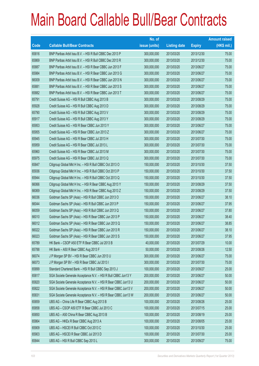|             |                                                                | No. of        |                     |               | <b>Amount raised</b> |
|-------------|----------------------------------------------------------------|---------------|---------------------|---------------|----------------------|
| <b>Code</b> | <b>Callable Bull/Bear Contracts</b>                            | issue (units) | <b>Listing date</b> | <b>Expiry</b> | $(HK$$ mil.)         |
| 65816       | BNP Paribas Arbit Issu B.V. - HSI R Bull CBBC Dec 2013 P       | 300,000,000   | 2013/03/20          | 2013/12/30    | 75.00                |
| 65869       | BNP Paribas Arbit Issu B.V. - HSI R Bull CBBC Dec 2013 R       | 300,000,000   | 2013/03/20          | 2013/12/30    | 75.00                |
| 65887       | BNP Paribas Arbit Issu B.V. - HSI R Bear CBBC Jun 2013 F       | 300,000,000   | 2013/03/20          | 2013/06/27    | 75.00                |
| 65984       | BNP Paribas Arbit Issu B.V. - HSI R Bear CBBC Jun 2013 G       | 300,000,000   | 2013/03/20          | 2013/06/27    | 75.00                |
| 66009       | BNP Paribas Arbit Issu B.V. - HSI R Bear CBBC Jun 2013 N       | 300,000,000   | 2013/03/20          | 2013/06/27    | 75.00                |
| 65881       | BNP Paribas Arbit Issu B.V. - HSI R Bear CBBC Jun 2013 S       | 300,000,000   | 2013/03/20          | 2013/06/27    | 75.00                |
| 65882       | BNP Paribas Arbit Issu B.V. - HSI R Bear CBBC Jun 2013 T       | 300,000,000   | 2013/03/20          | 2013/06/27    | 75.00                |
| 65791       | Credit Suisse AG - HSI R Bull CBBC Aug 2013 B                  | 300,000,000   | 2013/03/20          | 2013/08/29    | 75.00                |
| 65928       | Credit Suisse AG - HSI R Bull CBBC Aug 2013 D                  | 300,000,000   | 2013/03/20          | 2013/08/29    | 75.00                |
| 65790       | Credit Suisse AG - HSI R Bull CBBC Aug 2013 V                  | 300,000,000   | 2013/03/20          | 2013/08/29    | 75.00                |
| 65917       | Credit Suisse AG - HSI R Bull CBBC Aug 2013 Y                  | 300,000,000   | 2013/03/20          | 2013/08/29    | 75.00                |
| 65953       | Credit Suisse AG - HSI R Bear CBBC Jun 2013 Y                  | 300,000,000   | 2013/03/20          | 2013/06/27    | 75.00                |
| 65955       | Credit Suisse AG - HSI R Bear CBBC Jun 2013 Z                  | 300,000,000   | 2013/03/20          | 2013/06/27    | 75.00                |
| 65945       | Credit Suisse AG - HSI R Bear CBBC Jul 2013 H                  | 300,000,000   | 2013/03/20          | 2013/07/30    | 75.00                |
| 65959       | Credit Suisse AG - HSI R Bear CBBC Jul 2013 L                  | 300,000,000   | 2013/03/20          | 2013/07/30    | 75.00                |
| 65960       | Credit Suisse AG - HSI R Bear CBBC Jul 2013 M                  | 300,000,000   | 2013/03/20          | 2013/07/30    | 75.00                |
| 65975       | Credit Suisse AG - HSI R Bear CBBC Jul 2013 Q                  | 300,000,000   | 2013/03/20          | 2013/07/30    | 75.00                |
| 65847       | Citigroup Global Mkt H Inc. - HSI R Bull CBBC Oct 2013 O       | 150,000,000   | 2013/03/20          | 2013/10/30    | 37.50                |
| 65936       | Citigroup Global Mkt H Inc. - HSI R Bull CBBC Oct 2013 P       | 150,000,000   | 2013/03/20          | 2013/10/30    | 37.50                |
| 65944       | Citigroup Global Mkt H Inc. - HSI R Bull CBBC Oct 2013 Q       | 150,000,000   | 2013/03/20          | 2013/10/30    | 37.50                |
| 66066       | Citigroup Global Mkt H Inc. - HSI R Bear CBBC Aug 2013 Y       | 150,000,000   | 2013/03/20          | 2013/08/29    | 37.50                |
| 66069       | Citigroup Global Mkt H Inc. - HSI R Bear CBBC Aug 2013 Z       | 150,000,000   | 2013/03/20          | 2013/08/29    | 37.50                |
| 66036       | Goldman Sachs SP (Asia) - HSI R Bull CBBC Jun 2013 O           | 150,000,000   | 2013/03/20          | 2013/06/27    | 38.10                |
| 66044       | Goldman Sachs SP (Asia) - HSI R Bull CBBC Jun 2013 P           | 150,000,000   | 2013/03/20          | 2013/06/27    | 37.95                |
| 66059       | Goldman Sachs SP (Asia) - HSI R Bull CBBC Jun 2013 Q           | 150,000,000   | 2013/03/20          | 2013/06/27    | 37.80                |
| 66010       | Goldman Sachs SP (Asia) - HSI R Bear CBBC Jun 2013 P           | 150,000,000   | 2013/03/20          | 2013/06/27    | 38.40                |
| 66012       | Goldman Sachs SP (Asia) - HSI R Bear CBBC Jun 2013 Q           | 150,000,000   | 2013/03/20          | 2013/06/27    | 38.85                |
| 66022       | Goldman Sachs SP (Asia) - HSI R Bear CBBC Jun 2013 R           | 150,000,000   | 2013/03/20          | 2013/06/27    | 38.10                |
| 66023       | Goldman Sachs SP (Asia) - HSI R Bear CBBC Jun 2013 S           | 150,000,000   | 2013/03/20          | 2013/06/27    | 37.95                |
| 65789       | HK Bank - CSOP A50 ETF R Bear CBBC Jul 2013 B                  | 40,000,000    | 2013/03/20          | 2013/07/29    | 10.00                |
| 65788       | HK Bank - A50 R Bear CBBC Aug 2013 F                           | 50,000,000    | 2013/03/20          | 2013/08/26    | 12.50                |
| 66074       | J P Morgan SP BV - HSI R Bear CBBC Jun 2013 U                  | 300,000,000   | 2013/03/20          | 2013/06/27    | 75.00                |
| 66073       | J P Morgan SP BV - HSI R Bear CBBC Jul 2013 I                  | 300,000,000   | 2013/03/20          | 2013/07/30    | 75.00                |
| 65899       | Standard Chartered Bank - HSI R Bull CBBC Sep 2013 J           | 100,000,000   | 2013/03/20          | 2013/09/27    | 25.00                |
| 65817       | SGA Societe Generale Acceptance N.V. - HSI R Bull CBBC Jun13 Y | 200,000,000   | 2013/03/20          | 2013/06/27    | 50.00                |
| 65820       | SGA Societe Generale Acceptance N.V. - HSI R Bear CBBC Jun13 U | 200,000,000   | 2013/03/20          | 2013/06/27    | 50.00                |
| 65822       | SGA Societe Generale Acceptance N.V. - HSI R Bear CBBC Jun13 V | 200,000,000   | 2013/03/20          | 2013/06/27    | 50.00                |
| 65831       | SGA Societe Generale Acceptance N.V. - HSI R Bear CBBC Jun13 W | 200,000,000   | 2013/03/20          | 2013/06/27    | 50.00                |
| 65859       | UBS AG - China Life R Bear CBBC Aug 2013 B                     | 100,000,000   | 2013/03/20          | 2013/08/26    | 25.00                |
| 65858       | UBS AG - CSOP A50 ETF R Bear CBBC Jul 2013 C                   | 100,000,000   | 2013/03/20          | 2013/07/15    | 25.00                |
| 65850       | UBS AG - A50 China R Bear CBBC Aug 2013 B                      | 100,000,000   | 2013/03/20          | 2013/08/19    | 25.00                |
| 65864       | UBS AG - HKEx R Bear CBBC Aug 2013 A                           | 100,000,000   | 2013/03/20          | 2013/08/05    | 25.00                |
| 65909       | UBS AG - HSCEI R Bull CBBC Oct 2013 C                          | 100,000,000   | 2013/03/20          | 2013/10/30    | 25.00                |
| 65903       | UBS AG - HSCEI R Bear CBBC Jul 2013 D                          | 100,000,000   | 2013/03/20          | 2013/07/30    | 25.00                |
| 65844       | UBS AG - HSI R Bull CBBC Sep 2013 L                            | 300,000,000   | 2013/03/20          | 2013/09/27    | 75.00                |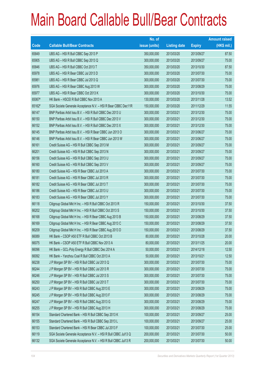|        |                                                                | No. of        |                     |               | <b>Amount raised</b> |
|--------|----------------------------------------------------------------|---------------|---------------------|---------------|----------------------|
| Code   | <b>Callable Bull/Bear Contracts</b>                            | issue (units) | <b>Listing date</b> | <b>Expiry</b> | $(HK$$ mil.)         |
| 65849  | UBS AG - HSI R Bull CBBC Sep 2013 P                            | 350,000,000   | 2013/03/20          | 2013/09/27    | 87.50                |
| 65905  | UBS AG - HSI R Bull CBBC Sep 2013 Q                            | 300,000,000   | 2013/03/20          | 2013/09/27    | 75.00                |
| 65846  | UBS AG - HSI R Bull CBBC Oct 2013 T                            | 350,000,000   | 2013/03/20          | 2013/10/30    | 87.50                |
| 65978  | UBS AG - HSI R Bear CBBC Jul 2013 D                            | 300,000,000   | 2013/03/20          | 2013/07/30    | 75.00                |
| 65981  | UBS AG - HSI R Bear CBBC Jul 2013 Q                            | 300,000,000   | 2013/03/20          | 2013/07/30    | 75.00                |
| 65976  | UBS AG - HSI R Bear CBBC Aug 2013 W                            | 300,000,000   | 2013/03/20          | 2013/08/29    | 75.00                |
| 65977  | UBS AG - HSI R Bear CBBC Oct 2013 K                            | 300,000,000   | 2013/03/20          | 2013/10/30    | 75.00                |
| 65067# | HK Bank - HSCEI R Bull CBBC Nov 2013 A                         | 130,000,000   | 2013/03/20          | 2013/11/28    | 13.52                |
| 65162# | SGA Societe Generale Acceptance N.V. - HSI R Bear CBBC Dec11R  | 150,000,000   | 2013/03/20          | 2011/12/29    | 11.55                |
| 66147  | BNP Paribas Arbit Issu B.V. - HSI R Bull CBBC Dec 2013 U       | 300,000,000   | 2013/03/21          | 2013/12/30    | 75.00                |
| 66150  | BNP Paribas Arbit Issu B.V. - HSI R Bull CBBC Dec 2013 V       | 300,000,000   | 2013/03/21          | 2013/12/30    | 75.00                |
| 66152  | BNP Paribas Arbit Issu B.V. - HSI R Bull CBBC Dec 2013 X       | 300,000,000   | 2013/03/21          | 2013/12/30    | 75.00                |
| 66145  | BNP Paribas Arbit Issu B.V. - HSI R Bear CBBC Jun 2013 O       | 300,000,000   | 2013/03/21          | 2013/06/27    | 75.00                |
| 66146  | BNP Paribas Arbit Issu B.V. - HSI R Bear CBBC Jun 2013 W       | 300,000,000   | 2013/03/21          | 2013/06/27    | 75.00                |
| 66161  | Credit Suisse AG - HSI R Bull CBBC Sep 2013 M                  | 300,000,000   | 2013/03/21          | 2013/09/27    | 75.00                |
| 66201  | Credit Suisse AG - HSI R Bull CBBC Sep 2013 N                  | 300,000,000   | 2013/03/21          | 2013/09/27    | 75.00                |
| 66156  | Credit Suisse AG - HSI R Bull CBBC Sep 2013 U                  | 300,000,000   | 2013/03/21          | 2013/09/27    | 75.00                |
| 66160  | Credit Suisse AG - HSI R Bull CBBC Sep 2013 V                  | 300,000,000   | 2013/03/21          | 2013/09/27    | 75.00                |
| 66180  | Credit Suisse AG - HSI R Bear CBBC Jul 2013 A                  | 300,000,000   | 2013/03/21          | 2013/07/30    | 75.00                |
| 66181  | Credit Suisse AG - HSI R Bear CBBC Jul 2013 R                  | 300,000,000   | 2013/03/21          | 2013/07/30    | 75.00                |
| 66182  | Credit Suisse AG - HSI R Bear CBBC Jul 2013 T                  | 300,000,000   | 2013/03/21          | 2013/07/30    | 75.00                |
| 66186  | Credit Suisse AG - HSI R Bear CBBC Jul 2013 U                  | 300,000,000   | 2013/03/21          | 2013/07/30    | 75.00                |
| 66183  | Credit Suisse AG - HSI R Bear CBBC Jul 2013 Y                  | 300,000,000   | 2013/03/21          | 2013/07/30    | 75.00                |
| 66118  | Citigroup Global Mkt H Inc. - HSI R Bull CBBC Oct 2013 R       | 150,000,000   | 2013/03/21          | 2013/10/30    | 37.50                |
| 66202  | Citigroup Global Mkt H Inc. - HSI R Bull CBBC Oct 2013 S       | 150,000,000   | 2013/03/21          | 2013/10/30    | 37.50                |
| 66168  | Citigroup Global Mkt H Inc. - HSI R Bear CBBC Aug 2013 B       | 150,000,000   | 2013/03/21          | 2013/08/29    | 37.50                |
| 66169  | Citigroup Global Mkt H Inc. - HSI R Bear CBBC Aug 2013 C       | 150,000,000   | 2013/03/21          | 2013/08/29    | 37.50                |
| 66209  | Citigroup Global Mkt H Inc. - HSI R Bear CBBC Aug 2013 D       | 150,000,000   | 2013/03/21          | 2013/08/29    | 37.50                |
| 66089  | HK Bank - CSOP A50 ETF R Bull CBBC Oct 2013 B                  | 80,000,000    | 2013/03/21          | 2013/10/28    | 20.00                |
| 66075  | HK Bank - CSOP A50 ETF R Bull CBBC Nov 2013 A                  | 80,000,000    | 2013/03/21          | 2013/11/25    | 20.00                |
| 66096  | HK Bank - GCL-Poly Energy R Bull CBBC Dec 2014 A               | 50,000,000    | 2013/03/21          | 2014/12/18    | 12.50                |
| 66092  | HK Bank - Yanzhou Coal R Bull CBBC Oct 2013 A                  | 50,000,000    | 2013/03/21          | 2013/10/21    | 12.50                |
| 66238  | J P Morgan SP BV - HSI R Bull CBBC Jul 2013 Q                  | 300,000,000   | 2013/03/21          | 2013/07/30    | 75.00                |
| 66244  | J P Morgan SP BV - HSI R Bull CBBC Jul 2013 R                  | 300,000,000   | 2013/03/21          | 2013/07/30    | 75.00                |
| 66246  | J P Morgan SP BV - HSI R Bull CBBC Jul 2013 S                  | 300,000,000   | 2013/03/21          | 2013/07/30    | 75.00                |
| 66250  | J P Morgan SP BV - HSI R Bull CBBC Jul 2013 T                  | 300,000,000   | 2013/03/21          | 2013/07/30    | 75.00                |
| 66243  | J P Morgan SP BV - HSI R Bull CBBC Aug 2013 E                  | 300,000,000   | 2013/03/21          | 2013/08/29    | 75.00                |
| 66245  | J P Morgan SP BV - HSI R Bull CBBC Aug 2013 F                  | 300,000,000   | 2013/03/21          | 2013/08/29    | 75.00                |
| 66247  | J P Morgan SP BV - HSI R Bull CBBC Aug 2013 G                  | 300,000,000   | 2013/03/21          | 2013/08/29    | 75.00                |
| 66255  | J P Morgan SP BV - HSI R Bull CBBC Aug 2013 H                  | 300,000,000   | 2013/03/21          | 2013/08/29    | 75.00                |
| 66154  | Standard Chartered Bank - HSI R Bull CBBC Sep 2013 K           | 100,000,000   | 2013/03/21          | 2013/09/27    | 25.00                |
| 66155  | Standard Chartered Bank - HSI R Bull CBBC Sep 2013 L           | 100,000,000   | 2013/03/21          | 2013/09/27    | 25.00                |
| 66153  | Standard Chartered Bank - HSI R Bear CBBC Jul 2013 F           | 100,000,000   | 2013/03/21          | 2013/07/30    | 25.00                |
| 66119  | SGA Societe Generale Acceptance N.V. - HSI R Bull CBBC Jul13 Q | 200,000,000   | 2013/03/21          | 2013/07/30    | 50.00                |
| 66132  | SGA Societe Generale Acceptance N.V. - HSI R Bull CBBC Jul13 R | 200,000,000   | 2013/03/21          | 2013/07/30    | 50.00                |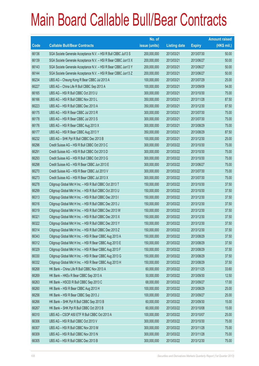|       |                                                                | No. of        |                     |               | <b>Amount raised</b> |
|-------|----------------------------------------------------------------|---------------|---------------------|---------------|----------------------|
| Code  | <b>Callable Bull/Bear Contracts</b>                            | issue (units) | <b>Listing date</b> | <b>Expiry</b> | (HK\$ mil.)          |
| 66136 | SGA Societe Generale Acceptance N.V. - HSI R Bull CBBC Jul13 S | 200,000,000   | 2013/03/21          | 2013/07/30    | 50.00                |
| 66139 | SGA Societe Generale Acceptance N.V. - HSI R Bear CBBC Jun13 X | 200,000,000   | 2013/03/21          | 2013/06/27    | 50.00                |
| 66143 | SGA Societe Generale Acceptance N.V. - HSI R Bear CBBC Jun13 Y | 200,000,000   | 2013/03/21          | 2013/06/27    | 50.00                |
| 66144 | SGA Societe Generale Acceptance N.V. - HSI R Bear CBBC Jun13 Z | 200,000,000   | 2013/03/21          | 2013/06/27    | 50.00                |
| 66234 | UBS AG - Cheung Kong R Bear CBBC Jul 2013 A                    | 100,000,000   | 2013/03/21          | 2013/07/29    | 25.00                |
| 66227 | UBS AG - China Life R Bull CBBC Sep 2013 A                     | 100,000,000   | 2013/03/21          | 2013/09/09    | 54.00                |
| 66165 | UBS AG - HSI R Bull CBBC Oct 2013 U                            | 300,000,000   | 2013/03/21          | 2013/10/30    | 75.00                |
| 66166 | UBS AG - HSI R Bull CBBC Nov 2013 L                            | 350,000,000   | 2013/03/21          | 2013/11/28    | 87.50                |
| 66223 | UBS AG - HSI R Bull CBBC Dec 2013 A                            | 350,000,000   | 2013/03/21          | 2013/12/30    | 87.50                |
| 66175 | UBS AG - HSI R Bear CBBC Jul 2013 R                            | 300,000,000   | 2013/03/21          | 2013/07/30    | 75.00                |
| 66178 | UBS AG - HSI R Bear CBBC Jul 2013 S                            | 300,000,000   | 2013/03/21          | 2013/07/30    | 75.00                |
| 66176 | UBS AG - HSI R Bear CBBC Aug 2013 X                            | 300,000,000   | 2013/03/21          | 2013/08/29    | 75.00                |
| 66177 | UBS AG - HSI R Bear CBBC Aug 2013 Y                            | 350,000,000   | 2013/03/21          | 2013/08/29    | 87.50                |
| 66232 | UBS AG - SHK Ppt R Bull CBBC Dec 2013 B                        | 100,000,000   | 2013/03/21          | 2013/12/30    | 25.00                |
| 66296 | Credit Suisse AG - HSI R Bull CBBC Oct 2013 C                  | 300,000,000   | 2013/03/22          | 2013/10/30    | 75.00                |
| 66291 | Credit Suisse AG - HSI R Bull CBBC Oct 2013 D                  | 300,000,000   | 2013/03/22          | 2013/10/30    | 75.00                |
| 66293 | Credit Suisse AG - HSI R Bull CBBC Oct 2013 G                  | 300,000,000   | 2013/03/22          | 2013/10/30    | 75.00                |
| 66298 | Credit Suisse AG - HSI R Bear CBBC Jun 2013 E                  | 300,000,000   | 2013/03/22          | 2013/06/27    | 75.00                |
| 66270 | Credit Suisse AG - HSI R Bear CBBC Jul 2013 V                  | 300,000,000   | 2013/03/22          | 2013/07/30    | 75.00                |
| 66273 | Credit Suisse AG - HSI R Bear CBBC Jul 2013 X                  | 300,000,000   | 2013/03/22          | 2013/07/30    | 75.00                |
| 66278 | Citigroup Global Mkt H Inc. - HSI R Bull CBBC Oct 2013 T       | 150,000,000   | 2013/03/22          | 2013/10/30    | 37.50                |
| 66299 | Citigroup Global Mkt H Inc. - HSI R Bull CBBC Oct 2013 U       | 150,000,000   | 2013/03/22          | 2013/10/30    | 37.50                |
| 66313 | Citigroup Global Mkt H Inc. - HSI R Bull CBBC Dec 2013 I       | 150,000,000   | 2013/03/22          | 2013/12/30    | 37.50                |
| 66316 | Citigroup Global Mkt H Inc. - HSI R Bull CBBC Dec 2013 J       | 150,000,000   | 2013/03/22          | 2013/12/30    | 37.50                |
| 66319 | Citigroup Global Mkt H Inc. - HSI R Bull CBBC Dec 2013 W       | 150,000,000   | 2013/03/22          | 2013/12/30    | 37.50                |
| 66321 | Citigroup Global Mkt H Inc. - HSI R Bull CBBC Dec 2013 X       | 150,000,000   | 2013/03/22          | 2013/12/30    | 37.50                |
| 66322 | Citigroup Global Mkt H Inc. - HSI R Bull CBBC Dec 2013 Y       | 150,000,000   | 2013/03/22          | 2013/12/30    | 37.50                |
| 66314 | Citigroup Global Mkt H Inc. - HSI R Bull CBBC Dec 2013 Z       | 150,000,000   | 2013/03/22          | 2013/12/30    | 37.50                |
| 66343 | Citigroup Global Mkt H Inc. - HSI R Bear CBBC Aug 2013 A       | 150,000,000   | 2013/03/22          | 2013/08/29    | 37.50                |
| 66312 | Citigroup Global Mkt H Inc. - HSI R Bear CBBC Aug 2013 E       | 150,000,000   | 2013/03/22          | 2013/08/29    | 37.50                |
| 66329 | Citigroup Global Mkt H Inc. - HSI R Bear CBBC Aug 2013 F       | 150,000,000   | 2013/03/22          | 2013/08/29    | 37.50                |
| 66330 | Citigroup Global Mkt H Inc. - HSI R Bear CBBC Aug 2013 G       | 150,000,000   | 2013/03/22          | 2013/08/29    | 37.50                |
| 66332 | Citigroup Global Mkt H Inc. - HSI R Bear CBBC Aug 2013 H       | 150,000,000   | 2013/03/22          | 2013/08/29    | 37.50                |
| 66268 | HK Bank - China Life R Bull CBBC Nov 2013 A                    | 60,000,000    | 2013/03/22          | 2013/11/25    | 33.60                |
| 66269 | HK Bank - HKEx R Bear CBBC Sep 2013 A                          | 50,000,000    | 2013/03/22          | 2013/09/30    | 12.50                |
| 66263 | HK Bank - HSCEI R Bull CBBC Sep 2013 C                         | 68,000,000    | 2013/03/22          | 2013/09/27    | 17.00                |
| 66260 | HK Bank - HSI R Bear CBBC Aug 2013 H                           | 100,000,000   | 2013/03/22          | 2013/08/29    | 25.00                |
| 66256 | HK Bank - HSI R Bear CBBC Sep 2013 J                           | 100,000,000   | 2013/03/22          | 2013/09/27    | 25.00                |
| 66266 | HK Bank - SHK Ppt R Bull CBBC Sep 2013 B                       | 60,000,000    | 2013/03/22          | 2013/09/30    | 15.00                |
| 66267 | HK Bank - SHK Ppt R Bull CBBC Oct 2013 B                       | 60,000,000    | 2013/03/22          | 2013/10/08    | 15.00                |
| 66310 | UBS AG - CSOP A50 ETF R Bull CBBC Oct 2013 A                   | 100,000,000   | 2013/03/22          | 2013/10/07    | 25.00                |
| 66306 | UBS AG - HSI R Bull CBBC Oct 2013 V                            | 300,000,000   | 2013/03/22          | 2013/10/30    | 75.00                |
| 66307 | UBS AG - HSI R Bull CBBC Nov 2013 M                            | 300,000,000   | 2013/03/22          | 2013/11/28    | 75.00                |
| 66309 | UBS AG - HSI R Bull CBBC Nov 2013 N                            | 300,000,000   | 2013/03/22          | 2013/11/28    | 75.00                |
| 66305 | UBS AG - HSI R Bull CBBC Dec 2013 B                            | 300,000,000   | 2013/03/22          | 2013/12/30    | 75.00                |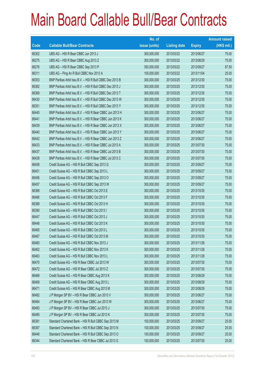|       |                                                          | No. of        |                     |               | <b>Amount raised</b> |
|-------|----------------------------------------------------------|---------------|---------------------|---------------|----------------------|
| Code  | <b>Callable Bull/Bear Contracts</b>                      | issue (units) | <b>Listing date</b> | <b>Expiry</b> | $(HK$$ mil.)         |
| 66302 | UBS AG - HSI R Bear CBBC Jun 2013 J                      | 300,000,000   | 2013/03/22          | 2013/06/27    | 75.00                |
| 66275 | UBS AG - HSI R Bear CBBC Aug 2013 Z                      | 300,000,000   | 2013/03/22          | 2013/08/29    | 75.00                |
| 66276 | UBS AG - HSI R Bear CBBC Sep 2013 P                      | 350,000,000   | 2013/03/22          | 2013/09/27    | 87.50                |
| 66311 | UBS AG - Ping An R Bull CBBC Nov 2013 A                  | 100,000,000   | 2013/03/22          | 2013/11/04    | 25.00                |
| 66353 | BNP Paribas Arbit Issu B.V. - HSI R Bull CBBC Dec 2013 B | 300,000,000   | 2013/03/25          | 2013/12/30    | 75.00                |
| 66362 | BNP Paribas Arbit Issu B.V. - HSI R Bull CBBC Dec 2013 J | 300,000,000   | 2013/03/25          | 2013/12/30    | 75.00                |
| 66369 | BNP Paribas Arbit Issu B.V. - HSI R Bull CBBC Dec 2013 T | 300,000,000   | 2013/03/25          | 2013/12/30    | 75.00                |
| 66430 | BNP Paribas Arbit Issu B.V. - HSI R Bull CBBC Dec 2013 W | 300,000,000   | 2013/03/25          | 2013/12/30    | 75.00                |
| 66351 | BNP Paribas Arbit Issu B.V. - HSI R Bull CBBC Dec 2013 Y | 300,000,000   | 2013/03/25          | 2013/12/30    | 75.00                |
| 66445 | BNP Paribas Arbit Issu B.V. - HSI R Bear CBBC Jun 2013 H | 300,000,000   | 2013/03/25          | 2013/06/27    | 75.00                |
| 66441 | BNP Paribas Arbit Issu B.V. - HSI R Bear CBBC Jun 2013 K | 300,000,000   | 2013/03/25          | 2013/06/27    | 75.00                |
| 66439 | BNP Paribas Arbit Issu B.V. - HSI R Bear CBBC Jun 2013 X | 300,000,000   | 2013/03/25          | 2013/06/27    | 75.00                |
| 66440 | BNP Paribas Arbit Issu B.V. - HSI R Bear CBBC Jun 2013 Y | 300,000,000   | 2013/03/25          | 2013/06/27    | 75.00                |
| 66442 | BNP Paribas Arbit Issu B.V. - HSI R Bear CBBC Jun 2013 Z | 300,000,000   | 2013/03/25          | 2013/06/27    | 75.00                |
| 66433 | BNP Paribas Arbit Issu B.V. - HSI R Bear CBBC Jul 2013 A | 300,000,000   | 2013/03/25          | 2013/07/30    | 75.00                |
| 66437 | BNP Paribas Arbit Issu B.V. - HSI R Bear CBBC Jul 2013 B | 300,000,000   | 2013/03/25          | 2013/07/30    | 75.00                |
| 66438 | BNP Paribas Arbit Issu B.V. - HSI R Bear CBBC Jul 2013 C | 300,000,000   | 2013/03/25          | 2013/07/30    | 75.00                |
| 66458 | Credit Suisse AG - HSI R Bull CBBC Sep 2013 G            | 300,000,000   | 2013/03/25          | 2013/09/27    | 75.00                |
| 66451 | Credit Suisse AG - HSI R Bull CBBC Sep 2013 L            | 300,000,000   | 2013/03/25          | 2013/09/27    | 75.00                |
| 66456 | Credit Suisse AG - HSI R Bull CBBC Sep 2013 O            | 300,000,000   | 2013/03/25          | 2013/09/27    | 75.00                |
| 66457 | Credit Suisse AG - HSI R Bull CBBC Sep 2013 W            | 300,000,000   | 2013/03/25          | 2013/09/27    | 75.00                |
| 66388 | Credit Suisse AG - HSI R Bull CBBC Oct 2013 E            | 300,000,000   | 2013/03/25          | 2013/10/30    | 75.00                |
| 66466 | Credit Suisse AG - HSI R Bull CBBC Oct 2013 F            | 300,000,000   | 2013/03/25          | 2013/10/30    | 75.00                |
| 66389 | Credit Suisse AG - HSI R Bull CBBC Oct 2013 H            | 300,000,000   | 2013/03/25          | 2013/10/30    | 75.00                |
| 66390 | Credit Suisse AG - HSI R Bull CBBC Oct 2013 I            | 300,000,000   | 2013/03/25          | 2013/10/30    | 75.00                |
| 66447 | Credit Suisse AG - HSI R Bull CBBC Oct 2013 J            | 300,000,000   | 2013/03/25          | 2013/10/30    | 75.00                |
| 66448 | Credit Suisse AG - HSI R Bull CBBC Oct 2013 K            | 300,000,000   | 2013/03/25          | 2013/10/30    | 75.00                |
| 66465 | Credit Suisse AG - HSI R Bull CBBC Oct 2013 L            | 300,000,000   | 2013/03/25          | 2013/10/30    | 75.00                |
| 66467 | Credit Suisse AG - HSI R Bull CBBC Oct 2013 M            | 300,000,000   | 2013/03/25          | 2013/10/30    | 75.00                |
| 66460 | Credit Suisse AG - HSI R Bull CBBC Nov 2013 J            | 300,000,000   | 2013/03/25          | 2013/11/28    | 75.00                |
| 66462 | Credit Suisse AG - HSI R Bull CBBC Nov 2013 K            | 300,000,000   | 2013/03/25          | 2013/11/28    | 75.00                |
| 66463 | Credit Suisse AG - HSI R Bull CBBC Nov 2013 L            | 300,000,000   | 2013/03/25          | 2013/11/28    | 75.00                |
| 66470 | Credit Suisse AG - HSI R Bear CBBC Jul 2013 W            | 300,000,000   | 2013/03/25          | 2013/07/30    | 75.00                |
| 66472 | Credit Suisse AG - HSI R Bear CBBC Jul 2013 Z            | 300,000,000   | 2013/03/25          | 2013/07/30    | 75.00                |
| 66468 | Credit Suisse AG - HSI R Bear CBBC Aug 2013 K            | 300,000,000   | 2013/03/25          | 2013/08/29    | 75.00                |
| 66469 | Credit Suisse AG - HSI R Bear CBBC Aug 2013 L            | 300,000,000   | 2013/03/25          | 2013/08/29    | 75.00                |
| 66471 | Credit Suisse AG - HSI R Bear CBBC Aug 2013 M            | 300,000,000   | 2013/03/25          | 2013/08/29    | 75.00                |
| 66482 | J P Morgan SP BV - HSI R Bear CBBC Jun 2013 V            | 300,000,000   | 2013/03/25          | 2013/06/27    | 75.00                |
| 66484 | J P Morgan SP BV - HSI R Bear CBBC Jun 2013 W            | 300,000,000   | 2013/03/25          | 2013/06/27    | 75.00                |
| 66483 | J P Morgan SP BV - HSI R Bear CBBC Jul 2013 J            | 300,000,000   | 2013/03/25          | 2013/07/30    | 75.00                |
| 66485 | J P Morgan SP BV - HSI R Bear CBBC Jul 2013 K            | 300,000,000   | 2013/03/25          | 2013/07/30    | 75.00                |
| 66391 | Standard Chartered Bank - HSI R Bull CBBC Sep 2013 M     | 100,000,000   | 2013/03/25          | 2013/09/27    | 25.00                |
| 66397 | Standard Chartered Bank - HSI R Bull CBBC Sep 2013 N     | 100,000,000   | 2013/03/25          | 2013/09/27    | 25.00                |
| 66446 | Standard Chartered Bank - HSI R Bull CBBC Sep 2013 O     | 100,000,000   | 2013/03/25          | 2013/09/27    | 25.00                |
| 66344 | Standard Chartered Bank - HSI R Bear CBBC Jul 2013 G     | 100,000,000   | 2013/03/25          | 2013/07/30    | 25.00                |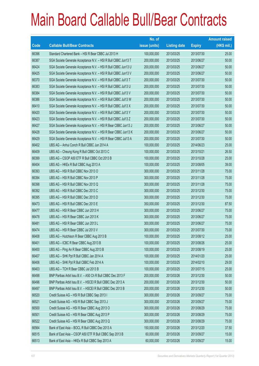|       |                                                                | No. of        |                     |               | <b>Amount raised</b> |
|-------|----------------------------------------------------------------|---------------|---------------------|---------------|----------------------|
| Code  | <b>Callable Bull/Bear Contracts</b>                            | issue (units) | <b>Listing date</b> | <b>Expiry</b> | $(HK$$ mil.)         |
| 66396 | Standard Chartered Bank - HSI R Bear CBBC Jul 2013 H           | 100,000,000   | 2013/03/25          | 2013/07/30    | 25.00                |
| 66387 | SGA Societe Generale Acceptance N.V. - HSI R Bull CBBC Jun13 T | 200,000,000   | 2013/03/25          | 2013/06/27    | 50.00                |
| 66424 | SGA Societe Generale Acceptance N.V. - HSI R Bull CBBC Jun13 U | 200,000,000   | 2013/03/25          | 2013/06/27    | 50.00                |
| 66425 | SGA Societe Generale Acceptance N.V. - HSI R Bull CBBC Jun13 V | 200,000,000   | 2013/03/25          | 2013/06/27    | 50.00                |
| 66370 | SGA Societe Generale Acceptance N.V. - HSI R Bull CBBC Jul13 T | 200,000,000   | 2013/03/25          | 2013/07/30    | 50.00                |
| 66383 | SGA Societe Generale Acceptance N.V. - HSI R Bull CBBC Jul13 U | 200,000,000   | 2013/03/25          | 2013/07/30    | 50.00                |
| 66384 | SGA Societe Generale Acceptance N.V. - HSI R Bull CBBC Jul13 V | 200,000,000   | 2013/03/25          | 2013/07/30    | 50.00                |
| 66386 | SGA Societe Generale Acceptance N.V. - HSI R Bull CBBC Jul13 W | 200,000,000   | 2013/03/25          | 2013/07/30    | 50.00                |
| 66410 | SGA Societe Generale Acceptance N.V. - HSI R Bull CBBC Jul13 X | 200,000,000   | 2013/03/25          | 2013/07/30    | 50.00                |
| 66420 | SGA Societe Generale Acceptance N.V. - HSI R Bull CBBC Jul13 Y | 200,000,000   | 2013/03/25          | 2013/07/30    | 50.00                |
| 66423 | SGA Societe Generale Acceptance N.V. - HSI R Bull CBBC Jul13 Z | 200,000,000   | 2013/03/25          | 2013/07/30    | 50.00                |
| 66427 | SGA Societe Generale Acceptance N.V. - HSI R Bear CBBC Jun13 J | 200,000,000   | 2013/03/25          | 2013/06/27    | 50.00                |
| 66428 | SGA Societe Generale Acceptance N.V. - HSI R Bear CBBC Jun13 K | 200,000,000   | 2013/03/25          | 2013/06/27    | 50.00                |
| 66429 | SGA Societe Generale Acceptance N.V. - HSI R Bear CBBC Jul13 A | 200,000,000   | 2013/03/25          | 2013/07/30    | 50.00                |
| 66402 | UBS AG - Anhui Conch R Bull CBBC Jun 2014 A                    | 100,000,000   | 2013/03/25          | 2014/06/23    | 25.00                |
| 66409 | UBS AG - Cheung Kong R Bull CBBC Oct 2013 C                    | 100,000,000   | 2013/03/25          | 2013/10/21    | 26.50                |
| 66399 | UBS AG - CSOP A50 ETF R Bull CBBC Oct 2013 B                   | 100,000,000   | 2013/03/25          | 2013/10/28    | 25.00                |
| 66404 | UBS AG - HKEx R Bull CBBC Aug 2013 A                           | 100,000,000   | 2013/03/25          | 2013/08/05    | 39.00                |
| 66393 | UBS AG - HSI R Bull CBBC Nov 2013 O                            | 300,000,000   | 2013/03/25          | 2013/11/28    | 75.00                |
| 66394 | UBS AG - HSI R Bull CBBC Nov 2013 P                            | 300,000,000   | 2013/03/25          | 2013/11/28    | 75.00                |
| 66398 | UBS AG - HSI R Bull CBBC Nov 2013 Q                            | 300,000,000   | 2013/03/25          | 2013/11/28    | 75.00                |
| 66392 | UBS AG - HSI R Bull CBBC Dec 2013 C                            | 300,000,000   | 2013/03/25          | 2013/12/30    | 75.00                |
| 66395 | UBS AG - HSI R Bull CBBC Dec 2013 D                            | 300,000,000   | 2013/03/25          | 2013/12/30    | 75.00                |
| 66473 | UBS AG - HSI R Bull CBBC Dec 2013 E                            | 350,000,000   | 2013/03/25          | 2013/12/30    | 87.50                |
| 66477 | UBS AG - HSI R Bear CBBC Jun 2013 H                            | 300,000,000   | 2013/03/25          | 2013/06/27    | 75.00                |
| 66478 | UBS AG - HSI R Bear CBBC Jun 2013 K                            | 300,000,000   | 2013/03/25          | 2013/06/27    | 75.00                |
| 66481 | UBS AG - HSI R Bear CBBC Jun 2013 L                            | 300,000,000   | 2013/03/25          | 2013/06/27    | 75.00                |
| 66474 | UBS AG - HSI R Bear CBBC Jul 2013 V                            | 300,000,000   | 2013/03/25          | 2013/07/30    | 75.00                |
| 66408 | UBS AG - Hutchison R Bear CBBC Aug 2013 B                      | 100,000,000   | 2013/03/25          | 2013/08/12    | 25.00                |
| 66401 | UBS AG - ICBC R Bear CBBC Aug 2013 B                           | 100,000,000   | 2013/03/25          | 2013/08/26    | 25.00                |
| 66400 | UBS AG - Ping An R Bear CBBC Aug 2013 B                        | 100,000,000   | 2013/03/25          | 2013/08/19    | 25.00                |
| 66407 | UBS AG - SHK Ppt R Bull CBBC Jan 2014 A                        | 100,000,000   | 2013/03/25          | 2014/01/20    | 25.00                |
| 66406 | UBS AG - SHK Ppt R Bull CBBC Feb 2014 A                        | 100,000,000   | 2013/03/25          | 2014/02/10    | 29.00                |
| 66403 | UBS AG - TCH R Bear CBBC Jul 2013 B                            | 100,000,000   | 2013/03/25          | 2013/07/15    | 25.00                |
| 66498 | BNP Paribas Arbit Issu B.V. - A50 Ch R Bull CBBC Dec 2013 F    | 200,000,000   | 2013/03/26          | 2013/12/30    | 50.00                |
| 66496 | BNP Paribas Arbit Issu B.V. - HSCEI R Bull CBBC Dec 2013 A     | 200,000,000   | 2013/03/26          | 2013/12/30    | 50.00                |
| 66497 | BNP Paribas Arbit Issu B.V. - HSCEI R Bull CBBC Dec 2013 B     | 200,000,000   | 2013/03/26          | 2013/12/30    | 50.00                |
| 66520 | Credit Suisse AG - HSI R Bull CBBC Sep 2013 I                  | 300,000,000   | 2013/03/26          | 2013/09/27    | 75.00                |
| 66521 | Credit Suisse AG - HSI R Bull CBBC Sep 2013 J                  | 300,000,000   | 2013/03/26          | 2013/09/27    | 75.00                |
| 66500 | Credit Suisse AG - HSI R Bear CBBC Aug 2013 O                  | 300,000,000   | 2013/03/26          | 2013/08/29    | 75.00                |
| 66501 | Credit Suisse AG - HSI R Bear CBBC Aug 2013 P                  | 300,000,000   | 2013/03/26          | 2013/08/29    | 75.00                |
| 66522 | Credit Suisse AG - HSI R Bear CBBC Aug 2013 Q                  | 300,000,000   | 2013/03/26          | 2013/08/29    | 75.00                |
| 66564 | Bank of East Asia - BOCL R Bull CBBC Dec 2013 A                | 150,000,000   | 2013/03/26          | 2013/12/20    | 37.50                |
| 66515 | Bank of East Asia - CSOP A50 ETF R Bull CBBC Sep 2013 B        | 60,000,000    | 2013/03/26          | 2013/09/27    | 15.00                |
| 66513 | Bank of East Asia - HKEx R Bull CBBC Sep 2013 A                | 60,000,000    | 2013/03/26          | 2013/09/27    | 15.00                |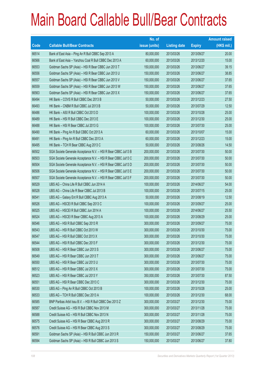## Main Board Callable Bull/Bear Contracts

|       |                                                                | No. of        |                     |               | <b>Amount raised</b> |
|-------|----------------------------------------------------------------|---------------|---------------------|---------------|----------------------|
| Code  | <b>Callable Bull/Bear Contracts</b>                            | issue (units) | <b>Listing date</b> | <b>Expiry</b> | $(HK$$ mil.)         |
| 66514 | Bank of East Asia - Ping An R Bull CBBC Sep 2013 A             | 80,000,000    | 2013/03/26          | 2013/09/27    | 20.00                |
| 66566 | Bank of East Asia - Yanzhou Coal R Bull CBBC Dec 2013 A        | 60,000,000    | 2013/03/26          | 2013/12/20    | 15.00                |
| 66553 | Goldman Sachs SP (Asia) - HSI R Bear CBBC Jun 2013 T           | 150,000,000   | 2013/03/26          | 2013/06/27    | 39.15                |
| 66556 | Goldman Sachs SP (Asia) - HSI R Bear CBBC Jun 2013 U           | 150,000,000   | 2013/03/26          | 2013/06/27    | 38.85                |
| 66557 | Goldman Sachs SP (Asia) - HSI R Bear CBBC Jun 2013 V           | 150,000,000   | 2013/03/26          | 2013/06/27    | 37.65                |
| 66559 | Goldman Sachs SP (Asia) - HSI R Bear CBBC Jun 2013 W           | 150,000,000   | 2013/03/26          | 2013/06/27    | 37.65                |
| 66563 | Goldman Sachs SP (Asia) - HSI R Bear CBBC Jun 2013 X           | 150,000,000   | 2013/03/26          | 2013/06/27    | 37.65                |
| 66494 | HK Bank - COVS R Bull CBBC Dec 2013 B                          | 50,000,000    | 2013/03/26          | 2013/12/23    | 27.50                |
| 66493 | HK Bank - CNBM R Bull CBBC Jul 2013 B                          | 50,000,000    | 2013/03/26          | 2013/07/29    | 12.50                |
| 66486 | HK Bank - A50 R Bull CBBC Oct 2013 D                           | 100,000,000   | 2013/03/26          | 2013/10/28    | 25.00                |
| 66489 | HK Bank - HSI R Bull CBBC Dec 2013 E                           | 100,000,000   | 2013/03/26          | 2013/12/30    | 25.00                |
| 66488 | HK Bank - HSI R Bear CBBC Jul 2013 G                           | 100,000,000   | 2013/03/26          | 2013/07/30    | 25.00                |
| 66490 | HK Bank - Ping An R Bull CBBC Oct 2013 A                       | 60,000,000    | 2013/03/26          | 2013/10/07    | 15.00                |
| 66491 | HK Bank - Ping An R Bull CBBC Dec 2013 A                       | 60,000,000    | 2013/03/26          | 2013/12/23    | 15.00                |
| 66495 | HK Bank - TCH R Bear CBBC Aug 2013 C                           | 50,000,000    | 2013/03/26          | 2013/08/26    | 14.50                |
| 66502 | SGA Societe Generale Acceptance N.V. - HSI R Bear CBBC Jul13 B | 200,000,000   | 2013/03/26          | 2013/07/30    | 50.00                |
| 66503 | SGA Societe Generale Acceptance N.V. - HSI R Bear CBBC Jul13 C | 200,000,000   | 2013/03/26          | 2013/07/30    | 50.00                |
| 66504 | SGA Societe Generale Acceptance N.V. - HSI R Bear CBBC Jul13 D | 200,000,000   | 2013/03/26          | 2013/07/30    | 50.00                |
| 66506 | SGA Societe Generale Acceptance N.V. - HSI R Bear CBBC Jul13 E | 200,000,000   | 2013/03/26          | 2013/07/30    | 50.00                |
| 66507 | SGA Societe Generale Acceptance N.V. - HSI R Bear CBBC Jul13 F | 200,000,000   | 2013/03/26          | 2013/07/30    | 50.00                |
| 66529 | UBS AG - China Life R Bull CBBC Jun 2014 A                     | 100,000,000   | 2013/03/26          | 2014/06/27    | 54.00                |
| 66528 | UBS AG - China Life R Bear CBBC Jul 2013 B                     | 100,000,000   | 2013/03/26          | 2013/07/15    | 25.00                |
| 66541 | UBS AG - Galaxy Ent R Bull CBBC Aug 2013 A                     | 50,000,000    | 2013/03/26          | 2013/08/19    | 12.50                |
| 66526 | UBS AG - HSCEI R Bull CBBC Sep 2013 C                          | 100,000,000   | 2013/03/26          | 2013/09/27    | 25.00                |
| 66525 | UBS AG - HSCEI R Bull CBBC Jun 2014 A                          | 100,000,000   | 2013/03/26          | 2014/06/27    | 25.50                |
| 66524 | UBS AG - HSCEI R Bear CBBC Aug 2013 A                          | 100,000,000   | 2013/03/26          | 2013/08/29    | 25.00                |
| 66546 | UBS AG - HSI R Bull CBBC Sep 2013 R                            | 300,000,000   | 2013/03/26          | 2013/09/27    | 75.00                |
| 66543 | UBS AG - HSI R Bull CBBC Oct 2013 W                            | 300,000,000   | 2013/03/26          | 2013/10/30    | 75.00                |
| 66547 | UBS AG - HSI R Bull CBBC Oct 2013 X                            | 300,000,000   | 2013/03/26          | 2013/10/30    | 75.00                |
| 66544 | UBS AG - HSI R Bull CBBC Dec 2013 F                            | 300,000,000   | 2013/03/26          | 2013/12/30    | 75.00                |
| 66508 | UBS AG - HSI R Bear CBBC Jun 2013 S                            | 300,000,000   | 2013/03/26          | 2013/06/27    | 75.00                |
| 66549 | UBS AG - HSI R Bear CBBC Jun 2013 T                            | 300,000,000   | 2013/03/26          | 2013/06/27    | 75.00                |
| 66550 | UBS AG - HSI R Bear CBBC Jul 2013 U                            | 300,000,000   | 2013/03/26          | 2013/07/30    | 75.00                |
| 66512 | UBS AG - HSI R Bear CBBC Jul 2013 X                            | 300,000,000   | 2013/03/26          | 2013/07/30    | 75.00                |
| 66523 | UBS AG - HSI R Bear CBBC Jul 2013 Y                            | 350,000,000   | 2013/03/26          | 2013/07/30    | 87.50                |
| 66551 | UBS AG - HSI R Bear CBBC Dec 2013 C                            | 300,000,000   | 2013/03/26          | 2013/12/30    | 75.00                |
| 66530 | UBS AG - Ping An R Bull CBBC Oct 2013 B                        | 100,000,000   | 2013/03/26          | 2013/10/28    | 25.00                |
| 66533 | UBS AG - TCH R Bull CBBC Dec 2013 A                            | 100,000,000   | 2013/03/26          | 2013/12/30    | 68.00                |
| 66585 | BNP Paribas Arbit Issu B.V. - HSI R Bull CBBC Dec 2013 Z       | 300,000,000   | 2013/03/27          | 2013/12/30    | 75.00                |
| 66587 | Credit Suisse AG - HSI R Bull CBBC Nov 2013 M                  | 300,000,000   | 2013/03/27          | 2013/11/28    | 75.00                |
| 66588 | Credit Suisse AG - HSI R Bull CBBC Nov 2013 N                  | 300,000,000   | 2013/03/27          | 2013/11/28    | 75.00                |
| 66575 | Credit Suisse AG - HSI R Bear CBBC Aug 2013 R                  | 300,000,000   | 2013/03/27          | 2013/08/29    | 75.00                |
| 66576 | Credit Suisse AG - HSI R Bear CBBC Aug 2013 S                  | 300,000,000   | 2013/03/27          | 2013/08/29    | 75.00                |
| 66591 | Goldman Sachs SP (Asia) - HSI R Bull CBBC Jun 2013 R           | 150,000,000   | 2013/03/27          | 2013/06/27    | 37.65                |
| 66594 | Goldman Sachs SP (Asia) - HSI R Bull CBBC Jun 2013 S           | 150,000,000   | 2013/03/27          | 2013/06/27    | 37.80                |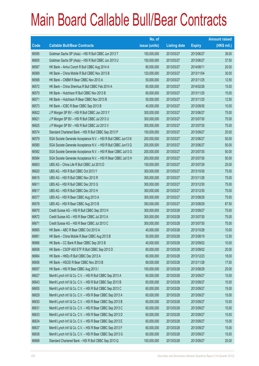## Main Board Callable Bull/Bear Contracts

|       |                                                                | No. of        |                     |               | <b>Amount raised</b> |
|-------|----------------------------------------------------------------|---------------|---------------------|---------------|----------------------|
| Code  | <b>Callable Bull/Bear Contracts</b>                            | issue (units) | <b>Listing date</b> | <b>Expiry</b> | (HK\$ mil.)          |
| 66595 | Goldman Sachs SP (Asia) - HSI R Bull CBBC Jun 2013 T           | 150,000,000   | 2013/03/27          | 2013/06/27    | 39.00                |
| 66600 | Goldman Sachs SP (Asia) - HSI R Bull CBBC Jun 2013 U           | 150,000,000   | 2013/03/27          | 2013/06/27    | 37.50                |
| 66567 | HK Bank - Anhui Conch R Bull CBBC Aug 2014 A                   | 80,000,000    | 2013/03/27          | 2014/08/11    | 20.00                |
| 66569 | HK Bank - China Mobile R Bull CBBC Nov 2013 B                  | 120,000,000   | 2013/03/27          | 2013/11/04    | 30.00                |
| 66568 | HK Bank - CNBM R Bear CBBC Nov 2013 A                          | 50,000,000    | 2013/03/27          | 2013/11/25    | 12.50                |
| 66572 | HK Bank - China Shenhua R Bull CBBC Feb 2014 A                 | 60,000,000    | 2013/03/27          | 2014/02/26    | 15.00                |
| 66570 | HK Bank - Hutchison R Bull CBBC Nov 2013 B                     | 60,000,000    | 2013/03/27          | 2013/11/25    | 15.00                |
| 66571 | HK Bank - Hutchison R Bear CBBC Nov 2013 B                     | 50,000,000    | 2013/03/27          | 2013/11/25    | 12.50                |
| 66573 | HK Bank - ICBC R Bear CBBC Sep 2013 B                          | 40,000,000    | 2013/03/27          | 2013/09/30    | 10.00                |
| 66622 | J P Morgan SP BV - HSI R Bull CBBC Jun 2013 Y                  | 300,000,000   | 2013/03/27          | 2013/06/27    | 75.00                |
| 66621 | J P Morgan SP BV - HSI R Bull CBBC Jul 2013 U                  | 300,000,000   | 2013/03/27          | 2013/07/30    | 75.00                |
| 66625 | J P Morgan SP BV - HSI R Bull CBBC Jul 2013 V                  | 300,000,000   | 2013/03/27          | 2013/07/30    | 75.00                |
| 66574 | Standard Chartered Bank - HSI R Bull CBBC Sep 2013 P           | 100,000,000   | 2013/03/27          | 2013/09/27    | 25.00                |
| 66579 | SGA Societe Generale Acceptance N.V. - HSI R Bull CBBC Jun13 N | 200,000,000   | 2013/03/27          | 2013/06/27    | 50.00                |
| 66580 | SGA Societe Generale Acceptance N.V. - HSI R Bull CBBC Jun13 Q | 200,000,000   | 2013/03/27          | 2013/06/27    | 50.00                |
| 66582 | SGA Societe Generale Acceptance N.V. - HSI R Bear CBBC Jul13 G | 200,000,000   | 2013/03/27          | 2013/07/30    | 50.00                |
| 66584 | SGA Societe Generale Acceptance N.V. - HSI R Bear CBBC Jul13 H | 200,000,000   | 2013/03/27          | 2013/07/30    | 50.00                |
| 66603 | UBS AG - China Life R Bull CBBC Jul 2013 D                     | 100,000,000   | 2013/03/27          | 2013/07/29    | 25.00                |
| 66620 | UBS AG - HSI R Bull CBBC Oct 2013 Y                            | 300,000,000   | 2013/03/27          | 2013/10/30    | 75.00                |
| 66615 | UBS AG - HSI R Bull CBBC Nov 2013 R                            | 300,000,000   | 2013/03/27          | 2013/11/28    | 75.00                |
| 66611 | UBS AG - HSI R Bull CBBC Dec 2013 G                            | 300,000,000   | 2013/03/27          | 2013/12/30    | 75.00                |
| 66617 | UBS AG - HSI R Bull CBBC Dec 2013 H                            | 300,000,000   | 2013/03/27          | 2013/12/30    | 75.00                |
| 66577 | UBS AG - HSI R Bear CBBC Aug 2013 A                            | 300,000,000   | 2013/03/27          | 2013/08/29    | 75.00                |
| 66578 | UBS AG - HSI R Bear CBBC Aug 2013 B                            | 350,000,000   | 2013/03/27          | 2013/08/29    | 87.50                |
| 66670 | Credit Suisse AG - HSI R Bull CBBC Sep 2013 H                  | 300,000,000   | 2013/03/28          | 2013/09/27    | 75.00                |
| 66672 | Credit Suisse AG - HSI R Bear CBBC Jul 2013 A                  | 300,000,000   | 2013/03/28          | 2013/07/30    | 75.00                |
| 66671 | Credit Suisse AG - HSI R Bear CBBC Jul 2013 C                  | 300,000,000   | 2013/03/28          | 2013/07/30    | 75.00                |
| 66665 | HK Bank - ABC R Bear CBBC Oct 2013 A                           | 40,000,000    | 2013/03/28          | 2013/10/28    | 10.00                |
| 66661 | HK Bank - China Mobile R Bear CBBC Aug 2013 B                  | 50,000,000    | 2013/03/28          | 2013/08/19    | 12.50                |
| 66666 | HK Bank - CC Bank R Bear CBBC Sep 2013 B                       | 40,000,000    | 2013/03/28          | 2013/09/02    | 10.00                |
| 66658 | HK Bank - CSOP A50 ETF R Bull CBBC Sep 2013 D                  | 80,000,000    | 2013/03/28          | 2013/09/02    | 20.00                |
| 66664 | HK Bank - HKEx R Bull CBBC Dec 2013 A                          | 60,000,000    | 2013/03/28          | 2013/12/23    | 18.00                |
| 66656 | HK Bank - HSCEI R Bear CBBC Nov 2013 B                         | 68,000,000    | 2013/03/28          | 2013/11/28    | 17.00                |
| 66657 | HK Bank - HSI R Bear CBBC Aug 2013 I                           | 100,000,000   | 2013/03/28          | 2013/08/29    | 25.00                |
| 66627 | Merrill Lynch Int'l & Co. C.V. - HSI R Bull CBBC Sep 2013 A    | 60,000,000    | 2013/03/28          | 2013/09/27    | 15.00                |
| 66643 | Merrill Lynch Int'l & Co. C.V. - HSI R Bull CBBC Sep 2013 B    | 60,000,000    | 2013/03/28          | 2013/09/27    | 15.00                |
| 66655 | Merrill Lynch Int'l & Co. C.V. - HSI R Bull CBBC Sep 2013 C    | 60,000,000    | 2013/03/28          | 2013/09/27    | 15.00                |
| 66629 | Merrill Lynch Int'l & Co. C.V. - HSI R Bear CBBC Sep 2013 A    | 60,000,000    | 2013/03/28          | 2013/09/27    | 15.00                |
| 66630 | Merrill Lynch Int'l & Co. C.V. - HSI R Bear CBBC Sep 2013 B    | 60,000,000    | 2013/03/28          | 2013/09/27    | 15.00                |
| 66631 | Merrill Lynch Int'l & Co. C.V. - HSI R Bear CBBC Sep 2013 C    | 60,000,000    | 2013/03/28          | 2013/09/27    | 15.00                |
| 66633 | Merrill Lynch Int'l & Co. C.V. - HSI R Bear CBBC Sep 2013 D    | 60,000,000    | 2013/03/28          | 2013/09/27    | 15.00                |
| 66634 | Merrill Lynch Int'l & Co. C.V. - HSI R Bear CBBC Sep 2013 E    | 60,000,000    | 2013/03/28          | 2013/09/27    | 15.00                |
| 66637 | Merrill Lynch Int'l & Co. C.V. - HSI R Bear CBBC Sep 2013 F    | 60,000,000    | 2013/03/28          | 2013/09/27    | 15.00                |
| 66638 | Merrill Lynch Int'l & Co. C.V. - HSI R Bear CBBC Sep 2013 G    | 60,000,000    | 2013/03/28          | 2013/09/27    | 15.00                |
| 66668 | Standard Chartered Bank - HSI R Bull CBBC Sep 2013 Q           | 100,000,000   | 2013/03/28          | 2013/09/27    | 25.00                |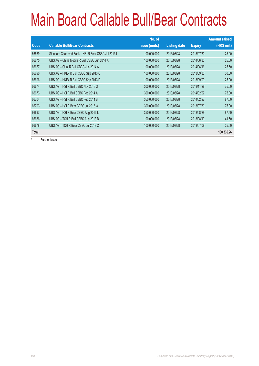## Main Board Callable Bull/Bear Contracts

|              |                                                      | No. of        |                     |               | <b>Amount raised</b> |
|--------------|------------------------------------------------------|---------------|---------------------|---------------|----------------------|
| Code         | <b>Callable Bull/Bear Contracts</b>                  | issue (units) | <b>Listing date</b> | <b>Expiry</b> | (HK\$ mil.)          |
| 66669        | Standard Chartered Bank - HSI R Bear CBBC Jul 2013 I | 100,000,000   | 2013/03/28          | 2013/07/30    | 25.00                |
| 66675        | UBS AG - China Mobile R Bull CBBC Jun 2014 A         | 100,000,000   | 2013/03/28          | 2014/06/30    | 25.00                |
| 66677        | UBS AG - CUni R Bull CBBC Jun 2014 A                 | 100,000,000   | 2013/03/28          | 2014/06/16    | 25.50                |
| 66690        | UBS AG - HKEx R Bull CBBC Sep 2013 C                 | 100,000,000   | 2013/03/28          | 2013/09/30    | 30.00                |
| 66696        | UBS AG - HKEx R Bull CBBC Sep 2013 D                 | 100,000,000   | 2013/03/28          | 2013/09/09    | 25.00                |
| 66674        | UBS AG - HSI R Bull CBBC Nov 2013 S                  | 300,000,000   | 2013/03/28          | 2013/11/28    | 75.00                |
| 66673        | UBS AG - HSI R Bull CBBC Feb 2014 A                  | 300,000,000   | 2013/03/28          | 2014/02/27    | 75.00                |
| 66704        | UBS AG - HSI R Bull CBBC Feb 2014 B                  | 350,000,000   | 2013/03/28          | 2014/02/27    | 87.50                |
| 66703        | UBS AG - HSI R Bear CBBC Jul 2013 W                  | 300,000,000   | 2013/03/28          | 2013/07/30    | 75.00                |
| 66697        | UBS AG - HSI R Bear CBBC Aug 2013 L                  | 350,000,000   | 2013/03/28          | 2013/08/29    | 87.50                |
| 66686        | UBS AG - TCH R Bull CBBC Aug 2013 B                  | 100,000,000   | 2013/03/28          | 2013/08/19    | 41.50                |
| 66678        | UBS AG - TCH R Bear CBBC Jul 2013 C                  | 100,000,000   | 2013/03/28          | 2013/07/08    | 25.50                |
| <b>Total</b> |                                                      |               |                     |               | 100,336.26           |

# Further issue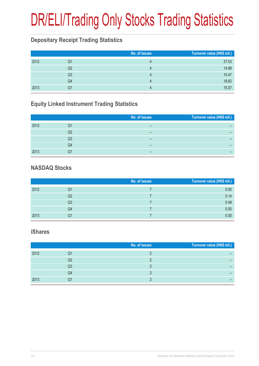## DR/ELI/Trading Only Stocks Trading Statistics

### **Depositary Receipt Trading Statistics**

|      |    | No. of issues | Turnover value (HK\$ mil.) |
|------|----|---------------|----------------------------|
| 2012 | Q1 |               | 37.53                      |
|      | Q2 |               | 14.88                      |
|      | Q3 |               | 10.47                      |
|      | Q4 |               | 18.62                      |
| 2013 | Q1 |               | 15.07                      |

## **Equity Linked Instrument Trading Statistics**

|      |    | No. of issues | Turnover value (HK\$ mil.) |
|------|----|---------------|----------------------------|
| 2012 | Q1 | –             | –                          |
|      | Q2 | –             | -                          |
|      | Q3 | -             | -                          |
|      | Q4 | -             | -                          |
| 2013 | Q1 | -             | -                          |

### **NASDAQ Stocks**

|      |                | No. of issues | Turnover value (HK\$ mil.) |
|------|----------------|---------------|----------------------------|
| 2012 | Q1             |               | 0.00                       |
|      | Q2             |               | 0.14                       |
|      | Q <sub>3</sub> |               | 0.49                       |
|      | Q4             |               | 0.00                       |
| 2013 | Q1             |               | 0.00                       |

#### **iShares**

|      |    | No. of issues | Turnover value (HK\$ mil.) |
|------|----|---------------|----------------------------|
| 2012 | Ő. |               |                            |
|      | Q2 |               |                            |
|      | Q3 |               |                            |
|      | Q4 |               |                            |
| 2013 | Q1 |               |                            |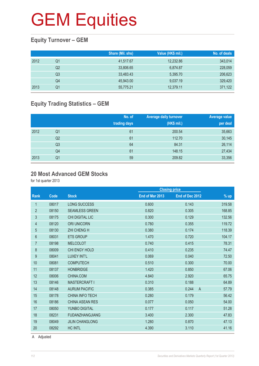## **Equity Turnover – GEM**

|      |                | Share (Mil. shs) | Value (HK\$ mil.) | No. of deals |
|------|----------------|------------------|-------------------|--------------|
| 2012 | Q1             | 41,517.67        | 12,232.86         | 343,014      |
|      | Q <sub>2</sub> | 33.806.65        | 6.874.87          | 228,059      |
|      | Q3             | 33,483.43        | 5,395.70          | 206,623      |
|      | Q4             | 45,943.00        | 9,037.19          | 329,420      |
| 2013 | Q1             | 55,775.21        | 12,379.11         | 371,122      |

## **Equity Trading Statistics – GEM**

|      |                | No. of<br>trading days | <b>Average daily turnover</b><br>(HK\$ mil.) | <b>Average value</b><br>per deal |
|------|----------------|------------------------|----------------------------------------------|----------------------------------|
| 2012 | Q <sub>1</sub> | 61                     | 200.54                                       | 35,663                           |
|      | Q <sub>2</sub> | 61                     | 112.70                                       | 30,145                           |
|      | Q <sub>3</sub> | 64                     | 84.31                                        | 26,114                           |
|      | Q4             | 61                     | 148.15                                       | 27,434                           |
| 2013 | Q <sub>1</sub> | 59                     | 209.82                                       | 33,356                           |

#### **20 Most Advanced GEM Stocks**

for 1st quarter 2013

|                |       |                        | <b>Closing price</b> |                         |        |
|----------------|-------|------------------------|----------------------|-------------------------|--------|
| Rank           | Code  | <b>Stock</b>           | End of Mar 2013      | End of Dec 2012         | $%$ up |
| $\mathbf{1}$   | 08017 | <b>LONG SUCCESS</b>    | 0.600                | 0.143                   | 319.58 |
| $\overline{2}$ | 08150 | <b>SEAMLESS GREEN</b>  | 0.820                | 0.305                   | 168.85 |
| 3              | 08175 | <b>CHI DIGITAL LIC</b> | 0.300                | 0.129                   | 132.56 |
| 4              | 08120 | <b>ORI UNICORN</b>     | 0.780                | 0.355                   | 119.72 |
| 5              | 08130 | <b>ZHI CHENG H</b>     | 0.380                | 0.174                   | 118.39 |
| 6              | 08031 | <b>ETS GROUP</b>       | 1.470                | 0.720                   | 104.17 |
| $\overline{7}$ | 08198 | <b>MELCOLOT</b>        | 0.740                | 0.415                   | 78.31  |
| 8              | 08009 | CHI ENGY HOLD          | 0.410                | 0.235                   | 74.47  |
| 9              | 08041 | LUXEY INT'L            | 0.069                | 0.040                   | 72.50  |
| 10             | 08081 | <b>COMPUTECH</b>       | 0.510                | 0.300                   | 70.00  |
| 11             | 08137 | <b>HONBRIDGE</b>       | 1.420                | 0.850                   | 67.06  |
| 12             | 08006 | CHINA.COM              | 4.840                | 2.920                   | 65.75  |
| 13             | 08146 | <b>MASTERCRAFT I</b>   | 0.310                | 0.188                   | 64.89  |
| 14             | 08148 | <b>AURUM PACIFIC</b>   | 0.385                | 0.244<br>$\overline{A}$ | 57.79  |
| 15             | 08178 | <b>CHINA INFO TECH</b> | 0.280                | 0.179                   | 56.42  |
| 16             | 08186 | <b>CHINA ASEAN RES</b> | 0.077                | 0.050                   | 54.00  |
| 17             | 08050 | <b>YUNBO DIGITAL</b>   | 0.177                | 0.117                   | 51.28  |
| 18             | 08231 | <b>FUDANZHANGJIANG</b> | 3.400                | 2.300                   | 47.83  |
| 19             | 08049 | <b>JILIN CHANGLONG</b> | 1.280                | 0.870                   | 47.13  |
| 20             | 08292 | <b>HC INTL</b>         | 4.390                | 3.110                   | 41.16  |
|                |       |                        |                      |                         |        |

A Adjusted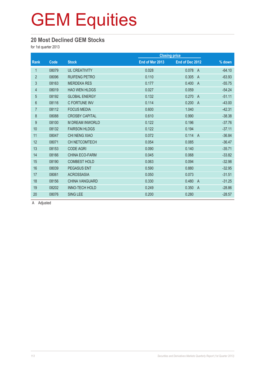#### **20 Most Declined GEM Stocks**

for 1st quarter 2013

| Code  | <b>Stock</b>           | End of Mar 2013 | End of Dec 2012         | $%$ down             |
|-------|------------------------|-----------------|-------------------------|----------------------|
| 08079 | <b>UL CREATIVITY</b>   | 0.028           | 0.078<br>$\overline{A}$ | $-64.10$             |
| 08096 | <b>RUIFENG PETRO</b>   | 0.110           | 0.305<br>$\overline{A}$ | $-63.93$             |
| 08163 | <b>MERDEKA RES</b>     | 0.177           | 0.400<br>$\overline{A}$ | $-55.75$             |
| 08019 | <b>HAO WEN HLDGS</b>   | 0.027           | 0.059                   | $-54.24$             |
| 08192 | <b>GLOBAL ENERGY</b>   | 0.132           | 0.270<br>$\overline{A}$ | $-51.11$             |
| 08116 | C FORTUNE INV          | 0.114           | 0.200<br>$\overline{A}$ | $-43.00$             |
| 08112 | <b>FOCUS MEDIA</b>     | 0.600           | 1.040                   | $-42.31$             |
| 08088 | <b>CROSBY CAPITAL</b>  | 0.610           | 0.990                   | $-38.38$             |
| 08100 | <b>M DREAM INWORLD</b> | 0.122           | 0.196                   | $-37.76$             |
| 08132 | <b>FAIRSON HLDGS</b>   | 0.122           | 0.194                   | $-37.11$             |
| 08047 | CHI NENG XIAO          | 0.072           | 0.114<br>$\overline{A}$ | $-36.84$             |
| 08071 | <b>CH NETCOMTECH</b>   | 0.054           | 0.085                   | $-36.47$             |
| 08153 | <b>CODE AGRI</b>       | 0.090           | 0.140                   | $-35.71$             |
| 08166 | <b>CHINA ECO-FARM</b>  | 0.045           | 0.068                   | $-33.82$             |
| 08190 | <b>COMBEST HOLD</b>    | 0.063           | 0.094                   | $-32.98$             |
| 08039 | <b>PEGASUS ENT</b>     | 0.590           | 0.880                   | $-32.95$             |
| 08061 | <b>ACROSSASIA</b>      | 0.050           | 0.073                   | $-31.51$             |
| 08156 | <b>CHINA VANGUARD</b>  | 0.330           | 0.480<br>$\overline{A}$ | $-31.25$             |
| 08202 | INNO-TECH HOLD         | 0.249           | 0.350<br>$\overline{A}$ | $-28.86$             |
| 08076 | <b>SING LEE</b>        | 0.200           | 0.280                   | $-28.57$             |
|       |                        |                 |                         | <b>Closing price</b> |

A Adjusted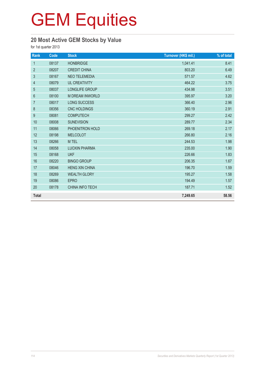## **20 Most Active GEM Stocks by Value**

for 1st quarter 2013

| Rank             | Code  | <b>Stock</b>           | Turnover (HK\$ mil.) | % of total |
|------------------|-------|------------------------|----------------------|------------|
| $\mathbf{1}$     | 08137 | <b>HONBRIDGE</b>       | 1,041.41             | 8.41       |
| $\overline{2}$   | 08207 | <b>CREDIT CHINA</b>    | 803.20               | 6.49       |
| $\mathfrak{S}$   | 08167 | <b>NEO TELEMEDIA</b>   | 571.57               | 4.62       |
| 4                | 08079 | <b>UL CREATIVITY</b>   | 464.22               | 3.75       |
| 5                | 08037 | LONGLIFE GROUP         | 434.98               | 3.51       |
| $\,6\,$          | 08100 | <b>M DREAM INWORLD</b> | 395.97               | 3.20       |
| $\overline{7}$   | 08017 | <b>LONG SUCCESS</b>    | 366.40               | 2.96       |
| $\,8\,$          | 08356 | <b>CNC HOLDINGS</b>    | 360.19               | 2.91       |
| $\boldsymbol{9}$ | 08081 | <b>COMPUTECH</b>       | 299.27               | 2.42       |
| 10               | 08008 | <b>SUNEVISION</b>      | 289.77               | 2.34       |
| 11               | 08066 | PHOENITRON HOLD        | 269.18               | 2.17       |
| 12               | 08198 | <b>MELCOLOT</b>        | 266.80               | 2.16       |
| 13               | 08266 | M TEL                  | 244.53               | 1.98       |
| 14               | 08058 | <b>LUOXIN PHARMA</b>   | 235.00               | 1.90       |
| 15               | 08168 | <b>UKF</b>             | 226.66               | 1.83       |
| 16               | 08220 | <b>BINGO GROUP</b>     | 206.35               | 1.67       |
| 17               | 08046 | <b>HENG XIN CHINA</b>  | 196.70               | 1.59       |
| 18               | 08269 | <b>WEALTH GLORY</b>    | 195.27               | 1.58       |
| 19               | 08086 | <b>EPRO</b>            | 194.49               | 1.57       |
| 20               | 08178 | <b>CHINA INFO TECH</b> | 187.71               | 1.52       |
| <b>Total</b>     |       |                        | 7,249.65             | 58.56      |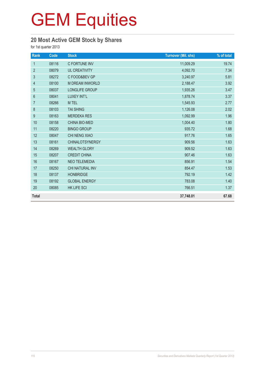## **20 Most Active GEM Stock by Shares**

for 1st quarter 2013

| Rank             | Code  | <b>Stock</b>           | <b>Turnover (Mil. shs)</b> | % of total |
|------------------|-------|------------------------|----------------------------|------------|
| $\mathbf{1}$     | 08116 | C FORTUNE INV          | 11,009.29                  | 19.74      |
| $\overline{2}$   | 08079 | <b>UL CREATIVITY</b>   | 4,092.70                   | 7.34       |
| $\mathfrak{S}$   | 08272 | C FOOD&BEV GP          | 3,240.97                   | 5.81       |
| $\overline{4}$   | 08100 | <b>M DREAM INWORLD</b> | 2,188.47                   | 3.92       |
| $\sqrt{5}$       | 08037 | LONGLIFE GROUP         | 1,935.26                   | 3.47       |
| $6\phantom{1}$   | 08041 | LUXEY INT'L            | 1,878.74                   | 3.37       |
| $\overline{7}$   | 08266 | M TEL                  | 1,545.93                   | 2.77       |
| $\,8\,$          | 08103 | <b>TAI SHING</b>       | 1,126.08                   | 2.02       |
| $\boldsymbol{9}$ | 08163 | <b>MERDEKA RES</b>     | 1,092.99                   | 1.96       |
| 10               | 08158 | <b>CHINA BIO-MED</b>   | 1,004.40                   | 1.80       |
| 11               | 08220 | <b>BINGO GROUP</b>     | 935.72                     | 1.68       |
| 12               | 08047 | CHI NENG XIAO          | 917.76                     | 1.65       |
| 13               | 08161 | <b>CHINALOTSYNERGY</b> | 909.56                     | 1.63       |
| 14               | 08269 | <b>WEALTH GLORY</b>    | 909.52                     | 1.63       |
| 15               | 08207 | <b>CREDIT CHINA</b>    | 907.46                     | 1.63       |
| 16               | 08167 | NEO TELEMEDIA          | 856.91                     | 1.54       |
| 17               | 08250 | CHI NATURAL INV        | 854.47                     | 1.53       |
| 18               | 08137 | <b>HONBRIDGE</b>       | 792.19                     | 1.42       |
| 19               | 08192 | <b>GLOBAL ENERGY</b>   | 783.08                     | 1.40       |
| 20               | 08085 | HK LIFE SCI            | 766.51                     | 1.37       |
| <b>Total</b>     |       |                        | 37,748.01                  | 67.68      |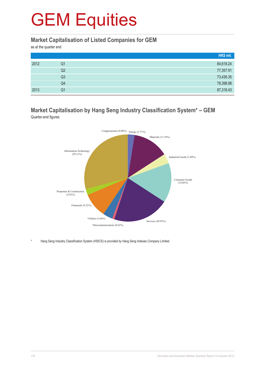#### **Market Capitalisation of Listed Companies for GEM**

as at the quarter end

|      |    | HK\$ mil. |
|------|----|-----------|
| 2012 | Q1 | 84,618.24 |
|      | Q2 | 77,357.91 |
|      | Q3 | 73,436.35 |
|      | Q4 | 78,398.98 |
| 2013 | Q1 | 87,318.43 |

#### **Market Capitalisation by Hang Seng Industry Classification System\* – GEM** Quarter-end figures



Hang Seng Industry Classification System (HSICS) is provided by Hang Seng Indexes Company Limited.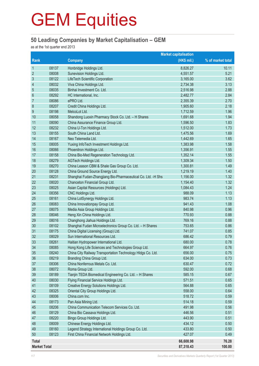### **50 Leading Companies by Market Capitalisation – GEM**

as at the 1st quarter end 2013

|                     |       |                                                              | <b>Market capitalisation</b> |                   |
|---------------------|-------|--------------------------------------------------------------|------------------------------|-------------------|
| Rank                |       | <b>Company</b>                                               | (HK\$ mil.)                  | % of market total |
| $\mathbf{1}$        | 08137 | Honbridge Holdings Ltd.                                      | 8,826.27                     | 10.11             |
| $\overline{2}$      | 08008 | Sunevision Holdings Ltd.                                     | 4,551.57                     | 5.21              |
| $\sqrt{3}$          | 08122 | LifeTech Scientific Corporation                              | 3,165.00                     | 3.62              |
| 4                   | 08032 | Viva China Holdings Ltd.                                     | 2,734.38                     | 3.13              |
| 5                   | 08035 | Binhai Investment Co. Ltd.                                   | 2,516.98                     | 2.88              |
| $6\,$               | 08292 | HC International, Inc.                                       | 2,482.77                     | 2.84              |
| $\overline{7}$      | 08086 | ePRO Ltd.                                                    | 2,355.39                     | 2.70              |
| 8                   | 08207 | Credit China Holdings Ltd.                                   | 1,905.60                     | 2.18              |
| 9                   | 08198 | MelcoLot Ltd.                                                | 1,712.59                     | 1.96              |
| 10                  | 08058 | Shandong Luoxin Pharmacy Stock Co. Ltd. - H Shares           | 1,691.68                     | 1.94              |
| 11                  | 08090 | China Assurance Finance Group Ltd.                           | 1,596.50                     | 1.83              |
| 12                  | 08232 | China U-Ton Holdings Ltd.                                    | 1,512.00                     | 1.73              |
| 13                  | 08155 | South China Land Ltd.                                        | 1,475.56                     | 1.69              |
| 14                  | 08167 | Neo Telemedia Ltd.                                           | 1,442.69                     | 1.65              |
| 15                  | 08005 | Yuxing InfoTech Investment Holdings Ltd.                     | 1,383.98                     | 1.58              |
| 16                  | 08066 | Phoenitron Holdings Ltd.                                     | 1,356.91                     | 1.55              |
| 17                  | 08158 | China Bio-Med Regeneration Technology Ltd.                   | 1,352.14                     | 1.55              |
| 18                  | 08279 | AGTech Holdings Ltd.                                         | 1,309.34                     | 1.50              |
| 19                  | 08270 | China Leason CBM & Shale Gas Group Co. Ltd.                  | 1,300.81                     | 1.49              |
| 20                  | 08128 | China Ground Source Energy Ltd.                              | 1,219.19                     | 1.40              |
| 21                  | 08231 | Shanghai Fudan-Zhangjiang Bio-Pharmaceutical Co. Ltd. -H Shs | 1,156.00                     | 1.32              |
| 22                  | 08020 | Chanceton Financial Group Ltd.                               | 1,154.40                     | 1.32              |
| 23                  | 08025 | Asian Capital Resources (Holdings) Ltd.                      | 1,084.43                     | 1.24              |
| 24                  | 08356 | CNC Holdings Ltd.                                            | 988.09                       | 1.13              |
| 25                  | 08161 | China LotSynergy Holdings Ltd.                               | 983.74                       | 1.13              |
| 26                  | 08083 | China Innovationpay Group Ltd.                               | 941.43                       | 1.08              |
| 27                  | 08075 | Media Asia Group Holdings Ltd.                               | 840.98                       | 0.96              |
| 28                  | 08046 | Heng Xin China Holdings Ltd.                                 | 770.93                       | 0.88              |
| 29                  | 08016 | Changhong Jiahua Holdings Ltd.                               | 769.16                       | 0.88              |
| 30                  | 08102 | Shanghai Fudan Microelectronics Group Co. Ltd. - H Shares    | 753.65                       | 0.86              |
| 31                  | 08175 | China Digital Licensing (Group) Ltd.                         | 741.07                       | 0.85              |
| 32                  | 08029 | Sun International Resources Ltd.                             | 686.42                       | 0.79              |
| 33                  | 08261 | Haitian Hydropower International Ltd.                        | 680.00                       | 0.78              |
| 34                  | 08085 | Hong Kong Life Sciences and Technologies Group Ltd.          | 664.97                       | 0.76              |
| 35                  | 08240 | China City Railway Transportation Technology Hldgs Co. Ltd.  | 656.00                       | 0.75              |
| 36                  | 08219 | Branding China Group Ltd.                                    | 634.00                       | 0.73              |
| 37                  | 08306 | China Nonferrous Metals Co. Ltd.                             | 630.47                       | 0.72              |
| 38                  | 08072 | Roma Group Ltd.                                              | 592.00                       | 0.68              |
| 39                  | 08189 | Tianjin TEDA Biomedical Engineering Co. Ltd. - H Shares      | 585.15                       | 0.67              |
| 40                  | 08030 | Flying Financial Service Holdings Ltd.                       | 571.51                       | 0.65              |
| 41                  | 08109 | Creative Energy Solutions Holdings Ltd.                      | 564.88                       | 0.65              |
| 42                  | 08325 | Oriental City Group Holdings Ltd.                            | 558.00                       | 0.64              |
| 43                  | 08006 | China.com Inc.                                               | 518.72                       | 0.59              |
| 44                  | 08173 | Pan Asia Mining Ltd.                                         | 514.18                       | 0.59              |
| 45                  | 08206 | China Communication Telecom Services Co. Ltd.                | 491.98                       | 0.56              |
| 46                  | 08129 | China Bio Cassava Holdings Ltd.                              | 446.56                       | 0.51              |
| 47                  | 08220 | Bingo Group Holdings Ltd.                                    | 443.90                       | 0.51              |
| 48                  | 08009 | Chinese Energy Holdings Ltd.                                 | 434.12                       | 0.50              |
| 49                  | 08160 | Legend Strategy International Holdings Group Co. Ltd.        | 433.80                       | 0.50              |
| 50                  | 08123 | First China Financial Network Holdings Ltd.                  | 427.07                       | 0.49              |
| <b>Total</b>        |       |                                                              | 66,608.98                    | 76.28             |
| <b>Market Total</b> |       |                                                              | 87,318.43                    | 100.00            |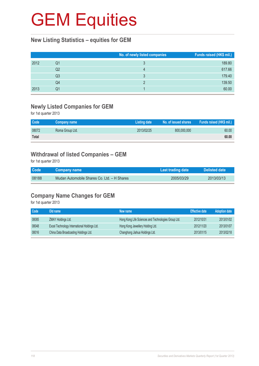### **New Listing Statistics – equities for GEM**

|      |    | No. of newly listed companies | Funds raised (HK\$ mil.) |
|------|----|-------------------------------|--------------------------|
| 2012 | Q1 |                               | 189.80                   |
|      | Q2 |                               | 617.66                   |
|      | Q3 |                               | 179.40                   |
|      | Q4 |                               | 139.50                   |
| 2013 | Q1 |                               | 60.00                    |

### **Newly Listed Companies for GEM**

for 1st quarter 2013

| Code         | Company name    | Listing date | No. of issued shares | Funds raised (HK\$ mil.) |
|--------------|-----------------|--------------|----------------------|--------------------------|
| 08072        | Roma Group Ltd. | 2013/02/25   | 800,000,000          | 60.00                    |
| <b>Total</b> |                 |              |                      | 60.00                    |

### **Withdrawal of listed Companies – GEM**

for 1st quarter 2013

| Code  | <b>Company name</b>                         | Last trading date | Delisted date |
|-------|---------------------------------------------|-------------------|---------------|
| 08188 | Mudan Automobile Shares Co. Ltd. - H Shares | 2005/03/29        | 2013/03/13    |

## **Company Name Changes for GEM**

for 1st quarter 2013

| Code  | Old name                                     | New name                                            | <b>Effective date</b> | <b>Adoption date</b> |
|-------|----------------------------------------------|-----------------------------------------------------|-----------------------|----------------------|
| 08085 | <b>ZMAY Holdings Ltd.</b>                    | Hong Kong Life Sciences and Technologies Group Ltd. | 2012/10/31            | 2013/01/02           |
| 08048 | Excel Technology International Holdings Ltd. | Hong Kong Jewellery Holding Ltd.                    | 2012/11/20            | 2013/01/07           |
| 08016 | China Data Broadcasting Holdings Ltd.        | Changhong Jiahua Holdings Ltd.                      | 2013/01/15            | 2013/02/18           |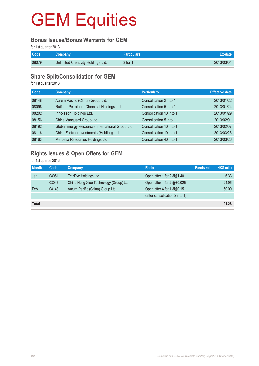#### **Bonus Issues/Bonus Warrants for GEM**

for 1st quarter 2013

| Code <sup>1</sup> | <b>Company</b>                     | <b>Particulars</b> |            |
|-------------------|------------------------------------|--------------------|------------|
| 08079             | Unlimited Creativity Holdings Ltd. | 2 for 1            | 2013/03/04 |

### **Share Split/Consolidation for GEM**

for 1st quarter 2013

| Code  | Company                                          | <b>Particulars</b>      | <b>Effective date</b> |
|-------|--------------------------------------------------|-------------------------|-----------------------|
| 08148 | Aurum Pacific (China) Group Ltd.                 | Consolidation 2 into 1  | 2013/01/22            |
| 08096 | Ruifeng Petroleum Chemical Holdings Ltd.         | Consolidation 5 into 1  | 2013/01/24            |
| 08202 | Inno-Tech Holdings Ltd.                          | Consolidation 10 into 1 | 2013/01/29            |
| 08156 | China Vanguard Group Ltd.                        | Consolidation 5 into 1  | 2013/02/01            |
| 08192 | Global Energy Resources International Group Ltd. | Consolidation 10 into 1 | 2013/02/07            |
| 08116 | China Fortune Investments (Holding) Ltd.         | Consolidation 10 into 1 | 2013/03/26            |
| 08163 | Merdeka Resources Holdings Ltd.                  | Consolidation 40 into 1 | 2013/03/26            |

## **Rights Issues & Open Offers for GEM**

for 1st quarter 2013

| <b>Month</b> | Code  | Company                                 | <b>Ratio</b>                   | Funds raised (HK\$ mil.) |
|--------------|-------|-----------------------------------------|--------------------------------|--------------------------|
| Jan          | 08051 | TeleEye Holdings Ltd.                   | Open offer 1 for 2 @\$1.40     | 6.33                     |
|              | 08047 | China Neng Xiao Technology (Group) Ltd. | Open offer 1 for 2 @\$0.025    | 24.95                    |
| Feb          | 08148 | Aurum Pacific (China) Group Ltd.        | Open offer 4 for 1 $@$0.15$    | 60.00                    |
|              |       |                                         | (after consolidation 2 into 1) |                          |
| <b>Total</b> |       |                                         |                                | 91.28                    |
|              |       |                                         |                                |                          |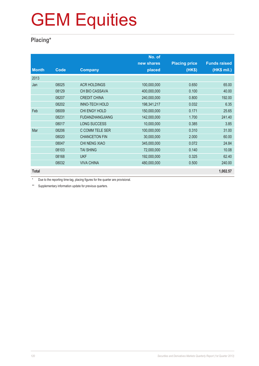### **Placing\***

|              |       |                        | No. of      |                      |                     |
|--------------|-------|------------------------|-------------|----------------------|---------------------|
|              |       |                        | new shares  | <b>Placing price</b> | <b>Funds raised</b> |
| <b>Month</b> | Code  | <b>Company</b>         | placed      | (HK\$)               | (HK\$ mil.)         |
| 2013         |       |                        |             |                      |                     |
| Jan          | 08025 | <b>ACR HOLDINGS</b>    | 100,000,000 | 0.650                | 65.00               |
|              | 08129 | <b>CH BIO CASSAVA</b>  | 400,000,000 | 0.100                | 40.00               |
|              | 08207 | <b>CREDIT CHINA</b>    | 240,000,000 | 0.800                | 192.00              |
|              | 08202 | <b>INNO-TECH HOLD</b>  | 198,341,217 | 0.032                | 6.35                |
| Feb          | 08009 | CHI ENGY HOLD          | 150,000,000 | 0.171                | 25.65               |
|              | 08231 | <b>FUDANZHANGJIANG</b> | 142,000,000 | 1.700                | 241.40              |
|              | 08017 | <b>LONG SUCCESS</b>    | 10,000,000  | 0.385                | 3.85                |
| Mar          | 08206 | C COMM TELE SER        | 100,000,000 | 0.310                | 31.00               |
|              | 08020 | <b>CHANCETON FIN</b>   | 30,000,000  | 2.000                | 60.00               |
|              | 08047 | CHI NENG XIAO          | 345,000,000 | 0.072                | 24.84               |
|              | 08103 | <b>TAI SHING</b>       | 72,000,000  | 0.140                | 10.08               |
|              | 08168 | <b>UKF</b>             | 192,000,000 | 0.325                | 62.40               |
|              | 08032 | <b>VIVA CHINA</b>      | 480,000,000 | 0.500                | 240.00              |
| <b>Total</b> |       |                        |             |                      | 1,002.57            |

\* Due to the reporting time-lag, placing figures for the quarter are provisional.

\*\* Supplementary information update for previous quarters.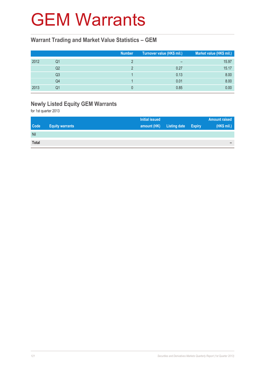## GEM Warrants

### **Warrant Trading and Market Value Statistics – GEM**

|      |    | <b>Number</b> | Turnover value (HK\$ mil.) | Market value (HK\$ mil.) |
|------|----|---------------|----------------------------|--------------------------|
| 2012 | Q1 |               | $\overline{\phantom{0}}$   | 15.97                    |
|      | Q2 |               | 0.27                       | 15.17                    |
|      | Q3 |               | 0.13                       | 8.00                     |
|      | Q4 |               | 0.01                       | 8.00                     |
| 2013 | Q1 |               | 0.85                       | 0.00                     |

## **Newly Listed Equity GEM Warrants**

for 1st quarter 2013

|              |                        | <b>Initial issued</b> |                     |               | <b>Amount raised</b> |
|--------------|------------------------|-----------------------|---------------------|---------------|----------------------|
| <b>Code</b>  | <b>Equity warrants</b> | amount (HK)           | <b>Listing date</b> | <b>Expiry</b> | (HK\$ mil.)          |
| Nil          |                        |                       |                     |               |                      |
| <b>Total</b> |                        |                       |                     |               | -                    |
|              |                        |                       |                     |               |                      |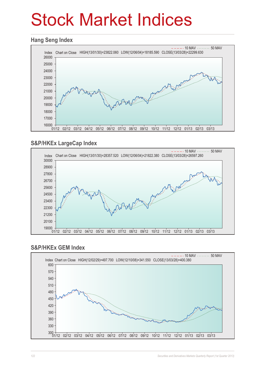## Stock Market Indices

#### **Hang Seng Index**



### **S&P/HKEx LargeCap Index**



#### **S&P/HKEx GEM Index**

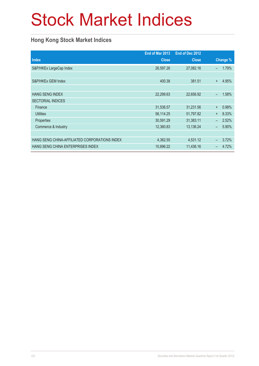## Stock Market Indices

### **Hong Kong Stock Market Indices**

|                                               | End of Mar 2013 | End of Dec 2012 |                          |          |
|-----------------------------------------------|-----------------|-----------------|--------------------------|----------|
| <b>Index</b>                                  | <b>Close</b>    | <b>Close</b>    |                          | Change % |
| S&P/HKEx LargeCap Index                       | 26,597.26       | 27,082.16       | $\overline{\phantom{0}}$ | 1.79%    |
|                                               |                 |                 |                          |          |
| S&P/HKEx GEM Index                            | 400.38          | 381.51          | $\ddot{}$                | 4.95%    |
|                                               |                 |                 |                          |          |
| <b>HANG SENG INDEX</b>                        | 22,299.63       | 22,656.92       | $\overline{\phantom{0}}$ | 1.58%    |
| <b>SECTORIAL INDICES</b>                      |                 |                 |                          |          |
| Finance                                       | 31,536.57       | 31,231.56       | $\ddot{}$                | 0.98%    |
| <b>Utilities</b>                              | 56,114.25       | 51,797.82       | $\ddot{}$                | 8.33%    |
| Properties                                    | 30,591.29       | 31,383.11       | $\equiv$                 | 2.52%    |
| Commerce & Industry                           | 12,360.83       | 13,136.24       | $\overline{\phantom{0}}$ | 5.90%    |
|                                               |                 |                 |                          |          |
| HANG SENG CHINA-AFFILIATED CORPORATIONS INDEX | 4,362.55        | 4,531.12        | -                        | 3.72%    |
| HANG SENG CHINA ENTERPRISES INDEX             | 10,896.22       | 11,436.16       |                          | 4.72%    |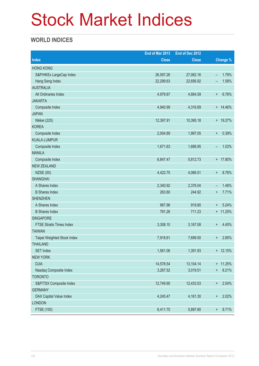## Stock Market Indices

### **WORLD INDICES**

|                                 | End of Mar 2013 | End of Dec 2012 |                                   |
|---------------------------------|-----------------|-----------------|-----------------------------------|
| <b>Index</b>                    | <b>Close</b>    | <b>Close</b>    | Change %                          |
| <b>HONG KONG</b>                |                 |                 |                                   |
| S&P/HKEx LargeCap Index         | 26,597.26       | 27,082.16       | 1.79%<br>$\overline{\phantom{0}}$ |
| Hang Seng Index                 | 22,299.63       | 22,656.92       | 1.58%<br>-                        |
| <b>AUSTRALIA</b>                |                 |                 |                                   |
| All Ordinaries Index            | 4,979.87        | 4,664.59        | 6.76%<br>$\ddot{}$                |
| <b>JAKARTA</b>                  |                 |                 |                                   |
| Composite Index                 | 4,940.99        | 4,316.69        | $+ 14.46%$                        |
| <b>JAPAN</b>                    |                 |                 |                                   |
| Nikkei (225)                    | 12,397.91       | 10,395.18       | + 19.27%                          |
| <b>KOREA</b>                    |                 |                 |                                   |
| Composite Index                 | 2,004.89        | 1,997.05        | 0.39%<br>$\ddot{}$                |
| <b>KUALA LUMPUR</b>             |                 |                 |                                   |
| Composite Index                 | 1,671.63        | 1,688.95        | 1.03%<br>$\qquad \qquad -$        |
| <b>MANILA</b>                   |                 |                 |                                   |
| Composite Index                 | 6,847.47        | 5,812.73        | + 17.80%                          |
| <b>NEW ZEALAND</b>              |                 |                 |                                   |
| <b>NZSE (50)</b>                | 4,422.75        | 4,066.51        | 8.76%<br>$\ddot{}$                |
| <b>SHANGHAI</b>                 |                 |                 |                                   |
| A Shares Index                  | 2,340.92        | 2,376.04        | 1.48%<br>$\qquad \qquad -$        |
| <b>B</b> Shares Index           | 263.80          | 244.92          | 7.71%<br>$\ddot{}$                |
| <b>SHENZHEN</b>                 |                 |                 |                                   |
| A Shares Index                  | 967.96          | 919.80          | 5.24%<br>$\ddot{}$                |
| <b>B</b> Shares Index           | 791.26          | 711.23          | $+ 11.25%$                        |
| <b>SINGAPORE</b>                |                 |                 |                                   |
| <b>FTSE Straits Times Index</b> | 3,308.10        | 3,167.08        | 4.45%<br>$^{+}$                   |
| <b>TAIWAN</b>                   |                 |                 |                                   |
| Taipei Weighted Stock Index     | 7,918.61        | 7,699.50        | 2.85%<br>$\ddot{}$                |
| <b>THAILAND</b>                 |                 |                 |                                   |
| <b>SET Index</b>                | 1,561.06        | 1,391.93        | $+ 12.15%$                        |
| <b>NEW YORK</b>                 |                 |                 |                                   |
| <b>DJIA</b>                     | 14,578.54       | 13,104.14       | $+ 11.25%$                        |
| Nasdaq Composite Index          | 3,267.52        | 3,019.51        | 8.21%<br>$\ddot{}$                |
| <b>TORONTO</b>                  |                 |                 |                                   |
| S&P/TSX Composite Index         | 12,749.90       | 12,433.53       | 2.54%<br>$^{\mathrm{+}}$          |
| <b>GERMANY</b>                  |                 |                 |                                   |
| DAX Capital Value Index         | 4,245.47        | 4,161.30        | 2.02%<br>$\ddot{}$                |
| <b>LONDON</b>                   |                 |                 |                                   |
| FTSE (100)                      | 6,411.70        | 5,897.80        | 8.71%<br>$\ddagger$               |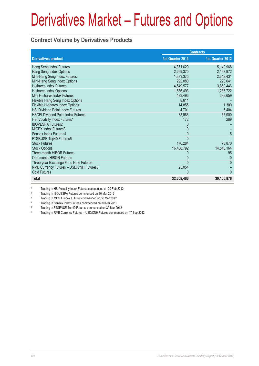### **Contract Volume by Derivatives Products**

|                                           | <b>Contracts</b> |                  |
|-------------------------------------------|------------------|------------------|
| <b>Derivatives product</b>                | 1st Quarter 2013 | 1st Quarter 2012 |
| Hang Seng Index Futures                   | 4,871,620        | 5,140,968        |
| Hang Seng Index Options                   | 2,269,370        | 2,163,972        |
| Mini-Hang Seng Index Futures              | 1,873,375        | 2,349,431        |
| Mini-Hang Seng Index Options              | 292,080          | 220,641          |
| <b>H-shares Index Futures</b>             | 4,549,577        | 3,860,446        |
| H-shares Index Options                    | 1,586,493        | 1,285,722        |
| Mini H-shares Index Futures               | 493,496          | 398,659          |
| Flexible Hang Seng Index Options          | 8,611            |                  |
| Flexible H-shares Index Options           | 14,855           | 1,300            |
| <b>HSI Dividend Point Index Futures</b>   | 4,701            | 5,404            |
| <b>HSCEI Dividend Point Index Futures</b> | 33,986           | 55,900           |
| <b>HSI Volatility Index Futures1</b>      | 172              | 289              |
| <b>IBOVESPA Futures2</b>                  | 0                |                  |
| <b>MICEX Index Futures3</b>               | 0                |                  |
| Sensex Index Futures4                     |                  | 5                |
| FTSE/JSE Top40 Futures5                   | $\Omega$         |                  |
| <b>Stock Futures</b>                      | 176,284          | 78,870           |
| <b>Stock Options</b>                      | 16,408,792       | 14,545,164       |
| Three-month HIBOR Futures                 |                  | 95               |
| One-month HIBOR Futures                   |                  | 10               |
| Three-year Exchange Fund Note Futures     |                  | $\Omega$         |
| RMB Currency Futures - USD/CNH Futures6   | 25,054           |                  |
| <b>Gold Futures</b>                       | 0                | $\Omega$         |
| <b>Total</b>                              | 32,608,466       | 30,106,876       |

1 Trading in HSI Volatility Index Futures commenced on 20 Feb 2012

2 Trading in IBOVESPA Futures commenced on 30 Mar 2012

3 Trading in MICEX Index Futures commenced on 30 Mar 2012

4 Trading in Sensex Index Futures commenced on 30 Mar 2012

5 Trading in FTSE/JSE Top40 Futures commenced on 30 Mar 2012

6 Trading in RMB Currency Futures – USD/CNH Futures commenced on 17 Sep 2012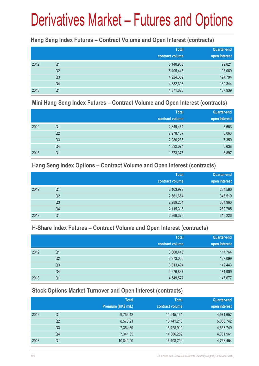### **Hang Seng Index Futures – Contract Volume and Open Interest (contracts)**

|      |                | <b>Total</b><br>contract volume | <b>Quarter-end</b><br>open interest |
|------|----------------|---------------------------------|-------------------------------------|
| 2012 | Q <sub>1</sub> | 5,140,968                       | 99,821                              |
|      | Q <sub>2</sub> | 5,405,446                       | 103,069                             |
|      | Q <sub>3</sub> | 4,924,352                       | 124,794                             |
|      | Q4             | 4,882,303                       | 139,344                             |
| 2013 | Q1             | 4,871,620                       | 107,939                             |

#### **Mini Hang Seng Index Futures – Contract Volume and Open Interest (contracts)**

|      |                | <b>Total</b><br>contract volume | Quarter-end<br>open interest |
|------|----------------|---------------------------------|------------------------------|
| 2012 | Q1             | 2,349,431                       | 6,653                        |
|      | Q <sub>2</sub> | 2,278,107                       | 6,063                        |
|      | Q3             | 2,086,235                       | 7,350                        |
|      | Q4             | 1,832,074                       | 6,638                        |
| 2013 | Q1             | 1,873,375                       | 6,897                        |

#### **Hang Seng Index Options – Contract Volume and Open Interest (contracts)**

|      |                | <b>Total</b>    | Quarter-end   |
|------|----------------|-----------------|---------------|
|      |                | contract volume | open interest |
| 2012 | Q <sub>1</sub> | 2,163,972       | 284,586       |
|      | Q <sub>2</sub> | 2,661,654       | 346,519       |
|      | Q <sub>3</sub> | 2,289,204       | 364,960       |
|      | Q4             | 2,115,315       | 260,785       |
| 2013 | Q1             | 2,269,370       | 316,226       |

### **H-Share Index Futures – Contract Volume and Open Interest (contracts)**

|      |                | <b>Total</b>    | Quarter-end   |
|------|----------------|-----------------|---------------|
|      |                | contract volume | open interest |
| 2012 | Q <sub>1</sub> | 3,860,446       | 117,764       |
|      | Q <sub>2</sub> | 3,973,006       | 127,099       |
|      | Q <sub>3</sub> | 3,813,494       | 142,443       |
|      | Q4             | 4,276,867       | 181,909       |
| 2013 | Q1             | 4,549,577       | 147,677       |

### **Stock Options Market Turnover and Open Interest (contracts)**

|      |    | <b>Total</b>        | <b>Total</b>    | Quarter-end   |
|------|----|---------------------|-----------------|---------------|
|      |    | Premium (HK\$ mil.) | contract volume | open interest |
| 2012 | Q1 | 9,756.42            | 14,545,164      | 4,971,657     |
|      | Q2 | 8,578.21            | 13,741,210      | 5,060,742     |
|      | Q3 | 7,354.69            | 13,428,912      | 4,658,740     |
|      | Q4 | 7,341.35            | 14,366,259      | 4,031,961     |
| 2013 | Q1 | 10,840.90           | 16,408,792      | 4,758,454     |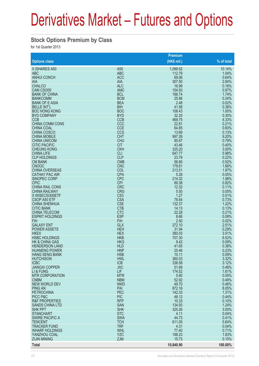#### **Stock Options Premium by Class**

for 1st Quarter 2013

|                                                   |                          | <b>Premium</b>  |                |
|---------------------------------------------------|--------------------------|-----------------|----------------|
| <b>Options class</b>                              |                          | (HK\$ mil.)     | % of total     |
| X ISHARES A50                                     | A50                      | 1,099.52        | 10.14%         |
| <b>ABC</b>                                        | <b>ABC</b>               | 112.79          | 1.04%          |
| <b>ANHUI CONCH</b>                                | <b>ACC</b>               | 69.06           | 0.64%          |
| <b>AIA</b>                                        | <b>AIA</b>               | 307.50          | 2.84%          |
| <b>CHALCO</b>                                     | <b>ALC</b>               | 16.99           | 0.16%          |
| CAM CSI300                                        | <b>AMC</b>               | 104.93          | 0.97%          |
| <b>BANK OF CHINA</b>                              | <b>BCL</b>               | 188.74          | 1.74%          |
| <b>BANKCOMM</b>                                   | <b>BCM</b>               | 25.86           | 0.24%          |
| <b>BANK OF E ASIA</b><br><b>BELLE INT'L</b>       | <b>BEA</b>               | 2.48            | 0.02%<br>0.38% |
| <b>BOC HONG KONG</b>                              | <b>BIH</b><br><b>BOC</b> | 41.58<br>108.43 | 1.00%          |
| <b>BYD COMPANY</b>                                | <b>BYD</b>               | 32.25           | 0.30%          |
| <b>CCB</b>                                        | <b>CCB</b>               | 469.75          | 4.33%          |
| CHINA COMM CONS                                   | CCC                      | 22.81           | 0.21%          |
| <b>CHINA COAL</b>                                 | <b>CCE</b>               | 64.85           | 0.60%          |
| CHINA COSCO                                       | <b>CCS</b>               | 13.69           | 0.13%          |
| <b>CHINA MOBILE</b>                               | <b>CHT</b>               | 997.26          | 9.20%          |
| <b>CHINA UNICOM</b>                               | <b>CHU</b>               | 85.67           | 0.79%          |
| <b>CITIC PACIFIC</b>                              | <b>CIT</b>               | 43.46           | 0.40%          |
| <b>CHEUNG KONG</b>                                | <b>CKH</b>               | 325.20          | 3.00%          |
| <b>CHINA LIFE</b>                                 | <b>CLI</b>               | 647.77          | 5.98%          |
| <b>CLP HOLDINGS</b>                               | <b>CLP</b>               | 23.79           | 0.22%          |
| <b>CM BANK</b>                                    | <b>CMB</b>               | 56.80           | 0.52%          |
| <b>CNOOC</b>                                      | <b>CNC</b>               | 179.61          | 1.66%          |
| <b>CHINA OVERSEAS</b>                             | COL                      | 213.51          | 1.97%          |
| <b>CATHAY PAC AIR</b><br><b>SINOPEC CORP</b>      | <b>CPA</b><br><b>CPC</b> | 5.28<br>214.32  | 0.05%<br>1.98% |
| <b>CPIC</b>                                       | <b>CPI</b>               | 89.38           | 0.82%          |
| <b>CHINA RAIL CONS</b>                            | <b>CRC</b>               | 12.32           | 0.11%          |
| <b>CHINA RAILWAY</b>                              | <b>CRG</b>               | 5.50            | 0.05%          |
| X WISECSI300ETF                                   | CS <sub>3</sub>          | 1.27            | 0.01%          |
| CSOP A50 ETF                                      | <b>CSA</b>               | 78.64           | 0.73%          |
| <b>CHINA SHENHUA</b>                              | <b>CSE</b>               | 132.37          | 1.22%          |
| <b>CITIC BANK</b>                                 | <b>CTB</b>               | 14.13           | 0.13%          |
| <b>CHINA TELECOM</b>                              | <b>CTC</b>               | 22.28           | 0.21%          |
| <b>ESPRIT HOLDINGS</b>                            | <b>ESP</b>               | 8.66            | 0.08%          |
| <b>FIH</b>                                        | <b>FIH</b>               | 2.50            | 0.02%          |
| <b>GALAXY ENT</b>                                 | <b>GLX</b>               | 272.10          | 2.51%          |
| <b>POWER ASSETS</b>                               | <b>HEH</b>               | 31.94           | 0.29%          |
| <b>HKEX</b>                                       | <b>HEX</b>               | 380.03          | 3.51%          |
| <b>HSBC HOLDINGS</b><br><b>HK &amp; CHINA GAS</b> | <b>HKB</b><br><b>HKG</b> | 707.30<br>9.42  | 6.52%<br>0.09% |
| <b>HENDERSON LAND</b>                             | <b>HLD</b>               | 41.65           | 0.38%          |
| <b>HUANENG POWER</b>                              | <b>HNP</b>               | 25.46           | 0.23%          |
| <b>HANG SENG BANK</b>                             | <b>HSB</b>               | 10.11           | 0.09%          |
| <b>HUTCHISON</b>                                  | <b>HWL</b>               | 360.03          | 3.32%          |
| <b>ICBC</b>                                       | <b>ICB</b>               | 338.58          | 3.12%          |
| <b>JIANGXI COPPER</b>                             | <b>JXC</b>               | 51.69           | 0.48%          |
| LI & FUNG                                         | <b>LIF</b>               | 174.52          | 1.61%          |
| <b>MTR CORPORATION</b>                            | <b>MTR</b>               | 5.80            | 0.05%          |
| <b>CNBM</b>                                       | <b>NBM</b>               | 52.92           | 0.49%          |
| <b>NEW WORLD DEV</b>                              | <b>NWD</b>               | 49.70           | 0.46%          |
| <b>PING AN</b>                                    | PAI                      | 872.16          | 8.05%          |
| <b>PETROCHINA</b>                                 | PEC                      | 142.33          | 1.31%          |
| PICC P&C<br><b>R&amp;F PROPERTIES</b>             | <b>PIC</b><br><b>RFP</b> | 48.12<br>10.33  | 0.44%<br>0.10% |
| <b>SANDS CHINA LTD</b>                            | <b>SAN</b>               | 134.93          | 1.24%          |
| <b>SHK PPT</b>                                    | <b>SHK</b>               | 325.26          | 3.00%          |
| <b>STANCHART</b>                                  | <b>STC</b>               | 4.11            | 0.04%          |
| <b>SWIRE PACIFIC A</b>                            | <b>SWA</b>               | 44.73           | 0.41%          |
| <b>TENCENT</b>                                    | <b>TCH</b>               | 611.05          | 5.64%          |
| <b>TRACKER FUND</b>                               | <b>TRF</b>               | 4.31            | 0.04%          |
| <b>WHARF HOLDINGS</b>                             | <b>WHL</b>               | 77.40           | 0.71%          |
| YANZHOU COAL                                      | <b>YZC</b>               | 198.23          | 1.83%          |
| <b>ZIJIN MINING</b>                               | <b>ZJM</b>               | 15.73           | 0.15%          |
| <b>Total</b>                                      |                          | 10,840.90       | 100.00%        |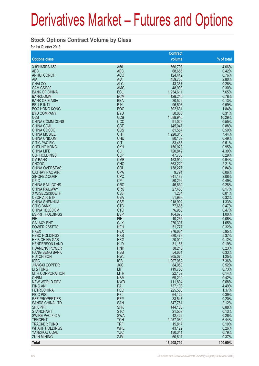#### **Stock Options Contract Volume by Class**

for 1st Quarter 2013

|                                              |                          | <b>Contract</b>   |                |
|----------------------------------------------|--------------------------|-------------------|----------------|
| <b>Options class</b>                         |                          | volume            | % of total     |
| X ISHARES A50                                | A <sub>50</sub>          | 666,793           | 4.06%          |
| <b>ABC</b>                                   | <b>ABC</b>               | 68,655            | 0.42%          |
| <b>ANHUI CONCH</b>                           | <b>ACC</b>               | 124,442           | 0.76%          |
| <b>AIA</b>                                   | <b>AIA</b>               | 459,755           | 2.80%          |
| <b>CHALCO</b>                                | <b>ALC</b>               | 43,367            | 0.26%          |
| CAM CSI300                                   | <b>AMC</b>               | 48,993            | 0.30%          |
| <b>BANK OF CHINA</b>                         | <b>BCL</b>               | 1,254,611         | 7.65%          |
| <b>BANKCOMM</b>                              | <b>BCM</b>               | 128,246           | 0.78%          |
| <b>BANK OF E ASIA</b>                        | <b>BEA</b>               | 20,522            | 0.13%          |
| <b>BELLE INT'L</b>                           | <b>BIH</b>               | 96,598            | 0.59%          |
| <b>BOC HONG KONG</b>                         | <b>BOC</b>               | 302,631           | 1.84%          |
| <b>BYD COMPANY</b>                           | <b>BYD</b>               | 50,063            | 0.31%          |
| <b>CCB</b>                                   | <b>CCB</b><br>CCC        | 1,688,946         | 10.29%         |
| <b>CHINA COMM CONS</b><br><b>CHINA COAL</b>  | <b>CCE</b>               | 91,029            | 0.55%<br>0.88% |
| <b>CHINA COSCO</b>                           | CCS                      | 145,047<br>81,557 | 0.50%          |
| <b>CHINA MOBILE</b>                          | <b>CHT</b>               | 1,220,318         | 7.44%          |
| <b>CHINA UNICOM</b>                          | <b>CHU</b>               | 80,109            | 0.49%          |
| <b>CITIC PACIFIC</b>                         | <b>CIT</b>               | 83,465            | 0.51%          |
| <b>CHEUNG KONG</b>                           | <b>CKH</b>               | 156,023           | 0.95%          |
| <b>CHINA LIFE</b>                            | <b>CLI</b>               | 720,842           | 4.39%          |
| <b>CLP HOLDINGS</b>                          | <b>CLP</b>               | 47,738            | 0.29%          |
| <b>CM BANK</b>                               | <b>CMB</b>               | 153,912           | 0.94%          |
| <b>CNOOC</b>                                 | <b>CNC</b>               | 363,229           | 2.21%          |
| <b>CHINA OVERSEAS</b>                        | COL                      | 138,277           | 0.84%          |
| <b>CATHAY PAC AIR</b>                        | <b>CPA</b>               | 9,791             | 0.06%          |
| SINOPEC CORP                                 | <b>CPC</b>               | 341,182           | 2.08%          |
| <b>CPIC</b>                                  | <b>CPI</b>               | 80,292            | 0.49%          |
| <b>CHINA RAIL CONS</b>                       | <b>CRC</b>               | 46,632            | 0.28%          |
| <b>CHINA RAILWAY</b>                         | <b>CRG</b>               | 27,483            | 0.17%          |
| X WISECSI300ETF                              | CS <sub>3</sub>          | 1,264             | 0.01%          |
| <b>CSOP A50 ETF</b>                          | <b>CSA</b>               | 51,989            | 0.32%          |
| <b>CHINA SHENHUA</b>                         | <b>CSE</b>               | 218,902           | 1.33%          |
| <b>CITIC BANK</b>                            | <b>CTB</b>               | 77,666            | 0.47%          |
| <b>CHINA TELECOM</b>                         | <b>CTC</b>               | 76,950            | 0.47%          |
| <b>ESPRIT HOLDINGS</b>                       | <b>ESP</b>               | 164,678           | 1.00%          |
| <b>FIH</b><br><b>GALAXY ENT</b>              | <b>FIH</b>               | 10,265            | 0.06%          |
| <b>POWER ASSETS</b>                          | <b>GLX</b><br><b>HEH</b> | 270,307           | 1.65%<br>0.32% |
| <b>HKEX</b>                                  | <b>HEX</b>               | 51,777<br>976,634 | 5.95%          |
| <b>HSBC HOLDINGS</b>                         | <b>HKB</b>               | 880,479           | 5.37%          |
| <b>HK &amp; CHINA GAS</b>                    | <b>HKG</b>               | 20,010            | 0.12%          |
| <b>HENDERSON LAND</b>                        | <b>HLD</b>               | 31,186            | 0.19%          |
| <b>HUANENG POWER</b>                         | <b>HNP</b>               | 38,218            | 0.23%          |
| <b>HANG SENG BANK</b>                        | <b>HSB</b>               | 54,661            | 0.33%          |
| <b>HUTCHISON</b>                             | <b>HWL</b>               | 205,070           | 1.25%          |
| <b>ICBC</b>                                  | <b>ICB</b>               | 1,207,062         | 7.36%          |
| <b>JIANGXI COPPER</b>                        | <b>JXC</b>               | 84,950            | 0.52%          |
| LI & FUNG                                    | <b>LIF</b>               | 119,755           | 0.73%          |
| <b>MTR CORPORATION</b>                       | <b>MTR</b>               | 22,169            | 0.14%          |
| <b>CNBM</b>                                  | <b>NBM</b>               | 69,212            | 0.42%          |
| <b>NEW WORLD DEV</b>                         | <b>NWD</b>               | 111,834           | 0.68%          |
| <b>PING AN</b>                               | PAI                      | 737,103           | 4.49%          |
| <b>PETROCHINA</b>                            | PEC                      | 225,536           | 1.37%          |
| PICC P&C                                     | <b>PIC</b>               | 64,122            | 0.39%          |
| <b>R&amp;F PROPERTIES</b>                    | <b>RFP</b>               | 33,547            | 0.20%          |
| <b>SANDS CHINA LTD</b>                       | <b>SAN</b>               | 347,761           | 2.12%          |
| <b>SHK PPT</b>                               | <b>SHK</b>               | 144,185           | 0.88%          |
| <b>STANCHART</b>                             | <b>STC</b>               | 21,559            | 0.13%          |
| <b>SWIRE PACIFIC A</b>                       | <b>SWA</b>               | 42,422            | 0.26%          |
| <b>TENCENT</b>                               | <b>TCH</b><br><b>TRF</b> | 1,057,080         | 6.44%          |
| <b>TRACKER FUND</b><br><b>WHARF HOLDINGS</b> | <b>WHL</b>               | 15,817            | 0.10%<br>0.26% |
| YANZHOU COAL                                 | <b>YZC</b>               | 43,122<br>130,341 | 0.79%          |
| <b>ZIJIN MINING</b>                          | <b>ZJM</b>               | 60,611            | 0.37%          |
|                                              |                          |                   |                |
| <b>Total</b>                                 |                          | 16,408,792        | 100.00%        |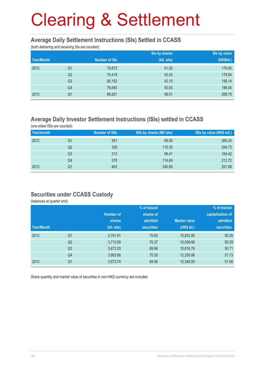#### **Average Daily Settlement Instructions (SIs) Settled in CCASS**

(both delivering and receiving SIs are counted)

|            |                |                      | Sis by shares | Sis by value |
|------------|----------------|----------------------|---------------|--------------|
| Year/Month |                | <b>Number of SIs</b> | (bil. shs)    | (HK\$bil.)   |
| 2012       | Q <sub>1</sub> | 79,872               | 41.52         | 179.93       |
|            | Q <sub>2</sub> | 70,419               | 43.03         | 179.84       |
|            | Q <sub>3</sub> | 66,152               | 42.10         | 156.14       |
|            | Q4             | 76,640               | 50.63         | 198.54       |
| 2013       | Q <sub>1</sub> | 89,261               | 59.01         | 268.79       |

### **Average Daily Investor Settlement Instructions (ISIs) settled in CCASS**

(one sided ISIs are counted)

| Year/month |    | <b>Number of ISIs</b> | ISIs by shares (Mil shs) | ISIs by value (HK\$ mil.) |
|------------|----|-----------------------|--------------------------|---------------------------|
| 2012       | Q1 | 351                   | 69.05                    | 265.24                    |
|            | Q2 | 329                   | 115.35                   | 254.73                    |
|            | Q3 | 313                   | 96.41                    | 164.42                    |
|            | Q4 | 378                   | 114.69                   | 213.72                    |
| 2013       | Q1 | 463                   | 240.85                   | 251.98                    |

#### **Securities under CCASS Custody**

(balances at quarter end)

|            |                |                  | % of issued       |                     | % of market       |
|------------|----------------|------------------|-------------------|---------------------|-------------------|
|            |                | <b>Number of</b> | shares of         |                     | capitalisation of |
|            |                | shares           | admitted          | <b>Market value</b> | admitted          |
| Year/Month |                | (bil. shs)       | <b>securities</b> | (HK\$ bil.)         | <b>securities</b> |
| 2012       | Q <sub>1</sub> | 3,751.61         | 70.60             | 10,833.95           | 50.26             |
|            | Q <sub>2</sub> | 3,713.59         | 70.37             | 10,006.88           | 50.29             |
|            | Q <sub>3</sub> | 3,672.03         | 69.98             | 10,816.76           | 50.71             |
|            | Q4             | 3,663.66         | 70.30             | 12,330.06           | 51.73             |
| 2013       | Q <sub>1</sub> | 3,673.74         | 69.58             | 12,345.00           | 51.66             |

Share quantity and market value of securities in non-HKD currency are included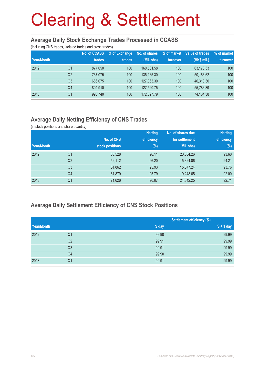#### **Average Daily Stock Exchange Trades Processed in CCASS**

(including CNS trades, isolated trades and cross trades)

|            |                | No. of CCASS | % of Exchange | No. of shares | % of market | Value of trades | % of market |
|------------|----------------|--------------|---------------|---------------|-------------|-----------------|-------------|
| Year/Month |                | trades       | trades        | (Mil. shs)    | turnover    | (HK\$ mil.)     | turnover    |
| 2012       | Q1             | 877.050      | 100           | 160.501.58    | 100         | 63,178.33       | 100         |
|            | Q <sub>2</sub> | 737,075      | 100           | 135,165.30    | 100         | 50,166.62       | 100         |
|            | Q <sub>3</sub> | 686,075      | 100           | 127,363.30    | 100         | 46,310.30       | 100         |
|            | Q4             | 804,910      | 100           | 127,520.75    | 100         | 55,786.39       | 100         |
| 2013       | Q1             | 990,740      | 100           | 172,627.79    | 100         | 74,164.38       | 100         |

## **Average Daily Netting Efficiency of CNS Trades**

(in stock positions and share quantity)

|            |                |                 | <b>Netting</b> | No. of shares due | <b>Netting</b> |
|------------|----------------|-----------------|----------------|-------------------|----------------|
|            |                | No. of CNS      | efficiency     | for settlement    | efficiency     |
| Year/Month |                | stock positions | $(\%)$         | (Mil. shs)        | $(\%)$         |
| 2012       | Q1             | 63,528          | 96.11          | 20,054.26         | 93.60          |
|            | Q <sub>2</sub> | 52,112          | 96.20          | 15,324.06         | 94.21          |
|            | Q <sub>3</sub> | 51,862          | 95.93          | 15,577.24         | 93.76          |
|            | Q4             | 61,879          | 95.79          | 19,248.65         | 92.00          |
| 2013       | Q <sub>1</sub> | 71,626          | 96.07          | 24,342.25         | 92.71          |

### **Average Daily Settlement Efficiency of CNS Stock Positions**

|            |                |       | <b>Settlement efficiency (%)</b> |
|------------|----------------|-------|----------------------------------|
| Year/Month |                | S day | $S + 1$ day                      |
| 2012       | Q1             | 99.90 | 99.99                            |
|            | Q2             | 99.91 | 99.99                            |
|            | Q <sub>3</sub> | 99.91 | 99.99                            |
|            | Q4             | 99.90 | 99.99                            |
| 2013       | Q1             | 99.91 | 99.99                            |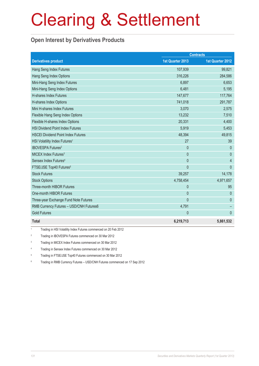### **Open Interest by Derivatives Products**

|                                           |                  | <b>Contracts</b>        |
|-------------------------------------------|------------------|-------------------------|
| <b>Derivatives product</b>                | 1st Quarter 2013 | <b>1st Quarter 2012</b> |
| Hang Seng Index Futures                   | 107,939          | 99,821                  |
| Hang Seng Index Options                   | 316,226          | 284,586                 |
| Mini-Hang Seng Index Futures              | 6,897            | 6,653                   |
| Mini-Hang Seng Index Options              | 6,481            | 5,195                   |
| H-shares Index Futures                    | 147,677          | 117,764                 |
| H-shares Index Options                    | 741,018          | 291,787                 |
| Mini H-shares Index Futures               | 3,070            | 2,575                   |
| Flexible Hang Seng Index Options          | 13,232           | 7,510                   |
| Flexible H-shares Index Options           | 20,331           | 4,400                   |
| <b>HSI Dividend Point Index Futures</b>   | 5,919            | 5,453                   |
| <b>HSCEI Dividend Point Index Futures</b> | 48,394           | 49,815                  |
| HSI Volatility Index Futures <sup>1</sup> | 27               | 39                      |
| <b>IBOVESPA Futures<sup>2</sup></b>       | $\mathbf{0}$     | $\Omega$                |
| MICEX Index Futures <sup>3</sup>          | $\mathbf{0}$     | $\theta$                |
| Sensex Index Futures <sup>4</sup>         | $\overline{0}$   | $\overline{4}$          |
| FTSE/JSE Top40 Futures <sup>5</sup>       | $\mathbf{0}$     | $\mathbf{0}$            |
| <b>Stock Futures</b>                      | 39,257           | 14,178                  |
| <b>Stock Options</b>                      | 4,758,454        | 4,971,657               |
| Three-month HIBOR Futures                 | $\mathbf{0}$     | 95                      |
| One-month HIBOR Futures                   | $\mathbf{0}$     | $\theta$                |
| Three-year Exchange Fund Note Futures     | $\mathbf{0}$     | $\mathbf{0}$            |
| RMB Currency Futures - USD/CNH Futures6   | 4,791            |                         |
| <b>Gold Futures</b>                       | $\mathbf{0}$     | $\mathbf{0}$            |
| <b>Total</b>                              | 6,219,713        | 5,861,532               |

1 Trading in HSI Volatility Index Futures commenced on 20 Feb 2012

2 Trading in IBOVESPA Futures commenced on 30 Mar 2012

3 Trading in MICEX Index Futures commenced on 30 Mar 2012

4 Trading in Sensex Index Futures commenced on 30 Mar 2012

5 Trading in FTSE/JSE Top40 Futures commenced on 30 Mar 2012

6 Trading in RMB Currency Futures – USD/CNH Futures commenced on 17 Sep 2012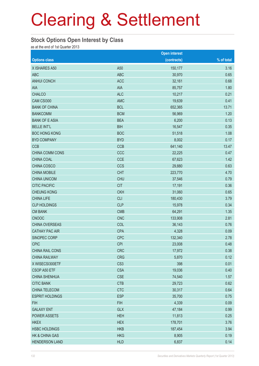#### **Stock Options Open Interest by Class**

as at the end of 1st Quarter 2013

|                           |                 | <b>Open interest</b> |            |
|---------------------------|-----------------|----------------------|------------|
| <b>Options class</b>      |                 | (contracts)          | % of total |
| X ISHARES A50             | A50             | 150,177              | 3.16       |
| <b>ABC</b>                | <b>ABC</b>      | 30,970               | 0.65       |
| <b>ANHUI CONCH</b>        | <b>ACC</b>      | 32,161               | 0.68       |
| AIA                       | <b>AIA</b>      | 85,757               | 1.80       |
| <b>CHALCO</b>             | <b>ALC</b>      | 10,217               | 0.21       |
| CAM CSI300                | <b>AMC</b>      | 19,639               | 0.41       |
| <b>BANK OF CHINA</b>      | <b>BCL</b>      | 652,365              | 13.71      |
| <b>BANKCOMM</b>           | <b>BCM</b>      | 56,969               | 1.20       |
| <b>BANK OF E ASIA</b>     | <b>BEA</b>      | 6,200                | 0.13       |
| <b>BELLE INT'L</b>        | <b>BIH</b>      | 16,547               | 0.35       |
| <b>BOC HONG KONG</b>      | <b>BOC</b>      | 51,518               | 1.08       |
| <b>BYD COMPANY</b>        | <b>BYD</b>      | 8,002                | 0.17       |
| <b>CCB</b>                | <b>CCB</b>      | 641,140              | 13.47      |
| CHINA COMM CONS           | CCC             | 22,225               | 0.47       |
| CHINA COAL                | <b>CCE</b>      | 67,623               | 1.42       |
| CHINA COSCO               | <b>CCS</b>      | 29,880               | 0.63       |
| <b>CHINA MOBILE</b>       | <b>CHT</b>      | 223,770              | 4.70       |
| <b>CHINA UNICOM</b>       | <b>CHU</b>      | 37,546               | 0.79       |
| <b>CITIC PACIFIC</b>      | <b>CIT</b>      | 17,191               | 0.36       |
| <b>CHEUNG KONG</b>        | <b>CKH</b>      | 31,060               | 0.65       |
| <b>CHINA LIFE</b>         | <b>CLI</b>      | 180,430              | 3.79       |
| <b>CLP HOLDINGS</b>       | <b>CLP</b>      | 15,978               | 0.34       |
| <b>CM BANK</b>            | <b>CMB</b>      | 64,291               | 1.35       |
| <b>CNOOC</b>              | <b>CNC</b>      | 133,908              | 2.81       |
| <b>CHINA OVERSEAS</b>     | COL             | 36,143               | 0.76       |
| <b>CATHAY PAC AIR</b>     | <b>CPA</b>      | 4,328                | 0.09       |
| SINOPEC CORP              | <b>CPC</b>      | 132,340              | 2.78       |
| <b>CPIC</b>               | <b>CPI</b>      | 23,008               | 0.48       |
| CHINA RAIL CONS           | <b>CRC</b>      | 17,972               | 0.38       |
| <b>CHINA RAILWAY</b>      | <b>CRG</b>      | 5,870                | 0.12       |
| X WISECSI300ETF           | CS <sub>3</sub> | 398                  | 0.01       |
| CSOP A50 ETF              | <b>CSA</b>      | 19,036               | 0.40       |
| <b>CHINA SHENHUA</b>      | <b>CSE</b>      | 74,540               | 1.57       |
| <b>CITIC BANK</b>         | <b>CTB</b>      | 29,723               | 0.62       |
| CHINA TELECOM             | <b>CTC</b>      | 30,317               | 0.64       |
| <b>ESPRIT HOLDINGS</b>    | <b>ESP</b>      | 35,700               | 0.75       |
| <b>FIH</b>                | <b>FIH</b>      | 4,339                | 0.09       |
| <b>GALAXY ENT</b>         | <b>GLX</b>      | 47,184               | 0.99       |
| <b>POWER ASSETS</b>       | <b>HEH</b>      | 11,813               | 0.25       |
| <b>HKEX</b>               | <b>HEX</b>      | 178,701              | 3.76       |
| <b>HSBC HOLDINGS</b>      | <b>HKB</b>      | 187,454              | 3.94       |
| <b>HK &amp; CHINA GAS</b> | <b>HKG</b>      | 8,905                | 0.19       |
| <b>HENDERSON LAND</b>     | <b>HLD</b>      | 6,837                | 0.14       |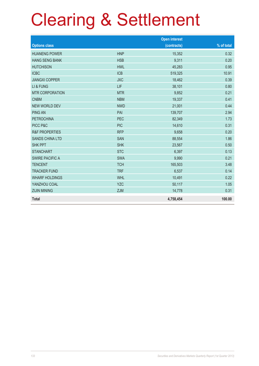|                           |            | <b>Open interest</b> |            |
|---------------------------|------------|----------------------|------------|
| <b>Options class</b>      |            | (contracts)          | % of total |
| <b>HUANENG POWER</b>      | <b>HNP</b> | 15,352               | 0.32       |
| <b>HANG SENG BANK</b>     | <b>HSB</b> | 9,311                | 0.20       |
| <b>HUTCHISON</b>          | <b>HWL</b> | 45,283               | 0.95       |
| <b>ICBC</b>               | <b>ICB</b> | 519,325              | 10.91      |
| <b>JIANGXI COPPER</b>     | <b>JXC</b> | 18,462               | 0.39       |
| LI & FUNG                 | LIF        | 38,101               | 0.80       |
| <b>MTR CORPORATION</b>    | <b>MTR</b> | 9,852                | 0.21       |
| <b>CNBM</b>               | <b>NBM</b> | 19,337               | 0.41       |
| <b>NEW WORLD DEV</b>      | <b>NWD</b> | 21,001               | 0.44       |
| <b>PING AN</b>            | PAI        | 139,707              | 2.94       |
| <b>PETROCHINA</b>         | <b>PEC</b> | 82,349               | 1.73       |
| PICC P&C                  | <b>PIC</b> | 14,610               | 0.31       |
| <b>R&amp;F PROPERTIES</b> | <b>RFP</b> | 9,658                | 0.20       |
| <b>SANDS CHINA LTD</b>    | <b>SAN</b> | 88,554               | 1.86       |
| <b>SHK PPT</b>            | <b>SHK</b> | 23,567               | 0.50       |
| <b>STANCHART</b>          | <b>STC</b> | 6,397                | 0.13       |
| <b>SWIRE PACIFIC A</b>    | <b>SWA</b> | 9,990                | 0.21       |
| <b>TENCENT</b>            | <b>TCH</b> | 165,503              | 3.48       |
| <b>TRACKER FUND</b>       | <b>TRF</b> | 6,537                | 0.14       |
| <b>WHARF HOLDINGS</b>     | <b>WHL</b> | 10,491               | 0.22       |
| YANZHOU COAL              | <b>YZC</b> | 50,117               | 1.05       |
| <b>ZIJIN MINING</b>       | <b>ZJM</b> | 14,778               | 0.31       |
| <b>Total</b>              |            | 4,758,454            | 100.00     |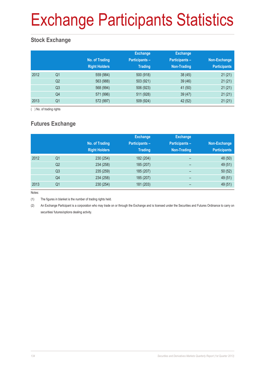# Exchange Participants Statistics

## **Stock Exchange**

|      |                | No. of Trading<br><b>Right Holders</b> | <b>Exchange</b><br><b>Participants -</b><br><b>Trading</b> | <b>Exchange</b><br>Participants-<br>Non-Trading | Non-Exchange<br><b>Participants</b> |
|------|----------------|----------------------------------------|------------------------------------------------------------|-------------------------------------------------|-------------------------------------|
| 2012 | Q <sub>1</sub> | 559 (984)                              | 500 (918)                                                  | 38(45)                                          | 21(21)                              |
|      | Q <sub>2</sub> | 563 (988)                              | 503 (921)                                                  | 39(46)                                          | 21(21)                              |
|      | Q <sub>3</sub> | 568 (994)                              | 506 (923)                                                  | 41 (50)                                         | 21(21)                              |
|      | Q4             | 571 (996)                              | 511 (928)                                                  | 39(47)                                          | 21(21)                              |
| 2013 | Q1             | 572 (997)                              | 509 (924)                                                  | 42 (52)                                         | 21(21)                              |

( ) No. of trading rights

## **Futures Exchange**

|      |                | No. of Trading<br><b>Right Holders</b> | <b>Exchange</b><br><b>Participants -</b><br><b>Trading</b> | <b>Exchange</b><br><b>Participants -</b><br><b>Non-Trading</b> | Non-Exchange<br><b>Participants</b> |
|------|----------------|----------------------------------------|------------------------------------------------------------|----------------------------------------------------------------|-------------------------------------|
| 2012 | Q <sub>1</sub> | 230 (254)                              | 182 (204)                                                  | -                                                              | 48 (50)                             |
|      | Q <sub>2</sub> | 234 (258)                              | 185 (207)                                                  | -                                                              | 49 (51)                             |
|      | Q <sub>3</sub> | 235 (259)                              | 185 (207)                                                  | $\qquad \qquad$                                                | 50(52)                              |
|      | Q4             | 234 (258)                              | 185 (207)                                                  | $\overline{\phantom{0}}$                                       | 49 (51)                             |
| 2013 | Q <sub>1</sub> | 230 (254)                              | 181 (203)                                                  |                                                                | 49 (51)                             |

Notes:

(1) The figures in blanket is the number of trading rights held.

(2) An Exchange Participant is a corporation who may trade on or through the Exchange and is licensed under the Securities and Futures Ordinance to carry on securities/ futures/options dealing activity.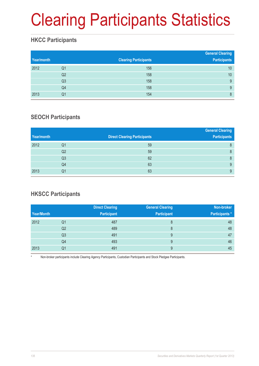# Clearing Participants Statistics

## **HKCC Participants**

| Year/month |                | <b>Clearing Participants</b> | <b>General Clearing</b><br><b>Participants</b> |
|------------|----------------|------------------------------|------------------------------------------------|
| 2012       | Q1             | 156                          | 10                                             |
|            | Q <sub>2</sub> | 158                          | 10                                             |
|            | Q <sub>3</sub> | 158                          | 9                                              |
|            | Q4             | 158                          | 9                                              |
| 2013       | Q1             | 154                          | 8                                              |

### **SEOCH Participants**

|            |                |                                     | <b>General Clearing</b> |
|------------|----------------|-------------------------------------|-------------------------|
| Year/month |                | <b>Direct Clearing Participants</b> | <b>Participants</b>     |
| 2012       | Q1             | 59                                  | 8                       |
|            | Q <sub>2</sub> | 59                                  | 8                       |
|            | Q <sub>3</sub> | 62                                  | 8                       |
|            | Q4             | 63                                  | 9                       |
| 2013       | Q1             | 63                                  | 9                       |

## **HKSCC Participants**

|            |                | <b>Direct Clearing</b> | <b>General Clearing</b> | Non-broker            |
|------------|----------------|------------------------|-------------------------|-----------------------|
| Year/Month |                | <b>Participant</b>     | <b>Participant</b>      | <b>Participants</b> * |
| 2012       | Q1             | 487                    | 8                       | 48                    |
|            | Q <sub>2</sub> | 489                    | 8                       | 48                    |
|            | Q3             | 491                    | 9                       | 47                    |
|            | Q4             | 493                    | 9                       | 46                    |
| 2013       | Q1             | 491                    | 9                       | 45                    |

Non-broker participants include Clearing Agency Participants, Custodian Participants and Stock Pledgee Participants.